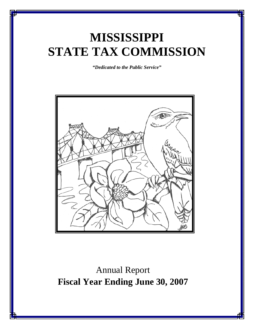# **MISSISSIPPI STATE TAX COMMISSION**

*"Dedicated to the Public Service"* 



Annual Report **Fiscal Year Ending June 30, 2007**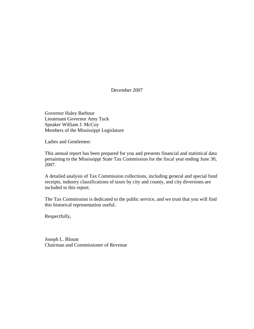December 2007

 Governor Haley Barbour Lieutenant Governor Amy Tuck Speaker William J. McCoy Members of the Mississippi Legislature

Ladies and Gentlemen:

This annual report has been prepared for you and presents financial and statistical data pertaining to the Mississippi State Tax Commission for the fiscal year ending June 30, 2007.

A detailed analysis of Tax Commission collections, including general and special fund receipts, industry classifications of taxes by city and county, and city diversions are included in this report.

The Tax Commission is dedicated to the public service, and we trust that you will find this historical representation useful.

Respectfully,

Joseph L. Blount Chairman and Commissioner of Revenue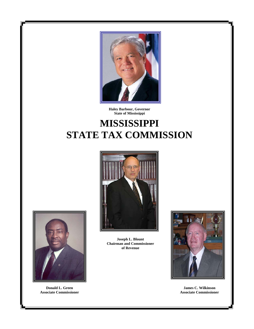

**Haley Barbour, Governor State of Mississippi**

# **MISSISSIPPI** **STATE TAX COMMISSION**





**Donald L. Green Associate Commissioner**

**Joseph L. Blount Chairman and Commissioner of Revenue** 



**James C. Wilkinson Associate Commissioner**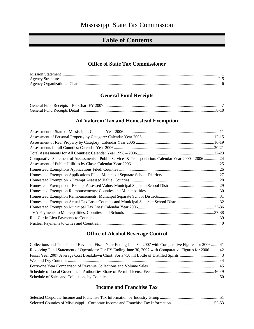## **Table of Contents**

### **Office of State Tax Commissioner**

### **General Fund Receipts**

## **Ad Valorem Tax and Homestead Exemption**

| Comparative Statement of Assessments – Public Services & Transportation: Calendar Year 2000 – 200624 |  |
|------------------------------------------------------------------------------------------------------|--|
|                                                                                                      |  |
|                                                                                                      |  |
|                                                                                                      |  |
|                                                                                                      |  |
|                                                                                                      |  |
|                                                                                                      |  |
|                                                                                                      |  |
| Homestead Exemption Actual Tax Loss: Counties and Municipal Separate School Districts 32             |  |
|                                                                                                      |  |
|                                                                                                      |  |
|                                                                                                      |  |
|                                                                                                      |  |

### **Office of Alcohol Beverage Control**

| Collections and Transfers of Revenue: Fiscal Year Ending June 30, 2007 with Comparative Figures for 200641 |  |
|------------------------------------------------------------------------------------------------------------|--|
| Revolving Fund Statement of Operations: For FY Ending June 30, 2007 with Comparative Figures for 2006 42   |  |
|                                                                                                            |  |
|                                                                                                            |  |
|                                                                                                            |  |
|                                                                                                            |  |
|                                                                                                            |  |

## **Income and Franchise Tax**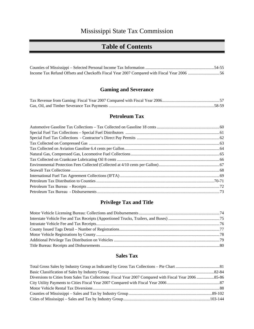## **Table of Contents**

## **Gaming and Severance**

## **Petroleum Tax**

## **Privilege Tax and Title**

### **Sales Tax**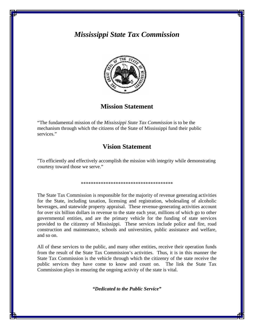## *Mississippi State Tax Commission*



## **Mission Statement**

"The fundamental mission of the *Mississippi State Tax Commission* is to be the mechanism through which the citizens of the State of Mississippi fund their public services."

## **Vision Statement**

"To efficiently and effectively accomplish the mission with integrity while demonstrating courtesy toward those we serve."

\*\*\*\*\*\*\*\*\*\*\*\*\*\*\*\*\*\*\*\*\*\*\*\*\*\*\*\*\*\*\*\*\*\*\*\*\*

The State Tax Commission is responsible for the majority of revenue generating activities for the State, including taxation, licensing and registration, wholesaling of alcoholic beverages, and statewide property appraisal. These revenue-generating activities account for over six billion dollars in revenue to the state each year, millions of which go to other governmental entities, and are the primary vehicle for the funding of state services provided to the citizenry of Mississippi. These services include police and fire, road construction and maintenance, schools and universities, public assistance and welfare, and so on.

All of these services to the public, and many other entities, receive their operation funds from the result of the State Tax Commission's activities. Thus, it is in this manner the State Tax Commission is the vehicle through which the citizenry of the state receive the public services they have come to know and count on. The link the State Tax Commission plays in ensuring the ongoing activity of the state is vital.

*"Dedicated to the Public Service"*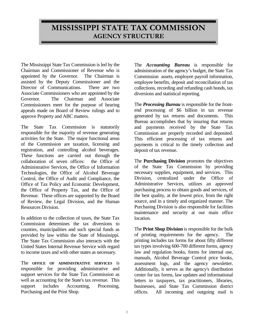## **MISSISSIPPI STATE TAX COMMISSION AGENCY STRUCTURE**

The Mississippi State Tax Commission is led by the Chairman and Commissioner of Revenue who is appointed by the Governor. The Chairman is assisted by the Deputy Commissioner and the Director of Communications. There are two Associate Commissioners who are appointed by the Governor. The Chairman and Associate Commissioners meet for the purpose of hearing appeals made on Board of Review rulings and to approve Property and ABC matters.

The State Tax Commission is statutorily responsible for the majority of revenue generating activities for the State. The major functional areas of the Commission are taxation, licensing and registration, and controlling alcohol beverages. These functions are carried out through the collaboration of seven offices: the Office of Administrative Services, the Office of Information Technologies, the Office of Alcohol Beverage Control, the Office of Audit and Compliance, the Office of Tax Policy and Economic Development, the Office of Property Tax, and the Office of Revenue. These offices are supported by the Board of Review, the Legal Division, and the Human Resources Division.

In addition to the collection of taxes, the State Tax Commission determines the tax diversions to counties, municipalities and such special funds as provided by law within the State of Mississippi. The State Tax Commission also interacts with the United States Internal Revenue Service with regard to income taxes and with other states as necessary.

The **OFFICE OF ADMINISTRATIVE SERVICES** is responsible for providing administrative and support services for the State Tax Commission as well as accounting for the State's tax revenue. This support includes Accounting, Processing, Purchasing and the Print Shop.

The *Accounting Bureau* is responsible for administration of the agency's budget, the State Tax Commission assets, employee payroll information, employee benefits, deposit and reconciliation of tax collections, recording and refunding cash bonds, tax diversions and statistical reporting.

The *Processing Bureau* is responsible for the frontend processing of \$6 billion in tax revenue generated by tax returns and documents. This Bureau accomplishes that by insuring that returns and payments received by the State Tax Commission are properly recorded and deposited. This efficient processing of tax returns and payments is critical to the timely collection and deposit of tax revenue.

The **Purchasing Division** promotes the objectives of the State Tax Commission by providing necessary supplies, equipment, and services. This Division, centralized under the Office of Administrative Services, utilizes an approved purchasing process to obtain goods and services, of the best quality, at the lowest price, from the right source, and in a timely and organized manner. The Purchasing Division is also responsible for facilities maintenance and security at our main office location.

The **Print Shop Division** is responsible for the bulk of printing requirements for the agency. The printing includes tax forms for about fifty different tax types involving 600-700 different forms, agency law and regulation books, forms for internal use, manuals, Alcohol Beverage Control price books, assessment logs, and the agency newsletter. Additionally, it serves as the agency's distribution center for tax forms, law updates and informational letters to taxpayers, tax practitioners, libraries, businesses, and State Tax Commission district offices. All incoming and outgoing mail is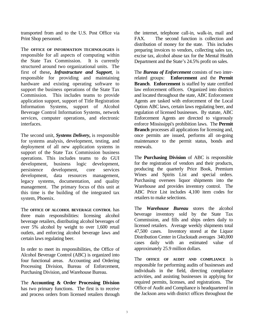transported from and to the U.S. Post Office via Print Shop personnel.

The **OFFICE OF INFORMATION TECHNOLOGIES** is responsible for all aspects of computing within the State Tax Commission. It is currently structured around two organizational units. The first of these**,** *Infrastructure and Support*, is responsible for providing and maintaining hardware and existing operating software to support the business operations of the State Tax Commission. This includes teams to provide application support, support of Title Registration Information Systems, support of Alcohol Beverage Control Information Systems, network services, computer operations, and electronic interfaces.

The second unit, *Systems Delivery***,** is responsible for systems analysis, development, testing, and deployment of all new application systems in support of the State Tax Commission business operations. This includes teams to do GUI development, business logic development, persistence development, core services development, data resources management, legacy systems, documentation, and quality management. The primary focus of this unit at this time is the building of the integrated tax system, Phoenix.

The **OFFICE OF ALCOHOL BEVERAGE CONTROL** has three main responsibilities: licensing alcohol beverage retailers, distributing alcohol beverages of over 5% alcohol by weight to over 1,600 retail outlets, and enforcing alcohol beverage laws and certain laws regulating beer.

In order to meet its responsibilities, the Office of Alcohol Beverage Control (ABC) is organized into four functional areas. Accounting and Ordering Processing Division, Bureau of Enforcement, Purchasing Division, and Warehouse Bureau.

The **Accounting & Order Processing Division** has two primary functions. The first is to receive and process orders from licensed retailers through the internet, telephone call-in, walk-in, mail and FAX. The second function is collection and distribution of money for the state. This includes preparing invoices to vendors, collecting sales tax, excise tax, alcohol abuse tax for the Mental Health Department and the State's 24.5% profit on sales.

The *Bureau of Enforcement* consists of two interrelated groups: **Enforcement** and the **Permit Branch**. **Enforcement** is staffed by state certified law enforcement officers. Organized into districts and located throughout the state, ABC Enforcement Agents are tasked with enforcement of the Local Option ABC laws, certain laws regulating beer, and regulation of licensed businesses. By statute, ABC Enforcement Agents are directed to vigorously enforce Mississippi's prohibition laws. The **Permit Branch** processes all applications for licensing and, once permits are issued, performs all on-going maintenance to the permit status, bonds and renewals.

The **Purchasing Division** of ABC is responsible for the registration of vendors and their products, producing the quarterly Price Book, Premium Wines and Spirits List and special orders. Purchasing oversees liquor shipments into the Warehouse and provides inventory control. The ABC Price List includes 4,100 item codes for retailers to make selections.

The *Warehouse Bureau* stores the alcohol beverage inventory sold by the State Tax Commission, and fills and ships orders daily to licensed retailers. Average weekly shipments total 47,500 cases. Inventory stored at the Liquor Distribution Center in Gluckstadt averages 340,000 cases daily with an estimated value of approximately 25.9 million dollars.

The **OFFICE OF AUDIT AND COMPLIANCE** is responsible for performing audits of businesses and individuals in the field, directing compliance activities, and assisting businesses in applying for required permits, licenses, and registrations. The Office of Audit and Compliance is headquartered in the Jackson area with district offices throughout the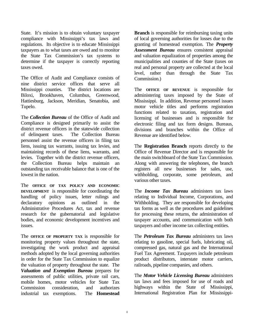State. It's mission is to obtain voluntary taxpayer compliance with Mississippi's tax laws and regulations. Its objective is to educate Mississippi taxpayers as to what taxes are owed and to monitor the State Tax Commission's tax systems to determine if the taxpayer is correctly reporting taxes owed.

The Office of Audit and Compliance consists of nine district service offices that serve all Mississippi counties. The district locations are Biloxi, Brookhaven, Columbus, Greenwood, Hattiesburg, Jackson, Meridian, Senatobia, and Tupelo.

The *Collection Bureau* of the Office of Audit and Compliance is designed primarily to assist the district revenue officers in the statewide collection of delinquent taxes. The Collection Bureau personnel assist the revenue officers in filing tax liens, issuing tax warrants, issuing tax levies, and maintaining records of these liens, warrants, and levies. Together with the district revenue officers, the Collection Bureau helps maintain an outstanding tax receivable balance that is one of the lowest in the nation.

The **OFFICE OF TAX POLICY AND ECONOMIC DEVELOPMENT** is responsible for coordinating the handling of policy issues, letter rulings and declaratory opinions as outlined in the Administrative Procedures Act, tax and revenue research for the gubernatorial and legislative bodies, and economic development incentives and issues.

The **OFFICE OF PROPERTY TAX** is responsible for monitoring property values throughout the state, investigating the work product and appraisal methods adopted by the local governing authorities in order for the State Tax Commission to equalize the valuation of property throughout the state. The *Valuation and Exemption Bureau* prepares for assessments of public utilities, private rail cars, mobile homes, motor vehicles for State Tax Commission consideration, and authorizes industrial tax exemptions. The **Homestead** 

**Branch** is responsible for reimbursing taxing units of local governing authorities for losses due to the granting of homestead exemption. The *Property Assessment Bureau* ensures consistent appraisal and valuation equalization of properties among the municipalities and counties of the State (taxes on real and personal property are collected at the local level, rather than through the State Tax Commission.)

The **OFFICE OF REVENUE** is responsible for administering taxes imposed by the State of Mississippi. In addition, Revenue personnel issues motor vehicle titles and performs registration functions related to taxation, registration and licensing of businesses and is responsible for electronic filing and tax form designs. Bureaus, divisions and branches within the Office of Revenue are identified below.

The **Registration Branch** reports directly to the Office of Revenue Director and is responsible for the main switchboard of the State Tax Commission. Along with answering the telephones, the branch registers all new businesses for sales, use, withholding, corporate, some petroleum, and various other taxes.

The *Income Tax Bureau* administers tax laws relating to Individual Income, Corporations, and Withholding. They are responsible for developing tax forms as well as the procedures and guidelines for processing these returns, the administration of taxpayer accounts, and communication with both taxpayers and other income tax collecting entities.

The *Petroleum Tax Bureau* administers tax laws relating to gasoline, special fuels, lubricating oil, compressed gas, natural gas and the International Fuel Tax Agreement. Taxpayers include petroleum product distributors, interstate motor carriers, railroads, pipeline companies, and others.

The *Motor Vehicle Licensing Bureau* administers tax laws and fees imposed for use of roads and highways within the State of Mississippi, International Registration Plan for Mississippi-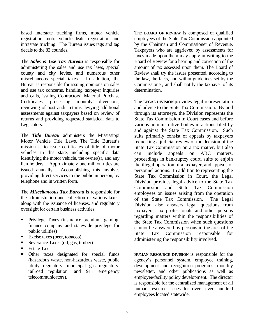based interstate trucking firms, motor vehicle registration, motor vehicle dealer registration, and intrastate trucking. The Bureau issues tags and tag decals to the 82 counties.

The *Sales & Use Tax Bureau* is responsible for administering the sales and use tax laws, special county and city levies, and numerous other miscellaneous special taxes. In addition, the Bureau is responsible for issuing opinions on sales and use tax concerns, handling taxpayer inquiries and calls, issuing Contractors' Material Purchase Certificates, processing monthly diversions, reviewing of post audit returns, levying additional assessments against taxpayers based on review of returns and providing requested statistical data to Legislators.

The *Title Bureau* administers the Mississippi Motor Vehicle Title Laws. The Title Bureau's mission is to issue certificates of title of motor vehicles in this state, including specific data identifying the motor vehicle, the owner(s), and any lien holders. Approximately one million titles are issued annually. Accomplishing this involves providing direct services to the public in person, by telephone and in written form.

The *Miscellaneous Tax Bureau* is responsible for the administration and collection of various taxes, along with the issuance of licenses, and regulatory oversight for certain business activities.

- **Privilege Taxes (insurance premium, gaming,** finance company and statewide privilege for public utilities)
- Excise taxes (beer, tobacco)
- Severance Taxes (oil, gas, timber)
- Estate Tax
- **•** Other taxes designated for special funds (hazardous waste, non-hazardous waste, public utility regulatory, municipal gas regulatory, railroad regulation, and 911 emergency telecommunicators).

The **BOARD OF REVIEW** is composed of qualified employees of the State Tax Commission appointed by the Chairman and Commissioner of Revenue. Taxpayers who are aggrieved by assessments for taxes made upon them may apply in writing to the Board of Review for a hearing and correction of the amount of tax assessed upon them. The Board of Review shall try the issues presented, according to the law, the facts, and within guidelines set by the Commissioner, and shall notify the taxpayer of its determination.

The **LEGAL DIVISION** provides legal representation and advice to the State Tax Commission. By and through its attorneys, the Division represents the State Tax Commission in Court cases and before various administrative bodies in actions filed by and against the State Tax Commission. Such suits primarily consist of appeals by taxpayers requesting a judicial review of the decision of the State Tax Commission on a tax matter, but also can include appeals on ABC matters, proceedings in bankruptcy court, suits to enjoin the illegal operation of a taxpayer, and appeals of personnel actions. In addition to representing the State Tax Commission in Court, the Legal Division provides legal advice to the State Tax Commission and State Tax Commission employees on issues arising from the operation of the State Tax Commission. The Legal Division also answers legal questions from taxpayers, tax professionals and other persons regarding matters within the responsibilities of the State Tax Commission when such questions cannot be answered by persons in the area of the State Tax Commission responsible for administering the responsibility involved.

**HUMAN RESOURCE DIVISION** is responsible for the agency's personnel system, employee training, development and recognition programs, monthly newsletter, and other publications as well as employee/facility policy development. The director is responsible for the centralized management of all human resource issues for over seven hundred employees located statewide.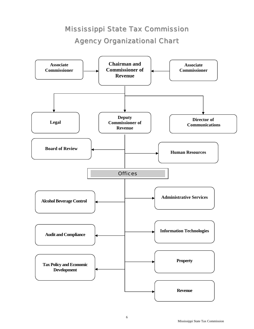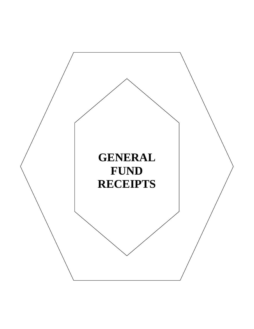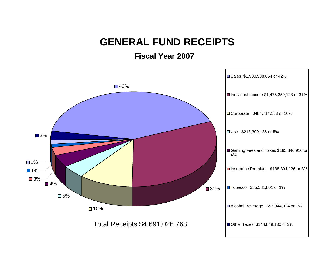# **GENERAL FUND RECEIPTS**

**Fiscal Year 2007**

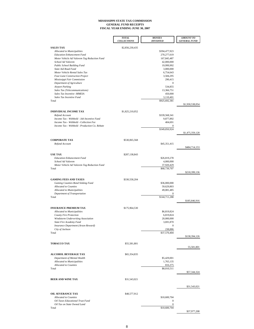#### **MISSISSIPPI STATE TAX COMMISSION GENERAL FUND RECEIPTS FISCAL YEAR ENDING JUNE 30, 2007**

|                                                                    | <b>TOTAL</b><br><b>COLLECTIONS</b> | <b>MONIES</b><br><b>DIVERTED</b> | <b>AMOUNT TO</b><br><b>GENERAL FUND</b> |
|--------------------------------------------------------------------|------------------------------------|----------------------------------|-----------------------------------------|
|                                                                    |                                    |                                  |                                         |
| <b>SALES TAX</b><br><b>Allocated to Municipalities</b>             | \$2,856,230,435                    | \$394,477,923                    |                                         |
| <b>Education Enhancement Fund</b>                                  |                                    | 270, 277, 619                    |                                         |
| Motor Vehicle Ad Valorem Tag Reduction Fund                        |                                    | 167,845,487                      |                                         |
| School Ad Valorem                                                  |                                    | 42,000,000                       |                                         |
| Public School Building Fund<br><b>State Aid Road Fund</b>          |                                    | 19,999,992<br>3,000,000          |                                         |
| Motor Vehicle Rental Sales Tax                                     |                                    | 6,754,643                        |                                         |
| Four-Lane Construction Project                                     |                                    | 3,584,295                        |                                         |
| Mississippi Fair Commission                                        |                                    | 290,415                          |                                         |
| Department of Agriculture                                          |                                    | $\boldsymbol{0}$                 |                                         |
| <b>Airport Parking</b>                                             |                                    | 534,855                          |                                         |
| Sales Tax (Telecommunications)<br>Sales Tax Incentive -MMEIA       |                                    | 13,366,751<br>450,000            |                                         |
| Sales Tax Incentive Fund                                           |                                    | 3,110,401                        |                                         |
| Total                                                              |                                    | \$925,692,381                    |                                         |
|                                                                    |                                    |                                  | \$1,930,538,054                         |
| <b>INDIVIDUAL INCOME TAX</b>                                       | \$1,825,210,052                    |                                  |                                         |
| Refund Account                                                     |                                    | \$339,568,341                    |                                         |
| Income Tax - Withheld - Job Incentive Fund                         |                                    | 9,877,892                        |                                         |
| Income Tax - Withheld - Collection Fee                             |                                    | 404,691                          |                                         |
| Income Tax - Withheld - Production Co. Rebate                      |                                    | $\mathbf{0}$<br>\$349,850,924    |                                         |
|                                                                    |                                    |                                  | \$1,475,359,128                         |
|                                                                    |                                    |                                  |                                         |
| <b>CORPORATE TAX</b><br>Refund Account                             | \$530,065,568                      |                                  |                                         |
|                                                                    |                                    | \$45,351,415                     | \$484,714,153                           |
|                                                                    |                                    |                                  |                                         |
| <b>USE TAX</b>                                                     | \$287,138,843                      |                                  |                                         |
| <b>Education Enhancement Fund</b><br>School Ad Valorem             |                                    | \$26,819,278<br>4,000,000        |                                         |
| Motor Vehicle Ad Valorem Tag Reduction Fund                        |                                    | 37,920,429                       |                                         |
| Total                                                              |                                    | \$68,739,707                     |                                         |
|                                                                    |                                    |                                  | \$218,399,136                           |
| <b>GAMING FEES AND TAXES</b>                                       | \$330,558,204                      |                                  |                                         |
| Gaming Counties Bond Sinking Fund                                  |                                    | \$36,000,000                     |                                         |
| <b>Allocated to Counties</b>                                       |                                    | 59,629,803                       |                                         |
| Allocated to Municipalities                                        |                                    | 49,081,485                       |                                         |
| Department of Transportation<br>Total                              |                                    | \$144,711,288                    |                                         |
|                                                                    |                                    |                                  | \$185,846,916                           |
|                                                                    |                                    |                                  |                                         |
| <b>INSURANCE PREMIUM TAX</b><br><b>Allocated to Municipalities</b> | \$175,964,530                      | \$6,819,824                      |                                         |
| <b>County Fire Protection</b>                                      |                                    | 6,819,824                        |                                         |
| Windstorm Underwriting Association                                 |                                    | 20,000,000                       |                                         |
| <b>State Fire Academy Fund</b>                                     |                                    | 3,691,870                        |                                         |
| Insurance Department (Arson Reward)                                |                                    | 0                                |                                         |
| City of Jackson<br>Total                                           |                                    | 238,886<br>\$37,570,404          |                                         |
|                                                                    |                                    |                                  | \$138,394,126                           |
| <b>TOBACCO TAX</b>                                                 | \$55,581,801                       |                                  |                                         |
|                                                                    |                                    |                                  | 55,581,801                              |
|                                                                    |                                    |                                  |                                         |
| <b>ALCOHOL BEVERAGE TAX</b><br>Department of Mental Health         | \$65,354,835                       | \$5,429,001                      |                                         |
| <b>Allocated to Municipalities</b>                                 |                                    | 1,765,135                        |                                         |
| <b>Allocated to Counties</b>                                       |                                    | 816,375                          |                                         |
| Total                                                              |                                    | \$8,010,511                      |                                         |
|                                                                    |                                    |                                  | \$57,344,324                            |
| <b>BEER AND WINE TAX</b>                                           | \$31,543,021                       |                                  |                                         |
|                                                                    |                                    |                                  |                                         |
|                                                                    |                                    |                                  | \$31,543,021                            |
| <b>OIL SEVERANCE TAX</b>                                           | \$48,577,912                       |                                  |                                         |
| <b>Allocated to Counties</b>                                       |                                    | \$10,600,704                     |                                         |
| Oil Taxes Educational Trust Fund                                   |                                    | $\bf{0}$                         |                                         |
| Oil Tax on State Owned Land<br>Total                               |                                    | 0<br>\$10,600,704                |                                         |
|                                                                    |                                    |                                  | \$37,977,208                            |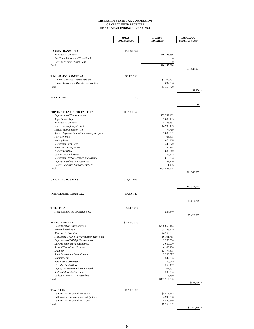#### **MISSISSIPPI STATE TAX COMMISSION GENERAL FUND RECEIPTS FISCAL YEAR ENDING JUNE 30, 2007**

|                                                                                      | <b>TOTAL</b>       | <b>MONIES</b>              | <b>AMOUNT TO</b>    |
|--------------------------------------------------------------------------------------|--------------------|----------------------------|---------------------|
|                                                                                      | <b>COLLECTIONS</b> | <b>DIVERTED</b>            | <b>GENERAL FUND</b> |
|                                                                                      |                    |                            |                     |
| <b>GAS SEVERANCE TAX</b><br><b>Allocated to Counties</b>                             | \$31,977,607       | \$10,145,686               |                     |
| Gas Taxes Educational Trust Fund                                                     |                    | $\mathbf{0}$               |                     |
| Gas Tax on State Owned Land                                                          |                    | $\boldsymbol{0}$           |                     |
| Total                                                                                |                    | \$10,145,686               | \$21,831,921        |
|                                                                                      |                    |                            |                     |
| <b>TIMBER SEVERANCE TAX</b><br>Timber Severance - Forest Services                    | \$3,455,755        | \$2,760,793                |                     |
| Timber Severance - Allocated to Counties                                             |                    | 692,586                    |                     |
| Total                                                                                |                    | \$3,453,379                | \$2,376             |
|                                                                                      |                    |                            |                     |
| <b>ESTATE TAX</b>                                                                    | \$0                |                            |                     |
|                                                                                      |                    |                            | \$0                 |
| PRIVILEGE TAX (AUTO TAG FEES)                                                        | \$117,821,635      |                            |                     |
| Department of Transportation                                                         |                    | \$53,783,423               |                     |
| <b>Apportioned Tags</b>                                                              |                    | 3,086,105                  |                     |
| <b>Allocated to Counties</b>                                                         |                    | 28,238,337                 |                     |
| Four-Lane Highway Project                                                            |                    | 14,990,489                 |                     |
| <b>Special Tag Collection Fee</b><br>Special Tag Fees to non-State Agency recipients |                    | 74,719<br>2,803,532        |                     |
| <b>I</b> Love Animals                                                                |                    | 66,475                     |                     |
| <b>Mailing Fees</b>                                                                  |                    | 473,750                    |                     |
| Mississippi Burn Care                                                                |                    | 340,270                    |                     |
| Veteran's Nursing Home                                                               |                    | 230,214                    |                     |
| Wildlife Heritage                                                                    |                    | 883,740                    |                     |
| Conservation Education                                                               |                    | 25,925                     |                     |
| Mississippi Dept of Archives and History                                             |                    | 818,363<br>32,740          |                     |
| Department of Marine Resources<br>Dept of Education-Support Teachers                 |                    | 11,496                     |                     |
| Total                                                                                |                    | \$105,859,578              |                     |
|                                                                                      |                    |                            | \$11,962,057        |
| <b>CASUAL AUTO SALES</b>                                                             | \$13,522,065       |                            |                     |
|                                                                                      |                    |                            | \$13,522,065        |
|                                                                                      |                    |                            |                     |
| <b>INSTALLMENT LOAN TAX</b>                                                          | \$7,610,749        |                            |                     |
|                                                                                      |                    |                            | \$7,610,749         |
| <b>TITLE FEES</b>                                                                    | \$5,460,727        |                            |                     |
| Mobile Home Title Collection Fees                                                    |                    | \$34,640                   |                     |
|                                                                                      |                    |                            | \$5,426,087         |
| PETROLEUM TAX                                                                        | \$452,645,636      |                            |                     |
| Department of Transportation                                                         |                    | \$306,059,144              |                     |
| State Aid Road Fund                                                                  |                    | 55,138,949                 |                     |
| <b>Allocated to Counties</b><br>Mississippi Groundwater Protection Trust Fund        |                    | 44,559,831<br>10, 191, 765 |                     |
| Department of Wildlife Conservation                                                  |                    | 5,750,000                  |                     |
| <b>Department of Marine Resources</b>                                                |                    | 3,050,000                  |                     |
| Seawall Tax - Coast Counties                                                         |                    | 6,100,108                  |                     |
| <b>IFTA</b> Tax                                                                      |                    | 13,774,675                 |                     |
| Road Protection - Coast Counties                                                     |                    | 3,236,377                  |                     |
| Municipal Aid<br><b>Aeronautics Commission</b>                                       |                    | 1,547,295                  |                     |
| Fire Marshall's Office                                                               |                    | 1,726,619<br>266,457       |                     |
| Dept of Ins Propane Education Fund                                                   |                    | 102,852                    |                     |
| Railroad Revitilization Fund                                                         |                    | 209,704                    |                     |
| Collection Fees - Compressed Gas                                                     |                    | 3,730                      |                     |
| Total                                                                                |                    | \$451,717,506              | \$928,130           |
|                                                                                      |                    |                            |                     |
| <b>TVA IN LIEU</b>                                                                   | \$22,028,997       |                            |                     |
| TVA in Lieu - Allocated to Counties                                                  |                    | \$9,819,913                |                     |
| TVA in Lieu - Allocated to Municipalities<br>TVA in Lieu - Allocated to Schools      |                    | 4,999,308<br>4,950,316     |                     |
| Total                                                                                |                    | \$19,769,537               |                     |
|                                                                                      |                    |                            | $$2,259,460$ *      |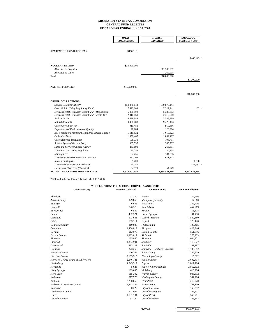#### **MISSISSIPPI STATE TAX COMMISSION GENERAL FUND RECEIPTS FISCAL YEAR ENDING JUNE 30, 2007**

|                                                         | <b>TOTAL</b><br><b>COLLECTIONS</b> | <b>MONIES</b><br><b>DIVERTED</b> | <b>AMOUNT TO</b><br><b>GENERAL FUND</b> |
|---------------------------------------------------------|------------------------------------|----------------------------------|-----------------------------------------|
|                                                         |                                    |                                  |                                         |
| <b>STATEWIDE PRIVILEGE TAX</b>                          | \$460,113                          |                                  |                                         |
|                                                         |                                    |                                  | \$460,113                               |
| <b>NUCLEAR IN LIEU</b>                                  | \$20,000,000                       |                                  |                                         |
| <b>Allocated to Counties</b>                            |                                    | \$11,530,092                     |                                         |
| <b>Allocated</b> to Cities                              |                                    | 7,269,908                        |                                         |
| Total                                                   |                                    | \$18,800,000                     |                                         |
|                                                         |                                    |                                  | \$1,200,000                             |
| <b>AMS SETTLEMENT</b>                                   | \$10,000,000                       |                                  |                                         |
|                                                         |                                    |                                  | \$10,000,000                            |
| <b>OTHER COLLECTIONS</b>                                |                                    |                                  |                                         |
| Special Counties/Cities**                               | \$50,876,144                       | \$50,876,144                     |                                         |
| Gross Public Utility Regulatory Fund                    | 7,523,003                          | 7,522,941                        | $62 *$                                  |
| Environmental Protection Trust Fund - Management        | 5,380,802                          | 5,380,802                        |                                         |
| <b>Environmental Protection Trust Fund - Waste Tire</b> | 2,310,660                          | 2,310,660                        |                                         |
| Railcar in Lieu                                         | 3,538,889                          | 3,538,889                        |                                         |
| Refund Accounts                                         | 9,428,483                          | 9,428,483                        |                                         |
| Gross City Utility Tax                                  | 910,486                            | 910,486                          |                                         |
| Department of Environmental Quality                     | 128,284                            | 128,284                          |                                         |
| E911 Telephone Minimum Standards Service Charge         | 1,610,522                          | 1,610,522                        |                                         |
| <b>Collection Fees</b>                                  | 1,852,467                          | 1,852,467                        |                                         |
| <b>Gross Railroad Regulation</b>                        | 198,731                            | 198,731                          |                                         |
| Special Agents (Warrant Fees)                           | 365,737                            | 365,737                          |                                         |
| Sales and Services Outside Agency                       | 263,691                            | 263,691                          |                                         |
| Municipal Gas Utility Regulation                        | 24,754                             | 24,754                           |                                         |
| <b>Mailing Fees</b>                                     | 134,756                            | 134,756                          |                                         |
| Mississippi Telecommunication Facility                  | 671,203                            | 671,203                          |                                         |
| <b>Interest on Deposit</b>                              | 1,700                              |                                  | 1,700                                   |
| Miscellaneous General Fund Fees                         | 124,181                            |                                  | $124,181$ *                             |
| Hazardous Waste Tax (Counties)                          | 54,979                             | 54.979                           |                                         |
| TOTAL TAX COMMISSION RECEIPTS                           | 6.976.607.957                      | 2,285,581,189                    | 4.691.026.768                           |

\*Included in Miscellaneous Tax on Schedule A & B.

#### **\*\*COLLECTIONS FOR SPECIAL COUNTIES AND CITIES County or City Amount Collected County or City Amount Collected**

| Aberdeen                             | 71,350    | Magee                          | 177,766   |
|--------------------------------------|-----------|--------------------------------|-----------|
| <b>Adams County</b>                  | 929.869   | Montgomery County              | 17.660    |
| Baldwyn                              | 6,635     | <b>Moss Point</b>              | 339,706   |
| <b>Batesville</b>                    | 826,378   | New Albany                     | 457,269   |
| <b>Bay Springs</b>                   | 6.539     | Newton                         | 15,378    |
| Canton                               | 492,524   | Ocean Springs                  | 31,490    |
| Cleveland                            | 573,681   | Oxford - Stadium               | 1,540,680 |
| Clinton                              | 103,111   | <b>Oxford</b>                  | 176,120   |
| Coahoma County                       | 310,038   | Philadelphia                   | 106,465   |
| Columbus                             | 1,408,819 | Picayune                       | 423,346   |
| Corinth                              | 912.973   | Rankin County                  | 551,846   |
| Desota County                        | 4.933.817 | <b>Richland</b>                | 275,223   |
| Florence                             | 135,860   | Ridgeland                      | 1,034,371 |
| Flowood                              | 1,384,991 | Southaven                      | 118,027   |
| Greenwood                            | 383,122   | Starkville                     | 101,187   |
| Grenada                              | 373.260   | Starkville - Oktibbeha Tourism | 1,192,682 |
| Hancock County                       | 120,264   | <b>Stone County</b>            | 332,309   |
| Harrison County                      | 2,165,515 | Tishomingo County              | 15,822    |
| Harrison County Board of Supervisors | 2,646,741 | Tunica County                  | 2,692,494 |
| Hattiesburg                          | 4,345,317 | Tupelo                         | 2,817,766 |
| Hernando                             | 5,623     | <b>Tupelo Water Facilities</b> | 2,812,802 |
| <b>Holly Springs</b>                 | 199.695   | Vicksburg                      | 416,226   |
| Horn Lake                            | 115,302   | Warren County                  | 933,892   |
| Indianola                            | 277,776   | <b>Washington County</b>       | 551,296   |
| <b>Jackson</b>                       | 3,250,669 | <b>West Point</b>              | 219,920   |
| Jackson - Convention Center          | 4,363,336 | Yazoo County                   | 301,150   |
| Kosciusko                            | 30.227    | City of McComb                 | 160,392   |
| Lauderdale County                    | 527,099   | City of Pascagoula             | 166,801   |
| Laurel                               | 1,191,104 | City of Pearl                  | 565,781   |
| Lowndes County                       | 53,280    | City of Pontotoc               | 185,362   |

| <b>TOTAL</b> | \$50,876,144 |
|--------------|--------------|
|              |              |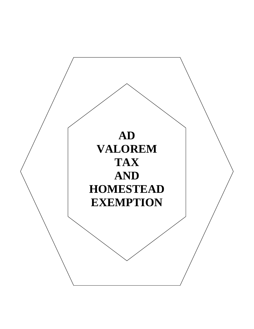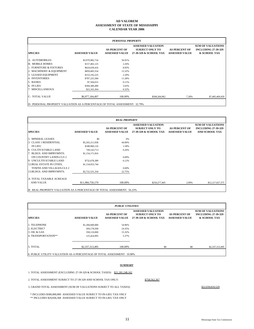#### **AD VALOREM CALENDAR YEAR 2006 ASSESSMENT OF STATE OF MISSISSIPPI**

| <b>PERSONAL PROPERTY</b> |                       |                                               |                                                                               |                                               |                                                                        |  |  |  |
|--------------------------|-----------------------|-----------------------------------------------|-------------------------------------------------------------------------------|-----------------------------------------------|------------------------------------------------------------------------|--|--|--|
| <b>SPECIES</b>           | <b>ASSESSED VALUE</b> | <b>AS PERCENT OF</b><br><b>ASSESSED VALUE</b> | <b>ASSESSED VALUATION</b><br><b>SUBJECT ONLY TO</b><br>27-39-329 & SCHOOL TAX | <b>AS PERCENT OF</b><br><b>ASSESSED VALUE</b> | <b>SUM OF VALUATIONS</b><br><b>INCLUDING 27-39-329</b><br>& SCHOOL TAX |  |  |  |
| A. AUTOMOBILES           | \$3,970,982,724       | 56.91%                                        |                                                                               |                                               |                                                                        |  |  |  |
| <b>B. MOBILE HOMES</b>   | \$157,402,125         | 2.26%                                         |                                                                               |                                               |                                                                        |  |  |  |
| 1. FURNITURE & FIXTURES  | \$624,639,416         | 8.95%                                         |                                                                               |                                               |                                                                        |  |  |  |
| 2. MACHINERY & EQUIPMENT | \$859,683,554         | 12.32%                                        |                                                                               |                                               |                                                                        |  |  |  |
| 3. LEASED EQUIPMENT      | \$153,192,225         | 2.20%                                         |                                                                               |                                               |                                                                        |  |  |  |
| 4. INVENTORIES           | \$787,225,584         | 11.28%                                        |                                                                               |                                               |                                                                        |  |  |  |
| 5. BANKS                 | \$7,504,015           | 0.11%                                         |                                                                               |                                               |                                                                        |  |  |  |
| 6. IN LIEU               | \$394,389,490         | 5.65%                                         |                                                                               |                                               |                                                                        |  |  |  |
| 7. MISCELLANEOUS         | \$22,165,364          | 0.32%                                         |                                                                               |                                               |                                                                        |  |  |  |
| C: TOTAL VALUE           | \$6,977,184,497       | 100.00%                                       | \$508,284,962                                                                 | 7.28%                                         | \$7,485,469,459                                                        |  |  |  |
| _______________________  |                       |                                               |                                                                               |                                               |                                                                        |  |  |  |

D: PERSONAL PROPERTY VALUATION AS A PERCENTAGE OF TOTAL ASSESSMENT: 32.79%

|                                                                        | <b>REAL PROPERTY</b>  |                                               |                                                                               |                                               |                                                                                 |  |  |  |  |
|------------------------------------------------------------------------|-----------------------|-----------------------------------------------|-------------------------------------------------------------------------------|-----------------------------------------------|---------------------------------------------------------------------------------|--|--|--|--|
| <b>SPECIES</b>                                                         | <b>ASSESSED VALUE</b> | <b>AS PERCENT OF</b><br><b>ASSESSED VALUE</b> | <b>ASSESSED VALUATION</b><br><b>SUBJECT ONLY TO</b><br>27-39-329 & SCHOOL TAX | <b>AS PERCENT OF</b><br><b>ASSESSED VALUE</b> | <b>SUM OF VALUATIONS</b><br><b>INCLUDING 27-39-329</b><br><b>AND SCHOOL TAX</b> |  |  |  |  |
| <b>5. MINERAL LEASES</b>                                               | \$0                   | 0%                                            |                                                                               |                                               |                                                                                 |  |  |  |  |
| 3. CLASS 1 RESIDENTIAL                                                 | \$5,265,211,058       | 44.00%                                        |                                                                               |                                               |                                                                                 |  |  |  |  |
| <b>IN LIEU</b>                                                         | \$188,960,116         | 1.58%                                         |                                                                               |                                               |                                                                                 |  |  |  |  |
| 6. CULTIVATABLE LAND                                                   | 749,143,713           | 6.26%                                         |                                                                               |                                               |                                                                                 |  |  |  |  |
| 7. BLDGS. AND IMPRVMNTS.                                               | \$1,154,171,816       |                                               |                                                                               |                                               |                                                                                 |  |  |  |  |
| ON COUNTRY LANDS-CLS 2                                                 |                       | 0.00%                                         |                                                                               |                                               |                                                                                 |  |  |  |  |
| 9. UNCULTIVATABLE LAND                                                 | \$732,678,389         | 6.12%                                         |                                                                               |                                               |                                                                                 |  |  |  |  |
| 12. REAL ESTATE IN CITIES,                                             | \$1,154,053,744       |                                               |                                                                               |                                               |                                                                                 |  |  |  |  |
| TOWNS AND VILLAGES-CLS 2                                               |                       | 0.00%                                         |                                                                               |                                               |                                                                                 |  |  |  |  |
| 13. BLDGS. AND IMPRVMNTS.                                              | \$2,722,531,334       | 22.75%                                        |                                                                               |                                               |                                                                                 |  |  |  |  |
| A. TOTAL TAXABLE ACREAGE                                               |                       |                                               |                                                                               |                                               |                                                                                 |  |  |  |  |
| <b>AND VALUE</b>                                                       | \$11,966,750,170      | 100.00%                                       | \$250,277,405                                                                 | 2.09%                                         | \$12,217,027,575                                                                |  |  |  |  |
| B: REAL PROPERTY VALUATION AS A PERCENTAGE OF TOTAL ASSESSMENT: 56.23% |                       |                                               |                                                                               |                                               |                                                                                 |  |  |  |  |

|                                                                         | <b>PUBLIC UTILITIES</b> |                                               |                                                                               |                                               |                                                                        |  |  |  |  |
|-------------------------------------------------------------------------|-------------------------|-----------------------------------------------|-------------------------------------------------------------------------------|-----------------------------------------------|------------------------------------------------------------------------|--|--|--|--|
| <b>SPECIES</b>                                                          | <b>ASSESSED VALUE</b>   | <b>AS PERCENT OF</b><br><b>ASSESSED VALUE</b> | <b>ASSESSED VALUATION</b><br><b>SUBJECT ONLY TO</b><br>27-39-329 & SCHOOL TAX | <b>AS PERCENT OF</b><br><b>ASSESSED VALUE</b> | <b>SUM OF VALUATIONS</b><br><b>INCLUDING 27-39-329</b><br>& SCHOOL TAX |  |  |  |  |
| <b>1. TELEPHONE</b>                                                     | \$1,284,600,000         | 54.96%                                        |                                                                               |                                               |                                                                        |  |  |  |  |
| 2. ELECTRIC*                                                            | 569,178,500             | 24.35%                                        |                                                                               |                                               |                                                                        |  |  |  |  |
| 3. OIL & GAS                                                            | 358,110,000             | 15.32%                                        |                                                                               |                                               |                                                                        |  |  |  |  |
| 4. TRANSPORTATION**                                                     | 125,424,995             | 5.37%                                         |                                                                               |                                               |                                                                        |  |  |  |  |
| 5. TOTAL                                                                | \$2,337,313,495         | 100.00%                                       | \$0                                                                           | \$0                                           | \$2,337,313,495                                                        |  |  |  |  |
|                                                                         |                         |                                               |                                                                               |                                               |                                                                        |  |  |  |  |
| 6. PUBLIC UTILITY VALUATION AS A PERCENTAGE OF TOTAL ASSESSMENT: 10.98% |                         |                                               |                                                                               |                                               |                                                                        |  |  |  |  |

#### *SUMMARY*

1. TOTAL ASSESSMENT (EXCLUDING 27-39-329 & SCHOOL TAXES) \$21,281,248,162

2. TOTAL ASSESSMENT SUBJECT TO 27-39-329 AND SCHOOL TAX ONLY: \$758,562,367

3. GRAND TOTAL ASSESSMENT (SUM OF VALUATIONS SUBJECT TO ALL TAXES): \$22,039,810,529

\* INCLUDES \$580,000,000 ASSESSED VALUE SUBJECT TO IN-LIEU TAX ONLY \*\* INCLUDES \$29,836,568 ASSESSED VALUE SUBJECT TO IN-LIEU TAX ONLY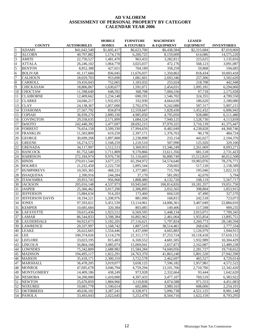#### **ASSESSMENT OF PERSONAL PROPERTY BY CATEGORY CALENDAR YEAR 2006 AD VALOREM**

|                 |                        |                    | <b>MOBILE</b>          | <b>FURNITURE</b>      | <b>MACHINERY</b> | <b>LEASED</b>    |                    |
|-----------------|------------------------|--------------------|------------------------|-----------------------|------------------|------------------|--------------------|
|                 | <b>COUNTY</b>          | <b>AUTOMOBILES</b> | <b>HOMES</b>           | <b>&amp; FIXTURES</b> | & EQUIPMENT      | <b>EQUIPMENT</b> | <b>INVENTORIES</b> |
|                 | <b>ADAMS</b>           | \$41,642,540       | \$1,605,417            | \$6,623,700           | \$6,438,584      | \$2,315,684      | \$7,019,069        |
| $\overline{2}$  | <b>ALCORN</b>          | 40,797,882         | 1,174,170              | 6,200,725             | 8,159,009        | 614,086          | 14,575,220         |
| 3               | <b>AMITE</b>           | 22,750,527         | 1,481,470              | 963,433               | 3,282,811        | 223,625          | 1,135,816          |
| $\overline{4}$  | <b>ATTALA</b>          | 26,246,102         | 1,064,778              | 3,025,037             | 472,176          | 568,123          | 3,091,087          |
| 5               | <b>BENTON</b>          | 8,852,388          | 427,651                | 704,189               | 358,259          | 59,868           | 194,685            |
| 6               | <b>BOLIVAR</b>         | 41,117,684         | 836,045                | 11,676,037            | 1,350,862        | 818,434          | 10,003,418         |
| $\overline{7}$  | <b>CALHOUN</b>         | 18,029,703         | 953,690                | 1,081,601             | 2,693,346        | 257,306          | 3,502,620          |
| 8               | <b>CARROLL</b>         | 19,416,043         | 752,065                | 1,183,032             | 255,024          | 218,708          | 442,948            |
| 9               | <b>CHICKASAW</b>       | 18,806,067         | 1,630,677              | 1,591,071             | 2,454,031        | 1,095,181        | 6,294,060          |
| 10              | <b>CHOCTAW</b>         | 11,598,640         | 648,592                | 368,708               | 7,084,336        | 97,718           | 2,175,928          |
| 11              | <b>CLAIBORNE</b>       | 12,409,662         | 1,234,148              | 690,191               | 1,546,702        | 324,355          | 4,709,550          |
| 12              | <b>CLARKE</b>          | 24,046,217         | 1,932,053              | 332,930               | 4,664,630        | 186,620          | 2,180,080          |
| 13              | <b>CLAY</b>            | 24,138,367         | $\overline{1,857,000}$ | 2,702,076             | 9,242,080        | 587,317          | 5,907,215          |
| 14              | <b>COAHOMA</b>         | 27,567,792         | 834,874                | 12,559,647            | 1,828,430        | 1,452,432        | 6,006,943          |
| 15              | <b>COPIAH</b>          | 36,939,276         | 2,890,330              | 4,985,050             | 4,795,050        | 928,080          | 6,111,480          |
| 16              | <b>COVINGTON</b>       | 29,558,635         | 2,171,899              | 1,084,524             | 7,940,125        | 1,528,730        | 4,113,839          |
| 17              | <b>DeSOTO</b>          | 242,440,392        | 1,477,697              | 28,692,215            | 37,970,325       | 3,710,139        | 41,375,447         |
| 18              | <b>FORREST</b>         | 76,654,158         | 3,509,330              | 17,994,659            | 8,482,049        | 4,238,828        | 44,368,746         |
| 19              | <b>FRANKLIN</b>        | 11,503,809         | 619,259                | 2,397,171             | 1,376,763        | 90,178           | 484,724            |
| 20              | <b>GEORGE</b>          | 30,699,268         | 1,897,808              | 2,238,898             | 233,154          | 442,627          | 2,104,376          |
| 21              | <b>GREENE</b>          | 16,274,572         | 1,168,259              | 1,210,510             | 507,990          | 125,920          | 329,100            |
| 22              | <b>GRENADA</b>         | 34,117,997         | 1,512,513              | 3,369,953             | 13,346,249       | 2,261,069        | 8,093,271          |
| 23              | <b>HANCOCK</b>         | 81,752,540         | 1,711,809              | 9,170,866             | 13,611,356       | 681,518          | 2,731,423          |
| 24              | <b>HARRISON</b>        | 272,184,974        | 9,976,730              | 51,110,603            | 36,800,749       | 15,512,810       | 40,012,508         |
| 25              | <b>HINDS</b>           | 270,011,544        | 3,677,225              | 65,394,972            | 54,574,640       | 19,983,076       | 78,276,771         |
| 26              | <b>HOLMES</b>          | 21,232,450         | 2,222,720              | 2,895,544             | 258,602          | 517,120          | 2,158,589          |
| 27              | <b>HUMPHREYS</b>       | 10,505,365         | 468,231                | 1,377,885             | 715,704          | 195,046          | 1,022,313          |
| 28              | <b>ISSAQUENA</b>       | 2,390,916          | 244,284                | 37,170                | 581,092          | 42,670           | 5,794              |
| 29              | <b>ITAWAMBA</b>        | 29,953,743         | 956,968                | 1,808,480             | 4,132,720        | 108,119          | 5,567,717          |
| 30              | <b>JACKSON</b>         | 205,016,148        | 4,537,973              | 10,945,045            | 106,814,826      | 10,181,357       | 19,051,750         |
| 31              | <b>JASPER</b>          | 25,366,462         | 2,017,290              | 2,306,895             | 2,032,565        | 398,804          | 1,853,915          |
| 32              | <b>JEFFERSON</b>       | 15,884,634         | 914,203                | 173,460               | 604,520          | 47,490           | 327,570            |
| 33              | <b>JEFFERSON DAVIS</b> | 18,194,221         | 1,208,976              | 881,096               | 168,815          | 242,518          | 723,073            |
| 34              | <b>JONES</b>           | 97,593,021         | $\overline{5,}451,539$ | 13,114,961            | 14,006,361       | 3,407,049        | 22,884,010         |
| $\overline{35}$ | <b>KEMPER</b>          | 10,685,684         | 320,384                | 803,085               | 149,406          | 117,598          | 909,235            |
| 36              | <b>LAFAYETTE</b>       | 59,615,436         | 1,923,512              | 6,569,595             | 5,448,134        | 3,915,071        | 7,709,345          |
| 37              | <b>LAMAR</b>           | 86,544,833         | 3,598,384              | 16,802,962            | 2,461,064        | 1,955,854        | 13,895,751         |
| 38              | <b>LAUDERDALE</b>      | 94,923,673         | 5,182,205              | 27,116,621            | 5,797,824        | 3,260,773        | 28,140,594         |
|                 | 39 LAWRENCE            | 20,337,997         | 1,168,742              | 1,807,519             | 38,514,461       | 268,636          | 2,777,334          |
|                 | 40 LEAKE               | 26,622,665         | 1,554,446              | 1,437,690             | 4,665,883        | 1,126,979        | 1,944,915          |
|                 | 41 LEE                 | 100,374,026        | 3,114,270              | 21,311,173            | 37,253,724       | 10,118,418       | 57,610,131         |
|                 | 42 LEFLORE             | 33,023,195         | 815,403                | 6,169,552             | 4,681,505        | 1,932,989        | 10,304,429         |
|                 | 43 LINCOLN             | 56,864,168         | 3,085,074              | 15,069,041            | 2,657,873        | 2,162,087        | 12,489,238         |
|                 | 44 LOWNDES             | 75,342,809         | 2,688,982              | 15,584,284            | 74,049,056       | 2,281,727        | 19,718,652         |
|                 | 45 MADISON             | 194,495,117        | 1,822,291              | 24,763,370            | 41,863,240       | 5,801,520        | 27,942,590         |
|                 | 46 MARION              | 35,418,171         | 2,300,310              | 3,722,578             | 2,462,697        | 465,527          | 4,729,014          |
|                 | 47 MARSHALL            | 36,478,205         | 3,019,077              | 3,658,125             | 7,596,182        | 1,957,981        | 4,572,522          |
|                 | 48 MONROE              | 47,695,678         | 3,046,794              | 4,759,294             | 13, 101, 766     | 2,710,706        | 12,342,420         |
| 49              | <b>MONTGOMERY</b>      | 14,409,186         | 438,249                | 973,928               | 2,332,664        | 93,444           | 1,642,620          |
|                 | 50 NESHOBA             | 34,200,000         | 1,410,000              | 4,397,433             | 3,477,107        | 769,519          | 6,383,922          |
| 51              | <b>NEWTON</b>          | 25,670,859         | 1,884,966              | 3,110,838             | 4,074,588        | 971,553          | 4,451,083          |
|                 | 52 NOXUBEE             | 10,681,778         | 1,100,614              | 602,886               | 3,989,163        | 608,006          | 2,254,101          |
|                 | 53 OKTIBBEHA           | 49,636,102         | 3,287,241              | 6,328,971             | 5,096,738        | 4,521,125        | 8,981,148          |
|                 | 54 PANOLA              | 33,493,043         | 2,022,645              | 5,252,478             | 8,504,716        | 1,622,159        | 8,793,295          |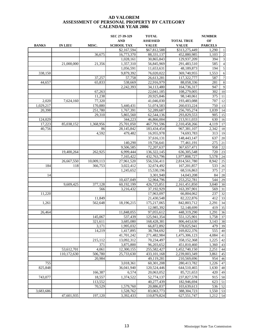|                |                |                   | SEC 27-39-329           | <b>TOTAL</b>              |                            | <b>NUMBER</b>  |                |  |
|----------------|----------------|-------------------|-------------------------|---------------------------|----------------------------|----------------|----------------|--|
|                |                |                   | <b>AND</b>              | <b>ASSESSED</b>           | <b>TOTAL TRUE</b>          | OF             |                |  |
| <b>BANKS</b>   | <b>IN LIEU</b> | MISC.             | <b>SCHOOL TAX</b>       | <b>VALUE</b>              | <b>VALUE</b>               | <b>PARCELS</b> |                |  |
|                |                |                   | \$2,167,594             | \$67,812,588              | \$313,275,449              | 1,290          | 1              |  |
|                |                | 36,675            | 16,773,370              | 88,331,137                | 452,880,985                | 1,103          | $\overline{2}$ |  |
|                |                |                   | 1,028,161               | 30,865,843                | 129,937,209                | 394            | 3              |  |
|                | 21,000,000     | 21,356            | 1,357,310               | 56,845,969                | 291,483,510                | 585            | $\overline{4}$ |  |
|                |                |                   | 1,056,591               | 11,653,631                | 48,189,873                 | 194            | $\sqrt{5}$     |  |
| 338,150        |                |                   | 9,879,392               | 76,020,022                | 369,740,955                | 1,553          | $\sqrt{6}$     |  |
|                |                | 37,257            | 57,758                  | 26,613,281                | 117,322,777                | 587            | $\tau$         |  |
| 44,657         |                | 65,833            | 538,669                 | 22,916,979                | 88,058,336                 | 281            | $\,$ 8 $\,$    |  |
|                |                |                   | 2,242,393               | 34,113,480                | 164,736,317                | 947            | 9              |  |
|                |                | 67,263            |                         | 22,041,185                | 108,279,005                | 302            | 10             |  |
|                |                | 11,238            |                         | 20,925,846                | 98,140,061                 | 375            | 11             |  |
| 2,020          | 7,624,160      | 77,320            |                         | 41,046,030                | 193,483,088                | 707            | 12             |  |
| 1,029,217      |                | 170,880           | 5,440,431               | 51,074,583                | 260,033,224                | 750            | 13             |  |
| 20,398         |                | 251,780           | 1,767,391               | 52,289,687                | 256,705,274                | 1,039          | 14             |  |
|                |                | 29,310            | 5,865,560               | 62,544,136                | 293,829,553                | 905            | 15             |  |
| 124,029        |                |                   | 344,223                 | 46,866,004                | 213,911,033                | 630            | 16             |  |
| 17,223         | 85,038,152     | 1,368,956         | 25,701,050              | 467,791,596               | 2,310,458,266              | 4,119          | 17             |  |
| 40,756         |                | 86                | 28,145,842              | 183,434,454               | 967,381,107                | 2,342          | 18             |  |
|                |                | 4,592             | 479,482                 | 16,955,978                | 74,693,783                 | 313            | 19             |  |
|                |                |                   |                         | 37,616,131                | 148,443,147                | 637            | 20             |  |
|                |                |                   | 140,290                 | 19,756,641                | 77,461,191                 | 275            | 21             |  |
|                |                |                   | 9,506,585               | 72,207,637                | 367, 657, 471              | 958            | 22             |  |
|                | 19.400.264     | 262,925           | 6,999,444               | 136, 322, 145             | 636, 305, 548              | 720            | 23             |  |
|                |                |                   | 7,165,422               | 432,763,796               | 1,977,808,727              | 5,578          | 24             |  |
|                | 26,667,550     | 10,009,113        | 27,961,520              | 556,556,411               | 2,814,561,780              | 8,942          | 25             |  |
| 184            | 118            | 366,753           | 3,022,412               | 32,674,492                | 167,201,857                | 533            | 26             |  |
|                |                |                   | 1,245,652               | 15,530,196                | 68,516,863                 | 375            | 27             |  |
| 14             |                |                   |                         | 3,301,940                 | 14,043,208                 | 84             | 28             |  |
|                |                |                   | 10,437,049              | 52,964,796                | 253, 252, 781              | 544            | 29             |  |
|                | 9,609,425      | 377,128           | 60,192,199              | 426,725,851               | 2,161,451,850              | 3,040          | 30             |  |
|                |                | 566               | 3,216,432               | 37,192,929                | 163,397,901                | 569            | 31             |  |
| 11,220         |                |                   |                         | 17,963,097                | 66,804,062                 | 237            | 32             |  |
|                |                | 11,849            |                         | 21,430,548                | 82,222,876                 | 412            | 33             |  |
| 1,261          |                | 562,648           | 18,196,215              | 175,217,065               | 842,803,712                | 2,291          | 34             |  |
|                |                |                   |                         | 12,985,392                | 52,148,699                 | 419            | 35             |  |
| 26,464         |                |                   | 11,848,055              | 97,055,612                | 448,319,290                | 1,291          | 36             |  |
|                |                | 145,067           | 537,439                 | 125.941.354               | 551,125,901                | 1,758          | 37             |  |
|                |                | 321,611           | 3,685,080               | 168,428,381               | 806,443,630                | 3,143          | 38             |  |
|                |                | 3,171             | 1,995,032               | 66,872,892                | 378,025,941                | 479            | 39             |  |
|                |                | 14,219            | 1,417,895               | 38,784,692                | 169,822,376                | 555            | 40             |  |
|                |                |                   | 41,701,242              | 271,482,984               | 1,475,306,123              | 4,084          | 41             |  |
|                |                | 215,112           | 13,092,312              | 70,234,497                | 358,152,368                | 1,225          | 42             |  |
|                |                | 371               | 3,875,800               | 96,203,652                | 451,810,460                | 1,360          | 43             |  |
|                | 53,612,701     | 4,061             | 12,300,155              | 255,582,427               | 1,452,740,150              | 2,251          | 44             |  |
|                | 110,172,630    | 506,780           | 25,733,630              | 433,101,168               | 2,239,003,349              | 3,861          | 45             |  |
|                |                | 20,984            |                         | 49,119,281                | 210,569,696                | 954            | 46             |  |
| 755<br>825,848 |                |                   | 3,018,361<br>36.041.940 | 60,301,208<br>120,524,446 | 280,413,782<br>644,510,465 | 1,226          | 47<br>48       |  |
|                |                |                   | 6,574                   | 20,063,052                |                            | 1,630<br>420   |                |  |
| 743,077        |                | 166,387<br>18,557 |                         | 52,774,137                | 85,721,653<br>237,827,578  | 915            | 49<br>50       |  |
|                |                | 113,552           | 1,374,522               | 40,277,439                | 182,946,694                | 623            | 51             |  |
|                |                | 70,529            | 1,579,760               | 20,886,837                | 103,639,613                | 536            | 52             |  |
| 3,683,686      |                |                   | 1,528,762               | 83,063,773                | 388, 304, 723              | 1,550          | 53             |  |
|                | 47,601,935     | 197,120           | 3,392,433               | 110,879,824               | 627,551,747                | 1,212          | 54             |  |
|                |                |                   |                         |                           |                            |                |                |  |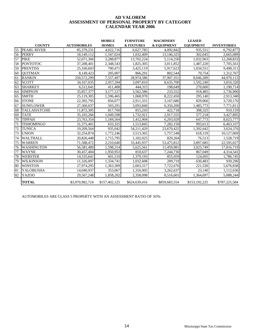#### **ASSESSMENT OF PERSONAL PROPERTY BY CATEGORY CALENDAR YEAR 2006 AD VALOREM**

|    |                     |                    | <b>MOBILE</b> | <b>FURNITURE</b>       | <b>MACHINERY</b> | <b>LEASED</b>        |                    |
|----|---------------------|--------------------|---------------|------------------------|------------------|----------------------|--------------------|
|    | <b>COUNTY</b>       | <b>AUTOMOBILES</b> | <b>HOMES</b>  | <b>&amp; FIXTURES</b>  | & EQUIPMENT      | <b>EQUIPMENT</b>     | <b>INVENTORIES</b> |
| 55 | <b>PEARL RIVER</b>  | 85,379,231         | 4,022,716     | 6,627,785              | 4,092,842        | 935,551              | 6,792,877          |
| 56 | <b>PERRY</b>        | 18,149,112         | 1,547,024     | 1,032,409              | 13,146,325       | 302,045              | 2,665,089          |
| 57 | <b>PIKE</b>         | 52,071,306         | 3,288,877     | 13,702,224             | 5,114,250        | 1,032,963            | 12,268,833         |
| 58 | <b>PONTOTOC</b>     | 37,208,401         | 2,348,543     | $\overline{1,825,305}$ | 3,011,852        | 1.487.220            | 7,705,561          |
| 59 | <b>PRENTISS</b>     | 25,160,603         | 700,471       | 3,425,119              | 5,917,623        | 1,034,551            | 9,498,311          |
| 60 | <b>OUITMAN</b>      | 8,149,423          | 205,007       | 866,291                | 802,544          | 70,754               | 1,312,767          |
| 61 | <b>RANKIN</b>       | 250,572,299        | 7,557,497     | 28,974,586             | 37,907,351       | 8,046,289            | 44,970,113         |
| 62 | <b>SCOTT</b>        | 34,167,035         | 2,957,294     | 3,097,810              | 8,635,700        | 1.592.240            | 3,816,320          |
| 63 | <b>SHARKEY</b>      | 6,512,641          | 411,408       | 444,315                | 198,649          | 270,600              | 1,190,714          |
| 64 | <b>SIMPSON</b>      | 35,857,377         | 3,177,127     | 3,562,586              | 233,552          | 918,485              | 2,736,900          |
| 65 | <b>SMITH</b>        | 25,119,305         | 1,596,465     | 1,068,970              | 8,222,450        | 295,140              | 2,913,340          |
| 66 | <b>STONE</b>        | 22,392,795         | 856,077       | 2,911,331              | 3,167,686        | 829,066              | 3,720,176          |
| 67 | <b>SUNFLOWER</b>    | 27,360,037         | 503,291       | 3,093,840              | 6,350,200        | 1,485,773            | 7,771,811          |
| 68 | <b>TALLAHATCHIE</b> | 11,872,305         | 817,760       | 815,243                | 422,718          | 308,325              | 910,159            |
| 69 | <b>TATE</b>         | 35,103,266         | 1,049,598     | 1,732,921              | 2,917,555        | $\overline{577,218}$ | 3,427,895          |
| 70 | <b>TIPPAH</b>       | 23,763,354         | 1,184,564     | 1,412,904              | 6,293,929        | 647,773              | 8,023,777          |
| 71 | <b>TISHOMINGO</b>   | 31,575,401         | 633,325       | 1,513,845              | 7,282,150        | 993,613              | 6,463,337          |
| 72 | <b>TUNICA</b>       | 19,209,564         | 935,042       | 54,211,429             | 23,670,425       | 1,392,642            | 3,624,376          |
| 73 | <b>UNION</b>        | 32,254,874         | 1,772,246     | 3,513,365              | 1,757,548        | 618,159              | 10,127,069         |
| 74 | <b>WALTHALL</b>     | 20,826,448         | 1,715,795     | 1.102.025              | 829.264          | 76,513               | 1,528,719          |
| 75 | <b>WARREN</b>       | 71,588,472         | 2,210,640     | 33,445,937             | 53,475,812       | 3,897,685            | 22,595,027         |
| 76 | <b>WASHINGTON</b>   | 56,581,489         | 1,598,314     | 5,625,561              | 11,459,981       | 3,023,749            | 17,816,719         |
| 77 | <b>WAYNE</b>        | 30,457,404         | 1,950,953     | 810,637                | 7,244,730        | 867,049              | 4,314,541          |
| 78 | <b>WEBSTER</b>      | 14,535,641         | 601,510       | 1,379,193              | 855,059          | 124,695              | 1,786,745          |
| 79 | <b>WILKINSON</b>    | 11,326,097         | 1,334,741     | 1,032,608              | 209,719          | 630,483              | 939,296            |
| 80 | <b>WINSTON</b>      | 27,974,295         | 1,363,309     | 2,603,317              | 7,722,676        | 221,530              | 5,676,838          |
| 81 | <b>YALOBUSHA</b>    | 14,040,937         | 353,067       | 1,316,005              | 3,262,637        | 23,140               | 1,112,636          |
| 82 | YAZOO               | 29,567,248         | 1,858,202     | 2,358,098              | 8,516,601        | 1,364,697            | 5,088,244          |
|    | <b>TOTAL</b>        | \$3,970,982,724    | \$157,402,125 | \$624,639,416          | \$859,683,554    | \$153,192,225        | \$787,225,584      |

AUTOMOBILES ARE CLASS 5 PROPERTY WITH AN ASSESSMENT RATIO OF 3O%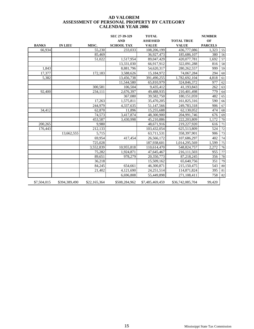|              |                |              | SEC 27-39-329     | <b>TOTAL</b>    |                   | <b>NUMBER</b>  |    |
|--------------|----------------|--------------|-------------------|-----------------|-------------------|----------------|----|
|              |                |              | <b>AND</b>        | <b>ASSESSED</b> | <b>TOTAL TRUE</b> | OF             |    |
| <b>BANKS</b> | <b>IN LIEU</b> | MISC.        | <b>SCHOOL TAX</b> | <b>VALUE</b>    | <b>VALUE</b>      | <b>PARCELS</b> |    |
| 66,934       |                | 55,230       | 233,033           | 108,206,199     | 436,777,086       | 1,323          | 55 |
|              |                | 85.469       |                   | 36,927,473      | 185,686,107       | 380            | 56 |
|              |                | 51,022       | 1,517,954         | 89,047,429      | 420,077,781       | 1,692          | 57 |
|              |                |              | 13,331,030        | 66,917,912      | 322,091,288       | 816            | 58 |
| 1,843        |                |              | 8,881,796         | 54,620,317      | 280, 262, 557     | 999            | 59 |
| 17,377       |                | 172,183      | 3,588,626         | 15,184,972      | 74,067,284        | 294            | 60 |
| 5,382        |                |              | 13,456,738        | 391,490,255     | 1,782,692,104     | 4,818          | 61 |
|              |                |              | 11,544,580        | 65,810,979      | 324,846,372       | 977            | 62 |
|              |                | 300,581      | 106.504           | 9,435,412       | 41,193,843        | 262            | 63 |
| 92,400       |                | 234,111      | 2,676,397         | 49,488,935      | 210,401,498       | 779            | 64 |
|              |                |              | 367,080           | 39,582,750      | 180, 151, 059     | 482            | 65 |
|              |                | 17,263       | 1,575,811         | 35,470,205      | 161,825,316       | 590            | 66 |
|              |                | 244,979      | 4,337,635         | 51,147,566      | 249,783,318       | 906            | 67 |
| 34,412       |                | 62,870       | 11,896            | 15,255,688      | 62,130,052        | 474            | 68 |
|              |                | 74,573       | 3,417,874         | 48,300,900      | 204,991,746       | 676            | 69 |
|              |                | 453,587      | 3,430,998         | 45,210,886      | 222,203,809       | 1,172          | 70 |
| 200,265      |                | 9,980        |                   | 48,671,916      | 219,227,920       | 616            | 71 |
| 176,443      |                | 212.133      |                   | 103,432,054     | 625,513,809       | 524            | 72 |
|              | 13,662,555     | 5,715        |                   | 63,711,531      | 358,397,901       | 906            | 73 |
|              |                | 69,954       | 417,454           | 26,566,172      | 107,686,297       | 402            | 74 |
|              |                | 725,028      |                   | 187,938,601     | 1,014,295,569     | 1,599          | 75 |
|              |                | 3,552,839    | 10,955,818        | 110,614,470     | 548,824,757       | 2,272          | 76 |
|              |                | 75.282       | 1,924,871         | 47,645,467      | 216,111,503       | 955            | 77 |
|              |                | 89,651       | 978,279           | 20,350,773      | 87,218,245        | 356            | 78 |
|              |                | 36,218       |                   | 15,509,162      | 65,640,756        | 351            | 79 |
|              |                | 84,245       | 654,661           | 46,300,871      | 215,150,475       | 543            | 80 |
|              |                | 21,402       | 4,121,690         | 24, 251, 514    | 114,871,824       | 395            | 81 |
|              |                |              | 6,696,808         | 55,449,898      | 271,108,411       | 758            | 82 |
| \$7,504,015  | \$394,389,490  | \$22,165,364 | \$508,284,962     | \$7,485,469,459 | \$36,742,085,704  | 99,420         |    |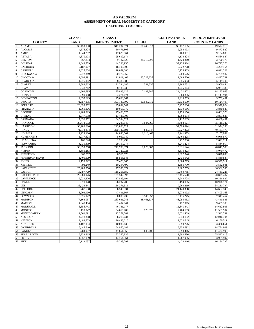|                  |                        | <b>CLASS 1</b> | <b>CLASS 1</b>      |                | <b>CULTIVATABLE</b> | <b>BLDG &amp; IMPROVED</b> |
|------------------|------------------------|----------------|---------------------|----------------|---------------------|----------------------------|
|                  | <b>COUNTY</b>          | <b>LAND</b>    | <b>IMPROVEMENTS</b> | <b>IN LIEU</b> | <b>LAND</b>         | <b>COUNTRY LANDS</b>       |
|                  | <b>ADAMS</b>           | \$8,453,030    | \$41,234,674        | \$1,245,013    | \$5,437,195         | \$9,597,718                |
|                  | <b>ALCORN</b>          | 4,678,424      | 50,476,806          |                | 2,958,993           | 9,472,520                  |
| 3                | <b>AMITE</b>           | 1,844,252      | 17,628,864          |                | 3,463,981           | 9,134,839                  |
| $\overline{4}$   | <b>ATTALA</b>          | 4,370,178      | 25,609,674          |                | 4,174,424           | 6,564,847                  |
|                  | <b>BENTON</b>          | 867,334        | 9,137,826           | 28,718,291     | 1,424,310           | 3,790,178                  |
| 6                | <b>BOLIVAR</b>         | 9,842,579      | 44,228,935          |                | 37,226,324          | 16,797,276                 |
|                  | <b>CALHOUN</b>         | 2,187,067      | 16,700,806          |                | 2,722,768           | 4,209,154                  |
| 8                | CARROLL                | 2,327,004      | 18,059,686          |                | 6,756,433           | 6,821,222                  |
| 9                | CHICKASAW              | 2,272,349      | 20,770,357          |                | 6,203,526           | 5,759,987                  |
| 10               | <b>CHOCTAW</b>         | 1,693,491      | 11,811,403          | 85,727,235     | 1,669,520           | 4,497,781                  |
| 11               | <b>CLAIBORNE</b>       | 1,275,112      | 8,433,983           |                | 2,555,983           | 5,119,406                  |
| 12               | <b>CLARKE</b>          | 2,582,663      | 21,294,185          | 501,335        | 3,964,751           | 5,900,444                  |
| 13               | <b>CLAY</b>            | 5,948,242      | 28,186,033          |                | 4,735,164           | 6,923,332                  |
| 14               | <b>COAHOMA</b>         | 4,604,595      | 25,895,628          | 2,139,886      | 24,431,402          | 14,173,963                 |
| 15               | <b>COPIAH</b>          | 5,399,918      | 34,274,474          |                | 3,964,305           | 11,143,994                 |
| 16               | <b>COVINGTON</b>       | 2,855,629      | 25,663,167          |                | 2,910,709           | 9,752,457                  |
| 17               | DeSOTO                 | 71,857,195     | 397,740,309         | 10,580,710     | 15,834,590          | 10,124,407                 |
| 18               | <b>FORREST</b>         | 20,395,302     | 95,099,547          |                | 5,237,686           | 13,979,024                 |
| 19               | <b>FRANKLIN</b>        | 1,060,176      | 10,058,979          |                | 1,639,686           | 3,840,540                  |
| 20               | <b>GEORGE</b>          | 4,284,829      | 27,428,675          |                | 2,750,150           | 8,681,370                  |
| 21               | <b>GREENE</b>          | 1,647,658      | 13,448,903          |                | 1,368,034           | 3,851,628                  |
| 22               | <b>GRENADA</b>         | 7,356,352      | 34,334,727          |                | 4,117,633           | 6,469,487                  |
| 23               | <b>HANCOCK</b>         | 28,412,633     | 72,238,840          | 3,644,366      | 13,482,121          | 35,118,342                 |
| 24               | <b>HARRISON</b>        | 98,206,620     | 243,823,722         |                | 32,599,094          | 31,974,250                 |
| 25               | <b>HINDS</b>           | 71,773,254     | 320, 147, 101       | 848,847        | 15,527,823          | 40,485,475                 |
| 26 HOLMES        |                        | 1,929,120      | 14,043,601          | 1,118,468      | 13,241,973          | 7,157,952                  |
| 27               | <b>HUMPHREYS</b>       | 1,077,628      | 8,050,940           |                | 11,463,228          | 6,946,870                  |
| 28               | <b>ISSAQUENA</b>       | 165,520        | 1,233,292           |                | 6,432,896           | 2,621,711                  |
| 29               | <b>ITAWAMBA</b>        | 3,739,619      | 29,107,074          |                | 3,241,224           | 5,884,917                  |
|                  | 30 JACKSON             | 59,353,258     | 211,780,874         | 1,026,002      | 19,811,144          | 48,841,588                 |
| 31               | <b>JASPER</b>          | 1,881,283      | 22,120,021          |                | 3,576,423           | 8,070,472                  |
| 32               | <b>JEFFERSON</b>       | 865,352        | 6,965,576           |                | 2,622,346           | 3,828,699                  |
| 33               | <b>JEFFERSON DAVIS</b> | 1,400,579      | 15,555,645          |                | 2,436,042           | 5,839,847                  |
| 34               | <b>JONES</b>           | 12,150,022     | 87,420,165          |                | 7,004,215           | 26,928,917                 |
| 35               | <b>KEMPER</b>          | 791,249        | 10,294,490          |                | 1,696,790           | 3,552,981                  |
| 36               | <b>LAFAYETTE</b>       | 25,203,760     | 77,336,874          |                | 17,907,753          | 36,382,595                 |
| 37               | <b>LAMAR</b>           | 16,797,709     | 115,258,189         |                | 10,400,735          | 24,483,225                 |
| 38               | <b>LAUDERDALE</b>      | 22,289,976     | 121,542,592         |                | 12,455,520          | 20,808,487                 |
| 39               | <b>LAWRENCE</b>        | 2,029,876      | 17,849,694          |                | 1,940,728           | 10,326,827                 |
| 40               | <b>LEAKE</b>           | 3,870,128      | 26,237,705          |                | 3,194,005           | 10,996,174                 |
| 41<br><b>LEE</b> |                        | 36,423,841     | 156,271,511         |                | 9,963,269           | 34,230,787                 |
| 42               | <b>LEFLORE</b>         | 8,787,638      | 36,543,934          |                | 24,149,358          | 14,667,743                 |
| 43               | <b>LINCOLN</b>         | 8,903,990      | 47,491,567          |                | 6,074,992           | 17,403,168                 |
| 44               | <b>LOWNDES</b>         | 15,575,122     | 90,889,732          | 3,585,853      | 10,416,245          | 37, 315, 457               |
| 45               | <b>MADISON</b>         | 77,168,057     | 263,641,245         | 48,461,637     | 48,095,052          | 43,449,886                 |
| 46               | <b>MARION</b>          | 4,048,484      | 31,407,141          |                | 3,477,915           | 9,459,188                  |
| 47               | MARSHALL               | 6,556,743      | 46,781,177          |                | 11,841,443          | 14,612,936                 |
| 48               | <b>MONROE</b>          | 10,138,047     | 54,616,702          | 728,073        | 7,404,583           | 11,569,904                 |
| 49               | <b>MONTGOMERY</b>      | 1,561,091      | 12,271,789          |                | 3,031,409           | 2,542,739                  |
| 50               | <b>NESHOBA</b>         | 4,778,318      | 36,219,634          |                | 2,640,132           | 12,046,704                 |
| 51               | <b>NEWTON</b>          | 2,482,703      | 26,443,216          |                | 2,622,645           | 6,150,511                  |
| 52               | <b>NOXUBEE</b>         | 1,107,194      | 10,036,438          |                | 5,099,226           | 3,336,651                  |
| 53               | <b>OKTIBBEHA</b>       | 15,445,640     | 64,960,183          |                | 8,350,692           | 14,754,909                 |
| 54               | <b>PANOLA</b>          | 6,784,907      | 41,651,950          | 608,600        | 9,390,416           | 11,484,993                 |
| 55               | PEARL RIVER            | 15,239,865     | 82,352,836          |                | 12,692,586          | 25,592,418                 |
| 56               | <b>PERRY</b>           | 1,857,039      | 14,764,361          |                | 1,787,985           | 3,955,597                  |
| 57 PIKE          |                        | 10,119,037     | 45,298,297          |                | 4,420,216           | 16,156,292                 |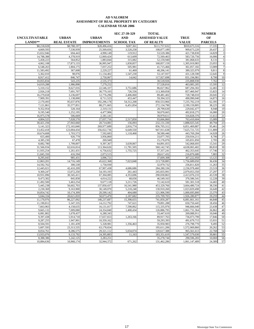|                       |                    |                         | SEC 27-39-329     | <b>TOTAL</b>          |               | <b>NUMBER</b>  |                             |
|-----------------------|--------------------|-------------------------|-------------------|-----------------------|---------------|----------------|-----------------------------|
| <b>UNCULTIVATABLE</b> | <b>URBAN</b>       | <b>URBAN</b>            | <b>AND</b>        | <b>ASSESSED VALUE</b> | <b>TRUE</b>   | OF             |                             |
| LANDS**               | <b>REAL ESTATE</b> | <b>IMPROVEMENTS</b>     | <b>SCHOOL TAX</b> | <b>OF REALTY</b>      | <b>VALUE</b>  | <b>PARCELS</b> |                             |
| \$8,218,028           | \$8,788,197        | \$28,496,416            | \$287,361         | \$111,757,632         | \$910,675,516 | 17,335         | $\mathbf{1}$                |
| 4,669,593             | 7.530.939          | 25,569,656              | 3,520,258         | 108,877,189           | 909,673,220   | 20.437         | $\sqrt{2}$                  |
| 15,652,946            | 694.443            | 4,990,149               | 119,912           | 53,529,386            | 421,738,830   | 14,829         | $\ensuremath{\mathfrak{Z}}$ |
| 14,788,388            | 4,378,919          | 12,069,424              | 613,609           | 72,569,463            | 583,720,756   | 16,006         | $\overline{4}$              |
| 5,458,223             | 564,852            | 1,883,844               | 315,082           | 52,159,940            | 381,068,633   | 8,131          | $\overline{5}$              |
| 4,062,108             | 17,873,133         | 36,995,947              | 1,830,857         | 168,857,159           | 1,305,919,983 | 23,055         | 6                           |
| 6,548,263             | 1,804,175          | 7,037,252               | 505,981           | 41,715,466            | 361,057,182   | 13,089         | $\tau$                      |
| 11,583,492            | 367,608            | 2,229,227               | 61,469            | 48,206,141            | 389,325,979   | 9,811          | $\,$ 8 $\,$                 |
| 5,362,010             | 98,076             | 11,134,402              | 1,547,230         | 53,147,937            | 431,128,590   | 12,645         | 9                           |
| 8,917,412             | 846,747            | 2,750,067               | 14,042            | 117,927,698           | 831,194,981   | 8.700          | 10                          |
| 10,055,834            | 543,235            | 2,535,373               |                   | 30,518,926            | 235,808,930   | 7,762          | 11                          |
| 14,019,288            | 1,986,898          | 7,279,252               |                   | 57,528,816            | 463,083,205   | 15,595         | 12                          |
| 5,310,152             | 8,627,016          | 22,546,337              | 3,751,686         | 86,027,962            | 687,294,302   | 12,465         | 13                          |
| 2,926,218             | 7,691,707          | 30,779,103              | 726,556           | 113,369,058           | 857,460,947   | 15,825         | 14                          |
| 16,279,658            | 3.236.697          | 12,776,296              | 2,406,060         | 89,481,402            | 728,748,010   | 20,045         | 15                          |
| 7,909,391             | 1,138,000          | 8,711,523               | 453,447           | 59,394,323            | 490,990,040   | 14,873         | 16                          |
| 2,170,493             | 95,637,876         | 192,296,178             | 54,312,208        | 850,553,966           | 7,235,702,219 | 62,395         | 17                          |
| 7.121.861             | 35,577,851         | 88,271,665              | 6.451.854         | 272,134,790           | 2.199.159.805 | 38.225         | 18                          |
| 9,352,954             | 528,164            | 2,319,131               |                   | 28,799,630            | 229,042,477   | 8,948          | 19                          |
| 9,195,540             | 1,252,195          | 4,477,906               |                   | 58,070,665            | 492,818,275   | 16,080         | 20                          |
| 16,975,578            | 506,669            | 2,181,141               |                   | 39,979,611            | 316,828,376   | 11,612         | 21                          |
| 4,804,525             | 7,028,570          | $\overline{27,037,716}$ | 2,517,850         | 93,666,860            | 763,410,604   | 15,089         | 22                          |
| 30,421,194            | 27,943,660         | 20,714,081              | 156,093           | 232,131,330           | 1,888,025,545 | 49,794         | 23                          |
| 5,141,323             | 172,165,840        | 269,977,689             | 2,816,774         | 856,705,312           | 6,851,469,887 | 95,461         | 24                          |
| 13,452,418            | 123,004,434        | 356,022,736             | 6,649,550         | 947,911,638           | 7,625,721,725 | 111,889        | 25                          |
| 10,674,608            | 1,703,573          | 7,592,683               | 1,118,468         | 58,580,446            | 443,769,284   | 14.928         | 26                          |
| 655,400               | 926,779            | 3,956,860               |                   | 33,077,705            | 250,934,211   | 8,706          | 27                          |
| 4,385,230             | 67,478             | 269,949                 |                   | 15,176,076            | 105,831,850   | 2,705          | 28                          |
| 8,082,780             | 1,799,007          | 9.397.367               | 3.639.067         | 64,891,055            | 542,068,693   | 15,541         | 29                          |
| 31,566,934            | 62,616,814         | 113,364,626             | 11,781,505        | 560,142,745           | 4,638,065,402 | 80,810         | 30                          |
| 11,935,254            | 1.261.431          | 6.756.632               | 1,755,725         | 57.357.241            | 462,353,645   | 17.746         | 31                          |
| 11,845,350            | 416,594            | 2,073,515               |                   | 28,617,432            | 216,870,680   | 7,883          | 32                          |
| 8,295,043             | 985,431            | 3,096,721               |                   | 37,609,308            | 307,222,950   | 13,125         | 33                          |
| 12,863,201            | 14,716,149         | 45,622,368              | 7.023.848         | 213,728,885           | 1,756,689,050 | 36.436         | 34                          |
| 14,592,762            | 300,530            | 1,750,930               |                   | 32,979,732            | 256,811,820   | 11,263         | 35                          |
| 12,445,021            | 42,410,209         | 67,907,438              | 4,686,686         | 284,280,336           | 2,236,978,460 | 23,519         | 36                          |
| 9,369,247             | 15,072,250         | 54,193,193              | 261,443           | 245,835,991           | 2,079,053,350 | 27.297         | 37                          |
| 10,931,096            | 30,345,411         | 67,304,085              | 4,353,696         | 290,030,863           | 2,413,076,233 | 43,539         | 38                          |
| 9,473,302             | 845,858            | 4,014,222               | 68,656            | 46,549,163            | 376,586,541   | 12.228         | 39                          |
| 11,492,500            | 3,463,254          | 9,677,118               | 3,211,726         | 72,142,610            | 581,301,518   | 14,465         | 40                          |
| 5,445,238             | 56,602,703         | 137,850,437             | 16,541,980        | 453,329,766           | 3,664,480,724 | 38,336         | 41                          |
| 2,230,369             | 9,163,900          | 30,149,070              | 5,218,248         | 130,910,260           | 1,023,829,498 | 16,649         | 42                          |
| 10,854,742            | 10,174,309         | 20,599,142              | 404,680           | 121,906,590           | 1,000,695,800 | 23,370         | 43                          |
| 5,044,334             | 20,621,810         | 50,073,470              | 2,187,682         | 235,709,705           | 1,926,280,877 | 29,259         | 44                          |
| 11,170,976            | 86,227,092         | 148,237,687             | 15,398,655        | 741,850,287           | 6,081,661,161 | 44,848         | 45                          |
| 11,190,812            | 5,347,335          | 14,212,792              | 747,621           | 79,891,288            | 650,750,445   | 18,456         | 46                          |
| 7,663,963             | 4,158,635          | 16,131,017              | 7.590,062         | 115,335,976           | 946,666,040   | 23.438         | 47                          |
| 9,665,132             | 7.009.080          | 24,354,840              | 1,400,434         | 126,886,795           | 1,061,731,364 | 26,862         | 48                          |
| 6,081,802             | 1,678,437          | 6,280,343               |                   | 33,447,610            | 269,088,911   | 10,046         | 49                          |
| 9,397,438             | 5,914,718          | 17,657,653              | 1,263,166         | 89,917,763            | 736,073,799   | 17,846         | 50                          |
| 9,287,255             | 1,947,901          | 10,359,162              |                   | 59,293,393            | 491,679,715   | 15.931         | 51                          |
| 8,504,591             | 1.181.439          | 5,328,981               | 1,356,463         | 35,950,983            | 276,798,770   | 9.495          | 52                          |
| 5,607,593             | 23,313,535         | 63,178,654              |                   | 195,611,206           | 1,572,069,860 | 20,262         | 53                          |
| 8,054,761             | 8,286,575          | 29,321,112              | 5,034,074         | 120,617,388           | 965,561,613   | 22,768         | 54                          |
| 13.933.076            | 9,133,792          | 24,395,883              | 11,163            | 183,351,619           | 1,547,579,030 | 39,881         | 55                          |
| 8,388,386             | 1.242.125          | 3,283,251               |                   | 35,278,744            | 290,596,283   | 10.069         | 56                          |
| 10,884,636            | 10,968,174         | 32,944,372              | 671,262           | 131,462,286           | 1,061,147,489 | 24,389         | 57                          |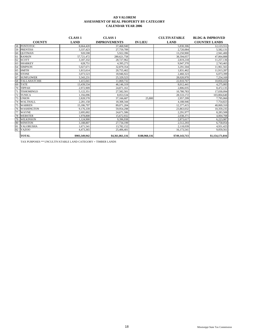|    |                     | <b>CLASS 1</b> | <b>CLASS 1</b>      |                | <b>CULTIVATABLE</b> | <b>BLDG &amp; IMPROVED</b> |
|----|---------------------|----------------|---------------------|----------------|---------------------|----------------------------|
|    | <b>COUNTY</b>       | <b>LAND</b>    | <b>IMPROVEMENTS</b> | <b>IN LIEU</b> | <b>LAND</b>         | <b>COUNTRY LANDS</b>       |
|    | 58 PONTOTOC         | 8,664,420      | 37,468,940          |                | 5,830,306           | 12, 123, 551               |
| 59 | <b>PRENTISS</b>     | 3,337,423      | 27,759,789          |                | 2,720,084           | 5,582,131                  |
| 60 | <b>OUITMAN</b>      | 920.598        | 5.922.396           |                | 13.250.900          | 2,941,400                  |
| 61 | <b>RANKIN</b>       | 57,721,472     | 280.621.758         |                | 38,594,057          | 47,064,888                 |
| 62 | <b>SCOTT</b>        | 3,187,332      | 28,727,962          |                | 2,819,218           | 11,257,136                 |
| 63 | <b>SHARKEY</b>      | 628.751        | 4.395.273           |                | 9.947.370           | 2,743,465                  |
| 64 | <b>SIMPSON</b>      | 5.027.671      | 32,879,354          |                | 3.291.504           | 11,961,565                 |
| 65 | <b>SMITH</b>        | 1,815,614      | 20,755,462          |                | 1,831,462           | 11,913,287                 |
| 66 | <b>STONE</b>        | 3,073,523      | 18,946,922          |                | 2,460,323           | 6,073,399                  |
| 67 | <b>SUNFLOWER</b>    | 3,343,231      | 25,329,523          |                | 28,020,970          | 7,254,169                  |
| 68 | <b>TALLAHATCHIE</b> | 1,415,041      | 11,069,732          |                | 22,810,767          | 10,850,416                 |
| 69 | <b>TATE</b>         | 13,439,534     | 46,146,319          |                | 8,012,441           | 4,275,083                  |
| 70 | <b>TIPPAH</b>       | 2,972,909      | 24,871,161          |                | 2,806,035           | 8,472,135                  |
| 71 | <b>TISHOMINGO</b>   | 5,122,351      | 27.582.501          |                | 10,780,783          | 17,030,094                 |
| 72 | <b>TUNICA</b>       | 1,356,096      | 8,053,534           |                | 28,533,172          | 103,804,640                |
| 73 | <b>UNION</b>        | 2,828,578      | 37,166,687          | 25,800         | 2,957,299           | 7,795,060                  |
| 74 | <b>WALTHALL</b>     | 2,281,158      | 18,308,344          |                | 4,188,946           | 7,754,823                  |
| 75 | <b>WARREN</b>       | 15,186,797     | 89.071.204          |                | 12,377,415          | 40,069,310                 |
| 76 | <b>WASHINGTON</b>   | 9,176,339      | 59,954,298          |                | 23,863,032          | 10,359,235                 |
| 77 | <b>WAYNE</b>        | 2,695,002      | 24,671,586          |                | 2,291,977           | 8,283,508                  |
| 78 | <b>WEBSTER</b>      | 1.978.808      | 15,672,932          |                | 2,038,371           | 4,004,708                  |
| 79 | <b>WILKINSON</b>    | 1,124,900      | 9,396,938           |                | 2,873,617           | 6,223,987                  |
| 80 | <b>WINSTON</b>      | 3,188,807      | 27,734,199          |                | 2,512,293           | 6,758,054                  |
| 81 | <b>YALOBUSHA</b>    | 1,671,541      | 13,782,152          |                | 2,118,039           | 4,931,425                  |
| 82 | <b>YAZOO</b>        | 4,473,365      | 25,406,401          |                | 16,173,541          | 9,059,561                  |
|    | <b>TOTAL</b>        | \$903,349,942  | \$4,361,861,116     | \$188,960,116  | \$749,143,713       | \$1,154,171,816            |

TAX PURPOSES \*\* UNCULTIVATABLE LAND CATEGORY = TIMBER LANDS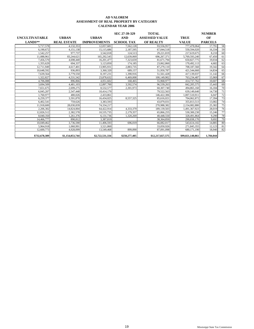|                       |                    |                     | SEC 27-39-329     | <b>TOTAL</b>          |                  | <b>NUMBER</b>  |    |
|-----------------------|--------------------|---------------------|-------------------|-----------------------|------------------|----------------|----|
| <b>UNCULTIVATABLE</b> | <b>URBAN</b>       | <b>URBAN</b>        | <b>AND</b>        | <b>ASSESSED VALUE</b> | <b>TRUE</b>      | OF             |    |
| $LANDS**$             | <b>REAL ESTATE</b> | <b>IMPROVEMENTS</b> | <b>SCHOOL TAX</b> | <b>OF REALTY</b>      | <b>VALUE</b>     | <b>PARCELS</b> |    |
| 5,717,578             | 4.132.353          | 12,057,681          | 7.562.128         | 93.556.957            | 777,478,064      | 17.791         | 58 |
| 6,190,672             | 4.151.138          | 15,115,686          | 2,187,595         | 67.044.518            | 550,594,020      | 16.334         | 59 |
| 1,542,257             | 977,737            | 3,542,018           | 124.513           | 29,221,819            | 217,619,675      | 8,210          | 60 |
| 11.088.961            | 83.244.621         | 165.292.545         | 12,639,069        | 696.267.371           | 5.769.593.240    | 67.450         | 61 |
| 7,456,570             | 4,698,440          | 16,201,477          | 7.323.659         | 81.671.794            | 650,827,775      | 19,034         | 62 |
| 1.355.629             | 694.337            | 3.123.850           | 174.185           | 23.062.860            | 170.492.113      | 4.682          | 63 |
| 12,711,949            | 4,617,401          | 13,905,931          | 2.883.735         | 87,279,110            | 708,187,560      | 19,342         | 64 |
| 10,648,592            | 936.893            | 3,360,320           | 689,157           | 51,950,787            | 421,544,660      | 14.834         | 65 |
| 7,639,564             | 3,779,550          | 8,197,231           | 1.390.916         | 51,561,428            | 417,139,037      | 11,142         | 66 |
| 1,322,827             | 4,531,542          | 23,878,632          | 6.469.008         | 100,149,902           | 763,234,487      | 15,969         | 67 |
| 4,706,088             | 896,866            | 4.051.602           | 168,465           | 55,968,977            | 414,737,762      | 10.607         | 68 |
| 3,694,509             | 4.481.103          | 12,897,700          | 3,592,574         | 96,539,263            | 842, 205, 575    | 15.443         | 69 |
| 7.651.675             | 2.699.275          | 8,532,577           | 2.301.973         | 60,307,740            | 494,865,160      | 16.184         | 70 |
| 6,045,207             | 2.547.448          | 10,414,179          |                   | 79.522.563            | 639,149,640      | 14.730         | 71 |
| 1.760.977             | 480,026            | 2,433,861           |                   | 146.422.306           | 1.007.510.911    | 6.047          | 72 |
| 6.259.377             | 3.591.870          | 16,434,025          | 8.557.325         | 85,616,021            | 704,062,872      | 17,394         | 73 |
| 6,402,541             | 759,626            | 3,383,593           |                   | 43,079,031            | 355,813,513      | 13,082         | 74 |
| 11,918,600            | 28,030,839         | 74,334,217          |                   | 270,988,382           | 2,154,082,880    | 25,382         | 75 |
| 2.206.302             | 14,824,004         | 64,422,914          | 4,333,379         | 189.139.503           | 1.491.367.923    | 28.019         | 76 |
| 12.826.512            | 2,382,578          | 10,535,735          | 2.179.357         | 65,866,255            | 530,300,230      | 15,246         | 77 |
| 8,040,350             | 1,261,376          | 6,131,736           | 1,320,269         | 40,448,550            | 328,491,864      | 9,290          | 78 |
| 14,466,777            | 890,812            | 3.387.819           |                   | 38,364,850            | 290,838,170      | 9.692          | 79 |
| 10,049,462            | 3,736,590          | 11,406,593          | 696,019           | 66,082,017            | 543,614,102      | 14.885         | 80 |
| 5.964.918             | 1.060.991          | 3.521.860           |                   | 33.050.926            | 271,845,355      | 12.123         | 81 |
| 12,600,773            | 4.928.099          | 13,549,468          | 899,890           | 87,091,098            | 680,171,190      | 18.940         | 82 |
| \$732,678,389         | \$1,154,053,744    | \$2,722,531,334     | \$250,277,405     | \$12,217,027,575      | \$99,021,140,861 | 1,784,044      |    |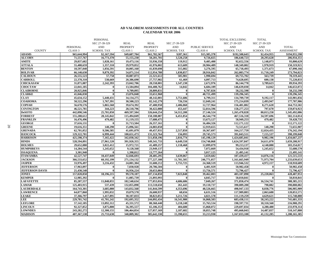#### **AD VALOREM ASSESSMENTS FOR ALL COUNTIES CALENDAR YEAR 2006**

|                        |                    | <b>PERSONAL</b>   |                    |                    |                   |                    | <b>TOTAL EXCLUDING</b> | <b>TOTAL</b>      |                   |
|------------------------|--------------------|-------------------|--------------------|--------------------|-------------------|--------------------|------------------------|-------------------|-------------------|
|                        |                    | SEC 27-39-329     | <b>REAL</b>        | <b>REAL</b>        | SEC 27-39-329     |                    | SEC 27-39-329          | SEC 27-39-329     |                   |
|                        | PERSONAL           | <b>AND</b>        | <b>PROPERTY</b>    | <b>PROPERTY</b>    | $\mathbf{AND}$    | PUBLIC SERVICE     | $\mathbf{AND}$         | $\mathbf{AND}$    | <b>TOTAL</b>      |
| <b>COUNTY</b>          | CLASS <sub>3</sub> | <b>SCHOOL TAX</b> | CLASS <sub>1</sub> | CLASS <sub>2</sub> | <b>SCHOOL TAX</b> | CLASS <sub>4</sub> | <b>SCHOOL TAX</b>      | <b>SCHOOL TAX</b> | <b>ASSESSMENT</b> |
| <b>ADAMS</b>           | \$65,644,994       | \$2,167,594       | \$49,687,704       | \$61,782,567       | \$287,361         | \$15,385,378       | \$192,500,643          | \$2,454,955       | \$194,955,598     |
| <b>ALCORN</b>          | 71,557,767         | 16,773,370        | 55,155,230         | 50,201,701         | 3,520,258         | 9,726,025          | 186,640,723            | 20,293,628        | 206,934,351       |
| <b>AMITE</b>           | 29,837,682         | 1,028,161         | 19,473,116         | 33,936,358         | 119,912           | 9,405,400          | 92,652,556             | 1,148,073         | 93,800,629        |
| <b>ATTALA</b>          | 55,488,659         | 1,357,310         | 29,979,852         | 41,976,002         | 613,609           | 20,904,489         | 148,349,002            | 1,970,919         | 150,319,921       |
| <b>BENTON</b>          | 10,597,040         | 1,056,591         | 10,005,160         | 41,839,698         | 315,082           | 3,276,595          | 65,718,493             | 1,371,673         | 67,090,166        |
| <b>BOLIVAR</b>         | 66,140,630         | 9,879,392         | 54,071,514         | 112,954,788        | 1,830,857         | 28,916,842         | 262,083,774            | 11,710,249        | 273,794,023       |
| <b>CALHOUN</b>         | 26,555,523         | 57,758            | 18,887,873         | 22,321,612         | 505.981           | 1.990.694          | 69,755,702             | 563,739           | 70,319,441        |
| <b>CARROLL</b>         | 22,378,310         | 538.669           | 20,386,690         | 27,757,982         | 61.469            | 4,097,713          | 74,620,695             | 600.138           | 75,220,833        |
| <b>CHICKASAW</b>       | 31,871,087         | 2,242,393         | 23,042,706         | 28,558,001         | 1,547,230         | 2,672,976          | 86,144,770             | 3,789,623         | 89,934,393        |
| <b>CHOCTAW</b>         | 22,041,185         | $\mathbf{0}$      | 13,504,894         | 104,408,762        | 14,042            | 6,684,189          | 146,639,030            | 14,042            | 146,653,072       |
| <b>CLAIBORNE</b>       | 20,925,846         | $\theta$          | 9,709,095          | 20,809,831         | $\theta$          | 6,787,826          | 58,232,598             | $\theta$          | 58,232,598        |
| <b>CLARKE</b>          | 41,046,030         | $\mathbf{v}$      | 23,876,848         | 33,651,968         |                   | 40,721,499         | 139,296,345            |                   | 139,296,345       |
| <b>CLAY</b>            | 45,634,152         | 5,440,431         | 34, 134, 275       | 48,142,001         | 3,751,686         | 6,799,311          | 134,709,739            | 9,192,117         | 143,901,856       |
| <b>COAHOMA</b>         | 50,522,296         | 1,767,391         | 30,500,223         | 82,142,279         | 726,556           | 12,049,241         | 175,214,039            | 2,493,947         | 177,707,986       |
| <b>COPIAH</b>          | 56,678,576         | 5,865,560         | 39,674,392         | 47,400,950         | 2,406,060         | 12,727,964         | 156,481,882            | 8,271,620         | 164,753,502       |
| <b>COVINGTON</b>       | 46,521,781         | 344,223           | 28,518,796         | 30,422,080         | 453,447           | 52,814,596         | 158,277,253            | 797,670           | 159,074,923       |
| <b>DeSOTO</b>          | 442,090,546        | 25,701,050        | 469,597,504        | 326,644,254        | 54,312,208        | 27,146,524         | 1,265,478,828          | 80.013.258        | 1,345,492,086     |
| <b>FORREST</b>         | 155,288,612        | 28,145,842        | 115,494,849        | 150,188,087        | 6,451,854         | 46,544,770         | 467,516,318            | 34,597,696        | 502,114,014       |
| <b>FRANKLIN</b>        | 16,476,496         | 479.482           | 11,119,155         | 17,680,475         |                   | 13,673,127         | 58,949,253             | 479.482           | 59,428,735        |
| <b>GEORGE</b>          | 37,616,131         | 0                 | 31,713,504         | 26,357,161         |                   | 16,484,326         | 112,171,122            | $\mathbf{0}$      | 112,171,122       |
| <b>GREENE</b>          | 19,616,351         | 140,290           | 15,096,561         | 24,883,050         |                   | 12,919,655         | 72,515,617             | 140,290           | 72,655,907        |
| <b>GRENADA</b>         | 62,701,052         | 9,506,585         | 41,691,079         | 49,457,931         | 2,517,850         | 10,367,697         | 164,217,759            | 12,024,435        | 176,242,194       |
| <b>HANCOCK</b>         | 129,322,701        | 6,999,444         | 100,651,473        | 131,323,764        | 156,093           | 29,745,573         | 391,043,511            | 7,155,537         | 398,199,048       |
| <b>HARRISON</b>        | 425,598,374        | 7,165,422         | 342,030,342        | 511,858,196        | 2,816,774         | 145,198,129        | 1,424,685,041          | 9,982,196         | 1,434,667,237     |
| <b>HINDS</b>           | 528,594,891        | 27,961,520        | 391,920,355        | 549,341,733        | 6,649,550         | 154,740,868        | 1,624,597,847          | 34,611,070        | 1,659,208,917     |
| <b>HOLMES</b>          | 29,652,080         | 3,022,412         | 15,972,721         | 41,489,257         | 1,118,468         | 12,099,079         | 99,213,137             | 4,140,880         | 103,354,017       |
| <b>HUMPHREYS</b>       | 14,284,544         | 1,245,652         | 9,128,568          | 23,949,137         |                   | 7,072,669          | 54,434,918             | 1,245,652         | 55,680,570        |
| <b>ISSAQUENA</b>       | 3,301,940          | $\theta$          | 1,398,812          | 13,777,264         |                   | 3,017,125          | 21,495,141             |                   | 21,495,141        |
| <b>ITAWAMBA</b>        | 42,527,747         | 10,437,049        | 32,846,693         | 28,405,295         | 3.639,067         | 3,659,682          | 107,439,417            | 14,076,116        | 121,515,533       |
| <b>JACKSON</b>         | 366,533,652        | 60.192.199        | 271,134,132        | 277,227,108        | 11,781,505        | 246,771,057        | 1,161,665,949          | 71,973,704        | 1,233,639,653     |
| <b>JASPER</b>          | 33,976,497         | 3,216,432         | 24,001,304         | 31,600,212         | 1,755,725         | 24,368,519         | 113,946,532            | 4,972,157         | 118,918,689       |
| <b>JEFFERSON</b>       | 17,963,097         | $\bf{0}$          | 7,830,928          | 20,786,504         |                   | 4,401,929          | 50,982,458             | $\mathbf{0}$      | 50,982,458        |
| <b>JEFFERSON DAVIS</b> | 21,430,548         | 0                 | 16,956,224         | 20,653,084         |                   | 13,756,571         | 72,796,427             |                   | 72,796,427        |
| <b>JONES</b>           | 157,020,850        | 18,196,215        | 99,570,187         | 107,134,850        | 7,023,848         | 39,462,003         | 403,187,890            | 25,220,063        | 428,407,953       |
| <b>KEMPER</b>          | 12,985,392         |                   | 11,085,739         | 21,893,993         |                   | 4,845,717          | 50,810,841             |                   | 50,810,841        |
| <b>LAFAYETTE</b>       | 85,207,557         | 11,848,055        | 102,540,634        | 177,053,016        | 4,686,686         | 7,049,267          | 371,850,474            | 16,534,741        | 388, 385, 215     |
| <b>LAMAR</b>           | 125,403,915        | 537,439           | 132,055,898        | 113,518,650        | 261,443           | 19,110,737         | 390,089,200            | 798,882           | 390,888,082       |
| <b>LAUDERDALE</b>      | 164,743,301        | 3,685,080         | 143,832,568        | 141,844,599        | 4.353.696         | 48,526,665         | 498.947.133            | 8.038.776         | 506,985,909       |
| <b>LAWRENCE</b>        | 64,877,860         | 1,995,032         | 19,879,570         | 26,600,937         | 68,656            | 6,631,516          | 117,989,883            | 2,063,688         | 120,053,571       |
| <b>LEAKE</b>           | 37,366,797         | 1,417,895         | 30,107,833         | 38,823,051         | 3,211,726         | 4,821,578          | 111,119,259            | 4,629,621         | 115,748,880       |
| LEE                    | 229,781,742        | 41,701,242        | 192,695,352        | 244,092,434        | 16,541,980        | 16,868,583         | 683,438,111            | 58,243,222        | 741,681,333       |
| <b>LEFLORE</b>         | 57,142,185         | 13.092.312        | 45,331,572         | 80,360,440         | 5,218,248         | 15,763,534         | 198,597,731            | 18,310,560        | 216,908,291       |
| <b>LINCOLN</b>         | 92,327,852         | 3,875,800         | 56,395,557         | 65,106,353         | 404,680           | 15,868,072         | 229,697,834            | 4,280,480         | 233,978,314       |
| <b>LOWNDES</b>         | 243,282,272        | 12,300,155        | 106,464,854        | 127,057,169        | 2,187,682         | 18,855,748         | 495,660,043            | 14,487,837        | 510,147,880       |
| <b>MADISON</b>         | 407,367,538        | 25,733,630        | 340,809,302        | 385,642,330        | 15,398,655        | 33,213,930         | 1,167,033,100          | 41,132,285        | 1,208,165,385     |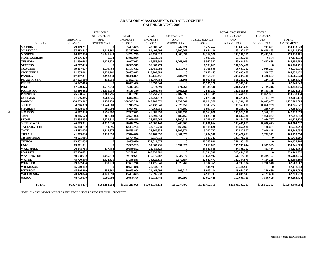#### **AD VALOREM ASSESSMENTS FOR ALL COUNTIES CALENDAR YEAR 2006**

|                     |                    | PERSONAL          |                         |                    |                   |                       | TOTAL EXCLUDING   | <b>TOTAL</b>      |                   |
|---------------------|--------------------|-------------------|-------------------------|--------------------|-------------------|-----------------------|-------------------|-------------------|-------------------|
|                     |                    | SEC 27-39-329     | <b>REAL</b>             | <b>REAL</b>        | SEC 27-39-329     |                       | SEC 27-39-329     | SEC 27-39-329     |                   |
|                     | PERSONAL           | <b>AND</b>        | <b>PROPERTY</b>         | <b>PROPERTY</b>    | <b>AND</b>        | <b>PUBLIC SERVICE</b> | AND               | $\mathbf{AND}$    | <b>TOTAL</b>      |
| <b>COUNTY</b>       | CLASS <sub>3</sub> | <b>SCHOOL TAX</b> | CLASS <sub>1</sub>      | CLASS <sub>2</sub> | <b>SCHOOL TAX</b> | CLASS <sub>4</sub>    | <b>SCHOOL TAX</b> | <b>SCHOOL TAX</b> | <b>ASSESSMENT</b> |
| <b>MARION</b>       | 49,119,281         | $\theta$          | 35,455,625              | 43,688,042         | 747,621           | 9,422,454             | 137,685,402       | 747.621           | 138,433,023       |
| <b>MARSHALL</b>     | 57,282,847         | 3,018,361         | 53.337.920              | 54,407,994         | 7,590,062         | 8,074,136             | 173,102,897       | 10,608,423        | 183,711,320       |
| <b>MONROE</b>       | 84,482,506         | 36,041,940        | 64,754,749              | 60,731,612         | 1,400,434         | 32,319,520            | 242,288,387       | 37,442,374        | 279,730,761       |
| <b>MONTGOMERY</b>   | 20,056,478         | 6.574             | 13,832,880              | 19.614.730         |                   | 3,603,211             | 57,107,299        | 6.574             | 57,113,873        |
| <b>NESHOBA</b>      | 51,399,615         | 1,374,522         | 40,997,952              | 47,656,645         | 1,263,166         | 3,567,382             | 143,621,594       | 2,637,688         | 146,259,282       |
| <b>NEWTON</b>       | 40,277,439         | 0                 | 28,925,919              | 30.367.474         |                   | 6.953.619             | 106,524,451       |                   | 106.524.451       |
| <b>NOXUBEE</b>      | 19,307,077         | 1,579,760         | 11,143,632              | 23,450,888         | 1.356.463         | 6,701,690             | 60,603,287        | 2,936,223         | 63,539,510        |
| <b>OKTIBBEHA</b>    | 81,535,011         | 1.528.762         | 80,405,823              | 115,205,383        |                   | 7,857,443             | 285,003,660       | 1.528,762         | 286,532,422       |
| <b>PANOLA</b>       | 107,487,391        | 3,392,433         | 48,436,857              | 67,146,457         | 5,034,074         | 18,168,711            | 241,239,416       | 8,426,507         | 249,665,923       |
| <b>PEARL RIVER</b>  | 107,973,166        | 233,033           | 97,592,701              | 85,747,755         | 11.163            | 26,907,610            | 318,221,232       | 244,196           | 318,465,428       |
| <b>PERRY</b>        | 36,927,473         | $\Omega$          | 16,621,400              | 18,657,344         |                   | 15,735,126            | 87,941,343        | $\theta$          | 87,941,343        |
| PIKE                | 87,529,475         | 1,517,954         | 55,417,334              | 75,373,690         | 671,262           | 18,338,540            | 236,659,039       | 2,189,216         | 238,848,255       |
| <b>PONTOTOC</b>     | 53,586,882         | 13,331,030        | 46,133,360              | 39,861,469         | 7,562,128         | 2,949,212             | 142,530,923       | 20,893,158        | 163,424,081       |
| <b>PRENTISS</b>     | 45,738,521         | 8,881,796         | 31,097,212              | 33,759,711         | 2,187,595         | 2,873,339             | 113,468,783       | 11,069,391        | 124,538,174       |
| <b>QUITMAN</b>      | 11,596,346         | 3,588,626         | 6,842,994               | 22,254,312         | 124,513           | 7,679,380             | 48,373,032        | 3,713,139         | 52,086,171        |
| <b>RANKIN</b>       | 378,033,517        | 13,456,738        | 338,343,230             | 345,285,072        | 12,639,069        | 49,924,379            | 1,111,586,198     | 26,095,807        | 1,137,682,005     |
| <b>SCOTT</b>        | 54,266,399         | 11,544,580        | 31,915,294              | 42,432,841         | 7,323,659         | 6,743,274             | 135,357,808       | 18,868,239        | 154,226,047       |
| <b>SHARKEY</b>      | 9,328,908          | 106,504           | 5,024,024               | 17,864,651         | 174,185           | 6,993,164             | 39,210,747        | 280,689           | 39,491,436        |
| <b>SIMPSON</b>      | 46,812,538         | 2,676,397         | 37,907,025              | 46,488,350         | 2,883,735         | 10,764,628            | 141,972,541       | 5,560,132         | 147,532,673       |
| <b>SMITH</b>        | 39,215,670         | 367,080           | 22,571,076              | 28,690,554         | 689,157           | 6,025,136             | 96,502,436        | 1,056,237         | 97,558,673        |
| <b>STONE</b>        | 33,894,394         | 1,575,811         | $\overline{22,020,445}$ | 28,150,067         | 1,390,916         | 6,796,487             | 90,861,393        | 2.966,727         | 93,828,120        |
| <b>SUNFLOWER</b>    | 46,809,931         | 4,337,635         | 28,672,754              | 65,008,140         | 6,469,008         | 13,007,064            | 153,497,889       | 10,806,643        | 164,304,532       |
| <b>TALLAHATCHIE</b> | 15,243,792         | 11,896            | 12,484,773              | 43,315,739         | 168,465           | 10,318,626            | 81,362,930        | 180.361           | 81,543,291        |
| <b>TATE</b>         | 44,883,026         | 3,417,874         | 59,585,853              | 33,360,836         | 3,592,574         | 9,707,792             | 147,537,507       | 7,010,448         | 154,547,955       |
| <b>TIPPAH</b>       | 41,779,888         | 3.430.998         | 27,844,070              | 30,161,697         | 2.301.973         | 3.634.948             | 103,420,603       | 5,732,971         | 109,153,574       |
| <b>TISHOMINGO</b>   | 48,671,916         | 0                 | 32,704,852              | 46,817,711         |                   | 3,583,727             | 131,778,206       | $\mathbf{0}$      | 131,778,206       |
| <b>TUNICA</b>       | 103,432,054        | $\mathbf{0}$      | 9,409,630               | 137,012,676        |                   | 10.280,806            | 260,135,166       |                   | 260,135,166       |
| <b>UNION</b>        | 63,711,531         | 0                 | 39,995,265              | 37,063,431         | 8,557,325         | 5,018,817             | 145,789,044       | 8,557,325         | 154,346,369       |
| <b>WALTHALL</b>     | 26, 148, 718       | 417.454           | 20,589,502              | 22,489,529         | $\mathbf{a}$      | 15.580.558            | 84,808,307        | 417,454           | 85,225,761        |
| <b>WARREN</b>       | 187,938,601        | $\bf{0}$          | 104,258,001             | 166,730,381        |                   | 64,534,339            | 523,461,322       |                   | 523,461,322       |
| <b>WASHINGTON</b>   | 99,658,652         | 10.955.818        | 69,130,637              | 115,675,487        | 4.333.379         | 65.654.942            | 350,119,718       | 15,289,197        | 365,408,915       |
| <b>WAYNE</b>        | 45,720,596         | 1,924,871         | 27,366,588              | 36,320,310         | 2,179,357         | 12,947,477            | 122,354,971       | 4,104,228         | 126,459,199       |
| <b>WEBSTER</b>      | 19,372,494         | 978,279           | 17.651.740              | 21,476,541         | 1,320,269         | 1.704.359             | 60,205,134        | 2,298,548         | 62,503,682        |
| <b>WILKINSON</b>    | 15,509,162         | $\Omega$          | 10,521,838              | 27,843,012         |                   | 3,544,931             | 57,418,943        | - 0               | 57,418,943        |
| <b>WINSTON</b>      | 45,646,210         | 654,661           | 30.923.006              | 34,462,992         | 696.019           | 8.009.114             | 119,041,322       | 1.350.680         | 120,392,002       |
| <b>YALOBUSHA</b>    | 20,129,824         | 4,121,690         | 15,453,693              | 17,597,233         |                   | 4,918,793             | 58,099,543        | 4,121,690         | 62,221,233        |
| <b>YAZOO</b>        | 48,753,090         | 6,696,808         | 29,879,766              | 56,311,442         | 899,890           | 17,662,428            | 152,606,726       | 7,596,698         | 160,203,424       |
|                     |                    |                   |                         |                    |                   |                       |                   |                   |                   |
| <b>TOTAL</b>        | \$6,977,184,497    | \$508,284,962     | \$5,265,211,058         | \$6,701,539,112    | \$250,277,405     | \$1,746,452,550       | \$20,690,387,217  | \$758,562,367     | \$21,448,949,584  |

NOTE: CLASS V (MOTOR VEHICLES) INCLUDED IN FIGURES FOR PERSONAL PROPERTY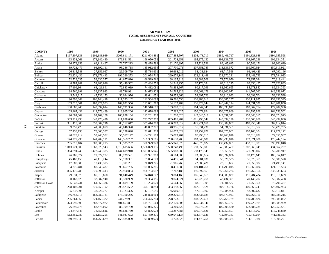#### **AD VALOREM TOTAL ASSESSMENTS FOR ALL COUNTIES CALENDAR YEAR 1998 -2006**

| <b>COUNTY</b>   | 1998          | 1999          | 2000          | 2001          | 2002          | 2003          | 2004          | 2005          | 2006          |
|-----------------|---------------|---------------|---------------|---------------|---------------|---------------|---------------|---------------|---------------|
| Adams           | \$197,307,333 | \$202,183,939 | \$205,611.171 | \$211,604,891 | \$207,485,507 | \$208,473,710 | \$189,401,717 | \$191,823,688 | \$194,955,598 |
| Alcorn          | 163,831,061   | 173,342,480   | 176,831,591   | 196,050,052   | 201,724,951   | 195,875,132   | 198,831,793   | 208, 867, 236 | 206,934,351   |
| Amite           | 66,273,356    | 69,111,467    | 72,797,213    | 79,478,599    | 82,170,897    | 85,728,536    | 89,405,645    | 90,546,171    | 93,800,629    |
| Attala          | 89,721,479    | 93,892,111    | 98,246,718    | 145,912,659   | 207,700,271   | 207,851,785   | 213,133,572   | 169,560,924   | 150,319,921   |
| Benton          | 26,315,548    | 27,859,067    | 29,309,779    | 35,734,631    | 36,664,012    | 38,433,624    | 63,717,568    | 66,498,423    | 67,090,166    |
| Bolivar         | 172,824,432   | 178,671,443   | 192,260,273   | 201,054,710   | 229,679,142   | 222,911,468   | 228,670,281   | 235,443,733   | 273,794,023   |
| Calhoun         | 52,729,035    | 53,630,377    | 64,677,810    | 66,529,960    | 68,135,318    | 69,689,508    | 72,572,050    | 72,357,024    | 70,319,441    |
| Carroll         | 48,787,981    | 52,286,026    | 55,449,562    | 62,434,556    | 64,348,255    | 67,178,284    | 69,613,245    | 69,830,497    | 75,220,833    |
| Chickasaw       | 67,106,364    | 68,421,891    | 72,843,019    | 74,482,091    | 78,898,667    | 80,317,099    | 82,660,695    | 85,971,852    | 89,934,393    |
| Choctaw         | 34,560,991    | 39,837,983    | 48,746,931    | 54,673,423    | 74,765,326    | 109,063,179   | 134,900,072   | 141,707,062   | 146,653,072   |
| Claiborne       | 45,542,817    | 47,736,173    | 50,034,976    | 49,641,651    | 56,853,666    | 58,697,723    | 56,910,083    | 56,099,704    | 58,232,598    |
| Clarke          | 90,398,342    | 106,744,418   | 111,333,142   | 111,304,698   | 120,586,530   | 126,983,612   | 136,085,237   | 136,111,925   | 139,296,345   |
| Clay            | 103,810,801   | 103,927,953   | 109,031,556   | 113,031,307   | 134,132,789   | 136,424,844   | 140,442,124   | 144,031,520   | 143,901,856   |
| Coahoma         | 138,665,946   | 143,094,614   | 146,791,386   | 148,510,677   | 163,898,619   | 164,547,345   | 166,033,617   | 169,062,714   | 177,707,986   |
| Copiah          | 105,467,432   | 112,573,489   | 118,965,206   | 142,678,698   | 147,292,025   | 150,072,924   | 156,075,869   | 161,795,898   | 164,753,502   |
| Covington       | 90,607,309    | 97,709,108    | 103,828,184   | 113,281,222   | 141,720,020   | 142,840,518   | 149,031,342   | 152,348,317   | 159,074,923   |
| DeSoto          | 583,217,993   | 643,778,426   | 711,898,660   | 773,722,277   | 835,465,287   | 1,021,798,542 | 1,143,092,178 | 1,237,566,956 | 1,345,492,086 |
| Forrest         | 331,418,306   | 353,007,716   | 380,152,617   | 385,414,290   | 406,283,812   | 425,221,656   | 435,089,657   | 469,955,340   | 502,114,014   |
| Franklin        | 39,359,420    | 41,308,079    | 46,046,320    | 48,002,277    | 48,956,517    | 51,331,230    | 54,831,561    | 56,013,552    | 59,428,735    |
| George          | 67,438,130    | 78,300,387    | 84,298,098    | 91,611,223    | 94,872,829    | 99,259,921    | 101,375,062   | 109,166,204   | 112,171,122   |
| Greene          | 40,823,714    | 53,240,502    | 55,557,172    | 64,271,119    | 65,009,704    | 67,998,715    | 69,768,818    | 70,513,992    | 72,655,907    |
| Grenada         | 144,279,235   | 141,709,191   | 143,569,782   | 161,389,595   | 208,630,708   | 163,545,608   | 165,238,818   | 173,621,906   | 176,242,194   |
| Hancock         | 255,818,104   | 303,005,295   | 338,535,792   | 370,929,928   | 425,941,376   | 441,676,622   | 439,432,861   | 453,510,783   | 398,199,048   |
| Harrison        | 1,013,721,509 | 1,068,928,543 | 1,518,615,636 | 1,556,029,135 | 1,590,748,495 | 1,590,653,803 | 1,646,583,487 | 1,707,660,749 | 1,434,667,237 |
| Hinds           | 1,364,891,240 | 1,422,245,375 | 1,444,609,910 | 1,503,065,946 | 1,595,988,680 | 1,598,176,145 | 1,612,955,569 | 1,621,990,692 | 1,659,208,917 |
| Holmes          | 76,265,074    | 79,527,702    | 83,729,591    | 89,991,990    | 90,564,883    | 93,386,614    | 100,097,836   | 99,175,645    | 103,354,017   |
| Humphreys       | 45,468,156    | 47,118,244    | 50,178,381    | 55,004,579    | 54,495,841    | 54,981,838    | 55,026,535    | 55,378,355    | 55,680,570    |
| Issaquena       | 17,588,586    | 18,435,305    | 19,391,231    | 20,049,275    | 21,965,760    | 22,583,428    | 23,013,602    | 21,858,987    | 21,495,141    |
| Itawamba        | 84,276,484    | 87, 343, 437  | 99,657,755    | 101,006,316   | 108,431,580   | 109,181,768   | 111,799,015   | 116,360,084   | 121,515,533   |
| Jackson         | 805,475,788   | 879,093,413   | 922,960,854   | 958,704,012   | 1,187,247,186 | 1,196,597,553 | 1,255,266,224 | 1,196,762,154 | 1,233,639,653 |
| Jasper          | 79,631,379    | 85,313,850    | 91,040,449    | 94,048,572    | 99,064,163    | 106,048,819   | 114,803,837   | 115,284,434   | 118,918,689   |
| Jefferson       | 30,163,626    | 32,382,940    | 35,370,999    | 38,334,156    | 39,074,621    | 41,229,758    | 43,434,391    | 49,146,207    | 50,982,458    |
| Jefferson Davis | 56,643,731    | 61,866,336    | 80,809,139    | 63,264,029    | 64,544,365    | 68,915,399    | 71,304,522    | 71,253,568    | 72,796,427    |
| Jones           | 268,103,201   | 279,650,192   | 293,523,532   | 304,138,854   | 353,198,360   | 367,918,528   | 383,814,776   | 400,863,743   | 428,407,953   |
| Kemper          | 35,637,305    | 38,026,777    | 40,123,326    | 42,107,546    | 45,969,513    | 47,212,902    | 49,984,908    | 48,807,632    | 50,810,841    |
| Lafayette       | 146,754,316   | 163,980,121   | 175,360,256   | 248,878,604   | 269,320,816   | 283,436,685   | 306,579,923   | 360,765,110   | 388, 385, 215 |
| Lamar           | 206,861,860   | 224,466,322   | 244,229,981   | 256,475,214   | 278,723,615   | 308,322,418   | 329,768,729   | 359,705,824   | 390,888,082   |
| Lauderdale      | 374,090,800   | 383,577,972   | 401,853,891   | 415,721,504   | 462,120,306   | 475,034,140   | 487,962,777   | 499,729,919   | 506,985,909   |
| Lawrence        | 76,690,675    | 82,475,092    | 83,109,739    | 91,065,225    | 93,269,629    | 96,775,325    | 100,905,560   | 122,685,785   | 120,053,571   |
| Leake           | 74,847,548    | 78,558,816    | 96,626,760    | 99,876,978    | 103,387,886   | 106,079,826   | 111,053,501   | 114,516,007   | 115,748,880   |
| Lee             | 512,852,089   | 531,159,295   | 641,937,693   | 653,459,875   | 659,041,134   | 662,874,621   | 712,894,363   | 735,749,664   | 741,681,333   |
| Leflore         | 149,796,943   | 154,763,629   | 158,485,029   | 191,839,929   | 194,728,825   | 194,470,758   | 200,588,364   | 214,319,986   | 216,908,291   |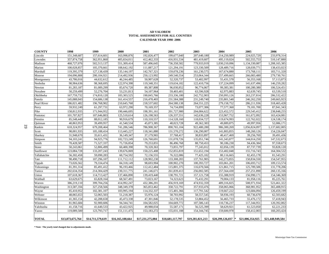#### **AD VALOREM TOTAL ASSESSMENTS FOR ALL COUNTIESCALENDAR YEAR 1998 -2006**

| <b>COUNTY</b> | 1998             | 1999             | 2000             | 2001             | 2002             | 2003             | 2004               | 2005             | 2006             |
|---------------|------------------|------------------|------------------|------------------|------------------|------------------|--------------------|------------------|------------------|
| Lincoln       | 151,348,687      | 157,614,601      | 163,998,876      | 192,826,477      | 199,677,040      | 207,640,180      | 214,250,989        | 224,025,729      | 233,978,314      |
| Lowndes       | 357,874,758      | 362,951,860      | 405,654,011      | 412,462,333      | 416,931,534      | 481,419,607      | 495,119,024        | 502,555,753      | 510,147,880      |
| Madison       | 468,727,076      | 502,513,137      | 551,309,414      | 587,496,645      | 736,358,582      | 779,933,019      | 1,030,210,096      | 1,134,330,087    | 1,208,165,385    |
| Marion        | 100,028,857      | 105,370,661      | 108,642,192      | 111,887,217      | 121,294,191      | 123,330,509      | 128,489,716        | 128,039,771      | 138,433,023      |
| Marshall      | 119,395,379      | 127,138,439      | 135, 144, 197    | 142,767,321      | 159,078,236      | 161,230,575      | 167,674,880        | 173,768,111      | 183,711,320      |
| Monroe        | 194,096,808      | 200,104,921      | 214,492,936      | 250,123,992      | 249,540,554      | 253,064,344      | 257,499,665        | 266,083,480      | 279,730,761      |
| Montgomery    | 43,786,016       | 44,632,612       | 46,244,485       | 50,907,628       | 52,320,737       | 53,402,997       | 55,431,570         | 56,353,168       | 57,113,873       |
| Neshoba       | 98,984,636       | 98,368,695       | 122,974,398      | 119,348,351      | 119,634,182      | 122,410,756      | 137,224,099        | 141,637,496      | 146,259,282      |
| Newton        | 81,283,187       | 81,089,299       | 85,674,720       | 89,387,808       | 96,030,852       | 96,774,067       | 99,383,381         | 100,280,380      | 106,524,451      |
| Noxubee       | 50,259,499       | 52,276,704       | 53,231,813       | 54, 107, 964     | 59,403,401       | 63,596,928       | 62,975,883         | 62,639,745       | 63,539,510       |
| Oktibbeha     | 167,759,732      | 174,810,120      | 183,303,525      | 190,845,766      | 233,336,180      | 242,752,903      | 250,993,126        | 263, 237, 814    | 286,532,422      |
| Panola        | 145,088,043      | 154,686,138      | 161,414,557      | 216,478,403      | 231,584,388      | 231,249,740      | 235,801,540        | 246,262,250      | 249,665,923      |
| Pearl River   | 186,021,482      | 196,768,902      | 210,645,768      | 218,537,602      | 264,580,138      | 264,551,225      | 279,158,752        | 286,211,936      | 318,465,428      |
| Perry         | 59,932,249       | 61,297,731       | 63,972,290       | 70,169,357       | 74,734,899       | 73,077,306       | 77,577,360         | 79,181,700       | 87,941,343       |
| Pike          | 158,812,935      | 171,944,952      | 190,446,695      | 198,391,161      | 201,727,980      | 204,084,622      | 223,452,572        | 229,545,412      | 238,848,255      |
| Pontotoc      | 101,707,827      | 107,646,803      | 125,510,614      | 126, 198, 563    | 126,337,551      | 142,636,228      | 153,967,752        | 161,672,092      | 163,424,081      |
| Prentiss      | 85,548,449       | 88,012,185       | 90,916,679       | 110,310,557      | 114,528,160      | 118,034,727      | 119,674,993        | 122,762,022      | 124,538,174      |
| Quitman       | 40,863,953       | 39,499,957       | 41,540,534       | 45,873,385       | 48,023,728       | 49,362,383       | 49,889,875         | 49,997,956       | 52,086,171       |
| Rankin        | 618,324,957      | 679,208,464      | 741,286,546      | 786,908,367      | 890,765,104      | 922,480,280      | 986,300,269        | 1,056,824,097    | 1,137,682,005    |
| Scott         | 98,001,935       | 105,188,414      | 113,445,227      | 118,341,880      | 131,570,272      | 136,290,007      | 141,803,855        | 148,260,126      | 154,226,047      |
| Sharkey       | 31,948,670       | 35,611,431       | 36,149,347       | 37,179,965       | 37,768,417       | 38,833,897       | 40,417,469         | 39,256,769       | 39,491,436       |
| Simpson       | 94,103,241       | 94,925,776       | 102,723,249      | 126,760,691      | 131,078,726      | 135,051,746      | 141,343,877        | 144,014,250      | 147,532,673      |
| Smith         | 70,428,587       | 71,527,337       | 75,726,854       | 79,253,855       | 86,496,768       | 88,750,453       | 90,186,230         | 94,436,384       | 97,558,673       |
| Stone         | 50,243,061       | 52,806,499       | 60,400,398       | 70,320,363       | 73,855,797       | 77,245,012       | 82,056,139         | 87,737,739       | 93,828,120       |
| Sunflower     | 123,084,728      | 133,207,243      | 139,676,069      | 150,225,408      | 152,855,819      | 151,652,194      | 153,402,048        | 155,716,743      | 164,304,532      |
| Tallahatchie  | 56,302,458       | 59,090,283       | 60,754,592       | 72,156,555       | 76,322,086       | 77,425,102       | 80,116,665         | 82,455,178       | 81,543,291       |
| Tate          | 98,490,718       | 107,296,107      | 111,712,112      | 128,902,230      | 133,308,203      | 137,761,905      | 142,273,855        | 150,834,550      | 154,547,955      |
| Tippah        | 73,026,562       | 79,334,474       | 84,318,149       | 98,693,904       | 100,902,270      | 100,393,727      | 103,061,201        | 106,693,712      | 109,153,574      |
| Tishomingo    | 81,391,314       | 85,491,412       | 96,193,466       | 112,412,484      | 115,801,375      | 116,670,566      | 121,861,715        | 125,789,506      | 131,778,206      |
| Tunica        | 202,634,354      | 214,304,429      | 230, 311, 775    | 241,146,671      | 261,839,413      | 256,002,585      | 257,564,430        | 257,251,890      | 260,135,166      |
| Union         | 107,618,367      | 114,713,427      | 137,466,890      | 139,419,440      | 138,791,721      | 157, 121, 758    | 155,388,919        | 156,990,171      | 154,346,369      |
| Walthall      | 63,629,675       | 65,828,164       | 68,567,491       | 73,023,167       | 74,323,623       | 75,432,291       | 79,004,133         | 81,958,116       | 85,225,761       |
| Warren        | 386,219,110      | 399,704,256      | 414,992,247      | 432,386,201      | 456,919,169      | 474,932,359      | 489,316,825        | 508,971,934      | 523,461,322      |
| Washington    | 313,587,356      | 327,258,566      | 348, 349, 378    | 365,853,462      | 358,722,791      | 357,933,476      | 358,065,066        | 368,981,952      | 365,408,915      |
| Wayne         | 85,410,952       | 102,381,107      | 103,995,194      | 114,332,337      | 115,401,366      | 117,791,542      | 119,667,222        | 123,684,094      | 126,459,199      |
| Webster       | 48,065,653       | 52,065,503       | 51,218,387       | 55,976,124       | 58,703,992       | 58,557,545       | 58,936,193         | 60,736,670       | 62,503,682       |
| Wilkinson     | 41,365,154       | 42,288,658       | 45,473,338       | 47,301,846       | 52,178,535       | 53,884,452       | 56,465,733         | 55,476,172       | 57,418,943       |
| Winston       | 81,965,684       | 92,900,606       | 94,344,741       | 104,582,025      | 104,669,772      | 107,586,143      | 110,736,237        | 117,344,951      | 120,392,002      |
| Yalobusha     | 41,158,716       | 41,640,533       | 43,422,925       | 49,988,034       | 55,587,171       | 56,525,399       | 58,629,921         | 61,523,050       | 62,221,233       |
| Yazoo         | 119,089,500      | 123,793,717      | 151,111,475      | 153, 183, 272    | 155,031,188      | 154,344,745      | 159,600,978        | 158,412,003      | 160,203,424      |
| <b>TOTAL</b>  | \$13,873,675,764 | \$14,711,579,619 | \$16,165,188,664 | \$17,231,275,084 | \$18,681,117,797 | \$19,281,021,213 | \$20,299,126,037 * | \$21,006,354,925 | \$21,448,949,584 |

**\* Note: The yearly total changed due to adjustments made.**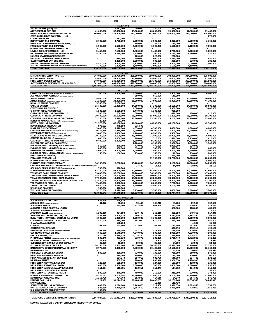#### **COMPARATIVE STATEMENT OF ASSESSMENTS - PUBLIC SERVICE & TRANSPORTATION 2000 - 2006**

| <b>COMPARATIVE STATEMENT OF ASSESSMENTS - PUBLIC SERVICE &amp; TRANSPORTATION 2000 - 2006</b>                |                           |                               |                           |                           |                           |                           |                           |
|--------------------------------------------------------------------------------------------------------------|---------------------------|-------------------------------|---------------------------|---------------------------|---------------------------|---------------------------|---------------------------|
|                                                                                                              | 2000                      | 2001                          | 2002                      | 2003                      | 2004                      | 2005                      | 2006                      |
| 360 NETWORKS (USA) INC.                                                                                      |                           | <b>TELEPHONE</b><br>1.017.000 | 240,000                   | 380,000                   | 330.000                   | 212,000                   |                           |
| <b>AT&amp;T COMMUNICATIONS</b>                                                                               | 41.600.000                | 32,000,000                    | 19,800,000                | 20,000,000                | 21,000,000                | 12.800.000                | 11,400,000                |
| BELLSOUTH TELECOMMUNICATIONS INC.<br>CENTURYTEL FIBER COMPANY II, LLC                                        | 369,000,000               | 374,500,000                   | 362,000,000               | 353,000,000               | 344,000,000               | 334,000,000               | 324,000,000<br>270,000    |
| <b>COREEXPRESS, INC.</b>                                                                                     |                           | 387.000                       |                           |                           |                           |                           |                           |
| <b>DELTA TELEPHONE COMPANY</b><br>FRANCE TELECOM LONG DISTANCE USA, LLC                                      | 2.700.000                 | 2.700.000                     | 2.700.000<br>159.000      | 3,000,000<br>159,000      | 3,000,000<br>150,000      | 3.000.000<br>54,000       | 3.160.000                 |
| <b>FRANKLIN TELEPHONE COMPANY</b>                                                                            | 5,000,000                 | 5,500,000                     | 5.500.000                 | 6,500,000                 | 6,500,000                 | 7,100,000                 | 7.600.000                 |
| <b>GLOBAL ONE COMMUNICATIONS, INC.</b><br>LEVEL 3 COMMUNICATIONS, INC.                                       | 2,460,000                 | 96,000<br>7,100,000           | 6,800,000                 | 5,400,000                 | 4,700,000                 | 4,200,000                 | 5,820,000                 |
| MCI WORLDCOM NETWORK SERVICES, INC.                                                                          | 5,160,000                 | 5,220,000                     | 2,520,000                 | 2,100,000                 | 2,750,000                 | 3,460,000                 | 2,530,000                 |
| <b>MCLEOD USA NETWORK SERVICES</b><br><b>NETWORK TELEPHONE CORPORATION</b>                                   |                           |                               | 400,000                   | 220,000<br>900.000        | 220,000<br>1.240.000      | 900.000                   |                           |
| QWEST COMMUNICATIONS, INC.                                                                                   |                           | 630,000<br>2.200.000          | 900,000<br>1,300,000      | 600,000                   | 380.000                   | 320.000                   | 950,000<br>380.000        |
| SPRINT COMMUNICATIONS COMPANY<br><b>WILTEL COMMUNICATIONS</b> (WILLIAMS NETWORK) (NETWORK SERVICES)          | 4,870,000                 | 4,600,000                     | 4.310.000                 | 3.600.000                 | 3,500,000                 | 2,000,000                 | 2,000,000                 |
| <b>TOTAL TELEPHONE</b>                                                                                       | 4,170,000<br>434,960,000  | 5,800,000<br>441,750,000      | 5,400,000<br>412,029,000  | 3,000,000<br>398,859,000  | 5,100,000<br>392,870,000  | 4,100,000<br>372,146,000  | 358,110,000               |
|                                                                                                              |                           | <b>ELECTRIC</b>               |                           |                           |                           |                           |                           |
| ENTERGY MISSISSIPPI, INC. (MP&L)                                                                             | 247,000,000               | 254,700,000                   | 265,800,000               | 280,000,000               | 304,000,000               | 324,800,000               | 325,600,000               |
| <b>GULF POWER COMPANY</b><br>MISSISSIPPI POWER COMPANY                                                       | 35,900,000<br>240,000,000 | 34,300,000<br>249,000,000     | 34,300,000<br>347,000,000 | 35,400,000<br>353,300,000 | 36,000,000<br>359,000,000 | 36,300,000<br>363,000,000 | 37,500,000<br>361,500,000 |
| SYSTEM ENERGY RESOURCES (GRAND GULF)                                                                         | 661,000,000               | 607,000,000                   | 620,000,000               | 600,000,000               | 590,000,000               | 580,000,000               | 560,000,000               |
| <b>TOTAL ELECTRIC</b>                                                                                        | 1,183,900,000             | 1,145,000,000                 | 1,267,100,000             | 1,268,700,000             | 1,289,000,000             | 1,304,100,000             | 1,284,600,000             |
|                                                                                                              |                           | OIL & GAS                     |                           |                           |                           |                           |                           |
| <b>CROSSTEX ENERGY (AIM PIPELINE) (MISSISSIPPI FUEL)</b><br>ALL AMERICAN PIPELINE LP (SCURLOCK PERMIAN)      | 7,500,000                 | 7,500,000                     | 7,500,000<br>680,000      | 7,500,000<br>660,000      | 7,500,000<br>610,000      | 7,300,000                 | 8,000,000                 |
| <b>ANR PIPELINE COMPANY</b>                                                                                  | 9,900,000                 | 9.530.000                     | 9,200,000                 | 11,300,000                | 11,300,000                | 10,400,000                | 10,800,000                |
| ATMOS ENERGY (MISSISSIPPI VALLEY GAS CO)                                                                     | 31,200,000<br>5.300.000   | 32,300,000                    | 36,000,000                | 37,000,000                | 40,300,000                | 42,600,000                | 44,100,000                |
| <b>B P OIL PIPELINE COMPANY</b><br><b>CAPLINE SYSTEM</b>                                                     | 15,700,000                | 7.100.000<br>15,300,000       | 14,800,000                | 14,300,000                | 14,100,000                | 14,700,000                | 18,800,000                |
| <b>CENTENNIAL PIPELINE LLC</b>                                                                               |                           |                               | 6.600.000                 | 5,700,000                 | 5,300,000                 | 5,400,000                 | 5.600.000                 |
| <b>CHEVRON PIPELINE COMPANY</b><br>CHUNCHULA PIPELINE COMPANY LLC                                            | 1,500,000<br>700.000      | 1,500,000<br>700,000          | 1,440,000<br>600,000      | 1,300,000<br>510,000      | 900,000<br>420,000        | 420,000                   | 420,000                   |
| <b>COLONIAL PIPELINE COMPANY</b>                                                                             | 19,400,000                | 20,100,000                    | 56.000.000                | 55,000,000                | 56,400,000                | 58,000,000                | 58,200,000                |
| <b>COLUMBIA GULF TRANSMISSION COMPANY</b><br><b>DENBURY MANAGEMENT. INC. (AMERADA HESS E&amp;P)</b>          | 11,100,000<br>20,200      | 11,520,000<br>20,200          | 13,800,000                | 13,700,000                | 14,100,000                | 13,700,000                | 13,400,000                |
| DESTIN PIPELINE COMPANY                                                                                      | 52,575,000                | 47,100,000                    | 46,600,000                | 46,200,000                | 43.100.000                | 40.000.000                | 42,700,000                |
| DEVON ENERGY PRODUCTION                                                                                      | 975.593                   | 975.593                       | 975,593                   |                           |                           |                           |                           |
| DIXIE PIPELINE COMPANY<br><b>CENTERPOINT ENERGY ENTEX (RELIANT ENERGY ENTEX)</b>                             | 3.690.000<br>10,314,250   | 3.870.000<br>10,214,400       | 4,530,000<br>9,900,000    | 4,500,000<br>10,100,000   | 4,400,000<br>10,400,000   | 4,300,000<br>10,900,000   | 4,000,000<br>11,100,000   |
| EOTT ENERGY PIPELINE (HESS PIPELINE)                                                                         | 5,000,000                 | 5,400,000                     | 6,700,000                 | 8,200,000                 | 9,500,000                 |                           |                           |
| <b>FLORIDA GAS TRANSMISSION COMPANY</b><br><b>GENESIS CRUDE OIL LP (EXXON PIPELINE)</b>                      | 19,100,000<br>1,000,000   | 19,100,000<br>1,000,000       | 19,700,000<br>900,000     | 21,400,000<br>720,000     | 21,900,000<br>690,000     | 25,600,000<br>1,250,000   | 26,000,000<br>1,610,000   |
| <b>GULF SOUTH PIPELINE COMPANY (KOCH GATEWAY)</b>                                                            | 9,400,000                 | 8,800,000                     | 8,600,000                 | 9,200,000                 | 9,300,000                 | 14,000,000                | 16,800,000                |
| <b>GULFSTREAM NATURAL GAS SYSTEM</b>                                                                         |                           |                               | 2,200,000                 | 6,900,000                 | 6,900,000                 | 7,900,000                 | 9,700,000                 |
| <b>ENBRIDGE PIPELINES (MS) (MAGNOLIA RESOURCES)</b><br><b>ENBRIDGE PIPELINES (MIDLA)</b> (MID LOUISIANA GAS) | 510,000<br>800,000        | 470,000<br>930,000            | 470,000<br>590,000        | 470,000<br>500,000        | 2,000,000<br>590,000      | 830,000<br>490,000        | 660,000                   |
| MID VALLEY PIPELINE COMPANY                                                                                  | 4,000,000                 | 3,700,000                     | 3,200,000                 | 3,400,000                 | 3,400,000                 | 3,400,000                 | 3,300,000                 |
| <b>ENBRIDGE PIPELINES (ALATENN) (MIDCOAST TRANSMISSION)</b><br>MISSISSIPPI RIVER GAS, LLC                    | 150,000                   | 150,000                       | 130,000                   | 160,000<br>330,000        | 170,000<br>350,000        | 210,000<br>290,000        | 200,000<br>316,000        |
| PETAL GAS STORAGE, LLC                                                                                       |                           |                               |                           | 19,900,000                | 24,700,000                | 22,200,000                | 20,600,000                |
| PLAINS PIPELINE (ALL AMERICAN / LINK ENERGY)<br>PLANTATION PIPELINE COMPANY                                  | 14,100,000                | 16,200,000                    | 15,700,000                | 14,900,000                | 14,100,000                | 5,700,000<br>14,900,000   | 5,500,000<br>14,250,000   |
| <b>CENTERPOINT ENERGY TRANSMISSION (RELIANT ENERGY TRANSMISSION) (ARKLA)</b>                                 |                           |                               | 14,400                    | 14,400                    | 14,400                    | 18,000                    | 22,500                    |
| <b>SCURLOCK PERMIAN PIPELINE (ASHLAND PIPELINE)</b>                                                          | 700,000                   | 820,000                       |                           |                           |                           |                           |                           |
| SOUTHERN NATURAL GAS COMPANY<br>TENNESSEE GAS PIPELINE COMPANY                                               | 63,280,000<br>33,000,000  | 58,500,000<br>36,200,000      | 62,500,000<br>37,700,000  | 64,800,000<br>36,900,000  | 77,700,000<br>41,700,000  | 82,000,000<br>44,000,000  | 82,600,000<br>47,600,000  |
| TEXAS EASTERN TRANSMISSION CORPORATION                                                                       | 34,800,000                | 36,500,000                    | 29,200,000                | 30,000,000                | 33,400,000                | 37,700,000                | 40,000,000                |
| <b>TEXAS GAS TRANSMISSION CORPORATION</b><br>TRANSCONTINENTAL GAS PIPELINE CORPORATION                       | 17,500,000<br>33,400,000  | 19,300,000<br>35,300,000      | 19,600,000<br>34,000,000  | 22.800.000<br>34,900,000  | 24,000,000<br>37,700,000  | 24,100,000<br>38,700,000  | 23,200,000<br>42,200,000  |
| TRI-STATES NGL PIPELINE, LLC                                                                                 | 7,400,000                 | 8.000.000                     | 7.700.000                 | 8,000,000                 | 7,700,000                 | 7,700,000                 | 7,600,000                 |
| TRUNKLINE GAS COMPANY                                                                                        | 6,420,000                 | 6,030,000                     | 5,200,000                 | 5,800,000                 | 6.700.000                 | 6,900,000                 | 6,700,000                 |
| <b>UNION GAS COMPANY</b><br><b>WILLMUT GAS &amp; OIL COMPANY</b>                                             | 330,000<br>3,170,000      | 340,000<br>3,070,000          | 3,110,000                 | 3,300,000                 | 3,400,000                 | 3,300,000                 | 3,200,000                 |
| <b>TOTAL OIL &amp; GAS</b>                                                                                   | 423,935,043               | 427,540,193                   | 465,839,993               | 500,364,400               | 534,744,400               | 548,908,000               | 569,178,500               |
|                                                                                                              |                           | <b>TRANSPORTATION</b>         |                           |                           |                           |                           |                           |
| <b>AIR WISCONSIN AIRLINES</b>                                                                                | 634.690                   | 528.630                       |                           |                           |                           |                           |                           |
| <b>ABX AIR, INC. (AIRBORNE EXPRESS)</b><br><b>AIRTRAN AIRWAYS</b>                                            | 81,370                    | 86,230<br>265,400             | 92,440<br>622,808         | 106,210<br>1,047,940      | 69,200<br>257,050         | 69,530<br>526,460         | 102,600<br>423,250        |
| <b>ALABAMA &amp; GULF COAST RAILROAD</b>                                                                     |                           |                               |                           |                           | 380,000                   | 488,000                   | 485,000                   |
| <b>ALABAMA SOUTHERN RAILROAD</b><br><b>AMERICAN EAGLE (AMERICAN AIRLINES)</b>                                | 1.206.160                 | 984,190                       | 630,490                   | 365.810                   | 409,050                   | 549,760                   | 1,800<br>617,840          |
| ATLANTIC SOUTHEAST AIRLINE, INC.                                                                             | 2,852,360                 | 1,509,170                     | 999,370                   | 2,193,510                 | 2,331,130                 | 1,868,360                 | 2,767,740                 |
| BURLINGTON NORTHERN SANTA FE RAILROAD<br><b>COLUMBUS &amp; GREENVILLE RAILWAY</b>                            | 6,000,000<br>870,000      | 6,200,000<br>780,000          | 6,360,000                 | 6,300,000                 | 6,400,000                 | 6,300,000<br>540.000      | 6,600,000                 |
| <b>CHAUTAUQUA AIRLINES</b>                                                                                   |                           | 180,750                       | 597,000                   | 610,000                   | 540,000                   | 4,130                     | 550,000<br>66.900         |
| <b>COMAIR</b>                                                                                                | 261,830                   | 263,660                       | 513,680                   | 744,570                   | 743,380                   | 502,460                   | 341,770                   |
| <b>CONTINENTAL AIRLINES</b><br><b>EXPRESS JET AIRLINES (CONTINENTAL EXPRESS)</b>                             | 207,910                   | 220,790                       | 452,160                   | 313,940                   | 537,470<br>748,930        | 490,310<br>779,960        | 499,150<br>884,150        |
| <b>CSX TRANSPORTATION. INC.</b>                                                                              | 4,640,000                 | 4,640,000                     | 4,840,000                 | 4.500.000                 | 4.980.000                 | 4.910.000                 | 4,900,000                 |
| DELTA AIRLINES, INC.<br>PINNACLE AIRLINES (NORTHWEST AIRLINK / EXPRESS AIRLINES I)                           | 1,410,060<br>936,140      | 1,289,130<br>921,030          | 1,025,330<br>979,070      | 1,526,030<br>285.200      | 865,850<br>1,726,440      | 1,424,870<br>1,712,840    | 941,030<br>768,280        |
| FEDERAL EXPRESS CORPORATION                                                                                  | 34.220                    | 1,570                         | 1,370                     | 1,900                     | 2,020                     | 670                       | 2,510                     |
| <b>GLOSTER SOUTHERN RAILROAD COMPANY</b>                                                                     | 35,000                    | 48,000                        | 89,000                    | 86,000                    | 84,000                    | 23.000                    | 23,000                    |
| ILLINOIS CENTRAL - GULF R.R.<br>KANSAS CITY SOUTHERN RAILWAY COMPANY                                         | 24,156,000<br>8,770,000   | 26,352,000<br>9,300,000       | 28,550,000<br>9,900,000   | 30,740,000<br>10,400,000  | 32,940,000<br>12,600,000  | 35,140,000<br>13,900,000  | 37,330,000<br>12,350,000  |
| MARTINAIRE, INC.                                                                                             |                           |                               |                           | 53,210                    | 55,720                    | 70,640                    | 45,510                    |
| <b>MERIDIAN &amp; BIGBEE RAILROAD</b><br>MERIDIAN SOUTHERN RAILROAD                                          | 930,000                   | 860,000<br>210,000            | 730,000<br>140,000        | 730,000<br>140.000        | 730,000<br>135,000        | 560,000<br>120.000        | 570.000<br>100.000        |
| MESA AIRLINES (U.S. AIR EXPRESS)                                                                             |                           | 164,340                       | 897,010                   | 680,730                   | 646,760                   | 624,440                   | 532,100                   |
| <b>MESABA AIRLINES</b><br>MISSISSIPPI CENTRAL RAILROAD                                                       | 120,000                   | 552,850<br>128,000            | 900,490                   | 1,895,940                 | 1,906,350                 | 2,128,900                 | 1,137,130                 |
| MISSISSIPPI EXPORT RAILROAD                                                                                  | 1,800,000                 | 1,800,000                     | 120,000<br>1,800,000      | 127,000<br>1,700,000      | 127,000<br>1,600,000      | 128,000<br>1,800,000      | 135,000<br>2,050,000      |
| MISSISSIPPI & SKUNA VALLEY RAILROAD                                                                          | 111,964                   | 110,381                       | 113,611                   | 113,347                   | 114,063                   | 114,000                   | 115,000                   |
| MISSISSIPPI SOUTHERN RAILROAD<br>MISSISSIPPI & TENNESSEE RAILNET                                             | 500,000                   | 470,000                       | 400,000                   | 360,000                   | 310,000                   | 210,000                   | 57,000<br>174,000         |
| <b>NORFOLK SOUTHERN CORPORATION</b>                                                                          | 14,325,062                | 13,100,092                    | 12,700,000                | 12,800,000                | 13,700,000                | 15,100,000                | 17,000,000                |
| <b>NORTHWEST AIRLINES, INC.</b><br>PRIVATE CAR LINES                                                         | 1,263,790<br>31,124,102   | 704,760<br>31,274,838         | 583,940<br>30,408,949     | 417,510<br>28,690,253     | 84,040<br>30,261,164      | 264,730<br>29,836,568     | 576,780<br>30,860,945     |
| SKYWEST, INC.                                                                                                |                           |                               |                           | 10,450                    | 119,430                   |                           |                           |
| SOUTHWEST AIRLINES COMPANY<br>UNITED PARCEL SERVICE COMPANY                                                  | 1,093,500<br>1,525,880    | 1,296,660                     | 1,165,670                 | 1,222,480                 | 1,390,030                 | 1,329,950                 | 1,359,750                 |
| U.S. AIR EXPRESS (AIR MIDWEST)                                                                               | 152,580                   | 1,380,640                     | 1,367,550                 | 1,421,100                 | 1,320,150                 | 718,950                   | 1,056,760                 |
| <b>TOTAL TRANSPORTATION</b>                                                                                  | 105,042,618               | 105,623,111                   | 106,979,938               | 109,583,130               | 118,114,227               | 122,236,528               | 125,424,995               |

**TOTAL PUBLIC SERVICE & TRANSPORTATION 2,147,837,661 2,119,913,304 2,251,948,931 2,277,506,530 2,334,728,627 2,347,390,528 2,337,313,495**

**SOURCE: VALUATION & EXEMPTION BUREAU, PROPERTY TAX BUREAU**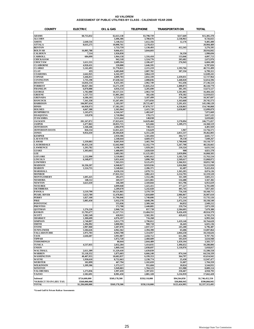#### **ASSESSMENT OF PUBLIC UTILITIES BY CLASS - CALENDAR YEAR 2006 AD VALOREM**

| <b>COUNTY</b>                           | <b>ELECTRIC</b>                  | <b>OIL &amp; GAS</b>    | <b>TELEPHONE</b>       | TRANSPORTATION                | <b>TOTAL</b>                     |
|-----------------------------------------|----------------------------------|-------------------------|------------------------|-------------------------------|----------------------------------|
|                                         |                                  |                         |                        |                               |                                  |
| <b>ADAMS</b>                            | \$8,755,832                      | \$2,613,138             | \$3,798,739            | \$217,669                     | \$15,385,378                     |
| <b>ALCORN</b><br><b>AMITE</b>           | 2,640,516                        | 3,406,386<br>5,140,352  | 3,780,676<br>1,612,356 | 2,538,963<br>12,176           | 9,726,025<br>9,405,400           |
| <b>ATTALA</b>                           | 8,635,275                        | 10,090,761              | 2,178,453              |                               | 20,904,489                       |
| <b>BENTON</b>                           |                                  | 1,733,759               | 1,130,493              | 412,343                       | 3,276,595                        |
| <b>BOLIVAR</b>                          | 16,005,788                       | 9,066,451               | 3,844,603              |                               | 28,916,842                       |
| <b>CALHOUN</b>                          | 7,514                            | 1,926,830               |                        | 56,350                        | 1.990.694                        |
| <b>CARROLL</b>                          | 684,099                          | 1,964,158               | 1,316,410              | 133,046                       | 4,097,713                        |
| <b>CHICKASAW</b>                        |                                  | 942,518                 | 1,524,776              | 205,682                       | 2,672,976                        |
| <b>CHOCTAW</b>                          | 1,611,555                        | 2,689,264               | 2,106,427              | 276,943                       | 6,684,189                        |
| <b>CLAIBORNE</b><br><b>CLARKE</b>       | 4,920,431<br>5,142,493           | 220,800<br>31,770,021   | 1,646,595<br>2,215,219 | 1,593,766                     | 6,787,826<br>40,721,499          |
| <b>CLAY</b>                             | 435                              | 4,483,840               | 2,007,702              | 307,334                       | 6,799,311                        |
| <b>COAHOMA</b>                          | 2,642,925                        | 6,342,197               | 3,064,119              |                               | 12,049,241                       |
| <b>COPIAH</b>                           | 3,446,811                        | 4,009,783               | 2,832,339              | 2,439,031                     | 12,727,964                       |
| <b>COVINGTON</b>                        | 1,735,198                        | 47,630,542              | 2,008,836              | 1,440,020                     | 52,814,596                       |
| <b>DESOTO</b>                           | 14,816,154                       | 8,455,185               | 2,962,749              | 912,436                       | 27.146.524                       |
| <b>FORREST</b>                          | 18,027,384                       | 14,271,259              | 11,845,254             | 2.400.873                     | 46,544,770                       |
| <b>FRANKLIN</b>                         | 6,070,088                        | 4,016,154               | 3,205,690              | 381,195                       | 13,673,127                       |
| <b>GEORGE</b>                           | 1,782,080                        | 10,157,531              | 2,963,710              | 1,581,005                     | 16,484,326                       |
| <b>GREENE</b><br><b>GRENADA</b>         | 1,137,753<br>4,186,103           | 11,001,284<br>2,723,855 | 302,436<br>3,187,499   | 478,182<br>270,240            | 12,919,655<br>10,367,697         |
| <b>HANCOCK</b>                          | 7,341,358                        | 15,267,491              | 5,973,056              | 1,163,668                     | 29,745,573                       |
| <b>HARRISON</b>                         | 104,997,634                      | 5,183,597               | 29,725,467             | 5,291,431                     | 145,198,129                      |
| <b>HINDS</b>                            | 64,958,973                       | 17,582,295              | 67,870,737             | 4,328,863                     | 154,740,868                      |
| <b>HOLMES</b>                           | 4,667,388                        | 2,365,964               | 2,415,720              | 2,650,007                     | 12,099,079                       |
| <b>HUMPHREYS</b>                        | 1,245,675                        | 4,344,347               | 1,482,647              |                               | 7,072,669                        |
| <b>ISSAQUENA</b>                        | 119,970                          | 2,718.984               | 178,171                |                               | 3,017,125                        |
| <b>ITAWAMBA</b>                         |                                  | 3,511,644               | 148.038                |                               | 3,659,682                        |
| <b>JACKSON</b>                          | 201,347,872                      | 27,823,631              | 14,029,460             | 3,570,094                     | 246,771,057                      |
| <b>JASPER</b>                           | 2,477,863                        | 20,055,715              | 625,666                | 1,209,275                     | 24,368,519                       |
| <b>JEFFERSON</b>                        | 1,568,446                        | 2,084,970               | 748,513                |                               | 4,401,929                        |
| <b>JEFFERSON DAVIS</b><br><b>JONES</b>  | 826,554                          | 12.811.421              | 116,629                | 1,967                         | 13,756,571                       |
| <b>KEMPER</b>                           | 9,954,410                        | 20,304,828<br>2,959,306 | 6,351,228<br>1,501,694 | 2,851,537<br>384,717          | 39,462,003<br>4,845,717          |
| <b>LAFAYETTE</b>                        |                                  | 2,340,644               | 4.669.473              | 39,150                        | 7,049,267                        |
| <b>LAMAR</b>                            | 5,339,083                        | 8,605,910               | 3,465,704              | 1,700,040                     | 19,110,737                       |
| <b>LAUDERDALE</b>                       | 18,453,218                       | 12,642,960              | 12,162,779             | 5,267,708                     | 48,526,665                       |
| <b>LAWRENCE</b>                         | 1,293,782                        | 3,198,129               | 1,929,281              | 210,324                       | 6,631,516                        |
| <b>LEAKE</b>                            | 1,303,663                        | 1,488,095               | 2,028,920              | 900                           | 4,821,578                        |
| <b>LEE</b>                              |                                  | 3,683,502               | 11,125,185             | 2,059,896                     | 16,868,583                       |
| <b>LEFLORE</b>                          | 2,132,990                        | 3,539,803               | 6,905,012              | 3,185,729                     | 15,763,534                       |
| <b>LINCOLN</b>                          | 6,348,077                        | 3,051,610               | 3,898,768              | 2,569,617                     | 15,868,072                       |
| <b>LOWNDES</b>                          |                                  | 7,363,355               | 9,125,472              | 2,366,921                     | 18,855,748                       |
| <b>MADISON</b>                          | 16,336,207                       | 6,940,827               | 8,919,936              | 1,016,960                     | 33,213,930                       |
| <b>MARION</b><br><b>MARSHALL</b>        | 1,524,755                        | 5,548,841<br>4,630,216  | 2,286,371<br>2,078,715 | 62,487<br>1,365,205           | 9,422,454<br>8,074,136           |
| <b>MONROE</b>                           |                                  | 27,022,312              | 3,082,413              | 2,214,795                     | 32,319,520                       |
| <b>MONTGOMERY</b>                       | 1,605,425                        | 284,471                 | 1,552,206              | 161,109                       | 3,603,211                        |
| <b>NESHOBA</b>                          | 148,512                          | 269,317                 | 2,615,065              | 534,488                       | 3,567,382                        |
| <b>NEWTON</b>                           | 3,621,610                        | 346,369                 | 2,169,844              | 815,796                       | 6,953,619                        |
| <b>NOXUBEE</b>                          |                                  | 4,899,048               | 1,425,415              | 377,227                       | 6,701,690                        |
| <b>OKTIBBEHA</b>                        |                                  | 2,209,670               | 5,242,028              | 405,745                       | 7.857.443                        |
| <b>PANOLA</b>                           | 3,519,799                        | 10,521,865              | 3,370,729              | 756,318                       | 18.168.711                       |
| <b>PEARL RIVER</b>                      | 5,623,789                        | 12,478,865              | 5,818,889              | 2.986.067                     | 26,907,610                       |
| <b>PERRY</b>                            | 1,827,160<br>5,085,450           | 11,796,046              | 1,740,606              | 371,314                       | 15,735,126<br>18.338.540         |
| <b>PIKE</b><br><b>PONTOTOC</b>          |                                  | 5,932,578<br>555,036    | 4,848,296<br>2,309,344 | 2,472,216                     | 2.949.212                        |
| <b>PRENTISS</b>                         |                                  | 172,700                 | 2,440,885              | 84,832<br>259,754             | 2.873.339                        |
| <b>OUITMAN</b>                          | 1,276,220                        | 2,960,726               | 857,739                | 2,584,695                     | 7.679.380                        |
| <b>RANKIN</b>                           | 15,795,677                       | 11,217,711              | 13,484,552             | 9,426,439                     | 49,924,379                       |
| <b>SCOTT</b>                            | 3,382,549                        | 428,921                 | 2,502,391              | 429,413                       | 6,743,274                        |
| <b>SHARKEY</b>                          | 1,300,699                        | 4,976,197               | 716,268                |                               | 6,993,164                        |
| <b>SIMPSON</b>                          | 2,740.897                        | 3,813,779               | 2,790,812              | 1.419.140                     | 10,764,628                       |
| <b>SMITH</b>                            | 1,296,992                        | 3,800,981               | 900,718                | 26,445                        | 6,025,136                        |
| <b>STONE</b>                            | 2,907,060                        | 1,607,070               | 2,037,157              | 245,200                       | 6,796,487                        |
| <b>SUNFLOWER</b><br><b>TALLAHATCHIE</b> | 5,584,626                        | 4,962,362               | 2,394,390              | 65,686                        | 13,007,064                       |
| <b>TATE</b>                             | 1,975,703<br>2,646,687           | 4,963,708<br>3,991,087  | 1,314,957<br>2,458,712 | 2,064,258<br>611,306          | 10,318,626<br>9,707,792          |
| ТІРРАН                                  |                                  | 1,072,720               | 2,460,609              | 101,619                       | 3,634,948                        |
| <b>TISHOMINGO</b>                       |                                  | 80,044                  | 2,044,489              | 1,459,194                     | 3,583,727                        |
| <b>TUNICA</b>                           | 4,537,835                        | 2,832,284               | 1,414,035              | 1.496.652                     | 10,280,806                       |
| <b>UNION</b>                            |                                  | 1,869,144               | 2,038,697              | 1,110,976                     | 5,018,817                        |
| <b>WALTHALL</b>                         | 2,611,309                        | 11,329,410              | 1,639,839              |                               | 15,580,558                       |
| <b>WARREN</b>                           | 55.118.352                       | 1,875,603               | 6,666,240              | 874,144                       | 64,534,339                       |
| WASHINGTON                              | 40,407,955                       | 18,682,837              | 6,199,353              | 364,797                       | 65,654,942                       |
| <b>WAYNE</b>                            | 1,930,610                        | 8,752,663               | 2,238,774              | 25,430                        | 12,947,477                       |
| <b>WEBSTER</b>                          | 102,899                          | 467,794                 | 1,102,659              | 31,007                        | 1,704,359                        |
| <b>WILKINSON</b><br><b>WINSTON</b>      | 1,209,306                        | 1,373,117<br>5,949,003  | 951,684<br>1,704,123   | 10,824<br>355,988             | 3,544,931<br>8,009,114           |
| <b>YALOBUSHA</b>                        | 1,273,836                        | 1,997,459               | 1,397,031              | 250,467                       | 4,918,793                        |
| <b>YAZOO</b>                            | 2,582,691                        | 8,981,450               | 2,881,328              | 3,216,959                     | 17,662,428                       |
|                                         |                                  |                         |                        |                               |                                  |
| <b>Subtotal</b>                         | \$724,600,000                    | \$569,178,500           | \$358,110,000          | \$94,564,050                  | \$1,746,452,550                  |
| *SUBJECT TO IN LIEU TAX<br><b>TOTAL</b> | \$560,000,000<br>\$1,284,600,000 | \$569,178,500           | \$358,110,000          | \$30,860,945<br>\$125,424,995 | \$590,860,945<br>\$2,337,313,495 |
|                                         |                                  |                         |                        |                               |                                  |

**\*Grand Gulf & Private Railcar Assessments**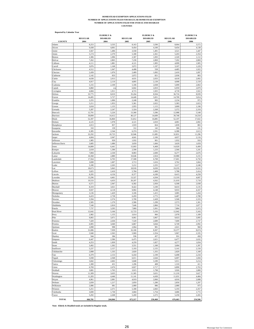### **COUNTIES HOMESTEAD EXEMPTION APPLICATIONS FILED NUMBER OF APPLICATIONS FILED FOR REGULAR HOMESTEAD EXEMPTION NUMBER OF APPLICATIONS FILED FOR OVER 65 AND DISABLED**

| 8,253<br>3,535<br>8,163<br>3,590<br>Adams<br>9,438<br>4,100<br>4,001<br>9,454<br>Alcorn<br>1,491<br>Amite<br>3,567<br>1,496<br>3,558<br>2,379<br>2,361<br>Attala<br>5,174<br>5,180<br>2,307<br>2,306<br>1,096<br>1,093<br>Benton<br>7,230<br>2,869<br>7,262<br>2,865<br>Bolivar<br>4,111<br>1,905<br>1,881<br>4,121<br>Calhoun<br>3,076<br>1,197<br>1,168<br>3,072<br>Carroll<br>4,512<br>1,947<br>4,498<br>558<br>Chickasaw<br>2,439<br>1,076<br>2,409<br>1,092<br>Choctaw<br>833<br>2,072<br>821<br>Claiborne<br>2,142<br>4,638<br>2,013<br>4,631<br>2,033<br>Clarke<br>4,917<br>4,895<br>2,139<br>Clay<br>2,119<br>5,155<br>2,109<br>5,106<br>2,038<br>Coahoma<br>6,842<br>Copiah<br>6,860<br>2,810<br>$n$ /<br>4,684<br>1,911<br>4,715<br>1,925<br>Covington<br>33,775<br>DeSoto<br>8,019<br>35,264<br>8,504<br>Forrest<br>14,495<br>5,727<br>14,449<br>5,831<br>Franklin<br>2,255<br>1,006<br>2,248<br>983<br>George<br>5,211<br>1,953<br>5,361<br>2,022<br>Greene<br>3,018<br>1,155<br>2,955<br>1,115<br>Grenada<br>5,287<br>2,247<br>5,324<br>2,268<br>12,791<br>5,226<br>13,360<br>5,586<br>Hancock<br>Harrison<br>39,899<br>14,412<br>40,127<br>14,609<br>52,397<br>16,860<br>51,812<br>16,885<br>Hinds<br>1,978<br>2,010<br>Holmes<br>4,125<br>4,121<br>1,919<br>2,013<br>857<br>824<br>Humphreys<br>310<br>139<br>312<br>142<br>Issaquena<br>6,385<br>2,544<br>6,374<br>2,591<br>Itawamba<br>32,292<br>10,725<br>32,946<br>11,085<br>Jackson<br>4,604<br>4,641<br>2,106<br>2,047<br>Jasper<br>1,985<br>929<br>901<br>1,932<br>Jefferson<br>Jefferson Davis<br>3,685<br>1,686<br>3,659<br>1,666<br>14,889<br>6,441<br>15,003<br>6,468<br>Jones<br>1,390<br>2,590<br>1,233<br>2,618<br>Kemper<br>7,804<br>2,530<br>8,083<br>2,600<br>Lafayette<br>10,368<br>10,646<br>2,924<br>2,880<br>Lamar<br>17,564<br>17,588<br>17,601<br>Lauderdale<br>6,703<br>6,708<br>3,698<br>1,607<br>3,713<br>1,616<br>Lawrence<br>5,180<br>Leake<br>2,265<br>5,212<br>2,255<br>18,918<br>6,030<br>19,235<br>18,673<br>5,843<br>Lee<br>2,408<br>Leflore<br>5,825<br>2,410<br>5,784<br>8,295<br>4,156<br>8,377<br>4,189<br>Lincoln<br>13,296<br>4,461<br>13,327<br>4,504<br>Lowndes<br>Madison<br>19,533<br>4,433<br>20,207<br>4,562<br>Marion<br>6,571<br>2,947<br>6,582<br>2,950<br>8,422<br>Marshall<br>8,319<br>3,021<br>3,100<br>9,937<br>4,118<br>9,902<br>4,148<br>Monroe<br>3,136<br>1,429<br>3,106<br>1,415<br>Montgomery<br>6,419<br>2,738<br>6,459<br>2,772<br>Neshoba<br>5,594<br>5,700<br>2,428<br>2,374<br>Newton<br>1,270<br>1,299<br>2,585<br>2,586<br>Noxubee<br>Oktibbeha<br>7,540<br>2,810<br>7,646<br>2,866<br>3,295<br>7,737<br>7,860<br>3,361<br>Panola<br>12,642<br>5,166<br>12,723<br>5,193<br>Pearl River<br>2,982<br>1,155<br>3,014<br>966<br>Perry<br>Pike<br>9,065<br>3,971<br>9,061<br>3,967<br>7,420<br>7,520<br>Pontotoc<br>2,636<br>2,689<br>6,905<br>3,040<br>6,867<br>3,044<br>Prentiss<br>2,098<br>998<br>2,064<br>981<br>Quitman<br>31,086<br>7,939<br>32,160<br>8,307<br>Rankin<br>5,940<br>2,363<br>5,969<br>2,354<br>Scott<br>944<br>384<br>936<br>457<br>Sharkey<br>6,447<br>2,586<br>6,475<br>2,621<br>Simpson<br>4,253<br>1,830<br>4,259<br>1,827<br>Smith<br>3,492<br>1,302<br>3,551<br>1,349<br>Stone<br>5,237<br>5,193<br>2,155<br>Sunflower<br>2,157<br>Tallahatchie<br>2,808<br>1,335<br>2,820<br>1,355<br>2,199<br>Tate<br>6,379<br>2,153<br>6,434<br>6,011<br>Tippah<br>5,938<br>2,568<br>2,644<br>5,848<br>3,189<br>Tishomingo<br>5,842<br>2,602<br>1,300<br>431<br>1,296<br>408<br>Tunica<br>Union<br>6,769<br>2,676<br>6,827<br>2,717<br>3,915<br>Walthall<br>3,881<br>1,765<br>1,798<br>11,309<br>Warren<br>3,635<br>11,365<br>3,631<br>11,283<br>4,446<br>11,141<br>4,430<br>Washington<br>4,919<br>4,961<br>2,081<br>2,066<br>Wayne<br>Webster<br>1,217<br>2,859<br>1,280<br>2,839<br>Wilkinson<br>2,086<br>981<br>2,089<br>986<br>5,251<br>2,371<br>5,180<br>2,843<br>Winston | <b>Reported by Calendar Year</b><br><b>COUNTY</b> | <b>REGULAR</b><br>2004 | <b>ELDERLY &amp;</b><br><b>DISABLED</b><br>2004 | <b>REGULAR</b><br>2005 | <b>ELDERLY &amp;</b><br><b>DISABLED</b><br>2005 | <b>REGULAR</b><br>2006 | <b>ELDERLY &amp;</b><br><b>DISABLED</b><br>2006 |
|---------------------------------------------------------------------------------------------------------------------------------------------------------------------------------------------------------------------------------------------------------------------------------------------------------------------------------------------------------------------------------------------------------------------------------------------------------------------------------------------------------------------------------------------------------------------------------------------------------------------------------------------------------------------------------------------------------------------------------------------------------------------------------------------------------------------------------------------------------------------------------------------------------------------------------------------------------------------------------------------------------------------------------------------------------------------------------------------------------------------------------------------------------------------------------------------------------------------------------------------------------------------------------------------------------------------------------------------------------------------------------------------------------------------------------------------------------------------------------------------------------------------------------------------------------------------------------------------------------------------------------------------------------------------------------------------------------------------------------------------------------------------------------------------------------------------------------------------------------------------------------------------------------------------------------------------------------------------------------------------------------------------------------------------------------------------------------------------------------------------------------------------------------------------------------------------------------------------------------------------------------------------------------------------------------------------------------------------------------------------------------------------------------------------------------------------------------------------------------------------------------------------------------------------------------------------------------------------------------------------------------------------------------------------------------------------------------------------------------------------------------------------------------------------------------------------------------------------------------------------------------------------------------------------------------------------------------------------------------------------------------------------------------------------------------------------------------------------------------------------------------------------------------------------------------------------------------------------------------------------------------------------------------------------------------------------------------------------------------------------------------------------------------------------------------------------------------------------------------------------------------------------------------------------------------------------------------------------------------------------------------------------------------------------------------------------------------------------------------------------------------------------------------------------------------------------------------------------------------------------------------------------------------------------------|---------------------------------------------------|------------------------|-------------------------------------------------|------------------------|-------------------------------------------------|------------------------|-------------------------------------------------|
|                                                                                                                                                                                                                                                                                                                                                                                                                                                                                                                                                                                                                                                                                                                                                                                                                                                                                                                                                                                                                                                                                                                                                                                                                                                                                                                                                                                                                                                                                                                                                                                                                                                                                                                                                                                                                                                                                                                                                                                                                                                                                                                                                                                                                                                                                                                                                                                                                                                                                                                                                                                                                                                                                                                                                                                                                                                                                                                                                                                                                                                                                                                                                                                                                                                                                                                                                                                                                                                                                                                                                                                                                                                                                                                                                                                                                                                                                                                           |                                                   |                        |                                                 |                        |                                                 | 8,064                  | 3,572                                           |
|                                                                                                                                                                                                                                                                                                                                                                                                                                                                                                                                                                                                                                                                                                                                                                                                                                                                                                                                                                                                                                                                                                                                                                                                                                                                                                                                                                                                                                                                                                                                                                                                                                                                                                                                                                                                                                                                                                                                                                                                                                                                                                                                                                                                                                                                                                                                                                                                                                                                                                                                                                                                                                                                                                                                                                                                                                                                                                                                                                                                                                                                                                                                                                                                                                                                                                                                                                                                                                                                                                                                                                                                                                                                                                                                                                                                                                                                                                                           |                                                   |                        |                                                 |                        |                                                 | 9,454                  | 4,138                                           |
|                                                                                                                                                                                                                                                                                                                                                                                                                                                                                                                                                                                                                                                                                                                                                                                                                                                                                                                                                                                                                                                                                                                                                                                                                                                                                                                                                                                                                                                                                                                                                                                                                                                                                                                                                                                                                                                                                                                                                                                                                                                                                                                                                                                                                                                                                                                                                                                                                                                                                                                                                                                                                                                                                                                                                                                                                                                                                                                                                                                                                                                                                                                                                                                                                                                                                                                                                                                                                                                                                                                                                                                                                                                                                                                                                                                                                                                                                                                           |                                                   |                        |                                                 |                        |                                                 | 3,521                  | 1,447                                           |
|                                                                                                                                                                                                                                                                                                                                                                                                                                                                                                                                                                                                                                                                                                                                                                                                                                                                                                                                                                                                                                                                                                                                                                                                                                                                                                                                                                                                                                                                                                                                                                                                                                                                                                                                                                                                                                                                                                                                                                                                                                                                                                                                                                                                                                                                                                                                                                                                                                                                                                                                                                                                                                                                                                                                                                                                                                                                                                                                                                                                                                                                                                                                                                                                                                                                                                                                                                                                                                                                                                                                                                                                                                                                                                                                                                                                                                                                                                                           |                                                   |                        |                                                 |                        |                                                 | 5,203                  | 2,354                                           |
|                                                                                                                                                                                                                                                                                                                                                                                                                                                                                                                                                                                                                                                                                                                                                                                                                                                                                                                                                                                                                                                                                                                                                                                                                                                                                                                                                                                                                                                                                                                                                                                                                                                                                                                                                                                                                                                                                                                                                                                                                                                                                                                                                                                                                                                                                                                                                                                                                                                                                                                                                                                                                                                                                                                                                                                                                                                                                                                                                                                                                                                                                                                                                                                                                                                                                                                                                                                                                                                                                                                                                                                                                                                                                                                                                                                                                                                                                                                           |                                                   |                        |                                                 |                        |                                                 | 2,320                  | 1,112                                           |
|                                                                                                                                                                                                                                                                                                                                                                                                                                                                                                                                                                                                                                                                                                                                                                                                                                                                                                                                                                                                                                                                                                                                                                                                                                                                                                                                                                                                                                                                                                                                                                                                                                                                                                                                                                                                                                                                                                                                                                                                                                                                                                                                                                                                                                                                                                                                                                                                                                                                                                                                                                                                                                                                                                                                                                                                                                                                                                                                                                                                                                                                                                                                                                                                                                                                                                                                                                                                                                                                                                                                                                                                                                                                                                                                                                                                                                                                                                                           |                                                   |                        |                                                 |                        |                                                 | 7,202                  | 2,869                                           |
|                                                                                                                                                                                                                                                                                                                                                                                                                                                                                                                                                                                                                                                                                                                                                                                                                                                                                                                                                                                                                                                                                                                                                                                                                                                                                                                                                                                                                                                                                                                                                                                                                                                                                                                                                                                                                                                                                                                                                                                                                                                                                                                                                                                                                                                                                                                                                                                                                                                                                                                                                                                                                                                                                                                                                                                                                                                                                                                                                                                                                                                                                                                                                                                                                                                                                                                                                                                                                                                                                                                                                                                                                                                                                                                                                                                                                                                                                                                           |                                                   |                        |                                                 |                        |                                                 | 4,099                  | 1,905                                           |
|                                                                                                                                                                                                                                                                                                                                                                                                                                                                                                                                                                                                                                                                                                                                                                                                                                                                                                                                                                                                                                                                                                                                                                                                                                                                                                                                                                                                                                                                                                                                                                                                                                                                                                                                                                                                                                                                                                                                                                                                                                                                                                                                                                                                                                                                                                                                                                                                                                                                                                                                                                                                                                                                                                                                                                                                                                                                                                                                                                                                                                                                                                                                                                                                                                                                                                                                                                                                                                                                                                                                                                                                                                                                                                                                                                                                                                                                                                                           |                                                   |                        |                                                 |                        |                                                 | 3,107                  | 1,229                                           |
|                                                                                                                                                                                                                                                                                                                                                                                                                                                                                                                                                                                                                                                                                                                                                                                                                                                                                                                                                                                                                                                                                                                                                                                                                                                                                                                                                                                                                                                                                                                                                                                                                                                                                                                                                                                                                                                                                                                                                                                                                                                                                                                                                                                                                                                                                                                                                                                                                                                                                                                                                                                                                                                                                                                                                                                                                                                                                                                                                                                                                                                                                                                                                                                                                                                                                                                                                                                                                                                                                                                                                                                                                                                                                                                                                                                                                                                                                                                           |                                                   |                        |                                                 |                        |                                                 | 4,485                  | 1,922                                           |
|                                                                                                                                                                                                                                                                                                                                                                                                                                                                                                                                                                                                                                                                                                                                                                                                                                                                                                                                                                                                                                                                                                                                                                                                                                                                                                                                                                                                                                                                                                                                                                                                                                                                                                                                                                                                                                                                                                                                                                                                                                                                                                                                                                                                                                                                                                                                                                                                                                                                                                                                                                                                                                                                                                                                                                                                                                                                                                                                                                                                                                                                                                                                                                                                                                                                                                                                                                                                                                                                                                                                                                                                                                                                                                                                                                                                                                                                                                                           |                                                   |                        |                                                 |                        |                                                 | 2,410                  | 1,097                                           |
|                                                                                                                                                                                                                                                                                                                                                                                                                                                                                                                                                                                                                                                                                                                                                                                                                                                                                                                                                                                                                                                                                                                                                                                                                                                                                                                                                                                                                                                                                                                                                                                                                                                                                                                                                                                                                                                                                                                                                                                                                                                                                                                                                                                                                                                                                                                                                                                                                                                                                                                                                                                                                                                                                                                                                                                                                                                                                                                                                                                                                                                                                                                                                                                                                                                                                                                                                                                                                                                                                                                                                                                                                                                                                                                                                                                                                                                                                                                           |                                                   |                        |                                                 |                        |                                                 | 2,036                  | 803                                             |
|                                                                                                                                                                                                                                                                                                                                                                                                                                                                                                                                                                                                                                                                                                                                                                                                                                                                                                                                                                                                                                                                                                                                                                                                                                                                                                                                                                                                                                                                                                                                                                                                                                                                                                                                                                                                                                                                                                                                                                                                                                                                                                                                                                                                                                                                                                                                                                                                                                                                                                                                                                                                                                                                                                                                                                                                                                                                                                                                                                                                                                                                                                                                                                                                                                                                                                                                                                                                                                                                                                                                                                                                                                                                                                                                                                                                                                                                                                                           |                                                   |                        |                                                 |                        |                                                 | 4,618                  | 2,002                                           |
|                                                                                                                                                                                                                                                                                                                                                                                                                                                                                                                                                                                                                                                                                                                                                                                                                                                                                                                                                                                                                                                                                                                                                                                                                                                                                                                                                                                                                                                                                                                                                                                                                                                                                                                                                                                                                                                                                                                                                                                                                                                                                                                                                                                                                                                                                                                                                                                                                                                                                                                                                                                                                                                                                                                                                                                                                                                                                                                                                                                                                                                                                                                                                                                                                                                                                                                                                                                                                                                                                                                                                                                                                                                                                                                                                                                                                                                                                                                           |                                                   |                        |                                                 |                        |                                                 | 4,908                  | 2,159                                           |
|                                                                                                                                                                                                                                                                                                                                                                                                                                                                                                                                                                                                                                                                                                                                                                                                                                                                                                                                                                                                                                                                                                                                                                                                                                                                                                                                                                                                                                                                                                                                                                                                                                                                                                                                                                                                                                                                                                                                                                                                                                                                                                                                                                                                                                                                                                                                                                                                                                                                                                                                                                                                                                                                                                                                                                                                                                                                                                                                                                                                                                                                                                                                                                                                                                                                                                                                                                                                                                                                                                                                                                                                                                                                                                                                                                                                                                                                                                                           |                                                   |                        |                                                 |                        |                                                 | 5,099                  | 2,063                                           |
|                                                                                                                                                                                                                                                                                                                                                                                                                                                                                                                                                                                                                                                                                                                                                                                                                                                                                                                                                                                                                                                                                                                                                                                                                                                                                                                                                                                                                                                                                                                                                                                                                                                                                                                                                                                                                                                                                                                                                                                                                                                                                                                                                                                                                                                                                                                                                                                                                                                                                                                                                                                                                                                                                                                                                                                                                                                                                                                                                                                                                                                                                                                                                                                                                                                                                                                                                                                                                                                                                                                                                                                                                                                                                                                                                                                                                                                                                                                           |                                                   |                        |                                                 |                        |                                                 | 6,959                  | 2,879                                           |
|                                                                                                                                                                                                                                                                                                                                                                                                                                                                                                                                                                                                                                                                                                                                                                                                                                                                                                                                                                                                                                                                                                                                                                                                                                                                                                                                                                                                                                                                                                                                                                                                                                                                                                                                                                                                                                                                                                                                                                                                                                                                                                                                                                                                                                                                                                                                                                                                                                                                                                                                                                                                                                                                                                                                                                                                                                                                                                                                                                                                                                                                                                                                                                                                                                                                                                                                                                                                                                                                                                                                                                                                                                                                                                                                                                                                                                                                                                                           |                                                   |                        |                                                 |                        |                                                 | 4,718                  | 1,922                                           |
|                                                                                                                                                                                                                                                                                                                                                                                                                                                                                                                                                                                                                                                                                                                                                                                                                                                                                                                                                                                                                                                                                                                                                                                                                                                                                                                                                                                                                                                                                                                                                                                                                                                                                                                                                                                                                                                                                                                                                                                                                                                                                                                                                                                                                                                                                                                                                                                                                                                                                                                                                                                                                                                                                                                                                                                                                                                                                                                                                                                                                                                                                                                                                                                                                                                                                                                                                                                                                                                                                                                                                                                                                                                                                                                                                                                                                                                                                                                           |                                                   |                        |                                                 |                        |                                                 | 36,716                 | 8,939                                           |
|                                                                                                                                                                                                                                                                                                                                                                                                                                                                                                                                                                                                                                                                                                                                                                                                                                                                                                                                                                                                                                                                                                                                                                                                                                                                                                                                                                                                                                                                                                                                                                                                                                                                                                                                                                                                                                                                                                                                                                                                                                                                                                                                                                                                                                                                                                                                                                                                                                                                                                                                                                                                                                                                                                                                                                                                                                                                                                                                                                                                                                                                                                                                                                                                                                                                                                                                                                                                                                                                                                                                                                                                                                                                                                                                                                                                                                                                                                                           |                                                   |                        |                                                 |                        |                                                 | 14,709                 | 5,814                                           |
|                                                                                                                                                                                                                                                                                                                                                                                                                                                                                                                                                                                                                                                                                                                                                                                                                                                                                                                                                                                                                                                                                                                                                                                                                                                                                                                                                                                                                                                                                                                                                                                                                                                                                                                                                                                                                                                                                                                                                                                                                                                                                                                                                                                                                                                                                                                                                                                                                                                                                                                                                                                                                                                                                                                                                                                                                                                                                                                                                                                                                                                                                                                                                                                                                                                                                                                                                                                                                                                                                                                                                                                                                                                                                                                                                                                                                                                                                                                           |                                                   |                        |                                                 |                        |                                                 | 2,234                  | 972                                             |
|                                                                                                                                                                                                                                                                                                                                                                                                                                                                                                                                                                                                                                                                                                                                                                                                                                                                                                                                                                                                                                                                                                                                                                                                                                                                                                                                                                                                                                                                                                                                                                                                                                                                                                                                                                                                                                                                                                                                                                                                                                                                                                                                                                                                                                                                                                                                                                                                                                                                                                                                                                                                                                                                                                                                                                                                                                                                                                                                                                                                                                                                                                                                                                                                                                                                                                                                                                                                                                                                                                                                                                                                                                                                                                                                                                                                                                                                                                                           |                                                   |                        |                                                 |                        |                                                 | 5,383                  | 2,023                                           |
|                                                                                                                                                                                                                                                                                                                                                                                                                                                                                                                                                                                                                                                                                                                                                                                                                                                                                                                                                                                                                                                                                                                                                                                                                                                                                                                                                                                                                                                                                                                                                                                                                                                                                                                                                                                                                                                                                                                                                                                                                                                                                                                                                                                                                                                                                                                                                                                                                                                                                                                                                                                                                                                                                                                                                                                                                                                                                                                                                                                                                                                                                                                                                                                                                                                                                                                                                                                                                                                                                                                                                                                                                                                                                                                                                                                                                                                                                                                           |                                                   |                        |                                                 |                        |                                                 | 3,009                  | 1,190                                           |
|                                                                                                                                                                                                                                                                                                                                                                                                                                                                                                                                                                                                                                                                                                                                                                                                                                                                                                                                                                                                                                                                                                                                                                                                                                                                                                                                                                                                                                                                                                                                                                                                                                                                                                                                                                                                                                                                                                                                                                                                                                                                                                                                                                                                                                                                                                                                                                                                                                                                                                                                                                                                                                                                                                                                                                                                                                                                                                                                                                                                                                                                                                                                                                                                                                                                                                                                                                                                                                                                                                                                                                                                                                                                                                                                                                                                                                                                                                                           |                                                   |                        |                                                 |                        |                                                 | 5,372                  | 2,310                                           |
|                                                                                                                                                                                                                                                                                                                                                                                                                                                                                                                                                                                                                                                                                                                                                                                                                                                                                                                                                                                                                                                                                                                                                                                                                                                                                                                                                                                                                                                                                                                                                                                                                                                                                                                                                                                                                                                                                                                                                                                                                                                                                                                                                                                                                                                                                                                                                                                                                                                                                                                                                                                                                                                                                                                                                                                                                                                                                                                                                                                                                                                                                                                                                                                                                                                                                                                                                                                                                                                                                                                                                                                                                                                                                                                                                                                                                                                                                                                           |                                                   |                        |                                                 |                        |                                                 | 12,988                 | 5,548                                           |
|                                                                                                                                                                                                                                                                                                                                                                                                                                                                                                                                                                                                                                                                                                                                                                                                                                                                                                                                                                                                                                                                                                                                                                                                                                                                                                                                                                                                                                                                                                                                                                                                                                                                                                                                                                                                                                                                                                                                                                                                                                                                                                                                                                                                                                                                                                                                                                                                                                                                                                                                                                                                                                                                                                                                                                                                                                                                                                                                                                                                                                                                                                                                                                                                                                                                                                                                                                                                                                                                                                                                                                                                                                                                                                                                                                                                                                                                                                                           |                                                   |                        |                                                 |                        |                                                 | 39,740                 | 14,554                                          |
|                                                                                                                                                                                                                                                                                                                                                                                                                                                                                                                                                                                                                                                                                                                                                                                                                                                                                                                                                                                                                                                                                                                                                                                                                                                                                                                                                                                                                                                                                                                                                                                                                                                                                                                                                                                                                                                                                                                                                                                                                                                                                                                                                                                                                                                                                                                                                                                                                                                                                                                                                                                                                                                                                                                                                                                                                                                                                                                                                                                                                                                                                                                                                                                                                                                                                                                                                                                                                                                                                                                                                                                                                                                                                                                                                                                                                                                                                                                           |                                                   |                        |                                                 |                        |                                                 | 52,197                 | 17,022                                          |
|                                                                                                                                                                                                                                                                                                                                                                                                                                                                                                                                                                                                                                                                                                                                                                                                                                                                                                                                                                                                                                                                                                                                                                                                                                                                                                                                                                                                                                                                                                                                                                                                                                                                                                                                                                                                                                                                                                                                                                                                                                                                                                                                                                                                                                                                                                                                                                                                                                                                                                                                                                                                                                                                                                                                                                                                                                                                                                                                                                                                                                                                                                                                                                                                                                                                                                                                                                                                                                                                                                                                                                                                                                                                                                                                                                                                                                                                                                                           |                                                   |                        |                                                 |                        |                                                 | 4,081                  | 2,002                                           |
|                                                                                                                                                                                                                                                                                                                                                                                                                                                                                                                                                                                                                                                                                                                                                                                                                                                                                                                                                                                                                                                                                                                                                                                                                                                                                                                                                                                                                                                                                                                                                                                                                                                                                                                                                                                                                                                                                                                                                                                                                                                                                                                                                                                                                                                                                                                                                                                                                                                                                                                                                                                                                                                                                                                                                                                                                                                                                                                                                                                                                                                                                                                                                                                                                                                                                                                                                                                                                                                                                                                                                                                                                                                                                                                                                                                                                                                                                                                           |                                                   |                        |                                                 |                        |                                                 | 1,839                  | 803                                             |
|                                                                                                                                                                                                                                                                                                                                                                                                                                                                                                                                                                                                                                                                                                                                                                                                                                                                                                                                                                                                                                                                                                                                                                                                                                                                                                                                                                                                                                                                                                                                                                                                                                                                                                                                                                                                                                                                                                                                                                                                                                                                                                                                                                                                                                                                                                                                                                                                                                                                                                                                                                                                                                                                                                                                                                                                                                                                                                                                                                                                                                                                                                                                                                                                                                                                                                                                                                                                                                                                                                                                                                                                                                                                                                                                                                                                                                                                                                                           |                                                   |                        |                                                 |                        |                                                 | 306                    | 131                                             |
|                                                                                                                                                                                                                                                                                                                                                                                                                                                                                                                                                                                                                                                                                                                                                                                                                                                                                                                                                                                                                                                                                                                                                                                                                                                                                                                                                                                                                                                                                                                                                                                                                                                                                                                                                                                                                                                                                                                                                                                                                                                                                                                                                                                                                                                                                                                                                                                                                                                                                                                                                                                                                                                                                                                                                                                                                                                                                                                                                                                                                                                                                                                                                                                                                                                                                                                                                                                                                                                                                                                                                                                                                                                                                                                                                                                                                                                                                                                           |                                                   |                        |                                                 |                        |                                                 | 6,388                  | 2,613                                           |
|                                                                                                                                                                                                                                                                                                                                                                                                                                                                                                                                                                                                                                                                                                                                                                                                                                                                                                                                                                                                                                                                                                                                                                                                                                                                                                                                                                                                                                                                                                                                                                                                                                                                                                                                                                                                                                                                                                                                                                                                                                                                                                                                                                                                                                                                                                                                                                                                                                                                                                                                                                                                                                                                                                                                                                                                                                                                                                                                                                                                                                                                                                                                                                                                                                                                                                                                                                                                                                                                                                                                                                                                                                                                                                                                                                                                                                                                                                                           |                                                   |                        |                                                 |                        |                                                 | 32,831                 | 11,296                                          |
|                                                                                                                                                                                                                                                                                                                                                                                                                                                                                                                                                                                                                                                                                                                                                                                                                                                                                                                                                                                                                                                                                                                                                                                                                                                                                                                                                                                                                                                                                                                                                                                                                                                                                                                                                                                                                                                                                                                                                                                                                                                                                                                                                                                                                                                                                                                                                                                                                                                                                                                                                                                                                                                                                                                                                                                                                                                                                                                                                                                                                                                                                                                                                                                                                                                                                                                                                                                                                                                                                                                                                                                                                                                                                                                                                                                                                                                                                                                           |                                                   |                        |                                                 |                        |                                                 | 4,657                  | 2,116                                           |
|                                                                                                                                                                                                                                                                                                                                                                                                                                                                                                                                                                                                                                                                                                                                                                                                                                                                                                                                                                                                                                                                                                                                                                                                                                                                                                                                                                                                                                                                                                                                                                                                                                                                                                                                                                                                                                                                                                                                                                                                                                                                                                                                                                                                                                                                                                                                                                                                                                                                                                                                                                                                                                                                                                                                                                                                                                                                                                                                                                                                                                                                                                                                                                                                                                                                                                                                                                                                                                                                                                                                                                                                                                                                                                                                                                                                                                                                                                                           |                                                   |                        |                                                 |                        |                                                 | 1,932                  | 910                                             |
|                                                                                                                                                                                                                                                                                                                                                                                                                                                                                                                                                                                                                                                                                                                                                                                                                                                                                                                                                                                                                                                                                                                                                                                                                                                                                                                                                                                                                                                                                                                                                                                                                                                                                                                                                                                                                                                                                                                                                                                                                                                                                                                                                                                                                                                                                                                                                                                                                                                                                                                                                                                                                                                                                                                                                                                                                                                                                                                                                                                                                                                                                                                                                                                                                                                                                                                                                                                                                                                                                                                                                                                                                                                                                                                                                                                                                                                                                                                           |                                                   |                        |                                                 |                        |                                                 | 3,629                  | 1,659                                           |
|                                                                                                                                                                                                                                                                                                                                                                                                                                                                                                                                                                                                                                                                                                                                                                                                                                                                                                                                                                                                                                                                                                                                                                                                                                                                                                                                                                                                                                                                                                                                                                                                                                                                                                                                                                                                                                                                                                                                                                                                                                                                                                                                                                                                                                                                                                                                                                                                                                                                                                                                                                                                                                                                                                                                                                                                                                                                                                                                                                                                                                                                                                                                                                                                                                                                                                                                                                                                                                                                                                                                                                                                                                                                                                                                                                                                                                                                                                                           |                                                   |                        |                                                 |                        |                                                 | 14,929                 | 6,499                                           |
|                                                                                                                                                                                                                                                                                                                                                                                                                                                                                                                                                                                                                                                                                                                                                                                                                                                                                                                                                                                                                                                                                                                                                                                                                                                                                                                                                                                                                                                                                                                                                                                                                                                                                                                                                                                                                                                                                                                                                                                                                                                                                                                                                                                                                                                                                                                                                                                                                                                                                                                                                                                                                                                                                                                                                                                                                                                                                                                                                                                                                                                                                                                                                                                                                                                                                                                                                                                                                                                                                                                                                                                                                                                                                                                                                                                                                                                                                                                           |                                                   |                        |                                                 |                        |                                                 | 2,566                  | 1,241                                           |
|                                                                                                                                                                                                                                                                                                                                                                                                                                                                                                                                                                                                                                                                                                                                                                                                                                                                                                                                                                                                                                                                                                                                                                                                                                                                                                                                                                                                                                                                                                                                                                                                                                                                                                                                                                                                                                                                                                                                                                                                                                                                                                                                                                                                                                                                                                                                                                                                                                                                                                                                                                                                                                                                                                                                                                                                                                                                                                                                                                                                                                                                                                                                                                                                                                                                                                                                                                                                                                                                                                                                                                                                                                                                                                                                                                                                                                                                                                                           |                                                   |                        |                                                 |                        |                                                 | 8,277                  | 2,676                                           |
|                                                                                                                                                                                                                                                                                                                                                                                                                                                                                                                                                                                                                                                                                                                                                                                                                                                                                                                                                                                                                                                                                                                                                                                                                                                                                                                                                                                                                                                                                                                                                                                                                                                                                                                                                                                                                                                                                                                                                                                                                                                                                                                                                                                                                                                                                                                                                                                                                                                                                                                                                                                                                                                                                                                                                                                                                                                                                                                                                                                                                                                                                                                                                                                                                                                                                                                                                                                                                                                                                                                                                                                                                                                                                                                                                                                                                                                                                                                           |                                                   |                        |                                                 |                        |                                                 | 10,980                 | 3,155                                           |
|                                                                                                                                                                                                                                                                                                                                                                                                                                                                                                                                                                                                                                                                                                                                                                                                                                                                                                                                                                                                                                                                                                                                                                                                                                                                                                                                                                                                                                                                                                                                                                                                                                                                                                                                                                                                                                                                                                                                                                                                                                                                                                                                                                                                                                                                                                                                                                                                                                                                                                                                                                                                                                                                                                                                                                                                                                                                                                                                                                                                                                                                                                                                                                                                                                                                                                                                                                                                                                                                                                                                                                                                                                                                                                                                                                                                                                                                                                                           |                                                   |                        |                                                 |                        |                                                 |                        | 6,750                                           |
|                                                                                                                                                                                                                                                                                                                                                                                                                                                                                                                                                                                                                                                                                                                                                                                                                                                                                                                                                                                                                                                                                                                                                                                                                                                                                                                                                                                                                                                                                                                                                                                                                                                                                                                                                                                                                                                                                                                                                                                                                                                                                                                                                                                                                                                                                                                                                                                                                                                                                                                                                                                                                                                                                                                                                                                                                                                                                                                                                                                                                                                                                                                                                                                                                                                                                                                                                                                                                                                                                                                                                                                                                                                                                                                                                                                                                                                                                                                           |                                                   |                        |                                                 |                        |                                                 | 3,762                  | 1,664                                           |
|                                                                                                                                                                                                                                                                                                                                                                                                                                                                                                                                                                                                                                                                                                                                                                                                                                                                                                                                                                                                                                                                                                                                                                                                                                                                                                                                                                                                                                                                                                                                                                                                                                                                                                                                                                                                                                                                                                                                                                                                                                                                                                                                                                                                                                                                                                                                                                                                                                                                                                                                                                                                                                                                                                                                                                                                                                                                                                                                                                                                                                                                                                                                                                                                                                                                                                                                                                                                                                                                                                                                                                                                                                                                                                                                                                                                                                                                                                                           |                                                   |                        |                                                 |                        |                                                 | 5,217                  | 2,248<br>6,522                                  |
|                                                                                                                                                                                                                                                                                                                                                                                                                                                                                                                                                                                                                                                                                                                                                                                                                                                                                                                                                                                                                                                                                                                                                                                                                                                                                                                                                                                                                                                                                                                                                                                                                                                                                                                                                                                                                                                                                                                                                                                                                                                                                                                                                                                                                                                                                                                                                                                                                                                                                                                                                                                                                                                                                                                                                                                                                                                                                                                                                                                                                                                                                                                                                                                                                                                                                                                                                                                                                                                                                                                                                                                                                                                                                                                                                                                                                                                                                                                           |                                                   |                        |                                                 |                        |                                                 |                        | 2,414                                           |
|                                                                                                                                                                                                                                                                                                                                                                                                                                                                                                                                                                                                                                                                                                                                                                                                                                                                                                                                                                                                                                                                                                                                                                                                                                                                                                                                                                                                                                                                                                                                                                                                                                                                                                                                                                                                                                                                                                                                                                                                                                                                                                                                                                                                                                                                                                                                                                                                                                                                                                                                                                                                                                                                                                                                                                                                                                                                                                                                                                                                                                                                                                                                                                                                                                                                                                                                                                                                                                                                                                                                                                                                                                                                                                                                                                                                                                                                                                                           |                                                   |                        |                                                 |                        |                                                 | 5,788<br>8,415         | 4,258                                           |
|                                                                                                                                                                                                                                                                                                                                                                                                                                                                                                                                                                                                                                                                                                                                                                                                                                                                                                                                                                                                                                                                                                                                                                                                                                                                                                                                                                                                                                                                                                                                                                                                                                                                                                                                                                                                                                                                                                                                                                                                                                                                                                                                                                                                                                                                                                                                                                                                                                                                                                                                                                                                                                                                                                                                                                                                                                                                                                                                                                                                                                                                                                                                                                                                                                                                                                                                                                                                                                                                                                                                                                                                                                                                                                                                                                                                                                                                                                                           |                                                   |                        |                                                 |                        |                                                 | 13,319                 | 4,607                                           |
|                                                                                                                                                                                                                                                                                                                                                                                                                                                                                                                                                                                                                                                                                                                                                                                                                                                                                                                                                                                                                                                                                                                                                                                                                                                                                                                                                                                                                                                                                                                                                                                                                                                                                                                                                                                                                                                                                                                                                                                                                                                                                                                                                                                                                                                                                                                                                                                                                                                                                                                                                                                                                                                                                                                                                                                                                                                                                                                                                                                                                                                                                                                                                                                                                                                                                                                                                                                                                                                                                                                                                                                                                                                                                                                                                                                                                                                                                                                           |                                                   |                        |                                                 |                        |                                                 | 21,019                 | 5,718                                           |
|                                                                                                                                                                                                                                                                                                                                                                                                                                                                                                                                                                                                                                                                                                                                                                                                                                                                                                                                                                                                                                                                                                                                                                                                                                                                                                                                                                                                                                                                                                                                                                                                                                                                                                                                                                                                                                                                                                                                                                                                                                                                                                                                                                                                                                                                                                                                                                                                                                                                                                                                                                                                                                                                                                                                                                                                                                                                                                                                                                                                                                                                                                                                                                                                                                                                                                                                                                                                                                                                                                                                                                                                                                                                                                                                                                                                                                                                                                                           |                                                   |                        |                                                 |                        |                                                 | 6,508                  | 2,938                                           |
|                                                                                                                                                                                                                                                                                                                                                                                                                                                                                                                                                                                                                                                                                                                                                                                                                                                                                                                                                                                                                                                                                                                                                                                                                                                                                                                                                                                                                                                                                                                                                                                                                                                                                                                                                                                                                                                                                                                                                                                                                                                                                                                                                                                                                                                                                                                                                                                                                                                                                                                                                                                                                                                                                                                                                                                                                                                                                                                                                                                                                                                                                                                                                                                                                                                                                                                                                                                                                                                                                                                                                                                                                                                                                                                                                                                                                                                                                                                           |                                                   |                        |                                                 |                        |                                                 | 8,633                  | 3,135                                           |
|                                                                                                                                                                                                                                                                                                                                                                                                                                                                                                                                                                                                                                                                                                                                                                                                                                                                                                                                                                                                                                                                                                                                                                                                                                                                                                                                                                                                                                                                                                                                                                                                                                                                                                                                                                                                                                                                                                                                                                                                                                                                                                                                                                                                                                                                                                                                                                                                                                                                                                                                                                                                                                                                                                                                                                                                                                                                                                                                                                                                                                                                                                                                                                                                                                                                                                                                                                                                                                                                                                                                                                                                                                                                                                                                                                                                                                                                                                                           |                                                   |                        |                                                 |                        |                                                 | 9,933                  | 4,167                                           |
|                                                                                                                                                                                                                                                                                                                                                                                                                                                                                                                                                                                                                                                                                                                                                                                                                                                                                                                                                                                                                                                                                                                                                                                                                                                                                                                                                                                                                                                                                                                                                                                                                                                                                                                                                                                                                                                                                                                                                                                                                                                                                                                                                                                                                                                                                                                                                                                                                                                                                                                                                                                                                                                                                                                                                                                                                                                                                                                                                                                                                                                                                                                                                                                                                                                                                                                                                                                                                                                                                                                                                                                                                                                                                                                                                                                                                                                                                                                           |                                                   |                        |                                                 |                        |                                                 | 3,085                  | 1,434                                           |
|                                                                                                                                                                                                                                                                                                                                                                                                                                                                                                                                                                                                                                                                                                                                                                                                                                                                                                                                                                                                                                                                                                                                                                                                                                                                                                                                                                                                                                                                                                                                                                                                                                                                                                                                                                                                                                                                                                                                                                                                                                                                                                                                                                                                                                                                                                                                                                                                                                                                                                                                                                                                                                                                                                                                                                                                                                                                                                                                                                                                                                                                                                                                                                                                                                                                                                                                                                                                                                                                                                                                                                                                                                                                                                                                                                                                                                                                                                                           |                                                   |                        |                                                 |                        |                                                 | 6,487                  | 2,788                                           |
|                                                                                                                                                                                                                                                                                                                                                                                                                                                                                                                                                                                                                                                                                                                                                                                                                                                                                                                                                                                                                                                                                                                                                                                                                                                                                                                                                                                                                                                                                                                                                                                                                                                                                                                                                                                                                                                                                                                                                                                                                                                                                                                                                                                                                                                                                                                                                                                                                                                                                                                                                                                                                                                                                                                                                                                                                                                                                                                                                                                                                                                                                                                                                                                                                                                                                                                                                                                                                                                                                                                                                                                                                                                                                                                                                                                                                                                                                                                           |                                                   |                        |                                                 |                        |                                                 | 5,568                  | 2,333                                           |
|                                                                                                                                                                                                                                                                                                                                                                                                                                                                                                                                                                                                                                                                                                                                                                                                                                                                                                                                                                                                                                                                                                                                                                                                                                                                                                                                                                                                                                                                                                                                                                                                                                                                                                                                                                                                                                                                                                                                                                                                                                                                                                                                                                                                                                                                                                                                                                                                                                                                                                                                                                                                                                                                                                                                                                                                                                                                                                                                                                                                                                                                                                                                                                                                                                                                                                                                                                                                                                                                                                                                                                                                                                                                                                                                                                                                                                                                                                                           |                                                   |                        |                                                 |                        |                                                 | 2,573                  | 1,301                                           |
|                                                                                                                                                                                                                                                                                                                                                                                                                                                                                                                                                                                                                                                                                                                                                                                                                                                                                                                                                                                                                                                                                                                                                                                                                                                                                                                                                                                                                                                                                                                                                                                                                                                                                                                                                                                                                                                                                                                                                                                                                                                                                                                                                                                                                                                                                                                                                                                                                                                                                                                                                                                                                                                                                                                                                                                                                                                                                                                                                                                                                                                                                                                                                                                                                                                                                                                                                                                                                                                                                                                                                                                                                                                                                                                                                                                                                                                                                                                           |                                                   |                        |                                                 |                        |                                                 | 7,716                  | 2,877                                           |
|                                                                                                                                                                                                                                                                                                                                                                                                                                                                                                                                                                                                                                                                                                                                                                                                                                                                                                                                                                                                                                                                                                                                                                                                                                                                                                                                                                                                                                                                                                                                                                                                                                                                                                                                                                                                                                                                                                                                                                                                                                                                                                                                                                                                                                                                                                                                                                                                                                                                                                                                                                                                                                                                                                                                                                                                                                                                                                                                                                                                                                                                                                                                                                                                                                                                                                                                                                                                                                                                                                                                                                                                                                                                                                                                                                                                                                                                                                                           |                                                   |                        |                                                 |                        |                                                 | 7,884                  | 3,372                                           |
|                                                                                                                                                                                                                                                                                                                                                                                                                                                                                                                                                                                                                                                                                                                                                                                                                                                                                                                                                                                                                                                                                                                                                                                                                                                                                                                                                                                                                                                                                                                                                                                                                                                                                                                                                                                                                                                                                                                                                                                                                                                                                                                                                                                                                                                                                                                                                                                                                                                                                                                                                                                                                                                                                                                                                                                                                                                                                                                                                                                                                                                                                                                                                                                                                                                                                                                                                                                                                                                                                                                                                                                                                                                                                                                                                                                                                                                                                                                           |                                                   |                        |                                                 |                        |                                                 | 12,942                 | 5,343                                           |
|                                                                                                                                                                                                                                                                                                                                                                                                                                                                                                                                                                                                                                                                                                                                                                                                                                                                                                                                                                                                                                                                                                                                                                                                                                                                                                                                                                                                                                                                                                                                                                                                                                                                                                                                                                                                                                                                                                                                                                                                                                                                                                                                                                                                                                                                                                                                                                                                                                                                                                                                                                                                                                                                                                                                                                                                                                                                                                                                                                                                                                                                                                                                                                                                                                                                                                                                                                                                                                                                                                                                                                                                                                                                                                                                                                                                                                                                                                                           |                                                   |                        |                                                 |                        |                                                 | 2,978                  | 1,189                                           |
|                                                                                                                                                                                                                                                                                                                                                                                                                                                                                                                                                                                                                                                                                                                                                                                                                                                                                                                                                                                                                                                                                                                                                                                                                                                                                                                                                                                                                                                                                                                                                                                                                                                                                                                                                                                                                                                                                                                                                                                                                                                                                                                                                                                                                                                                                                                                                                                                                                                                                                                                                                                                                                                                                                                                                                                                                                                                                                                                                                                                                                                                                                                                                                                                                                                                                                                                                                                                                                                                                                                                                                                                                                                                                                                                                                                                                                                                                                                           |                                                   |                        |                                                 |                        |                                                 | 9,023                  | 3,995                                           |
|                                                                                                                                                                                                                                                                                                                                                                                                                                                                                                                                                                                                                                                                                                                                                                                                                                                                                                                                                                                                                                                                                                                                                                                                                                                                                                                                                                                                                                                                                                                                                                                                                                                                                                                                                                                                                                                                                                                                                                                                                                                                                                                                                                                                                                                                                                                                                                                                                                                                                                                                                                                                                                                                                                                                                                                                                                                                                                                                                                                                                                                                                                                                                                                                                                                                                                                                                                                                                                                                                                                                                                                                                                                                                                                                                                                                                                                                                                                           |                                                   |                        |                                                 |                        |                                                 | 7,600                  | 2,737                                           |
|                                                                                                                                                                                                                                                                                                                                                                                                                                                                                                                                                                                                                                                                                                                                                                                                                                                                                                                                                                                                                                                                                                                                                                                                                                                                                                                                                                                                                                                                                                                                                                                                                                                                                                                                                                                                                                                                                                                                                                                                                                                                                                                                                                                                                                                                                                                                                                                                                                                                                                                                                                                                                                                                                                                                                                                                                                                                                                                                                                                                                                                                                                                                                                                                                                                                                                                                                                                                                                                                                                                                                                                                                                                                                                                                                                                                                                                                                                                           |                                                   |                        |                                                 |                        |                                                 | 6,749                  | 2,992                                           |
|                                                                                                                                                                                                                                                                                                                                                                                                                                                                                                                                                                                                                                                                                                                                                                                                                                                                                                                                                                                                                                                                                                                                                                                                                                                                                                                                                                                                                                                                                                                                                                                                                                                                                                                                                                                                                                                                                                                                                                                                                                                                                                                                                                                                                                                                                                                                                                                                                                                                                                                                                                                                                                                                                                                                                                                                                                                                                                                                                                                                                                                                                                                                                                                                                                                                                                                                                                                                                                                                                                                                                                                                                                                                                                                                                                                                                                                                                                                           |                                                   |                        |                                                 |                        |                                                 | 2,021                  | 968                                             |
|                                                                                                                                                                                                                                                                                                                                                                                                                                                                                                                                                                                                                                                                                                                                                                                                                                                                                                                                                                                                                                                                                                                                                                                                                                                                                                                                                                                                                                                                                                                                                                                                                                                                                                                                                                                                                                                                                                                                                                                                                                                                                                                                                                                                                                                                                                                                                                                                                                                                                                                                                                                                                                                                                                                                                                                                                                                                                                                                                                                                                                                                                                                                                                                                                                                                                                                                                                                                                                                                                                                                                                                                                                                                                                                                                                                                                                                                                                                           |                                                   |                        |                                                 |                        |                                                 | 33,377                 | 8,674                                           |
|                                                                                                                                                                                                                                                                                                                                                                                                                                                                                                                                                                                                                                                                                                                                                                                                                                                                                                                                                                                                                                                                                                                                                                                                                                                                                                                                                                                                                                                                                                                                                                                                                                                                                                                                                                                                                                                                                                                                                                                                                                                                                                                                                                                                                                                                                                                                                                                                                                                                                                                                                                                                                                                                                                                                                                                                                                                                                                                                                                                                                                                                                                                                                                                                                                                                                                                                                                                                                                                                                                                                                                                                                                                                                                                                                                                                                                                                                                                           |                                                   |                        |                                                 |                        |                                                 | 5,967                  | 2,335                                           |
|                                                                                                                                                                                                                                                                                                                                                                                                                                                                                                                                                                                                                                                                                                                                                                                                                                                                                                                                                                                                                                                                                                                                                                                                                                                                                                                                                                                                                                                                                                                                                                                                                                                                                                                                                                                                                                                                                                                                                                                                                                                                                                                                                                                                                                                                                                                                                                                                                                                                                                                                                                                                                                                                                                                                                                                                                                                                                                                                                                                                                                                                                                                                                                                                                                                                                                                                                                                                                                                                                                                                                                                                                                                                                                                                                                                                                                                                                                                           |                                                   |                        |                                                 |                        |                                                 | 931                    | 458                                             |
|                                                                                                                                                                                                                                                                                                                                                                                                                                                                                                                                                                                                                                                                                                                                                                                                                                                                                                                                                                                                                                                                                                                                                                                                                                                                                                                                                                                                                                                                                                                                                                                                                                                                                                                                                                                                                                                                                                                                                                                                                                                                                                                                                                                                                                                                                                                                                                                                                                                                                                                                                                                                                                                                                                                                                                                                                                                                                                                                                                                                                                                                                                                                                                                                                                                                                                                                                                                                                                                                                                                                                                                                                                                                                                                                                                                                                                                                                                                           |                                                   |                        |                                                 |                        |                                                 | 6,477                  | 2,632                                           |
|                                                                                                                                                                                                                                                                                                                                                                                                                                                                                                                                                                                                                                                                                                                                                                                                                                                                                                                                                                                                                                                                                                                                                                                                                                                                                                                                                                                                                                                                                                                                                                                                                                                                                                                                                                                                                                                                                                                                                                                                                                                                                                                                                                                                                                                                                                                                                                                                                                                                                                                                                                                                                                                                                                                                                                                                                                                                                                                                                                                                                                                                                                                                                                                                                                                                                                                                                                                                                                                                                                                                                                                                                                                                                                                                                                                                                                                                                                                           |                                                   |                        |                                                 |                        |                                                 | 4,277                  | 1,834                                           |
|                                                                                                                                                                                                                                                                                                                                                                                                                                                                                                                                                                                                                                                                                                                                                                                                                                                                                                                                                                                                                                                                                                                                                                                                                                                                                                                                                                                                                                                                                                                                                                                                                                                                                                                                                                                                                                                                                                                                                                                                                                                                                                                                                                                                                                                                                                                                                                                                                                                                                                                                                                                                                                                                                                                                                                                                                                                                                                                                                                                                                                                                                                                                                                                                                                                                                                                                                                                                                                                                                                                                                                                                                                                                                                                                                                                                                                                                                                                           |                                                   |                        |                                                 |                        |                                                 | 3,684                  | 1,397                                           |
|                                                                                                                                                                                                                                                                                                                                                                                                                                                                                                                                                                                                                                                                                                                                                                                                                                                                                                                                                                                                                                                                                                                                                                                                                                                                                                                                                                                                                                                                                                                                                                                                                                                                                                                                                                                                                                                                                                                                                                                                                                                                                                                                                                                                                                                                                                                                                                                                                                                                                                                                                                                                                                                                                                                                                                                                                                                                                                                                                                                                                                                                                                                                                                                                                                                                                                                                                                                                                                                                                                                                                                                                                                                                                                                                                                                                                                                                                                                           |                                                   |                        |                                                 |                        |                                                 | 5,141                  | 2,150                                           |
|                                                                                                                                                                                                                                                                                                                                                                                                                                                                                                                                                                                                                                                                                                                                                                                                                                                                                                                                                                                                                                                                                                                                                                                                                                                                                                                                                                                                                                                                                                                                                                                                                                                                                                                                                                                                                                                                                                                                                                                                                                                                                                                                                                                                                                                                                                                                                                                                                                                                                                                                                                                                                                                                                                                                                                                                                                                                                                                                                                                                                                                                                                                                                                                                                                                                                                                                                                                                                                                                                                                                                                                                                                                                                                                                                                                                                                                                                                                           |                                                   |                        |                                                 |                        |                                                 | 2,829                  | 1,349                                           |
|                                                                                                                                                                                                                                                                                                                                                                                                                                                                                                                                                                                                                                                                                                                                                                                                                                                                                                                                                                                                                                                                                                                                                                                                                                                                                                                                                                                                                                                                                                                                                                                                                                                                                                                                                                                                                                                                                                                                                                                                                                                                                                                                                                                                                                                                                                                                                                                                                                                                                                                                                                                                                                                                                                                                                                                                                                                                                                                                                                                                                                                                                                                                                                                                                                                                                                                                                                                                                                                                                                                                                                                                                                                                                                                                                                                                                                                                                                                           |                                                   |                        |                                                 |                        |                                                 | 6,498                  | 2,234                                           |
|                                                                                                                                                                                                                                                                                                                                                                                                                                                                                                                                                                                                                                                                                                                                                                                                                                                                                                                                                                                                                                                                                                                                                                                                                                                                                                                                                                                                                                                                                                                                                                                                                                                                                                                                                                                                                                                                                                                                                                                                                                                                                                                                                                                                                                                                                                                                                                                                                                                                                                                                                                                                                                                                                                                                                                                                                                                                                                                                                                                                                                                                                                                                                                                                                                                                                                                                                                                                                                                                                                                                                                                                                                                                                                                                                                                                                                                                                                                           |                                                   |                        |                                                 |                        |                                                 | 6,007                  | 1,694                                           |
|                                                                                                                                                                                                                                                                                                                                                                                                                                                                                                                                                                                                                                                                                                                                                                                                                                                                                                                                                                                                                                                                                                                                                                                                                                                                                                                                                                                                                                                                                                                                                                                                                                                                                                                                                                                                                                                                                                                                                                                                                                                                                                                                                                                                                                                                                                                                                                                                                                                                                                                                                                                                                                                                                                                                                                                                                                                                                                                                                                                                                                                                                                                                                                                                                                                                                                                                                                                                                                                                                                                                                                                                                                                                                                                                                                                                                                                                                                                           |                                                   |                        |                                                 |                        |                                                 | 5,911                  | 3,214                                           |
|                                                                                                                                                                                                                                                                                                                                                                                                                                                                                                                                                                                                                                                                                                                                                                                                                                                                                                                                                                                                                                                                                                                                                                                                                                                                                                                                                                                                                                                                                                                                                                                                                                                                                                                                                                                                                                                                                                                                                                                                                                                                                                                                                                                                                                                                                                                                                                                                                                                                                                                                                                                                                                                                                                                                                                                                                                                                                                                                                                                                                                                                                                                                                                                                                                                                                                                                                                                                                                                                                                                                                                                                                                                                                                                                                                                                                                                                                                                           |                                                   |                        |                                                 |                        |                                                 | 1,310                  | 411                                             |
|                                                                                                                                                                                                                                                                                                                                                                                                                                                                                                                                                                                                                                                                                                                                                                                                                                                                                                                                                                                                                                                                                                                                                                                                                                                                                                                                                                                                                                                                                                                                                                                                                                                                                                                                                                                                                                                                                                                                                                                                                                                                                                                                                                                                                                                                                                                                                                                                                                                                                                                                                                                                                                                                                                                                                                                                                                                                                                                                                                                                                                                                                                                                                                                                                                                                                                                                                                                                                                                                                                                                                                                                                                                                                                                                                                                                                                                                                                                           |                                                   |                        |                                                 |                        |                                                 | 6,890                  | 2,763                                           |
|                                                                                                                                                                                                                                                                                                                                                                                                                                                                                                                                                                                                                                                                                                                                                                                                                                                                                                                                                                                                                                                                                                                                                                                                                                                                                                                                                                                                                                                                                                                                                                                                                                                                                                                                                                                                                                                                                                                                                                                                                                                                                                                                                                                                                                                                                                                                                                                                                                                                                                                                                                                                                                                                                                                                                                                                                                                                                                                                                                                                                                                                                                                                                                                                                                                                                                                                                                                                                                                                                                                                                                                                                                                                                                                                                                                                                                                                                                                           |                                                   |                        |                                                 |                        |                                                 | 3,926                  | 1,800                                           |
|                                                                                                                                                                                                                                                                                                                                                                                                                                                                                                                                                                                                                                                                                                                                                                                                                                                                                                                                                                                                                                                                                                                                                                                                                                                                                                                                                                                                                                                                                                                                                                                                                                                                                                                                                                                                                                                                                                                                                                                                                                                                                                                                                                                                                                                                                                                                                                                                                                                                                                                                                                                                                                                                                                                                                                                                                                                                                                                                                                                                                                                                                                                                                                                                                                                                                                                                                                                                                                                                                                                                                                                                                                                                                                                                                                                                                                                                                                                           |                                                   |                        |                                                 |                        |                                                 | 11,210                 | 3,627                                           |
|                                                                                                                                                                                                                                                                                                                                                                                                                                                                                                                                                                                                                                                                                                                                                                                                                                                                                                                                                                                                                                                                                                                                                                                                                                                                                                                                                                                                                                                                                                                                                                                                                                                                                                                                                                                                                                                                                                                                                                                                                                                                                                                                                                                                                                                                                                                                                                                                                                                                                                                                                                                                                                                                                                                                                                                                                                                                                                                                                                                                                                                                                                                                                                                                                                                                                                                                                                                                                                                                                                                                                                                                                                                                                                                                                                                                                                                                                                                           |                                                   |                        |                                                 |                        |                                                 | 11,031                 | 4,484                                           |
|                                                                                                                                                                                                                                                                                                                                                                                                                                                                                                                                                                                                                                                                                                                                                                                                                                                                                                                                                                                                                                                                                                                                                                                                                                                                                                                                                                                                                                                                                                                                                                                                                                                                                                                                                                                                                                                                                                                                                                                                                                                                                                                                                                                                                                                                                                                                                                                                                                                                                                                                                                                                                                                                                                                                                                                                                                                                                                                                                                                                                                                                                                                                                                                                                                                                                                                                                                                                                                                                                                                                                                                                                                                                                                                                                                                                                                                                                                                           |                                                   |                        |                                                 |                        |                                                 | 4,916                  | 2,088                                           |
|                                                                                                                                                                                                                                                                                                                                                                                                                                                                                                                                                                                                                                                                                                                                                                                                                                                                                                                                                                                                                                                                                                                                                                                                                                                                                                                                                                                                                                                                                                                                                                                                                                                                                                                                                                                                                                                                                                                                                                                                                                                                                                                                                                                                                                                                                                                                                                                                                                                                                                                                                                                                                                                                                                                                                                                                                                                                                                                                                                                                                                                                                                                                                                                                                                                                                                                                                                                                                                                                                                                                                                                                                                                                                                                                                                                                                                                                                                                           |                                                   |                        |                                                 |                        |                                                 | 2,850                  | 1,297                                           |
|                                                                                                                                                                                                                                                                                                                                                                                                                                                                                                                                                                                                                                                                                                                                                                                                                                                                                                                                                                                                                                                                                                                                                                                                                                                                                                                                                                                                                                                                                                                                                                                                                                                                                                                                                                                                                                                                                                                                                                                                                                                                                                                                                                                                                                                                                                                                                                                                                                                                                                                                                                                                                                                                                                                                                                                                                                                                                                                                                                                                                                                                                                                                                                                                                                                                                                                                                                                                                                                                                                                                                                                                                                                                                                                                                                                                                                                                                                                           |                                                   |                        |                                                 |                        |                                                 | 2,080                  | 975                                             |
|                                                                                                                                                                                                                                                                                                                                                                                                                                                                                                                                                                                                                                                                                                                                                                                                                                                                                                                                                                                                                                                                                                                                                                                                                                                                                                                                                                                                                                                                                                                                                                                                                                                                                                                                                                                                                                                                                                                                                                                                                                                                                                                                                                                                                                                                                                                                                                                                                                                                                                                                                                                                                                                                                                                                                                                                                                                                                                                                                                                                                                                                                                                                                                                                                                                                                                                                                                                                                                                                                                                                                                                                                                                                                                                                                                                                                                                                                                                           |                                                   |                        |                                                 |                        |                                                 | 5,193                  | 2,357                                           |
| Yalobusha                                                                                                                                                                                                                                                                                                                                                                                                                                                                                                                                                                                                                                                                                                                                                                                                                                                                                                                                                                                                                                                                                                                                                                                                                                                                                                                                                                                                                                                                                                                                                                                                                                                                                                                                                                                                                                                                                                                                                                                                                                                                                                                                                                                                                                                                                                                                                                                                                                                                                                                                                                                                                                                                                                                                                                                                                                                                                                                                                                                                                                                                                                                                                                                                                                                                                                                                                                                                                                                                                                                                                                                                                                                                                                                                                                                                                                                                                                                 |                                                   | 3,690                  | 1,730                                           | 3,684                  | 1,754                                           | 3,686                  | 1,772                                           |
| 5,292<br>2,268<br>2,272<br>Yazoo<br>5,269                                                                                                                                                                                                                                                                                                                                                                                                                                                                                                                                                                                                                                                                                                                                                                                                                                                                                                                                                                                                                                                                                                                                                                                                                                                                                                                                                                                                                                                                                                                                                                                                                                                                                                                                                                                                                                                                                                                                                                                                                                                                                                                                                                                                                                                                                                                                                                                                                                                                                                                                                                                                                                                                                                                                                                                                                                                                                                                                                                                                                                                                                                                                                                                                                                                                                                                                                                                                                                                                                                                                                                                                                                                                                                                                                                                                                                                                                 |                                                   |                        |                                                 |                        |                                                 | 5,250                  | 2,265                                           |
| <b>TOTAL</b><br>666,781<br>244,846<br>672,217<br>250,468                                                                                                                                                                                                                                                                                                                                                                                                                                                                                                                                                                                                                                                                                                                                                                                                                                                                                                                                                                                                                                                                                                                                                                                                                                                                                                                                                                                                                                                                                                                                                                                                                                                                                                                                                                                                                                                                                                                                                                                                                                                                                                                                                                                                                                                                                                                                                                                                                                                                                                                                                                                                                                                                                                                                                                                                                                                                                                                                                                                                                                                                                                                                                                                                                                                                                                                                                                                                                                                                                                                                                                                                                                                                                                                                                                                                                                                                  |                                                   |                        |                                                 |                        |                                                 | 676,463                | 254,506                                         |

**Note: Elderly & Disabled totals are included in Regular totals.**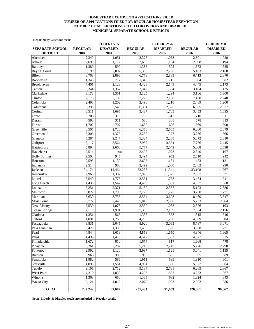#### **HOMESTEAD EXEMPTION APPLICATIONS FILED NUMBER OF APPLICATIONS FILED FOR REGULAR HOMESTEAD EXEMPTION NUMBER OF APPLICATIONS FILED FOR OVER 65 AND DISABLED MUNICIPAL SEPARATE SCHOOL DISTRICTS**

#### **Reported by Calendar Year**

|                                           |                        | <b>ELDERLY &amp;</b>    |                        | <b>ELDERLY &amp;</b>    |                        | <b>ELDERLY &amp;</b>    |
|-------------------------------------------|------------------------|-------------------------|------------------------|-------------------------|------------------------|-------------------------|
| <b>SEPARATE SCHOOL</b><br><b>DISTRICT</b> | <b>REGULAR</b><br>2004 | <b>DISABLED</b><br>2004 | <b>REGULAR</b><br>2005 | <b>DISABLED</b><br>2005 | <b>REGULAR</b><br>2006 | <b>DISABLED</b><br>2006 |
| Aberdeen                                  | 2,340                  | 1,051                   | 2,326                  | 1.058                   | 2,301                  | 1,020                   |
| Amory                                     | 2,699                  | 1,172                   | 2,683                  | 1,184                   | 2,698                  | 1,194                   |
| Baldwyn                                   | 1,389                  | 590                     | 1,386                  | 595                     | 1,373                  | 585                     |
| Bay St. Louis                             | 5,199                  | 2,097                   | 5,398                  | 2,296                   | 5,103                  | $\overline{2,160}$      |
| Biloxi                                    | 6,768                  | 2,893                   | 6,778                  | 2,883                   | 6,713                  | 2,870                   |
| Booneville                                | 1,343                  | 717                     | 1,340                  | 715                     | 1,304                  | 682                     |
| Brookhaven                                | 4,401                  | 2,123                   | 4,428                  | 2,149                   | 4,445                  | 2,173                   |
| Canton                                    | 3,344                  | 1,367                   | 3,349                  | 1,354                   | 3,404                  | 1,425                   |
| Clarksdale                                | 3,178                  | 1,351                   | 3,125                  | 1,294                   | 3,106                  | 1,300                   |
| Clinton                                   | 7,176                  | 2,100                   | 7,270                  | 2,158                   | 7,428                  | 2,248                   |
| Columbia                                  | 2,498                  | 1,202                   | 2,496                  | 1,210                   | 2,469                  | 1,200                   |
| Columbus                                  | 6,396                  | 2,546                   | 6,334                  | 2,525                   | 6,385                  | 2,577                   |
| Corinth                                   | 3,511                  | 1,695                   | 3,487                  | 1,705                   | 3,453                  | 1,695                   |
| Drew                                      | 708                    | 318                     | 708                    | 313                     | 710                    | 311                     |
| Durant                                    | 593                    | 311                     | 580                    | 308                     | 578                    | 313                     |
| Forest                                    | 1,702                  | 707                     | 1,685                  | 696                     | 1,669                  | 690                     |
| Greenville                                | 6,505                  | 2,720                   | 6,358                  | 2,665                   | 6,260                  | 2,679                   |
| Greenwood                                 | 3,306                  | 1,378                   | 3,285                  | 1,377                   | 3,266                  | 1,366                   |
| Grenada                                   | 5,287                  | 2,247                   | 5,324                  | 2,268                   | 5,372                  | 2,310                   |
| Gulfport                                  | 8,117                  | 3,564                   | 7,982                  | 3,534                   | 7,766                  | 2,445                   |
| Hattiesburg                               | 5,894                  | 2.663                   | 5,777                  | 2,642                   | 5,808                  | 2,598                   |
| Hazlehurst                                | 2,514                  | n/a                     | 2,495                  | 1,073                   | 2,540                  | 1,107                   |
| <b>Holly Springs</b>                      | 2,503                  | 945                     | 2,494                  | 952                     | 2,510                  | 942                     |
| Houston                                   | 2,598                  | 1,130                   | 2.606                  | 1,131                   | 1,483                  | 1,121                   |
| Indianola                                 | 2,514                  | 983                     | 2,492                  | 1,000                   | 2,462                  | 990                     |
| Jackson                                   | 34,174                 | 11,464                  | 33,236                 | 11,341                  | 33,108                 | 11,267                  |
| Kosciusko                                 | 2,965                  | 1,337                   | 2,978                  | 1,325                   | 2,987                  | 1,321                   |
| Laurel                                    | 3,549                  | 1,775                   | 3,531                  | 1,768                   | 3,464                  | 1,741                   |
| Long Beach                                | 4,438                  | 1,542                   | 4,438                  | 1,581                   | 4,337                  | 1,568                   |
| Louisville                                | 5,251                  | 2,371                   | 5,180                  | 2,337                   | 5,193                  | 2,836                   |
| McComb                                    | 3,827                  | 1,795                   | 3,779                  | 1,777                   | 3,730                  | 1,771                   |
| Meridian                                  | 8,630                  | 3,753                   | 8,554                  | 3,698                   | 8,460                  | 3,647                   |
| <b>Moss Point</b>                         | 5,777                  | 2,448                   | 5,818                  | 2,500                   | 5,733                  | 2,564                   |
| New Albany                                | 2,530                  | 1.073                   | 2,550                  | 1,088                   | 2,576                  | 1,103                   |
| Ocean Springs                             | 7,119                  | 1,991                   | 7,336                  | 2,109                   | 7,364                  | 2,156                   |
| Okolona                                   | 1,351                  | 565                     | 1,335                  | 558                     | 1,315                  | 546                     |
| Oxford                                    | 4,091                  | 1,266                   | 4,256                  | 1,280                   | 4,369                  | 1,304                   |
| Pascagoula                                | 8,831                  | 3,045                   | 8,920                  | 3,065                   | 8,787                  | 3,071                   |
| Pass Christian                            | 3,420                  | 1,336                   | 3,459                  | 1,366                   | 3,308                  | 1,271                   |
| Pearl                                     | 4,844                  | 1,618                   | 4,858                  | 1,650                   | 4,846                  | 1,665                   |
| Petal                                     | 4,496                  | 1,476                   | 4,517                  | 1,502                   | 4,677                  | 1,575                   |
| Philadelphia                              | 1,672                  | 810                     | 1,674                  | 817                     | 1,668                  | 778                     |
| Picayune                                  | 5,261                  | 2,287                   | 5,210                  | 2,245                   | 5,276                  | 2,290                   |
| Pontotoc                                  | 2,992                  | 1,120                   | 2,997                  | 1,121                   | 3,041                  | 1,135                   |
| Richton                                   | 963                    | 383                     | 966                    | 383                     | 955                    | 389                     |
| Senatobia                                 | 1,882                  | 586                     | 1,911                  | 599                     | 1,910                  | 601                     |
| Starkville                                | 4,898                  | 1,564                   | 4,964                  | 1,596                   | 5,027                  | 1,604                   |
| Tupelo                                    | 9,106                  | 2,712                   | 9,134                  | 2,781                   | 6,265                  | 2,867                   |
| <b>West Point</b>                         | 4,210                  | 1,838                   | 4,233                  | 1,852                   | 4,233                  | 1,867                   |
| Winona                                    | 1,368                  | 650                     | 1,335                  | 632                     | 1,324                  | 643                     |
| Yazoo City                                | 2,121                  | 1,012                   | 2,079                  | 1,003                   | 2,302                  | 1,086                   |
| <b>TOTAL</b>                              | 232,249                | 89,687                  | 231,434                | 91,059                  | 226,861                | 90,667                  |

**Note: Elderly & Disabled totals are included in Regular totals.**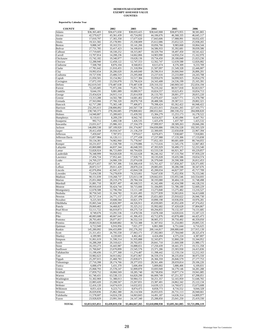#### **EXEMPT ASSESSED VALUE COUNTIES HOMESTEAD EXEMPTION**

#### **Reported by Calendar Year**

| <b>COUNTY</b>   | 2001            | 2002            | 2003            | 2004            | 2005            | 2006            |
|-----------------|-----------------|-----------------|-----------------|-----------------|-----------------|-----------------|
| Adams           | \$36,365,403    | \$36,671,658    | \$38,033,425    | \$38,643,908    | \$38,873,955    | 38,581,865      |
| Alcorn          | 42,579,627      | 43,361,439      | 43,724,092      | 44,106,676      | 46,368,335      | 46,645,117      |
| Amite           | 17,010,797      | 17,365,358      | 17,677,620      | 17,843,606      | 17,988,991      | 18,032,435      |
| Attala          | 19,321,582      | 25,178,991      | 25,338,009      | 25,612,086      | 25,652,525      | 25,938,265      |
| Benton          | 9,888,347       | 10,163,551      | 10,141,266      | 10,056,766      | 9,983,668       | 10,064,544      |
| Bolivar         | 27,731,785      | 33,417,423      | 34,100,816      | 34,586,933      | 35.392.681      | 39,039,586      |
| Calhoun         | 17,719,605      | 18,330,252      | 18,315,067      | 18,329,794      | 18,497,450      | 18,541,422      |
| Carroll         | 13,707,814      | 14,208,236      | 14,662,866      | 14,903,990      | 14,950,254      | 15,162,970      |
| Chickasaw       | 15,742,182      | 19,340,977      | 19,628,136      | 19,734,450      | 20,180,840      | 21,023,236      |
| Choctaw         | 12,288,940      | 12,458,122      | 12,747,553      | 12,562,747      | 12,639,588      | 12,826,082      |
| Claiborne       | 7,508,760       | 8,876,104       | 8,568,853       | 8,615,674       | 8,376,309       | 9,233,709       |
| Clarke          | 17,781,642      | 21,010,455      | 21,318,994      | 21,507,097      | 21,549,328      | 22,446,007      |
| Clay            | 19,992,654      | 26,206,620      | 26,449,840      | 26,596,914      | 26,666,944      | 26,806,201      |
| Coahoma         | 19,727,936      | 23,406,519      | 23,295,068      | 23,237,616      | 23,233,069      | 24, 243, 708    |
| Copiah          | 21,050,501      | 33,154,962      | 33,517,384      | 33,959,670      | 34.099.925      | 35.054.270      |
| Covington       | 17,072,193      | 23,556,078      | 23,796,624      | 24,343,408      | 24,536,199      | 25,165,391      |
| DeSoto          | 162,619,543     | 170,487,638     | 170,487,638     | 229,310,332     | 240,969,543     | 252,834,194     |
| Forrest         | 72,245,685      | 75,972,266      | 75,851,793      | 76,219,242      | 80,917,018      | 82,823,917      |
| Franklin        | 9,644,191       | 9,881,089       | 10,080,917      | 10,824,557      | 10,623,451      | 10,834,713      |
| George          | 23,454,624      | 24,915,114      | 25,814,958      | 26,133,765      | 28,001,277      | 28,815,220      |
| Greene          | 13,313,288      | 14,502,788      | 14,681,402      | 15,070,437      | 14,827,771      | 15,378,790      |
| Grenada         | 27,563,066      | 27,766,320      | 28,078,718      | 28,488,506      | 29,387,511      | 29,802,321      |
| Hancock         | 62,717,280      | 75,365,148      | 77,406,871      | 79,398,424      | 83,362,422      | 66,948,422      |
| Harrison        | 232,295,613     | 238,806,892     | 243,567,728     | 252,651,015     | 254,661,265     | 227, 103, 771   |
| Hinds           | 238,740,373     | 278,266,685     | 279,808,602     | 280,652,841     | 280,330,252     | 284,008,820     |
| Holmes          | 14,940,807      | 15,289,603      | 15,439,592      | 15,384,279      | 15,253,173      | 16,178,522      |
| Humphreys       | 8,110,611       | 8,209,239       | 8,942,745       | 8,654,927       | 8,365,096       | 8,447,761       |
| Issaquena       | 992,712         | 1,466,538       | 1,426,535       | 1,425,478       | 1,437,787       | 1,425,532       |
| Itawamba        | 23,031,617      | 25,986,163      | 27,334,370      | 27,999,957      | 28,589,263      | 29,846,206      |
| Jackson         | 146,890,538     | 187,109,920     | 191,374,067     | 194,830,886     | 199,556,528     | 192,503,329     |
| Jasper          | 20,412,458      | 20,934,547      | 21,136,259      | 22,300,695      | 22,650,838      | 22,967,394      |
| Jefferson       | 7,459,047       | 7,787,972       | 7,979,617       | 8,076,871       | 7,938,687       | 7,918,881       |
| Jefferson Davis | 15,857,984      | 16,120,111      | 17,277,438      | 17,237,988      | 17,133,306      | 17,133,838      |
| Jones           | 59,134,381      | 74,982,960      | 75,778,947      | 77,052,183      | 80,681,609      | 80,744,055      |
| Kemper          | 10,231,657      | 11,558,700      | 11,579,886      | 11,715,616      | 11,545,176      | 12,067,463      |
| Lafayette       | 43,869,880      | 44,837,344      | 46,048,593      | 47,393,929      | 50,490,172      | 52,233,540      |
| Lamar           | 53,828,924      | 86,723,069      | 60,794,826      | 63,533,538      | 66,921,367      | 69,229,857      |
| Lauderdale      | 76,348,999      | 94,620,028      | 95,522,628      | 96,246,162      | 97,133,704      | 97,959,229      |
| Lawrence        | 17,456,724      | 17,952,441      | 17,928,731      | 18,135,028      | 19,435,586      | 19,654,574      |
| Leake           | 24,769,237      | 24,906,339      | 25,074,638      | 26,379,040      | 26,590,308      | 26,812,453      |
| Lee             | 105,071,657     | 107,767,306     | 110,308,418     | 115,761,427     | 117,858,267     | 120,371,695     |
| Leflore         | 28,872,517      | 29,011,420      | 28,870,224      | 29,085,691      | 30,286,598      | 30,347,676      |
| Lincoln         | 42,076,894      | 42,945,127      | 43,844,538      | 45,200,034      | 44,827,597      | 45,717,709      |
| Lowndes         | 73,434,538      | 74,278,839      | 74,523,661      | 74,647,630      | 75,452,956      | 76,153,346      |
| Madison         | 90,151,039      | 119,268,737     | 125,013,138     | 129,662,031     | 135,955,546     | 143,554,693     |
| Marion          | 25,051,060      | 29,219,279      | 29,784,104      | 30,193,080      | 30,404,118      | 31,748,498      |
| Marshall        | 31,881,710      | 38,957,497      | 40,168,515      | 41,342,406      | 42,434,598      | 44,128,216      |
| Monroe          | 49,910,418      | 50,424,744      | 50,715,666      | 51,184,895      | 51,786,180      | 52,669,229      |
| Montgomery      | 12,678,588      | 12,796,594      | 13,111,149      | 13,273,840      | 13,275,482      | 13,216,527      |
| Neshoba         | 30,750,543      | 31,104,782      | 31,631,495      | 33,577,839      | 33,963,816      | 34,413,608      |
| Newton          | 20,727,314      | 24,771,157      | 25,197,496      | 25,651,683      | 25,910,622      | 26,946,730      |
| Noxubee         | 9,225,503       | 10,608,584      | 10,821,379      | 10,890,198      | 10,936,056      | 10,976,281      |
| Oktibbeha       | 35,065,544      | 43,826,997      | 44,326,911      | 45,039,005      | 45,952,439      | 47,374,452      |
| Panola          | 29,069,402      | 34,468,827      | 35,325,212      | 35,992,682      | 37,420,628      | 37,804,867      |
| Pearl River     | 53,111,722      | 66,019,873      | 69,275,724      | 69,294,855      | 70,132,107      | 74,131,685      |
| Perry           | 8,749,676       | 13,291,536      | 13,478,536      | 13,678,168      | 14,020,616      | 15,187,123      |
| Pike            | 40,083,688      | 40,667,641      | 41,306,453      | 43,712,876      | 43,878,480      | 44,425,473      |
| Pontotoc        | 28,793,493      | 29,077,857      | 36,552,516      | 38,905,372      | 39,750,492      | 40,359,050      |
| Prentiss        | 29,863,922      | 30,849,882      | 30,722,388      | 31,307,932      | 31,254,083      | 29,895,535      |
| Quitman         | 6,722,949       | 6,916,956       | 7,021,277       | 6,861,900       | 6,751,644       | 6,716,625       |
| Rankin          | 145,280,092     | 184,433,899     | 192,276,202     | 200,144,817     | 208,880,640     | 217,915,139     |
| Scott           | 21,311,451      | 26,795,558      | 27,063,171      | 27,392,083      | 27,784,040      | 28,325,474      |
| Sharkey         | 4,189,985       | 4,220,603       | 4,462,462       | 4,424,494       | 4,375,224       | 4,387,807       |
| Simpson         | 31,061,619      | 31,590,314      | 31,935,888      | 32,343,871      | 32,860,230      | 33,344,952      |
| Smith           | 16,288,268      | 20,318,621      | 20,702,055      | 20,841,710      | 21,660,508      | 21,980,175      |
| Stone           | 16,193,273      | 16,443,987      | 16,888,651      | 17,250,439      | 18,441,371      | 19, 151, 358    |
| Sunflower       | 21,760,847      | 23,670,899      | 23,545,576      | 23,371,286      | 23,303,930      | 24,415,836      |
| Tallahatchie    | 11,190,436      | 11,377,368      | 11,274,487      | 11,398,442      | 12,159,134      | 12,212,163      |
| Tate            | 33,982,623      | 34,913,662      | 35,872,967      | 36,559,374      | 38,235,834      | 38,975,550      |
| Tippah          | 25,297,015      | 25,468,783      | 25,839,671      | 26,366,359      | 26,846,579      | 27, 177, 753    |
| Tishomingo      | 27,710,398      | 28,174,766      | 28,377,033      | 28,561,406      | 28,659,814      | 29,106,226      |
| Tunica          | 6,088,479       | 5,431,370       | 5,606,494       | 5,809,802       | 5,886,406       | 6,109,831       |
| Union           | 25,068,793      | 25,578,247      | 32,899,870      | 33,693,949      | 34,179,146      | 34,281,288      |
| Walthall        | 17,859,752      | 18,060,569      | 18,285,740      | 18,738,856      | 19,877,174      | 19,941,085      |
| Warren          | 61,740,431      | 63,538,133      | 64,820,290      | 66,009,749      | 67,251,357      | 67,298,051      |
| Washington      | 51,302,969      | 51,388,013      | 50,984,151      | 50,251,357      | 52,165,959      | 51,646,765      |
| Wayne           | 22,883,420      | 23,208,567      | 23,267,831      | 23,387,401      | 24,862,342      | 25, 122, 134    |
| Webster         | 12,416,120      | 14,674,619      | 14,632,652      | 14,639,123      | 14,760,672      | 15,673,608      |
| Wilkinson       | 8,051,424       | 9,223,712       | 8,874,475       | 8,858,773       | 8,716,552       | 9,044,328       |
| Winston         |                 |                 |                 |                 |                 |                 |
| Yalobusha       | 26,029,836      | 25,862,380      | 26,114,504      | 26,055,035      | 26,731,113      | 26,940,661      |
|                 | 11,578,607      | 14,024,230      | 14,063,843      | 14,491,187      | 14,636,314      | 14,809,977      |
| Yazoo           | 23,928,829      | 23,991,564      | 24,147,340      | 25,288,850      | 25,041,250      | 25,419,330      |
| <b>TOTAL</b>    | \$3,053,925,851 | \$3,439,819,158 | \$3,484,667,265 | \$3,610,898,938 | \$3,695,361,085 | \$3,721,896,119 |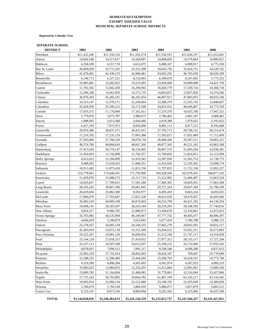#### **EXEMPT ASSESSED VALUE MUNICIPAL SEPARATE SCHOOL DISTRICTS HOMESTEAD EXEMPTION**

 **Reported by Calendar Year**

#### **SEPARATE SCHOOL**

| <b>DISTRICT</b>      | 2001            | 2002            | 2003            | 2004            | 2005            | 2006            |
|----------------------|-----------------|-----------------|-----------------|-----------------|-----------------|-----------------|
| Aberdeen             | \$11,432,566    | \$11,550,316    | \$11,503,274    | \$11,550,555    | \$11,626,197    | \$11,652,841    |
| Amory                | 14,642,548      | 14,517,017      | 14,569,097      | 14,468,695      | 14,579,864      | 14,800,921      |
| Baldwyn              | 6,358,599       | 6,557,719       | 6,612,075       | 6,888,107       | 6,909,917       | 6,775,550       |
| Bay St. Louis        | 26,069,039      | 32,772,101      | 33,312,308      | 34,042,756      | 35,424,751      | 24,220,762      |
| Biloxi               | 41,676,401      | 42,430,233      | 42,960,481      | 43,693,292      | 46,765,939      | 38,020,209      |
| Booneville           | 6,146,713       | 6,327,521       | 6,116,965       | 6,109,078       | 6,107,665       | 5,775,331       |
| Brookhaven           | 23,085,881      | 23,282,922      | 23,523,493      | 23,929,068      | 24,090,908      | 24,421,750      |
| Canton               | 11,702,565      | 15,842,260      | 16,290,945      | 16,820,779      | 17,359,734      | 18,368,718      |
| Clarksdale           | 12,296,248      | 14,461,850      | 14, 175, 735    | 14,003,837      | 13,857,836      | 14,374,296      |
| Clinton              | 36,976,303      | 45,285,191      | 46,181,054      | 46,997,911      | 47,893,955      | 49,033,190      |
| Columbia             | 10,313,147      | 11,970,171      | 12,249,604      | 12,308,379      | 12,355,743      | 12,848,667      |
| Columbus             | 35,504,930      | 35,506,515      | 35,172,598      | 34,831,932      | 40,646,807      | 34,775,559      |
| Corinth              | 17,019,375      | 17,170,909      | 17,161,411      | 17,219,370      | 18,025,700      | 17,947,321      |
| Drew                 | 2,779,070       | 3,075,707       | 2,986,675       | 2,786,462       | 2,841,547       | 3,060,481       |
| Durant               | 1,988,945       | 2,013,368       | 2,044,466       | 2,019,388       | 1,979,422       | 2,191,822       |
| Forest               | 6,427,195       | 7,975,972       | 8,043,090       | 8,081,113       | 8,077,215       | 8,195,668       |
| Greenville           | 29,019,386      | 28,837,271      | 28,431,912      | 27,792,713      | 28,746,132      | 28,214,474      |
| Greenwood            | 17,216,702      | 17,232,126      | 17,063,388      | 17,202,827      | 17,832,489      | 17,712,499      |
| Grenada              | 27,563,066      | 27,766,320      | 28,078,718      | 28,488,506      | 29,387,511      | 29,802,321      |
| Gulfport             | 48,374,789      | 48,804,816      | 48,667,266      | 49,877,345      | 49,221,182      | 43,063,188      |
| Hattiesburg          | 27,415,658      | 30,719,147      | 30,134,905      | 30,097,576      | 31,993,294      | 32,038,381      |
| Hazlehurst           | 11,454,693      | 11,742,890      | 11,762,557      | 11,769,820      | 11,824,811      | 12,112,958      |
| <b>Holly Springs</b> | 6,612,022       | 12,166,899      | 12,419,341      | 12,587,936      | 12,565,753      | 12,738,773      |
| Houston              | 9,408,692       | 11,618,423      | 11,860,351      | 11,910,920      | 12,195,362      | 12,698,174      |
| Indianola            | 10,911,602      | 11,873,418      | 11,821,550      | 11,797,825      | 11,722,136      | 12,092,257      |
| Jackson              | 153,778,041     | 173,640,431     | 171,793,900     | 169,328,569     | 165,978,565     | 168,877,163     |
| Kosciusko            | 11,459,878      | 15,088,273      | 15,117,719      | 15,312,963      | 15,466,487      | 15,663,324      |
| Laurel               | 14,620,837      | 17,789,621      | 17,581,368      | 17,466,365      | 18,045,931      | 17,663,368      |
| Long Beach           | 28,256,243      | 28,667,186      | 29,001,945      | 29,727,324      | 29,847,269      | 25,798,199      |
| Louisville           | 26,029,836      | 25,862,380      | 8,592,977       | 8,493,410       | 8,663,234       | 8,693,025       |
| McComb               | 17,806,879      | 17,703,847      | 17,821,528      | 18,631,650      | 18,470,567      | 18,445,666      |
| Meridian             | 36,902,519      | 44,969,198      | 44,874,003      | 44,535,799      | 44,421,105      | 44,130,354      |
| <b>Moss Point</b>    | 24,698,141      | 28,283,597      | 28,245,544      | 28,234,293      | 28,548,592      | 27,740,816      |
| New Albany           | 9,924,317       | 9,986,705       | 12,980,673      | 13,168,678      | 13,310,841      | 13,472,623      |
| Ocean Springs        | 33,765,985      | 44,535,969      | 46,100,967      | 47,777,742      | 49,405,477      | 48,096,397      |
| Okolona              | 4,666,029       | 5,590,879       | 5,615,843       | 5,677,419       | 5,786,788       | 5,988,123       |
| Oxford               | 25,578,437      | 26,005,158      | 26,540,333      | 27,065,279      | 28,843,391      | 29,831,117      |
| Pascagoula           | 41,203,019      | 53,072,118      | 53,151,599      | 53,264,552      | 53,952,311      | 50,573,893      |
| Pass Christian       | 19,222,267      | 19,981,120      | 20,609,954      | 21,512,168      | 21,747,117      | 14,316,938      |
| Pearl                | 23, 144, 128    | 27,018,315      | 27,410,632      | 27,877,312      | 28,135,117      | 27,727,204      |
| Petal                | 23, 237, 113    | 24,507,568      | 24,612,037      | 25,198,152      | 26,722,040      | 27,935,543      |
| Philadelphia         | 8,078,055       | 7,999,312       | 7,991,217       | 8,596,546       | 8,698,288       | 8,837,613       |
| Picayune             | 22,902,259      | 27,741,014      | 28,802,065      | 28,626,347      | 709,047         | 29,770,609      |
| Pontotoc             | 12,188,225      | 12,286,480      | 15,444,205      | 15,938,703      | 16,434,101      | 16,773,749      |
| Richton              | 4,319,590       | 4,498,284       | 4,501,603       | 4,561,974       | 4,587,923       | 4,969,219       |
| Senatobia            | 33,982,623      | 12,084,033      | 12,254,291      | 12,415,084      | 12,961,091      | 13,009,164      |
| Starkville           | 23,889,782      | 31,164,004      | 31,408,082      | 31,779,881      | 32,316,064      | 33,427,846      |
| Tupelo               | 57,725,163      | 58,703,892      | 59,664,782      | 61,807,199      | 62,142,217      | 63,116,345      |
| West Point           | 19,992,654      | 22,960,134      | 23, 121, 680    | 23,198,765      | 23,295,049      | 23,389,858      |
| Winona               | 5,766,670       | 5,769,538       | 5,884,459       | 5,886,871       | 5,857,879       | 5,805,515       |
| Yazoo City           | 9,123,191       | 8,973,536       | 8,869,894       | 9,292,502       | 9,125,966       | 10,437,269      |
|                      |                 |                 |                 |                 |                 |                 |
| <b>TOTAL</b>         | \$1,144,658,016 | \$1,246,383,674 | \$1,241,136,559 | \$1,252,651,737 | \$1,247,504,327 | \$1,241,427,051 |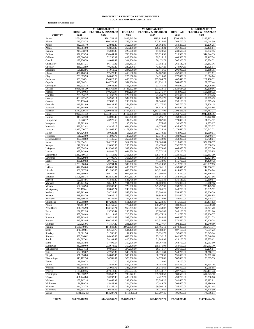# **HOMESTEAD EXEMPTION REIMBURSEMENTS COUNTIES AND MUNICIPALITIES**

 **Reported by Calendar Year**

|                        |                            | <b>MUNICIPALITIES</b><br><b>MUNICIPALITIES</b> |                            |                               | <b>MUNICIPALITIES</b>      |                               |
|------------------------|----------------------------|------------------------------------------------|----------------------------|-------------------------------|----------------------------|-------------------------------|
|                        | <b>REGULAR</b>             | <b>ELDERLY &amp; DISABLED</b>                  | <b>REGULAR</b>             | <b>ELDERLY &amp; DISABLED</b> | <b>REGULAR</b>             | <b>ELDERLY &amp; DISABLED</b> |
| <b>COUNTY</b><br>Adams | 2004<br>\$764,205.56       | 2004<br>\$261,743.22                           | 2005<br>\$805,615.36       | 2005<br>\$295,815.97          | 2006<br>\$799,379.64       | 2006<br>\$295,863.14          |
| Alcorn                 | 715,525.75                 | 180,387.57                                     | 765,000.00                 | 203,815.65                    | 768,700.00                 | 216,044.59                    |
| Amite                  | 332,015.40                 | 23,982.40                                      | 352,600.00                 | 26,562.86                     | 350,200.00                 | 26,276.25                     |
| Attala                 | 340,364.00                 | 93,853.80                                      | 363,150.00                 | 106,043.21                    | 367,200.00                 | 112,405.81                    |
| Benton                 | 215,238.70                 | 16,608.86                                      | 228,500.00                 | 17,820.60                     | 230,500.00                 | 17,892.55                     |
| Bolivar                | 672,239.20                 | 298,464.31                                     | 709,700.00                 | 329,024.59                    | 710,500.00                 | 344,944.39                    |
| Calhoun                | 382,000.54                 | 72.250.32                                      | 409,800.00                 | 79,516.18                     | 409,500.00                 | 82,417.54                     |
| Carroll                | 283,276.70                 | 18,062.49                                      | 301,800.00                 | 20,171.79                     | 307,300.00                 | 20,574.72                     |
| Chickasaw              | 251,111.21<br>236,072.89   | 86,719.32<br>40,280.80                         | 266,412.75<br>249,396.07   | 97,982.12<br>43,827.26        | 266,112.75<br>249,954.51   | 103,252.36<br>43,625.97       |
| Choctaw<br>Claiborne   | 198,152.96                 | 11,011.52                                      | 204,000.00                 | 12,441.65                     | 201,000.00                 | 13,188.15                     |
| Clarke                 | 430,466.10                 | 57,470.90                                      | 458,600.00                 | 64,702.80                     | 457,000.00                 | 68,181.81                     |
| Clav                   | 259,079.99                 | 84,008.72                                      | 275,650.00                 | 94,919.47                     | 277,850.00                 | 100,614.64                    |
| Coahoma                | 383,916.91                 | 254,027.50                                     | 406,695.18                 | 265,004.77                    | 407,610.99                 | 267,460.92                    |
| Copiah                 | 519,004.31                 | 144,771.46                                     | 551,300.00                 | 161,831.13                    | 564,450.00                 | 167,037.44                    |
| Covington              | 435,932.14                 | 29,642.26                                      | 465,900.00                 | 33,141.38                     | 466,900.00                 | 33,806.66                     |
| DeSoto                 | 3,058,705.39               | 152,161.94                                     | 3,435,592.69               | 171,924.19                    | 3,620,684.25               | 182,239.66                    |
| Forrest                | 874,790.63                 | 540,269.97                                     | 933,200.00                 | 597,275.47                    | 953,900.00                 | 598,889.12                    |
| Franklin               | 209,854.12                 | 21,268.77                                      | 222,800.00                 | 23,255.78                     | 221,400.00                 | 23,993.45                     |
| George<br>Greene       | 483,222.42<br>279,135.40   | 14,950.11<br>17,893.17                         | 532,300.00<br>290,900.00   | 16,891.78<br>18,940.02        | 534,300.00<br>298,100.00   | 17,905.29<br>19,379.45        |
| Grenada                | 246,901.99                 | 90,432.46                                      | 264,350.00                 | 102,177.50                    | 267,700.00                 | 108,308.15                    |
| Hancock                | 877,364.09                 | 78,440.59                                      | 986,011.31                 | 88,628.17                     | 985,907.99                 | 93,945.86                     |
| Harrison               | 2,532,329.78               | 1,350,082.53                                   | 2,764,125.93               | 1,487,377.96                  | 2,792,293.49               | 1,464,783.21                  |
| Hinds                  | 2,920,744.72               | 1,934,016.18                                   | 3,112,950.00               | 2,040,851.80                  | 3,169,750.00               | 2,040,486.46                  |
| Holmes                 | 349,622.39                 | 74,095.40                                      | 368,200.00                 | 81,295.17                     | 368,050.00                 | 86,172.88                     |
| Humphreys              | 160,228.12                 | 43,975.60                                      | 184,704.00                 | 49,687.00                     | 179,800.00                 | 51,784.12                     |
| Issaquena              | 28,982.83                  | 1,129.75                                       | 30,900.00                  | 1,276.48                      | 30,300.00                  | 1,353.07                      |
| Itawamba               | 596.312.42                 | 43,437.18                                      | 634,100.00                 | 49,078.65                     | 636,900.00                 | 52,023.37                     |
| Jackson                | 1,997,070.77               | 642,966.40                                     | 2,179,350.00               | 714,235.31                    | 2,179,650.00               | 710,642.72                    |
| Jasper<br>Jefferson    | 424,526.88<br>181,023.90   | 19,629.81<br>11,806.75                         | 456,900.00<br>187,900.00   | 22,179.26<br>13,340.16        | 458,900.00<br>188,000.00   | 23,510.01<br>14,140.57        |
| Jefferson Davis        | 337,898.02                 | 11,445.58                                      | 359,900.00                 | 12,932.09                     | 358,200.00                 | 13,708.01                     |
| Jones                  | 1,222,694.31               | 306,125.93                                     | 1,314,950.00               | 330,306.84                    | 1,313,450.00               | 322,768.97                    |
| Kemper                 | 242,909.16                 | 19,636.59                                      | 256,900.00                 | 19,470.08                     | 252,700.00                 | 20,638.29                     |
| Lafayette              | 535,024.59                 | 115,303.83                                     | 589,450.00                 | 130,279.08                    | 605,850.00                 | 133,302.30                    |
| Lamar                  | 953,743.09                 | 64,981.78                                      | 1,044,650.00               | 72,271.23                     | 1.078.100.00               | 76,065.95                     |
| Lauderdale             | 1,232,750.13               | 571,756.92                                     | 1,316,300.00               | 598,340.13                    | 1,329,350.00               | 592,613.39                    |
| Lawrence               | 343,329.98                 | 27,409.79                                      | 366,800.00                 | 30,969.68                     | 373,200.00                 | 32,827.86                     |
| Leake                  | 480,139.92                 | 39,179.59                                      | 513,500.00                 | 44,133.06                     | 515,700.00                 | 44,400.42                     |
| Lee<br>Leflore         | 1,283,880.66<br>412,774.06 | 349,794.34<br>226,855.34                       | 1,390,700.00<br>439,580.27 | 395,224.37<br>244,301.16      | 1,417,200.00<br>438,816.45 | 418,937.83<br>242,206.32      |
| Lincoln                | 566,007.95                 | 131,996.65                                     | 608,300.00                 | 143,010.42                    | 614,800.00                 | 144,704.84                    |
| Lowndes                | 936,699.64                 | 289,110.23                                     | 1,007,850.00               | 321,390.62                    | 1,013,250.00               | 326,466.05                    |
| Madison                | 1,501,365.74               | 102,530.81                                     | 1,670,653.76               | 115,847.14                    | 1,752,879.99               | 122,797.96                    |
| Marion                 | 502,594.91                 | 41,881.89                                      | 535,738.60                 | 47,321.36                     | 531,113.83                 | 50,160.64                     |
| Marshall               | 649,441.55                 | 58,414.26                                      | 701,250.00                 | 66,000.90                     | 725,000.00                 | 69,960.96                     |
| Monroe                 | 687,626.94                 | 209,308.43                                     | 729,500.00                 | 229,297.38                    | 733,200.00                 | 235,445.50                    |
| Montgomery             | 228,173.41                 | 83,862.24                                      | 240,800.00                 | 93,806.28                     | 240,200.00                 | 96,839.92                     |
| Neshoba                | 515,882.60<br>519,104.30   | 29,729.66                                      | 555,500.00<br>565,700.00   | 33,590.84<br>89,989.49        | 559,550.00                 | 35,606.29                     |
| Newton<br>Noxubee      | 238,950.36                 | 79,636.15<br>70,246.64                         | 254,100.00                 | 79,370.03                     | 551,600.00<br>253,600.00   | 95,388.85<br>83,625.31        |
| Oktibbeha              | 472,958.89                 | 107,289.93                                     | 511,400.00                 | 121,224.36                    | 515,500.00                 | 128,497.82                    |
| Panola                 | 714,451.07                 | 134,169.53                                     | 775,100.00                 | 150,297.47                    | 780,200.00                 | 157,590.78                    |
| Pearl River            | 881,395.99                 | 133,165.74                                     | 958,205.62                 | 147,438.02                    | 982,766.96                 | 154,241.20                    |
| Perry                  | 231,772.95                 | 15,756.44                                      | 250,550.00                 | 17,802.83                     | 248,100.00                 | 18,871.00                     |
| Pike                   | 663,004.03                 | 212,114.07                                     | 710,500.00                 | 225,475.21                    | 711,750.00                 | 238,200.77                    |
| Pontotoc               | 553,963.44                 | 10,521.87                                      | 598,000.00                 | 11,888.42                     | 604,550.00                 | 12,601.73                     |
| Prentiss               | 545,783.46                 | 100,285.85                                     | 577,850.00                 | 113,310.63                    | 570,550.00                 | 120,109.28                    |
| Ouitman                | 193,525.06                 | 41,757.49                                      | 201,100.00                 | 46,237.67                     | 198,200.00                 | 48,540.99                     |
| Rankin<br>Scott        | 2,666,349.66<br>471,889.81 | 181,848.38<br>62,458.70                        | 2,952,800.00<br>504,400.00 | 205,466.19<br>68,980.37       | 3,079,350.00<br>507,150.00 | 217,794.17<br>70,607.22       |
| Sharkey                | 87,361.90                  | 31,766.06                                      | 92,400.00                  | 35,891.73                     | 92,000.00                  | 38,045.24                     |
| Simpson                | 599,516.62                 | 66,495.89                                      | 639,000.00                 | 75,132.15                     | 641,300.00                 | 79,640.08                     |
| Smith                  | 394,697.62                 | 28,184.43                                      | 420,700.00                 | 31,844.92                     | 423,100.00                 | 33,755.62                     |
| Stone                  | 321,903.98                 | 17,495.57                                      | 350,500.00                 | 19,767.83                     | 364,700.00                 | 20,953.90                     |
| Sunflower              | 332,369.60                 | 232,678.62                                     | 350,300.00                 | 255,576.94                    | 350,600.00                 | 267,012.10                    |
| Tallahatchie           | 261,934.12                 | 60,865.57                                      | 279,600.00                 | 66,341.17                     | 281,600.00                 | 69,296.64                     |
| Tate                   | 502,869.07                 | 42,758.32                                      | 540,650.00                 | 48,311.61                     | 549,700.00                 | 51,210.31                     |
| Tippah                 | 551,376.86                 | 26,887.45                                      | 596,100.00                 | 30,379.50                     | 596,000.00                 | 32,202.28                     |
| Tishomingo<br>Tunica   | 543,182.94<br>118,809.72   | 30,781.07<br>0.00                              | 579,500.00<br>126,500.00   | 34,778.80<br>0.00             | 587,800.00<br>129,100.00   | 36,865.53                     |
| Union                  | 513,548.54                 | 23,887.87                                      | 552,000.00                 | 26,087.81                     | 557,250.00                 | 26,734.16                     |
| Walthall               | 360,685.86                 | 25,061.72                                      | 388,000.00                 | 28,316.65                     | 390,400.00                 | 30,015.65                     |
| Warren                 | 1,139,170.56               | 287,513.00                                     | 1,216,604.36               | 299,149.17                    | 1,207,767.33               | 296,481.43                    |
| Washington             | 740,010.92                 | 550,547.23                                     | 780,072.61                 | 595,108.53                    | 780,500.00                 | 594,543.10                    |
| Wayne                  | 461,444.84                 | 30,292.90                                      | 489,600.00                 | 34,227.23                     | 490,200.00                 | 36,280.86                     |
| Webster                | 262,767.14                 | 29,467.99                                      | 283,400.00                 | 33,295.20                     | 282,600.00                 | 35,292.91                     |
| Wilkinson              | 191,999.28                 | 15,443.91                                      | 204,000.00                 | 17,449.71                     | 203,600.00                 | 18,496.69                     |
| Winston                | 244,012.78                 | 53,155.14                                      | 254,500.00                 | 59,302.18                     | 256,400.00                 | 59,691.48                     |
| Yalobusha              | 343,354.72                 | 70,548.59                                      | 364,400.00                 | 76,229.65                     | 366,000.00                 | 76,775.59                     |
| Yazoo                  | \$391,962.03               | 164,287.71                                     | \$418,300.00               | 173,707.45                    | 406,950.00                 | 174,686.04                    |
| <b>TOTAL</b>           | \$50,788,482.99            | \$12,326,535.75                                | \$54,826,558.51            | \$13,477,907.71               | \$55,533,238.18            | \$13,706,644.56               |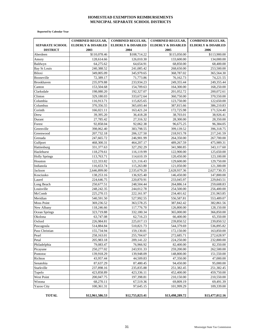#### **HOMESTEAD EXEMPTION REIMBURSEMENTS MUNICIPAL SEPARATE SCHOOL DISTRICTS**

 **Reported by Calendar Year**

|                        | <b>COMBINED REGULAR,</b>      | <b>COMBINED REGULAR,</b>      | <b>COMBINED REGULAR,</b>      | <b>COMBINED REGULAR,</b>      |
|------------------------|-------------------------------|-------------------------------|-------------------------------|-------------------------------|
| <b>SEPARATE SCHOOL</b> | <b>ELDERLY &amp; DISABLED</b> | <b>ELDERLY &amp; DISABLED</b> | <b>ELDERLY &amp; DISABLED</b> | <b>ELDERLY &amp; DISABLED</b> |
| <b>DISTRICT</b>        | 2003                          | 2004                          | 2005                          | 2006                          |
| Aberdeen               | \$110,078.46                  | \$108,714.22                  | \$115,050.00                  | \$113,900.00                  |
| Amory                  | 128,614.66                    | 126,010.30                    | 133,600.00                    | 134,000.00                    |
| Baldwyn                | 64,275.62                     | 64,654.91                     | 68,850.00                     | 68,400.00                     |
| <b>Bay St Louis</b>    | 240,388.52                    | 241,085.42                    | 268,650.00                    | 253,500.00                    |
| Biloxi                 | 349,005.09                    | 345,979.65                    | 368,787.02                    | 365,564.30                    |
| Booneville             | 72,389.17                     | 71,773.86                     | 76,162.73                     | 74,221.55                     |
| Brookhaven             | 235,979.88                    | 233,934.23                    | 249,355.44                    | 249,355.44                    |
| Canton                 | 153,504.68                    | 154,709.63                    | 164,300.00                    | 168,250.00                    |
| Clarksdale             | 198,080.20                    | 192,327.07                    | 201,052.72                    | 200,072.61                    |
| Clinton                | 329,180.03                    | 333,672.64                    | 360,750.00                    | 370,550.00                    |
| Columbia               | 116,913.71                    | 115,825.65                    | 123,750.00                    | 122,650.00                    |
| Columbus               | 370,356.55                    | 365,693.44                    | 387,815.66                    | 386,210.83                    |
| Corinth                | 166,021.11                    | 163,421.24                    | 172,725.98                    | 171,524.40                    |
| Drew                   | 39,395.20                     | 36,418.28                     | 38,703.01                     | 38,926.41                     |
| Durant                 | 27,785.42                     | 27,316.32                     | 28,300.00                     | 28,350.00                     |
| Forest                 | 92,858.04                     | 92,062.38                     | 96,675.25                     | 96,384.05                     |
| Greenville             | 398,062.40                    | 383,798.55                    | 399,139.52                    | 396,318.75                    |
| Greenwood              | 207,732.18                    | 206,127.50                    | 218,915.78                    | 217,241.59                    |
| Grenada                | 247,665.72                    | 246,901.99                    | 264,350.00                    | 267,700.00                    |
| Gulfport               | 468,300.31                    | 464,207.17                    | 489,267.59                    | 475,989.31                    |
| Hattiesburg            | 331,377.63                    | 327,292.29                    | 341,980.85                    | 343,117.60                    |
| Hazlehurst             | 118,279.61                    | 116,119.99                    | 122,900.00                    | 125,650.00                    |
| <b>Holly Springs</b>   | 113,763.71                    | 114,610.19                    | 120,450.00                    | 123,100.00                    |
| Houston                | 122,333.82                    | 121,116.43                    | 129,600.00                    | 129,750.00                    |
| Indianola              | 116,653.74                    | 115,263.80                    | 121,050.00                    | 121,300.00                    |
| Jackson                | 2,646,899.00                  | 2,535,679.20                  | 2,628,937.36                  | 2,627,730.35                  |
| Kosciusko              | 138,253.16                    | 136,925.40                    | 146,450.00                    | 147,800.00                    |
| Laurel                 | 224,646.75                    | 220,870.91                    | 233,045.97                    | 229,843.51                    |
| Long Beach             | 250,677.51                    | 248,504.44                    | 264,886.14                    | 259,608.83                    |
| Louisville             | 248,242.35                    | 244,012.78                    | 254,500.00                    | 256,400.00                    |
| McComb                 | 225,270.15                    | 222,161.97                    | 234,401.62                    | 231,963.85                    |
| Meridian               | 540,591.50                    | 527,992.55                    | 556,587.81                    | 553,489.07                    |
| <b>Moss Point</b>      | 369,236.52                    | 363,578.25                    | 387,842.42                    | 382,861.56                    |
| New Albany             | 118,246.66                    | 117,776.70                    | 126,800.00                    | 128,150.00                    |
| Ocean Springs          | 323,719.88                    | 332,180.34                    | 365,000.00                    | 366,850.00                    |
| Okolona                | 63,747.08                     | 62,716.23                     | 66,400.00                     | 65,350.00                     |
| Oxford                 | 226,984.81                    | 225,017.13                    | 239,850.52                    | 239,850.52                    |
| Pascagoula             | 514,884.84                    | 510,821.73                    | 544,379.69                    | 536,895.82                    |
| Pass Christian         | 155,734.94                    | 159,130.81                    | 172,150.00                    | 163,850.00                    |
| Pearl                  | 258,163.01                    | 255,704.67                    | 272,685.71                    | 272,628.97                    |
| Petal                  | 205,983.18                    | 209, 141. 22                  | 224,250.00                    | 232,800.00                    |
| Philadelphia           | 79,083.47                     | 76,966.92                     | 82,400.00                     | 82,350.00                     |
| Picayune               | 250,277.02                    | 243,931.33                    | 259,200.00                    | 262,500.00                    |
| Pontotoc               | 139,918.29                    | 139,948.09                    | 148,800.00                    | 151,550.00                    |
| Richton                | 43,957.44                     | 44,509.83                     | 47,350.00                     | 47,000.00                     |
| Senatobia              | 87,637.29                     | 87,480.45                     | 94,450.00                     | 95,000.00                     |
| Starkville             | 237,898.16                    | 235,835.88                    | 251,382.45                    | 251,382.45                    |
| Tupelo                 | 423,858.89                    | 423,336.11                    | 452,400.00                    | 459,750.00                    |
| West Point             | 200,047.75                    | 197,398.81                    | 210,150.00                    | 210,550.00                    |
| Winona                 | 68,270.11                     | 67,519.36                     | 69,809.19                     | 69,491.39                     |
| <b>Yazoo City</b>      | 100,361.31                    | 97,645.15                     | 101,999.29                    | 109,339.00                    |
| <b>TOTAL</b>           | \$12,961,586.53               | \$12,755,823.41               | \$13,498,289.72               | \$13,477,012.16               |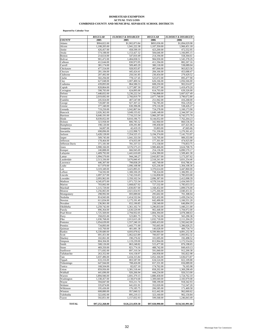#### **ACTUAL TAX LOSS COMBINED COUNTY AND MUNICIPAL SEPARATE SCHOOL DISTRICTS HOMESTEAD EXEMPTION**

 **Reported by Calendar Year**

|                               | <b>REGULAR</b>             | <b>ELDERLY &amp; DISABLED</b> | <b>REGULAR</b>             | <b>ELDERLY &amp; DISABLED</b><br>2006 |
|-------------------------------|----------------------------|-------------------------------|----------------------------|---------------------------------------|
| <i><b>COUNTY</b></i><br>Adams | 2005<br>\$904,822.00       | 2005<br>\$1,902,873.84        | 2006<br>\$893,036.00       | \$1,894,029.98                        |
| Alcorn                        | 1,108,205.00               | 1,941,222.38                  | 1,107,350.00               | 1,966,451.18                          |
| Amite                         | 426,457.00                 | 458,599.19                    | 423,200.00                 | 472,552.95                            |
| Attala                        | 574,188.00                 | 1,153,427.32                  | 584,646.00                 | 1,166,895.15                          |
| Benton                        | 214,614.00                 | 547,810.49                    | 214,194.00                 | 558,304.61                            |
| Bolivar                       | 901,472.00                 | 1,484,838.51                  | 984,930.00                 | 1,545,378.29                          |
| Calhoun                       | 412,644.00                 | 830,973.95                    | 411,594.00                 | 882,267.16                            |
| Carroll                       | 381,174.00                 | 509,405.29                    | 380,118.00                 | 538,089.04                            |
| Chickasaw                     | 477,554.00                 | 928,955.87                    | 497,844.00                 | 963,823.56                            |
| Choctaw<br>Claiborne          | 281,184.00<br>207,492.00   | 445,424.41<br>250,541.85      | 284,166.00<br>230,454.00   | 453,688.47<br>279,429.52              |
| Clarke                        | 502,294.00                 | 778,127.45                    | 525,072.00                 | 895,477.90                            |
| Clay                          | 627,048.00                 | 1.007.400.54                  | 626,166.00                 | 1,056,566.00                          |
| Coahoma                       | 439,893.00                 | 864,586.53                    | 608,250.00                 | 902.014.07                            |
| Copiah                        | 828,864.00                 | 1,377,087.30                  | 853,977.00                 | 1,419,479.20                          |
| Covington                     | 598,783.00                 | 624,895.00                    | 614,793.00                 | 639,326.00                            |
| DeSoto                        | 7,448,832.00               | 5.236.222.54                  | 7.766.898.00               | 5,607,027.49                          |
| Forrest                       | 2,019,692.00               | 2,766,819.79                  | 2,077,748.00               | 3,790,672.80                          |
| Franklin                      | 245,924.00                 | 407,547.00                    | 251,942.00                 | 416,268.00                            |
| George                        | 720,087.00                 | 927,307.22                    | 736,785.00                 | 956,129.82                            |
| Greene                        | 377,340.00                 | 630,396.06                    | 379,116.00                 | 538,426.27                            |
| Grenada                       | 719,250.00                 | 1,042,807.64                  | 724,278.00                 | 1,160,173.90                          |
| Hancock                       | 2,026,362.00               | 3,049,155.02                  | 1,649,148.00               | 2,344,597.24                          |
| Harrison                      | 6,640,191.00               | 7,716,213.34                  | 5,960,297.00               | 6,743,575.70                          |
| Hinds                         | 8,039,052.00               | 8,810,196.75                  | 8,144,052.00               | 7,762,264.23                          |
| Holmes                        | 323,958.00                 | 806,785.52                    | 342,960.00                 | 860,536.50                            |
| Humphreys                     | 198,120.00                 | 439,291.80                    | 199,458.00                 | 437,421.06                            |
| Issaquena                     | 34,007.00                  | 42,419.19<br>1,222,998.72     | 33,803.00                  | 47,665.66<br>1,270,361.43             |
| Itawamba<br>Jackson           | 698,896.00<br>5,428,128.00 | 7,354,525.15                  | 731,330.00<br>5,194,374.00 | 7,141,753.97                          |
| Jasper                        | 509,745.00                 | 1,041,333.50                  | 516,795.00                 | 989,353.90                            |
| Jefferson                     | 178,464.00                 | 474,055.09                    | 177,301.00                 | 474,925.00                            |
| Jefferson Davis               | 371,181.00                 | 781,337.53                    | 372,158.00                 | 770,853.75                            |
| Jones                         | 1,908,166.00               | 3,576,575.23                  | 1,900,466.00               | 3,624,708.76                          |
| Kemper                        | 240,888.00                 | 666,945.69                    | 254,136.00                 | 6,890,570.17                          |
| Lafayette                     | 1,409,792.00               | 1,441,610.69                  | 1,454,390.00               | 1,509,401.30                          |
| Lamar                         | 1,994,570.00               | 944,246.27                    | 2,043,857.00               | 1,173,207.62                          |
| Lauderdale                    | 2,513,336.00               | 3,676,840.45                  | 2,518,241.00               | 3,831,254.46                          |
| Lawrence                      | 446,307.00                 | 799,838.29                    | 445,749.00                 | 816,786.41                            |
| Leake                         | 617,970.00                 | 1,096,108.98                  | 625,236.00                 | 1,304,108.36                          |
| Lee                           | 3,319,349.00               | 3,425,895.01                  | 3,370,614.00               | 3,447,860.00                          |
| Leflore                       | 734,592.00                 | 1,300,330.29                  | 738,324.00                 | 1,306,991.22                          |
| Lincoln                       | 1,097,317.00               | 1,742,216.65                  | 1,116,858.00               | 1,785,033.00                          |
| Lowndes                       | 2,093,962.00               | 2,350,102.54                  | 2,096,387.00               | 2,412,098.39                          |
| Madison                       | 4,345,875.00               | 1,971,723.34                  | 4,578,516.00               | 2,434,569.55                          |
| Marion<br>Marshall            | 703,002.00<br>1,115,729.00 | 1,668,827.02<br>1,830,857.00  | 727,532.00<br>1,168,452.00 | 1,785,653.33<br>1,899,576.00          |
| Monroe                        | 1,256,065.00               | 2,021,654.93                  | 1,275,266.00               | 2,040,451.61                          |
| Montgomery                    | 298,992.00                 | 693,089.60                    | 295,602.00                 | 701,308.04                            |
| Neshoba                       | 814,943.00                 | 1,414,532.04                  | 822,432.00                 | 1,439,234.54                          |
| Newton                        | 611,834.00                 | 1,175,191.49                  | 642,490.00                 | 1,166,551.20                          |
| Noxubee                       | 236,961.00                 | 652,190.85                    | 238,540.00                 | 646,894.19                            |
| Oktibbeha                     | 1,259,742.00               | 1,361,102.74                  | 1,296,833.00               | 1,440,211.00                          |
| Panola                        | 896,364.00                 | 1,630,529.99                  | 902,448.00                 | 1,704,972.00                          |
| Pearl River                   | 1,725,569.00               | 2,794,932.05                  | 1,804,394.00               | 3,078,388.63                          |
| Perry                         | 358,055.00                 | 523,801.75                    | 376,742.00                 | 565,290.38                            |
| Pike                          | 1,030,768.00               | 2,013,615.28                  | 1,032,718.00               | 2,111,204.29                          |
| Pontotoc                      | 1,054,639.00               | 1,557,240.10                  | 1,069,433.00               | 1,592,642.00                          |
| Prentiss                      | 734,893.00                 | 1,443,771.00                  | 705,665.00                 | 1,396,026.25                          |
| Quitman                       | 143,760.00                 | 401,081.38                    | 140,028.00                 | 400,734.74                            |
| Rankin                        | 6,339,680.00               | 4,693,078.62                  | 6,599,984.00               | 4,891,232.36                          |
| Scott                         | 691,451.00                 | 1,062,623.89                  | 700,057.00                 | 1,093,952.32                          |
| Sharkey                       | 102,061.00                 | 190,276.02                    | 101,695.00                 | 192,498.52                            |
| Simpson                       | 804,304.00                 | 1,119,239.00<br>863,248.82    | 813,964.00<br>515,477.00   | 1,172,554.04                          |
| Smith<br>Stone                | 508,126.00<br>469,350.00   | 821,774.16                    | 488,742.00                 | 876,198.65<br>849,419.13              |
| Sunflower                     | 571,692.00                 | 897,310.34                    | 591,840.00                 | 912,200.38                            |
| Tallahatchie                  | 263,352.00                 | 616,158.97                    | 266,958.00                 | 592,822.98                            |
| Tate                          | 1,037,496.00               | 1,434,315.84                  | 1,052,166.00               | 1,636,673.87                          |
| Tippah                        | 633,316.00                 | 803,587.00                    | 634,524.00                 | 822,109.88                            |
| Tishomingo                    | 647,944.00                 | 708,426.00                    | 657,331.00                 | 656,089.00                            |
| Tunica                        | 168,504.00                 | 82,027.10                     | 174,762.00                 | 76,165.98                             |
| Union                         | 859,956.00                 | 1,381,518.44                  | 858,202.00                 | 1,369,298.49                          |
| Walthall                      | 441,696.00                 | 926,266.94                    | 444,234.00                 | 926,513.00                            |
| Warren                        | 1,894,946.00               | 1,691,379.15                  | 1,880,458.00               | 1,724,762.10                          |
| Washington                    | 1,338,457.00               | 2,138,074.68                  | 1,309,040.00               | 2,183,979.08                          |
| Wayne                         | 594,847.00                 | 933,211.74                    | 598,199.00                 | 918,342.93                            |
| Webster                       | 335,874.00                 | 641,031.91                    | 352,020.00                 | 712,547.20                            |
| Wilkinson                     | 195,436.00                 | 176, 185. 75                  | 206,585.00                 | 171,469.58                            |
| Winston                       | 608,880.00                 | 957,840.52                    | 612,442.00                 | 962,660.62                            |
| Yalobusha                     | 322,692.00                 | 895,219.13                    | 323,160.00                 | 902,150.84                            |
| Yazoo                         | 592,851.00                 | 1,157,832.93                  | 599,568.00                 | 1,246,843.49                          |
| <b>TOTAL</b>                  | \$97,252,268.00            | \$126,221,059.38              | \$97,920,990.00            | \$134,341,991.68                      |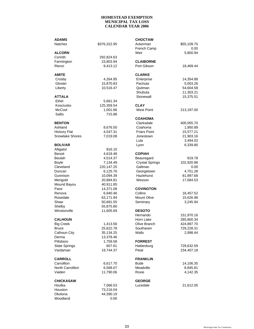| <b>ADAMS</b>         |                      | <b>CHOCTAW</b>         |                       |
|----------------------|----------------------|------------------------|-----------------------|
| Natchez              | \$376,322.95         | Ackerman               | \$55,109.75           |
|                      |                      | French Camp            | 0.00                  |
| <b>ALCORN</b>        |                      | Weir                   | 5,800.94              |
| Corinth              | 292,824.63           |                        |                       |
| Farmington           | 23,803.94            | <b>CLAIBORNE</b>       |                       |
| Rienzi               | 9,413.12             | Port Gibson            | 18,469.44             |
|                      |                      |                        |                       |
| AMITE                |                      | <b>CLARKE</b>          |                       |
| Crosby               | 4,264.95             | Enterprise             | 14,354.88             |
| Gloster              | 15,870.83            | Pachuta                | 5,003.26              |
| Liberty              | 10,516.47            | Quitman                | 54,604.58             |
|                      |                      | Shubuta                | 11,303.21             |
| ATTALA               |                      | Stonewall              | 15,375.51             |
| Ethel                | 5,661.34             |                        |                       |
| Kosciusko            | 125,359.54           | <b>CLAY</b>            |                       |
| McCool               | 1,001.86             | <b>West Point</b>      | 213,197.00            |
| Sallis               | 715.88               |                        |                       |
|                      |                      | <b>COAHOMA</b>         |                       |
| <b>BENTON</b>        |                      | Clarksdale             | 400,055.70            |
| Ashland              |                      | Coahoma                |                       |
| <b>Hickory Flat</b>  | 8,676.50<br>4,547.31 | <b>Friars Point</b>    | 1,950.89<br>15,577.21 |
|                      |                      |                        |                       |
| Snowlake Shores      | 7,019.08             | Jonestown              | 21,903.16             |
|                      |                      | Lula                   | 3,494.02              |
| <b>BOLIVAR</b>       |                      | Lyon                   | 6,339.80              |
| Alligator            | 816.10               |                        |                       |
| Benoit               | 4,618.48             | <b>COPIAH</b>          |                       |
| <b>Beulah</b>        | 4,514.37             | Beauregard             | 919.78                |
| <b>Boyle</b>         | 7,134.49             | <b>Crystal Springs</b> | 102,920.96            |
| Cleveland            | 220,147.25           | Gallman                | 0.00                  |
| Duncan               | 6,125.76             | Georgetown             | 4,751.28              |
| Gunnison             | 10,094.39            | Hazlehurst             | 81,997.68             |
| Merigold             | 20,884.81            | Wesson                 | 17,684.53             |
| Mound Bayou          | 40,911.85            |                        |                       |
| Pace                 | 14,371.08            | <b>COVINGTON</b>       |                       |
| Renova               | 6,940.46             | Collins                | 18,457.52             |
| Rosedale             | 63,171.94            | Mount Olive            | 15,626.98             |
| Shaw                 | 50,681.55            | Seminary               | 3,245.94              |
| Shelby               | 55,875.80            |                        |                       |
| Winstonville         | 11,605.69            | <b>DESOTO</b>          |                       |
|                      |                      | Hernando               | 151,970.16            |
| <b>CALHOUN</b>       |                      | Horn Lake              | 285,800.34            |
| <b>Big Creek</b>     | 1,413.56             | Olive Branch           | 424,897.70            |
| Bruce                | 25,622.78            | Southaven              | 729,228.31            |
| Calhoun City         | 35,134.25            | Walls                  | 2,998.44              |
| Derma                | 13,378.46            |                        |                       |
| Pittsboro            | 1,759.58             | <b>FORREST</b>         |                       |
| <b>Slate Springs</b> | 607.61               | Hattiesburg            | 729,632.59            |
| Vardaman             | 19,744.37            | Petal                  | 234,407.18            |
|                      |                      |                        |                       |
| <b>CARROLL</b>       |                      | <b>FRANKLIN</b>        |                       |
| Carrollton           | 6,617.70             | <b>Bude</b>            | 14,106.35             |
| North Carrollton     | 6,568.07             | Meadville              | 8,845.81              |
| Vaiden               | 11,790.06            | Roxie                  | 4,142.35              |
|                      |                      |                        |                       |
| <b>CHICKASAW</b>     |                      | <b>GEORGE</b>          |                       |
| Houlka               | 7,066.53             | Lucedale               | 21,612.05             |
| Houston              | 73,216.04            |                        |                       |
| Okolona              | 44,390.19            |                        |                       |
| Woodland             | 0.00                 |                        |                       |
|                      |                      |                        |                       |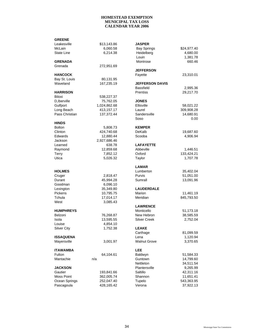| <b>GREENE</b>      |              |                        |             |
|--------------------|--------------|------------------------|-------------|
| Leakesville        | \$13,143.86  | <b>JASPER</b>          |             |
| McLain             | 6,060.58     | <b>Bay Springs</b>     | \$24,977.40 |
| State Line         | 6,214.38     | Heidelberg             | 4,680.00    |
|                    |              | Louin                  | 1,381.78    |
| <b>GRENADA</b>     |              | Montrose               | 660.46      |
| Grenada            | 272,951.69   |                        |             |
|                    |              | <b>JEFFERSON</b>       |             |
| <b>HANCOCK</b>     |              | Fayette                | 23,310.01   |
| Bay St. Louis      | 80,131.95    |                        |             |
| Waveland           | 167.235.19   | <b>JEFFERSON DAVIS</b> |             |
|                    |              | <b>Bassfield</b>       | 2,995.36    |
| <b>HARRISON</b>    |              | <b>Prentiss</b>        | 29,217.70   |
| Biloxi             | 538,227.37   |                        |             |
| D, Iberville       | 75,762.05    | <b>JONES</b>           |             |
| Gulfport           | 1,024,862.68 | Ellisville             | 58,021.22   |
| Long Beach         | 413,157.17   | Laurel                 | 309,908.28  |
| Pass Christian     | 137,372.44   | Sandersville           | 14,680.91   |
|                    |              | Soso                   | 0.00        |
| <b>HINDS</b>       |              |                        |             |
| <b>Bolton</b>      | 5,808.73     | <b>KEMPER</b>          |             |
| Clinton            | 424,740.68   | DeKalb                 | 19,687.60   |
| Edwards            | 12,880.44    | Scooba                 | 4,906.94    |
| Jackson            | 2,927,686.46 |                        |             |
| Learned            | 638.78       | <b>LAFAYETTE</b>       |             |
| Raymond            | 12,859.68    | Abbeville              | 1,446.51    |
| Terry              | 7,852.12     | Oxford                 | 133,424.21  |
| Utica              | 5,026.32     | Taylor                 | 1,707.78    |
|                    |              | <b>LAMAR</b>           |             |
| <b>HOLMES</b>      |              | Lumberton              | 35,402.04   |
| Cruger             | 2,818.47     | Purvis                 | 51,051.00   |
| Durant             | 45,994.28    | Sumrall                | 13,091.96   |
| Goodman            | 6,096.10     |                        |             |
| Lexington          | 35,349.80    | <b>LAUDERDALE</b>      |             |
| Pickens            | 10,795.75    | Marion                 | 11,461.19   |
| Tchula             | 17,014.17    | Meridian               | 845,793.50  |
| West               | 3,085.43     |                        |             |
|                    |              | <b>LAWRENCE</b>        |             |
| <b>HUMPHREYS</b>   |              | Monticello             | 51,173.18   |
| Belzoni            | 76,268.87    | New Hebron             | 38,585.59   |
| Isola              | 13,595.55    | <b>Silver Creek</b>    | 2,752.04    |
| Louise             | 4,854.10     |                        |             |
| <b>Silver City</b> | 1,752.38     | <b>LEAKE</b>           |             |
|                    |              | Carthage               | 81,099.59   |
| <b>ISSAQUENA</b>   |              | Lena                   | 1,120.94    |
| Mayersville        | 3,001.97     | <b>Walnut Grove</b>    | 3,370.65    |
|                    |              |                        |             |
| <b>ITAWAMBA</b>    |              | <b>LEE</b>             |             |
| Fulton             | 64,104.61    | Baldwyn                | 51,584.33   |
| Mantachie          | n/a          | Guntown                | 14,799.60   |
|                    |              | Nettleton              | 34,511.54   |
| <b>JACKSON</b>     |              | Plantersville          | 9,265.99    |
| Gautier            | 193,841.66   | Saltillo               | 42,311.16   |
| <b>Moss Point</b>  | 362,005.74   | Shannon                | 11,651.41   |
| Ocean Springs      | 252,047.40   | Tupelo                 | 543,363.95  |
| Pascagoula         | 428,165.42   | Verona                 | 37,922.13   |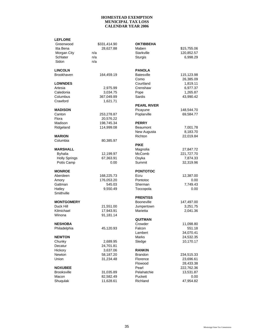| <b>LEFLORE</b>       |              |                    |             |
|----------------------|--------------|--------------------|-------------|
| Greenwood            | \$331,414.90 | <b>OKTIBBEHA</b>   |             |
| Itta Bena            | 28,627.88    | Maben              | \$15,755.06 |
| Morgan City          | n/a          | Starkville         | 120,852.57  |
| Schlater             | n/a          | Sturgis            | 6,998.29    |
| Sidon                | n/a          |                    |             |
| <b>LINCOLN</b>       |              | <b>PANOLA</b>      |             |
|                      |              |                    |             |
| Brookhaven           | 164,459.19   | <b>Batesville</b>  | 115,123.98  |
|                      |              | Como               | 26,385.09   |
| <b>LOWNDES</b>       |              | Courtland          | 1,819.11    |
| Artesia              | 2,975.99     | Crenshaw           | 6,977.37    |
| Caledonia            | 3,034.75     | Pope               | 1,265.87    |
| Columbus             | 367,049.89   | Sardis             | 43,990.42   |
| Crawford             | 1,621.71     |                    |             |
|                      |              | <b>PEARL RIVER</b> |             |
| <b>MADISON</b>       |              | Picayune           | 148,544.70  |
| Canton               | 253,278.87   | Poplarville        | 69,584.77   |
| Flora                | 20,576.22    |                    |             |
| Madison              | 198,745.34   | <b>PERRY</b>       |             |
| Ridgeland            | 114,999.08   | Beaumont           | 7,001.78    |
|                      |              | New Augusta        | 8,183.70    |
| <b>MARION</b>        |              | Richton            | 22,019.84   |
| Columbia             | 80,385.97    |                    |             |
|                      |              | <b>PIKE</b>        |             |
| <b>MARSHALL</b>      |              | Magnolia           | 27,847.72   |
| <b>Byhalia</b>       | 12,199.97    | McComb             | 221,727.70  |
| <b>Holly Springs</b> | 67,363.91    | Osyka              | 7,874.33    |
| Potts Camp           | 0.00         | Summit             | 32,319.96   |
|                      |              |                    |             |
| <b>MONROE</b>        |              | <b>PONTOTOC</b>    |             |
| Aberdeen             | 168,225.73   | Ecru               | 12,387.00   |
| Amory                | 176,053.20   | Pontotoc           | 0.00        |
| Gattman              | 545.03       | Sherman            | 7,749.43    |
| Hatley               | 9,550.49     | Toccopola          | 0.00        |
| Smithville           |              |                    |             |
|                      |              | <b>PRENTISS</b>    |             |
| <b>MONTGOMERY</b>    |              | <b>Booneville</b>  | 147,497.00  |
| Duck Hill            | 21,551.00    | Jumpertown         | 3,251.75    |
| Kilmichael           | 17,943.91    | Marietta           | 2,041.36    |
| Winona               | 91,181.14    |                    |             |
|                      |              | <b>QUITMAN</b>     |             |
| NESHOBA              |              | Crowder            | 11,098.80   |
| Philadelphia         | 45,120.93    | Falcon             | 551.18      |
|                      |              | Lambert            | 34,070.41   |
| <b>NEWTON</b>        |              | Marks              | 24,532.35   |
| Chunky               | 2,689.95     | Sledge             | 10,170.17   |
|                      | 24,701.81    |                    |             |
| Decatur              |              |                    |             |
| Hickory              | 3,637.06     | <b>RANKIN</b>      |             |
| Newton               | 58,187.20    | <b>Brandon</b>     | 234,515.33  |
| Union                | 31,234.48    | Florence           | 23,696.61   |
|                      |              | Flowood            | 28,433.38   |
| <b>NOXUBEE</b>       |              | Pearl              | 222,762.36  |
| <b>Brooksville</b>   | 31,035.89    | Pelahatchie        | 13,531.87   |
| Macon                | 82,582.49    | Puckett            | 0.00        |
| Shuqulak             | 11,628.61    | Richland           | 47,954.82   |
|                      |              |                    |             |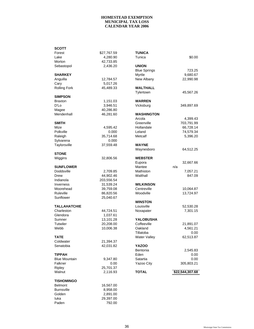| SCOTT                |             |                     |                 |
|----------------------|-------------|---------------------|-----------------|
| Forest               | \$27,767.59 | TUNICA              |                 |
| Lake                 | 4,280.90    | Tunica              | \$0.00          |
| Morton               | 42,733.85   |                     |                 |
| Sebastopol           | 2,436.20    | <b>UNION</b>        |                 |
|                      |             | <b>Blue Springs</b> | 723.25          |
| SHARKEY              |             | Myrtle              | 9,680.67        |
| Anguilla             | 12,784.57   | New Albany          | 22,990.98       |
| Cary                 | 5,017.26    |                     |                 |
| <b>Rolling Fork</b>  | 45,489.33   | <b>WALTHALL</b>     |                 |
|                      |             | Tylertown           | 45,567.26       |
| <b>SIMPSON</b>       |             |                     |                 |
| <b>Braxton</b>       | 1,151.03    | <b>WARREN</b>       |                 |
| D'Lo                 | 3,946.51    | Vicksburg           | 349,897.69      |
| Magee                | 40,286.80   |                     |                 |
| Mendenhall           | 46,281.60   | <b>WASHINGTON</b>   |                 |
|                      |             | Arcola              | 4,399.43        |
| <b>SMITH</b>         |             | Greenville          | 703,791.99      |
| Mize                 | 4,595.42    | Hollandale          | 66,728.14       |
| Polkville            | 0.000       | Leland              | 74,579.34       |
| Raleigh              | 35,714.68   | Metcalf             | 5,396.20        |
| Sylvarena            | 0.000       |                     |                 |
| Taylorsville         | 37,559.48   | <b>WAYNE</b>        |                 |
|                      |             |                     |                 |
| <b>STONE</b>         |             | Waynesboro          | 64,512.25       |
| Wiggins              | 32,806.56   | <b>WEBSTER</b>      |                 |
|                      |             |                     | 32,667.66       |
|                      |             | Eupora              |                 |
| <b>SUNFLOWER</b>     |             | Mantee              | n/a             |
| Doddsville           | 2,709.85    | Mathiston           | 7,057.21        |
| Drew                 | 44,902.46   | Walthall            | 847.09          |
| Indianola            | 203,556.54  |                     |                 |
| <b>Inverness</b>     | 31,539.24   | <b>WILKINSON</b>    |                 |
| Moorehead            | 39,759.08   | Centreville         | 10,064.87       |
| Ruleville            | 86,820.56   | Woodville           | 13,724.97       |
| Sunflower            | 25,040.67   |                     |                 |
|                      |             | <b>WINSTON</b>      |                 |
| <b>TALLAHATCHIE</b>  |             | Louisville          | 52,530.28       |
| Charleston           | 44,724.51   | Noxapater           | 7,301.15        |
| Glendora             | 1,037.61    |                     |                 |
| Sumner               | 13,101.28   | <b>YALOBUSHA</b>    |                 |
| <b>Tutwiler</b>      | 20,208.00   | Coffeeville         | 21,891.07       |
| Webb                 | 10,006.38   | Oakland             | 4,561.21        |
|                      |             | I illatoba          | 0.00            |
| TATE                 |             | <b>Water Valley</b> | 62,513.87       |
| Coldwater            | 21,394.37   |                     |                 |
| Senatobia            | 42,031.82   | <b>YAZOO</b>        |                 |
|                      |             | Bentonia            | 2,545.83        |
| <b>TIPPAH</b>        |             | Eden                | 0.00            |
| <b>Blue Mountain</b> | 9,347.80    | Satartia            | 0.00            |
| Falkner              | 0.00        | Yazoo City          | 305,803.21      |
| Ripley               | 25,701.37   |                     |                 |
| Walnut               | 2,116.93    | <b>TOTAL</b>        | \$22,544,307.68 |
|                      |             |                     |                 |
| TISHOMINGO           |             |                     |                 |
| <b>Belmont</b>       | 16,567.00   |                     |                 |
| <b>Burnsville</b>    | 8,958.00    |                     |                 |
| Golden               | 2,891.00    |                     |                 |
| luka                 | 29,397.00   |                     |                 |
| Paden                | 792.00      |                     |                 |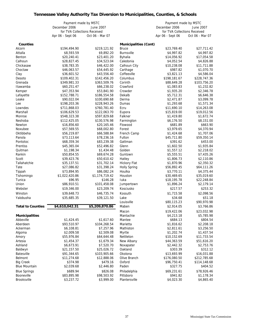# **Tennessee Valley Authority Tax Diversion to Municipalities, Counties, & Schools**

|                          | Payment made by MSTC         |                 | Payment made by MSTC         |                              |                 |
|--------------------------|------------------------------|-----------------|------------------------------|------------------------------|-----------------|
|                          | December 2006                | June 2007       |                              | December 2006                | June 2007       |
|                          | for TVA Collections Received |                 |                              | for TVA Collections Received |                 |
|                          | Apr 06 - Sept 06             | Oct 06 - Mar 07 |                              | Apr 06 - Sept 06             | Oct 06 - Mar 07 |
| <b>Counties</b>          |                              |                 | <b>Municipalities (Cont)</b> |                              |                 |
| Alcorn                   | \$194,494.90                 | \$219,121.92    | <b>Bruce</b>                 | \$23,769.40                  | \$27,711.42     |
| Attalla                  | \$8,593.59                   | \$9,892.20      | <b>Burnsville</b>            | \$4,997.82                   | \$4,997.82      |
| Benton                   | \$20,240.41                  | \$23,401.20     | Byhalia                      | \$14,056.92                  | \$17,054.58     |
| Calhoun                  | \$28,827.45                  | \$34,523.04     | Caledonia                    | \$4,052.54                   | \$4,826.88      |
| Chickasaw                | \$38,783.35                  | \$46,422.00     | Calhoun City                 | \$10,238.08                  | \$11,711.88     |
| Choctaw                  | \$46,063.57                  | \$54,445.92     | Carthage                     | \$987.82                     | \$1,070.70      |
| Clay                     | \$36,601.52                  | \$43,556.40     | Coffeeville                  | \$3,821.13                   | \$4,586.04      |
| Desoto                   | \$109,402.31                 | \$142,456.20    | Columbus                     | \$198,181.67                 | \$228,747.36    |
| Grenada                  | \$349,981.33                 | \$363,509.76    | Corinth                      | \$88,649.28                  | \$103,756.20    |
| Itawamba                 | \$60,251.47                  | \$66,238.02     | Crawford                     | \$1,083.83                   | \$1,232.82      |
| Kemper                   | \$47,353.94                  | \$53,841.90     | Crowder                      | \$1,935.20                   | \$2,346.78      |
| Lafayette                | \$152,788.71                 | \$186,554.58    | Dekalb                       | \$5,712.31                   | \$6,646.38      |
| Leake                    | \$90,022.04                  | \$100,690.68    | Derma                        | \$2,471.87                   | \$3,099.78      |
| Lee                      | \$198,203.36                 | \$228,943.26    | Dumas                        | \$1,293.68                   | \$1,571.34      |
| Lowndes                  | \$711,868.03                 | \$760,781.40    | Ecru                         | \$11,690.10                  | \$14,263.08     |
| Marshall                 | \$106,629.53                 | \$122,063.70    | Eupora                       | \$15,819.00                  | \$19,012.56     |
| Monroe                   | \$548,323.38                 | \$597,829.68    | Falkner                      | \$1,419.80                   | \$1,672.74      |
| Neshoba                  | \$112,425.05                 | \$130,576.98    | Farmington                   | \$6,176.50                   | \$8,151.00      |
| Newton                   | \$16,856.60                  | \$20,165.46     | Flowood                      | \$681.89                     | \$663.90        |
| Noxubee                  | \$57,569.55                  | \$68,002.80     | Forest                       | \$3,979.65                   | \$4,370.94      |
| Oktibbeha                | \$56,219.87                  | \$66,588.84     | French Camp                  | \$1,424.68                   | \$1,707.06      |
| Panola                   | \$73,113.64                  | \$78,236.16     | Fulton                       | \$45,711.80                  | \$59,350.14     |
| Pontotoc                 | \$68,359.34                  | \$83,239.38     | Gattman                      | \$391.62                     | \$453.00        |
| Prentiss                 | \$45,365.04                  | \$52,496.82     | Glenn                        | \$1,602.50                   | \$1,935.84      |
| Quitman                  | \$1,198.34                   | \$1,434.48      | Golden                       | \$1,557.12                   | \$2,218.02      |
| Rankin                   | \$50,854.55                  | \$69,674.28     | Guntown                      | \$5,555.51                   | \$7,435.26      |
| Scott                    | \$39,423.76                  | \$50,610.42     | Hatley                       | \$1,806.73                   | \$2,110.86      |
| Tallahatchie             | \$35,137.51                  | \$31,702.14     | <b>Hickory Flat</b>          | \$1,870.96                   | \$2,350.32      |
| Tate                     | \$27,086.82                  | \$31,398.24     | <b>Holly Spring</b>          | \$56,892.45                  | \$64,111.26     |
| Tippah                   | \$73,894.95                  | \$86,082.24     | Houlka                       | \$3,770.11                   | \$4,375.44      |
| Tishomingo               | \$1,022,420.86               | \$1,174,719.42  | Houston                      | \$30,469.65                  | \$35,019.60     |
| Tunica                   | \$96.95                      | \$146.28        | luka                         | \$18,195.78                  | \$22,248.84     |
| Union                    | \$86,910.51                  | \$101,458.08    | Jumpertown                   | \$1,896.24                   | \$2,179.14      |
| Webster                  | \$19,346.00                  | \$23,209.74     | Kosciusko                    | \$217.57                     | \$253.32        |
| Winston                  | \$39,648.73                  | \$46,735.74     | Kossuth                      | \$1,715.58                   | \$2,098.56      |
| Yalobusha                | \$35,685.35                  | \$39,121.50     | Lake                         | \$34.68                      | \$51.18         |
|                          |                              |                 | Louisville                   | \$80,115.23                  | \$90,970.98     |
| <b>Total to Counties</b> | \$4,610,042.31               | \$5,209,870.86  | Maben                        | \$2,914.05                   | \$3,766.86      |
|                          |                              |                 | Macon                        | \$19,422.06                  | \$23,032.98     |
| <b>Municipalities</b>    |                              |                 | Mantachie                    | \$4,213.18                   | \$5,785.98      |
| Abbeville                | \$1,424.45                   | \$1,617.60      | Mantee                       | \$684.13                     | \$804.54        |
| Aberdeen                 | \$93,510.97                  | \$104,268.54    | Marietta                     | \$1,816.62                   | \$2,208.18      |
| Ackerman                 | \$6,108.81                   | \$7,257.96      | Mathiston                    | \$2,811.61                   | \$3,256.50      |
| Algoma                   | \$2,009.58                   | \$2,509.08      | Myrtle                       | \$1,202.74                   | \$1,437.54      |
| Amory                    | \$55,976.84                  | \$64,644.48     | Nettleton                    | \$10,152.69                  | \$11,733.54     |
| Artesia                  | \$1,454.37                   | \$1,679.34      | New Albany                   | \$44,363.59                  | \$51,616.20     |
| Ashland                  | \$6,673.91                   | \$7,520.70      | Noxapater                    | \$2,442.32                   | \$2,753.76      |
| Baldwyn                  | \$21,157.50                  | \$25,026.72     | Oakland                      | \$303.39                     | \$312.12        |
| Batesville               | \$91,344.65                  | \$103,905.66    | Okolona                      | \$13,693.99                  | \$16,031.88     |
| Belmont                  | \$11,274.68                  | \$12,888.06     | Olive Branch                 | \$176,080.50                 | \$212,785.68    |
| <b>Big Creek</b>         | \$374.98                     | \$479.16        | Oxford                       | \$96,750.41                  | \$114,148.68    |
| <b>Blue Mountain</b>     | \$2,039.68                   | \$2,446.80      | Paden                        | \$327.75                     | \$404.52        |
| <b>Blue Springs</b>      | \$689.94                     | \$826.08        | Philadelphia                 | \$69,231.61                  | \$78,926.46     |
| Booneville               | \$83,895.98                  | \$98,503.92     | Pittsboro                    | \$941.82                     | \$1,178.34      |
| Brooksville              | \$3,237.72                   | \$3,999.00      | Plantersville                | \$4,023.30                   | \$4,865.40      |
|                          |                              |                 |                              |                              |                 |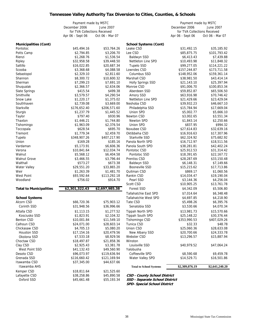# **Tennessee Valley Authority Tax Diversion to Cities, Counties, & Schools**

|                                    | Payment made by MSTC         |                            |                                | Payment made by MSTC         |                           |  |
|------------------------------------|------------------------------|----------------------------|--------------------------------|------------------------------|---------------------------|--|
|                                    | December 2006                | June 2007                  |                                | December 2006<br>June 2007   |                           |  |
|                                    | for TVA Collections Received |                            |                                | for TVA Collections Received |                           |  |
|                                    | Apr 06 - Sept 06             | Oct 06 - Mar 07            |                                | Apr 06 - Sept 06             | Oct 06 - Mar 07           |  |
| <b>Municipalities (Cont)</b>       |                              |                            | <b>School Systems (Cont)</b>   |                              |                           |  |
| Pontotoc                           | \$45,494.16                  | \$53,764.26                | Leake CSD                      | \$31,492.15                  | \$35,185.92               |  |
| Potts Camp                         | \$2,794.85                   | \$3,206.70                 | Lee CSD                        | \$85,875.75                  | \$101,793.42              |  |
| Rienzi                             | \$1,268.76                   | \$1,536.54                 | Baldwyn SSD                    | \$6,413.43                   | \$7,439.88                |  |
| Ripley                             | \$32,958.58                  | \$39,448.50                | Nettleton Line SPD             | \$10,493.98                  | \$11,848.32               |  |
| Saltillo                           | \$16,022.85                  | \$20,687.34                | <b>Tupelo SSD</b>              | \$99,277.05                  | \$114,221.22              |  |
| Scooba                             | \$3,368.68                   | \$4,088.58                 | Lowndes CSD                    | \$157,244.87                 | \$173,711.58              |  |
| Sebastopol                         | \$2,329.10                   | \$2,811.60                 | Columbus SSD                   | \$148,952.06                 | \$159,361.14              |  |
| Shannon                            | \$8,300.72                   | \$10,600.32                | Marshall CSD                   | \$38,981.50                  | \$43,414.14               |  |
| Sherman                            | \$7,299.23                   | \$7,691.10                 | <b>Holly Springs SSD</b>       | \$21,143.10                  | \$25,397.94               |  |
| Shuqualak                          | \$2,366.57                   | \$2,634.06                 | Monroe CSD                     | \$91,006.70                  | \$100,853.34              |  |
| Slate Springs                      | \$415.54                     | \$499.38                   | Aberdeen SSD                   | \$59,852.87                  | \$65,506.50               |  |
| Smithville                         | \$3,579.57                   | \$4,290.54                 | Amory SSD                      | \$63,916.98                  | \$70,746.42               |  |
| Snow Lake                          | \$1,220.17                   | \$1,375.02                 | Nettleton Line SPD             | \$21,429.66                  | \$23,429.04               |  |
| Southhaven                         | \$2,739.08                   | \$3,669.00                 | Neshoba CSD                    | \$39,932.23                  | \$46,667.10               |  |
| Starkville                         | \$176,652.40                 | \$206,571.60               | Philadelphia SSD               | \$15,784.94                  | \$17,669.04               |  |
| Sturgis                            | \$1,237.79                   | \$1,445.52                 | Union SPD                      | \$5,002.77                   | \$5,666.10                |  |
| Taylor                             | \$797.40                     | \$930.96                   | Newton CSD                     | \$3,002.65                   | \$3,551.34                |  |
| Thaxton                            | \$1,446.21                   | \$1,744.80                 | Newton SPD                     | \$1,843.14                   | \$2,250.66                |  |
| Tishomingo                         | \$1,963.09                   | \$2,376.54                 | Union SPD                      | \$837.95                     | \$994.32                  |  |
| Toccopala                          | \$628.54                     | \$695.70                   | Noxubee CSD                    | \$27,614.83                  | \$32,639.16               |  |
| Tremont                            | \$1,779.34                   | \$2,459.70                 | Oktibbeha CSD                  | \$16,916.63                  | \$17,307.96               |  |
| Tupelo                             | \$348,907.26                 | \$407,217.90               | Starkville SSD                 | \$62,324.92                  | \$75,682.92               |  |
| Union                              | \$169.28                     | \$185.16                   | Panola North SPD               | \$16,712.97                  | \$18,511.56               |  |
| Vardaman                           | \$5,173.91                   | \$6,606.36                 | Panola South SPD               | \$38,281.81                  | \$42,402.24               |  |
| Verona                             | \$10,841.64                  | \$12,034.74                | Pontotoc CSD                   | \$25,912.53                  | \$31,314.42               |  |
| Walnut                             | \$5,568.12                   | \$6,404.58                 | Pontotoc SSD                   | \$18,391.65                  | \$22,167.72               |  |
| <b>Walnut Grove</b>                | \$3,466.55                   | \$3,796.44                 | Prentiss CSD                   | \$28,287.69                  | \$33,150.48               |  |
| Walthall                           | \$573.27                     | \$673.38                   | Baldwyn SSD                    | \$6,148.31                   | \$7,149.66                |  |
| Water Valley                       | \$29,551.20                  | \$33,865.20                | Booneville SSD                 | \$15,215.62                  | \$17,713.86               |  |
| Weir                               | \$1,263.39                   | \$1,481.70                 | Quitman CSD                    | \$869.17                     | \$1,060.56                |  |
| <b>West Point</b>                  | \$93,592.64                  | \$113,292.18               | Rankin CSD                     | \$14,034.47                  | \$19,190.04               |  |
| Woodland                           | \$756.02                     | \$914.70                   | Pearl SSD                      | \$3,144.36                   | \$4,256.04                |  |
| <b>Total to Municipalities</b>     | \$2,301,322.43               | \$2,697,985.38             | Scott CSD<br><b>Forest SSD</b> | \$10,905.25<br>\$4,342.09    | \$13,761.78<br>\$5,506.80 |  |
|                                    |                              |                            | Tallahatchie East SPD          | \$7,014.64                   | \$6,348.48                |  |
| <b>School Systems</b>              |                              |                            | Tallahatchie West SPD          | \$4,697.85                   | \$4,218.90                |  |
| Alcorn CSD                         | \$66,720.36                  | \$75,903.12                | Tate CSD                       | \$5,498.26                   | \$6,395.76                |  |
| Corinth SSD                        | \$31,948.56                  | \$36,996.66                | Senatobia SSD                  | \$3,530.66                   | \$4,070.34                |  |
|                                    |                              |                            |                                |                              |                           |  |
| Attalla CSD                        | \$1,113.15                   | \$1,277.52                 | Tippah North SPD               | \$13,981.73                  | \$15,570.66               |  |
| Kosciusko SSD<br><b>Benton CSD</b> | \$1,823.91                   | \$2,104.32                 | Tippah South SPD               | \$25,148.22                  | \$30,376.44               |  |
| Calhoun CSD                        | \$10,001.84<br>\$24,071.00   | \$11,549.10<br>\$28,603.14 | Tishomingo CSD<br>Tunica CSD   | \$353,990.53<br>\$32.33      | \$407,029.26<br>\$48.78   |  |
| Chickasaw CSD                      | \$4,705.13                   | \$5,080.20                 | Union CSD                      | \$25,060.36                  | \$28,633.08               |  |
| <b>Houston SSD</b>                 | \$17,154.16                  | \$20,479.56                | New Albany SSD                 | \$20,700.66                  | \$24,333.78               |  |
| Okolona SSD                        | \$7,533.18                   | \$8,929.56                 | Webster CSD                    | \$13,296.57                  | \$15,887.94               |  |
| Choctaw CSD                        | \$18,497.87                  | \$21,858.36                | Winston                        |                              |                           |  |
| Clay CSD                           | \$2,925.43                   | \$3,381.78                 | Louisville SSD                 | \$40,979.52                  | \$47,064.24               |  |
| West Point SSD                     | \$41,132.43                  | \$49,560.90                | Yalobusha                      |                              |                           |  |
| Desoto CSD                         | \$96,073.97                  | \$119,636.94               | Coffeeville SPD                | \$8,590.68                   | \$9,459.78                |  |
| Grenada SSD                        | \$116,660.42                 | \$121,169.94               | Water Valley SPD               | \$14,529.71                  | \$16,501.86               |  |
| Itawamba CSD                       | \$37,345.00                  | \$44,637.66                |                                |                              |                           |  |
| Itawamba AHS                       |                              |                            | <b>Total to School Systems</b> | \$2,309,076.19               | \$2,641,240.20            |  |
| Kemper CSD                         | \$18,811.64                  | \$21,525.60                |                                |                              |                           |  |
| Lafayette CSD                      | \$38,258.86                  | \$45,890.58                | CSD - County School District   |                              |                           |  |
| Oxford SSD                         | \$45,661.48                  | \$55,193.34                | SSD - Separate School District |                              |                           |  |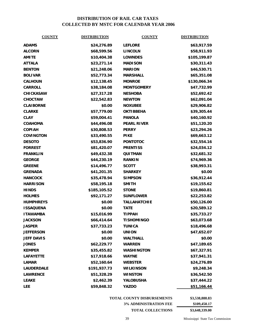# **DISTRIBUTION OF RAIL CAR TAXES COLLECTED BY MSTC FOR CALENDAR YEAR 2006**

| <b>COUNTY</b>     | <b>DISTRIBUTION</b> | <b>COUNTY</b>       | <b>DISTRIBUTION</b> |
|-------------------|---------------------|---------------------|---------------------|
| <b>ADAMS</b>      | \$24,276.89         | <b>LEFLORE</b>      | \$63,917.59         |
| <b>ALCORN</b>     | \$68,599.56         | <b>LINCOLN</b>      | \$58,911.93         |
| <b>AMITE</b>      | \$10,404.38         | <b>LOWNDES</b>      | \$105,199.87        |
| <b>ATTALA</b>     | \$23,271.14         | <b>MADISON</b>      | \$30,311.43         |
| <b>BENTON</b>     | \$21,248.06         | <b>MARION</b>       | \$46,530.71         |
| <b>BOLIVAR</b>    | \$52,773.34         | <b>MARSHALL</b>     | \$65,351.08         |
| <b>CALHOUN</b>    | \$12,138.45         | <b>MONROE</b>       | \$130,066.34        |
| <b>CARROLL</b>    | \$38,184.08         | <b>MONTGOMERY</b>   | \$47,732.99         |
| <b>CHICKASAW</b>  | \$27,317.28         | <b>NESHOBA</b>      | \$52,692.42         |
| <b>CHOCTAW</b>    | \$22,542.83         | <b>NEWTON</b>       | \$62,091.04         |
| <b>CLAIBORNE</b>  | \$0.00              | <b>NOXUBEE</b>      | \$29,906.82         |
| <b>CLARKE</b>     | \$57,779.00         | <b>OKTIBBEHA</b>    | \$39,305.44         |
| <b>CLAY</b>       | \$59,004.41         | <b>PANOLA</b>       | \$40,160.92         |
| <b>COAHOMA</b>    | \$44,496.08         | <b>PEARL RIVER</b>  | \$51,120.20         |
| <b>COPIAH</b>     | \$30,808.53         | <b>PERRY</b>        | \$23,294.26         |
| <b>COVINGTON</b>  | \$33,490.55         | <b>PIKE</b>         | \$69,663.12         |
| <b>DESOTO</b>     | \$53,836.90         | <b>PONTOTOC</b>     | \$32,554.16         |
| <b>FORREST</b>    | \$81,420.07         | <b>PRENTISS</b>     | \$24,034.12         |
| <b>FRANKLIN</b>   | \$49,432.38         | QUITMAN             | \$32,681.32         |
| <b>GEORGE</b>     | \$44,230.19         | <b>RANKIN</b>       | \$74,969.36         |
| <b>GREENE</b>     | \$14,496.77         | <b>SCOTT</b>        | \$38,993.31         |
| <b>GRENADA</b>    | \$41,201.35         | <b>SHARKEY</b>      | \$0.00              |
| <b>HANCOCK</b>    | \$35,478.94         | <b>SIMPSON</b>      | \$36,912.44         |
| <b>HARRISON</b>   | \$58,195.18         | <b>SMITH</b>        | \$19,155.62         |
| <b>HINDS</b>      | \$185,105.52        | <b>STONE</b>        | \$19,860.81         |
| <b>HOLMES</b>     | \$92,171.27         | <b>SUNFLOWER</b>    | \$22,253.82         |
| <b>HUMPHREYS</b>  | \$0.00              | <b>TALLAHATCHIE</b> | \$50,126.00         |
| <b>ISSAQUENA</b>  | \$0.00              | <b>TATE</b>         | \$20,589.12         |
| <b>ITAWAMBA</b>   | \$15,016.99         | <b>TIPPAH</b>       | \$35,733.27         |
| <b>JACKSON</b>    | \$66,414.64         | <b>TISHOMINGO</b>   | \$63,073.68         |
| <b>JASPER</b>     | \$37,733.23         | <b>TUNICA</b>       | \$18,496.68         |
| <b>JEFFERSON</b>  | \$0.00              | <b>UNION</b>        | \$47,652.07         |
| <b>JEFF DAVIS</b> | \$0.00              | <b>WALTHALL</b>     | \$0.00              |
| <b>JONES</b>      | \$62,229.77         | <b>WARREN</b>       | \$47,189.65         |
| <b>KEMPER</b>     | \$35,455.82         | <b>WASHINGTON</b>   | \$67,327.91         |
| <b>LAFAYETTE</b>  | \$17,918.66         | <b>WAYNE</b>        | \$37,941.31         |
| <b>LAMAR</b>      | \$52,160.64         | <b>WEBSTER</b>      | \$24,276.89         |
| <b>LAUDERDALE</b> | \$191,937.73        | WILKINSON           | \$9,248.34          |
| <b>LAWRENCE</b>   | \$51,328.29         | <b>WINSTON</b>      | \$36,542.50         |
| <b>LEAKE</b>      | \$2,462.39          | YALOBUSHA           | \$37,444.22         |
| <b>LEE</b>        | \$59,848.32         | <b>YAZOO</b>        | \$51,166.44         |

**TOTAL COUNTY DISBURSEMENTS \$3,538,888.83**

**3% ADMINISTRATION FEE \$109,450.17 TOTAL COLLECTIONS \$3,648,339.00**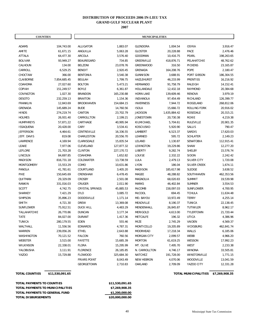#### **DISTRIBUTION OF PROCEEDS 2006 IN-LIEU TAX**

**GRAND GULF NUCLEAR PLANT** 

**2007**

| <b>COUNTIES</b>   |              |                        |            | <b>MUNICIPALITIES</b> |              |                     |            |
|-------------------|--------------|------------------------|------------|-----------------------|--------------|---------------------|------------|
|                   |              |                        |            |                       |              |                     |            |
| ADAMS             | 104,743.00   | ALLIGATOR              | 1,883.07   | <b>GLENDORA</b>       | 1,004.54     | <b>OSYKA</b>        | 3,916.47   |
| AMITE             | 61,671.15    | ANGUILLA               | 5,063.28   | <b>GLOSTER</b>        | 20,228.88    | PACE                | 2,476.46   |
| ATTALA            | 64,477.30    | ARCOLA                 | 3,576.40   | <b>GOODMAN</b>        | 10,416.75    | PEARL               | 198,263.65 |
| <b>BOLIVAR</b>    | 93,949.27    | BEAUREGARD             | 734.85     | GREENVILLE            | 418,876.71   | PELAHATCHIE         | 48,762.62  |
| CALHOUN           | 134.00       | <b>BELZONI</b>         | 23,078.76  | <b>GREENWOOD</b>      | 316.50       | <b>PICKENS</b>      | 23,165.87  |
| CARROLL           | 6,529.25     | <b>BENOIT</b>          | 2,920.45   | GRENADA               | 164,208.76   | POPE                | 2,180.47   |
| CHOCTAW           | 366.00       | <b>BENTONIA</b>        | 3,540.38   | <b>GUNNISON</b>       | 3,688.91     | PORT GIBSON         | 186,304.55 |
| CLAIBORNE         | 7,854,685.45 | <b>BEULAH</b>          | 1,799.75   | HAZLEHURST            | 46,233.99    | PRENTISS            | 16,216.92  |
| COAHOMA           | 27,027.60    | <b>BOLTON</b>          | 5,473.21   | <b>HERNANDO</b>       | 91,758.79    | RALEIGH             | 14,152.41  |
| COPIAH            | 151,249.57   | <b>BOYLE</b>           | 6,361.87   | HOLLANDALE            | 12,432.18    | RAYMOND             | 20,384.68  |
| COVINGTON         | 1,027.30     | <b>BRANDON</b>         | 165,230.88 | <b>HORN LAKE</b>      | 139,609.46   | <b>RENOVA</b>       | 3,979.19   |
| <b>DESOTO</b>     | 232,259.13   | <b>BRAXTON</b>         | 1,154.36   | <b>INDIANOLA</b>      | 97,454.49    | RICHLAND            | 126,399.77 |
| FRANKLIN          | 12,843.69    | <b>BROOKHAVEN</b>      | 154,684.15 | <b>INVERNESS</b>      | 7,944.72     | RIDGELAND           | 268,812.06 |
| GRENADA           | 145,689.24   | <b>BUDE</b>            | 14,760.56  | <b>ISOLA</b>          | 15,666.72    | ROLLING FORK        | 20,916.02  |
| <b>HINDS</b>      | 274,219.74   | CANTON                 | 23,702.79  | <b>JACKSON</b>        | 1,635,884.42 | ROSEDALE            | 20,315.21  |
| <b>HOLMES</b>     | 26,931.40    | CARROLLTON             | 2,199.21   | <b>JONESTOWN</b>      | 20,730.38    | <b>ROXIE</b>        | 4,219.38   |
| <b>HUMPHREYS</b>  | 57,871.22    | CARTHAGE               | 40,995.94  | KILMICHAEL            | 5,704.61     | <b>RULEVILLE</b>    | 20,901.35  |
| <b>ISSAQUENA</b>  | 20,428.00    | CARY                   | 3,534.41   | <b>KOSCIUSKO</b>      | 5,920.90     | <b>SALLIS</b>       | 790.47     |
| <b>JEFFERSON</b>  | 4,464.61     | CENTREVILLE            | 16,336.55  | LAMBERT               | 6,523.37     | SARDIS              | 17,620.03  |
| JEFF. DAVIS       | 819.08       | CHARLESTON             | 20,556.70  | LEARNED               | 595.72       | <b>SCHLATER</b>     | 2,149.23   |
| LAWRENCE          | 4,169.94     | CLARKSDALE             | 15,835.54  | LELAND                | 1,130.87     | SENATOBIA           | 112,915.41 |
| LEAKE             | 7,977.06     | CLEVELAND              | 127,877.32 | LEXINGTON             | 19,229.86    | SHAW                | 12,277.20  |
| LEFLORE           | 21,703.28    | <b>CLINTON</b>         | 227,170.72 | <b>LIBERTY</b>        | 9,282.74     | SHELBY              | 15,576.74  |
| LINCOLN           | 84,697.85    | COAHOMA                | 1,652.82   | LOUISE                | 2,332.22     | SIDON               | 2,242.42   |
| <b>MADISON</b>    | 816,731.18   | COLDWATER              | 13,738.59  | LULA                  | 2,479.13     | <b>SILVER CITY</b>  | 1,720.08   |
| <b>MONTGOMERY</b> | 15,553.29    | COMO                   | 10,631.86  | LYON                  | 186.04       | <b>SILVER CREEK</b> | 1,674.11   |
| PANOLA            | 41,781.61    | COURTLAND              | 3,405.20   | <b>MADISON</b>        | 185,617.98   | <b>SLEDGE</b>       | 3,638.52   |
| <b>PIKE</b>       | 150,645.69   | CRENSHAW               | 6,478.45   | MAGEE                 | 48,288.82    | SOUTHHAVEN          | 462,353.56 |
| QUITMAN           | 29,329.09    | CROSBY                 | 2,501.08   | MAGNOLIA              | 68,020.83    | <b>SUMMIT</b>       | 19,539.98  |
| RANKIN            | 331,016.03   | CRUGER                 | 2,011.90   | <b>MARKS</b>          | 46,402.84    | <b>SUMNER</b>       | 3,554.53   |
| <b>SCOTT</b>      | 4,742.75     | <b>CRYSTAL SPRINGS</b> | 45,885.53  | <b>McCOMB</b>         | 158,097.03   | SUNFLOWER           | 4,700.95   |
| SHARKEY           | 7,421.29     | D'LO                   | 3,085.72   | McCOOL                | 694.45       | <b>TCHULA</b>       | 11,634.48  |
| <b>SIMPSON</b>    | 35,896.23    | <b>DODDSVILLE</b>      | 1,171.14   | MD. BAYOU             | 10,972.49    | <b>TERRY</b>        | 4,255.14   |
| <b>SMITH</b>      | 4,721.30     | <b>DREW</b>            | 13,369.08  | MEADVILLE             | 8,190.37     | <b>TUNICA</b>       | 22,138.45  |
| <b>SUNFLOWER</b>  | 75,912.51    | DUCK HILL              | 4,483.29   | MENDENHALL            | 26,845.87    | TUTWILER            | 8,962.17   |
| TALLAHATCHIE      | 26,770.86    | <b>DUNCAN</b>          | 3,177.34   | MERIGOLD              | 4,613.00     | <b>TYLERTOWN</b>    | 21,720.44  |
| <b>TATE</b>       | 84,027.00    | <b>DURANT</b>          | 1,417.36   | METCALFE              | 196.32       | <b>UTICA</b>        | 4,386.96   |
| <b>TUNICA</b>     | 280,179.55   | EDEN                   | 555.46     | MIZE                  | 2,745.29     | VAIDEN              | 4,569.37   |
| WALTHALL          | 11,556.56    | EDWARDS                | 4,787.31   | MONTICELLO            | 19,205.89    | <b>VICKSBURG</b>    | 462,841.74 |
| WARREN            | 239,056.26   | ETHEL                  | 2,643.88   | MOORHEAD              | 17,218.34    | WALLS               | 6,185.06   |
| WASHINGTON        | 70,121.52    | <b>FALCON</b>          | 760.56     | <b>MORGAN CITY</b>    | 2,099.57     | WEBB                | 4,966.20   |
| WEBSTER           | 3,515.00     | FAYETTE                | 15,685.39  | <b>MORTON</b>         | 61,619.25    | WESSON              | 17,992.23  |
| WILKINSON         | 22,338.01    | <b>FLORA</b>           | 15,295.99  | MT. OLIVE             | 7,495.70     | WEST                | 2,233.38   |
| YALOBUSHA         | 3,111.91     | <b>FLORENCE</b>        | 26,185.85  | N. CARROLLTON         | 4,746.17     | <b>WINONA</b>       | 33,505.81  |
| YAZOO             | 15,729.88    | <b>FLOWOOD</b>         | 325,684.30 | NATCHEZ               | 191,728.00   | WINSTONVILLE        | 1,771.15   |
|                   |              | <b>FRIARS POINT</b>    | 8,043.49   | NEW HEBRON            | 4,070.06     | WOODVILLE           | 13,041.59  |
|                   |              | GEORGETOWN             | 2,710.83   | OAKLAND               | 2,709.09     | YAZOO CITY          | 12,331.28  |

| TOTAL PAYMENTS TO COUNTIES       | \$11,530,091.65 |
|----------------------------------|-----------------|
| TOTAL PAYMENTS TO MUNICIPALITIES | \$7,269,908.35  |
| TOTAL PAYMENTS TO GENERAL FUND   | \$1,200,000.00  |
| <b>TOTAL DISBURSEMENTS</b>       | \$20,000,000.00 |

#### **TOTAL COUNTIES \$11,530,091.65 TOTAL MUNICIPALITIES \$7,269,908.35**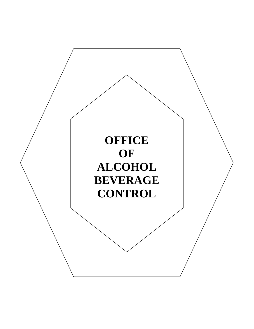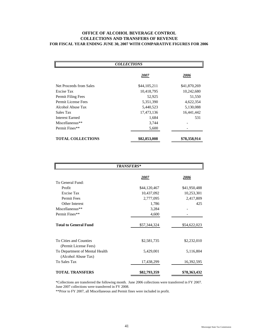### **OFFICE OF ALCOHOL BEVERAGE CONTROL COLLECTIONS AND TRANSFERS OF REVENUE FOR FISCAL YEAR ENDING JUNE 30, 2007 WITH COMPARATIVE FIGURES FOR 2006**

| <b>COLLECTIONS</b>       |              |              |  |  |  |  |  |
|--------------------------|--------------|--------------|--|--|--|--|--|
|                          | 2007         | 2006         |  |  |  |  |  |
| Net Proceeds from Sales  | \$44,105,211 | \$41,870,269 |  |  |  |  |  |
| Excise Tax               | 10,418,795   | 10,242,680   |  |  |  |  |  |
| Permit Filing Fees       | 52,925       | 51,550       |  |  |  |  |  |
| Permit License Fees      | 5,351,390    | 4,622,354    |  |  |  |  |  |
| Alcohol Abuse Tax        | 5,440,523    | 5,130,088    |  |  |  |  |  |
| Sales Tax                | 17,473,136   | 16,441,442   |  |  |  |  |  |
| <b>Interest Earned</b>   | 1,684        | 531          |  |  |  |  |  |
| Miscellaneous**          | 3,744        |              |  |  |  |  |  |
| Permit Fines**           | 5,600        |              |  |  |  |  |  |
| <b>TOTAL COLLECTIONS</b> | \$82,853,008 | \$78,358,914 |  |  |  |  |  |

| <b>TRANSFERS*</b>                                     |               |               |  |  |  |  |
|-------------------------------------------------------|---------------|---------------|--|--|--|--|
|                                                       | <u> 2007 </u> | <u> 2006 </u> |  |  |  |  |
| To General Fund:                                      |               |               |  |  |  |  |
| Profit                                                | \$44,120,467  | \$41,950,488  |  |  |  |  |
| Excise Tax                                            | 10,437,092    | 10,253,301    |  |  |  |  |
| <b>Permit Fees</b>                                    | 2,777,095     | 2,417,809     |  |  |  |  |
| Other Interest                                        | 1,786         | 425           |  |  |  |  |
| Miscellaneous**                                       | 3,284         |               |  |  |  |  |
| Permit Fines**                                        | 4,600         |               |  |  |  |  |
| <b>Total to General Fund</b>                          | \$57,344,324  | \$54,622,023  |  |  |  |  |
| To Cities and Counties<br>(Permit License Fees)       | \$2,581,735   | \$2,232,010   |  |  |  |  |
| To Department of Mental Health<br>(Alcohol Abuse Tax) | 5,429,001     | 5,116,804     |  |  |  |  |
| <b>To Sales Tax</b>                                   | 17,438,299    | 16,392,595    |  |  |  |  |
| <b>TOTAL TRANSFERS</b>                                | \$82,793,359  | \$78,363,432  |  |  |  |  |

\*Collections are transferred the following month. June 2006 collections were transferred in FY 2007. June 2007 collections were transferred in FY 2008.

\*\*Prior to FY 2007, all Miscellaneous and Permit fines were included in profit.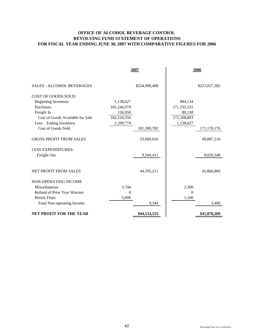## **OFFICE OF ALCOHOL BEVERAGE CONTROL REVOLVING FUND STATEMENT OF OPERATIONS FOR FISCAL YEAR ENDING JUNE 30, 2007 WITH COMPARATIVE FIGURES FOR 2006**

|                                   |             | 2007          | 2006        |               |
|-----------------------------------|-------------|---------------|-------------|---------------|
| <b>SALES - ALCOHOL BEVERAGES</b>  |             | \$234,990,408 |             | \$221,057,392 |
| COST OF GOODS SOLD:               |             |               |             |               |
| <b>Beginning Inventory</b>        | 1,138,627   |               | 884,134     |               |
| Purchases                         | 181,244,979 |               | 171,335,531 |               |
| Freight In                        | 126,950     |               | 89,138      |               |
| Cost of Goods Available for Sale  | 182,510,556 |               | 172,308,803 |               |
| Less: Ending Inventory            | 1,209,774   |               | 1,138,627   |               |
| Cost of Goods Sold                |             | 181,300,782   |             | 171,170,176   |
|                                   |             |               |             |               |
| <b>GROSS PROFIT FROM SALES</b>    |             | 53,689,626    |             | 49,887,216    |
|                                   |             |               |             |               |
| <b>LESS EXPENDITURES:</b>         |             |               |             |               |
| Freight Out                       |             | 9,584,415     |             | 8,020,348     |
|                                   |             |               |             |               |
| <b>NET PROFIT FROM SALES</b>      |             | 44, 105, 211  |             | 41,866,869    |
|                                   |             |               |             |               |
| NON-OPERATING INCOME              |             |               |             |               |
| Miscellaneous                     | 3,744       |               | 2,300       |               |
| Refund of Prior Year Warrant      | $\theta$    |               | $\Omega$    |               |
| <b>Permit Fines</b>               | 5,600       |               | 1,100       |               |
| <b>Total Non-operating Income</b> |             | 9,344         |             | 3,400         |
| <b>NET PROFIT FOR THE YEAR</b>    |             | \$44,114,555  |             | \$41,870,269  |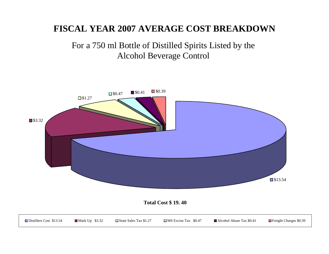# **FISCAL YEAR 2007 AVERAGE COST BREAKDOWN**

# For a 750 ml Bottle of Distilled Spirits Listed by the Alcohol Beverage Control

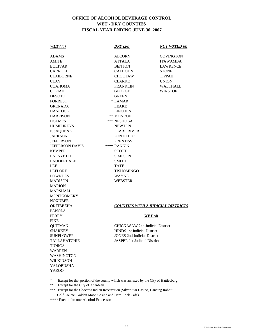## **OFFICE OF ALCOHOL BEVERAGE CONTROL WET - DRY COUNTIES FISCAL YEAR ENDING JUNE 30, 2007**

| <b>WET</b> (44)                                                                    | DRY(26)                                | <b>NOT VOTED (8)</b>                      |
|------------------------------------------------------------------------------------|----------------------------------------|-------------------------------------------|
| ADAMS                                                                              | <b>ALCORN</b>                          | <b>COVINGTON</b>                          |
| AMITE                                                                              | ATTALA                                 | <b>ITAWAMBA</b>                           |
| <b>BOLIVAR</b>                                                                     | <b>BENTON</b>                          | <b>LAWRENCE</b>                           |
| CARROLL                                                                            | <b>CALHOUN</b>                         | <b>STONE</b>                              |
| <b>CLAIBORNE</b>                                                                   | <b>CHOCTAW</b>                         | <b>TIPPAH</b>                             |
| <b>CLAY</b>                                                                        | <b>CLARKE</b>                          | <b>UNION</b>                              |
| <b>COAHOMA</b>                                                                     | <b>FRANKLIN</b>                        | <b>WALTHALL</b>                           |
| <b>COPIAH</b>                                                                      | <b>GEORGE</b>                          | <b>WINSTON</b>                            |
| <b>DESOTO</b>                                                                      | <b>GREENE</b>                          |                                           |
| <b>FORREST</b>                                                                     | * LAMAR                                |                                           |
| <b>GRENADA</b>                                                                     | <b>LEAKE</b>                           |                                           |
| <b>HANCOCK</b>                                                                     | <b>LINCOLN</b>                         |                                           |
| <b>HARRISON</b>                                                                    | ** MONROE                              |                                           |
| <b>HOLMES</b>                                                                      | *** NESHOBA                            |                                           |
| <b>HUMPHREYS</b>                                                                   | <b>NEWTON</b>                          |                                           |
| <b>ISSAQUENA</b>                                                                   | PEARL RIVER                            |                                           |
| <b>JACKSON</b>                                                                     | <b>PONTOTOC</b>                        |                                           |
| <b>JEFFERSON</b>                                                                   | <b>PRENTISS</b>                        |                                           |
| <b>JEFFERSON DAVIS</b>                                                             | **** RANKIN                            |                                           |
| <b>KEMPER</b>                                                                      | SCOTT                                  |                                           |
| <b>LAFAYETTE</b>                                                                   | SIMPSON                                |                                           |
| <b>LAUDERDALE</b>                                                                  | SMITH                                  |                                           |
| <b>LEE</b>                                                                         | <b>TATE</b>                            |                                           |
| LEFLORE                                                                            | <b>TISHOMINGO</b>                      |                                           |
| <b>LOWNDES</b>                                                                     | <b>WAYNE</b>                           |                                           |
| <b>MADISON</b>                                                                     | WEBSTER                                |                                           |
| <b>MARION</b>                                                                      |                                        |                                           |
| <b>MARSHALL</b>                                                                    |                                        |                                           |
| <b>MONTGOMERY</b>                                                                  |                                        |                                           |
| <b>NOXUBEE</b>                                                                     |                                        |                                           |
| <b>OKTIBBEHA</b>                                                                   |                                        | <b>COUNTIES WITH 2 JUDICIAL DISTRICTS</b> |
| <b>PANOLA</b>                                                                      |                                        |                                           |
| <b>PERRY</b>                                                                       |                                        | WET(4)                                    |
| <b>PIKE</b>                                                                        |                                        |                                           |
| <b>QUITMAN</b>                                                                     | <b>CHICKASAW 2nd Judicial District</b> |                                           |
| <b>SHARKEY</b>                                                                     | <b>HINDS</b> 1st Judicial District     |                                           |
| SUNFLOWER                                                                          | <b>JONES</b> 2nd Judicial District     |                                           |
| <b>TALLAHATCHIE</b>                                                                | <b>JASPER 1st Judicial District</b>    |                                           |
| <b>TUNICA</b>                                                                      |                                        |                                           |
| <b>WARREN</b>                                                                      |                                        |                                           |
| <b>WASHINGTON</b>                                                                  |                                        |                                           |
| <b>WILKINSON</b><br><b>YALOBUSHA</b>                                               |                                        |                                           |
| <b>YAZOO</b>                                                                       |                                        |                                           |
|                                                                                    |                                        |                                           |
| Execut for that portion of the county which was annexed by the City of Hattiesburg |                                        |                                           |

\* Except for that portion of the county which was annexed by the City of Hattiesburg.

- \*\* Except for the City of Aberdeen.
- \*\*\* Except for the Choctaw Indian Reservation (Silver Star Casino, Dancing Rabbit Golf Course, Golden Moon Casino and Hard Rock Café).
- \*\*\*\* Except for one Alcohol Processor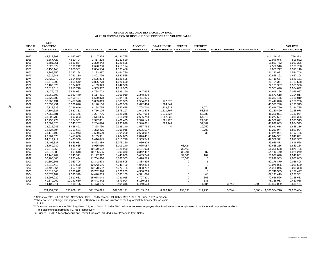#### **OFFICE OF ALCOHOL BEVERAGE CONTROL41 YEAR COMPARISON OF REVENUE COLLECTIONS AND VOLUME SALES**

| <b>FISCAL</b> | <b>NET</b><br><b>PROCEEDS</b> |                        |                        |                        | <b>ALCOHOL</b>         | <b>WAREHOUSE</b>           | <b>PERMIT</b> | <b>INTEREST</b>  |                      |                     |                          | <b>VOLUME</b>          |
|---------------|-------------------------------|------------------------|------------------------|------------------------|------------------------|----------------------------|---------------|------------------|----------------------|---------------------|--------------------------|------------------------|
| <b>YEAR</b>   | from SALES                    | <b>EXCISE TAX</b>      | <b>SALES TAX*</b>      | <b>PERMIT FEES</b>     | <b>ABUSE TAX</b>       | SURCHARGE ** I.D. FEES *** |               | <b>EARNED</b>    | <b>MISCELLANEOUS</b> | <b>PERMIT FINES</b> | <b>TOTAL</b>             | <b>SALES (CASES)</b>   |
| 1967          | \$4,828,867                   | \$4,087,917            | \$1,147,824            | \$1,181,755            |                        |                            |               |                  |                      |                     | \$11,246,363             | 759,373                |
| 1968          | 5,567,423                     | 4,830,794              | 1,417,298              | 1,130,530              |                        |                            |               |                  |                      |                     | 12,946,045               | 898,832                |
| 1969          | 6,681,861                     | 5,633,854              | 2,320,442              | 1,221,605              |                        |                            |               |                  |                      |                     | 15,857,762               | 1,061,396              |
| 1970          | 7,520,372                     | 6,191,212              | 2,620,758              | 1,218,174              |                        |                            |               |                  |                      |                     | 17,550,516               | 1,191,768              |
| 1971          | 8,153,146                     | 6,668,581              | 2,854,554              | 1,333,466              |                        |                            |               |                  |                      |                     | 19,009,747               | 1,313,110              |
| 1972          | 9,267,250                     | 7,347,164              | 3,193,897              | 1,464,780              |                        |                            |               |                  |                      |                     | 21,273,091               | 1,534,748              |
| 1973          | 9,919,741                     | 7,763,130              | 3,401,796              | 1,540,525              |                        |                            |               |                  |                      |                     | 22,625,192               | 1,627,104              |
| 1974          | 10,423,278                    | 7,954,870              | 3,505,894              | 1,526,625              |                        |                            |               |                  |                      |                     | 23,410,667               | 1,640,151              |
| 1975          | 11,679,390                    | 8,561,649              | 3,836,778              | 1,626,550              |                        |                            |               |                  |                      |                     | 25,704,367               | 1,781,558              |
| 1976          | 12,160,826                    | 9,134,882              | 4,153,929              | 1,742,350              |                        |                            |               |                  |                      |                     | 27,191,987               | 1,955,566              |
| 1977          | 12,619,518                    | 9,610,716              | 4,303,337              | 1,817,905              |                        |                            |               |                  |                      |                     | 28,351,476               | 1,954,092              |
| 1978          | 13,479,476                    | 9,826,062              | 4,758,703              | 1,936,290              | 1,947,635              |                            |               |                  |                      |                     | 31,948,166               | 2,059,957              |
| 1979          | 16,060,508                    | 10,083,470             | 5,117,451              | 2,061,910              | 2,348,279              |                            |               |                  |                      |                     | 35,671,618               | 2,104,817              |
| 1980          | 15,720,582                    | 10,459,404             | 5,550,878              | 2,184,465              | 2,451,836              |                            |               |                  |                      |                     | 36,367,165               | 2,185,019              |
| 1981          | 16,965,131                    | 10,467,578             | 5,883,819              | 2,388,305              | 2,564,859              | 177,378                    |               |                  |                      |                     | 38,447,070               | 2,188,206              |
| 1982          | 17,539,451                    | 10,329,876             | 6,120,166              | 2,486,980              | 2,672,414              | 1,224,341                  |               |                  |                      |                     | 40,373,228               | 2,193,343              |
| 1983          | 17,712,639                    | 10,226,646             | 6,194,795              | 2,557,675              | 2,704,710              | 1,239,211                  |               | 11,074           |                      |                     | 40,646,750               | 2,184,785              |
| 1984          | 17,194,627                    | 9,882,331              | 6,716,105              | 2,575,197              | 2,642,476              | 1,210,797                  |               | 58,887           |                      |                     | 40,280,420               | 2,125,978              |
| 1985          | 17,952,681                    | 9,695,175              | 7,297,796              | 2,528,245              | 2,637,088              | 1,216,727                  |               | 53,089           |                      |                     | 41,380,801               | 2,113,954              |
| 1986<br>1987  | 23,203,708<br>22,733,279      | 9,097,333<br>8,704,561 | 7,514,385<br>7,327,801 | 2,518,270<br>2,401,495 | 2,636,743<br>2,570,149 | 1,252,836<br>1,221,726     |               | 54,316<br>21,660 |                      |                     | 46,277,591<br>44,980,671 | 2,015,335<br>1,935,543 |
| 1988          | 22,502,020                    | 8,540,257              | 7,264,074              |                        | 2,540,811              | 723,144                    |               | 31,807           |                      |                     |                          | 1,864,543              |
| 1989          | 22,912,245                    | 8,468,491              | 7,328,730              | 2,293,890<br>2,335,140 | 2,567,762              | $**$                       |               | 29,250           |                      |                     | 43,896,003<br>43,641,618 | 1,855,216              |
| 1990          | 22,624,694                    | 8,305,621              | 7,352,475              | 2,296,915              | 2,585,537              |                            |               | 48,702           |                      |                     | 43,213,944               | 1,823,924              |
| 1991          | 23,143,192                    | 8,252,943              | 7,580,569              | 2,304,200              | 2,693,982              |                            |               | 35               |                      |                     | 43,974,921               | 1,797,456              |
| 1992          | 23,961,678                    | 8,415,656              | 8,105,931              | 2,284,835              | 2,876,451              |                            |               |                  |                      |                     | 45,644,551               | 1,840,891              |
| 1993          | 24,319,717                    | 8,425,356              | 9,416,045              | 2,515,710              | 2,905,543              |                            |               |                  |                      |                     | 47,582,371               | 1,813,367              |
| 1994          | 25,405,327                    | 8,656,031              | 9,822,289              | 3,075,220              | 3,030,606              |                            |               |                  |                      |                     | 49,989,473               | 1,846,528              |
| 1995          | 25,769,780                    | 8,683,665              | 9,965,060              | 3,103,240              | 3,075,087              |                            | 68,424        |                  |                      |                     | 50,665,256               | 1,859,154              |
| 1996          | 26,275,852                    | 8,551,722              | 10,170,602             | 3,121,990              | 3,151,923              |                            | 33,469        |                  |                      |                     | 51,305,558               | 1,875,436              |
| 1997          | 28,047,282                    | 8,693,618              | 10,736,535             | 3,290,370              | 3,342,457              |                            | 32,091        | 87               |                      |                     | 54,142,440               | 1,924,249              |
| 1998          | 29,146,204                    | 8,740,911              | 11,177,977             | 3,443,800              | 3,485,748              |                            | 32,886        | 102              |                      |                     | 56,027,628               | 1,948,881              |
| 1999          | 30,766,800                    | 8,885,494              | 11,754,810             | 3,786,555              | 3,676,579              |                            | 26,660        | 5                |                      |                     | 58,896,903               | 2,003,085              |
| 2000          | 30,899,501                    | 9,053,704              | 12,342,673             | 3,996,505              | 3,884,495              |                            | 0             | 1                |                      |                     | 60,176,879               | 2,056,408              |
| 2001          | 32,219,412                    | 8,925,690              | 12,643,686             | 4,246,400              | 4,042,894              |                            | $\mathbf 0$   | 3                |                      |                     | 62,078,085               | 2,039,630              |
| 2002          | 33,495,664                    | 9,052,179              | 13,178,532             | 4,272,785              | 4,038,797              |                            | 0             | 88               |                      |                     | 64,038,045               | 2,099,398              |
| 2003          | 35,012,545                    | 9,330,042              | 13,762,978             | 4,326,205              | 4,308,763              |                            |               | 3                |                      |                     | 66,740,535               | 2,187,477              |
| 2004          | 36,073,189                    | 9,596,379              | 14,420,033             | 4,580,100              | 4,521,670              |                            | 0             | 48               |                      |                     | 69,191,419               | 2,267,301              |
| 2005          | 38,297,220                    | 9,812,682              | 15,078,043             | 4,731,015              | 4,707,201              |                            | 0             | 365              |                      |                     | 72,626,526               | 2,328,683              |
| 2006          | 41,870,269                    | 10,242,680             | 16,441,442             | 4,673,904              | 5,130,088              |                            | 0             | 531              |                      |                     | 78,358,913               | 2,430,038              |
| 2007          | 44,105,211                    | 10,418,795             | 17,473,136             | 5,404,315              | 5,440,523              |                            | $\Omega$      | 1,684            | 3,744                | 5,600               | 82,853,009               | 2,519,164              |
|               | 874,231,556                   | 355,609,122            | 321,254,025            | 109,526,191            | 97,183,106             | 8,266,160                  | 193,530       | 311,736          | 3,744#               |                     | 5,600 # 1,766,584,770    | 77,205,464             |

\* Sales tax rate: 5% 1967 thru November, 1983; 6% December, 1983 thru May, 1992; 7% June, 1992 to present.

\*\* Warehouse Surcharge was repealed 2-1-88 when loan for construction of the Liquor Distribution Center was paid

\*\*\* Due to an amendment to ABC Regulation 39, as of March 3, 1999 ABC no longer requires employee identification cards for employees of package and on-premise retailers and discontinued permittee I.D. fees respectively.

# Prior to FY 2007, Miscellaneous and Permit Fines are included in Net Proceeds from Sales.

in full.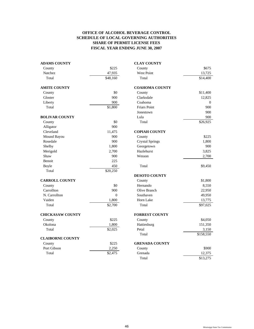| <b>ADAMS COUNTY</b>     |                | <b>CLAY COUNTY</b>     |           |
|-------------------------|----------------|------------------------|-----------|
| County                  | \$225          | County                 | \$675     |
| <b>Natchez</b>          | 47,935         | <b>West Point</b>      | 13,725    |
| Total                   | \$48,160       | Total                  | \$14,400  |
| <b>AMITE COUNTY</b>     |                | <b>COAHOMA COUNTY</b>  |           |
| County                  | \$0            | County                 | \$11,400  |
| Gloster                 | 900            | Clarksdale             | 12,825    |
| Liberty                 | 900            | Coahoma                | $\Omega$  |
| Total                   | \$1,800        | <b>Friars Point</b>    | 900       |
|                         |                | Jonestown              | 900       |
| <b>BOLIVAR COUNTY</b>   |                | Lula                   | 900       |
| County                  | \$0            | Total                  | \$26,925  |
| Alligator               | 900            |                        |           |
| Cleveland               | 11,475         | <b>COPIAH COUNTY</b>   |           |
| Mound Bayou             | 900            | County                 | \$225     |
| Rosedale                | 900            | <b>Crystal Springs</b> | 1,800     |
| Shelby                  | 1,800          | Georgetown             | 900       |
| Merigold                | 2,700          | Hazlehurst             | 3,825     |
| Shaw                    | 900            | Wesson                 | 2,700     |
| Benoit                  | 225            |                        |           |
| Boyle                   | 450            | Total                  | \$9,450   |
| Total                   | \$20,250       |                        |           |
|                         |                | <b>DESOTO COUNTY</b>   |           |
| <b>CARROLL COUNTY</b>   |                | County                 | \$1,800   |
| County                  | \$0            | Hernando               | 8,550     |
| Carrollton              | 900            | Olive Branch           | 22,950    |
| N. Carrollton           | $\overline{0}$ | Southaven              | 49,950    |
| Vaiden                  | 1,800          | Horn Lake              | 13,775    |
| Total                   | \$2,700        | Total                  | \$97,025  |
| <b>CHICKASAW COUNTY</b> |                | <b>FORREST COUNTY</b>  |           |
| County                  | \$225          | County                 | \$4,050   |
| Okolona                 | 1,800          | Hattiesburg            | 151,350   |
| Total                   | \$2,025        | Petal                  | 3,150     |
|                         |                | Total                  | \$158,550 |
| <b>CLAIBORNE COUNTY</b> |                |                        |           |
| County                  | \$225          | <b>GRENADA COUNTY</b>  |           |
| Port Gibson             | 2,250          | County                 | \$900     |
| Total                   | \$2,475        | Grenada                | 12,375    |
|                         |                | Total                  | \$13,275  |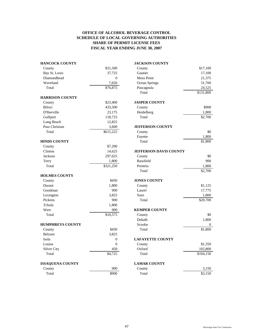|                      | <b>JACKSON COUNTY</b>         |           |
|----------------------|-------------------------------|-----------|
| \$31,500             | County                        | \$17,100  |
| 37,725               | Gautier                       | 17,100    |
| $\overline{0}$       | <b>Moss Point</b>             | 21,375    |
| 7,650                | Ocean Springs                 | 51,700    |
| $\overline{$}76,875$ | Pascagoula                    | 24,525    |
|                      | Total                         | \$131,800 |
|                      |                               |           |
| \$23,400             | <b>JASPER COUNTY</b>          |           |
| 433,500              | County                        | \$900     |
| 23,175               | Heidelberg                    | 1,800     |
| 118,725              | Total                         | \$2,700   |
| 12,825               |                               |           |
| 3,600                | <b>JEFFERSON COUNTY</b>       |           |
| \$615,225            | County                        | \$0       |
|                      | Fayette                       | 1,800     |
|                      | Total                         | \$1,800   |
| \$7,200              |                               |           |
| 14,625               | <b>JEFFERSON DAVIS COUNTY</b> |           |
| 297,625              | County                        | \$0       |
| 1,800                | Bassfield                     | 900       |
| \$321,250            | Prentiss                      | 1,800     |
|                      | Total                         | \$2,700   |
|                      |                               |           |
| \$450                | <b>JONES COUNTY</b>           |           |
| 1,800                | County                        | \$1,125   |
| 900                  | Laurel                        | 17,775    |
| 3.825                | Soso                          | 1,800     |
| 900                  | Total                         | \$20,700  |
| 1,800                |                               |           |
| 900                  | <b>KEMPER COUNTY</b>          |           |
| \$10,575             | County                        | \$0       |
|                      | Dekalb                        | 1,800     |
|                      | Scooba                        | $\theta$  |
| \$450                | Total                         | \$1,800   |
| 3,825                |                               |           |
| $\mathbf{0}$         | <b>LAFAYETTE COUNTY</b>       |           |
| $\boldsymbol{0}$     | County                        | \$1,350   |
| 450                  | Oxford                        | 102,800   |
| \$4,725              | Total                         | \$104,150 |
|                      | <b>LAMAR COUNTY</b>           |           |
| 900                  | County                        | 3,150     |
| \$900                | Total                         | \$3,150   |
|                      |                               |           |

\$131,800

 $1,800$ 

\$2,700

Dekalb 1,800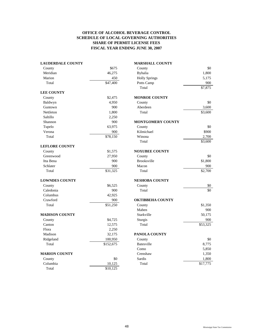| <b>LAUDERDALE COUNTY</b> |           | <b>MARSHALL COUNTY</b>   |          |
|--------------------------|-----------|--------------------------|----------|
| County                   | \$675     | County                   | \$0      |
| Meridian                 | 46,275    | <b>Byhalia</b>           | 1,800    |
| Marion                   | 450       | <b>Holly Springs</b>     | 5,175    |
| Total                    | \$47,400  | Potts Camp               | 900      |
|                          |           | Total                    | \$7,875  |
| <b>LEE COUNTY</b>        |           |                          |          |
| County                   | \$2,475   | <b>MONROE COUNTY</b>     |          |
| Baldwyn                  | 4,950     | County                   | \$0      |
| Guntown                  | 900       | Aberdeen                 | 3,600    |
| Nettleton                | 1,800     | Total                    | \$3,600  |
| Saltillo                 | 2,250     |                          |          |
| Shannon                  | 900       | <b>MONTGOMERY COUNTY</b> |          |
| Tupelo                   | 63,975    | County                   | \$0      |
| Verona                   | 900       | Kilmichael               | \$900    |
| Total                    | \$78,150  | Winona                   | 2,700    |
|                          |           | Total                    | \$3,600  |
| <b>LEFLORE COUNTY</b>    |           |                          |          |
| County                   | \$1,575   | <b>NOXUBEE COUNTY</b>    |          |
| Greenwood                | 27,950    | County                   | \$0      |
| Itta Bena                | 900       | <b>Brooksville</b>       | \$1,800  |
| Schlater                 | 900       | Macon                    | 900      |
| Total                    | \$31,325  | Total                    | \$2,700  |
| <b>LOWNDES COUNTY</b>    |           | <b>NESHOBA COUNTY</b>    |          |
| County                   | \$6,525   | County                   | \$0      |
| Caledonia                | 900       | Total                    | \$0      |
| Columbus                 | 42,925    |                          |          |
| Crawford                 | 900       | <b>OKTIBBEHA COUNTY</b>  |          |
| Total                    | \$51,250  | County                   | \$1,350  |
|                          |           | Maben                    | 900      |
| <b>MADISON COUNTY</b>    |           | Starkville               | 50,175   |
| County                   | \$4,725   | Sturgis                  | 900      |
| Canton                   | 12,575    | Total                    | \$53,325 |
| Flora                    | 2,250     |                          |          |
| Madison                  | 32,175    | PANOLA COUNTY            |          |
| Ridgeland                | 100,950   | County                   | \$0      |
| Total                    | \$152,675 | <b>Batesville</b>        | 8,775    |
|                          |           | Como                     | 5,850    |
| <b>MARION COUNTY</b>     |           | Crenshaw                 | 1,350    |
| County                   | \$0       | Sardis                   | 1,800    |
| Columbia                 | 10,125    | Total                    | \$17,775 |
| Total                    | \$10,125  |                          |          |

| <b>IARSHALL COUNTY</b>   |          |
|--------------------------|----------|
| County                   | \$0      |
| Byhalia                  | 1,800    |
| <b>Holly Springs</b>     | 5,175    |
| Potts Camp               | 900      |
| Total                    | \$7,875  |
| <b>IONROE COUNTY</b>     |          |
| County                   | \$0      |
| Aberdeen                 | 3,600    |
| Total                    | \$3,600  |
| <b>IONTGOMERY COUNTY</b> |          |
| County                   | \$0      |
| Kilmichael               | \$900    |
| Winona                   | 2,700    |
| Total                    | \$3,600  |
| <b>NOXUBEE COUNTY</b>    |          |
| County                   | \$0      |
| <b>Brooksville</b>       | \$1,800  |
| Macon                    | 900      |
| Total                    | \$2,700  |
| <b>IESHOBA COUNTY</b>    |          |
| County                   | \$0      |
| Total                    | \$0      |
| <b>DKTIBBEHA COUNTY</b>  |          |
| County                   | \$1,350  |
| Maben                    | 900      |
| Starkville               | 50,175   |
| Sturgis                  | 900      |
| Total                    | \$53,325 |
| <b>ANOLA COUNTY</b>      |          |
| County                   | \$0      |
| <b>Batesville</b>        | 8,775    |
| Como                     | 5,850    |
| Crenshaw                 | 1,350    |
| Sardis                   | 1,800    |
| Total                    | \$17.775 |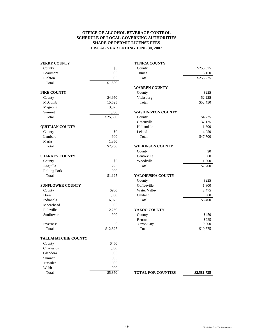| PERRY COUNTY               |                      | <b>TUNICA COUNTY</b>      |             |
|----------------------------|----------------------|---------------------------|-------------|
| County                     | \$0                  | County                    | \$255,075   |
| Beaumont                   | 900                  | Tunica                    | 3,150       |
| Richton                    | 900                  | Total                     | \$258,225   |
| Total                      | \$1,800              |                           |             |
|                            |                      | <b>WARREN COUNTY</b>      |             |
| PIKE COUNTY                |                      | County                    | \$225       |
| County                     | \$4,950              | Vicksburg                 | 52,225      |
| McComb                     | 15,525               | Total                     | \$52,450    |
| Magnolia                   | 3,375                |                           |             |
| Summit                     | 1,800                | <b>WASHINGTON COUNTY</b>  |             |
| Total                      | \$25,650             | County                    | \$4,725     |
|                            |                      | Greenville                | 37,125      |
| <b>QUITMAN COUNTY</b>      |                      | Hollandale                | 1,800       |
| County                     | \$0                  | Leland                    | 4,050       |
| Lambert                    | 900                  | Total                     | \$47,700    |
| Marks                      | 1,350                |                           |             |
| Total                      | \$2,250              | <b>WILKINSON COUNTY</b>   |             |
|                            |                      | County                    | \$0         |
| <b>SHARKEY COUNTY</b>      |                      | Centreville               | 900         |
| County                     | \$0                  | Woodville                 | 1,800       |
| Anguilla                   | 225                  | Total                     | \$2,700     |
| <b>Rolling Fork</b>        | 900                  |                           |             |
| Total                      | \$1,125              | YALOBUSHA COUNTY          |             |
|                            |                      | County                    | \$225       |
| <b>SUNFLOWER COUNTY</b>    |                      | Coffeeville               | 1,800       |
| County                     | \$900                | Water Valley              | 2,475       |
| Drew                       | 1,800                | Oakland                   | 900         |
| Indianola                  | 6,075                | Total                     | \$5,400     |
| Moorehead                  | 900                  |                           |             |
| Ruleville                  | 2,250                | YAZOO COUNTY              |             |
| Sunflower                  | 900                  | County                    | \$450       |
|                            |                      | Benton                    | \$225       |
| <b>Inverness</b>           | 0                    | Yazoo City                | 9,900       |
| Total                      | $\overline{$}12,825$ | Total                     | \$10,575    |
| <b>TALLAHATCHIE COUNTY</b> |                      |                           |             |
| County                     | \$450                |                           |             |
| Charleston                 | 1,800                |                           |             |
| Glendora                   | 900                  |                           |             |
| Sumner                     | 900                  |                           |             |
| Tutwiler                   | 900                  |                           |             |
| Webb                       | 900                  |                           |             |
| Total                      | \$5,850              | <b>TOTAL FOR COUNTIES</b> | \$2,581,735 |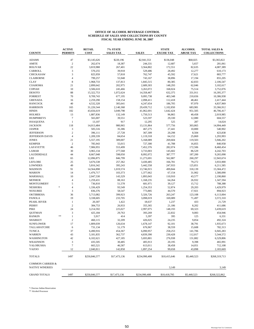#### **OFFICE OF ALCOHOL BEVERAGE CONTROL SCHEDULE OF SALES AND COLLECTIONS BY COUNTY FISCAL YEAR ENDING JUNE 30, 2007**

| <b>ADAMS</b><br>47<br>\$3,145,626<br>\$220,196<br>\$2,941,553<br>\$136,048<br>\$68,025<br>\$3,365,822<br>$\sqrt{2}$<br><b>AMITE</b><br>262,674<br>18,387<br>244,331<br>12,687<br>5,657<br>281,061<br>22<br><b>BOLIVAR</b><br>3,819,988<br>267,401<br>3,564,802<br>172,551<br>82,635<br>4,087,389<br>3<br>CARROLL<br>570,255<br>39,918<br>529,486<br>28,492<br>12,277<br>3<br>CHICKASAW<br>825,959<br>57,818<br>762,747<br>45,592<br>17,621<br><b>CLAIBORNE</b><br>$\overline{4}$<br>38,896<br>799,257<br>55,948<br>743,167<br>17,194<br>855,205<br>8<br><b>CLAY</b><br>1,968,733<br>137,813<br>1,845,515<br>80,385<br>42,833<br>2,106,547<br>COAHOMA<br>21<br>2,899,642<br>202,975<br>2,689,303<br>148,293<br>62,046<br>3,102,617<br><b>COPIAH</b><br>10<br>168,024<br>75,514<br>3,506,610<br>245,466<br>3,263,072<br><b>DESOTO</b><br>88<br>15,322,753<br>1,072,624<br>14,358,467<br>632,375<br>331,911<br>16,395,377<br>70<br><b>FORREST</b><br>9,709,743<br>677,195<br>9,095,738<br>403,348<br>210,656<br>10,386,938<br><b>GRENADA</b><br>16<br>2,259,290<br>158,154<br>2,098,411<br>112,418<br>48,461<br>2,417,444<br><b>HANCOCK</b><br>40<br>4,532,328<br>305,641<br>4,247,654<br>186,705<br>97,970<br>4,837,969<br><b>HARRISON</b><br>165<br>683,981<br>33,366,912<br>31,226,544<br>2,140,368<br>29,439,712<br>1,102,850<br>182<br><b>HINDS</b><br>43,656,619<br>3,049,798<br>41,062,691<br>951,505<br>46,706,417<br>1,642,424<br>13<br><b>HOLMES</b><br>1,887,836<br>132,149<br>1,750,513<br>96,865<br>40,458<br>2,019,985<br>$\overline{7}$<br><b>HUMPHREYS</b><br>565,007<br>39,551<br>523,597<br>29,330<br>12,080<br>604,557<br><b>ISSAQUENA</b><br>$\mathbf{1}$<br>13,107<br>917<br>12,295<br>525<br>287<br>14,024<br><b>JACKSON</b><br>118<br>14,013,484<br>980,965<br>13,131,864<br>577,756<br>303,865<br>14,994,449<br>3<br><b>JASPER</b><br>505,516<br>35,386<br>467,275<br>27,441<br>10,800<br>540,902<br>$\overline{c}$<br><b>JEFFERSON</b><br>396,111<br>27,728<br>367,309<br>20,298<br>8,504<br>423,838<br>$\overline{4}$<br><b>JEFFERSON DAVIS</b><br>1,209,339<br>84,654<br>64,152<br>25,869<br>1,293,993<br>1,119,318<br><b>JONES</b><br>269,604<br>21<br>5,557,195<br>389,007<br>5,168,089<br>119,503<br>5,946,202<br>$\overline{2}$<br><b>KEMPER</b><br>785,943<br>55,015<br>727,300<br>41,788<br>16,855<br>840,958<br><b>LAFAYETTE</b><br>46<br>7,906,955<br>553,499<br>7,452,376<br>282,074<br>172,506<br>8,460,454<br><b>LAMAR</b><br>30<br>3,965,134<br>277,568<br>3,733,003<br>145,602<br>86,529<br>4,242,703<br>44<br>LAUDERDALE<br>8,667,048<br>598,050<br>387,777<br>187,200<br>9,265,098<br>8,092,072<br>LEE<br>65<br>846,799<br>562,887<br>260,297<br>12,943,674<br>12,096,875<br>11,273,691<br>25<br>3,933,900<br><b>LEFLORE</b><br>3,676,538<br>257,362<br>3,430,485<br>166,781<br>79,272<br>49<br><b>LOWNDES</b><br>5,816,342<br>395,243<br>5,442,558<br>247,933<br>125,851<br>6,211,585<br>91<br>1,019,574<br>499,844<br>318,139<br><b>MADISON</b><br>14,564,898<br>13,746,915<br>15,584,472<br><b>MARION</b><br>14<br>103,373<br>1,377,662<br>67,154<br>31,902<br>1,580,090<br>1,476,717<br>10<br>MARSHALL<br>143,329<br>1,893,043<br>110,910<br>43,577<br>2,190,860<br>2,047,530<br><b>MONROE</b><br>$\overline{4}$<br>1,259,431<br>88,163<br>1,168,235<br>64,264<br>26,932<br>1,347,594<br>5<br><b>MONTGOMERY</b><br>736,810<br>51,578<br>681,971<br>39,127<br>15,712<br>788,388<br>$\overline{4}$<br><b>NESHOBA</b><br>$\frac{1}{2}$<br>1,336,429<br>93,549<br>1,254,353<br>52,874<br>29,203<br>1,429,979<br>3<br><b>NOXUBEE</b><br>836,376<br>58,547<br>773,885<br>44,570<br>17,921<br><b>OKTIBBEHA</b><br>36<br>5,713,082<br>399,923<br>5,326,726<br>263,247<br>123,108<br>6,113,004<br>19<br><b>PANOLA</b><br>233,705<br>3,098,019<br>169,089<br>71,497<br>3,572,310<br>3,338,605<br>PEARL RIVER<br>$\mathbf{1}$<br>20,307<br>1,422<br>1,237<br>433<br>18,637<br><b>PERRY</b><br>$\overline{2}$<br>384,753<br>26,933<br>355,365<br>21,186<br>8,202<br><b>PIKE</b><br>24<br>3,439,619<br>3,214,592<br>225,027<br>2,997,075<br>148,193<br>69,323<br><b>QUITMAN</b><br>3<br>425,184<br>29,763<br>393,269<br>22,832<br>9,083<br><b>RANKIN</b><br>**<br>$\mathbf{1}$<br>5,917<br>414<br>5,397<br>395<br>125<br>6,331<br>$\overline{c}$<br><b>SHARKEY</b><br>460,115<br>32,209<br>426,025<br>24,235<br>9,854<br>17<br><b>SUNFLOWER</b><br>1,809,039<br>126,634<br>1,678,147<br>92,101<br>38,791<br>1,935,673<br>TALLAHATCHIE<br>6<br>731,134<br>51,179<br>676,967<br>38,559<br>15,608<br>37<br><b>TUNICA</b><br>6,490,916<br>454,367<br>6,090,957<br>258,253<br>141,706<br>WARREN<br>43<br>5,181,835<br>362,737<br>4,839,390<br>230,428<br>112,017<br>WASHINGTON<br>42<br>5,693,801<br>6,102,621<br>427,185<br>276,938<br>131,882<br><b>WILKINSON</b><br>3<br>435,505<br>30,485<br>405,913<br>20,195<br>9,398<br>$\overline{7}$<br>YALOBUSHA<br>665,521<br>46,587<br>613,011<br>38,458<br>14,051<br>99,658<br><b>YAZOO</b><br>12<br>2,040,811<br>142,858<br>1,897,254<br>43,898<br>1497<br><b>TOTALS</b><br>\$250,846,577<br>\$17,473,136<br>\$234,990,408<br>\$10,415,646<br>\$5,440,523<br><b>COMMON CARRIER &amp;</b><br><b>NATIVE WINERIES</b><br>3,149<br><b>GRAND TOTALS</b><br>1497<br>\$250,846,577<br>\$234,990,408<br>\$10,418,795<br>\$5,440,523<br>\$268,322,862<br>\$17,473,136 | <b>COUNTY</b> | <b>ACTIVE</b><br><b>PERMITS</b> | <b>RETAIL</b><br><b>COST</b> | 7% STATE<br><b>SALES TAX</b> | <b>SALES</b> | <b>STATE</b><br><b>EXCISE TAX</b> | <b>ALCOHOL</b><br><b>ABUSE TAX</b> | <b>TOTAL SALES &amp;</b><br><b>COLLECTIONS</b> |
|-------------------------------------------------------------------------------------------------------------------------------------------------------------------------------------------------------------------------------------------------------------------------------------------------------------------------------------------------------------------------------------------------------------------------------------------------------------------------------------------------------------------------------------------------------------------------------------------------------------------------------------------------------------------------------------------------------------------------------------------------------------------------------------------------------------------------------------------------------------------------------------------------------------------------------------------------------------------------------------------------------------------------------------------------------------------------------------------------------------------------------------------------------------------------------------------------------------------------------------------------------------------------------------------------------------------------------------------------------------------------------------------------------------------------------------------------------------------------------------------------------------------------------------------------------------------------------------------------------------------------------------------------------------------------------------------------------------------------------------------------------------------------------------------------------------------------------------------------------------------------------------------------------------------------------------------------------------------------------------------------------------------------------------------------------------------------------------------------------------------------------------------------------------------------------------------------------------------------------------------------------------------------------------------------------------------------------------------------------------------------------------------------------------------------------------------------------------------------------------------------------------------------------------------------------------------------------------------------------------------------------------------------------------------------------------------------------------------------------------------------------------------------------------------------------------------------------------------------------------------------------------------------------------------------------------------------------------------------------------------------------------------------------------------------------------------------------------------------------------------------------------------------------------------------------------------------------------------------------------------------------------------------------------------------------------------------------------------------------------------------------------------------------------------------------------------------------------------------------------------------------------------------------------------------------------------------------------------------------------------------------------------------------------------------------------------------------------------------------------------------------------------------------------------------------------------------------------------------------------------------------------------------------------------------------------------------------------------------------------------------------------------------------------------------------------------------------------------------------------------------------------------------------------------------------------------------------------------------------------------------------------------------------------------------------------------------------------------------------------------------------------------------------------------------------------------------------------------------------------------------------------------------------------------------------------------------------------------------------------------------------------------------------------------------------------------------------------------------------------------------------------------------------------------------------------------------------------------------------------------------------------------------------------------------------------------------------------------------------------------------------------------------------------------------------------------------------------------------------------------------------------------------------------------------------------------------------------------------------------------------------------------------------------------------------------------------------------|---------------|---------------------------------|------------------------------|------------------------------|--------------|-----------------------------------|------------------------------------|------------------------------------------------|
|                                                                                                                                                                                                                                                                                                                                                                                                                                                                                                                                                                                                                                                                                                                                                                                                                                                                                                                                                                                                                                                                                                                                                                                                                                                                                                                                                                                                                                                                                                                                                                                                                                                                                                                                                                                                                                                                                                                                                                                                                                                                                                                                                                                                                                                                                                                                                                                                                                                                                                                                                                                                                                                                                                                                                                                                                                                                                                                                                                                                                                                                                                                                                                                                                                                                                                                                                                                                                                                                                                                                                                                                                                                                                                                                                                                                                                                                                                                                                                                                                                                                                                                                                                                                                                                                                                                                                                                                                                                                                                                                                                                                                                                                                                                                                                                                                                                                                                                                                                                                                                                                                                                                                                                                                                                                                                                                     |               |                                 |                              |                              |              |                                   |                                    |                                                |
|                                                                                                                                                                                                                                                                                                                                                                                                                                                                                                                                                                                                                                                                                                                                                                                                                                                                                                                                                                                                                                                                                                                                                                                                                                                                                                                                                                                                                                                                                                                                                                                                                                                                                                                                                                                                                                                                                                                                                                                                                                                                                                                                                                                                                                                                                                                                                                                                                                                                                                                                                                                                                                                                                                                                                                                                                                                                                                                                                                                                                                                                                                                                                                                                                                                                                                                                                                                                                                                                                                                                                                                                                                                                                                                                                                                                                                                                                                                                                                                                                                                                                                                                                                                                                                                                                                                                                                                                                                                                                                                                                                                                                                                                                                                                                                                                                                                                                                                                                                                                                                                                                                                                                                                                                                                                                                                                     |               |                                 |                              |                              |              |                                   |                                    |                                                |
|                                                                                                                                                                                                                                                                                                                                                                                                                                                                                                                                                                                                                                                                                                                                                                                                                                                                                                                                                                                                                                                                                                                                                                                                                                                                                                                                                                                                                                                                                                                                                                                                                                                                                                                                                                                                                                                                                                                                                                                                                                                                                                                                                                                                                                                                                                                                                                                                                                                                                                                                                                                                                                                                                                                                                                                                                                                                                                                                                                                                                                                                                                                                                                                                                                                                                                                                                                                                                                                                                                                                                                                                                                                                                                                                                                                                                                                                                                                                                                                                                                                                                                                                                                                                                                                                                                                                                                                                                                                                                                                                                                                                                                                                                                                                                                                                                                                                                                                                                                                                                                                                                                                                                                                                                                                                                                                                     |               |                                 |                              |                              |              |                                   |                                    |                                                |
|                                                                                                                                                                                                                                                                                                                                                                                                                                                                                                                                                                                                                                                                                                                                                                                                                                                                                                                                                                                                                                                                                                                                                                                                                                                                                                                                                                                                                                                                                                                                                                                                                                                                                                                                                                                                                                                                                                                                                                                                                                                                                                                                                                                                                                                                                                                                                                                                                                                                                                                                                                                                                                                                                                                                                                                                                                                                                                                                                                                                                                                                                                                                                                                                                                                                                                                                                                                                                                                                                                                                                                                                                                                                                                                                                                                                                                                                                                                                                                                                                                                                                                                                                                                                                                                                                                                                                                                                                                                                                                                                                                                                                                                                                                                                                                                                                                                                                                                                                                                                                                                                                                                                                                                                                                                                                                                                     |               |                                 |                              |                              |              |                                   |                                    | 610,173                                        |
|                                                                                                                                                                                                                                                                                                                                                                                                                                                                                                                                                                                                                                                                                                                                                                                                                                                                                                                                                                                                                                                                                                                                                                                                                                                                                                                                                                                                                                                                                                                                                                                                                                                                                                                                                                                                                                                                                                                                                                                                                                                                                                                                                                                                                                                                                                                                                                                                                                                                                                                                                                                                                                                                                                                                                                                                                                                                                                                                                                                                                                                                                                                                                                                                                                                                                                                                                                                                                                                                                                                                                                                                                                                                                                                                                                                                                                                                                                                                                                                                                                                                                                                                                                                                                                                                                                                                                                                                                                                                                                                                                                                                                                                                                                                                                                                                                                                                                                                                                                                                                                                                                                                                                                                                                                                                                                                                     |               |                                 |                              |                              |              |                                   |                                    | 883,777                                        |
|                                                                                                                                                                                                                                                                                                                                                                                                                                                                                                                                                                                                                                                                                                                                                                                                                                                                                                                                                                                                                                                                                                                                                                                                                                                                                                                                                                                                                                                                                                                                                                                                                                                                                                                                                                                                                                                                                                                                                                                                                                                                                                                                                                                                                                                                                                                                                                                                                                                                                                                                                                                                                                                                                                                                                                                                                                                                                                                                                                                                                                                                                                                                                                                                                                                                                                                                                                                                                                                                                                                                                                                                                                                                                                                                                                                                                                                                                                                                                                                                                                                                                                                                                                                                                                                                                                                                                                                                                                                                                                                                                                                                                                                                                                                                                                                                                                                                                                                                                                                                                                                                                                                                                                                                                                                                                                                                     |               |                                 |                              |                              |              |                                   |                                    |                                                |
|                                                                                                                                                                                                                                                                                                                                                                                                                                                                                                                                                                                                                                                                                                                                                                                                                                                                                                                                                                                                                                                                                                                                                                                                                                                                                                                                                                                                                                                                                                                                                                                                                                                                                                                                                                                                                                                                                                                                                                                                                                                                                                                                                                                                                                                                                                                                                                                                                                                                                                                                                                                                                                                                                                                                                                                                                                                                                                                                                                                                                                                                                                                                                                                                                                                                                                                                                                                                                                                                                                                                                                                                                                                                                                                                                                                                                                                                                                                                                                                                                                                                                                                                                                                                                                                                                                                                                                                                                                                                                                                                                                                                                                                                                                                                                                                                                                                                                                                                                                                                                                                                                                                                                                                                                                                                                                                                     |               |                                 |                              |                              |              |                                   |                                    |                                                |
|                                                                                                                                                                                                                                                                                                                                                                                                                                                                                                                                                                                                                                                                                                                                                                                                                                                                                                                                                                                                                                                                                                                                                                                                                                                                                                                                                                                                                                                                                                                                                                                                                                                                                                                                                                                                                                                                                                                                                                                                                                                                                                                                                                                                                                                                                                                                                                                                                                                                                                                                                                                                                                                                                                                                                                                                                                                                                                                                                                                                                                                                                                                                                                                                                                                                                                                                                                                                                                                                                                                                                                                                                                                                                                                                                                                                                                                                                                                                                                                                                                                                                                                                                                                                                                                                                                                                                                                                                                                                                                                                                                                                                                                                                                                                                                                                                                                                                                                                                                                                                                                                                                                                                                                                                                                                                                                                     |               |                                 |                              |                              |              |                                   |                                    |                                                |
|                                                                                                                                                                                                                                                                                                                                                                                                                                                                                                                                                                                                                                                                                                                                                                                                                                                                                                                                                                                                                                                                                                                                                                                                                                                                                                                                                                                                                                                                                                                                                                                                                                                                                                                                                                                                                                                                                                                                                                                                                                                                                                                                                                                                                                                                                                                                                                                                                                                                                                                                                                                                                                                                                                                                                                                                                                                                                                                                                                                                                                                                                                                                                                                                                                                                                                                                                                                                                                                                                                                                                                                                                                                                                                                                                                                                                                                                                                                                                                                                                                                                                                                                                                                                                                                                                                                                                                                                                                                                                                                                                                                                                                                                                                                                                                                                                                                                                                                                                                                                                                                                                                                                                                                                                                                                                                                                     |               |                                 |                              |                              |              |                                   |                                    | 3,752,076                                      |
|                                                                                                                                                                                                                                                                                                                                                                                                                                                                                                                                                                                                                                                                                                                                                                                                                                                                                                                                                                                                                                                                                                                                                                                                                                                                                                                                                                                                                                                                                                                                                                                                                                                                                                                                                                                                                                                                                                                                                                                                                                                                                                                                                                                                                                                                                                                                                                                                                                                                                                                                                                                                                                                                                                                                                                                                                                                                                                                                                                                                                                                                                                                                                                                                                                                                                                                                                                                                                                                                                                                                                                                                                                                                                                                                                                                                                                                                                                                                                                                                                                                                                                                                                                                                                                                                                                                                                                                                                                                                                                                                                                                                                                                                                                                                                                                                                                                                                                                                                                                                                                                                                                                                                                                                                                                                                                                                     |               |                                 |                              |                              |              |                                   |                                    |                                                |
|                                                                                                                                                                                                                                                                                                                                                                                                                                                                                                                                                                                                                                                                                                                                                                                                                                                                                                                                                                                                                                                                                                                                                                                                                                                                                                                                                                                                                                                                                                                                                                                                                                                                                                                                                                                                                                                                                                                                                                                                                                                                                                                                                                                                                                                                                                                                                                                                                                                                                                                                                                                                                                                                                                                                                                                                                                                                                                                                                                                                                                                                                                                                                                                                                                                                                                                                                                                                                                                                                                                                                                                                                                                                                                                                                                                                                                                                                                                                                                                                                                                                                                                                                                                                                                                                                                                                                                                                                                                                                                                                                                                                                                                                                                                                                                                                                                                                                                                                                                                                                                                                                                                                                                                                                                                                                                                                     |               |                                 |                              |                              |              |                                   |                                    |                                                |
|                                                                                                                                                                                                                                                                                                                                                                                                                                                                                                                                                                                                                                                                                                                                                                                                                                                                                                                                                                                                                                                                                                                                                                                                                                                                                                                                                                                                                                                                                                                                                                                                                                                                                                                                                                                                                                                                                                                                                                                                                                                                                                                                                                                                                                                                                                                                                                                                                                                                                                                                                                                                                                                                                                                                                                                                                                                                                                                                                                                                                                                                                                                                                                                                                                                                                                                                                                                                                                                                                                                                                                                                                                                                                                                                                                                                                                                                                                                                                                                                                                                                                                                                                                                                                                                                                                                                                                                                                                                                                                                                                                                                                                                                                                                                                                                                                                                                                                                                                                                                                                                                                                                                                                                                                                                                                                                                     |               |                                 |                              |                              |              |                                   |                                    |                                                |
|                                                                                                                                                                                                                                                                                                                                                                                                                                                                                                                                                                                                                                                                                                                                                                                                                                                                                                                                                                                                                                                                                                                                                                                                                                                                                                                                                                                                                                                                                                                                                                                                                                                                                                                                                                                                                                                                                                                                                                                                                                                                                                                                                                                                                                                                                                                                                                                                                                                                                                                                                                                                                                                                                                                                                                                                                                                                                                                                                                                                                                                                                                                                                                                                                                                                                                                                                                                                                                                                                                                                                                                                                                                                                                                                                                                                                                                                                                                                                                                                                                                                                                                                                                                                                                                                                                                                                                                                                                                                                                                                                                                                                                                                                                                                                                                                                                                                                                                                                                                                                                                                                                                                                                                                                                                                                                                                     |               |                                 |                              |                              |              |                                   |                                    |                                                |
|                                                                                                                                                                                                                                                                                                                                                                                                                                                                                                                                                                                                                                                                                                                                                                                                                                                                                                                                                                                                                                                                                                                                                                                                                                                                                                                                                                                                                                                                                                                                                                                                                                                                                                                                                                                                                                                                                                                                                                                                                                                                                                                                                                                                                                                                                                                                                                                                                                                                                                                                                                                                                                                                                                                                                                                                                                                                                                                                                                                                                                                                                                                                                                                                                                                                                                                                                                                                                                                                                                                                                                                                                                                                                                                                                                                                                                                                                                                                                                                                                                                                                                                                                                                                                                                                                                                                                                                                                                                                                                                                                                                                                                                                                                                                                                                                                                                                                                                                                                                                                                                                                                                                                                                                                                                                                                                                     |               |                                 |                              |                              |              |                                   |                                    |                                                |
|                                                                                                                                                                                                                                                                                                                                                                                                                                                                                                                                                                                                                                                                                                                                                                                                                                                                                                                                                                                                                                                                                                                                                                                                                                                                                                                                                                                                                                                                                                                                                                                                                                                                                                                                                                                                                                                                                                                                                                                                                                                                                                                                                                                                                                                                                                                                                                                                                                                                                                                                                                                                                                                                                                                                                                                                                                                                                                                                                                                                                                                                                                                                                                                                                                                                                                                                                                                                                                                                                                                                                                                                                                                                                                                                                                                                                                                                                                                                                                                                                                                                                                                                                                                                                                                                                                                                                                                                                                                                                                                                                                                                                                                                                                                                                                                                                                                                                                                                                                                                                                                                                                                                                                                                                                                                                                                                     |               |                                 |                              |                              |              |                                   |                                    |                                                |
|                                                                                                                                                                                                                                                                                                                                                                                                                                                                                                                                                                                                                                                                                                                                                                                                                                                                                                                                                                                                                                                                                                                                                                                                                                                                                                                                                                                                                                                                                                                                                                                                                                                                                                                                                                                                                                                                                                                                                                                                                                                                                                                                                                                                                                                                                                                                                                                                                                                                                                                                                                                                                                                                                                                                                                                                                                                                                                                                                                                                                                                                                                                                                                                                                                                                                                                                                                                                                                                                                                                                                                                                                                                                                                                                                                                                                                                                                                                                                                                                                                                                                                                                                                                                                                                                                                                                                                                                                                                                                                                                                                                                                                                                                                                                                                                                                                                                                                                                                                                                                                                                                                                                                                                                                                                                                                                                     |               |                                 |                              |                              |              |                                   |                                    |                                                |
|                                                                                                                                                                                                                                                                                                                                                                                                                                                                                                                                                                                                                                                                                                                                                                                                                                                                                                                                                                                                                                                                                                                                                                                                                                                                                                                                                                                                                                                                                                                                                                                                                                                                                                                                                                                                                                                                                                                                                                                                                                                                                                                                                                                                                                                                                                                                                                                                                                                                                                                                                                                                                                                                                                                                                                                                                                                                                                                                                                                                                                                                                                                                                                                                                                                                                                                                                                                                                                                                                                                                                                                                                                                                                                                                                                                                                                                                                                                                                                                                                                                                                                                                                                                                                                                                                                                                                                                                                                                                                                                                                                                                                                                                                                                                                                                                                                                                                                                                                                                                                                                                                                                                                                                                                                                                                                                                     |               |                                 |                              |                              |              |                                   |                                    |                                                |
|                                                                                                                                                                                                                                                                                                                                                                                                                                                                                                                                                                                                                                                                                                                                                                                                                                                                                                                                                                                                                                                                                                                                                                                                                                                                                                                                                                                                                                                                                                                                                                                                                                                                                                                                                                                                                                                                                                                                                                                                                                                                                                                                                                                                                                                                                                                                                                                                                                                                                                                                                                                                                                                                                                                                                                                                                                                                                                                                                                                                                                                                                                                                                                                                                                                                                                                                                                                                                                                                                                                                                                                                                                                                                                                                                                                                                                                                                                                                                                                                                                                                                                                                                                                                                                                                                                                                                                                                                                                                                                                                                                                                                                                                                                                                                                                                                                                                                                                                                                                                                                                                                                                                                                                                                                                                                                                                     |               |                                 |                              |                              |              |                                   |                                    |                                                |
|                                                                                                                                                                                                                                                                                                                                                                                                                                                                                                                                                                                                                                                                                                                                                                                                                                                                                                                                                                                                                                                                                                                                                                                                                                                                                                                                                                                                                                                                                                                                                                                                                                                                                                                                                                                                                                                                                                                                                                                                                                                                                                                                                                                                                                                                                                                                                                                                                                                                                                                                                                                                                                                                                                                                                                                                                                                                                                                                                                                                                                                                                                                                                                                                                                                                                                                                                                                                                                                                                                                                                                                                                                                                                                                                                                                                                                                                                                                                                                                                                                                                                                                                                                                                                                                                                                                                                                                                                                                                                                                                                                                                                                                                                                                                                                                                                                                                                                                                                                                                                                                                                                                                                                                                                                                                                                                                     |               |                                 |                              |                              |              |                                   |                                    |                                                |
|                                                                                                                                                                                                                                                                                                                                                                                                                                                                                                                                                                                                                                                                                                                                                                                                                                                                                                                                                                                                                                                                                                                                                                                                                                                                                                                                                                                                                                                                                                                                                                                                                                                                                                                                                                                                                                                                                                                                                                                                                                                                                                                                                                                                                                                                                                                                                                                                                                                                                                                                                                                                                                                                                                                                                                                                                                                                                                                                                                                                                                                                                                                                                                                                                                                                                                                                                                                                                                                                                                                                                                                                                                                                                                                                                                                                                                                                                                                                                                                                                                                                                                                                                                                                                                                                                                                                                                                                                                                                                                                                                                                                                                                                                                                                                                                                                                                                                                                                                                                                                                                                                                                                                                                                                                                                                                                                     |               |                                 |                              |                              |              |                                   |                                    |                                                |
|                                                                                                                                                                                                                                                                                                                                                                                                                                                                                                                                                                                                                                                                                                                                                                                                                                                                                                                                                                                                                                                                                                                                                                                                                                                                                                                                                                                                                                                                                                                                                                                                                                                                                                                                                                                                                                                                                                                                                                                                                                                                                                                                                                                                                                                                                                                                                                                                                                                                                                                                                                                                                                                                                                                                                                                                                                                                                                                                                                                                                                                                                                                                                                                                                                                                                                                                                                                                                                                                                                                                                                                                                                                                                                                                                                                                                                                                                                                                                                                                                                                                                                                                                                                                                                                                                                                                                                                                                                                                                                                                                                                                                                                                                                                                                                                                                                                                                                                                                                                                                                                                                                                                                                                                                                                                                                                                     |               |                                 |                              |                              |              |                                   |                                    |                                                |
|                                                                                                                                                                                                                                                                                                                                                                                                                                                                                                                                                                                                                                                                                                                                                                                                                                                                                                                                                                                                                                                                                                                                                                                                                                                                                                                                                                                                                                                                                                                                                                                                                                                                                                                                                                                                                                                                                                                                                                                                                                                                                                                                                                                                                                                                                                                                                                                                                                                                                                                                                                                                                                                                                                                                                                                                                                                                                                                                                                                                                                                                                                                                                                                                                                                                                                                                                                                                                                                                                                                                                                                                                                                                                                                                                                                                                                                                                                                                                                                                                                                                                                                                                                                                                                                                                                                                                                                                                                                                                                                                                                                                                                                                                                                                                                                                                                                                                                                                                                                                                                                                                                                                                                                                                                                                                                                                     |               |                                 |                              |                              |              |                                   |                                    |                                                |
|                                                                                                                                                                                                                                                                                                                                                                                                                                                                                                                                                                                                                                                                                                                                                                                                                                                                                                                                                                                                                                                                                                                                                                                                                                                                                                                                                                                                                                                                                                                                                                                                                                                                                                                                                                                                                                                                                                                                                                                                                                                                                                                                                                                                                                                                                                                                                                                                                                                                                                                                                                                                                                                                                                                                                                                                                                                                                                                                                                                                                                                                                                                                                                                                                                                                                                                                                                                                                                                                                                                                                                                                                                                                                                                                                                                                                                                                                                                                                                                                                                                                                                                                                                                                                                                                                                                                                                                                                                                                                                                                                                                                                                                                                                                                                                                                                                                                                                                                                                                                                                                                                                                                                                                                                                                                                                                                     |               |                                 |                              |                              |              |                                   |                                    |                                                |
|                                                                                                                                                                                                                                                                                                                                                                                                                                                                                                                                                                                                                                                                                                                                                                                                                                                                                                                                                                                                                                                                                                                                                                                                                                                                                                                                                                                                                                                                                                                                                                                                                                                                                                                                                                                                                                                                                                                                                                                                                                                                                                                                                                                                                                                                                                                                                                                                                                                                                                                                                                                                                                                                                                                                                                                                                                                                                                                                                                                                                                                                                                                                                                                                                                                                                                                                                                                                                                                                                                                                                                                                                                                                                                                                                                                                                                                                                                                                                                                                                                                                                                                                                                                                                                                                                                                                                                                                                                                                                                                                                                                                                                                                                                                                                                                                                                                                                                                                                                                                                                                                                                                                                                                                                                                                                                                                     |               |                                 |                              |                              |              |                                   |                                    |                                                |
|                                                                                                                                                                                                                                                                                                                                                                                                                                                                                                                                                                                                                                                                                                                                                                                                                                                                                                                                                                                                                                                                                                                                                                                                                                                                                                                                                                                                                                                                                                                                                                                                                                                                                                                                                                                                                                                                                                                                                                                                                                                                                                                                                                                                                                                                                                                                                                                                                                                                                                                                                                                                                                                                                                                                                                                                                                                                                                                                                                                                                                                                                                                                                                                                                                                                                                                                                                                                                                                                                                                                                                                                                                                                                                                                                                                                                                                                                                                                                                                                                                                                                                                                                                                                                                                                                                                                                                                                                                                                                                                                                                                                                                                                                                                                                                                                                                                                                                                                                                                                                                                                                                                                                                                                                                                                                                                                     |               |                                 |                              |                              |              |                                   |                                    |                                                |
|                                                                                                                                                                                                                                                                                                                                                                                                                                                                                                                                                                                                                                                                                                                                                                                                                                                                                                                                                                                                                                                                                                                                                                                                                                                                                                                                                                                                                                                                                                                                                                                                                                                                                                                                                                                                                                                                                                                                                                                                                                                                                                                                                                                                                                                                                                                                                                                                                                                                                                                                                                                                                                                                                                                                                                                                                                                                                                                                                                                                                                                                                                                                                                                                                                                                                                                                                                                                                                                                                                                                                                                                                                                                                                                                                                                                                                                                                                                                                                                                                                                                                                                                                                                                                                                                                                                                                                                                                                                                                                                                                                                                                                                                                                                                                                                                                                                                                                                                                                                                                                                                                                                                                                                                                                                                                                                                     |               |                                 |                              |                              |              |                                   |                                    |                                                |
|                                                                                                                                                                                                                                                                                                                                                                                                                                                                                                                                                                                                                                                                                                                                                                                                                                                                                                                                                                                                                                                                                                                                                                                                                                                                                                                                                                                                                                                                                                                                                                                                                                                                                                                                                                                                                                                                                                                                                                                                                                                                                                                                                                                                                                                                                                                                                                                                                                                                                                                                                                                                                                                                                                                                                                                                                                                                                                                                                                                                                                                                                                                                                                                                                                                                                                                                                                                                                                                                                                                                                                                                                                                                                                                                                                                                                                                                                                                                                                                                                                                                                                                                                                                                                                                                                                                                                                                                                                                                                                                                                                                                                                                                                                                                                                                                                                                                                                                                                                                                                                                                                                                                                                                                                                                                                                                                     |               |                                 |                              |                              |              |                                   |                                    |                                                |
|                                                                                                                                                                                                                                                                                                                                                                                                                                                                                                                                                                                                                                                                                                                                                                                                                                                                                                                                                                                                                                                                                                                                                                                                                                                                                                                                                                                                                                                                                                                                                                                                                                                                                                                                                                                                                                                                                                                                                                                                                                                                                                                                                                                                                                                                                                                                                                                                                                                                                                                                                                                                                                                                                                                                                                                                                                                                                                                                                                                                                                                                                                                                                                                                                                                                                                                                                                                                                                                                                                                                                                                                                                                                                                                                                                                                                                                                                                                                                                                                                                                                                                                                                                                                                                                                                                                                                                                                                                                                                                                                                                                                                                                                                                                                                                                                                                                                                                                                                                                                                                                                                                                                                                                                                                                                                                                                     |               |                                 |                              |                              |              |                                   |                                    |                                                |
|                                                                                                                                                                                                                                                                                                                                                                                                                                                                                                                                                                                                                                                                                                                                                                                                                                                                                                                                                                                                                                                                                                                                                                                                                                                                                                                                                                                                                                                                                                                                                                                                                                                                                                                                                                                                                                                                                                                                                                                                                                                                                                                                                                                                                                                                                                                                                                                                                                                                                                                                                                                                                                                                                                                                                                                                                                                                                                                                                                                                                                                                                                                                                                                                                                                                                                                                                                                                                                                                                                                                                                                                                                                                                                                                                                                                                                                                                                                                                                                                                                                                                                                                                                                                                                                                                                                                                                                                                                                                                                                                                                                                                                                                                                                                                                                                                                                                                                                                                                                                                                                                                                                                                                                                                                                                                                                                     |               |                                 |                              |                              |              |                                   |                                    |                                                |
|                                                                                                                                                                                                                                                                                                                                                                                                                                                                                                                                                                                                                                                                                                                                                                                                                                                                                                                                                                                                                                                                                                                                                                                                                                                                                                                                                                                                                                                                                                                                                                                                                                                                                                                                                                                                                                                                                                                                                                                                                                                                                                                                                                                                                                                                                                                                                                                                                                                                                                                                                                                                                                                                                                                                                                                                                                                                                                                                                                                                                                                                                                                                                                                                                                                                                                                                                                                                                                                                                                                                                                                                                                                                                                                                                                                                                                                                                                                                                                                                                                                                                                                                                                                                                                                                                                                                                                                                                                                                                                                                                                                                                                                                                                                                                                                                                                                                                                                                                                                                                                                                                                                                                                                                                                                                                                                                     |               |                                 |                              |                              |              |                                   |                                    |                                                |
|                                                                                                                                                                                                                                                                                                                                                                                                                                                                                                                                                                                                                                                                                                                                                                                                                                                                                                                                                                                                                                                                                                                                                                                                                                                                                                                                                                                                                                                                                                                                                                                                                                                                                                                                                                                                                                                                                                                                                                                                                                                                                                                                                                                                                                                                                                                                                                                                                                                                                                                                                                                                                                                                                                                                                                                                                                                                                                                                                                                                                                                                                                                                                                                                                                                                                                                                                                                                                                                                                                                                                                                                                                                                                                                                                                                                                                                                                                                                                                                                                                                                                                                                                                                                                                                                                                                                                                                                                                                                                                                                                                                                                                                                                                                                                                                                                                                                                                                                                                                                                                                                                                                                                                                                                                                                                                                                     |               |                                 |                              |                              |              |                                   |                                    |                                                |
|                                                                                                                                                                                                                                                                                                                                                                                                                                                                                                                                                                                                                                                                                                                                                                                                                                                                                                                                                                                                                                                                                                                                                                                                                                                                                                                                                                                                                                                                                                                                                                                                                                                                                                                                                                                                                                                                                                                                                                                                                                                                                                                                                                                                                                                                                                                                                                                                                                                                                                                                                                                                                                                                                                                                                                                                                                                                                                                                                                                                                                                                                                                                                                                                                                                                                                                                                                                                                                                                                                                                                                                                                                                                                                                                                                                                                                                                                                                                                                                                                                                                                                                                                                                                                                                                                                                                                                                                                                                                                                                                                                                                                                                                                                                                                                                                                                                                                                                                                                                                                                                                                                                                                                                                                                                                                                                                     |               |                                 |                              |                              |              |                                   |                                    |                                                |
|                                                                                                                                                                                                                                                                                                                                                                                                                                                                                                                                                                                                                                                                                                                                                                                                                                                                                                                                                                                                                                                                                                                                                                                                                                                                                                                                                                                                                                                                                                                                                                                                                                                                                                                                                                                                                                                                                                                                                                                                                                                                                                                                                                                                                                                                                                                                                                                                                                                                                                                                                                                                                                                                                                                                                                                                                                                                                                                                                                                                                                                                                                                                                                                                                                                                                                                                                                                                                                                                                                                                                                                                                                                                                                                                                                                                                                                                                                                                                                                                                                                                                                                                                                                                                                                                                                                                                                                                                                                                                                                                                                                                                                                                                                                                                                                                                                                                                                                                                                                                                                                                                                                                                                                                                                                                                                                                     |               |                                 |                              |                              |              |                                   |                                    |                                                |
|                                                                                                                                                                                                                                                                                                                                                                                                                                                                                                                                                                                                                                                                                                                                                                                                                                                                                                                                                                                                                                                                                                                                                                                                                                                                                                                                                                                                                                                                                                                                                                                                                                                                                                                                                                                                                                                                                                                                                                                                                                                                                                                                                                                                                                                                                                                                                                                                                                                                                                                                                                                                                                                                                                                                                                                                                                                                                                                                                                                                                                                                                                                                                                                                                                                                                                                                                                                                                                                                                                                                                                                                                                                                                                                                                                                                                                                                                                                                                                                                                                                                                                                                                                                                                                                                                                                                                                                                                                                                                                                                                                                                                                                                                                                                                                                                                                                                                                                                                                                                                                                                                                                                                                                                                                                                                                                                     |               |                                 |                              |                              |              |                                   |                                    |                                                |
|                                                                                                                                                                                                                                                                                                                                                                                                                                                                                                                                                                                                                                                                                                                                                                                                                                                                                                                                                                                                                                                                                                                                                                                                                                                                                                                                                                                                                                                                                                                                                                                                                                                                                                                                                                                                                                                                                                                                                                                                                                                                                                                                                                                                                                                                                                                                                                                                                                                                                                                                                                                                                                                                                                                                                                                                                                                                                                                                                                                                                                                                                                                                                                                                                                                                                                                                                                                                                                                                                                                                                                                                                                                                                                                                                                                                                                                                                                                                                                                                                                                                                                                                                                                                                                                                                                                                                                                                                                                                                                                                                                                                                                                                                                                                                                                                                                                                                                                                                                                                                                                                                                                                                                                                                                                                                                                                     |               |                                 |                              |                              |              |                                   |                                    |                                                |
|                                                                                                                                                                                                                                                                                                                                                                                                                                                                                                                                                                                                                                                                                                                                                                                                                                                                                                                                                                                                                                                                                                                                                                                                                                                                                                                                                                                                                                                                                                                                                                                                                                                                                                                                                                                                                                                                                                                                                                                                                                                                                                                                                                                                                                                                                                                                                                                                                                                                                                                                                                                                                                                                                                                                                                                                                                                                                                                                                                                                                                                                                                                                                                                                                                                                                                                                                                                                                                                                                                                                                                                                                                                                                                                                                                                                                                                                                                                                                                                                                                                                                                                                                                                                                                                                                                                                                                                                                                                                                                                                                                                                                                                                                                                                                                                                                                                                                                                                                                                                                                                                                                                                                                                                                                                                                                                                     |               |                                 |                              |                              |              |                                   |                                    |                                                |
|                                                                                                                                                                                                                                                                                                                                                                                                                                                                                                                                                                                                                                                                                                                                                                                                                                                                                                                                                                                                                                                                                                                                                                                                                                                                                                                                                                                                                                                                                                                                                                                                                                                                                                                                                                                                                                                                                                                                                                                                                                                                                                                                                                                                                                                                                                                                                                                                                                                                                                                                                                                                                                                                                                                                                                                                                                                                                                                                                                                                                                                                                                                                                                                                                                                                                                                                                                                                                                                                                                                                                                                                                                                                                                                                                                                                                                                                                                                                                                                                                                                                                                                                                                                                                                                                                                                                                                                                                                                                                                                                                                                                                                                                                                                                                                                                                                                                                                                                                                                                                                                                                                                                                                                                                                                                                                                                     |               |                                 |                              |                              |              |                                   |                                    |                                                |
|                                                                                                                                                                                                                                                                                                                                                                                                                                                                                                                                                                                                                                                                                                                                                                                                                                                                                                                                                                                                                                                                                                                                                                                                                                                                                                                                                                                                                                                                                                                                                                                                                                                                                                                                                                                                                                                                                                                                                                                                                                                                                                                                                                                                                                                                                                                                                                                                                                                                                                                                                                                                                                                                                                                                                                                                                                                                                                                                                                                                                                                                                                                                                                                                                                                                                                                                                                                                                                                                                                                                                                                                                                                                                                                                                                                                                                                                                                                                                                                                                                                                                                                                                                                                                                                                                                                                                                                                                                                                                                                                                                                                                                                                                                                                                                                                                                                                                                                                                                                                                                                                                                                                                                                                                                                                                                                                     |               |                                 |                              |                              |              |                                   |                                    | 894,923                                        |
|                                                                                                                                                                                                                                                                                                                                                                                                                                                                                                                                                                                                                                                                                                                                                                                                                                                                                                                                                                                                                                                                                                                                                                                                                                                                                                                                                                                                                                                                                                                                                                                                                                                                                                                                                                                                                                                                                                                                                                                                                                                                                                                                                                                                                                                                                                                                                                                                                                                                                                                                                                                                                                                                                                                                                                                                                                                                                                                                                                                                                                                                                                                                                                                                                                                                                                                                                                                                                                                                                                                                                                                                                                                                                                                                                                                                                                                                                                                                                                                                                                                                                                                                                                                                                                                                                                                                                                                                                                                                                                                                                                                                                                                                                                                                                                                                                                                                                                                                                                                                                                                                                                                                                                                                                                                                                                                                     |               |                                 |                              |                              |              |                                   |                                    |                                                |
|                                                                                                                                                                                                                                                                                                                                                                                                                                                                                                                                                                                                                                                                                                                                                                                                                                                                                                                                                                                                                                                                                                                                                                                                                                                                                                                                                                                                                                                                                                                                                                                                                                                                                                                                                                                                                                                                                                                                                                                                                                                                                                                                                                                                                                                                                                                                                                                                                                                                                                                                                                                                                                                                                                                                                                                                                                                                                                                                                                                                                                                                                                                                                                                                                                                                                                                                                                                                                                                                                                                                                                                                                                                                                                                                                                                                                                                                                                                                                                                                                                                                                                                                                                                                                                                                                                                                                                                                                                                                                                                                                                                                                                                                                                                                                                                                                                                                                                                                                                                                                                                                                                                                                                                                                                                                                                                                     |               |                                 |                              |                              |              |                                   |                                    |                                                |
|                                                                                                                                                                                                                                                                                                                                                                                                                                                                                                                                                                                                                                                                                                                                                                                                                                                                                                                                                                                                                                                                                                                                                                                                                                                                                                                                                                                                                                                                                                                                                                                                                                                                                                                                                                                                                                                                                                                                                                                                                                                                                                                                                                                                                                                                                                                                                                                                                                                                                                                                                                                                                                                                                                                                                                                                                                                                                                                                                                                                                                                                                                                                                                                                                                                                                                                                                                                                                                                                                                                                                                                                                                                                                                                                                                                                                                                                                                                                                                                                                                                                                                                                                                                                                                                                                                                                                                                                                                                                                                                                                                                                                                                                                                                                                                                                                                                                                                                                                                                                                                                                                                                                                                                                                                                                                                                                     |               |                                 |                              |                              |              |                                   |                                    | 21,729                                         |
|                                                                                                                                                                                                                                                                                                                                                                                                                                                                                                                                                                                                                                                                                                                                                                                                                                                                                                                                                                                                                                                                                                                                                                                                                                                                                                                                                                                                                                                                                                                                                                                                                                                                                                                                                                                                                                                                                                                                                                                                                                                                                                                                                                                                                                                                                                                                                                                                                                                                                                                                                                                                                                                                                                                                                                                                                                                                                                                                                                                                                                                                                                                                                                                                                                                                                                                                                                                                                                                                                                                                                                                                                                                                                                                                                                                                                                                                                                                                                                                                                                                                                                                                                                                                                                                                                                                                                                                                                                                                                                                                                                                                                                                                                                                                                                                                                                                                                                                                                                                                                                                                                                                                                                                                                                                                                                                                     |               |                                 |                              |                              |              |                                   |                                    | 411,686                                        |
|                                                                                                                                                                                                                                                                                                                                                                                                                                                                                                                                                                                                                                                                                                                                                                                                                                                                                                                                                                                                                                                                                                                                                                                                                                                                                                                                                                                                                                                                                                                                                                                                                                                                                                                                                                                                                                                                                                                                                                                                                                                                                                                                                                                                                                                                                                                                                                                                                                                                                                                                                                                                                                                                                                                                                                                                                                                                                                                                                                                                                                                                                                                                                                                                                                                                                                                                                                                                                                                                                                                                                                                                                                                                                                                                                                                                                                                                                                                                                                                                                                                                                                                                                                                                                                                                                                                                                                                                                                                                                                                                                                                                                                                                                                                                                                                                                                                                                                                                                                                                                                                                                                                                                                                                                                                                                                                                     |               |                                 |                              |                              |              |                                   |                                    |                                                |
|                                                                                                                                                                                                                                                                                                                                                                                                                                                                                                                                                                                                                                                                                                                                                                                                                                                                                                                                                                                                                                                                                                                                                                                                                                                                                                                                                                                                                                                                                                                                                                                                                                                                                                                                                                                                                                                                                                                                                                                                                                                                                                                                                                                                                                                                                                                                                                                                                                                                                                                                                                                                                                                                                                                                                                                                                                                                                                                                                                                                                                                                                                                                                                                                                                                                                                                                                                                                                                                                                                                                                                                                                                                                                                                                                                                                                                                                                                                                                                                                                                                                                                                                                                                                                                                                                                                                                                                                                                                                                                                                                                                                                                                                                                                                                                                                                                                                                                                                                                                                                                                                                                                                                                                                                                                                                                                                     |               |                                 |                              |                              |              |                                   |                                    | 454,946                                        |
|                                                                                                                                                                                                                                                                                                                                                                                                                                                                                                                                                                                                                                                                                                                                                                                                                                                                                                                                                                                                                                                                                                                                                                                                                                                                                                                                                                                                                                                                                                                                                                                                                                                                                                                                                                                                                                                                                                                                                                                                                                                                                                                                                                                                                                                                                                                                                                                                                                                                                                                                                                                                                                                                                                                                                                                                                                                                                                                                                                                                                                                                                                                                                                                                                                                                                                                                                                                                                                                                                                                                                                                                                                                                                                                                                                                                                                                                                                                                                                                                                                                                                                                                                                                                                                                                                                                                                                                                                                                                                                                                                                                                                                                                                                                                                                                                                                                                                                                                                                                                                                                                                                                                                                                                                                                                                                                                     |               |                                 |                              |                              |              |                                   |                                    |                                                |
|                                                                                                                                                                                                                                                                                                                                                                                                                                                                                                                                                                                                                                                                                                                                                                                                                                                                                                                                                                                                                                                                                                                                                                                                                                                                                                                                                                                                                                                                                                                                                                                                                                                                                                                                                                                                                                                                                                                                                                                                                                                                                                                                                                                                                                                                                                                                                                                                                                                                                                                                                                                                                                                                                                                                                                                                                                                                                                                                                                                                                                                                                                                                                                                                                                                                                                                                                                                                                                                                                                                                                                                                                                                                                                                                                                                                                                                                                                                                                                                                                                                                                                                                                                                                                                                                                                                                                                                                                                                                                                                                                                                                                                                                                                                                                                                                                                                                                                                                                                                                                                                                                                                                                                                                                                                                                                                                     |               |                                 |                              |                              |              |                                   |                                    | 492,324                                        |
|                                                                                                                                                                                                                                                                                                                                                                                                                                                                                                                                                                                                                                                                                                                                                                                                                                                                                                                                                                                                                                                                                                                                                                                                                                                                                                                                                                                                                                                                                                                                                                                                                                                                                                                                                                                                                                                                                                                                                                                                                                                                                                                                                                                                                                                                                                                                                                                                                                                                                                                                                                                                                                                                                                                                                                                                                                                                                                                                                                                                                                                                                                                                                                                                                                                                                                                                                                                                                                                                                                                                                                                                                                                                                                                                                                                                                                                                                                                                                                                                                                                                                                                                                                                                                                                                                                                                                                                                                                                                                                                                                                                                                                                                                                                                                                                                                                                                                                                                                                                                                                                                                                                                                                                                                                                                                                                                     |               |                                 |                              |                              |              |                                   |                                    |                                                |
|                                                                                                                                                                                                                                                                                                                                                                                                                                                                                                                                                                                                                                                                                                                                                                                                                                                                                                                                                                                                                                                                                                                                                                                                                                                                                                                                                                                                                                                                                                                                                                                                                                                                                                                                                                                                                                                                                                                                                                                                                                                                                                                                                                                                                                                                                                                                                                                                                                                                                                                                                                                                                                                                                                                                                                                                                                                                                                                                                                                                                                                                                                                                                                                                                                                                                                                                                                                                                                                                                                                                                                                                                                                                                                                                                                                                                                                                                                                                                                                                                                                                                                                                                                                                                                                                                                                                                                                                                                                                                                                                                                                                                                                                                                                                                                                                                                                                                                                                                                                                                                                                                                                                                                                                                                                                                                                                     |               |                                 |                              |                              |              |                                   |                                    | 782,313                                        |
|                                                                                                                                                                                                                                                                                                                                                                                                                                                                                                                                                                                                                                                                                                                                                                                                                                                                                                                                                                                                                                                                                                                                                                                                                                                                                                                                                                                                                                                                                                                                                                                                                                                                                                                                                                                                                                                                                                                                                                                                                                                                                                                                                                                                                                                                                                                                                                                                                                                                                                                                                                                                                                                                                                                                                                                                                                                                                                                                                                                                                                                                                                                                                                                                                                                                                                                                                                                                                                                                                                                                                                                                                                                                                                                                                                                                                                                                                                                                                                                                                                                                                                                                                                                                                                                                                                                                                                                                                                                                                                                                                                                                                                                                                                                                                                                                                                                                                                                                                                                                                                                                                                                                                                                                                                                                                                                                     |               |                                 |                              |                              |              |                                   |                                    | 6.945.283                                      |
|                                                                                                                                                                                                                                                                                                                                                                                                                                                                                                                                                                                                                                                                                                                                                                                                                                                                                                                                                                                                                                                                                                                                                                                                                                                                                                                                                                                                                                                                                                                                                                                                                                                                                                                                                                                                                                                                                                                                                                                                                                                                                                                                                                                                                                                                                                                                                                                                                                                                                                                                                                                                                                                                                                                                                                                                                                                                                                                                                                                                                                                                                                                                                                                                                                                                                                                                                                                                                                                                                                                                                                                                                                                                                                                                                                                                                                                                                                                                                                                                                                                                                                                                                                                                                                                                                                                                                                                                                                                                                                                                                                                                                                                                                                                                                                                                                                                                                                                                                                                                                                                                                                                                                                                                                                                                                                                                     |               |                                 |                              |                              |              |                                   |                                    | 5,544,572                                      |
|                                                                                                                                                                                                                                                                                                                                                                                                                                                                                                                                                                                                                                                                                                                                                                                                                                                                                                                                                                                                                                                                                                                                                                                                                                                                                                                                                                                                                                                                                                                                                                                                                                                                                                                                                                                                                                                                                                                                                                                                                                                                                                                                                                                                                                                                                                                                                                                                                                                                                                                                                                                                                                                                                                                                                                                                                                                                                                                                                                                                                                                                                                                                                                                                                                                                                                                                                                                                                                                                                                                                                                                                                                                                                                                                                                                                                                                                                                                                                                                                                                                                                                                                                                                                                                                                                                                                                                                                                                                                                                                                                                                                                                                                                                                                                                                                                                                                                                                                                                                                                                                                                                                                                                                                                                                                                                                                     |               |                                 |                              |                              |              |                                   |                                    | 6,529,806                                      |
|                                                                                                                                                                                                                                                                                                                                                                                                                                                                                                                                                                                                                                                                                                                                                                                                                                                                                                                                                                                                                                                                                                                                                                                                                                                                                                                                                                                                                                                                                                                                                                                                                                                                                                                                                                                                                                                                                                                                                                                                                                                                                                                                                                                                                                                                                                                                                                                                                                                                                                                                                                                                                                                                                                                                                                                                                                                                                                                                                                                                                                                                                                                                                                                                                                                                                                                                                                                                                                                                                                                                                                                                                                                                                                                                                                                                                                                                                                                                                                                                                                                                                                                                                                                                                                                                                                                                                                                                                                                                                                                                                                                                                                                                                                                                                                                                                                                                                                                                                                                                                                                                                                                                                                                                                                                                                                                                     |               |                                 |                              |                              |              |                                   |                                    | 465,991                                        |
|                                                                                                                                                                                                                                                                                                                                                                                                                                                                                                                                                                                                                                                                                                                                                                                                                                                                                                                                                                                                                                                                                                                                                                                                                                                                                                                                                                                                                                                                                                                                                                                                                                                                                                                                                                                                                                                                                                                                                                                                                                                                                                                                                                                                                                                                                                                                                                                                                                                                                                                                                                                                                                                                                                                                                                                                                                                                                                                                                                                                                                                                                                                                                                                                                                                                                                                                                                                                                                                                                                                                                                                                                                                                                                                                                                                                                                                                                                                                                                                                                                                                                                                                                                                                                                                                                                                                                                                                                                                                                                                                                                                                                                                                                                                                                                                                                                                                                                                                                                                                                                                                                                                                                                                                                                                                                                                                     |               |                                 |                              |                              |              |                                   |                                    | 712,108                                        |
|                                                                                                                                                                                                                                                                                                                                                                                                                                                                                                                                                                                                                                                                                                                                                                                                                                                                                                                                                                                                                                                                                                                                                                                                                                                                                                                                                                                                                                                                                                                                                                                                                                                                                                                                                                                                                                                                                                                                                                                                                                                                                                                                                                                                                                                                                                                                                                                                                                                                                                                                                                                                                                                                                                                                                                                                                                                                                                                                                                                                                                                                                                                                                                                                                                                                                                                                                                                                                                                                                                                                                                                                                                                                                                                                                                                                                                                                                                                                                                                                                                                                                                                                                                                                                                                                                                                                                                                                                                                                                                                                                                                                                                                                                                                                                                                                                                                                                                                                                                                                                                                                                                                                                                                                                                                                                                                                     |               |                                 |                              |                              |              |                                   |                                    | 2,183,669                                      |
|                                                                                                                                                                                                                                                                                                                                                                                                                                                                                                                                                                                                                                                                                                                                                                                                                                                                                                                                                                                                                                                                                                                                                                                                                                                                                                                                                                                                                                                                                                                                                                                                                                                                                                                                                                                                                                                                                                                                                                                                                                                                                                                                                                                                                                                                                                                                                                                                                                                                                                                                                                                                                                                                                                                                                                                                                                                                                                                                                                                                                                                                                                                                                                                                                                                                                                                                                                                                                                                                                                                                                                                                                                                                                                                                                                                                                                                                                                                                                                                                                                                                                                                                                                                                                                                                                                                                                                                                                                                                                                                                                                                                                                                                                                                                                                                                                                                                                                                                                                                                                                                                                                                                                                                                                                                                                                                                     |               |                                 |                              |                              |              |                                   |                                    | \$268,319,713                                  |
|                                                                                                                                                                                                                                                                                                                                                                                                                                                                                                                                                                                                                                                                                                                                                                                                                                                                                                                                                                                                                                                                                                                                                                                                                                                                                                                                                                                                                                                                                                                                                                                                                                                                                                                                                                                                                                                                                                                                                                                                                                                                                                                                                                                                                                                                                                                                                                                                                                                                                                                                                                                                                                                                                                                                                                                                                                                                                                                                                                                                                                                                                                                                                                                                                                                                                                                                                                                                                                                                                                                                                                                                                                                                                                                                                                                                                                                                                                                                                                                                                                                                                                                                                                                                                                                                                                                                                                                                                                                                                                                                                                                                                                                                                                                                                                                                                                                                                                                                                                                                                                                                                                                                                                                                                                                                                                                                     |               |                                 |                              |                              |              |                                   |                                    | 3,149                                          |
|                                                                                                                                                                                                                                                                                                                                                                                                                                                                                                                                                                                                                                                                                                                                                                                                                                                                                                                                                                                                                                                                                                                                                                                                                                                                                                                                                                                                                                                                                                                                                                                                                                                                                                                                                                                                                                                                                                                                                                                                                                                                                                                                                                                                                                                                                                                                                                                                                                                                                                                                                                                                                                                                                                                                                                                                                                                                                                                                                                                                                                                                                                                                                                                                                                                                                                                                                                                                                                                                                                                                                                                                                                                                                                                                                                                                                                                                                                                                                                                                                                                                                                                                                                                                                                                                                                                                                                                                                                                                                                                                                                                                                                                                                                                                                                                                                                                                                                                                                                                                                                                                                                                                                                                                                                                                                                                                     |               |                                 |                              |                              |              |                                   |                                    |                                                |

\* Choctaw Indian Reservation \*\* Alcohol Processor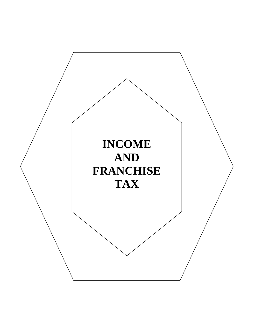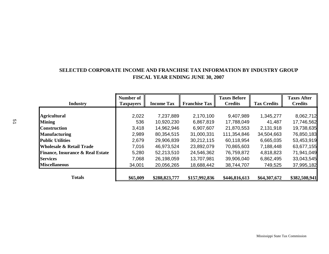# **SELECTED CORPORATE INCOME AND FRANCHISE TAX INFORMATION BY INDUSTRY GROUP FISCAL YEAR ENDING JUNE 30, 2007**

| <b>Industry</b>                             | <b>Number of</b><br><b>Taxpayers</b> | <b>Income Tax</b> | <b>Franchise Tax</b> | <b>Taxes Before</b><br><b>Credits</b> | <b>Tax Credits</b> | <b>Taxes After</b><br><b>Credits</b> |
|---------------------------------------------|--------------------------------------|-------------------|----------------------|---------------------------------------|--------------------|--------------------------------------|
|                                             |                                      |                   |                      |                                       |                    |                                      |
| <b>Agricultural</b>                         | 2,022                                | 7,237,889         | 2,170,100            | 9,407,989                             | 1,345,277          | 8,062,712                            |
| <b>Mining</b>                               | 536                                  | 10,920,230        | 6,867,819            | 17,788,049                            | 41,487             | 17,746,562                           |
| <b>Construction</b>                         | 3,418                                | 14,962,946        | 6,907,607            | 21,870,553                            | 2,131,918          | 19,738,635                           |
| <b>Manufacturing</b>                        | 2,989                                | 80,354,515        | 31,000,331           | 111,354,846                           | 34,504,663         | 76,850,183                           |
| <b>Public Utilities</b>                     | 2,679                                | 29,906,839        | 30,212,115           | 60,118,954                            | 6,665,035          | 53,453,919                           |
| <b>Wholesale &amp; Retail Trade</b>         | 7,016                                | 46,973,524        | 23,892,079           | 70,865,603                            | 7,188,448          | 63,677,155                           |
| <b>Finance, Insurance &amp; Real Estate</b> | 5,280                                | 52,213,510        | 24,546,362           | 76,759,872                            | 4,818,823          | 71,941,049                           |
| <b>Services</b>                             | 7,068                                | 26,198,059        | 13,707,981           | 39,906,040                            | 6,862,495          | 33,043,545                           |
| <b>Miscellaneous</b>                        | 34,001                               | 20,056,265        | 18,688,442           | 38,744,707                            | 749,525            | 37,995,182                           |
| <b>Totals</b>                               | \$65,009                             | \$288,823,777     | \$157,992,836        | \$446,816,613                         | \$64,307,672       | \$382,508,941                        |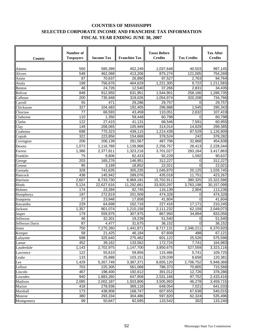# **COUNTIES OF MISSISSIPPI SELECTED CORPORATE INCOME AND FRANCHISE TAX INFORMATION FISCAL YEAR ENDING JUNE 30, 2007**

| County                           | Number of<br><b>Income Tax</b><br><b>Taxpayers</b> |            | <b>Franchise Tax</b> | <b>Taxes Before</b><br><b>Credits</b> |           | <b>Tax After</b><br><b>Credits</b> |  |
|----------------------------------|----------------------------------------------------|------------|----------------------|---------------------------------------|-----------|------------------------------------|--|
|                                  |                                                    |            |                      |                                       |           |                                    |  |
| Adams                            | 550                                                | 585,399    | 452,249              | 1,037,648                             | 40,503    | 997,145                            |  |
| Alcorn                           | 548                                                | 462,068    | 413,206              | 875,274                               | 121,005   | 754,269                            |  |
| Amite                            | 87                                                 | 70,637     | 26,890               | 97,527                                | 2,763     | 94,764                             |  |
| Attala                           | 199                                                | 756,676    | 464,629              | 1,221,305                             | 9,722     | 1,211,583                          |  |
| Benton                           | 46                                                 | 24,726     | 12,540               | 37,266                                | 2,831     | 34,435                             |  |
| <b>Bolivar</b>                   | 848                                                | 912,950    | 631,951              | 1,544,901                             | 258,166   | 1,286,735                          |  |
| Calhoun                          | 200                                                | 735,948    | 319,026              | 1,054,974                             | 320,208   | 734,766                            |  |
| Carroll                          | 55                                                 | 471        | 29,286               | 29,757                                | $\Omega$  | 29,757                             |  |
| Chickasaw                        | 327                                                | 104,483    | 192,405              | 296,888                               | 1,545     | 295,343                            |  |
| Choctaw                          | 77                                                 | 66,593     | 43,458               | 110,051                               | 2,632     | 107,419                            |  |
| Claiborne                        | 110                                                | 1,350      | 59,448               | 60,798                                | $\Omega$  | 60,798                             |  |
| Clarke                           | 122                                                | 27,415     | 41,131               | 68,546                                | 7,591     | 60,955                             |  |
| Clay                             | 149                                                | 208,065    | 105,949              | 314,014                               | 14,629    | 299,385                            |  |
| Coahoma                          | 698                                                | 775,323    | 439,115              | 1,214,438                             | 87,529    | 1,126,909                          |  |
| Copiah                           | 322                                                | 223,856    | 154,668              | 378,524                               | 242       | 378,282                            |  |
| $\overline{\mathrm{C}}$ ovington | 206                                                | 206,139    | 281,567              | 487,706                               | 32,868    | 454,838                            |  |
| Desoto                           | 1,073                                              | 1,116,789  | 1,139,968            | 2,256,757                             | 28,413    | 2,228,344                          |  |
| Forrest                          | 1,386                                              | 2,377,811  | 1,323,216            | 3,701,027                             | 283,164   | 3,417,863                          |  |
| Franklin                         | 75                                                 | 9,806      | 82,423               | 92,229                                | 1,592     | 90,637                             |  |
| George                           | 203                                                | 165,276    | 146,951              | 312,227                               | 0         | 312,227                            |  |
| Greene                           | 95                                                 | 3,169      | 18,852               | 22,021                                | 0         | 22,021                             |  |
| Grenada                          | 328                                                | 741,635    | 305,235              | 1,046,870                             | 20,125    | 1,026,745                          |  |
| Hancock                          | 438                                                | 145,942    | 289,076              | 435,018                               | 11,751    | 423,267                            |  |
| Harrison                         | 2,607                                              | 8,733,730  | 6,969,181            | 15,702,911                            | 380,325   | 15,322,586                         |  |
| Hinds                            | 5,124                                              | 22,627,616 | 11,292,681           | 33,920,297                            | 3,763,198 | 30,157,099                         |  |
| Holmes                           | 174                                                | 23,394     | 92,745               | 116,139                               | 2,904     | 113,236                            |  |
| Humphreys                        | 197                                                | 272,819    | 201,509              | 474,328                               | 0         | 474,328                            |  |
| Issaquena                        | 27                                                 | 23,946     | 17,658               | 41,604                                | $\Omega$  | 41,604                             |  |
| Itawamba                         | 229                                                | 64,698     | 162,718              | 227,416                               | 17,171    | 210,245                            |  |
| Jackson                          | 1,357                                              | 901,074    | 1,210,158            | 2,111,232                             | 62,159    | 2,049,073                          |  |
| Jasper                           | 179                                                | 559,975    | 307,975              | 867,950                               | 34,894    | 833,056                            |  |
| Jefferson                        | 46                                                 | 32,301     | 19,239               | 51,540                                | 0         | 51,540                             |  |
| Jefferson Davis                  | 87                                                 | 4,477      | 31,675               | 36,152                                | 0         | 36,152                             |  |
| Jones                            | 750                                                | 7,275,260  | 1,441,871            | 8,717,131                             | 2,346,211 | 6,370,920                          |  |
| Kemper                           | 58                                                 | 21,425     | 46,184               | 67,609                                | 488       | 67,121                             |  |
| Lafayette                        | 598                                                | 325,640    | 275,482              | 601,122                               | 25,526    | 575,596                            |  |
| Lamar                            | 452                                                | 39,162     | 133,562              | 172,724                               | 7,741     | 164,983                            |  |
| Lauderdale                       | 1,143                                              | 2,702,975  | 1,147,700            | 3,850,675                             | 527,559   | 3,323,116                          |  |
| Lawrence                         | 122                                                | 55,610     | 59,856               | 115,466                               | 5,741     | 109,725                            |  |
| Leake                            | 133                                                | 25,888     | 103,151              | 129,039                               | 8,658     | 120,381                            |  |
| Lee                              | 1,429                                              | 5,267,749  | 3,387,371            | 8,655,120                             | 2,706,752 | 5,948,368                          |  |
| Leflore                          | 703                                                | 225,305    | 561,068              | 786,373                               | 70,805    | 715,568                            |  |
| Lincoln                          | 467                                                | 198,400    | 192,612              | 391,012                               | 12,726    | 378,286                            |  |
| Lowndes                          | 940                                                | 1,883,260  | 647,908              | 2,531,168                             | 97,752    | 2,433,416                          |  |
| Madison                          | 2,085                                              | 2,002,187  | 1,503,806            | 3,505,993                             | 46,278    | 3,459,715                          |  |
| Marion                           | 418                                                | 278,936    | 369,118              | 648,054                               | 7,021     | 641,033                            |  |
| Marshall                         | 173                                                | 438,906    | 168,747              | 607,653                               | 67,638    | 540,015                            |  |
| Monroe                           | 380                                                | 293,334    | 304,486              | 597,820                               | 62,324    | 535,496                            |  |
| Montgomery                       | 99                                                 | 50,847     | 82,695               | 133,542                               | 302       | 133,240                            |  |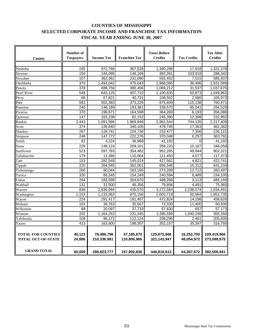# **COUNTIES OF MISSISSIPPI SELECTED CORPORATE INCOME AND FRANCHISE TAX INFORMATION FISCAL YEAR ENDING JUNE 30, 2007**

| County                                                 | <b>Number of</b><br><b>Taxpayers</b> | <b>Income Tax</b>         | <b>Franchise Tax</b>      | <b>Taxes Before</b><br><b>Credits</b> | <b>Tax Credits</b>       | <b>Tax After</b><br><b>Credits</b> |
|--------------------------------------------------------|--------------------------------------|---------------------------|---------------------------|---------------------------------------|--------------------------|------------------------------------|
|                                                        |                                      |                           |                           |                                       |                          |                                    |
| Neshoba                                                | 245                                  | 972,768                   | 367,528                   | 1,340,296                             | 17,918                   | 1,322,378                          |
| Newton                                                 | 150                                  | 244,095                   | 148,166                   | 392,261                               | 103,919                  | 288,342                            |
| Noxubee                                                | 107                                  | 362,362                   | 231,090                   | 593,452                               | 7,515                    | 585,937                            |
| Oktibbeha                                              | 370                                  | 1,493,042                 | 475,043                   | 1,968,085                             | 36,496                   | 1,931,589                          |
| Panola                                                 | $\overline{378}$                     | 688,756                   | 380,456                   | 1,069,212                             | 31,537                   | 1,037,675                          |
| Pearl River                                            | 548                                  | 643,125                   | 457,710                   | 1,100,835                             | 50,873                   | 1,049,962                          |
| Perry                                                  | 68                                   | 67,821                    | 40,731                    | 108,552                               | 2,580                    | 105,972                            |
| Pike                                                   | 563                                  | 502,383                   | 373,226                   | 875,609                               | 115,138                  | 760,471                            |
| Pontotoc                                               | $\overline{240}$                     | 146,189                   | 193,381                   | 339,570                               | 85,041                   | 254,529                            |
| Prentiss                                               | 370                                  | 199,671                   | 164,598                   | 364,269                               | 8,183                    | 356,086                            |
| Ouitman                                                | 147                                  | 163,238                   | 82,152                    | 245,390                               | 12,398                   | 232,992                            |
| Rankin                                                 | $\overline{2,}443$                   | 1,091,596                 | 1,869,948                 | 2,961,544                             | 744,135                  | 2,217,409                          |
| Scott                                                  | 374                                  | 139,640                   | 340,105                   | 479,745                               | 17,363                   | 462,382                            |
| Sharkey                                                | 267                                  | 128,741                   | 104,736                   | 233,477                               | 7,356                    | 226,121                            |
| Simpson                                                | 246                                  | 147,772                   | 222,276                   | 370,048                               | 6,257                    | 363,791                            |
| Smith                                                  | 82                                   | 4.224                     | 36,968                    | 41.192                                | 0                        | 41.192                             |
| Stone                                                  | 229                                  | 149.124                   | 209,101                   | 358,225                               | 10,167                   | 348,058                            |
| Sunflower                                              | 523                                  | 597.783                   | 354.482                   | 952,265                               | 49,944                   | 902,321                            |
| Tallahatchie                                           | 179                                  | 11,386                    | 110,064                   | 121,450                               | 4,077                    | 117,373                            |
| Tate                                                   | 153                                  | 282,548                   | 145,014                   | 427,562                               | 4,821                    | 422.741                            |
| Tippah                                                 | 220                                  | 264,545                   | 392,001                   | 656,546                               | 15,312                   | 641,234                            |
| Tishomingo                                             | 260                                  | 90,044                    | 183,165                   | 273,209                               | 12,712                   | 260,497                            |
| Tunica                                                 | 320                                  | 86,345                    | 154,249                   | 240,594                               | 6,489                    | 234,105                            |
| Union                                                  | 264                                  | 183,598                   | 304,670                   | 488,268                               | 3,113                    | 485,155                            |
| Walthall                                               | 131                                  | 31,500                    | 48,356                    | 79,856                                | 4,491                    | 75,365                             |
| Warren                                                 | 836                                  | 2,836,994                 | 435,570                   | 3,272,564                             | 2,238,074                | 1,034,491                          |
| Washington                                             | 1,153                                | 1,133,563                 | 870,156                   | 2,003,719                             | 50,984                   | 1,952,735                          |
| Wayne                                                  | 224                                  | 291,417                   | 181,407                   | 472,824                               | 14,198                   | 458,626                            |
| Webster                                                | 101                                  | 36,763                    | 35,567                    | 72,330                                | 11,400                   | 60,930                             |
| Wilkinson                                              | 89                                   | 20,097                    | 37,733                    | 57,830                                | 657                      | 57,173                             |
| Winston                                                | 202                                  | 1,164,253                 | 231,345                   | 1,395,598                             | 1,040,248                | 355,350                            |
| Yalobusha                                              | 109                                  | 96,172                    | 112,124                   | 208,296                               | 2,461                    | 205,835                            |
| Yazoo                                                  | 413                                  | 163,800                   | 188,357                   | 352,157                               | 35,397                   | 316,760                            |
| <b>TOTAL FOR COUNTIES</b><br><b>TOTAL OUT-OF-STATE</b> | 40,123<br>24,886                     | 78,486,796<br>210,336,981 | 47,185,870<br>110,806,966 | 125,672,666<br>321,143,947            | 16,252,700<br>48,054,972 | 109,419,966<br>273,088,975         |
| <b>GRAND TOTAL</b>                                     | 65,009                               | 288,823,777               | 157,992,836               | 446,816,613                           | 64,307,672               | 382,508,941                        |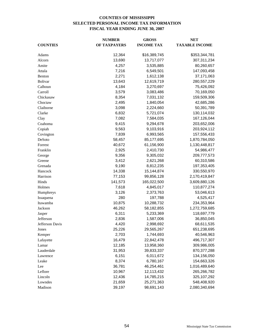## **COUNTIES OF MISSISSIPPI SELECTED PERSONAL INCOME TAX INFORMATION FISCAL YEAR ENDING JUNE 30, 2007**

|                 | <b>NUMBER</b> | <b>GROSS</b>      | <b>NET</b>            |  |  |
|-----------------|---------------|-------------------|-----------------------|--|--|
| <b>COUNTIES</b> | OF TAXPAYERS  | <b>INCOME TAX</b> | <b>TAXABLE INCOME</b> |  |  |
| Adams           | 12,364        | \$16,389,745      | \$353,344,781         |  |  |
| Alcorn          | 13,690        | 13,717,077        | 307,311,234           |  |  |
| Amite           | 4,257         | 3,535,885         | 80,260,657            |  |  |
| Attala          | 7,216         | 6,549,501         | 147,093,458           |  |  |
| Benton          | 2,271         | 1,612,138         | 37,171,063            |  |  |
| Bolivar         | 13,643        | 12,619,719        | 280,557,229           |  |  |
| Calhoun         | 4,184         | 3,270,697         | 75,426,092            |  |  |
| Carroll         | 3,579         | 3,083,486         | 70,169,050            |  |  |
| Chickasaw       | 8,354         | 7,031,132         | 159,509,306           |  |  |
| Choctaw         | 2,495         | 1,840,054         | 42,685,286            |  |  |
| Claiborne       | 3,098         | 2,224,660         | 50,391,789            |  |  |
| Clarke          | 6,832         | 5,721,074         | 130,114,032           |  |  |
| Clay            | 7,082         | 7,584,035         | 167,126,044           |  |  |
| Coahoma         | 9,415         | 9,294,678         | 203,652,006           |  |  |
| Copiah          | 9,563         | 9,103,916         | 203,924,112           |  |  |
| Covington       | 7,839         | 6,993,565         | 157,556,433           |  |  |
| DeSoto          | 58,457        | 85,177,695        | 1,870,784,050         |  |  |
| Forrest         | 40,672        | 61,156,900        | 1,130,448,817         |  |  |
| Franklin        | 2,925         | 2,410,730         | 54,986,477            |  |  |
| George          | 9,356         | 9,305,032         | 209,777,573           |  |  |
| Greene          | 3,412         | 2,621,268         | 60,310,586            |  |  |
| Grenada         | 9,190         | 8,812,235         | 197,353,405           |  |  |
| Hancock         | 14,338        | 15,144,874        | 330,550,970           |  |  |
| Harrison        | 77,153        | 99,856,128        | 2,170,419,847         |  |  |
| Hinds           | 141,573       | 165,022,500       | 3,609,880,126         |  |  |
| Holmes          | 7,618         | 4,845,017         | 110,877,274           |  |  |
| Humphreys       | 3,126         | 2,373,763         | 53,046,613            |  |  |
| Issaquena       | 280           | 197,788           | 4,525,417             |  |  |
| Itawamba        | 10,875        | 10,288,732        | 234,353,964           |  |  |
| Jackson         | 46,262        | 58,182,855        | 1,272,759,685         |  |  |
| Jasper          | 6,311         | 5,233,369         | 118,697,779           |  |  |
| Jefferson       | 2,836         | 1,587,006         | 36,850,045            |  |  |
| Jefferson Davis | 4,420         | 2,998,692         | 68,611,535            |  |  |
| Jones           | 25,226        | 29,565,267        | 651,238,695           |  |  |
| Kemper          | 2,703         | 1,744,693         | 40,546,963            |  |  |
| Lafayette       | 16,479        | 22,842,478        | 496,717,307           |  |  |
| Lamar           | 12,185        | 13,958,360        | 309,986,005           |  |  |
| Lauderdale      | 31,953        | 39,833,337        | 870, 377, 288         |  |  |
| Lawrence        | 6,151         | 6,011,672         | 134,156,050           |  |  |
| Leake           | 8,374         | 6,780,167         | 154,663,326           |  |  |
| Lee             | 36,781        | 46,254,461        | 1,016,489,640         |  |  |
| Leflore         | 10,967        | 12,113,432        | 265,266,782           |  |  |
| Lincoln         | 12,436        | 14,785,215        | 325,107,292           |  |  |
| Lowndes         | 21,659        | 25,271,363        | 548,408,920           |  |  |
| Madison         | 39,197        | 98,691,143        | 2,080,340,694         |  |  |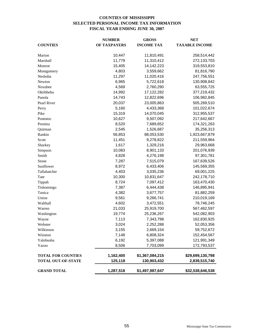## **COUNTIES OF MISSISSIPPI SELECTED PERSONAL INCOME TAX INFORMATION FISCAL YEAR ENDING JUNE 30, 2007**

|                           | <b>NUMBER</b> | <b>GROSS</b>      | <b>NET</b>            |  |  |
|---------------------------|---------------|-------------------|-----------------------|--|--|
| <b>COUNTIES</b>           | OF TAXPAYERS  | <b>INCOME TAX</b> | <b>TAXABLE INCOME</b> |  |  |
| Marion                    | 10,447        | 11,810,491        | 258,514,442           |  |  |
| Marshall                  | 11,779        | 11,310,412        | 272,133,703           |  |  |
| Monroe                    | 15,405        | 14, 142, 223      | 319,553,810           |  |  |
| Montgomery                | 4,803         | 3,559,662         | 81,816,790            |  |  |
| Neshoba                   | 11,297        | 11,020,416        | 247,756,551           |  |  |
| Newton                    | 6,965         | 5,722,618         | 130,908,842           |  |  |
| Noxubee                   | 4,569         | 2,760,290         | 63,555,725            |  |  |
| Oktibbeha                 | 14,992        | 17,122,282        | 377,219,432           |  |  |
| Panola                    | 14,743        | 12,822,696        | 106,982,845           |  |  |
| Pearl River               | 20,037        | 23,005,863        | 505,269,510           |  |  |
| Perry                     | 5,160         | 4,433,368         | 101,022,674           |  |  |
| Pike                      | 15,319        | 14,070,045        | 312,955,537           |  |  |
| Pontotoc                  | 10,627        | 9,507,092         | 217,642,667           |  |  |
| Prentiss                  | 8,520         | 7,689,652         | 174,321,263           |  |  |
| Quitman                   | 2,545         | 1,526,687         | 35,256,313            |  |  |
| Rankin                    | 56,853        | 88,053,530        | 1,923,667,879         |  |  |
| Scott                     | 11,451        | 9,278,822         | 211,559,964           |  |  |
| Sharkey                   | 1,617         | 1,329,216         | 29,963,668            |  |  |
| Simpson                   | 10,083        | 8,901,133         | 201,076,939           |  |  |
| Smith                     | 4,828         | 4,276,198         | 97,301,781            |  |  |
| Stone                     | 7,287         | 7,515,079         | 167,639,526           |  |  |
| Sunflower                 | 8,972         | 6,433,406         | 145,569,355           |  |  |
| Tallahatchie              | 4,403         | 3,035,236         | 69,001,225            |  |  |
| Tate                      | 10,300        | 10,831,647        | 242,178,710           |  |  |
| Tippah                    | 8,724         | 7,097,412         | 163,470,430           |  |  |
| Tishomingo                | 7,387         | 6,444,438         | 146,895,941           |  |  |
| Tunica                    | 4,382         | 3,677,757         | 81,882,259            |  |  |
| Union                     | 9,561         | 9,266,741         | 210,019,169           |  |  |
| Walthall                  | 4,602         | 3,472,551         | 78,746,245            |  |  |
| Warren                    | 21,033        | 25,919,700        | 567,462,597           |  |  |
| Washington                | 19,774        | 25,236,267        | 542,082,903           |  |  |
| Wayne                     | 7,113         | 7,343,798         | 162,830,925           |  |  |
| Webster                   | 3,024         | 2,252,288         | 52,053,356            |  |  |
| Wilkinson                 | 3,155         | 2,669,154         | 59,752,672            |  |  |
| Winston                   | 7,148         | 6,808,324         | 152,454,567           |  |  |
| Yalobusha                 | 6,192         | 5,397,088         | 121,991,349           |  |  |
| Yazoo                     | 8,506         | 7,703,099         | 172,793,537           |  |  |
| <b>TOTAL FOR COUNTIES</b> | 1,162,400     | \$1,367,084,215   | \$29,699,130,798      |  |  |
| TOTAL OUT-OF-STATE        | 125,118       | 130,903,432       | 2,839,515,740         |  |  |
| <b>GRAND TOTAL</b>        | 1,287,518     | \$1,497,987,647   | \$32,538,646,538      |  |  |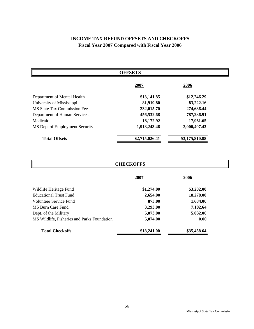# **INCOME TAX REFUND OFFSETS AND CHECKOFFS Fiscal Year 2007 Compared with Fiscal Year 2006**

| <b>OFFSETS</b>                 |                |                |  |  |  |  |  |  |  |
|--------------------------------|----------------|----------------|--|--|--|--|--|--|--|
|                                | 2007           | 2006           |  |  |  |  |  |  |  |
| Department of Mental Health    | \$13,141.85    | \$12,246.29    |  |  |  |  |  |  |  |
| University of Mississippi      | 81,919.80      | 83,222.16      |  |  |  |  |  |  |  |
| MS State Tax Commission Fee    | 232,015.70     | 274,686.44     |  |  |  |  |  |  |  |
| Department of Human Services   | 456,532.68     | 787,286.91     |  |  |  |  |  |  |  |
| Medicaid                       | 18,172.92      | 17,961.65      |  |  |  |  |  |  |  |
| MS Dept of Employment Security | 1,913,243.46   | 2,000,407.43   |  |  |  |  |  |  |  |
| <b>Total Offsets</b>           | \$2,715,026.41 | \$3,175,810.88 |  |  |  |  |  |  |  |

| <b>CHECKOFFS</b>                            |             |             |  |  |  |  |  |  |
|---------------------------------------------|-------------|-------------|--|--|--|--|--|--|
|                                             | 2007        | 2006        |  |  |  |  |  |  |
| Wildlife Heritage Fund                      | \$1,274.00  | \$3,282.00  |  |  |  |  |  |  |
| <b>Educational Trust Fund</b>               | 2,654.00    | 18,278.00   |  |  |  |  |  |  |
| Volunteer Service Fund                      | 873.00      | 1,684.00    |  |  |  |  |  |  |
| MS Burn Care Fund                           | 3,293.00    | 7,182.64    |  |  |  |  |  |  |
| Dept. of the Military                       | 5,073.00    | 5,032.00    |  |  |  |  |  |  |
| MS Wildlife, Fisheries and Parks Foundation | 5,074.00    | 0.00        |  |  |  |  |  |  |
| <b>Total Checkoffs</b>                      | \$18,241.00 | \$35,458.64 |  |  |  |  |  |  |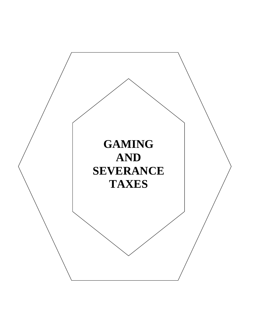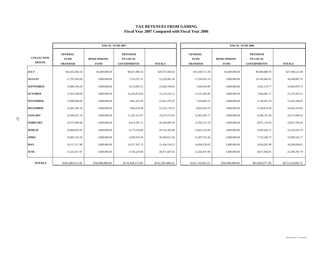#### **TAX REVENUES FROM GAMING Fiscal Year 2007 Compared with Fiscal Year 2006**

|                                   |                                                  | <b>FISCAL YEAR 2007</b>            |                                                   |                  | <b>FISCAL YEAR 2006</b>                          |                                    |                                                   |                  |  |  |
|-----------------------------------|--------------------------------------------------|------------------------------------|---------------------------------------------------|------------------|--------------------------------------------------|------------------------------------|---------------------------------------------------|------------------|--|--|
| <b>COLLECTION</b><br><b>MONTH</b> | <b>GENERAL</b><br><b>FUND</b><br><b>TRANSFER</b> | <b>BOND SINKING</b><br><b>FUND</b> | <b>TRANSFER</b><br>TO LOCAL<br><b>GOVERNMENTS</b> | <b>TOTALS</b>    | <b>GENERAL</b><br><b>FUND</b><br><b>TRANSFER</b> | <b>BOND SINKING</b><br><b>FUND</b> | <b>TRANSFER</b><br>TO LOCAL<br><b>GOVERNMENTS</b> | <b>TOTALS</b>    |  |  |
| <b>JULY</b>                       | \$16,653,592.50                                  | \$3,000,000.00                     | \$9,921,968.14                                    | \$29,575,560.64  | \$15,039,713.39                                  | \$3,000,000.00                     | \$9,000,808.70                                    | \$27,040,522.09  |  |  |
| <b>AUGUST</b>                     | 11,707,643.94                                    | 3,000,000.00                       | 7,513,337.32                                      | 22,220,981.26    | 17,334,923.74                                    | 3,000,000.00                       | 10,103,683.61                                     | 30,438,607.35    |  |  |
| <b>SEPTEMBER</b>                  | 13,889,784.44                                    | 3,000,000.00                       | 8,513,965.21                                      | 25,403,749.65    | 7,620,650.98                                     | 3,000,000.00                       | 5,463,219.77                                      | 16,083,870.75    |  |  |
| <b>OCTOBER</b>                    | 17.914.540.09                                    | 3,000,000.00                       | 10.216.874.04                                     | 31, 131, 414. 13 | 11,231,463.80                                    | 3,000,000.00                       | 7,044,461.71                                      | 21,275,925.51    |  |  |
| <b>NOVEMBER</b>                   | 12,660,046.80                                    | 3,000,000.00                       | 7,601,432.43                                      | 23, 261, 479. 23 | 7,224,845.52                                     | 3,000,000.00                       | 5,136,451.10                                      | 15,361,296.62    |  |  |
| <b>DECEMBER</b>                   | 12,661,941.18                                    | 3,000,000.00                       | 7,660,229.04                                      | 23,322,170.22    | 8,092,634.79                                     | 3,000,000.00                       | 5,549,679.26                                      | 16,642,314.05    |  |  |
| <b>JANUARY</b>                    | 19,308,421.76                                    | 3,000,000.00                       | 11,267,151.07                                     | 33,575,572.83    | 12,962,285.17                                    | 3,000,000.00                       | 8,308,761.46                                      | 24, 271, 046.63  |  |  |
| <b>FEBRUARY</b>                   | 14,573,694.46                                    | 3,000,000.00                       | 8,613,201.12                                      | 26,186,895.58    | 12,956,172.10                                    | 3,000,000.00                       | 8,071,178.26                                      | 24,027,350.36    |  |  |
| <b>MARCH</b>                      | 16.969.022.82                                    | 3,000,000.00                       | 9,772,259.06                                      | 29,741,281.88    | 13,823,143.68                                    | 3,000,000.00                       | 8,369,420.11                                      | 25,192,563.79    |  |  |
| <b>APRIL</b>                      | 16,065,192.20                                    | 3,000,000.00                       | 9,295,619.36                                      | 28,360,811.56    | 12,307,355.44                                    | 3,000,000.00                       | 7,753,186.73                                      | 23,060,542.17    |  |  |
| <b>MAY</b>                        | 18,117,217.40                                    | 3,000,000.00                       | 10,317,307.13                                     | 31,434,524.53    | 14,834,556.63                                    | 3,000,000.00                       | 9,024,281.98                                      | 26,858,838.61    |  |  |
| <b>JUNE</b>                       | 15,325,817.97                                    | 3,000,000.00                       | 9,745,229.68                                      | 28,071,047.65    | 12,282,837.98                                    | 3,000,000.00                       | 8,017,944.81                                      | 23,300,782.79    |  |  |
| <b>TOTALS</b>                     | \$185,846,915.56                                 | \$36,000,000.00                    | \$110,438,573.60                                  | \$332,285,489.16 | \$145,710,583.22                                 | \$36,000,000.00                    | \$91,843,077.50                                   | \$273,553,660.72 |  |  |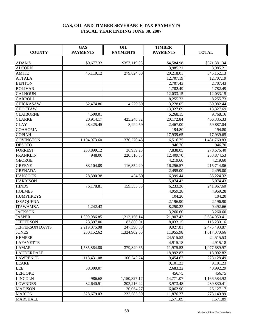# **GAS, OIL AND TIMBER SEVERANCE TAX PAYMENTS FISCAL YEAR ENDING JUNE 30, 2007**

| <b>COUNTY</b>          | <b>GAS</b><br><b>PAYMENTS</b> | OIL<br><b>PAYMENTS</b> | <b>TIMBER</b><br><b>PAYMENTS</b> | <b>TOTAL</b> |  |
|------------------------|-------------------------------|------------------------|----------------------------------|--------------|--|
|                        |                               |                        |                                  |              |  |
| <b>ADAMS</b>           | \$9,677.33                    | \$357,119.03           | \$4,584.98                       | \$371,381.34 |  |
| <b>ALCORN</b>          |                               |                        | 3,985.21                         | 3,985.21     |  |
| <b>AMITE</b>           | 45,110.12                     | 279,824.00             | 20,218.01                        | 345,152.13   |  |
| <b>ATTALA</b>          |                               |                        | 12,707.19                        | 12,707.19    |  |
| <b>BENTON</b>          |                               |                        | 2,707.43                         | 2,707.43     |  |
| <b>BOLIVAR</b>         |                               |                        | 1,782.49                         | 1,782.49     |  |
| <b>CALHOUN</b>         |                               |                        | 12,033.15                        | 12,033.15    |  |
| <b>CARROLL</b>         |                               |                        | 8,255.73                         | 8,255.73     |  |
| <b>CHICKASAW</b>       | 52,474.80                     | 4,229.59               | 3,278.05                         | 59,982.44    |  |
| <b>CHOCTAW</b>         |                               |                        | 13,327.69                        | 13,327.69    |  |
| <b>CLAIBORNE</b>       | 4,500.01                      |                        | 5,268.15                         | 9,768.16     |  |
| <b>CLARKE</b>          | 20,914.17                     | 425,248.32             | 20,172.84                        | 466,335.33   |  |
| <b>CLAY</b>            | 48,425.45                     | 8,994.59               | 2,467.00                         | 59,887.04    |  |
| <b>COAHOMA</b>         |                               |                        | 194.80                           | 194.80       |  |
| <b>COPIAH</b>          |                               |                        | 17,939.65                        | 17,939.65    |  |
| <b>COVINGTON</b>       | 1,104,973.60                  | 370,270.48             | 6,516.75                         | 1,481,760.83 |  |
| <b>DESOTO</b>          |                               |                        | 946.70                           | 946.70       |  |
| <b>FORREST</b>         | 233,899.12                    | 36,939.23              | 7,838.05                         | 278,676.40   |  |
| <b>FRANKLIN</b>        | 948.00                        | 220,516.83             | 12,409.70                        | 233,874.53   |  |
| <b>GEORGE</b>          |                               |                        | 4,219.60                         | 4,219.60     |  |
| <b>GREENE</b>          | 83,104.09                     | 116,354.20             | 16,256.57                        | 215,714.86   |  |
| <b>GRENADA</b>         |                               |                        | 2,495.00                         | 2,495.00     |  |
| <b>HANCOCK</b>         | 28,390.38                     | 434.50                 | 6,399.44                         | 35,224.32    |  |
| <b>HARRISON</b>        |                               |                        | 5,074.43                         | 5,074.43     |  |
| <b>HINDS</b>           | 76,178.81                     | 159,555.53             | 6,233.26                         | 241,967.60   |  |
| <b>HOLMES</b>          |                               |                        | 4,959.28                         | 4,959.28     |  |
| <b>HUMPHREYS</b>       |                               |                        | 104.20                           | 104.20       |  |
| <b>ISSAQUENA</b>       |                               |                        | 2,196.90                         | 2,196.90     |  |
| <b>ITAWAMBA</b>        | 1,242.43                      |                        | 8,250.23                         | 9,492.66     |  |
| <b>JACKSON</b>         |                               |                        | 3,260.60                         | 3,260.60     |  |
| <b>JASPER</b>          | 1,399,986.85                  | 1,212,156.14           | 21,907.42                        | 2,634,050.41 |  |
| <b>JEFFERSON</b>       | 23,397.00                     | 83,800.01              | 8,033.15                         | 115,230.16   |  |
| <b>JEFFERSON DAVIS</b> | 2,219,075.98                  | 247,390.08             | 9,027.81                         | 2,475,493.87 |  |
| <b>JONES</b>           | 280,152.62                    | 1,324,962.06           | 11,955.98                        | 1,617,070.66 |  |
| <b>KEMPER</b>          |                               |                        | 24,515.53                        | 24,515.53    |  |
| <b>LAFAYETTE</b>       |                               |                        | 4,915.18                         | 4,915.18     |  |
| <b>LAMAR</b>           | 1,585,864.80                  | 379,849.65             | 11,975.52                        | 1,977,689.97 |  |
| <b>LAUDERDALE</b>      |                               |                        | 18,992.82                        | 18,992.82    |  |
| <b>LAWRENCE</b>        | 118,431.08                    | 100,242.74             | 9,454.67                         | 228,128.49   |  |
| <b>LEAKE</b>           |                               |                        | 9,101.23                         | 9,101.23     |  |
| <b>LEE</b>             | 38,309.07                     |                        | 2,683.22                         | 40,992.29    |  |
| <b>LEFLORE</b>         |                               |                        | 456.75                           | 456.75       |  |
| <b>LINCOLN</b>         | 986.68                        | 1,150,827.17           | 14,771.07                        | 1,166,584.92 |  |
| <b>LOWNDES</b>         | 32,640.51                     | 203,216.42             | 3,973.48                         | 239,830.41   |  |
| <b>MADISON</b>         |                               | 20,064.27              | 6,062.90                         | 26,127.17    |  |
| <b>MARION</b>          | 528,679.03                    | 232,585.59             | 11,876.37                        | 773,140.99   |  |
| <b>MARSHALL</b>        |                               |                        | 1,571.89                         | 1,571.89     |  |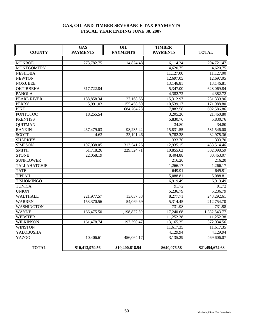# **GAS, OIL AND TIMBER SEVERANCE TAX PAYMENTS FISCAL YEAR ENDING JUNE 30, 2007**

| <b>COUNTY</b>     | <b>GAS</b><br><b>PAYMENTS</b> | OIL<br><b>PAYMENTS</b> | <b>TIMBER</b><br><b>PAYMENTS</b> | <b>TOTAL</b>    |  |
|-------------------|-------------------------------|------------------------|----------------------------------|-----------------|--|
|                   |                               |                        |                                  |                 |  |
| <b>MONROE</b>     | 273,782.75                    | 14,824.48              | 6,114.24                         | 294,721.47      |  |
| <b>MONTGOMERY</b> |                               |                        | 4,620.75                         | 4,620.75        |  |
| <b>NESHOBA</b>    |                               |                        | 11,127.00                        | 11,127.00       |  |
| <b>NEWTON</b>     |                               |                        | 12,697.05                        | 12,697.05       |  |
| <b>NOXUBEE</b>    |                               |                        | 13,146.81                        | 13,146.81       |  |
| <b>OKTIBBEHA</b>  | 617,722.84                    |                        | 5,347.00                         | 623,069.84      |  |
| <b>PANOLA</b>     |                               |                        | 4,382.72                         | 4,382.72        |  |
| PEARL RIVER       | 188,858.34                    | 27,168.65              | 15,312.97                        | 231,339.96      |  |
| <b>PERRY</b>      | 5,991.03                      | 155,458.60             | 10,539.17                        | 171,988.80      |  |
| <b>PIKE</b>       |                               | 684,704.28             | 7,882.58                         | 692,586.86      |  |
| <b>PONTOTOC</b>   | 18,255.54                     |                        | 3,205.26                         | 21,460.80       |  |
| <b>PRENTISS</b>   |                               |                        | 5,830.76                         | 5,830.76        |  |
| <b>QUITMAN</b>    |                               |                        | 34.80                            | 34.80           |  |
| <b>RANKIN</b>     | 467,479.03                    | 98,235.42              | 15,831.55                        | 581,546.00      |  |
| <b>SCOTT</b>      | 4.62                          | 23,191.46              | 9,782.28                         | 32,978.36       |  |
| <b>SHARKEY</b>    |                               |                        | 333.70                           | 333.70          |  |
| <b>SIMPSON</b>    | 107,038.05                    | 313,541.26             | 12,935.15                        | 433,514.46      |  |
| <b>SMITH</b>      | 61,718.26                     | 229,524.71             | 10,855.62                        | 302,098.59      |  |
| <b>STONE</b>      | 22,058.19                     |                        | 8,404.88                         | 30,463.07       |  |
| <b>SUNFLOWER</b>  |                               |                        | 216.20                           | 216.20          |  |
| TALLAHATCHIE      |                               |                        | 1,266.17                         | 1,266.17        |  |
| <b>TATE</b>       |                               |                        | 649.91                           | 649.91          |  |
| <b>TIPPAH</b>     |                               |                        | 5,088.81                         | 5,088.81        |  |
| <b>TISHOMINGO</b> |                               |                        | 6,919.49                         | 6,919.49        |  |
| <b>TUNICA</b>     |                               |                        | 91.72                            | 91.72           |  |
| <b>UNION</b>      |                               |                        | 5,236.79                         | 5,236.79        |  |
| <b>WALTHALL</b>   | 221,977.57                    | 13,037.33              | 8,277.71                         | 243,292.61      |  |
| <b>WARREN</b>     | 153,370.56                    | 54,069.69              | 5,314.45                         | 212,754.70      |  |
| <b>WASHINGTON</b> |                               |                        | 731.98                           | 731.98          |  |
| <b>WAYNE</b>      | 166,475.50                    | 1,198,827.59           | 17,240.68                        | 1,382,543.77    |  |
| <b>WEBSTER</b>    |                               |                        | 11,252.38                        | 11,252.38       |  |
| <b>WILKINSON</b>  | 161,478.74                    | 197,390.47             | 13,165.35                        | 372,034.56      |  |
| <b>WINSTON</b>    |                               |                        | 11,617.35                        | 11,617.35       |  |
| YALOBUSHA         |                               |                        | 4,129.94                         | 4,129.94        |  |
| YAZOO             | 10,406.61                     | 456,064.17             | 3,135.29                         | 469,606.07      |  |
| <b>TOTAL</b>      | \$10,413,979.56               | \$10,400,618.54        | \$640,076.58                     | \$21,454,674.68 |  |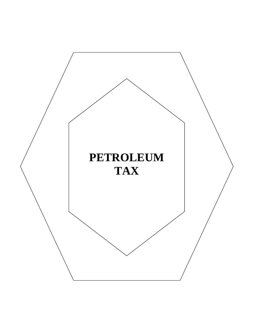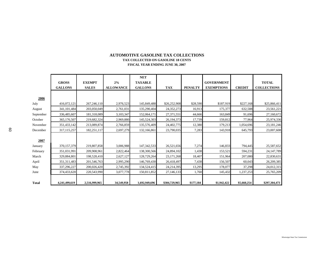#### **TAX COLLECTED ON GASOLINE 18 CENTSFISCAL YEAR ENDING JUNE 30, 2007 AUTOMOTIVE GASOLINE TAX COLLECTIONS**

|           | <b>GROSS</b><br><b>GALLONS</b> | <b>EXEMPT</b><br><b>SALES</b> | 2%<br><b>ALLOWANCE</b> | <b>NET</b><br><b>TAXABLE</b><br><b>GALLONS</b> | <b>TAX</b>    | <b>PENALTY</b> | <b>GOVERNMENT</b><br><b>EXEMPTIONS</b> | <b>CREDIT</b> | <b>TOTAL</b><br><b>COLLECTIONS</b> |
|-----------|--------------------------------|-------------------------------|------------------------|------------------------------------------------|---------------|----------------|----------------------------------------|---------------|------------------------------------|
|           |                                |                               |                        |                                                |               |                |                                        |               |                                    |
| 2006      |                                |                               |                        |                                                |               |                |                                        |               |                                    |
| July      | 416,072,121                    | 267,246,110                   | 2,976,523              | 145,849,488                                    | \$26,252,908  | \$28,590       | \$187,919                              | \$227,168     | \$25,866,411                       |
| August    | 341,101,484                    | 203,050,049                   | 2,761,031              | 135,290,404                                    | 24,352,273    | 16,913         | 175,377                                | 632,588       | 23,561,221                         |
| September | 336,485,607                    | 181,318,089                   | 3,103,347              | 152,064,171                                    | 27,371,551    | 44,666         | 163,849                                | 91,696        | 27,160,672                         |
| October   | 365,176,507                    | 219,682,324                   | 2,969,880              | 145,524,303                                    | 26,194,373    | 17,739         | 159,812                                | 77,964        | 25,974,336                         |
| November  | 351,433,142                    | 213,089,874                   | 2,766,859              | 135,576,409                                    | 24,402,775    | 12,380         | 179,213                                | 1,054,696     | 23, 181, 246                       |
| December  | 317, 115, 257                  | 182,251,117                   | 2,697,279              | 132,166,861                                    | 23,790,035    | 7,283          | 143,918                                | 645,793       | 23,007,608                         |
|           |                                |                               |                        |                                                |               |                |                                        |               |                                    |
| 2007      |                                |                               |                        |                                                |               |                |                                        |               |                                    |
| January   | 370,157,379                    | 219,807,858                   | 3,006,988              | 147, 342, 533                                  | 26,521,656    | 7,274          | 146,833                                | 794,445       | 25,587,652                         |
| February  | 351,031,991                    | 209,908,961                   | 2,822,464              | 138,300,566                                    | 24,894,102    | 1,438          | 153,521                                | 594,231       | 24, 147, 789                       |
| March     | 329,884,801                    | 198,528,410                   | 2,627,127              | 128,729,264                                    | 23, 171, 268  | 18,407         | 151,964                                | 207,080       | 22,830,631                         |
| April     | 351, 311, 483                  | 201,546,763                   | 2,995,290              | 146,769,430                                    | 26,418,497    | 7,438          | 156,507                                | 60.043        | 26,209,385                         |
| May       | 337,296,227                    | 200,026,420                   | 2,745,392              | 134,524,415                                    | 24,214,395    | 13,295         | 178,077                                | 37,298        | 24,012,315                         |
| June      | 374,433,620                    | 220,543,990                   | 3,077,778              | 150,811,852                                    | 27,146,133    | 1,760          | 145,432                                | 1,237,253     | 25,765,209                         |
|           |                                |                               |                        |                                                |               |                |                                        |               |                                    |
| Total     | 4,241,499,619                  | 2,516,999,965                 | 34,549,958             | 1,692,949,696                                  | \$304,729,965 | \$177,184      | \$1,942,422                            | \$5,660,254   | \$297,304,473                      |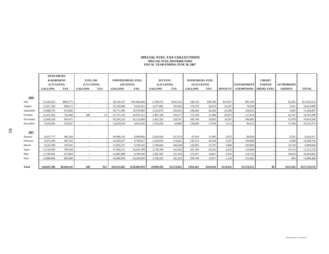#### **SPECIAL FUEL TAX COLLECTIONSSPECIAL FUEL DISTRIBUTORS FISCAL YEAR ENDING JUNE 30, 2007**

|           | <b>DYED DIESEL</b><br><b>&amp; KEROSENE</b><br>$(5.75$ CENTS) |             | <b>FUEL OIL</b><br>$(5.75$ CENTS) |      | <b>UNDYED DIESEL FUEL</b><br>$(18$ CENTS) |               | <b>JET FUEL</b><br>$(5.25$ CENTS) |             | <b>DYED DIESEL FUEL</b><br>(12.25 CENTS) |           |                | <b>GOVERNMENT</b>               | <b>CREDIT</b><br><b>UNDYED</b> | <b>AUTHORIZED</b> |               |
|-----------|---------------------------------------------------------------|-------------|-----------------------------------|------|-------------------------------------------|---------------|-----------------------------------|-------------|------------------------------------------|-----------|----------------|---------------------------------|--------------------------------|-------------------|---------------|
|           | <b>GALLONS</b>                                                | TAX         | <b>GALLONS</b>                    | TAX  | <b>GALLONS</b>                            | TAX           | <b>GALLONS</b>                    | TAX         | <b>GALLONS</b>                           | TAX       | <b>PENALTY</b> | <b>EXEMPTIONS   DIESEL FUEL</b> |                                | <b>CREDITS</b>    | <b>TOTAL</b>  |
|           |                                                               |             |                                   |      |                                           |               |                                   |             |                                          |           |                |                                 |                                |                   |               |
| 2006      |                                                               |             |                                   |      |                                           |               |                                   |             |                                          |           |                |                                 |                                |                   |               |
| July      | 15,526,453                                                    | \$892,771   |                                   |      | 58,149,147                                | \$10,466,846  | 2,709,376                         | \$142,242   | 248.129                                  | \$30,396  | \$15,817       | \$91.169                        |                                | \$2,381           | \$11,454,523  |
| August    | 15,627,328                                                    | 898.571     | $\sim$                            |      | 52,329,008                                | 9,419,221     | 2,677,806                         | 140,585     | 170,720                                  | 20,913    | 16.347         | 79,239                          |                                | 2,501             | 10,413,899    |
| September | 15,888,735                                                    | 913,602     | $\sim$                            |      | 58,771,495                                | 10,578,869    | 3,516,670                         | 184,625     | 248,460                                  | 30,436    | 23,200         | 128,022                         |                                | 5,904             | 11,596,807    |
| October   | 12,921,385                                                    | 742,980     | 440                               | 25   | 55,731,193                                | 10,031,615    | 2,487,180                         | 130,577     | 172.144                                  | 21,088    | 20.875         | 117,014                         |                                | 42,147            | 10,787,999    |
| November  | 12,060,358                                                    | 693.471     | $\sim$                            |      | 56,205,333                                | 10.116.960    | 2,452,326                         | 128,747     | 160,748                                  | 19.692    | 14.297         | 106.893                         |                                | 51.979            | 10,814,294    |
| December  | 9,283,949                                                     | 533,827     | $\sim$                            |      | 53,629,454                                | 9.653.302     | 1,235,430                         | 64,860      | 139,049                                  | 17,034    | 3,113          | 99,413                          |                                | 37,349            | 10,135,373    |
|           |                                                               |             |                                   |      |                                           |               |                                   |             |                                          |           |                |                                 |                                |                   |               |
| 2007      |                                                               |             |                                   |      |                                           |               |                                   |             |                                          |           |                |                                 |                                |                   |               |
| January   | 8.437.717                                                     | 485,169     |                                   |      | 49,498,145                                | 8.909.666     | 2.050.928                         | 107,674     | 97.819                                   | 11.983    | 2.873          | 90.856                          |                                | 2,191             | 9,424,317     |
| February  | 8,475,349                                                     | 487,333     | $\sim$                            |      | 54,393,427                                | 9,790,817     | 2,259,059                         | 118,601     | 230,154                                  | 28,194    | 3,247          | 109,088                         |                                | 9,348             | 10,309,756    |
| March     | 9,224,180                                                     | 530,391     | $\sim$                            |      | 51,835,231                                | 9,330,342     | 2,786,064                         | 146,268     | 128,903                                  | 15,791    | 5,866          | 105,869                         |                                | 14,720            | 9,908,068     |
| April     | 13,720,020                                                    | 789,326     |                                   |      | 57,929,121                                | 10,435,789    | 2,730,700                         | 143,362     | 167,550                                  | 20,525    | 4,233          | 110,968                         |                                | 10,114            | 11,272,153    |
| May       | 11,700,942                                                    | 672,804     |                                   |      | 53,891,888                                | 9,700,540     | 2,385,505                         | 125,239     | 121,037                                  | 14,827    | 3,934          | 119,722                         |                                | 34,018            | 10,363,603    |
| June      | 13,980,864                                                    | 803,900     | $\sim$                            |      | 56,949,959                                | 10,250,992    | 2,708,220                         | 142,182     | 106,749                                  | 13,077    | 1,130          | 121,002                         |                                | 893               | 11,089,386    |
|           |                                                               |             |                                   |      |                                           |               |                                   |             |                                          |           |                |                                 |                                |                   |               |
| Total     | 146,847,280                                                   | \$8,444,145 | 440                               | \$25 | 659,313,401                               | \$118,684,959 | 29,999,264                        | \$1,574,962 | 1,991,462                                | \$243,956 | \$114,932      | \$1,279,255                     | \$0                            | \$213,545         | \$127,570,178 |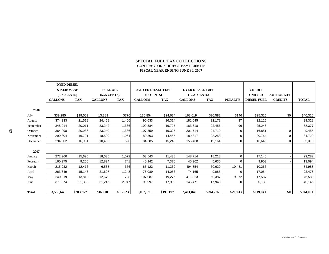### **SPECIAL FUEL TAX COLLECTIONS CONTRACTOR'S DIRECT PAY PERMITS FISCAL YEAR ENDING JUNE 30, 2007**

|              | <b>DYED DIESEL</b>    |            |                 |            |                           |           |                         |            |                |                    |                   |              |
|--------------|-----------------------|------------|-----------------|------------|---------------------------|-----------|-------------------------|------------|----------------|--------------------|-------------------|--------------|
|              | <b>&amp; KEROSENE</b> |            | <b>FUEL OIL</b> |            | <b>UNDYED DIESEL FUEL</b> |           | <b>DYED DIESEL FUEL</b> |            |                | <b>CREDIT</b>      |                   |              |
|              | $(5.75$ CENTS)        |            | $(5.75$ CENTS)  |            | $(18$ CENTS)              |           | (12.25 CENTS)           |            |                | <b>UNDYED</b>      | <b>AUTHORIZED</b> |              |
|              | <b>GALLONS</b>        | <b>TAX</b> | <b>GALLONS</b>  | <b>TAX</b> | <b>GALLONS</b>            | TAX       | <b>GALLONS</b>          | <b>TAX</b> | <b>PENALTY</b> | <b>DIESEL FUEL</b> | <b>CREDITS</b>    | <b>TOTAL</b> |
|              |                       |            |                 |            |                           |           |                         |            |                |                    |                   |              |
| 2006         |                       |            |                 |            |                           |           |                         |            |                |                    |                   |              |
| July         | 339,285               | \$19,509   | 13,389          | \$770      | 136,854                   | \$24,634  | 168,019                 | \$20,582   | \$146          | \$25,325           | \$0               | \$40,316     |
| August       | 374,233               | 21,518     | 24,458          | 1,406      | 90,633                    | 16,314    | 181,045                 | 22,178     | 37             | 22,125             |                   | 39,328       |
| September    | 348,014               | 20,011     | 23,242          | 1,336      | 109,584                   | 19,725    | 183,318                 | 22,456     | 96             | 25,248             |                   | 38,377       |
| October      | 364,098               | 20,936     | 23,240          | 1,336      | 107,359                   | 19,325    | 201,714                 | 24,710     | 0              | 16,851             | $\mathbf{0}$      | 49,455       |
| November     | 290,804               | 16,721     | 18,509          | 1,064      | 80,303                    | 14,455    | 189,817                 | 23,253     | 0              | 20,764             | 0                 | 34,729       |
| December     | 294,802               | 16,951     | 10,400          | 598        | 84,685                    | 15,243    | 156,438                 | 19,164     | 0              | 16,646             | $\Omega$          | 35,310       |
|              |                       |            |                 |            |                           |           |                         |            |                |                    |                   |              |
| 2007         |                       |            |                 |            |                           |           |                         |            |                |                    |                   |              |
| January      | 272,960               | 15,695     | 18,635          | 1,072      | 63,543                    | 11,438    | 148,714                 | 18,218     | 0              | 17,140             |                   | 29,282       |
| February     | 160,975               | 9,256      | 12,894          | 741        | 40,942                    | 7,370     | 45,962                  | 5,630      | $\Omega$       | 9,903              |                   | 13,094       |
| March        | 215,932               | 12,416     | 6,538           | 376        | 63,122                    | 11,362    | 494,854                 | 60,620     | 10,481         | 10,266             |                   | 84,988       |
| April        | 263,349               | 15,143     | 21,697          | ,248       | 78,089                    | 14,056    | 74,165                  | 9,085      | 0              | 17,054             |                   | 22,478       |
| May          | 240,219               | 13,813     | 12,670          | 728        | 107,087                   | 19,276    | 411,323                 | 50,387     | 9,972          | 17,587             |                   | 76,589       |
| June         | 371,974               | 21,389     | 51,246          | 2,947      | 99,997                    | 17,999    | 146,471                 | 17,943     | $\Omega$       | 20,132             |                   | 40,145       |
|              |                       |            |                 |            |                           |           |                         |            |                |                    |                   |              |
| <b>Total</b> | 3,536,645             | \$203,357  | 236,918         | \$13,623   | 1,062,198                 | \$191,197 | 2,401,840               | \$294,226  | \$20,733       | \$219,041          | \$0               | \$504,091    |

62

June

**Total**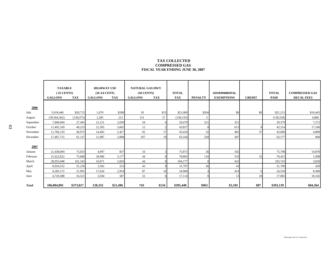### **TAX COLLECTED COMPRESSED GASFISCAL YEAR ENDING JUNE 30, 2007**

|           | <b>TAXABLE</b><br>$(35$ CENTS)<br><b>GALLONS</b> | <b>TAX</b> | <b>HIGHWAY USE</b><br>$(163/4$ CENT)<br><b>GALLONS</b> | <b>TAX</b> | <b>NATURAL GAS HWY</b><br>$(18$ CENTS)<br><b>GALLONS</b> | <b>TAX</b> | <b>TOTAL</b><br><b>TAX</b> | <b>PENALTY</b> | <b>GOVERNMENTAL</b><br><b>EXEMPTIONS</b> | <b>CREDIT</b> | <b>TOTAL</b><br><b>PAID</b> | <b>COMPRESSED GAS</b><br><b>DECAL FEES</b> |
|-----------|--------------------------------------------------|------------|--------------------------------------------------------|------------|----------------------------------------------------------|------------|----------------------------|----------------|------------------------------------------|---------------|-----------------------------|--------------------------------------------|
| 2006      |                                                  |            |                                                        |            |                                                          |            |                            |                |                                          |               |                             |                                            |
| July      | 5,918,440                                        | \$20,715   | 1,670                                                  | \$280      | 81                                                       | \$15       | \$21,009                   | \$204          | \$0                                      | \$0           | \$21,213                    | \$10,445                                   |
| August    | (39, 564, 362)                                   | (138, 475) | 1,285                                                  | 215        | 151                                                      | 27         | (138, 233)                 | -5             |                                          |               | (138, 228)                  | 4,886                                      |
| September | 7,840,694                                        | 27,442     | 12,121                                                 | 2,030      | 34                                                       |            | 29,479                     | 221            | 321                                      |               | 29,379                      | 7,272                                      |
| October   | 11,492,169                                       | 40,223     | 21,503                                                 | 3,602      | 12                                                       |            | 43,827                     |                | 613                                      |               | 43,214                      | 17,160                                     |
| November  | 11,706,159                                       | 40,972     | 14,492                                                 | 2,427      | 92                                                       | 17         | 43,416                     | 32             | 405                                      | 37            | 43,006                      | 4,890                                      |
| December  | 17,467,715                                       | 61,137     | 11,987                                                 | 2,008      | 107                                                      | 19         | 63,164                     | 320            | 307                                      |               | 63,177                      | 840                                        |
| 2007      |                                                  |            |                                                        |            |                                                          |            |                            |                |                                          |               |                             |                                            |
| January   | 21,438,094                                       | 75,033     | 4,997                                                  | 837        | 16                                                       |            | 75,873                     | 26             | 102                                      |               | 75,798                      | 14,878                                     |
| February  | 21,622,822                                       | 75,680     | 18,966                                                 | 3,177      | 44                                                       |            | 78,865                     | 116            | 533                                      | 32            | 78,415                      | 1,998                                      |
| March     | 28,955,048                                       | 101,343    | 16,871                                                 | 2,826      | 44                                                       |            | 104,177                    |                | 433                                      |               | 103,743                     | 3,030                                      |
| April     | 8,924,552                                        | 31,236     | 3,302                                                  | 553        | 43                                                       |            | 31,797                     | 36             | 43                                       |               | 31,790                      | 420                                        |
| May       | 6,283,172                                        | 21,991     | 17,634                                                 | 2,954      | 87                                                       | 16         | 24,960                     |                | 414                                      |               | 24,550                      | 8,380                                      |
| June      | 4,720,388                                        | 16,521     | 3,504                                                  | 587        | 32                                                       |            | 17,114                     |                | 13                                       | 18            | 17,083                      | 10,165                                     |
| Total     | 106,804,891                                      | \$373,817  | 128,332                                                | \$21,496   | 743                                                      | \$134      | \$395,448                  | \$963          | \$3,185                                  | \$87          | \$393,139                   | \$84,364                                   |

63

Mississippi State Tax Commission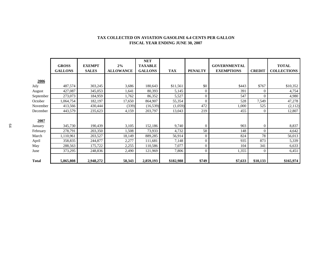|              |                |               |                  | <b>NET</b>     |            |                |                     |               |                    |
|--------------|----------------|---------------|------------------|----------------|------------|----------------|---------------------|---------------|--------------------|
|              | <b>GROSS</b>   | <b>EXEMPT</b> | 2%               | <b>TAXABLE</b> |            |                | <b>GOVERNMENTAL</b> |               | <b>TOTAL</b>       |
|              | <b>GALLONS</b> | <b>SALES</b>  | <b>ALLOWANCE</b> | <b>GALLONS</b> | <b>TAX</b> | <b>PENALTY</b> | <b>EXEMPTIONS</b>   | <b>CREDIT</b> | <b>COLLECTIONS</b> |
|              |                |               |                  |                |            |                |                     |               |                    |
| 2006         |                |               |                  |                |            |                |                     |               |                    |
| July         | 487,574        | 303,245       | 3,686            | 180,643        | \$11,561   | \$0            | \$443               | \$767         | \$10,352           |
| August       | 427,087        | 345,053       | 1,641            | 80,393         | 5,145      | $\mathbf{0}$   | 391                 |               | 4,754              |
| September    | 273,073        | 184,959       | 1,762            | 86,352         | 5,527      | $\mathbf{0}$   | 547                 | $\Omega$      | 4,980              |
| October      | ,064,754       | 182,197       | 17,650           | 864,907        | 55,354     | $\Omega$       | 528                 | 7,549         | 47,278             |
| November     | 413,566        | 430,444       | (339)            | (16, 539)      | (1,059)    | 472            | 1,000               | 525           | (2,112)            |
| December     | 443,579        | 235,623       | 4,159            | 203,797        | 13,043     | 219            | 455                 | $\Omega$      | 12,807             |
|              |                |               |                  |                |            |                |                     |               |                    |
| 2007         |                |               |                  |                |            |                |                     |               |                    |
| January      | 345,730        | 190,439       | 3,105            | 152,186        | 9,740      | $\mathbf{0}$   | 903                 | $\Omega$      | 8,837              |
| February     | 278,791        | 203,350       | 1,508            | 73,933         | 4,732      | 58             | 148                 |               | 4,642              |
| March        | 1,110,961      | 203,527       | 18,149           | 889,285        | 56,914     | $\mathbf{0}$   | 824                 | 78            | 56,013             |
| April        | 358,835        | 244,877       | 2,277            | 111,681        | 7,148      | $\mathbf{0}$   | 935                 | 873           | 5,339              |
| May          | 288,563        | 175,722       | 2,255            | 110,586        | 7,077      | $\mathbf{0}$   | 104                 | 341           | 6,633              |
| June         | 373,295        | 248,836       | 2,490            | 121,969        | 7,806      | $\theta$       | 1,355               | $\Omega$      | 6,451              |
|              |                |               |                  |                |            |                |                     |               |                    |
| <b>Total</b> | 5,865,808      | 2,948,272     | 58,343           | 2,859,193      | \$182,988  | \$749          | \$7,633             | \$10,133      | \$165,974          |

### **TAX COLLECTED ON AVIATION GASOLINE 6.4 CENTS PER GALLON FISCAL YEAR ENDING JUNE 30, 2007**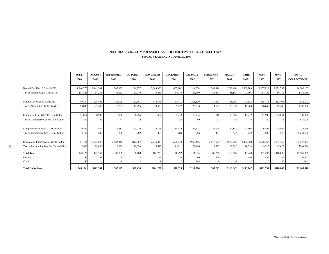### **NATURAL GAS, COMPRESSED GAS, LOCOMOTIVE FUEL COLLECTIONS FISCAL YEAR ENDING JUNE 30, 2007**

|                                               | <b>JULY</b><br>2006 | <b>AUGUST</b><br>2006 | <b>SEPTEMBER</b><br>2006 | <b>OCTOBER</b><br>2006 | <b>NOVEMBER</b><br>2006 | <b>DECEMBER</b><br>2006 | <b>JANUARY</b><br>2007 | <b>FEBRUARY</b><br>2007 | <b>MARCH</b><br>2007 | <b>APRIL</b><br>2007 | <b>MAY</b><br>2007 | <b>JUNE</b><br>2007 | <b>TOTAL</b><br><b>COLLECTIONS</b> |
|-----------------------------------------------|---------------------|-----------------------|--------------------------|------------------------|-------------------------|-------------------------|------------------------|-------------------------|----------------------|----------------------|--------------------|---------------------|------------------------------------|
| Natural Gas Used 3 Cents\MCF                  | 1,244,775           | 2,141,261             | 1,566,082                | 1,234,957              | 2.349.366               | 1,805,962               | 2,114,658              | 1,748,374               | 2,703,468            | 2,566,703            | 2,157,822          | 2,871,757           | 24,505,185                         |
| Tax on Natural Gas 3 Cents\MCF                | \$37,343            | 64,238                | 46,982                   | 37,049                 | 70,481                  | 54,179                  | 63,440                 | 54,451                  | 81,104               | 77,001               | 64,735             | 86,153              | \$735,156                          |
|                                               |                     |                       |                          |                        |                         |                         |                        |                         |                      |                      |                    |                     |                                    |
| Natural Gas Used 12 Cents\MCF                 | 40,374              | 228,405               | 131,128                  | 127,461                | 113,575                 | 81,471                  | 211,109                | 117,951                 | 186,085              | 143,837              | 138,771            | 112,406             | 1,632,573                          |
| Tax on Natural Gas 12 Cents\MCF               | \$4,845             | 27,408                | 15,735                   | 15,295                 | 13,629                  | 9,777                   | 25,333                 | 14,154                  | 22,330               | 17,260               | 16,653             | 13,489              | \$195,908                          |
|                                               |                     |                       |                          |                        |                         |                         |                        |                         |                      |                      |                    |                     |                                    |
| Compressed Gas Used 1/2 Cent Gallon           | 11,864              | 6,980                 | 8,808                    | 6,456                  | 1,404                   | 27,218                  | 13,734                 | 6,118                   | 10,506               | 11,212               | 11,996             | 23,664              | 139,960                            |
| Tax on Compresed Gas 1/2 Cent Gallon          | \$59                | 35                    | 44                       | 32                     | $\overline{7}$          | 136                     | 69                     | 31                      | 53                   | 56                   | 60                 | 118                 | \$700.00                           |
|                                               |                     |                       |                          |                        |                         |                         |                        |                         |                      |                      |                    |                     |                                    |
| Compressed Gas Used 2 Cents Gallon            | 9,839               | 27,467                | 16,812                   | 20,079                 | 23,158                  | 14,474                  | 34,311                 | 24,176                  | 27,115               | 21,105               | 26,496             | 28,504              | 273,536                            |
| Tax on Compressed Gas 2 Cents Gallon          | \$197               | 589                   | 336                      | 402                    | 463                     | 289                     | 686                    | 483                     | 542                  | 422                  | 530                | 570                 | \$5,510.00                         |
|                                               |                     |                       |                          |                        |                         |                         |                        |                         |                      |                      |                    |                     |                                    |
| Locomotive Fuel Used 3/4 Cents Gallon         | 91,104              | 3,984,837             | 2,533,346                | 1,817,307              | 2,216,383               | 1,588,074               | 2,955,445              | 2,617,538               | 2,072,915            | 2,467,958            | 2,575,767          | 2,357,150           | 27,277,824                         |
| S.<br>Tax on Locomotive Fuel 3/4 Cents Gallon | \$683               | 29.886                | 19,000                   | 13.630                 | 16.623                  | 11.911                  | 22,166                 | 19.632                  | 15,547               | 18.510               | 19.318             | 17.679              | \$204,584                          |
| <b>Total Tax</b>                              | \$43,127            | 122.157               | 82,098                   | 66,408                 | 101.203                 | 76,292                  | 111,694                | 86,750                  | 119,576              | 113,249              | 101,295            | 118,008             | \$1,141,857                        |
| Penalty                                       | \$7                 | 398                   | 29                       | 22                     | 84                      | 33                      | 60                     | 479                     | 71                   | 498                  | 495                | 86                  | \$2,262                            |
| Credit                                        | \$0                 | 14                    |                          | $\Omega$               |                         | $\Omega$                | 168                    |                         |                      | $\Omega$             |                    | 46                  | \$243                              |
| <b>Total Collections</b>                      | \$43,134            | \$122,541             | \$82,127                 | \$66,430               | \$101,278               | \$76,325                | \$111,586              | \$87,223                | \$119,647            | \$113,747            | \$101,790          | \$118,048           | \$1,143,876                        |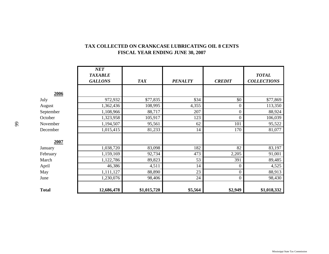|              | NET<br><b>TAXABLE</b><br><b>GALLONS</b> | <b>TAX</b>  | <b>PENALTY</b> | <b>CREDIT</b>    | <b>TOTAL</b><br><b>COLLECTIONS</b> |
|--------------|-----------------------------------------|-------------|----------------|------------------|------------------------------------|
| 2006         |                                         |             |                |                  |                                    |
| July         | 972,932                                 | \$77,835    | \$34           | \$0              | \$77,869                           |
| August       | 1,362,436                               | 108,995     | 4,355          | 0                | 113,350                            |
| September    | 1,108,966                               | 88,717      | 207            | $\boldsymbol{0}$ | 88,924                             |
| October      | 1,323,958                               | 105,917     | 123            | $\boldsymbol{0}$ | 106,039                            |
| November     | 1,194,507                               | 95,561      | 62             | 101              | 95,522                             |
| December     | 1,015,415                               | 81,233      | 14             | 170              | 81,077                             |
| 2007         |                                         |             |                |                  |                                    |
| January      | 1,038,720                               | 83,098      | 182            | 82               | 83,197                             |
| February     | 1,159,169                               | 92,734      | 473            | 2,205            | 91,001                             |
| March        | 1,122,786                               | 89,823      | 53             | 391              | 89,485                             |
| April        | 46,386                                  | 4,511       | 14             | $\boldsymbol{0}$ | 4,525                              |
| May          | 1,111,127                               | 88,890      | 23             | $\overline{0}$   | 88,913                             |
| June         | 1,230,076                               | 98,406      | 24             | $\boldsymbol{0}$ | 98,430                             |
| <b>Total</b> | 12,686,478                              | \$1,015,720 | \$5,564        | \$2,949          | \$1,018,332                        |

# **TAX COLLECTED ON CRANKCASE LUBRICATING OIL 8 CENTS FISCAL YEAR ENDING JUNE 30, 2007**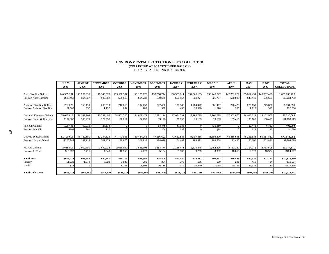#### **ENVIRONMENTAL PROTECTION FEES COLLECTED (COLLECTED AT 4/10 CENTS PER GALLON) FISCAL YEAR ENDING JUNE 30, 2007**

|                                  | JULY        | <b>AUGUST</b> | <b>SEPTEMBER</b> | <b>OCTOBER</b> | <b>NOVEMBER</b> | <b>DECEMBER</b> | <b>JANUARY</b> | <b>FEBRUARY</b> | <b>MARCH</b> | APRIL       | <b>MAY</b> | <b>JUNE</b> | <b>TOTAL</b>       |
|----------------------------------|-------------|---------------|------------------|----------------|-----------------|-----------------|----------------|-----------------|--------------|-------------|------------|-------------|--------------------|
|                                  | 2006        | 2006          | 2006             | 2006           | 2006            | 2006            | 2007           | 2007            | 2007         | 2007        | 2007       | 2007        | <b>COLLECTIONS</b> |
|                                  |             |               |                  |                |                 |                 |                |                 |              |             |            |             |                    |
| Auto Gasoline Gallons            | 146,365,731 | 141,209,393   | 148,140,520      | 139,902,562    | 141, 183, 178   | 137,668,744     | 138,988,61     | 134,569,189     | 130,449,247  | 142,701,279 | 135,852,49 | 146,657,478 | 683,688,423        |
| Fees on Auto Gasoline            | \$585,463   | 564,837       | 592,562          | 559,610        | 564,733         | 550,675         | 555,954        | 538,277         | 521,797      | 570,805     | 543.410    | 586,630     | \$6,734,752        |
|                                  |             |               |                  |                |                 |                 |                |                 |              |             |            |             |                    |
| <b>Aviation Gasoline Gallons</b> | 267,279     | 158,119       | 298,019          | 216,010        | 197,257         | 247,400         | 109,386        | 4,224,422       | 381,497      | 226,475     | 279,159    | 229,036     | 6,834,059          |
| Fees on Aviation Gasoline        | \$1,069     | 632           | 1,192            | 864            | 789             | 990             | 438            | 16,898          | 1,526        | 906         | 1,117      | 916         | \$27,336           |
|                                  |             |               |                  |                |                 |                 |                |                 |              |             |            |             |                    |
| Diesel & Kerosene Gallons        | 25,645,818  | 26,369,903    | 30,739,456       | 24,552,700     | 21,807,473      | 20,782,114      | 17,964,081     | 19,795,775      | 18,390,675   | 27,353,970  | 24,025,613 | 25,102,507  | 282,530,085        |
| Fees on Diesel & Kerosene        | \$102,583   | 105,479       | 122,958          | 98,211         | 87,230          | 83,128          | 71,856         | 79,183          | 73,563       | 109,416     | 96,102     | 100,410     | \$1,130,119        |
|                                  |             |               |                  |                |                 |                 |                |                 |              |             |            |             |                    |
| Fuel Oil Gallons                 | 199,485     | 50.215        | 27,538           | $\Omega$       |                 | 63,475          | 47.033         | $\Omega$        | (19, 550)    |             | 29,448     | 6,350       | 403,994            |
| Fees on Fuel Oil                 | \$798       | 201           | 110              |                |                 | 254             | 188            | $\Omega$        | (78)         |             | 118        | 25          | \$1,616            |
|                                  |             |               |                  |                |                 |                 |                |                 |              |             |            |             |                    |
| <b>Undyed Diesel Gallons</b>     | 51,720,618  | 46,780,680    | 52,294,825       | 47,743,968     | 50,484,253      | 47,156,592      | 43.620.538     | 47,407,856      | 45,889,590   | 48,366,645  | 45,151,635 | 50,957,852  | 577,575,052        |
| Fees on Undyed Diesel            | \$206,882   | 187,123       | 209,179          | 190,976        | 201,937         | 188,626         | 174,482        | 188,431         | 183,558      | 193,466     | 180,606    | 203,831     | \$2,309,099        |
|                                  |             |               |                  |                |                 |                 |                |                 |              |             |            |             |                    |
| Jet Fuel Gallons                 | 2,655,017   | 2,602,780     | 3,659,925        | 2,639,040      | 3,568,306       | 1,283,774       | 2,126,471      | 2,315,648       | 2,482,896    | 2,713,237   | 2,394,072  | 2,733,505   | 31,174,671         |
| Fees on Jet Fuel                 | \$10,620    | 10,411        | 14,640           | 10,556         | 14,273          | 5,134           | 8,506          | 9,263           | 9,932        | 10,853      | 9,576      | 10,934      | \$124,697          |
|                                  |             |               |                  |                |                 |                 |                |                 |              |             |            |             |                    |
| <b>Total Fees</b>                | \$907.415   | 868,684       | 940.641          | 860,217        | 868,961         | 828,808         | 811,424        | 832,051         | 790,297      | 885,446     | 830,929    | 902,747     | \$10,327,619       |
| Penalty                          | \$1,023     | 1,079         | 6,829            | 1,025          | 709             | 334             | 378            | (126)           | 679          | 281         | 412        | 34          | \$12,657           |
| Credit                           | \$23        |               |                  | 5,125          | 15,505          | 16,715          | 379            | 20,640          | 17,068       | 20,761      | 23,936     | 7,383       | \$127,535          |
|                                  |             |               |                  |                |                 |                 |                |                 |              |             |            |             |                    |
| <b>Total Collections</b>         | \$908,415   | \$869,763     | \$947,470        | \$856,117      | \$854,166       | \$812,427       | \$811,423      | \$811,285       | \$773,908    | \$864,966   | \$807.405  | \$895,397   | \$10,212,741       |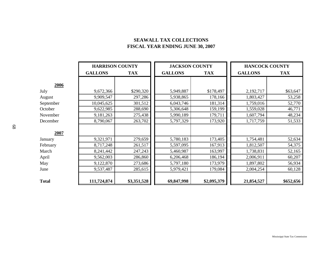# **SEAWALL TAX COLLECTIONS FISCAL YEAR ENDING JUNE 30, 2007**

|           | <b>HARRISON COUNTY</b> |             | <b>JACKSON COUNTY</b> |             | <b>HANCOCK COUNTY</b> |            |
|-----------|------------------------|-------------|-----------------------|-------------|-----------------------|------------|
|           | <b>GALLONS</b>         | <b>TAX</b>  | <b>GALLONS</b>        | <b>TAX</b>  | <b>GALLONS</b>        | <b>TAX</b> |
| 2006      |                        |             |                       |             |                       |            |
| July      | 9,672,366              | \$290,320   | 5,949,887             | \$178,497   | 2,192,717             | \$63,647   |
| August    | 9,909,547              | 297,286     | 5,938,865             | 178,166     | 1,803,427             | 53,258     |
| September | 10,045,625             | 301,512     | 6,043,746             | 181,314     | 1,759,016             | 52,770     |
| October   | 9,622,985              | 288,690     | 5,306,648             | 159,199     | 1,559,028             | 46,771     |
| November  | 9,181,263              | 275,438     | 5,990,189             | 179,711     | 1,607,794             | 48,234     |
| December  | 8,790,067              | 263,702     | 5,797,329             | 173,920     | 1,717,759             | 51,533     |
| 2007      |                        |             |                       |             |                       |            |
| January   | 9,321,971              | 279,659     | 5,780,183             | 173,405     | 1,754,481             | 52,634     |
| February  | 8,717,248              | 261,517     | 5,597,095             | 167,913     | 1,812,507             | 54,375     |
| March     | 8,241,442              | 247,243     | 5,460,987             | 163,997     | 1,738,831             | 52,165     |
| April     | 9,562,003              | 286,860     | 6,206,468             | 186,194     | 2,006,911             | 60,207     |
| May       | 9,122,870              | 273,686     | 5,797,180             | 173,979     | 1,897,802             | 56,934     |
| June      | 9,537,487              | 285,615     | 5,979,421             | 179,084     | 2,004,254             | 60,128     |
| Total     | 111,724,874            | \$3,351,528 | 69,847,998            | \$2,095,379 | 21,854,527            | \$652,656  |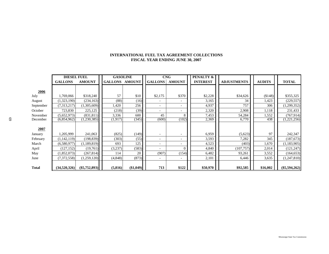### **INTERNATIONAL FUEL TAX AGREEMENT COLLECTIONS FISCAL YEAR ENDING JUNE 30, 2007**

|           | <b>DIESEL FUEL</b> |                 |                       | <b>GASOLINE</b> |                          | <b>CNG</b>               | PENALTY &       |                    |               |                 |
|-----------|--------------------|-----------------|-----------------------|-----------------|--------------------------|--------------------------|-----------------|--------------------|---------------|-----------------|
|           | <b>GALLONS</b>     | <b>AMOUNT</b>   | <b>GALLONS AMOUNT</b> |                 | <b>GALLONS</b>           | <b>AMOUNT</b>            | <b>INTEREST</b> | <b>ADJUSTMENTS</b> | <b>AUDITS</b> | <b>TOTAL</b>    |
|           |                    |                 |                       |                 |                          |                          |                 |                    |               |                 |
| 2006      |                    |                 |                       |                 |                          |                          |                 |                    |               |                 |
| July      | 1,769,066          | \$318,240       | 57                    | \$10            | \$2,175                  | \$370                    | \$2,228         | \$34,626           | (\$148)       | \$355,325       |
| August    | (1,323,190)        | (234, 163)      | (88)                  | (16)            |                          |                          | 3,165           | 34                 | 1,423         | (229, 557)      |
| September | (7,313,217)        | (1,305,609)     | ,420                  | 256             |                          | $\overline{\phantom{a}}$ | 4,937           | 757                | 306           | (1,299,352)     |
| October   | 723,830            | 225,125         | (218)                 | (39)            |                          |                          | 2,320           | 2,908              | 1,118         | 231,433         |
| November  | (5,652,973)        | (831, 811)      | 3,336                 | 600             | 45                       | 8                        | 7,453           | 54,284             | 1,552         | (767, 914)      |
| December  | (6,854,962)        | (1,230,385)     | (1,917)               | (345)           | (600)                    | (102)                    | 2,369           | 6,770              | 438           | (1,221,256)     |
|           |                    |                 |                       |                 |                          |                          |                 |                    |               |                 |
| 2007      |                    |                 |                       |                 |                          |                          |                 |                    |               |                 |
| January   | 1,205,999          | 241,063         | (825)                 | (149)           | $\overline{\phantom{0}}$ |                          | 6,959           | (5,623)            | 97            | 242,347         |
| February  | (1,142,119)        | (198, 839)      | (303)                 | (55)            |                          | $\overline{\phantom{a}}$ | 3,593           | 7,282              | 345           | (187, 673)      |
| March     | (6,580,977)        | (1, 189, 819)   | 693                   | 125             |                          |                          | 4,523           | (403)              | 1,670         | (1, 183, 905)   |
| April     | (127, 152)         | (19,761)        | (3,237)               | (583)           |                          | $\Omega$                 | 4,840           | (107, 757)         | 2,014         | (121, 247)      |
| May       | (1,852,073)        | (267, 814)      | 114                   | 20              | (907)                    | (154)                    | 6,482           | 93,261             | 3,552         | (164, 653)      |
| June      | (7,372,558)        | (1,259,120)     | (4,848)               | (873)           |                          |                          | 2,101           | 6,446              | 3,635         | (1,247,810)     |
|           |                    |                 |                       |                 |                          |                          |                 |                    |               |                 |
| Total     | (34,520,326)       | $(\$5,752,893)$ | (5,816)               | (\$1,049)       | 713                      | \$122                    | \$50,970        | \$92,585           | \$16,002      | $(\$5,594,262)$ |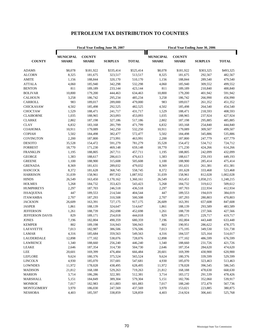# **PETROLEUM TAX DISTRIBUTION TO COUNTIES**

|                   |                                  |                               | <b>Fiscal Year Ending June 30, 2007</b> |              |                                       |                               | <b>Fiscal Year Ending June 30, 2006</b> |              |
|-------------------|----------------------------------|-------------------------------|-----------------------------------------|--------------|---------------------------------------|-------------------------------|-----------------------------------------|--------------|
| <b>COUNTY</b>     | <b>MUNICIPAL</b><br><b>SHARE</b> | <b>COUNTY</b><br><b>SHARE</b> | <b>SURPLUS</b>                          | <b>TOTAL</b> | Ш<br><b>MUNICIPAL</b><br><b>SHARE</b> | <b>COUNTY</b><br><b>SHARE</b> | <b>SURPLUS</b>                          | <b>TOTAL</b> |
| <b>ADAMS</b>      | \$8,078                          | \$181,922                     | \$335,414                               | \$525,414    | \$8,078                               | \$181,922                     | \$303,325                               | \$493,325    |
| <b>ALCORN</b>     | 8,325                            | 181,675                       | 323,517                                 | 513,517      | 8,325                                 | 181,675                       | 292,567                                 | 482,567      |
| <b>AMITE</b>      | 1,156                            | 188,844                       | 320,170                                 | 510,170      | 1,156                                 | 188,844                       | 289,540                                 | 479,540      |
| <b>ATTALA</b>     | 4,060                            | 185,940                       | 342,298                                 | 532,298      | 4,060                                 | 185,940                       | 309,552                                 | 499,552      |
| <b>BENTON</b>     | 811                              | 189,189                       | 233,144                                 | 423,144      | 811                                   | 189,189                       | 210,840                                 | 400,840      |
| <b>BOLIVAR</b>    | 10,800                           | 179,200                       | 444,463                                 | 634,463      | 10,800                                | 179,200                       | 401,942                                 | 591,942      |
| <b>CALHOUN</b>    | 3,258                            | 186,742                       | 295,234                                 | 485,234      | 3,258                                 | 186,742                       | 266,990                                 | 456,990      |
| CARROLL           | 983                              | 189,017                       | 289,000                                 | 479,000      | 983                                   | 189,017                       | 261,352                                 | 451,352      |
| <b>CHICKASAW</b>  | 4,502                            | 185,498                       | 292,525                                 | 482,525      | 4,502                                 | 185,498                       | 264,540                                 | 454,540      |
| <b>CHOCTAW</b>    | 1,529                            | 188,471                       | 241,717                                 | 431,717      | 1,529                                 | 188,471                       | 218,593                                 | 408,593      |
| <b>CLAIBORNE</b>  | 1,035                            | 188,965                       | 263,093                                 | 453,093      | 1,035                                 | 188,965                       | 237,924                                 | 427,924      |
| <b>CLARKE</b>     | 2,802                            | 187,198                       | 327,186                                 | 517,186      | 2,802                                 | 187,198                       | 295,885                                 | 485,885      |
| <b>CLAY</b>       | 6,832                            | 183,168                       | 281,799                                 | 471,799      | 6,832                                 | 183,168                       | 254,840                                 | 444,840      |
| <b>COAHOMA</b>    | 10,911                           | 179,089                       | 342,250                                 | 532,250      | 10,911                                | 179,089                       | 309,507                                 | 499,507      |
| <b>COPIAH</b>     | 5,502                            | 184,498                       | 382,477                                 | 572,477      | 5,502                                 | 184,498                       | 345,886                                 | 535,886      |
| COVINGTON         | 2,200                            | 187,800                       | 273,991                                 | 463,991      | 2,200                                 | 187,800                       | 247,779                                 | 437,779      |
| <b>DESOTO</b>     | 35,528                           | 154,472                       | 591,279                                 | 781,279      | 35,528                                | 154,472                       | 534,712                                 | 724,712      |
| <b>FORREST</b>    | 18,770                           | 171,230                       | 469,148                                 | 659,148      | 18,770                                | 171,230                       | 424,266                                 | 614,266      |
| <b>FRANKLIN</b>   | 1,195                            | 188,805                       | 267,711                                 | 457,711      | 1,195                                 | 188,805                       | 242,099                                 | 432,099      |
| <b>GEORGE</b>     | 1,383                            | 188,617                       | 286,613                                 | 476,613      | 1,383                                 | 188,617                       | 259,193                                 | 449,193      |
| <b>GREENE</b>     | 1,100                            | 188,900                       | 315,608                                 | 505,608      | 1,100                                 | 188,900                       | 285,414                                 | 475,414      |
| <b>GRENADA</b>    | 8,369                            | 181,631                       | 289,032                                 | 479,032      | 8,369                                 | 181,631                       | 261,381                                 | 451,381      |
| <b>HANCOCK</b>    | 8,372                            | 181,628                       | 368,745                                 | 558,745      | 8,372                                 | 181,628                       | 333,468                                 | 523,468      |
| <b>HARRISON</b>   | 31,039                           | 158,961                       | 897,932                                 | 1,087,932    | 31,039                                | 158,961                       | 812,028                                 | 1,002,028    |
| <b>HINDS</b>      | 26,549                           | 163,450                       | 1,170,162                               | 1,360,161    | 26,549                                | 163,451                       | 1,058,215                               | 1,248,215    |
| <b>HOLMES</b>     | 5,268                            | 184,732                       | 353,423                                 | 543,423      | 5,268                                 | 184,732                       | 319,612                                 | 509,612      |
| <b>HUMPHREYS</b>  | 2,297                            | 187,703                       | 246,518                                 | 436,518      | 2,297                                 | 187,703                       | 222,934                                 | 412,934      |
| <b>ISSAQUENA</b>  | 447                              | 189,553                       | 214,544                                 | 404,544      | 447                                   | 189,553                       | 194,019                                 | 384,019      |
| <b>ITAWAMBA</b>   | 2,707                            | 187,293                       | 310,508                                 | 500,508      | 2,707                                 | 187,293                       | 280,803                                 | 470,803      |
| <b>JACKSON</b>    | 26,609                           | 163,391                       | 727,175                                 | 917,175      | 26,609                                | 163,391                       | 657,608                                 | 847,608      |
| <b>JASPER</b>     | 1,861                            | 188,139                       | 324,647                                 | 514,647      | 1,861                                 | 188,139                       | 293,589                                 | 483,589      |
| <b>JEFFERSON</b>  | 1,261                            | 188,739                       | 262,698                                 | 452,698      | 1,261                                 | 188,739                       | 237,566                                 | 427,566      |
| JEFFERSON DAVIS   | 829                              | 189,171                       | 254,018                                 | 444,018      | 829                                   | 189,171                       | 229,717                                 | 419,717      |
| <b>JONES</b>      | 7,196                            | 182,804                       | 490,359                                 | 680,359      | 7,196                                 | 182,804                       | 443,448                                 | 633,448      |
| <b>KEMPER</b>     | 802                              | 189,198                       | 316,943                                 | 506,943      | 802                                   | 190,951                       | 286,622                                 | 478,375      |
| LAFAYETTE         | 7,013                            | 182,987                       | 386,506                                 | 576,506      | 7,013                                 | 175,195                       | 349,530                                 | 531,738      |
| <b>LAMAR</b>      | 4,316                            | 185,684                       | 359,563                                 | 549,563      | 4,316                                 | 184,537                       | 325,164                                 | 514,017      |
| LAUDERDALE        | 12,898                           | 177,102                       | 538,076                                 | 728,076      | 12,898                                | 177,102                       | 486,599                                 | 676,599      |
| <b>LAWRENCE</b>   | 1,340                            | 188,660                       | 256,240                                 | 446,240      | 1,340                                 | 188,660                       | 231,726                                 | 421,726      |
| LEAKE             | 2,646                            | 187,354                       | 314,730                                 | 504,730      | 2,646                                 | 187,354                       | 284,620                                 | 474,620      |
| LEE               | 20,601                           | 169,399                       | 476,484                                 | 666,484      | 20,601                                | 169,399                       | 430,900                                 | 620,900      |
| LEFLORE           | 9,624                            | 180,376                       | 375,524                                 | 565,524      | 9,624                                 | 180,376                       | 339,599                                 | 529,599      |
| <b>LINCOLN</b>    | 4,930                            | 185,070                       | 357,681                                 | 547,681      | 4,930                                 | 185,070                       | 323,463                                 | 513,463      |
| <b>LOWNDES</b>    | 11,972                           | 178,028                       | 438,495                                 | 628,495      | 11,972                                | 178,028                       | 396,545                                 | 586,545      |
| <b>MADISON</b>    | 21,812                           | 168,188                       | 529,263                                 | 719,263      | 21,812                                | 168,188                       | 478,630                                 | 668,630      |
| <b>MARION</b>     | 3,714                            | 186,286                       | 322,381                                 | 512,381      | 3,714                                 | 183,172                       | 291,539                                 | 478,426      |
| MARSHALL          | 5,151                            | 184,849                       | 389,304                                 | 579,304      | 5,151                                 | 182,706                       | 352,060                                 | 539,917      |
| <b>MONROE</b>     | 7,017                            | 182,983                       | 411,883                                 | 601,883      | 7,017                                 | 188,240                       | 372,479                                 | 567,736      |
| <b>MONTGOMERY</b> | 3,970                            | 186,030                       | 247,569                                 | 437,569      | 3,970                                 | 153,021                       | 223,885                                 | 380,875      |
| <b>NESHOBA</b>    | 4,403                            | 185,597                       | 338,859                                 | 528,859      | 4,403                                 | 214,924                       | 306,441                                 | 525,768      |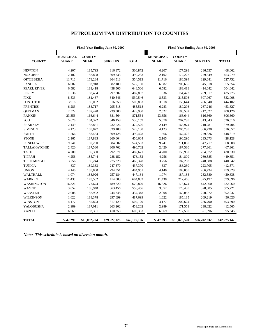# **PETROLEUM TAX DISTRIBUTION TO COUNTIES**

|                   |                                  |                               | <b>Fiscal Year Ending June 30, 2007</b> |              |                                  |                               | <b>Fiscal Year Ending June 30, 2006</b> |              |
|-------------------|----------------------------------|-------------------------------|-----------------------------------------|--------------|----------------------------------|-------------------------------|-----------------------------------------|--------------|
| <b>COUNTY</b>     | <b>MUNICIPAL</b><br><b>SHARE</b> | <b>COUNTY</b><br><b>SHARE</b> | <b>SURPLUS</b>                          | <b>TOTAL</b> | <b>MUNICIPAL</b><br><b>SHARE</b> | <b>COUNTY</b><br><b>SHARE</b> | <b>SURPLUS</b>                          | <b>TOTAL</b> |
| <b>NEWTON</b>     | 4,207                            | 185,793                       | 316,872                                 | 506,872      | 4,207                            | 177,298                       | 286,557                                 | 468,062      |
| <b>NOXUBEE</b>    | 2,102                            | 187,898                       | 309,233                                 | 499,233      | 2,102                            | 172,227                       | 279,649                                 | 453,979      |
| <b>OKTIBBEHA</b>  | 11,716                           | 178,284                       | 364,513                                 | 554,513      | 11,716                           | 186,394                       | 329,641                                 | 527,752      |
| <b>PANOLA</b>     | 6,082                            | 183,918                       | 382,180                                 | 572,180      | 6,082                            | 203,655                       | 345,618                                 | 555,354      |
| PEARL RIVER       | 6,582                            | 183,418                       | 458,506                                 | 648,506      | 6,582                            | 183,418                       | 414,642                                 | 604,642      |
| <b>PERRY</b>      | 1,536                            | 188,464                       | 297,807                                 | 487,807      | 1,536                            | 154,423                       | 269,317                                 | 425,275      |
| <b>PIKE</b>       | 8,533                            | 181,467                       | 340,546                                 | 530,546      | 8,533                            | 215,508                       | 307,967                                 | 532,008      |
| <b>PONTOTOC</b>   | 3,918                            | 186,082                       | 316,853                                 | 506,853      | 3,918                            | 153,644                       | 286,540                                 | 444,102      |
| <b>PRENTISS</b>   | 6,283                            | 183,717                       | 295,518                                 | 485,518      | 6,283                            | 180,298                       | 267,246                                 | 453,827      |
| <b>QUITMAN</b>    | 2,522                            | 187,478                       | 239,980                                 | 429,980      | 2,522                            | 188,582                       | 217,022                                 | 408,126      |
| <b>RANKIN</b>     | 23,356                           | 166,644                       | 681,564                                 | 871,564      | 23,356                           | 166,644                       | 616,360                                 | 806,360      |
| <b>SCOTT</b>      | 5,678                            | 184,322                       | 346,159                                 | 536,159      | 5,678                            | 207,795                       | 313,043                                 | 526,516      |
| <b>SHARKEY</b>    | 2,149                            | 187,851                       | 232,526                                 | 422,526      | 2,149                            | 166,974                       | 210,281                                 | 379,404      |
| <b>SIMPSON</b>    | 4,123                            | 185,877                       | 339,188                                 | 529,188      | 4,123                            | 205,795                       | 306,738                                 | 516,657      |
| <b>SMITH</b>      | 1,566                            | 188,434                       | 309,428                                 | 499,428      | 1,566                            | 167,426                       | 279,826                                 | 448,819      |
| <b>STONE</b>      | 2,165                            | 187,835                       | 260,604                                 | 450,604      | 2,165                            | 190,290                       | 235,673                                 | 428,128      |
| <b>SUNFLOWER</b>  | 9,741                            | 180,260                       | 384,502                                 | 574,503      | 9,741                            | 211,050                       | 347,717                                 | 568,508      |
| TALLAHATCHIE      | 2,420                            | 187,580                       | 306,702                                 | 496,702      | 2,420                            | 187,580                       | 277,361                                 | 467,361      |
| <b>TATE</b>       | 4,700                            | 185,300                       | 292,671                                 | 482,671      | 4,700                            | 150,957                       | 264,672                                 | 420,330      |
| <b>TIPPAH</b>     | 4,256                            | 185,744                       | 288,152                                 | 478,152      | 4,256                            | 184,809                       | 260,585                                 | 449,651      |
| <b>TISHOMINGO</b> | 3,756                            | 186,244                       | 275,328                                 | 465,328      | 3,756                            | 187,298                       | 248,988                                 | 440,042      |
| <b>TUNICA</b>     | 637                              | 189,363                       | 247,370                                 | 437,370      | 637                              | 188,230                       | 223,705                                 | 412,571      |
| <b>UNION</b>      | 4,140                            | 185,860                       | 294,951                                 | 484,951      | 4,140                            | 189,055                       | 266,734                                 | 459,929      |
| WALTHALL          | 1,074                            | 188,926                       | 257,184                                 | 447,184      | 1,074                            | 187,183                       | 232,580                                 | 420,838      |
| <b>WARREN</b>     | 11,438                           | 178,562                       | 414,883                                 | 604,883      | 11,438                           | 212,466                       | 375,192                                 | 599,096      |
| WASHINGTON        | 16,326                           | 173,674                       | 489,820                                 | 679,820      | 16,326                           | 173,674                       | 442,960                                 | 632,960      |
| <b>WAYNE</b>      | 3,052                            | 186,948                       | 363,456                                 | 553,456      | 3,052                            | 173,485                       | 328,685                                 | 505,221      |
| <b>WEBSTER</b>    | 2,008                            | 187,992                       | 244,348                                 | 434,348      | 2,008                            | 169,057                       | 220,972                                 | 392,037      |
| <b>WILKINSON</b>  | 1,622                            | 188,378                       | 297,699                                 | 487,699      | 1,622                            | 185,185                       | 269,219                                 | 456,026      |
| <b>WINSTON</b>    | 4,177                            | 185,823                       | 317,129                                 | 507,129      | 4,177                            | 202,624                       | 286,790                                 | 493,590      |
| YALOBUSHA         | 2,989                            | 187,011                       | 263,202                                 | 453,202      | 2,989                            | 171,553                       | 238,022                                 | 412,565      |
| <b>YAZOO</b>      | 6,669                            | 183,331                       | 410,353                                 | 600,353      | 6,669                            | 217,580                       | 371,096                                 | 595,345      |
| <b>TOTAL</b>      | \$547,296                        | \$15,032,704                  | \$29,527,126                            | \$45,107,126 | \$547,295                        | \$15,025,520                  | \$26,702,332                            | \$42,275,147 |

*Note: This schedule is based on diversion month.*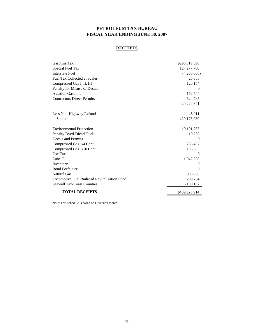# **PETROLEUM TAX BUREAU FISCAL YEAR ENDING JUNE 30, 2007**

### **RECEIPTS**

| Gasoline Tax                                 | \$296,319,590 |
|----------------------------------------------|---------------|
| Special Fuel Tax                             | 127,277,700   |
| <b>Interstate Fuel</b>                       | (4,200,000)   |
| <b>Fuel Tax Collected at Scales</b>          | 25,868        |
| Compressed Gas I, II, III                    | 120,154       |
| Penalty for Misuse of Decals                 |               |
| <b>Aviation Gasoline</b>                     | 156,744       |
| <b>Contractors Direct Permits</b>            | 524,785       |
|                                              | 420,224,841   |
| Less Non-Highway Refunds                     | 45,911        |
| Subtotal                                     | 420,178,930   |
| <b>Environmental Protection</b>              | 10, 191, 765  |
| Penalty Dyed-Diesel Fuel                     | 19,250        |
| Decals and Permits                           | $\Omega$      |
| Compressed Gas 1/4 Cent                      | 266,457       |
| Compressed Gas 1/10 Cent                     | 106,583       |
| Use Tax                                      | $\Omega$      |
| Lube Oil                                     | 1,042,238     |
| Inventory                                    | $\theta$      |
| <b>Bond Forfeiture</b>                       | 0             |
| <b>Natural Gas</b>                           | 908,880       |
| Locomotive Fuel Railroad Revitalization Fund | 209,704       |
| <b>Seawall Tax-Coast Counties</b>            | 6,100,107     |
| <b>TOTAL RECEIPTS</b>                        | \$439,023,914 |

Note: This schedule is based on Diversion month.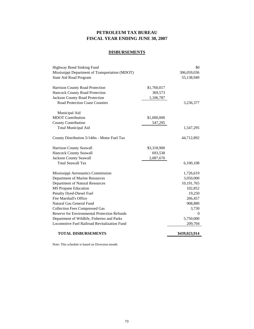# **PETROLEUM TAX BUREAU FISCAL YEAR ENDING JUNE 30, 2007**

## **DISBURSEMENTS**

| Highway Bond Sinking Fund                           |             | \$0           |
|-----------------------------------------------------|-------------|---------------|
| Mississippi Department of Transportation (MDOT)     |             | 306,059,036   |
| State Aid Road Program                              |             | 55,138,949    |
| Harrison County Road Protection                     | \$1,760,017 |               |
| <b>Hancock County Road Protection</b>               | 369,573     |               |
| <b>Jackson County Road Protection</b>               | 1,106,787   |               |
| <b>Road Protection Coast Counties</b>               |             | 3,236,377     |
| Municipal Aid                                       |             |               |
| <b>MDOT</b> Contribution                            | \$1,000,000 |               |
| <b>County Contribution</b>                          | 547,295     |               |
| <b>Total Municipal Aid</b>                          |             | 1,547,295     |
| County Distribution 5/14ths - Motor Fuel Tax        |             | 44,712,892    |
| Harrison County Seawall                             | \$3,318,900 |               |
| <b>Hancock County Seawall</b>                       | 693,538     |               |
| <b>Jackson County Seawall</b>                       | 2,087,670   |               |
| <b>Total Seawall Tax</b>                            |             | 6,100,108     |
| Mississippi Aeronautics Commission                  |             | 1,726,619     |
| Department of Marine Resources                      |             | 3,050,000     |
| <b>Department of Natural Resources</b>              |             | 10,191,765    |
| <b>MS Propane Education</b>                         |             | 102,852       |
| Penalty Dyed-Diesel Fuel                            |             | 19,250        |
| <b>Fire Marshall's Office</b>                       |             | 266,457       |
| Natural Gas General Fund                            |             | 908,880       |
| <b>Collection Fees Compressed Gas</b>               |             | 3,730         |
| <b>Reserve for Environmental Protection Refunds</b> |             | $\Omega$      |
| Department of Wildlife, Fisheries and Parks         |             | 5,750,000     |
| Locomotive Fuel Railroad Revitalization Fund        |             | 209,704       |
| <b>TOTAL DISBURSEMENTS</b>                          |             | \$439,023,914 |

Note: This schedule is based on Diversion month.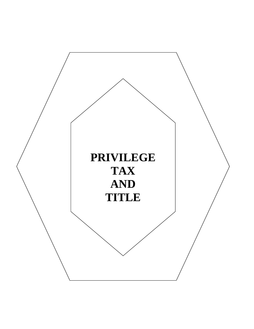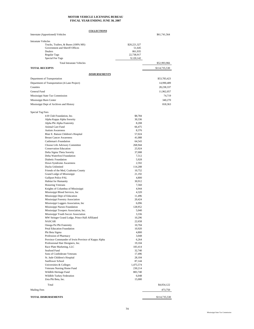### **MOTOR VEHICLE LICENSING BUREAU FISCAL YEAR ENDING JUNE 30, 2007**

|                                                                                                                                                                                                                                                                                                                                                                                                                                                                                                                                                                                                                                                                                                                                                                                                                                                                                                                                                                                                                                                              | <b>COLLECTIONS</b>                                                                                                                                                                                                                                                                                                            |                            |
|--------------------------------------------------------------------------------------------------------------------------------------------------------------------------------------------------------------------------------------------------------------------------------------------------------------------------------------------------------------------------------------------------------------------------------------------------------------------------------------------------------------------------------------------------------------------------------------------------------------------------------------------------------------------------------------------------------------------------------------------------------------------------------------------------------------------------------------------------------------------------------------------------------------------------------------------------------------------------------------------------------------------------------------------------------------|-------------------------------------------------------------------------------------------------------------------------------------------------------------------------------------------------------------------------------------------------------------------------------------------------------------------------------|----------------------------|
| Interstate (Apportioned) Vehicles                                                                                                                                                                                                                                                                                                                                                                                                                                                                                                                                                                                                                                                                                                                                                                                                                                                                                                                                                                                                                            |                                                                                                                                                                                                                                                                                                                               | \$61,741,564               |
| <b>Intrastate Vehicles</b><br>Trucks, Trailers, & Buses (100% MS)<br>Government and Sheriff Offices<br>Dealers<br><b>Regular Tags</b><br>Special Fee Tags<br><b>Total Intrastate Vehicles</b>                                                                                                                                                                                                                                                                                                                                                                                                                                                                                                                                                                                                                                                                                                                                                                                                                                                                | \$20,221,327<br>51,645<br>861,935<br>22,738,917<br>9,120,142                                                                                                                                                                                                                                                                  | \$52,993,966               |
| <b>TOTAL RECEIPTS</b>                                                                                                                                                                                                                                                                                                                                                                                                                                                                                                                                                                                                                                                                                                                                                                                                                                                                                                                                                                                                                                        |                                                                                                                                                                                                                                                                                                                               | \$114,735,530              |
|                                                                                                                                                                                                                                                                                                                                                                                                                                                                                                                                                                                                                                                                                                                                                                                                                                                                                                                                                                                                                                                              |                                                                                                                                                                                                                                                                                                                               |                            |
|                                                                                                                                                                                                                                                                                                                                                                                                                                                                                                                                                                                                                                                                                                                                                                                                                                                                                                                                                                                                                                                              | <b>DISBURSEMENTS</b>                                                                                                                                                                                                                                                                                                          |                            |
| Department of Transportation<br>Department of Transportation (4-Lane Project)                                                                                                                                                                                                                                                                                                                                                                                                                                                                                                                                                                                                                                                                                                                                                                                                                                                                                                                                                                                |                                                                                                                                                                                                                                                                                                                               | \$53,783,423<br>14,990,489 |
| Counties                                                                                                                                                                                                                                                                                                                                                                                                                                                                                                                                                                                                                                                                                                                                                                                                                                                                                                                                                                                                                                                     |                                                                                                                                                                                                                                                                                                                               | 28, 238, 337               |
| General Fund                                                                                                                                                                                                                                                                                                                                                                                                                                                                                                                                                                                                                                                                                                                                                                                                                                                                                                                                                                                                                                                 |                                                                                                                                                                                                                                                                                                                               | 11,962,057                 |
| Mississippi State Tax Commission                                                                                                                                                                                                                                                                                                                                                                                                                                                                                                                                                                                                                                                                                                                                                                                                                                                                                                                                                                                                                             |                                                                                                                                                                                                                                                                                                                               | 74,719                     |
| Mississippi Burn Center                                                                                                                                                                                                                                                                                                                                                                                                                                                                                                                                                                                                                                                                                                                                                                                                                                                                                                                                                                                                                                      |                                                                                                                                                                                                                                                                                                                               | 340,270                    |
| Mississippi Dept of Archives and History                                                                                                                                                                                                                                                                                                                                                                                                                                                                                                                                                                                                                                                                                                                                                                                                                                                                                                                                                                                                                     |                                                                                                                                                                                                                                                                                                                               | 818,363                    |
| 4-H Club Foundation, Inc.<br>Alpha Kappa Alpha Sorority<br>Alpha Phi Alpha Fraternity<br>Animal Care Fund<br><b>Autism Awareness</b><br>Blair E. Batson Children's Hospital<br><b>Breast Cancer Awareness</b><br>Cattleman's Foundation<br>Choose Life Advisory Committee<br><b>Conservation Education</b><br>Delta Sigma Theta Sorority<br>Delta Waterfowl Foundation<br>Diabetic Foundation<br>Down Syndrome Awareness<br>Ducks Unlimited<br>Friends of the Med, Coahoma County<br>Grand Lodge of Mississippi<br><b>Gulfport Police PAL</b><br>Habitat for Humanity<br><b>Honoring Veterans</b><br>Knights of Columbus of Mississippi<br>Mississippi Blood Services, Inc.<br>Mississippi Dept of Education<br>Mississippi Forestry Association<br>Mississippi Loggers Association, Inc.<br>Mississippi Nurses Foundation<br>Mississippi Troopers Association, Inc.<br>Mississippi Youth Soccer Association<br>MW Stringer Grand Lodge, Prince Hall Affiliated<br><b>NASCAR</b><br>Omega Psi Phi Fraternity<br>Petal Education Foundation<br>Phi Beta Sigma | \$8,784<br>30,336<br>8,208<br>66,475<br>8,376<br>57,024<br>41,088<br>64,543<br>268,944<br>25,924<br>37,008<br>7,512<br>5,928<br>2,592<br>114,288<br>10,752<br>21,192<br>4,800<br>30,912<br>7,560<br>4,944<br>4,320<br>11,496<br>20,424<br>6,096<br>128,952<br>5,040<br>3,336<br>10,296<br>22,658<br>10,704<br>10,920<br>4,800 |                            |
| Profession of Pharmacy<br>Province Commander of Irwin Province of Kappa Alpha<br>Professional Hair Designers, Inc.                                                                                                                                                                                                                                                                                                                                                                                                                                                                                                                                                                                                                                                                                                                                                                                                                                                                                                                                           | 3,048<br>6,264<br>19,104                                                                                                                                                                                                                                                                                                      |                            |
| Race Plate Marketing, LLC                                                                                                                                                                                                                                                                                                                                                                                                                                                                                                                                                                                                                                                                                                                                                                                                                                                                                                                                                                                                                                    | 183,414                                                                                                                                                                                                                                                                                                                       |                            |
| Seafood Fund<br>Sons of Confederate Veterans                                                                                                                                                                                                                                                                                                                                                                                                                                                                                                                                                                                                                                                                                                                                                                                                                                                                                                                                                                                                                 | 32,740<br>17,496                                                                                                                                                                                                                                                                                                              |                            |
| St. Jude Children's Hospital                                                                                                                                                                                                                                                                                                                                                                                                                                                                                                                                                                                                                                                                                                                                                                                                                                                                                                                                                                                                                                 | 28,104                                                                                                                                                                                                                                                                                                                        |                            |
| Sunflower School<br>Universities & Colleges                                                                                                                                                                                                                                                                                                                                                                                                                                                                                                                                                                                                                                                                                                                                                                                                                                                                                                                                                                                                                  | 87,144<br>1,475,574                                                                                                                                                                                                                                                                                                           |                            |
| Veterans Nursing Home Fund                                                                                                                                                                                                                                                                                                                                                                                                                                                                                                                                                                                                                                                                                                                                                                                                                                                                                                                                                                                                                                   | 230,214                                                                                                                                                                                                                                                                                                                       |                            |
| Wildlife Heritage Fund                                                                                                                                                                                                                                                                                                                                                                                                                                                                                                                                                                                                                                                                                                                                                                                                                                                                                                                                                                                                                                       | 883,740                                                                                                                                                                                                                                                                                                                       |                            |
| Wildlife Turkey Federation<br>Zeta Phi Beta, Inc.                                                                                                                                                                                                                                                                                                                                                                                                                                                                                                                                                                                                                                                                                                                                                                                                                                                                                                                                                                                                            | 6,048<br>15,000                                                                                                                                                                                                                                                                                                               |                            |
| Total                                                                                                                                                                                                                                                                                                                                                                                                                                                                                                                                                                                                                                                                                                                                                                                                                                                                                                                                                                                                                                                        |                                                                                                                                                                                                                                                                                                                               |                            |
| <b>Mailing Fees</b>                                                                                                                                                                                                                                                                                                                                                                                                                                                                                                                                                                                                                                                                                                                                                                                                                                                                                                                                                                                                                                          |                                                                                                                                                                                                                                                                                                                               | \$4,054,122<br>473,750     |
| TOTAL DISBURSEMENTS                                                                                                                                                                                                                                                                                                                                                                                                                                                                                                                                                                                                                                                                                                                                                                                                                                                                                                                                                                                                                                          |                                                                                                                                                                                                                                                                                                                               | \$114,735,530              |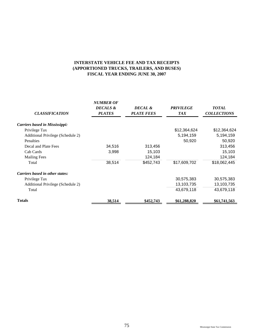# **(APPORTIONED TRUCKS, TRAILERS, AND BUSES) FISCAL YEAR ENDING JUNE 30, 2007 INTERSTATE VEHICLE FEE AND TAX RECEIPTS**

| <b>CLASSIFICATION</b>                 | <b>NUMBER OF</b><br><b>DECALS &amp;</b><br><b>PLATES</b> | DECAL &<br><b>PLATE FEES</b> | <b>PRIVILEGE</b><br><b>TAX</b> | <b>TOTAL</b><br><b>COLLECTIONS</b> |
|---------------------------------------|----------------------------------------------------------|------------------------------|--------------------------------|------------------------------------|
| <b>Carriers based in Mississippi:</b> |                                                          |                              |                                |                                    |
| Privilege Tax                         |                                                          |                              | \$12,364,624                   | \$12,364,624                       |
| Additional Privilege (Schedule 2)     |                                                          |                              | 5,194,159                      | 5,194,159                          |
| Penalties                             |                                                          |                              | 50,920                         | 50,920                             |
| Decal and Plate Fees                  | 34,516                                                   | 313,456                      |                                | 313,456                            |
| Cab Cards                             | 3,998                                                    | 15,103                       |                                | 15,103                             |
| <b>Mailing Fees</b>                   |                                                          | 124,184                      |                                | 124,184                            |
| Total                                 | 38,514                                                   | \$452,743                    | \$17,609,702                   | \$18,062,445                       |
| Carriers based in other states:       |                                                          |                              |                                |                                    |
| Privilege Tax                         |                                                          |                              | 30,575,383                     | 30,575,383                         |
| Additional Privilege (Schedule 2)     |                                                          |                              | 13,103,735                     | 13,103,735                         |
| Total                                 |                                                          |                              | 43,679,118                     | 43,679,118                         |
| <b>Totals</b>                         | 38,514                                                   | \$452,743                    | \$61,288,820                   | \$61,741,563                       |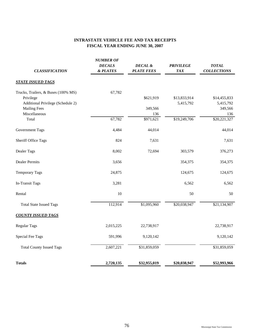# **INTRASTATE VEHICLE FEE AND TAX RECEIPTS FISCAL YEAR ENDING JUNE 30, 2007**

| <b>CLASSIFICATION</b>               | <b>NUMBER OF</b><br><b>DECALS</b><br>& PLATES | DECAL &<br><b>PLATE FEES</b> | <b>PRIVILEGE</b><br><b>TAX</b> | <b>TOTAL</b><br><b>COLLECTIONS</b> |
|-------------------------------------|-----------------------------------------------|------------------------------|--------------------------------|------------------------------------|
| <b>STATE ISSUED TAGS</b>            |                                               |                              |                                |                                    |
| Trucks, Trailers, & Buses (100% MS) | 67,782                                        |                              |                                |                                    |
| Privilege                           |                                               | \$621,919                    | \$13,833,914                   | \$14,455,833                       |
| Additional Privilege (Schedule 2)   |                                               |                              | 5,415,792                      | 5,415,792                          |
| <b>Mailing Fees</b>                 |                                               | 349,566                      |                                | 349,566                            |
| Miscellaneous                       |                                               | 136                          |                                | 136                                |
| Total                               | 67,782                                        | \$971,621                    | \$19,249,706                   | \$20,221,327                       |
| Government Tags                     | 4,484                                         | 44,014                       |                                | 44,014                             |
| <b>Sheriff Office Tags</b>          | 824                                           | 7,631                        |                                | 7,631                              |
| Dealer Tags                         | 8,002                                         | 72,694                       | 303,579                        | 376,273                            |
| <b>Dealer Permits</b>               | 3,656                                         |                              | 354,375                        | 354,375                            |
| <b>Temporary Tags</b>               | 24,875                                        |                              | 124,675                        | 124,675                            |
| In-Transit Tags                     | 3,281                                         |                              | 6,562                          | 6,562                              |
| Rental                              | 10                                            |                              | 50                             | 50                                 |
| <b>Total State Issued Tags</b>      | 112,914                                       | \$1,095,960                  | \$20,038,947                   | \$21,134,907                       |
| <b>COUNTY ISSUED TAGS</b>           |                                               |                              |                                |                                    |
| <b>Regular Tags</b>                 | 2,015,225                                     | 22,738,917                   |                                | 22,738,917                         |
| Special Fee Tags                    | 591,996                                       | 9,120,142                    |                                | 9,120,142                          |
| <b>Total County Issued Tags</b>     | 2,607,221                                     | \$31,859,059                 |                                | \$31,859,059                       |
| <b>Totals</b>                       | 2,720,135                                     | \$32,955,019                 | \$20,038,947                   | \$52,993,966                       |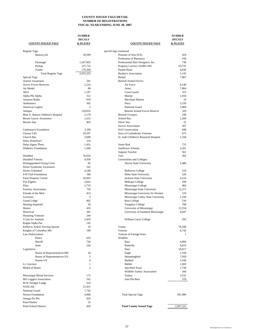### **COUNTY ISSUED TAGS DETAIL NUMBER OF REGISTRATIONS FISCAL YEAR ENDING JUNE 30, 2007**

|                                            | <b>NUMBER</b>       |                                         | <i><b>NUMBER</b></i> |
|--------------------------------------------|---------------------|-----------------------------------------|----------------------|
|                                            | <b>DECALS</b>       |                                         | <b>DECALS</b>        |
| <b>COUNTY ISSUED TAGS</b>                  | & PLATES            | <b>COUNTY ISSUED TAGS</b>               | & PLATES             |
| Regular Tags:                              |                     | special tags continued                  |                      |
| Motorcycle                                 | 39,599              | Prisoner of War (EX)                    | 410                  |
|                                            |                     | Profession of Pharmacy                  | 194                  |
| Passenger                                  | 1,267,605           | Professional Hair Designers, Inc.       | 736                  |
| Pickup                                     | 537,752             | Property Carriers 10,000 LBS            | 63,747               |
| Trailer                                    | 170,269             | Purple Heart                            | 4,036                |
| <b>Total Regular Tags</b>                  | 2,015,225           | Realtor's Association                   | 1,145                |
| Special Tags:                              |                     | Rental                                  | 7.967                |
| <b>Autism Awareness</b>                    | 341                 | <b>Retired Armed Forces:</b>            |                      |
| <b>Active Forces Reserves</b><br>Air Medal | 2,214               | Air Force                               | 8,146                |
| AKA                                        | 89<br>1.187         | Army<br>Coast Guard                     | 7,004<br>315         |
| Alpha Phi Alpha                            | 312                 | Marine                                  | 1,034                |
| Amateur Radio                              | 919                 | Merchant Marine                         | 19                   |
| Ambulance                                  | 365                 | Navy                                    | 5,539                |
| American Legion                            | 2                   | National Guard                          | 2,969                |
| Antique                                    | 129,032             | <b>Retired Armed Forces Reserve</b>     | 329                  |
| Blair E. Batson Children's Hospital        | 2,179               | <b>Retired Troopers</b>                 | 199                  |
| <b>Breast Cancer Awareness</b>             | 1.615               | School Bus                              | 1,284                |
| <b>Bronze Star</b>                         | 403                 | Silver Star                             | 32                   |
|                                            |                     | Soccer Association                      | 207                  |
| <b>Cattleman's Foundation</b>              | 3,100               | Soil Conservation                       | 940                  |
| Choose Life                                | 10,297              | Sons of Confederate Veterans            | 675                  |
| Church Bus                                 | 5.698               | St. Jude Children's Research Hospital   | 1,104                |
| Delta Waterfowl                            | 154                 |                                         |                      |
| Delta Sigma Theta                          | 1,431               | <b>Street Rod</b>                       | 725                  |
| <b>Diabetics Foundation</b>                | 1,560               | <b>Sunflower Schools</b>                | 3,281                |
|                                            |                     | <b>Support Teacher</b>                  | 562                  |
| Disabled                                   | 76,016              | Taxi                                    | 302                  |
| Disabled Veteran                           | 4,936               | Universities and Colleges:              |                      |
| Distingquished Flying Cross                | 82                  | Alcorn State University                 | 2,480                |
| Down Syndrome Awareness                    | 162                 |                                         |                      |
| Ducks Unlimited                            | 4,240               | <b>Belhaven College</b>                 | 210                  |
| 4-H Club Foundation                        | 346                 | Delta State University                  | 526                  |
| Farm Property Carrier<br>Fire Fighter      | 16,603<br>2,662     | Jackson State University                | 4,124<br>299         |
| Fleet                                      | 2,733               | Millsaps College<br>Mississippi College | 464                  |
| Forestry Association                       | 759                 | Mississippi State University            | 12,371               |
| Friends of the Med                         | 413                 | Mississippi University for Women        | 219                  |
| Governor                                   | 3                   | Mississippi Valley State University     | 1,194                |
| Grand Lodge                                | 802                 | <b>Rust College</b>                     | 234                  |
| Hearing Impaired                           | 50                  | Tougaloo College                        | 789                  |
| Hearse                                     | 432                 | University of Mississippi               | 12,554               |
| Historical                                 | 281                 | University of Southern Mississippi      | 6,047                |
| <b>Honoring Veterans</b>                   | 244                 |                                         |                      |
| I Care for Animals                         | 2,429               | William Carey College                   | 292                  |
| Kappa Alpha Pse                            | 145                 |                                         |                      |
| Killed in Action Surving Spouse            | 19                  | Vanity                                  | 76,346               |
| Knights of Columbus MS                     | 190                 | Veteran                                 | 6,742                |
| Law Enforcement:                           |                     | Veteran of Foreign Wars                 | -1                   |
| Police                                     | 635                 | Wildlife:                               |                      |
| Sheriff                                    | 726                 | <b>Bass</b>                             | 4,066                |
| <b>State</b>                               | 226                 | Butterfly                               | 8,019                |
| Legislative:                               |                     | Deer                                    | 10,017               |
| House of Representatives-MS                | 24                  | Eagle                                   | 1,160                |
| House of Representatives-US<br>Senate-US   | 5<br>$\overline{4}$ | Hummingbird<br>Mallard                  | 7,959                |
| Lt. Govenor                                | 1                   | Rabbit                                  | 3,106<br>1,943       |
| Medal of Honor                             | $\overline{c}$      | Speckled Trout                          | 1,730                |
|                                            |                     | Wildlife Turkey Association             | 166                  |
| Mississippi Blood Services                 | 172                 | Turkey                                  | 3,532                |
| <b>MS Loggers Association</b>              | 162                 | Zeta Phi Beta                           | 578                  |
| M W Stringer Lodge                         | 514                 |                                         |                      |
| <b>NASCAR</b>                              | 21,431              |                                         |                      |
| National Guard                             | 7,742               |                                         |                      |
| Nurses Foundation                          | 4,966               | <b>Total Special Tags</b>               | 591,996              |
| Omega Psi Phi                              | 429                 |                                         |                      |
| Pearl Harbor                               | 23                  |                                         |                      |
| Petal School District                      | 420                 | <b>Total County Issued Tags</b>         | 2,607,221            |
|                                            |                     |                                         |                      |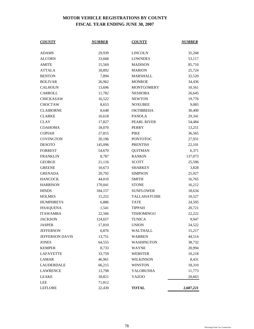# **MOTOR VEHICLE REGISTRATIONS BY COUNTY FISCAL YEAR ENDING JUNE 30, 2007**

| <b>COUNTY</b>    | <b>NUMBER</b> | <b>COUNTY</b>       | <b>NUMBER</b> |
|------------------|---------------|---------------------|---------------|
|                  |               |                     |               |
| ADAMS            | 29,939        | <b>LINCOLN</b>      | 35,268        |
| <b>ALCORN</b>    | 33,668        | <b>LOWNDES</b>      | 53,117        |
| <b>AMITE</b>     | 15,569        | <b>MADISON</b>      | 85,710        |
| <b>ATTALA</b>    | 18,892        | <b>MARION</b>       | 25,724        |
| <b>BENTON</b>    | 7,894         | MARSHALL            | 32,520        |
| <b>BOLIVAR</b>   | 26,962        | <b>MONROE</b>       | 34,436        |
| <b>CALHOUN</b>   | 13,696        | <b>MONTGOMERY</b>   | 10,561        |
| CARROLL          | 11,782        | <b>NESHOBA</b>      | 26,645        |
| <b>CHICKASAW</b> | 16,522        | <b>NEWTON</b>       | 19,776        |
| <b>CHOCTAW</b>   | 8,653         | <b>NOXUBEE</b>      | 9,083         |
| <b>CLAIBORNE</b> | 8,648         | <b>OKTIBBEHA</b>    | 30,400        |
| <b>CLARKE</b>    | 16,618        | <b>PANOLA</b>       | 29,341        |
| <b>CLAY</b>      | 17,827        | PEARL RIVER         | 54,484        |
| <b>COAHOMA</b>   | 18,070        | <b>PERRY</b>        | 13,251        |
| <b>COPIAH</b>    | 27,815        | <b>PIKE</b>         | 36,565        |
| <b>COVINGTON</b> | 20,196        | <b>PONTOTOC</b>     | 27,931        |
| <b>DESOTO</b>    | 145,096       | <b>PRENTISS</b>     | 22,101        |
| <b>FORREST</b>   | 54,670        | <b>QUITMAN</b>      | 6,371         |
| <b>FRANKLIN</b>  | 8,787         | <b>RANKIN</b>       | 137,073       |
| <b>GEORGE</b>    | 21,116        | <b>SCOTT</b>        | 25,596        |
| <b>GREENE</b>    | 10,673        | <b>SHARKEY</b>      | 3,828         |
| <b>GRENADA</b>   | 20,792        | <b>SIMPSON</b>      | 25,927        |
| <b>HANCOCK</b>   | 44,010        | <b>SMITH</b>        | 16,765        |
| <b>HARRISON</b>  | 170,041       | <b>STONE</b>        | 16,212        |
| <b>HINDS</b>     | 184,157       | <b>SUNFLOWER</b>    | 18,634        |
| <b>HOLMES</b>    | 15,252        | <b>TALLAHATCHIE</b> | 10,527        |
| <b>HUMPHREYS</b> | 6,886         | <b>TATE</b>         | 24,595        |
| <b>ISSAQUENA</b> | 1,541         | <b>TIPPAH</b>       | 20,721        |
| <b>ITAWAMBA</b>  | 22,566        | <b>TISHOMINGO</b>   | 22,222        |
| <b>JACKSON</b>   | 124,657       | <b>TUNICA</b>       | 9,947         |
| JASPER           | 17,810        | <b>UNION</b>        | 24,522        |
| <b>JEFFERSON</b> | 6,876         | WALTHALL            | 15,217        |
| JEFFERSON DAVIS  | 13,751        | <b>WARREN</b>       | 44,514        |
| <b>JONES</b>     | 64,555        | <b>WASHINGTON</b>   | 38,732        |
| <b>KEMPER</b>    | 8,733         | <b>WAYNE</b>        | 20,994        |
| <b>LAFAYETTE</b> | 33,759        | <b>WEBSTER</b>      | 10,218        |
| LAMAR            | 46,961        | WILKINSON           | 8,431         |
| LAUDERDALE       | 66,215        | <b>WINSTON</b>      | 18,310        |
| <b>LAWRENCE</b>  | 13,798        | YALOBUSHA           | 11,773        |
| LEAKE            | 18,821        | <b>YAZOO</b>        | 20,663        |
| LEE              | 71,812        |                     |               |
| <b>LEFLORE</b>   | 22,430        | <b>TOTAL</b>        | 2,607,221     |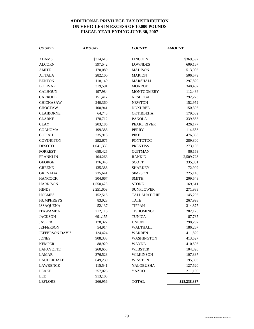## **ADDITIONAL PRIVILEGE TAX DISTRIBUTION ON VEHICLES IN EXCESS OF 10,000 POUNDS FISCAL YEAR ENDING JUNE 30, 2007**

| <u>COUNTY</u>     | <u>AMOUNT</u> | <u>COUNTY</u>       | <u>AMOUNT</u> |
|-------------------|---------------|---------------------|---------------|
| ADAMS             | \$314,618     | <b>LINCOLN</b>      | \$369,597     |
| <b>ALCORN</b>     | 397,542       | <b>LOWNDES</b>      | 609,167       |
| AMITE             | 170,089       | <b>MADISON</b>      | 513,005       |
| <b>ATTALA</b>     | 282,100       | <b>MARION</b>       | 506,579       |
| <b>BENTON</b>     | 118,149       | <b>MARSHALL</b>     | 297,829       |
| <b>BOLIVAR</b>    | 319,591       | <b>MONROE</b>       | 348,407       |
| <b>CALHOUN</b>    | 197,984       | <b>MONTGOMERY</b>   | 112,486       |
| CARROLL           | 151,412       | <b>NESHOBA</b>      | 292,273       |
| <b>CHICKASAW</b>  | 240,360       | <b>NEWTON</b>       | 152,952       |
| <b>CHOCTAW</b>    | 100,941       | <b>NOXUBEE</b>      | 150,395       |
| <b>CLAIBORNE</b>  | 64,743        | <b>OKTIBBEHA</b>    | 179,582       |
| <b>CLARKE</b>     | 178,712       | <b>PANOLA</b>       | 339,853       |
| <b>CLAY</b>       | 203,185       | PEARL RIVER         | 426,177       |
| <b>COAHOMA</b>    | 199,388       | PERRY               | 114,656       |
| <b>COPIAH</b>     | 235,918       | PIKE                | 476,863       |
| <b>COVINGTON</b>  | 292,675       | <b>PONTOTOC</b>     | 289,300       |
| <b>DESOTO</b>     | 1,041,339     | <b>PRENTISS</b>     | 273,103       |
| <b>FORREST</b>    | 688,425       | <b>QUITMAN</b>      | 86,153        |
| <b>FRANKLIN</b>   | 104,263       | <b>RANKIN</b>       | 2,509,723     |
| <b>GEORGE</b>     | 176,343       | <b>SCOTT</b>        | 335,331       |
| <b>GREENE</b>     | 135,386       | <b>SHARKEY</b>      | 72,909        |
| <b>GRENADA</b>    | 235,641       | <b>SIMPSON</b>      | 225,140       |
| <b>HANCOCK</b>    | 304,667       | <b>SMITH</b>        | 209,548       |
| <b>HARRISON</b>   | 1,550,423     | <b>STONE</b>        | 169,611       |
| <b>HINDS</b>      | 2,251,609     | <b>SUNFLOWER</b>    | 271,983       |
| <b>HOLMES</b>     | 152,515       | <b>TALLAHATCHIE</b> | 145,293       |
| <b>HUMPHREYS</b>  | 83,023        | TATE                | 267,998       |
| <b>ISSAQUENA</b>  | 52,137        | <b>TIPPAH</b>       | 314,875       |
| <b>ITAWAMBA</b>   | 212,118       | TISHOMINGO          | 282,175       |
| <b>JACKSON</b>    | 691,155       | <b>TUNICA</b>       | 87,785        |
| <b>JASPER</b>     | 178,322       | <b>UNION</b>        | 298,297       |
| <b>JEFFERSON</b>  | 54,914        | WALTHALL            | 186,267       |
| JEFFERSON DAVIS   | 124,424       | WARREN              | 411,829       |
| <b>JONES</b>      | 908,333       | WASHINGTON          | 413,527       |
| <b>KEMPER</b>     | 88,920        | WAYNE               | 410,503       |
| LAFAYETTE         | 260,658       | <b>WEBSTER</b>      | 104,820       |
| <b>LAMAR</b>      | 376,523       | <b>WILKINSON</b>    | 107,387       |
| <b>LAUDERDALE</b> | 649,239       | <b>WINSTON</b>      | 195,893       |
| <b>LAWRENCE</b>   | 115,541       | YALOBUSHA           | 127,520       |
| <b>LEAKE</b>      | 257,025       | <b>YAZOO</b>        | 211,139       |
| LEE               | 913,103       |                     |               |
| <b>LEFLORE</b>    | 266,956       | <b>TOTAL</b>        | \$28,238,337  |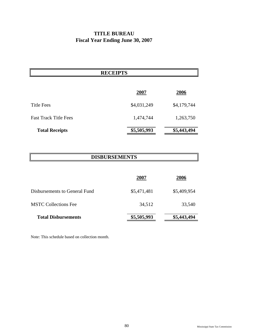# **TITLE BUREAU Fiscal Year Ending June 30, 2007**

# **RECEIPTS**

|                              | 2007        | 2006        |
|------------------------------|-------------|-------------|
| Title Fees                   | \$4,031,249 | \$4,179,744 |
| <b>Fast Track Title Fees</b> | 1,474,744   | 1,263,750   |
| <b>Total Receipts</b>        | \$5,505,993 | \$5,443,494 |

# **DISBURSEMENTS**

|                               | 2007        | 2006        |
|-------------------------------|-------------|-------------|
| Disbursements to General Fund | \$5,471,481 | \$5,409,954 |
| <b>MSTC Collections Fee</b>   | 34,512      | 33,540      |
| <b>Total Disbursements</b>    | \$5,505,993 | \$5,443,494 |

Note: This schedule based on collection month.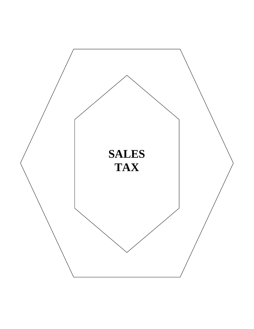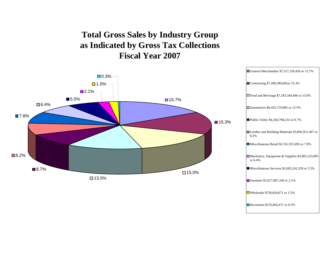# **Total Gross Sales by Industry Group as Indicated by Gross Tax Collections Fiscal Year 2007**

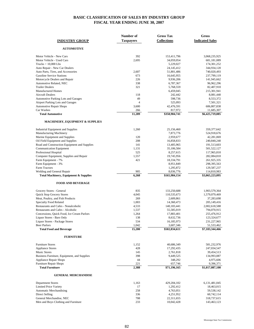### **BASIC CLASSIFICATION OF SALES BY INDUSTRY GROUP FISCAL YEAR ENDING JUNE 30, 2007**

|                                              | Number of        | <b>Gross Tax</b>   | Gross                  |
|----------------------------------------------|------------------|--------------------|------------------------|
| <b>INDUSTRY GROUP</b>                        | <b>Taxpayers</b> | <b>Collections</b> | <b>Indicated Sales</b> |
| <b>AUTOMOTIVE</b>                            |                  |                    |                        |
|                                              |                  |                    |                        |
| Motor Vehicle - New Cars                     | 392              | 153,411,796        | 3,068,235,925          |
| Motor Vehicle - Used Cars                    | 2,695            | 34,059,054         | 681,181,089            |
| $Trucks > 10,000$ Lbs                        |                  | 5,229,027          | 174, 301, 252          |
| Auto Repair - New Car Dealers                |                  | 24, 145, 412       | 344,934,120            |
| Auto Parts, Tires, and Accessories           | 2,607            | 51,801,486         | 740,020,493            |
| <b>Gasoline Service Stations</b>             | 673              | 16,645,955         | 237,799,119            |
| Motorcycle Dealers and Repair                | 226              | 9,936,206          | 141,945,662            |
| Automotive Related, NEC                      | 338              | 6,787,367          | 96,962,296             |
| <b>Trailer Dealers</b>                       | 321              | 5,768,559          | 82,407,910             |
| <b>Manufactured Homes</b>                    |                  | 6,459,045          | 215,301,941            |
| <b>Aircraft Dealers</b>                      | 118              | 242,442            | 8,081,440              |
| <b>Automotive Parking Lots and Garages</b>   | 49               | 598,736            | 8,553,372              |
| Airport Parking Lots and Garages             | $\overline{4}$   | 525,093            | 7,501,321              |
| <b>Automotive Repair Shops</b>               | 3,600            | 42,476,591         | 606,807,838            |
| Car Washes                                   | 266              | 817,972            | 11,685,307             |
| <b>Total Automotive</b>                      | 11,289           | \$358,904,741      | \$6,425,719,085        |
| <b>MACHINERY, EQUIPMENT &amp; SUPPLIES</b>   |                  |                    |                        |
| <b>Industrial Equipment and Supplies</b>     | 1,260            | 25,156,460         | 359, 377, 642          |
| Manufacturing Machinery                      |                  | 7,873,776          | 524,918,676            |
| Marine Equipment and Supplies                | 120              | 2,959,677          | 42,281,069             |
| Oil Field Equipment and Supplies             | 208              | 16,858,833         | 240,840,240            |
| Road and Construction Equipment and Supplies | 141              | 13,405,965         | 191,513,603            |
| <b>Communication Equipment</b>               | 1,131            | 35,106,584         | 501,522,127            |
| Professional Hospital                        | 525              | 8,257,615          | 117,965,810            |
| Computer Equipment, Supplies and Repair      | 1,557            | 19,745,956         | 282,084,810            |
| Farm Equipment - 7%                          | 421              | 18,334,791         | 261,925,335            |
| Farm Equipment - 3%                          |                  | 8,951,849          | 298, 395, 563          |
| <b>Farm Tractors</b>                         |                  | 1,295,872          | 129,587,237            |
| Welding and General Repair                   | 905              | 8,036,776          | 114,810,983            |
| Total Machinery, Equipment & Supplies        | 6,268            | \$165,984,154      | \$3,065,223,095        |
| <b>FOOD AND BEVERAGE</b>                     |                  |                    |                        |
| Grocery Stores - General                     | 835              | 133,250,688        | 1,903,579,364          |
| Quick Stop Grocery Stores                    | 4,045            | 110,535,673        | 1,579,079,469          |
| Meat, Poultry, and Fish Products             | 269              | 2,609,861          | 37,283,698             |
| <b>Specialty Food Related</b>                | 1,003            | 14,360,473         | 205,149,416            |
| Restaurants and Cafes - Nonalcoholic         | 4,533            | 140,183,441        | 2,002,618,588          |
| <b>Restaurants and Cafes - Alcoholic</b>     | 1,537            | 55,585,019         | 794,070,915            |
| Concessions, Quick Food, Ice Cream Parlors   | 1,264            | 17,883,401         | 255,476,912            |
| Liquor Stores - Bars Only                    | 138              | 8,632,736          | 123,324,677            |
| Liquor Stores - Package Stores               | 534              | 16,185,973         | 231,227,965            |
| <b>Beer Parlors</b>                          | 1,042            | 3,607,346          | 51,533,462             |
| <b>Total Food and Beverage</b>               | 15,200           | \$502,834,611      | \$7,183,344,466        |
| <b>FURNITURE</b>                             |                  |                    |                        |
| <b>Furniture Stores</b>                      | 1,152            | 40,686,349         | 581,232,976            |
| <b>Appliance Stores</b>                      | 428              | 17,292,435         | 247,034,547            |
| <b>Music Stores</b>                          | 145              | 2,761,818          | 39,454,513             |
| Business Furniture, Equipment, and Supplies  | 398              | 9,449,525          | 134,993,087            |
| <b>Appliance Repair Shops</b>                | 44               | 348,292            | 4,975,606              |
| Furniture Repair Shops                       | 221              | 657,746            | 9,396,371              |
| <b>Total Furniture</b>                       | 2,388            | \$71,196,165       | \$1,017,087,100        |
| <b>GENERAL MERCHANDISE</b>                   |                  |                    |                        |
| <b>Department Stores</b>                     | 1,163            | 429,204,102        | 6, 131, 481, 045       |
| <b>Limited Price Variety</b>                 | 17               | 1,292,412          | 18,463,015             |
| <b>Automatic Merchandising</b>               | 258              | 4,763,051          | 59,538,142             |
| <b>Direct Selling</b>                        | 336              | 4,251,952          | 60,742,114             |
| General Merchandise, NEC                     | 708              | 22,311,655         | 318,737,615            |
| Men and Boys Clothing and Furniture          | 233              | 10,042,428         | 143,463,123            |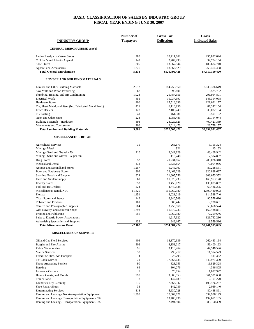### **BASIC CLASSIFICATION OF SALES BY INDUSTRY GROUP FISCAL YEAR ENDING JUNE 30, 2007**

|                                                                                  | Number of        | <b>Gross Tax</b>           | Gross                         |
|----------------------------------------------------------------------------------|------------------|----------------------------|-------------------------------|
| <b>INDUSTRY GROUP</b>                                                            | <b>Taxpayers</b> | <b>Collections</b>         | <b>Indicated Sales</b>        |
| <b>GENERAL MERCHANDISE cont'd</b>                                                |                  |                            |                               |
| Ladies Ready - to - Wear Stores                                                  | 788              | 20,711,062                 | 295,872,024                   |
| Children's and Infant's Apparel                                                  | 149              | 2,289,293                  | 32,704,164                    |
| <b>Shoe Stores</b>                                                               | 305              | 13,067,944                 | 186,684,740                   |
| Apparel and Accessories                                                          | 1,376            | 18,862,529                 | 269,464,438                   |
| <b>Total General Merchandise</b>                                                 | 5,333            | \$526,796,428              | \$7,517,150,420               |
| LUMBER AND BUILDING MATERIALS                                                    |                  |                            |                               |
| Lumber and Other Building Materials                                              | 2,012            | 184,756,550                | 2,639,376,649                 |
| Saw Mills and Wood Preserving                                                    | 67               | 596,801                    | 8,525,732                     |
| Plumbing, Heating, and Air Conditioning                                          | 1,028            | 20,787,556                 | 296,964,801                   |
| <b>Electrical Work</b>                                                           | 455              | 10,037,597                 | 143,394,098                   |
| <b>Hardware Stores</b>                                                           | 406              | 15,518,398                 | 221,691,177                   |
| Tin, Sheet Metal, and Steel (Inc. Fabricated Metal Prod.)                        | 421              | 6,113,956                  | 87, 342, 154                  |
| <b>Fence Dealers</b>                                                             | 128              | 2,105,749                  | 30,082,104                    |
| Tile Setting                                                                     | 41               | 461,381                    | 6,591,162                     |
| Neon and Other Signs                                                             | 224              | 2,083,485                  | 29,764,044                    |
| <b>Building Materials - Hardware</b>                                             | 898              | 28,029,525                 | 400,421,389                   |
| Monuments and Tombstones<br><b>Total Lumber and Building Materials</b>           | 206<br>5,886     | 2,014,473<br>\$272,505,471 | 28,778,157<br>\$3,892,931,467 |
| <b>MISCELLANEOUS RETAIL</b>                                                      |                  |                            |                               |
|                                                                                  |                  |                            |                               |
| <b>Agricultural Services</b>                                                     | 35               | 265,673                    | 3,795,324                     |
| Mining - Metal                                                                   |                  | 921                        | 13,163                        |
| Mining - Sand and Gravel - 7%                                                    | 210              | 3,042,829                  | 43,468,942                    |
| Mining - Sand and Gravel - 5¢ per ton                                            |                  | 115,240                    | 2,304,807                     |
| Drug Stores                                                                      | 652<br>432       | 20,231,862                 | 289,026,310                   |
| Medical and Dental<br>Antique and Secondhand Stores                              | 1,257            | 5,533,854<br>6,245,307     | 79,054,986<br>89,218,581      |
| <b>Book and Stationery Stores</b>                                                | 809              | 22,462,229                 | 320,888,667                   |
| Sporting Goods and Bicycle                                                       | 824              | 21,605,756                 | 308,653,352                   |
| Farm and Garden Supply                                                           | 669              | 11,826,733                 | 168,953,170                   |
| <b>Jewelry Stores</b>                                                            | 553              | 9,456,020                  | 135,085,867                   |
| Fuel and Ice Dealers                                                             | 224              | 4,440,538                  | 63,436,205                    |
| Miscellaneous Retail, NEC                                                        | 11,825           | 111,960,980                | 1,599,440,973                 |
| Florists                                                                         | 1,151            | 8,021,219                  | 114,588,740                   |
| Cigar Stores and Stands                                                          | 149              | 6,340,509                  | 90,578,610                    |
| <b>Tobacco and Products</b>                                                      | 101              | 680,442                    | 9,720,601                     |
| Camera and Photographic Supplies                                                 | 784              | 3,755,960                  | 53,656,524                    |
| Gift, Novelty, and Souvenir Shops                                                | 1,798            | 11,370,733                 | 162,438,881                   |
| Printing and Publishing                                                          | 556              | 5,060,980                  | 72,299,646                    |
| Sales to Electric Power Associations                                             |                  | 1,217,322                  | 121,732,230                   |
| <b>Advertising Specialties and Supplies</b><br><b>Total Miscellaneous Retail</b> | 22,162           | 949,167<br>\$254,584,274   | 13,559,516<br>\$3,741,915,095 |
| <b>MISCELLANEOUS SERVICES</b>                                                    |                  |                            |                               |
|                                                                                  |                  |                            |                               |
| Oil and Gas Field Services                                                       | 406<br>302       | 18,370,339                 | 262,433,164                   |
| Burglar and Fire Alarms<br>Public Warehousing                                    | 96               | 4,158,017<br>3,118,264     | 59,400,193<br>44,546,596      |
| Marina Services                                                                  | 38               | 796,217                    | 11,374,523                    |
| Fixed Facilities, Air Transport                                                  | 14               | 28,795                     | 411,362                       |
| TV Cable Service                                                                 | 71               | 37,868,035                 | 540,971,399                   |
| Phone Answering Service                                                          | 90               | 828,053                    | 11,829,328                    |
| Banking                                                                          | 66               | 304,276                    | 4,346,805                     |
| <b>Insurance Carriers</b>                                                        | 7                | 76,854                     | 1,097,922                     |
| Hotels, Courts, and Motels                                                       | 998              | 39,306,553                 | 561,521,630                   |
| Trailer Parks                                                                    | 18               | 147,089                    | 2,101,270                     |
| Laundries, Dry Cleaning                                                          | 515              | 7,663,347                  | 109,476,287                   |
| Shoe Repair Shops                                                                | 33               | 142,739                    | 2,039,140                     |
| <b>Exterminating Services</b>                                                    | 318              | 5,630,728                  | 80,438,891                    |
| Renting and Leasing - Non-transportation Equipment                               | 1,995            | 37,309,071                 | 532,986,199                   |
| Renting and Leasing - Transportation Equipment - 5%                              |                  | 13,486,990                 | 192,671,105                   |
| Renting and Leasing - Transportation Equipment - 3%                              |                  | 2,494,504                  | 83,150,309                    |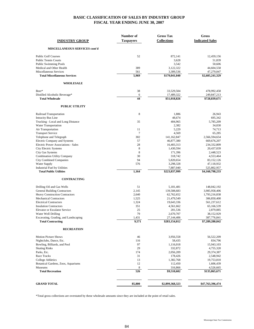### **BASIC CLASSIFICATION OF SALES BY INDUSTRY GROUP FISCAL YEAR ENDING JUNE 30, 2007**

| <b>INDUSTRY GROUP</b>                                   | Number of<br><b>Taxpayers</b> | <b>Gross Tax</b><br><b>Collections</b> | Gross<br><b>Indicated Sales</b> |
|---------------------------------------------------------|-------------------------------|----------------------------------------|---------------------------------|
| MISCELLANEOUS SERVICES cont'd                           |                               |                                        |                                 |
| <b>Public Golf Courses</b>                              | 52                            | 872,141                                | 12,459,156                      |
| <b>Public Tennis Courts</b>                             |                               | 3,628                                  | 51,839                          |
| <b>Public Swimming Pools</b>                            |                               | 3,542                                  | 50,606                          |
| Medical and Other Health                                | 389                           | 3,122,322                              | 44,604,558                      |
| Miscellaneous Services                                  | 561                           | 3,309,536                              | 47,279,047                      |
| <b>Total Miscellaneous Services</b>                     | 5,969                         | \$179,041,040                          | \$2,605,241,329                 |
| <b>WHOLESALE</b>                                        |                               |                                        |                                 |
| Beer*                                                   | 38                            | 33,529,504                             | 478,992,458                     |
| Distilled Alcoholic Beverage*<br><b>Total Wholesale</b> | 6<br>44                       | 17,489,322<br>\$51,018,826             | 249,847,213<br>\$728,839,671    |
| <b>PUBLIC UTILITY</b>                                   |                               |                                        |                                 |
|                                                         |                               |                                        |                                 |
| Railroad Transportation                                 | 8                             | 1,886                                  | 26,943                          |
| <b>Intracity Bus Line</b>                               |                               | 48,674                                 | 695,342                         |
| Trucking - Local and Long Distance                      | 35                            | 404,965                                | 5,785,209                       |
| Water Transportation                                    | 11                            | 2,382<br>5,229                         | 34,030<br>74,713                |
| Air Transportation<br><b>Transport Service</b>          | $\tau$                        | 4,569                                  | 65,285                          |
| Telephone and Telegraph                                 | 302                           | 141,162,847                            | 2,566,594,654                   |
| <b>Electric Company and Systems</b>                     | 57                            | 46,877,380                             | 669, 676, 207                   |
| Electric Power Associations - Sales                     | 28                            | 16,403,313                             | 234,332,809                     |
| City Electric Systems                                   | 8                             | 1,430,594                              | 20,437,039                      |
| <b>City Gas Systems</b>                                 | 8                             | 171,396                                | 2,448,523                       |
| <b>Combination Utility Company</b>                      | 30                            | 318,742                                | 4,553,464                       |
| <b>City Combined Companies</b>                          | 94                            | 5,820,654                              | 83,152,126                      |
| Water Supply                                            | 576                           | 3,298,328                              | 47,118,932                      |
| Industrial Fuel by Utilities                            |                               | 7,887,040                              | 525,802,957                     |
| <b>Total Public Utilities</b>                           | 1,164                         | \$223,837,999                          | \$4,160,798,233                 |
| <b>CONTRACTING</b>                                      |                               |                                        |                                 |
| Drilling Oil and Gas Wells                              | 51                            | 5,181,481                              | 148,042,192                     |
| <b>General Building Contractors</b>                     | 2,145                         | 139,508,683                            | 3,985,958,406                   |
| <b>Heavy Construction Contractors</b>                   | 2,640                         | 62,762,652                             | 1,793,216,838                   |
| <b>Mechanical Contractors</b>                           | 1,525                         | 21,479,549                             | 306,850,400                     |
| <b>Electrical Contractors</b>                           | 1,324                         | 19,643,336                             | 561,237,612                     |
| <b>Insulation Contractors</b>                           | 351                           | 4,561,662                              | 65,166,539                      |
| <b>Elevator or Escalator Service</b>                    | 25                            | 201,536                                | 2,879,085                       |
| Water Well Drilling                                     | 79                            | 2,670,707                              | 38,152,929                      |
| Excavating, Grading, and Landscaping                    | 1,431                         | 27,144,406                             | 387,776,841                     |
| <b>Total Contracting</b>                                | 9,571                         | \$283,154,012                          | \$7,289,280,842                 |
| <b>RECREATION</b>                                       |                               |                                        |                                 |
| <b>Motion Picture Shows</b>                             | 46                            | 3,956,558                              | 56,522,209                      |
| Nightclubs, Dance, Etc.                                 | 116                           | 58,435                                 | 834,796                         |
| Bowling, Billiards, and Pool                            | 97                            | 1,116,018                              | 15,943,103                      |
| <b>Skating Rinks</b>                                    | 29                            | 332,872                                | 4,755,320                       |
| Parks, Etc.                                             | 174                           | 2,056,209                              | 29,374,387                      |
| Race Tracks                                             | 31                            | 178,426                                | 2,548,942                       |
| College Athletics                                       | 13                            | 1,382,768                              | 19,753,810                      |
| Botanical Gardens, Zoos, Aquariums                      | 12                            | 112,450                                | 1,606,439                       |
| Museums                                                 | 8                             | 316,866                                | 4,526,665                       |
| <b>Total Recreation</b>                                 | 526                           | \$9,510,602                            | \$135,865,671                   |
|                                                         |                               |                                        |                                 |
| <b>GRAND TOTAL</b>                                      | 85,800                        | \$2,899,368,323                        | \$47,763,396,474                |

\*Total gross collections are overstated by these wholesale amounts since they are included at the point of retail sales.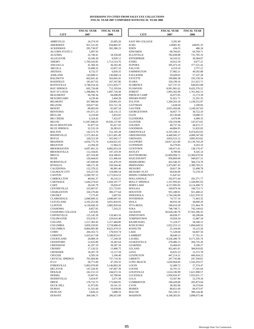#### **DIVERSIONS TO CITIES FROM SALES TAX COLLECTIONS FISCAL YEAR 2007 COMPARED WITH FISCAL YEAR 2006**

|                                          | <b>FISCAL YEAR</b>           | <b>FISCAL YEAR</b>           |                                       | <b>FISCAL YEAR</b>           | <b>FISCAL YEAR</b>           |
|------------------------------------------|------------------------------|------------------------------|---------------------------------------|------------------------------|------------------------------|
| <b>CITY</b>                              | 2007                         | 2006                         | <b>CITY</b>                           | 2007                         | 2006                         |
| <b>ABBEVILLE</b>                         | 24,274.59                    | 25,095.20                    | <b>EAST MS COLLEGE</b>                | 3,292.49                     |                              |
| <b>ABERDEEN</b>                          | 921,531.83                   | 934,802.97                   | <b>ECRU</b>                           | 120491.92                    | 140291.35                    |
| <b>ACKERMAN</b>                          | 295,738.97                   | 302,386.23                   | <b>EDEN</b>                           | 434.55                       | 486.24                       |
| ALCORN STATE U<br><b>ALGOMA</b>          | 5,997.93<br>22,740.41        | 18,358.68                    | <b>EDWARDS</b><br><b>ELLISVILLE</b>   | 68,766.65<br>782,838.08      | 64,769.71<br>731,705.16      |
| <b>ALLIGATOR</b>                         | 10,346.30                    | 9,920.11                     | <b>ENTERPRISE</b>                     | 34,310.52                    | 30,384.07                    |
| <b>AMORY</b>                             | 1,769,343.85                 | 1,713,514.76                 | <b>ETHEL</b>                          | 10,912.59                    | 9,077.21                     |
| ANGUILLA                                 | 41,360.26                    | 36,502.49                    | <b>EUPORA</b>                         | 395,473.10                   | 377,521.42                   |
| <b>ARCOLA</b><br><b>ARTESIA</b>          | 19,498.32<br>8,732.57        | 22,857.10<br>6,839.35        | <b>FALCON</b><br><b>FARMINGTON</b>    | 4,319.10<br>57,982.51        | 2,757.21<br>49,565.88        |
| <b>ASHLAND</b>                           | 143,680.51                   | 136,068.14                   | <b>FAULKNER</b>                       | 59,428.02                    | 57,147.28                    |
| <b>BALDWYN</b>                           | 602,041.42                   | 563,843.45                   | <b>FAYETTE</b>                        | 199,806.38                   | 193,158.54                   |
| <b>BASSFIELD</b>                         | 181,017.63                   | 167,347.86                   | <b>FLORA</b>                          | 320,199.16<br>627,737.25     | 311,015.71                   |
| <b>BATESVILLE</b><br><b>BAY SPRINGS</b>  | 3,748,554.34<br>692,726.68   | 3,511,810.77<br>712,195.04   | <b>FLORENCE</b><br><b>FLOWOOD</b>     | 8,991,981.62                 | 649,055.88<br>8,432,376.22   |
| <b>BAY ST LOUIS</b>                      | 1,298,866.74                 | 1,007,728.38                 | <b>FOREST</b>                         | 1,893,362.99                 | 1,761,942.13                 |
| <b>BEAUMONT</b>                          | 94,700.36                    | 94,098.09                    | <b>FRENCH CAMP</b>                    | 16,975.95                    | 15,173.39                    |
| <b>BEAUREGARD</b><br><b>BELMONT</b>      | 4,239.44                     | 3,404.28                     | <b>FRIARS POINT</b><br><b>FULTON</b>  | 31,021.71                    | 31,291.35                    |
| <b>BELZONI</b>                           | 267,980.84<br>550,677.82     | 259,901.03<br>555,721.18     | <b>GATTMAN</b>                        | 1,269,263.18<br>1,628.50     | 1,238,552.97<br>2,189.85     |
| <b>BENOIT</b>                            | 89,903.04                    | 81,607.24                    | <b>GAUTIER</b>                        | 3,035,456.06                 | 3,249,267.03                 |
| <b>BENTONIA</b>                          | 191,671.23                   | 128,116.13                   | <b>GEORGETOWN</b>                     | 34,857.73                    | 30,722.10                    |
| <b>BEULAH</b><br><b>BIG CREEK</b>        | 6,210.60<br>6,324.42         | 5,833.02<br>7,422.07         | <b>GLEN</b><br><b>GLENDORA</b>        | 20,130.68<br>4,479.96        | 19,680.15<br>4,489.35        |
| <b>BILOXI</b>                            | 11,047,946.03                | 10,036,137.66                | <b>GLOSTER</b>                        | 150,334.98                   | 147,673.01                   |
| <b>BLUE MOUNTAIN</b>                     | 91,877.54                    | 81,017.43                    | <b>GOLDEN</b>                         | 49,737.34                    | 44,472.17                    |
| <b>BLUE SPRINGS</b>                      | 32,533.19                    | 26,383.01                    | <b>GOODMAN</b>                        | 44,884.95                    | 51,835.05                    |
| <b>BOLTON</b><br><b>BOONEVILLE</b>       | 142,573.76<br>1,575,363.43   | 152,195.28<br>1,611,601.49   | <b>GREENVILLE</b><br><b>GREENWOOD</b> | 6,333,330.11<br>4,440,945.37 | 6,474,053.05<br>4,068,347.69 |
| <b>BOYLE</b>                             | 228,312.50                   | 165,942.17                   | <b>GRENADA</b>                        | 3,854,523.12                 | 3,895,933.82                 |
| <b>BRANDON</b>                           | 4,656,775.70                 | 4,264,021.65                 | <b>GULFPORT</b>                       | 24,817,421.80                | 25, 139, 743. 29             |
| <b>BRAXTON</b>                           | 13,394.20                    | 11,964.25                    | <b>GUNNISON</b>                       | 10,279.83                    | 9,263.33                     |
| <b>BROOKHAVEN</b><br><b>BROOKSVILLE</b>  | 4,697,401.23<br>112,104.81   | 4,882,053.24<br>107,319.39   | <b>GUNTOWN</b><br><b>HATLEY</b>       | 140,471.01<br>8,789.66       | 138,170.47<br>8,545.14       |
| <b>BRUCE</b>                             | 427,318.49                   | 424,180.81                   | <b>HATTIESBURG</b>                    | 22,669,994.72                | 23,360,670.56                |
| <b>BUDE</b>                              | 126,444.03                   | 121,406.64                   | <b>HAZLEHURST</b>                     | 958,869.00                   | 949,057.31                   |
| <b>BURNSVILLE</b>                        | 147,049.68                   | 142,478.29                   | <b>HEIDELBERG</b>                     | 432,546.25                   | 384,574.78                   |
| <b>BYHALIA</b><br><b>CALEDONIA</b>       | 548,171.30<br>122,370.22     | 550,564.46<br>86,981.46      | <b>HERNANDO</b><br><b>HICKORY</b>     | 2,473,067.45<br>50,817.36    | 2,300,783.21<br>52,498.78    |
| <b>CALHOUN CITY</b>                      | 319,257.05                   | 319,060.54                   | <b>HICKORY FLAT</b>                   | 69,636.09                    | 72,278.35                    |
| <b>CANTON</b>                            | 2,290,787.12                 | 2,172,814.53                 | <b>HINDS COMMUNITY</b>                | 11,647.62                    |                              |
| CARROLLTON<br>CARTHAGE                   | 40,041.37<br>1,644,274.63    | 36,216.21<br>1,650,107.77    | HOLLANDALE<br><b>HOLLY SPRINGS</b>    | 192,971.44<br>1,337,993.03   | 181,571.77<br>1,328,991.03   |
| CARY                                     | 20,245.79                    | 19,820.47                    | <b>HORN LAKE</b>                      | 4,157,095.05                 | 4,114,490.73                 |
| <b>CENTREVILLE</b>                       | 225,007.67                   | 221,733.81                   | <b>HOULKA</b>                         | 109,079.34                   | 100,753.71                   |
| <b>CHARLESTON</b>                        | 320,276.84                   | 306,577.64                   | <b>HOUSTON</b>                        | 935,188.01                   | 921,468.22                   |
| <b>CHUNKY</b><br>CLARKSDALE              | 7,175.43<br>2,848,909.32     | 5,907.83<br>2,840,607.43     | <b>INDIANOLA</b><br><b>INVERNESS</b>  | 1,744,246.80<br>74,757.16    | 1,621,970.35<br>71,463.35    |
| <b>CLEVELAND</b>                         | 3,102,251.00                 | 3,031,834.93                 | <b>ISOLA</b>                          | 40,016.39                    | 38,060.29                    |
| <b>CLINTON</b>                           | 4,139,428.10                 | 3,882,829.04                 | <b>ITTA BENA</b>                      | 180,610.50                   | 151,464.70                   |
| <b>COAHOMA</b><br><b>COAHOMA COLLEGE</b> | 8,857.81<br>1,874.81         | 7,243.25                     | <b>IUKA</b><br><b>JACKSON</b>         | 748,748.71                   | 742,144.63                   |
| COFFEEVILLE                              | 115,145.39                   | 110,463.16                   | JONESTOWN                             | 36,028,246.76<br>60,838.37   | 37,563,396.32<br>60,290.84   |
| <b>COLDWATER</b>                         | 255,678.17                   | 229,016.48                   | <b>JUMPERTOWN</b>                     | 19,058.30                    | 15,487.34                    |
| <b>COLLINS</b>                           | 1,217,383.43                 | 1,217,484.80                 | KILMICHAEL                            | 71,224.57                    | 58,340.12                    |
| <b>COLUMBIA</b><br><b>COLUMBUS</b>       | 3,859,250.82<br>8,804,905.90 | 3,718,688.45<br>8,625,474.53 | KOSCIUSKO<br>KOSSUTH                  | 1,922,253.13<br>25,164.69    | 1,894,649.52<br>33,125.26    |
| COMO                                     | 204,163.72                   | 170,019.74                   | LAKE                                  | 71,528.64                    | 64,847.56                    |
| <b>CORINTH</b>                           | 5,433,617.69                 | 5,100,853.67                 | LAMBERT                               | 38,649.53                    | 37,761.31                    |
| <b>COURTLAND</b>                         | 20,089.19                    | 17,249.58                    | LAUREL                                | 9,528,280.79                 | 9,171,595.74                 |
| <b>CRAWFORD</b><br><b>CRENSHAW</b>       | 12,635.89<br>41,297.19       | 10,381.64<br>39,287.34       | <b>LEAKESVILLE</b><br>LEARNED         | 278,486.15<br>10,469.63      | 266,735.20<br>9,190.27       |
| <b>CROSBY</b>                            | 17,126.52                    | 13,480.75                    | LELAND                                | 432,401.61                   | 384,818.82                   |
| <b>CROWDER</b>                           | 18,287.79                    | 13,117.59                    | <b>LENA</b>                           | 16,625.23                    | 15,372.78                    |
| <b>CRUGER</b>                            | 6,583.54                     | 5,100.40                     | <b>LEXINGTON</b>                      | 447,214.31                   | 449,434.22                   |
| <b>CRYSTAL SPRINGS</b><br>D LO           | 701,604.98<br>50,771.84      | 737,719.36<br>47,193.32      | <b>LIBERTY</b><br><b>LONG BEACH</b>   | 247,743.48<br>1,629,064.66   | 247,358.81<br>1,543,293.57   |
| <b>D'IBERVILLE</b>                       | 5,003,978.09                 | 5,146,803.20                 | <b>LOUIN</b>                          | 32,499.72                    | 27,374.47                    |
| <b>DECATUR</b>                           | 147,220.45                   | 147,007.39                   | LOUISE                                | 16,791.51                    | 17,341.64                    |
| <b>DEKALB</b>                            | 242, 151.53                  | 244,672.16                   | LOUISVILLE                            | 1,614,186.99                 | 1,621,908.57                 |
| <b>DERMA</b><br>DODDSVILLE               | 55,607.81<br>3,024.97        | 62,780.66<br>2,671.38        | LUCEDALE<br>LULA                      | 1,950,656.47<br>53,567.84    | 1,933,031.17<br>52,378.34    |
| <b>DREW</b>                              | 170,732.75                   | 173,600.95                   | <b>LUMBERTON</b>                      | 190,428.80                   | 205,873.04                   |
| DUCK HILL                                | 31,973.83                    | 29,161.33                    | <b>LYON</b>                           | 38,302.90                    | 34,374.66                    |
| <b>DUMAS</b><br><b>DUNCAN</b>            | 11,331.60<br>5,820.22        | 10,939.00<br>5,088.16        | MABEN<br><b>MACON</b>                 | 80,651.69<br>565,320.11      | 84,473.97<br>380,144.46      |
| <b>DURANT</b>                            | 304,546.71                   | 296,013.89                   | <b>MADISON</b>                        | 4,198,383.91                 | 3,898,075.48                 |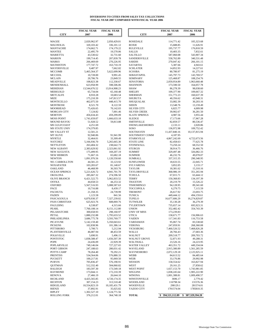#### **DIVERSIONS TO CITIES FROM SALES TAX COLLECTIONS FISCAL YEAR 2007 COMPARED WITH FISCAL YEAR 2006**

|                                        | <b>FISCAL YEAR</b>          | <b>FISCAL YEAR</b>          |                                             | <b>FISCAL YEAR</b>          | <b>FISCAL YEAR</b>         |
|----------------------------------------|-----------------------------|-----------------------------|---------------------------------------------|-----------------------------|----------------------------|
| <b>CITY</b>                            | 2007                        | 2006                        | <b>CITY</b>                                 | 2007                        | 2006                       |
|                                        |                             |                             |                                             |                             |                            |
| <b>MAGEE</b>                           | 2,020,962.97                | 2,050,429.01                | <b>ROSEDALE</b>                             | 114,771.42                  | 105,323.68                 |
| MAGNOLIA                               | 320,103.42                  | 336,101.12                  | <b>ROXIE</b>                                | 15,688.85                   | 11,626.91                  |
| <b>MANTACHIE</b>                       | 174,662.71                  | 174,179.22                  | <b>RULEVILLE</b>                            | 195,737.77                  | 176,818.59                 |
| <b>MANTEE</b><br><b>MARIETTA</b>       | 22,495.79<br>43,530.62      | 19,570.06<br>32,731.60      | <b>SALLIS</b><br><b>SALTILLO</b>            | 10,403.35<br>587,060.08     | 7,832.61<br>543,907.34     |
| <b>MARION</b>                          | 199,714.45                  | 207,839.78                  | SANDERSVILLE                                | 558,762.89                  | 340,531.48                 |
| <b>MARKS</b>                           | 266,469.69                  | 270,226.95                  | <b>SARDIS</b>                               | 270,047.42                  | 266,101.15                 |
| <b>MATHISTON</b>                       | 177,747.72                  | 163,710.19                  | <b>SATARTIA</b>                             | 5,387.66                    | 4,943.61                   |
| <b>MAYERSVILLE</b>                     | 9,487.97                    | 7,662.82                    | <b>SCHLATER</b>                             | 14,852.93                   | 14,227.61                  |
| <b>MCCOMB</b>                          | 5,465,564.37                | 5,622,699.96                | <b>SCOOBA</b>                               | 80,780.97                   | 81,275.19                  |
| <b>MCCOOL</b>                          | 10,728.00                   | 9,991.45                    | SEBASTAPOL                                  | 145,797.73                  | 143,769.57                 |
| <b>MCLAIN</b>                          | 20,706.76                   | 23,849.55                   | <b>SEMINARY</b>                             | 125,468.87                  | 108,254.76                 |
| MEADVILLE<br>MENDENHALL                | 108,823.38<br>623,958.99    | 112,330.67<br>598,506.06    | <b>SENATOBIA</b><br><b>SHANNON</b>          | 2,059,954.89<br>173,590.50  | 1,963,660.48<br>164,057.78 |
| <b>MERIDIAN</b>                        | 13,544,676.52               | 13,914,908.23               | <b>SHAW</b>                                 | 86,278.39                   | 98,038.60                  |
| <b>MERIGOLD</b>                        | 65,734.04                   | 65,160.48                   | <b>SHELBY</b>                               | 109,377.90                  | 109,667.32                 |
| <b>METCALFE</b>                        | 8,910.28                    | 10,683.54                   | <b>SHERMAN</b>                              | 151,772.23                  | 160,637.39                 |
| MIZE                                   | 175,210.39                  | 147,813.57                  | <b>SHUBUTA</b>                              | 40,356.62                   | 43,948.31                  |
| MONTICELLO                             | 462,075.50                  | 448,415.70                  | SHUQUALAK                                   | 33,082.39                   | 30,203.16                  |
| <b>MONTROSE</b>                        | 8,521.70                    | 8,122.59                    | <b>SIDON</b>                                | 13,548.76                   | 13,159.49                  |
| <b>MOORHEAD</b>                        | 75,426.65                   | 70,142.03                   | <b>SILVER CITY</b>                          | 6,825.77                    | 4,009.98                   |
| <b>MORGAN CITY</b><br><b>MORTON</b>    | 7,124.82<br>456,634.43      | 7,001.46<br>459,299.09      | <b>SILVER CREEK</b><br><b>SLATE SPRINGS</b> | 39,902.67<br>4,987.56       | 36,281.50<br>3,955.44      |
| <b>MOSS POINT</b>                      | 1,741,659.07                | 1,666,633.18                | <b>SLEDGE</b>                               | 17,173.66                   | 17,967.28                  |
| <b>MOUND BAYOU</b>                     | 51,928.52                   | 59,813.88                   | <b>SMITHVILLE</b>                           | 82,859.57                   | 80,536.47                  |
| <b>MS GULFCOAST</b>                    | 4,251.69                    |                             | <b>SNOWLAKESHORES</b>                       | 2,133.11                    | 2,020.86                   |
| <b>MS STATE UNIV</b>                   | 174,379.85                  |                             | soso                                        | 136,972.98                  | 109,752.42                 |
| <b>MS VALLEY ST</b>                    | 12,501.21                   |                             | SOUTHAVEN                                   | 11,437,840.16               | 10,137,815.94              |
| <b>MT OLIVE</b>                        | 92,940.86                   | 91,941.99                   | SOUTHWEST COMM                              | 4,187.95                    |                            |
| <b>MYRTLE</b>                          | 32,464.01                   | 33,309.49                   | <b>STARKVILLE</b>                           | 4,867,242.69                | 4,722,673.56               |
| <b>NATCHEZ</b><br><b>NETTLETON</b>     | 5,166,936.70<br>263,404.32  | 5,265,665.30<br>238,642.73  | <b>STATE LINE</b><br><b>STONEWALL</b>       | 82,458.63<br>73,250.24      | 77,625.78<br>68,552.50     |
| <b>NEW ALBANY</b>                      | 2,383,629.92                | 2,323,061.92                | <b>STURGIS</b>                              | 38,914.75                   | 36,466.76                  |
| <b>NEW AUGUSTA</b>                     | 175,499.95                  | 169,207.19                  | <b>SUMMIT</b>                               | 329,497.48                  | 326,082.33                 |
| <b>NEW HEBRON</b>                      | 71,667.16                   | 65,682.18                   | <b>SUMNER</b>                               | 46,232.76                   | 49,078.07                  |
| <b>NEWTON</b>                          | 1,091,976.56                | 1,120,550.60                | SUMRALL                                     | 337,315.35                  | 290,348.95                 |
| <b>NO. CARROLLTON</b>                  | 44,581.23                   | 33,123.92                   | <b>SUNFLOWER</b>                            | 18,633.55                   | 22,045.71                  |
| <b>NOXAPATER</b>                       | 103,283.67                  | 81,140.67                   | <b>SYLVARENA</b>                            | 3,852.05                    | 3,133.17                   |
| <b>OAKLAND</b><br><b>OCEAN SPRINGS</b> | 46,468.99<br>5,221,626.72   | 36,503.76<br>4,941,701.70   | <b>TAYLOR</b><br>TAYLORSVILLE               | 18,381.62<br>368,986.19     | 15,310.16<br>351,265.94    |
| <b>OKOLONA</b>                         | 285,667.32                  | 274,596.50                  | <b>TCHULA</b>                               | 67,015.71                   | 63,444.12                  |
| <b>OLIVE BRANCH</b>                    | 6,421,522.75                | 5,962,833.52                | <b>TERRY</b>                                | 150,368.83                  | 134,197.39                 |
| <b>OSYKA</b>                           | 44,658.53                   | 44,253.32                   | THAXTON                                     | 20,219.79                   | 15,526.22                  |
| <b>OXFORD</b>                          | 5,567,516.93                | 5,088,587.63                | TISHOMINGO                                  | 94,128.95                   | 89,341.60                  |
| PACE                                   | 10,716.88                   | 8,439.17                    | <b>TOCCOPOLA</b>                            | 6,279.75                    | 7,115.59                   |
| <b>PACHUTA</b>                         | 21,358.35                   | 24,739.99                   | <b>TREMONT</b>                              | 26,617.92                   | 23,693.75                  |
| <b>PADEN</b><br>PASCAGOULA             | 1,123.58<br>6,870,930.37    | 841.56<br>7,327,239.02      | <b>TUNICA</b><br><b>TUPELO</b>              | 449,444.12<br>16,677,606.29 | 494,159.61                 |
| PASS CHRISTIAN                         | 625,923.76                  | 608,069.76                  | <b>TUTWILER</b>                             | 35,130.28                   | 16,274,829.87<br>36,279.39 |
| PAULDING                               | 6,538.87                    | 4,315.66                    | <b>TYLERTOWN</b>                            | 735,657.14                  | 695,923.31                 |
| PEARL                                  | 7,760,108.14                | 8,151,112.80                | <b>UNION</b>                                | 352,482.42                  | 354,743.39                 |
| PELAHATCHIE                            | 300,658.93                  | 298,160.97                  | UNIV OF MISS                                | 173,239.83                  |                            |
| PETAL                                  | 1,880,232.88                | 1,795,633.52                | <b>UTICA</b>                                | 158,671.77                  | 156,906.63                 |
| PHILADELPHIA                           | 3,686,775.78                | 3,593,769.77                | <b>VAIDEN</b>                               | 117,341.83                  | 116,753.58                 |
| <b>PICAYUNE</b><br><b>PICKENS</b>      | 5,142,159.40<br>102,838.96  | 5,350,043.61                | <b>VARDAMAN</b>                             | 95,067.74<br>247,059.91     | 83,538.60                  |
| PITTSBORO                              | 5,700.71                    | 101,386.14<br>5,212.94      | VERONA<br><b>VICKSBURG</b>                  | 7,460,526.52                | 268,360.08<br>7,468,826.28 |
| PLANTERSVILLE                          | 46,087.94                   | 48,453.59                   | WALLS                                       | 28,766.43                   | 27,683.36                  |
| <b>POLKVILLE</b>                       | 5,690.91                    | 5,496.15                    | <b>WALNUT</b>                               | 209,518.77                  | 209,703.72                 |
| <b>PONTOTOC</b>                        | 1,838,588.47                | 1,656,507.39                | <b>WALNUT GROVE</b>                         | 52,871.93                   | 49,288.31                  |
| POPE                                   | 24,436.09                   | 22,929.39                   | WALTHALL                                    | 23,526.16                   | 24,223.95                  |
| POPLARVILLE                            | 749,146.04                  | 727,227.65                  | <b>WATER VALLEY</b>                         | 463,351.72                  | 449,334.04                 |
| PORT GIBSON                            | 247,188.63                  | 280,031.42                  | WAVELAND                                    | 2,915,380.89                | 1,561,285.59               |
| POTTS CAMP<br><b>PRENTISS</b>          | 78,264.40<br>534,564.06     | 70,292.21<br>576,880.33     | WAYNESBORO<br>WEBB                          | 2,072,129.18<br>84,613.52   | 2,125,925.11<br>84,485.64  |
| <b>PUCKETT</b>                         | 100,217.81                  | 95,069.50                   | WEIR                                        | 33,176.86                   | 29,992.98                  |
| <b>PURVIS</b>                          | 705,836.47                  | 576,190.91                  | WESSON                                      | 158,554.62                  | 163,827.94                 |
| <b>QUITMAN</b>                         | 512,332.40                  | 504,060.82                  | WEST                                        | 29,161.25                   | 27,858.62                  |
| <b>RALEIGH</b>                         | 183,597.30                  | 173,549.18                  | <b>WEST POINT</b>                           | 1,657,153.70                | 1,743,981.85               |
| <b>RAYMOND</b>                         | 173,044.11                  | 172,210.39                  | WIGGINS                                     | 1,838,245.64                | 1,905,222.90               |
| <b>RENOVA</b>                          | 27,466.19                   | 26,644.10                   | <b>WINONA</b>                               | 1,001,388.81                | 1,009,490.57               |
| <b>RICHLAND</b>                        | 4,425,565.85                | 4,720,174.35                | WINSTONVILLE                                | 3696.17                     | 2,779.42                   |
| <b>RICHTON</b><br>RIDGELAND            | 307,154.23<br>10,554,823.19 | 313,510.40<br>10,185,431.79 | <b>WOODLAND</b><br>WOODVILLE                | 116798.34<br>298129.1       | 131576.36<br>281574.01     |
| <b>RIENZI</b>                          | 37,892.91                   | 35,025.82                   | YAZOO CITY                                  | 1781574.04                  | 1785810.35                 |
| <b>RIPLEY</b>                          | 1,302,527.10                | 1,124,771.56                |                                             |                             |                            |
| <b>ROLLING FORK</b>                    | 376,212.01                  | 364,740.18                  | <b>TOTAL</b>                                | \$394,521,112.89            | \$<br>387, 329, 594. 28    |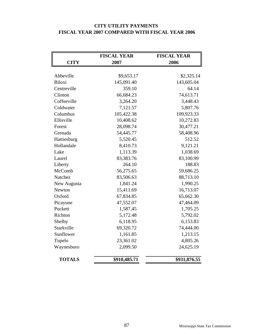# **CITY UTILITY PAYMENTS FISCAL YEAR 2007 COMPARED WITH FISCAL YEAR 2006**

|               | <b>FISCAL YEAR</b> | <b>FISCAL YEAR</b> |
|---------------|--------------------|--------------------|
| <b>CITY</b>   | 2007               | 2006               |
|               |                    |                    |
| Abbeville     | \$9,653.17         | \$2,325.14         |
| <b>Biloxi</b> | 145,091.40         | 143,605.04         |
| Centreville   | 359.10             | 64.14              |
| Clinton       | 66,684.23          | 74,613.71          |
| Coffeeville   | 3,264.20           | 3,448.43           |
| Coldwater     | 7,121.57           | 5,807.76           |
| Columbus      | 105,422.38         | 109,923.33         |
| Ellisville    | 10,408.62          | 10,272.83          |
| Forest        | 28,098.74          | 30,477.21          |
| Grenada       | 54,445.77          | 58,408.96          |
| Hattiesburg   | 5,520.45           | 512.52             |
| Hollandale    | 8,410.73           | 9,121.21           |
| Lake          | 1,113.39           | 1,038.69           |
| Laurel        | 83,383.76          | 83,100.99          |
| Liberty       | 264.10             | 188.83             |
| McComb        | 56,275.65          | 59,686.25          |
| Natchez       | 83,506.63          | 88,713.10          |
| New Augusta   | 1,841.24           | 1,990.25           |
| Newton        | 15,411.69          | 16,713.07          |
| Oxford        | 67,834.85          | 65,662.30          |
| Picayune      | 47,552.07          | 47,464.09          |
| Puckett       | 1,587.45           | 1,705.25           |
| Richton       | 5,172.48           | 5,792.02           |
| Shelby        | 6,118.95           | 6,153.83           |
| Starkville    | 69,320.72          | 74,444.00          |
| Sunflower     | 1,161.85           | 1,213.15           |
| Tupelo        | 23,361.02          | 4,805.26           |
| Waynesboro    | 2,099.50           | 24,625.19          |
| <b>TOTALS</b> | \$910,485.71       | \$931,876.55       |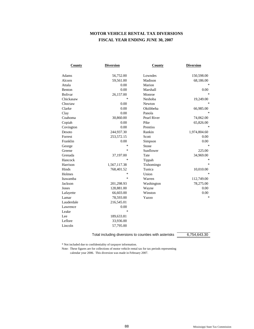# **MOTOR VEHICLE RENTAL TAX DIVERSIONS FISCAL YEAR ENDING JUNE 30, 2007**

| <b>County</b>   | <b>Diversion</b> | <b>County</b> | <b>Diversion</b>           |
|-----------------|------------------|---------------|----------------------------|
| Adams           | 56,752.00        | Lowndes       | 150,598.00                 |
| Alcorn          | 59,561.00        | Madison       | 68,186.00                  |
| Attala          | 0.00             | Marion        | $\frac{1}{2}$              |
| <b>Benton</b>   | 0.00             | Marshall      | 0.00                       |
| <b>Bolivar</b>  | 26,157.00        | Monroe        | $\mathcal{R}$              |
| Chickasaw       | $\ast$           | Neshoba       | 19,249.00                  |
| Choctaw         | 0.00             | <b>Newton</b> | $\frac{1}{2}$              |
| Clarke          | 0.00             | Oktibbeha     | 66,985.00                  |
|                 | 0.00             | Panola        | $\mathcal{R}$              |
| Clay<br>Coahoma |                  | Pearl River   |                            |
|                 | 30,860.00        |               | 74,062.00                  |
| Copiah          | 0.00             | Pike          | 65,826.00<br>$\mathcal{R}$ |
| Covington       | 0.00             | Prentiss      |                            |
| Desoto          | 244,937.30       | Rankin        | 1,974,804.60               |
| Forrest         | 253,572.15       | Scott         | 0.00                       |
| Franklin        | 0.00             | Simpson       | 0.00                       |
| George          | $*$              | Stone         | $\frac{1}{2}$              |
| Greene          | $*$              | Sunflower     | 225.00                     |
| Grenada         | 37,197.00        | Tate          | 34,969.00                  |
| Hancock         | $\ast$           | Tippah        | ∗                          |
| Harrison        | 1,567,117.38     | Tishomingo    | $\frac{1}{2}$              |
| Hinds           | 768,401.52       | Tunica        | 10,010.00                  |
| Holmes          | ∗                | Union         | $\mathcal{R}$              |
| Itawamba        | $\ast$           | Warren        | 112,749.00                 |
| Jackson         | 201,298.93       | Washington    | 78,275.00                  |
| Jones           | 128,881.00       | Wayne         | 0.00                       |
| Lafayette       | 66,603.00        | Winston       | 0.00                       |
| Lamar           | 78,593.00        | Yazoo         | $\ast$                     |
| Lauderdale      | 216,545.01       |               |                            |
| Lawrence        | 0.00             |               |                            |
| Leake           | $*$              |               |                            |
| Lee             | 189,633.81       |               |                            |
| Leflore         | 33,936.00        |               |                            |
| Lincoln         | 57,795.00        |               |                            |

Total including diversions to counties with asterisks  $\overline{\hspace{1cm}6,754,643.30}$ 

\* Not included due to confidentiality of taxpayer information.

Note: These figures are for collections of motor vehicle rental tax for tax periods representing

calendar year 2006. This diversion was made in February 2007.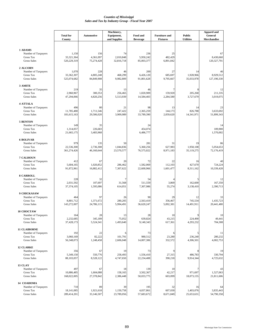|                                  |                            |                 | Machinery,                 |                             |                                         |                                   | <b>Apparel and</b>     |
|----------------------------------|----------------------------|-----------------|----------------------------|-----------------------------|-----------------------------------------|-----------------------------------|------------------------|
|                                  | <b>Total for</b><br>County | Automotive      | Equipment,<br>and Supplies | Food and<br><b>Beverage</b> | <b>Furniture</b> and<br><b>Fixtures</b> | <b>Public</b><br><b>Utilities</b> | General<br>Merchandise |
|                                  |                            |                 |                            |                             |                                         |                                   |                        |
| 1 ADAMS                          |                            |                 |                            |                             |                                         |                                   |                        |
| Number of Taxpayers              | 1,150                      | 156             | 74                         | 236                         | 25                                      |                                   | 67                     |
| Gross Tax                        | 33,321,364                 | 4,361,097       | 2,010,848                  | 5,950,242                   | 482,429                                 |                                   | 8,430,660              |
| <b>Gross Sales</b>               | 520,229,319                | 75,274,428      | 32,816,718                 | 85,003,377                  | 6,891,842                               |                                   | 120,327,791            |
| 2 ALCORN                         |                            |                 |                            |                             |                                         |                                   |                        |
| Number of Taxpayers              | 1,070                      | 228             | 46                         | 200                         | 27                                      | 14                                | 46                     |
| Gross Tax                        | 33,362,307                 | 4,805,248       | 468,299                    | 6,426,120                   | 685,697                                 | 1,928,966                         | 8,929,512              |
| <b>Gross Sales</b>               | 525,074,682                | 84,849,908      | 9,982,809                  | 91,801,628                  | 9,795,667                               | 35,033,978                        | 127,190,330            |
| 3 AMITE                          |                            |                 |                            |                             |                                         |                                   |                        |
| Number of Taxpayers              | 219                        | 35              | 13                         | 46                          | 7                                       |                                   | 12                     |
| Gross Tax                        | 2,960,967                  | 300,353         | 256,465                    | 1,020,909                   | 159,920                                 | 205,268                           | 211,335                |
| <b>Gross Sales</b>               | 47,294,066                 | 4,820,256       | 5,513,939                  | 14,584,403                  | 2,284,580                               | 3,727,679                         | 3,019,075              |
|                                  |                            |                 |                            |                             |                                         |                                   |                        |
| <b>4 ATTALA</b>                  |                            |                 |                            |                             |                                         |                                   |                        |
| Number of Taxpayers<br>Gross Tax | 496<br>11,785,480          | 80<br>1,711,546 | 21<br>247,422              | 98<br>2,365,259             | 13<br>144.173                           | 14<br>826,788                     | 23<br>3,633,692        |
| <b>Gross Sales</b>               | 181,615,163                | 29,506,020      | 3,909,989                  | 33,789,390                  | 2,059,620                               | 14,341,971                        | 51,899,343             |
|                                  |                            |                 |                            |                             |                                         |                                   |                        |
| <b>5 BENTON</b>                  |                            |                 |                            |                             |                                         |                                   |                        |
| Number of Taxpayers              | 149                        | 35              |                            | 24                          |                                         |                                   | 14                     |
| Gross Tax                        | 1,314,057                  | 226,683         |                            | 454,074                     |                                         |                                   | 109,900                |
| <b>Gross Sales</b>               | 21,665,175                 | 3,483,968       |                            | 6,486,777                   |                                         |                                   | 1,570,002              |
| <b>6 BOLIVAR</b>                 |                            |                 |                            |                             |                                         |                                   |                        |
| Number of Taxpayers              | 979                        | 135             | 50                         | 281                         | 31                                      | 19                                | -86                    |
| <b>Gross Tax</b>                 | 22,536,300                 | 2,736,308       | 1,044,836                  | 5,360,256                   | 627,983                                 | 1,958,108                         | 5,054,653              |
| <b>Gross Sales</b>               | 361,274,426                | 46,160,644      | 23,570,577                 | 76,575,022                  | 8,971,183                               | 35,119,275                        | 72,176,419             |
|                                  |                            |                 |                            |                             |                                         |                                   |                        |
| 7 CALHOUN<br>Number of Taxpayers | 412                        | 67              | 20                         | 72                          | 22                                      | 16                                | 40                     |
| Gross Tax                        | 5,604,165                  | 1,020,852       | 286,462                    | 1,582,069                   | 112,103                                 | 427,670                           | 724,224                |
| <b>Gross Sales</b>               | 91,872,961                 | 16,882,412      | 7,307,622                  | 22,600,966                  | 1,601,477                               | 8,311,162                         | 10,339,428             |
|                                  |                            |                 |                            |                             |                                         |                                   |                        |
| <b>8 CARROLL</b>                 |                            |                 |                            |                             |                                         |                                   |                        |
| Number of Taxpayers<br>Gross Tax | 228<br>2,031,592           | 32<br>107,697   | 7<br>31,568                | 54<br>511,559               | 3,869                                   | 162,600                           | 12<br>167,350          |
| <b>Gross Sales</b>               | 37,374,105                 | 1,595,086       | 614,051                    | 7,307,986                   | 55,274                                  | 3,138,410                         | 2,390,713              |
|                                  |                            |                 |                            |                             |                                         |                                   |                        |
| 9 CHICKASAW                      |                            |                 |                            |                             |                                         |                                   |                        |
| Number of Taxpayers              | 464                        | 97              | 26                         | 90                          | 29                                      | 12                                | 33                     |
| <b>Gross Tax</b>                 | 8,801,712                  | 1,371,672       | 280,205                    | 2,563,419                   | 356,467                                 | 745,534                           | 1,435,723              |
| <b>Gross Sales</b>               | 143,272,007                | 24,786,115      | 5,994,491                  | 36,620,247                  | 5,092,381                               | 14,491,911                        | 20,441,480             |
| <b>10 CHOCTAW</b>                |                            |                 |                            |                             |                                         |                                   |                        |
| Number of Taxpayers              | 164                        | 28              | 13                         | 28                          | 10                                      | Q                                 | 10                     |
| Gross Tax                        | 2,232,685                  | 345,189         | 75,052                     | 639,824                     | 43,215                                  | 224,490                           | 49,441                 |
| <b>Gross Sales</b>               | 37,428,173                 | 5,524,341       | 1,493,640                  | 9,140,343                   | 617,361                                 | 4,293,232                         | 704,308                |
| <b>11 CLAIBORNE</b>              |                            |                 |                            |                             |                                         |                                   |                        |
| Number of Taxpayers              | 192                        | 22              | 6                          | 73                          | 6                                       |                                   | 11                     |
| Gross Tax                        | 3,060,169                  | 82,222          | 101,791                    | 980,512                     | 23,280                                  | 236,240                           | 280,232                |
| <b>Gross Sales</b>               | 56,348,073                 | 1,248,458       | 2,606,048                  | 14,007,306                  | 332,572                                 | 4,306,501                         | 4,002,753              |
|                                  |                            |                 |                            |                             |                                         |                                   |                        |
| <b>12 CLARKE</b>                 |                            |                 |                            |                             |                                         |                                   |                        |
| Number of Taxpayers<br>Gross Tax | 356<br>5,349,150           | 67<br>550,776   | 19                         | 73<br>1,556,410             | 9                                       | 486,783                           | 19<br>330,794          |
| <b>Gross Sales</b>               | 88,103,057                 | 8,528,122       | 258,493<br>4,747,650       | 22,234,408                  | 27,315<br>390,218                       | 9,914,344                         | 4,725,632              |
|                                  |                            |                 |                            |                             |                                         |                                   |                        |
| <b>13 CLAY</b>                   |                            |                 |                            |                             |                                         |                                   |                        |
| Number of Taxpayers              | 497                        | 67              | 18                         | 139                         | 10                                      |                                   | 43                     |
| Gross Tax                        | 10,886,485                 | 1,604,088       | 158,165                    | 3,502,367                   | 42,217                                  | 971,697                           | 1,527,063              |
| <b>Gross Sales</b>               | 168,022,005                | 27,378,842      | 2,386,448                  | 50,033,775                  | 603,099                                 | 18,073,155                        | 21,811,606             |
| <b>14 COAHOMA</b>                |                            |                 |                            |                             |                                         |                                   |                        |
| Number of Taxpayers              | 710                        | 89              | 39                         | 195                         | 32                                      | 16                                |                        |
| Gross Tax                        | 18,141,085                 | 1,921,618       | 1,150,758                  | 4,037,861                   | 607,030                                 | 1,403,076                         | 3,835,443              |
| <b>Gross Sales</b>               | 289,414,201                | 33,146,507      | 23,789,056                 | 57,683,672                  | 8,671,849                               | 25,653,631                        | 54,790,358             |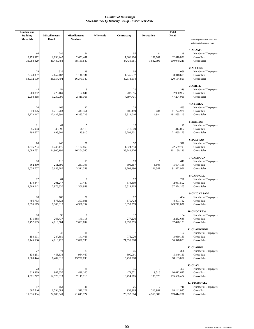| <b>Lumber</b> and<br><b>Building</b> | <b>Miscellaneous</b>           | <b>Miscellaneous</b>           | Wholesale | Contracting                   | Recreation                     | <b>Total</b><br>Retail             |                                                                                  |
|--------------------------------------|--------------------------------|--------------------------------|-----------|-------------------------------|--------------------------------|------------------------------------|----------------------------------------------------------------------------------|
| <b>Materials</b>                     | Retail                         | <b>Services</b>                |           |                               |                                |                                    | Note: Figures include audits and<br>adjustments from prior years.                |
| 66<br>2,175,912<br>31,084,429        | 289<br>2,898,242<br>41,440,788 | 151<br>2,651,481<br>38,189,849 |           | 57<br>1,666,186<br>44,439,681 | 24<br>131,767<br>1,882,395     | 1,148<br>32,610,858<br>510,079,246 | 1 ADAMS<br>Number of Taxpayers<br><b>Gross Tax</b><br><b>Gross Sales</b>         |
| 74<br>3,843,857<br>54,912,190        | 325<br>2,657,482<br>38,054,704 | 48<br>1,146,134<br>16,373,340  |           | 58<br>1,945,537<br>49,573,694 |                                | 1,068<br>33,018,619<br>520,164,853 | 2 ALCORN<br>Number of Taxpayers<br>Gross Tax<br><b>Gross Sales</b>               |
| 15<br>209,882<br>2,998,318           | 54<br>226,169<br>3,230,991     | 167,844<br>2,415,368           |           | 20<br>202,695<br>4,697,701    |                                | 219<br>2,960,967<br>47,294,066     | 3 AMITE<br>Number of Taxpayers<br>Gross Tax<br><b>Gross Sales</b>                |
| 26<br>579.125<br>8,273,217           | 166<br>1,216,703<br>17,432,890 | 22<br>443,361<br>6,333,729     |           | 28<br>606,419<br>13,912,016   | $\overline{4}$<br>484<br>6,924 | 495<br>11,774,976<br>181,465,115   | <b>4 ATTALA</b><br>Number of Taxpayers<br><b>Gross Tax</b><br><b>Gross Sales</b> |
| 11<br>55,903<br>798,627              | 41<br>48,895<br>698,509        | 78,113<br>1,115,910            |           | 12<br>217,549<br>5,299,701    |                                | 149<br>1,314,057<br>21,665,175     | 5 BENTON<br>Number of Taxpayers<br><b>Gross Tax</b><br><b>Gross Sales</b>        |
| 60<br>1,336,284<br>19,089,752        | 240<br>1,742,176<br>24,900,190 | 37<br>1,132,862<br>16,204,360  |           | 37<br>1,524,294<br>38,242,226 |                                | 978<br>22,529,703<br>361,180,186   | <b>6 BOLIVAR</b><br>Number of Taxpayers<br>Gross Tax<br><b>Gross Sales</b>       |
| 18<br>562,430<br>8,034,707           | 116<br>251,690<br>3,658,287    | 13<br>231,795<br>3,311,359     |           | 23<br>396,357<br>9,703,990    | 5<br>8,508<br>121,547          | 412<br>5,604,165<br>91,872,961     | 7 CALHOUN<br>Number of Taxpayers<br><b>Gross Tax</b><br><b>Gross Sales</b>       |
| 17<br>179,847<br>2,569,242           | 64<br>201,247<br>2,876,330     | 91,487<br>1,306,959            |           | 22<br>574,309<br>15,519,265   |                                | 228<br>2,031,592<br>37,374,105     | <b>8 CARROLL</b><br>Number of Taxpayers<br>Gross Tax<br><b>Gross Sales</b>       |
| 18<br>496,733<br>7,096,179           | 109<br>573,523<br>8,303,315    | 21<br>307,031<br>4,386,154     |           | 27<br>670,724<br>16,050,059   |                                | 464<br>8,801,712<br>143,272,007    | 9 CHICKASAW<br>Number of Taxpayers<br><b>Gross Tax</b><br><b>Gross Sales</b>     |
| 10<br>171,688<br>2,452,693           | 36<br>266,437<br>4,110,504     | 8<br>140,118<br>2,001,692      |           | 12<br>277,226<br>7,090,055    |                                | 164<br>2,232,685<br>37,428,173     | <b>10 CHOCTAW</b><br>Number of Taxpayers<br>Gross Tax<br><b>Gross Sales</b>      |
| 7<br>150,191<br>2,145,596            | 43<br>287,881<br>4,116,727     | 11<br>141,465<br>2,020,936     |           | 7<br>775,920<br>21,555,018    |                                | 192<br>3,060,169<br>56,348,073     | <b>11 CLAIBORNE</b><br>Number of Taxpayers<br>Gross Tax<br><b>Gross Sales</b>    |
| 27<br>130,231<br>1,860,444           | 74<br>453,636<br>6,482,015     | 23<br>964,467<br>13,778,093    |           | 36<br>590,091<br>15,439,978   |                                | 356<br>5,349,150<br>88,103,057     | <b>12 CLARKE</b><br>Number of Taxpayers<br>Gross Tax<br><b>Gross Sales</b>       |
| 23<br>319,989<br>4,571,277           | 112<br>907,857<br>12,973,813   | 28<br>498,100<br>7,115,716     |           | 45<br>471,571<br>10,454,765   | 5<br>9,518<br>135,973          | 497<br>10,012,637<br>155,538,474   | 13 CLAY<br>Number of Taxpayers<br>Gross Tax<br><b>Gross Sales</b>                |
| 47<br>807,546<br>11,536,364          | 154<br>1,594,683<br>22,883,549 | 41<br>1,510,122<br>21,649,724  |           | 26<br>953,963<br>25,052,604   | 7<br>318,982<br>4,556,882      | 710<br>18,141,085<br>289,414,201   | 14 COAHOMA<br>Number of Taxpayers<br><b>Gross Tax</b><br><b>Gross Sales</b>      |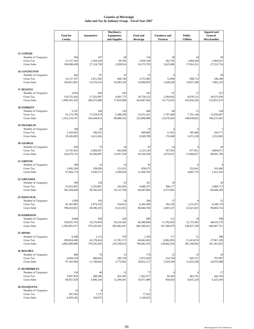|                                                                                     | <b>Total for</b><br>County            | <b>Automotive</b>                  | Machinery,<br>Equipment,<br>and Supplies | Food and                           | <b>Furniture and</b><br><b>Fixtures</b> | <b>Public</b><br><b>Utilities</b> | <b>Apparel and</b><br>General<br>Merchandise |
|-------------------------------------------------------------------------------------|---------------------------------------|------------------------------------|------------------------------------------|------------------------------------|-----------------------------------------|-----------------------------------|----------------------------------------------|
|                                                                                     |                                       |                                    |                                          | <b>Beverage</b>                    |                                         |                                   |                                              |
| <b>15 COPIAH</b><br>Number of Taxpayers<br>Gross Tax<br><b>Gross Sales</b>          | 594<br>12,137,145<br>196,608,438      | 107<br>1,594,528<br>27,124,758     | 28<br>99,783<br>2,020,814                | 136<br>3,939,169<br>56,273,793     | 20<br>393,792<br>5,625,606              | 10<br>1,004,458<br>17,814,321     | 28<br>1,904,931<br>27,212,754                |
| <b>16 COVINGTON</b><br>Number of Taxpayers<br><b>Gross Tax</b><br>Gross Sales       | 442<br>10,137,767<br>184,421,901      | 87<br>2.911.582<br>53,576,514      | 32<br>666,740<br>18,585,329              | 75<br>2,373,485<br>33,906,903      | 6<br>72,004<br>1,028,628                | 698,713<br>14,037,366             | 546.186<br>7,802,218                         |
| 17 DESOTO<br>Number of Taxpayers<br>Gross Tax<br><b>Gross Sales</b>                 | 3,054<br>154,755,426<br>2,498,182,559 | 426<br>17,322,997<br>296,475,088   | 193<br>4,491,775<br>71,839,098           | 543<br>29,728,122<br>424,687,045   | 67<br>2,364,043<br>33,772,019           | 17<br>8,978,151<br>163,656,592    | 227<br>36,675,030<br>523,853,374             |
| <b>18 FORREST</b><br>Number of Taxpayers<br><b>Gross Tax</b><br><b>Gross Sales</b>  | 2,147<br>91,273,700<br>1,552,134,767  | 344<br>17,229,974<br>320,444,914   | 120<br>5,388,294<br>99,688,343           | 466<br>15,672,321<br>223,890,080   | 69<br>1,797,480<br>25,678,264           | 11<br>7,701,144<br>148,038,825    | 144<br>12,936,007<br>184,231,463             |
| <b>19 FRANKLIN</b><br>Number of Taxpayers<br>Gross Tax<br><b>Gross Sales</b>        | 148<br>2,165,693<br>35,426,093        | 20<br>180,255<br>2.611.656         |                                          | 33<br>669,885<br>9,569,789         | 11,932<br>170,468                       | 305,466<br>5,472,236              | 164,771<br>2,352,945                         |
| 20 GEORGE<br>Number of Taxpayers<br>Gross Tax<br><b>Gross Sales</b>                 | 459<br>13,747,652<br>220,479,725      | 75<br>2,084,267<br>36,260,987      | 24<br>642,858<br>13,297,334              | 87<br>2,123,129<br>30,330,394      | 14<br>187,563<br>2,679,472              | 677,851<br>12,468,037             | 30<br>4,804,971<br>68,641,790                |
| 21 GREENE<br>Number of Taxpayers<br>Gross Tax<br>Gross Sales                        | 180<br>3,492,294<br>67,926,174        | 32<br>338,036<br>5,430,372         | 14<br>151,421<br>2,509,029               | 45<br>858,675<br>12,266,782        |                                         | 252,641<br>4,665,733              | 101,606<br>1,451,520                         |
| 22 GRENADA<br>Number of Taxpayers<br>Gross Tax<br>Gross Sales                       | 760<br>23,562,902<br>382,584,600      | 139<br>5,325,801<br>99,766,293     | 35<br>542,892<br>10,115,794              | 167<br>4,686,357<br>66,947,894     | 19<br>306,177<br>4,373,965              |                                   | 5,884,713<br>84,049,269                      |
| 23 HANCOCK<br>Number of Taxpayers<br>Gross Tax<br><b>Gross Sales</b>                | 1,059<br>42,565,085<br>788,433,852    | 103<br>2,879,102<br>49,496,183     | 54<br>534,821<br>9,222,501               | 209<br>6,303,280<br>90,046,768     | 27<br>182,220<br>2,603,147              | 1,231,973<br>22,621,022           | 51<br>6.349.718<br>90,684,754                |
| <b>24 HARRISON</b><br>Number of Taxpayers<br><b>Gross Tax</b><br><b>Gross Sales</b> | 4,684<br>318,655,763<br>5,582,881,917 | 658<br>32,276,819<br>579,220,341   | 256<br>18,534,282<br>303,482,047         | 849<br>46,589,696<br>665,566,421   | 151<br>11,702,659<br>167,180,679        | 16<br>12,715,383<br>238,437,259   | 308<br>48,610,170<br>694,087,751             |
| 25 HINDS<br>Number of Taxpayers<br>Gross Tax<br><b>Gross Sales</b>                  | 6,396<br>290,834,280<br>4,802,489,989 | 1,113<br>42,578,454<br>770,192,926 | 379<br>12,781,371<br>216,358,632         | 1,292<br>49,662,403<br>709,462,192 | 177<br>8,962,993<br>128,042,634         | 51<br>21,413,874<br>382,166,043   | 508<br>37,967,328<br>541,301,832             |
| <b>26 HOLMES</b><br>Number of Taxpayers<br><b>Gross Tax</b><br><b>Gross Sales</b>   | 460<br>6,044,518<br>97,501,994        | 70<br>680,642<br>11,749,626        | 13<br>189,758<br>3,772,692               | 176<br>2,075,650<br>29,652,127     | 12<br>232,704<br>3,324,349              | 15<br>645,557<br>12,455,548       | 29<br>767,997<br>10,970,388                  |
| 27 HUMPHREYS<br>Number of Taxpayers<br>Gross Tax<br><b>Gross Sales</b>              | 254<br>3,997,959<br>68,937,429        | 40<br>288,386<br>4,406,164         | 12<br>455,381<br>12,296,441              | 77<br>1,362,977<br>19,471,080      | 66,564<br>950,924                       | 483,701<br>8,655,234              | 17<br>442,764<br>6,325,194                   |
| 28 ISSAQUENA<br>Number of Taxpayers<br>Gross Tax<br>Gross Sales                     | 19<br>287,592<br>6,459,182            | 7,175<br>104,975                   |                                          | 77,422<br>1,106,032                |                                         |                                   |                                              |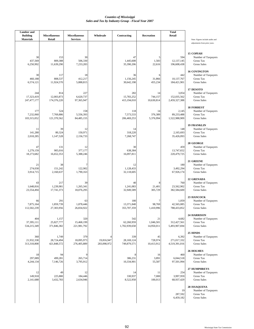| <b>Lumber</b> and<br><b>Building</b><br><b>Materials</b> | <b>Miscellaneous</b><br>Retail     | <b>Miscellaneous</b><br><b>Services</b> | Wholesale                 | Contracting                        | Recreation                    | <b>Total</b><br>Retail                |                                                                                     |
|----------------------------------------------------------|------------------------------------|-----------------------------------------|---------------------------|------------------------------------|-------------------------------|---------------------------------------|-------------------------------------------------------------------------------------|
|                                                          |                                    |                                         |                           |                                    |                               |                                       | Note: Figures include audits and<br>adjustments from prior years.                   |
| 30<br>437,569<br>6,250,992                               | 153<br>809,388<br>11,639,290       | 30<br>506,330<br>7,233,283              |                           | 47<br>1,445,608<br>35,390,206      | 5<br>1,583<br>22,616          | 594<br>12,137,145<br>196,608,438      | <b>15 COPIAH</b><br>Number of Taxpayers<br>Gross Tax<br><b>Gross Sales</b>          |
| 30<br>460,188<br>6,574,121                               | 117<br>808,537<br>11,924,570       | 18<br>412,217<br>5,888,815              |                           | 36<br>1,156,245<br>30,642,198      | 6<br>31,866<br>455,234        | 442<br>10,137,767<br>184,421,901      | <b>16 COVINGTON</b><br>Number of Taxpayers<br>Gross Tax<br><b>Gross Sales</b>       |
| 244<br>17,323,419<br>247, 477, 177                       | 814<br>12,003,873<br>174,376,220   | 227<br>6,620,737<br>97,365,947          |                           | 282<br>15,783,252<br>415,194,010   | 14<br>744,157<br>10,630,814   | 3,054<br>152,035,562<br>2,459,327,388 | 17 DESOTO<br>Number of Taxpayers<br>Gross Tax<br><b>Gross Sales</b>                 |
| 177<br>7,232,060<br>103,315,052                          | 524<br>7,769,886<br>121,370,562    | 158<br>5,556,393<br>84,485,155          |                           | 118<br>7,573,533<br>206,469,253    | 14<br>376,389<br>5,376,994    | 2,145<br>89,233,488<br>1,522,988,909  | <b>18 FORREST</b><br>Number of Taxpayers<br>Gross Tax<br><b>Gross Sales</b>         |
| 11<br>141,280<br>2,018,285                               | 39<br>80,324<br>1,147,528          | 12<br>150,971<br>2,156,733              |                           | 14<br>318,220<br>7,268,747         |                               | 148<br>2,165,693<br>35,426,093        | <b>19 FRANKLIN</b><br>Number of Taxpayers<br><b>Gross Tax</b><br><b>Gross Sales</b> |
| 47<br>1,279,159<br>18,273,682                            | 131<br>905,016<br>16,652,353       | 12<br>377,177<br>5,388,246              |                           | 30<br>638,384<br>16,097,811        |                               | 459<br>13,747,652<br>220,479,725      | 20 GEORGE<br>Number of Taxpayers<br><b>Gross Tax</b><br><b>Gross Sales</b>          |
| 21<br>274,030<br>3,914,715                               | 38<br>151,242<br>2,160,637         | 122,902<br>1,790,163                    |                           | 12<br>1,128,433<br>32,118,605      |                               | 180<br>3,492,294<br>67,926,174        | 21 GREENE<br>Number of Taxpayers<br>Gross Tax<br><b>Gross Sales</b>                 |
| 43<br>1,648,816<br>23,554,494                            | 217<br>1,239,981<br>17,741,373     | 39<br>1,265,341<br>18,076,295           |                           | 40<br>1,241,083<br>32,949,589      | 8<br>21,401<br>305,729        | 760<br>23,562,902<br>382,584,600      | 22 GRENADA<br>Number of Taxpayers<br>Gross Tax<br><b>Gross Sales</b>                |
| 66<br>7,875,164<br>112,502,239                           | 291<br>1,859,739<br>27,303,956     | 63<br>1,878,446<br>26,834,922           |                           | 180<br>13,371,848<br>355,707,359   | 7<br>98,769<br>1,410,996      | 1,059<br>42,565,085<br>788,433,852    | 23 HANCOCK<br>Number of Taxpayers<br>Gross Tax<br><b>Gross Sales</b>                |
| 404<br>37,395,111<br>534,215,349                         | 1,157<br>25,827,777<br>371,846,382 | 320<br>15,468,199<br>221,981,792        |                           | 542<br>62,260,959<br>1,702,939,658 | 21<br>1,046,501<br>14,950,011 | 4,682<br>312,427,561<br>5,493,907,694 | <b>24 HARRISON</b><br>Number of Taxpayers<br><b>Gross Tax</b><br><b>Gross Sales</b> |
| 360<br>21,932,338<br>313,318,808                         | 1,749<br>28,724,494<br>421,848,572 | 379<br>18,095,973<br>276,405,889        | 19,816,947<br>283,098,972 | 339<br>28,169,124<br>749,879,571   | 45<br>728,974<br>10,413,912   | 6,392<br>271,017,332<br>4,519,391,016 | 25 HINDS<br>Number of Taxpayers<br>Gross Tax<br><b>Gross Sales</b>                  |
| 18<br>297,089<br>4,244,134                               | 94<br>499,281<br>7,146,726         | 9<br>265,714<br>3,795,912               |                           | 8<br>386,231<br>10,334,901         | 16<br>3,891<br>55,587         | 460<br>6,044,518<br>97,501,994        | <b>26 HOLMES</b><br>Number of Taxpayers<br>Gross Tax<br><b>Gross Sales</b>          |
| 12<br>149,918<br>2,141,688                               | 49<br>225,880<br>3,432,783         | 12<br>184,446<br>2,634,946              |                           | 14<br>330,937<br>8,522,958         | 11<br>7,000<br>100,013        | 254<br>3,997,959<br>68,937,429        | 27 HUMPHREYS<br>Number of Taxpayers<br>Gross Tax<br><b>Gross Sales</b>              |
|                                                          |                                    |                                         |                           |                                    |                               | 19<br>287,592<br>6,459,182            | 28 ISSAQUENA<br>Number of Taxpayers<br>Gross Tax<br><b>Gross Sales</b>              |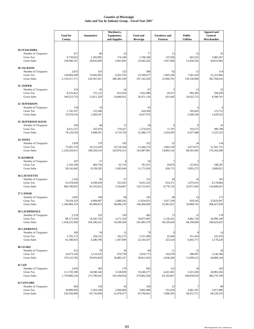|                                                                                      | <b>Total for</b><br>County            | <b>Automotive</b>                  | Machinery,<br>Equipment,<br>and Supplies | Food and<br><b>Beverage</b>      | <b>Furniture and</b><br><b>Fixtures</b> | <b>Public</b><br><b>Utilities</b> | <b>Apparel and</b><br>General<br>Merchandise |
|--------------------------------------------------------------------------------------|---------------------------------------|------------------------------------|------------------------------------------|----------------------------------|-----------------------------------------|-----------------------------------|----------------------------------------------|
| <b>29 ITAWAMBA</b>                                                                   |                                       |                                    |                                          |                                  |                                         |                                   |                                              |
| Number of Taxpayers<br>Gross Tax<br><b>Gross Sales</b>                               | 471<br>9,750,623<br>158,940,167       | 86<br>1,205,895<br>20,835,839      | 23<br>174,100<br>5,901,893               | 77<br>1,796,568<br>25,665,242    | 12<br>137,036<br>1,957,666              | 12<br>665,322<br>13,456,542       | 25<br>3,085,367<br>44,074,982                |
| 30 JACKSON<br>Number of Taxpayers<br>Gross Tax                                       | 2,815<br>120,004,509                  | 324<br>13,045,692                  | 125<br>6,955,705                         | 586<br>23,599,977                | 62<br>1,603,336                         | 12<br>7,581,419                   | 114<br>21,223,066                            |
| <b>Gross Sales</b><br>31 JASPER                                                      | 2,110,517,171                         | 229,367,921                        | 280, 385, 199                            | 337,142,204                      | 22,904,791                              | 139,158,966                       | 302,760,616                                  |
| Number of Taxpayers<br>Gross Tax<br><b>Gross Sales</b>                               | 314<br>8,233,422<br>140,523,733       | 45<br>721,122<br>12,011,329        | 24<br>812,024<br>14,846,951              | 67<br>1,852,980<br>26,471,130    | 5<br>29,473<br>421,045                  | 13<br>892,283<br>18,022,713       | 22<br>594,830<br>8,398,791                   |
| <b>32 JEFFERSON</b><br>Number of Taxpayers<br>Gross Tax<br>Gross Sales               | 134<br>1,742,197<br>33,078,318        | 19<br>125,586<br>2,260,547         |                                          | 63<br>624,958<br>8,927,974       |                                         | 185,643<br>3,368,540              | 113,712<br>1,620,532                         |
| <b>33 JEFFERSON DAVIS</b><br>Number of Taxpayers<br>Gross Tax<br><b>Gross Sales</b>  | 250<br>4,631,527<br>78,128,543        | 46<br>355,979<br>5,688,391         | 13<br>179,427<br>4,710,726               | 58<br>1,574,033<br>22,486,175    | 71,707<br>1,024,393                     | 354,575<br>6,427,880              | 16<br>386,788<br>5,525,523                   |
| 34 JONES<br>Number of Taxpayers<br>Gross Tax<br><b>Gross Sales</b>                   | 1,859<br>75,691,570<br>1,220,259,911  | 270<br>10,115,039<br>180,350,519   | 195<br>10,724,104<br>163,876,313         | 322<br>11,444,170<br>163,487,981 | 52<br>1,042,520<br>14,893,142           | 24<br>3,673,673<br>68,501,045     | 134<br>12,341,731<br>176,183,586             |
| <b>35 KEMPER</b><br>Number of Taxpayers<br>Gross Tax<br><b>Gross Sales</b>           | 167<br>2,193,196<br>38,142,442        | 27<br>469,736<br>8,359,205         | 8<br>65,719<br>1,905,044                 | 50<br>781,971<br>11,171,010      | 29,870<br>426,715                       | 215,852<br>3,993,272              | 188,287<br>2,689,821                         |
| <b>36 LAFAYETTE</b><br>Number of Taxpayers<br><b>Gross Tax</b><br><b>Gross Sales</b> | 1,163<br>41,678,020<br>666,708,825    | 95<br>4,599,630<br>81,516,022      | 57<br>323,435<br>5,164,067               | 212<br>9,431,225<br>134,731,651  | 28<br>614,371<br>8,776,732              | 16<br>1,875,915<br>32,071,645     | 103<br>8,178,884<br>116,690,653              |
| 37 LAMAR<br>Number of Taxpayers<br><b>Gross Tax</b><br><b>Gross Sales</b>            | 1,492<br>76,634,323<br>1,166,084,310  | 160<br>4,984,907<br>85,499,013     | 68<br>2,489,242<br>38,406,310            | 245<br>11,654,633<br>166,494,600 | 48<br>3,917,338<br>55,961,921           | 14<br>919,245<br>16,860,741       | 173<br>25,833,947<br>368,427,039             |
| <b>38 LAUDERDALE</b><br>Number of Taxpayers<br>Gross Tax<br>Gross Sales              | 2,278<br>88,173,359<br>1,418,255,928  | 333<br>14, 245, 745<br>258,186,252 | 150<br>3,271,324<br>54,290,584           | 482<br>16,875,992<br>241,085,370 | 73<br>2,136,431<br>30,520,420           | 15<br>4,462,726<br>84,199,669     | 178<br>20,990,140<br>299,625,023             |
| <b>39 LAWRENCE</b><br>Number of Taxpayers<br>Gross Tax<br><b>Gross Sales</b>         | 303<br>3,792,175<br>61,580,923        | 50<br>258,152<br>4,286,789         | 13<br>102,273<br>1,507,009               | 79<br>1,551,489<br>22,164,107    | 22,646<br>323,524                       | 351,434<br>6,443,771              | 14<br>222,476<br>3,178,229                   |
| <b>40 LEAKE</b><br>Number of Taxpayers<br>Gross Tax<br><b>Gross Sales</b>            | 412<br>10,673,145<br>179, 133, 782    | 78<br>2,123,435<br>39,916,929      | 36<br>670,758<br>16,885,227              | 84<br>2,016,773<br>28,811,024    | 11<br>142,678<br>2,038,260              | 12<br>580,997<br>11,099,212       | 34<br>3,146,396<br>44,809,144                |
| <b>41 LEE</b><br>Number of Taxpayers<br>Gross Tax<br><b>Gross Sales</b>              | 3,419<br>111,750,180<br>1,759,800,224 | 383<br>14,948,146<br>273,790,545   | 179<br>5,528,930<br>103,106,054          | 843<br>19,240,377<br>274,862,264 | 123<br>4,421,601<br>63,165,667          | 34<br>5,321,636<br>100,839,654    | 203<br>26,981,656<br>384,735,748             |
| <b>42 LEFLORE</b><br>Number of Taxpayers<br>Gross Tax<br><b>Gross Sales</b>          | 963<br>30,896,956<br>520,556,899      | 159<br>5,363,198<br>95,735,858     | 43<br>2,066,904<br>52,478,477            | 236<br>5,865,980<br>83,799,641   | 23<br>532,039<br>7,600,563              | 2,081,347<br>38,472,751           | 68<br>5,917,806<br>84,220,533                |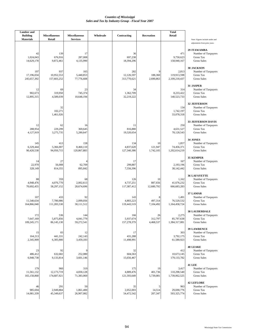| <b>Lumber</b> and<br><b>Building</b> | <b>Miscellaneous</b>             | <b>Miscellaneous</b>            | Wholesale | Contracting                      | Recreation                  | <b>Total</b><br>Retail                |                                                                                       |
|--------------------------------------|----------------------------------|---------------------------------|-----------|----------------------------------|-----------------------------|---------------------------------------|---------------------------------------------------------------------------------------|
| <b>Materials</b>                     | Retail                           | <b>Services</b>                 |           |                                  |                             |                                       | Note: Figures include audits and<br>adjustments from prior years.                     |
| 42<br>1,024,043<br>14,629,178        | 139<br>676,916<br>9,872,461      | 17<br>287,008<br>4,135,990      |           | 36<br>697,238<br>18,394,296      |                             | 471<br>9,750,623<br>158,940,167       | 29 ITAWAMBA<br>Number of Taxpayers<br><b>Gross Tax</b><br><b>Gross Sales</b>          |
| 197<br>17,196,034<br>245,657,392     | 937<br>10,952,553<br>157,603,252 | 165<br>5,440,853<br>77,776,608  |           | 282<br>12,126,597<br>313,770,621 | 9<br>188,360<br>2,690,863   | 2,813<br>119,913,598<br>2,109,218,437 | <b>30 JACKSON</b><br>Number of Taxpayers<br><b>Gross Tax</b><br><b>Gross Sales</b>    |
| 12<br>902,673<br>12,895,315          | 69<br>319,950<br>4,589,039       | 23<br>745,374<br>10,648,194     |           | 34<br>1,362,709<br>32,219,222    |                             | 314<br>8,233,422<br>140,523,733       | 31 JASPER<br>Number of Taxpayers<br>Gross Tax<br><b>Gross Sales</b>                   |
|                                      | 32<br>102,271<br>1,461,026       |                                 |           |                                  |                             | 134<br>1,742,197<br>33,078,318        | <b>32 JEFFERSON</b><br>Number of Taxpayers<br>Gross Tax<br><b>Gross Sales</b>         |
| 12<br>288,954<br>4,127,919           | 62<br>229,299<br>3,275,735       | 16<br>369,645<br>5,280,647      |           | 11<br>816,880<br>19,520,654      |                             | 250<br>4,631,527<br>78,128,543        | <b>33 JEFFERSON DAVIS</b><br>Number of Taxpayers<br>Gross Tax<br><b>Gross Sales</b>   |
| 145<br>6,329,444<br>90,420,538       | 413<br>5,366,007<br>94,950,715   | 158<br>8,460,110<br>120,867,883 |           | 134<br>4,837,620<br>127,340,386  | 10<br>121,947<br>1,742,105  | 1,857<br>74,456,371<br>1,202,614,219  | 34 JONES<br>Number of Taxpayers<br>Gross Tax<br><b>Gross Sales</b>                    |
| 14<br>22,970<br>328,149              | 27<br>56,008<br>814,355          | 4<br>62,709<br>895,842          |           | 17<br>299,887<br>7,556,396       |                             | 167<br>2,193,196<br>38,142,442        | <b>35 KEMPER</b><br>Number of Taxpayers<br><b>Gross Tax</b><br>Gross Sales            |
| 88<br>4,948,476<br>70,692,455        | 359<br>4,076,770<br>58,297,152   | 68<br>2,002,613<br>28,674,696   |           | 126<br>4,737,251<br>117,387,412  | 10<br>887,656<br>12,680,792 | 1,162<br>41,676,232<br>666,683,283    | <b>36 LAFAYETTE</b><br>Number of Taxpayers<br>Gross Tax<br><b>Gross Sales</b>         |
| 107<br>11,540,634<br>164,866,040     | 433<br>7,780,986<br>111,283,530  | 92<br>2,099,056<br>30,111,512   |           | 143<br>4,803,223<br>119,443,519  | 8<br>497,314<br>7,104,492   | 1,491<br>76,520,532<br>1,164,458,724  | 37 LAMAR<br>Number of Taxpayers<br>Gross Tax<br><b>Gross Sales</b>                    |
| 172<br>7,647,169<br>109,245,171      | 536<br>5,875,856<br>86,145,130   | 144<br>4,041,779<br>59,272,541  |           | 166<br>5,937,674<br>157,278,379  | 26<br>312,797<br>4,468,537  | 2,275<br>85,797,638<br>1,384,317,081  | <b>38 LAUDERDALE</b><br>Number of Taxpayers<br><b>Gross Tax</b><br><b>Gross Sales</b> |
| 15<br>164,213<br>2,345,909           | 83<br>441,331<br>6,305,900       | 12<br>242,143<br>3,459,183      |           | 17<br>431,288<br>11,498,991      |                             | 303<br>3,792,175<br>61,580,923        | <b>39 LAWRENCE</b><br>Number of Taxpayers<br>Gross Tax<br><b>Gross Sales</b>          |
| 23<br>486,412<br>6,948,738           | 92<br>632,682<br>9,133,814       | 9<br>252,080<br>3,601,146       |           | 32<br>604,563<br>15,656,467      |                             | 412<br>10,673,145<br>179, 133, 782    | <b>40 LEAKE</b><br>Number of Taxpayers<br>Gross Tax<br><b>Gross Sales</b>             |
| 179<br>11,561,132<br>165,158,868     | 960<br>12,173,719<br>174,687,921 | 319<br>4,830,128<br>71,383,069  |           | 175<br>4,889,476<br>121,593,649  | 19<br>401,736<br>5,739,081  | 3,417<br>110,298,540<br>1,739,062,525 | <b>41 LEE</b><br>Number of Taxpayers<br><b>Gross Tax</b><br><b>Gross Sales</b>        |
| 46<br>985,694<br>14,081,339          | 291<br>2,949,884<br>45,349,637   | 50<br>1,861,400<br>26,907,082   |           | 35<br>2,052,003<br>54,472,542    | 5<br>14,514<br>207,347      | 963<br>29,690,776<br>503,325,774      | <b>42 LEFLORE</b><br>Number of Taxpayers<br>Gross Tax<br><b>Gross Sales</b>           |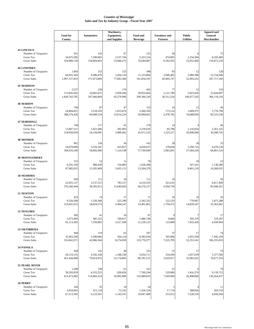|                                                                                 | <b>Total for</b><br>County         | <b>Automotive</b>               | Machinery,<br>Equipment,<br>and Supplies | Food and<br><b>Beverage</b>     | <b>Furniture and</b><br><b>Fixtures</b> | <b>Public</b><br><b>Utilities</b> | <b>Apparel and</b><br>General<br>Merchandise |
|---------------------------------------------------------------------------------|------------------------------------|---------------------------------|------------------------------------------|---------------------------------|-----------------------------------------|-----------------------------------|----------------------------------------------|
|                                                                                 |                                    |                                 |                                          |                                 |                                         |                                   |                                              |
| <b>43 LINCOLN</b><br>Number of Taxpayers<br>Gross Tax<br>Gross Sales            | 931<br>34,075,585<br>554,989,150   | 143<br>7,590,683<br>134,804,493 | 67<br>2,537,744<br>53,948,372            | 155<br>5,323,154<br>76,044,987  | 30<br>474,805<br>6,782,935              | 1,234,394<br>22,052,464           | 73<br>8,183,469<br>116,872,159               |
| <b>44 LOWNDES</b><br>Number of Taxpayers<br>Gross Tax                           | 1,903<br>64,955,343                | 253<br>9,386,470                | 125<br>3,264,120                         | 398<br>11,315,804               | 93<br>2,940,405                         | 12<br>2,960,388                   | 128<br>13,154,946                            |
| <b>Gross Sales</b>                                                              | 1,097,137,853                      | 171,073,069                     | 77,083,366                               | 161,654,191                     | 42,005,747                              | 52,993,252                        | 187,717,160                                  |
| <b>45 MADISON</b><br>Number of Taxpayers                                        | 2,527                              | 230                             | 176                                      | 443                             | 77                                      | 12                                | 210                                          |
| Gross Tax<br>Gross Sales                                                        | 112,942,042<br>1,828,743,785       | 10,665,675<br>187,666,804       | 5,950,266<br>92,579,996                  | 20,955,664<br>299,366,330       | 2,121,789<br>30,311,254                 | 5,923,626<br>106,977,543          | 25,644,807<br>366,110,218                    |
| <b>46 MARION</b>                                                                |                                    |                                 |                                          |                                 |                                         |                                   |                                              |
| Number of Taxpayers<br><b>Gross Tax</b><br>Gross Sales                          | 740<br>24,894,851<br>388,374,426   | 87<br>3,518,359<br>60,688,534   | 47<br>1,813,870<br>33,014,229            | 153<br>3,569,350<br>50,990,663  | 16<br>173,514<br>2,478,782              | 13<br>1,009,975<br>18,688,858     | 49<br>5,776,790<br>82,525,258                |
| <b>47 MARSHALL</b>                                                              |                                    |                                 |                                          |                                 |                                         |                                   |                                              |
| Number of Taxpayers<br>Gross Tax<br><b>Gross Sales</b>                          | 740<br>13,807,511<br>218,958,034   | 117<br>1,021,686<br>16,194,095  | 41<br>281,003<br>5,988,402               | 178<br>3,218,010<br>45,971,533  | 14<br>85,786<br>1,225,517               | 1,116,054<br>20,848,040           | 46<br>2,561,325<br>36,588,745                |
| <b>48 MONROE</b><br>Number of Taxpayers<br>Gross Tax                            | 961<br>19,079,899                  | 156<br>3,316,187                | 56<br>425,857                            | 162<br>4,039,637                | 28<br>278,858                           | 18<br>1,299,723                   | 55<br>4,676,128                              |
| Gross Sales                                                                     | 304,916,549                        | 58,892,096                      | 7,124,108                                | 57,709,049                      | 3,983,691                               | 27,584,256                        | 66,801,524                                   |
| <b>49 MONTGOMERY</b><br>Number of Taxpayers<br>Gross Tax<br><b>Gross Sales</b>  | 315<br>6,201,530<br>97,982,832     | 52<br>880,439<br>13,305,409     | 11<br>150,885<br>3,455,131               | 70<br>1,628,508<br>23,264,379   |                                         | 10<br>507,241<br>9,401,210        | 22<br>1,138,280<br>16,260,932                |
| 50 NESHOBA                                                                      |                                    |                                 |                                          |                                 |                                         |                                   |                                              |
| Number of Taxpayers<br>Gross Tax<br>Gross Sales                                 | 626<br>22,855,137<br>376,360,444   | 111<br>3,137,515<br>58,302,012  | 34<br>785,157<br>15,640,043              | 111<br>4,219,335<br>60,276,157  | 10<br>321,632<br>4,594,750              |                                   | 50<br>6,017,409<br>85,940,451                |
| 51 NEWTON                                                                       |                                    |                                 |                                          |                                 |                                         |                                   |                                              |
| Number of Taxpayers<br>Gross Tax<br>Gross Sales                                 | 423<br>9,526,508<br>153,641,015    | 74<br>1,556,368<br>28,824,574   | 27<br>225,290<br>3,494,247               | 72<br>2,342,332<br>33,461,862   | 16<br>122,533<br>1,750,472              | 10<br>770,907<br>14,829,547       | 20<br>2,471,288<br>35,303,901                |
| <b>52 NOXUBEE</b>                                                               |                                    |                                 |                                          |                                 |                                         |                                   |                                              |
| Number of Taxpayers<br>Gross Tax<br>Gross Sales                                 | 282<br>3,973,469<br>62,113,383     | 41<br>487,232<br>7,556,883      | 16<br>199,817<br>3,527,308               | 87<br>1,486,740<br>21,239,125   | $\overline{9}$<br>8,666<br>123,809      | 7<br>395,279<br>7,455,426         | 17<br>310,187<br>4,430,964                   |
| 53 OKTIBBEHA<br>Number of Taxpayers<br>Gross Tax                                | 944<br>33,463,240                  | 119<br>2,586,066                | 65<br>564,154                            | 187<br>8,383,934                | 37<br>505,806                           | 17<br>1,855,594                   | 74<br>7,445,104                              |
| Gross Sales                                                                     | 532,842,071                        | 42,986,564                      | 8,274,058                                | 119,770,377                     | 7,225,795                               | 32,253,541                        | 106,355,819                                  |
| 54 PANOLA<br>Number of Taxpayers<br>Gross Tax<br>Gross Sales                    | 928<br>28,153,155<br>451,444,968   | 141<br>4,342,338<br>79,014,935  | 40<br>1,188,338<br>22,174,865            | 223<br>5,654,711<br>80,781,515  | 31<br>254,094<br>3,629,917              | 17<br>1,657,639<br>32,981,652     | 79<br>5,377,506<br>76,677,254                |
| <b>55 PEARL RIVER</b><br>Number of Taxpayers<br>Gross Tax<br><b>Gross Sales</b> | 1,298<br>39,293,059<br>613,473,982 | 238<br>6,352,525<br>114,083,314 | 61<br>826,826<br>16,902,896              | 222<br>7,769,294<br>110,989,810 | 21<br>529,900<br>7,569,994              | 1,416,374<br>26,408,840           | 70<br>9,118,712<br>130,264,437               |
| 56 PERRY<br>Number of Taxpayers<br>Gross Tax<br>Gross Sales                     | 226<br>3,818,063<br>67,513,592     | 35<br>411,118<br>6,123,561      | 10<br>72,192<br>1,142,541                | 54<br>1,326,324<br>18,947,468   | 5<br>17,710<br>253,012                  | 388,836<br>7,228,534              | 11<br>283,518<br>4,050,266                   |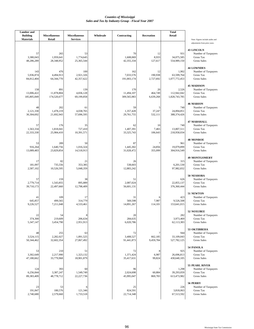| <b>Lumber</b> and<br><b>Building</b> | <b>Miscellaneous</b>             | <b>Miscellaneous</b>           | Wholesale | Contracting                      | <b>Recreation</b>          | <b>Total</b><br>Retail                |                                                                                        |
|--------------------------------------|----------------------------------|--------------------------------|-----------|----------------------------------|----------------------------|---------------------------------------|----------------------------------------------------------------------------------------|
| <b>Materials</b>                     | Retail                           | <b>Services</b>                |           |                                  |                            |                                       | Note: Figures include audits and<br>adjustments from prior years.                      |
| 57<br>3,380,043<br>48,286,289        | 265<br>1,959,641<br>28,348,952   | 53<br>1,774,645<br>25,365,544  |           | 70<br>1,608,069<br>42,355,334    | 12<br>8,933<br>127,617     | 931<br>34,075,585<br>554,989,150      | <b>43 LINCOLN</b><br>Number of Taxpayers<br>Gross Tax<br>Gross Sales                   |
| 143<br>5,936,874<br>84,812,404       | 476<br>4,494,913<br>64,344,770   | 100<br>2,921,326<br>42,357,622 |           | 162<br>7,033,576<br>191,003,174  | 12<br>190,938<br>2,727,692 | 1,902<br>63,599,764<br>1,077,772,453  | <b>44 LOWNDES</b><br>Number of Taxpayers<br>Gross Tax<br><b>Gross Sales</b>            |
| 158<br>13,006,422<br>185,805,849     | 891<br>11,878,804<br>174,520,677 | 139<br>4,836,128<br>69,199,858 |           | 170<br>11,494,107<br>309,565,983 | 20<br>464,749<br>6,639,268 | 2,526<br>112,942,042<br>1,828,743,785 | <b>45 MADISON</b><br>Number of Taxpayers<br>Gross Tax<br><b>Gross Sales</b>            |
| 48<br>2,121,330<br>30,304,692        | 202<br>1,478,219<br>21,692,943   | 61<br>4,038,765<br>57,696,595  |           | 59<br>1,357,428<br>29,761,755    | 5<br>37,247<br>532,111     | 740<br>24,894,851<br>388,374,426      | <b>46 MARION</b><br>Number of Taxpayers<br>Gross Tax<br><b>Gross Sales</b>             |
| 57<br>1,563,334<br>22,333,330        | 176<br>1,818,041<br>25,984,410   | 35<br>727,410<br>10,391,571    |           | 62<br>1,407,391<br>33,325,743    | 10<br>7,465<br>106,643     | 740<br>13,807,511<br>218,958,034      | <b>47 MARSHALL</b><br>Number of Taxpayers<br><b>Gross Tax</b><br><b>Gross Sales</b>    |
| 53<br>916,264<br>13,089,483          | 289<br>1,640,756<br>23,829,854   | 50<br>1,016,324<br>14,518,913  |           | 87<br>1,445,302<br>31,028,472    | 7<br>24,856<br>355,099     | 961<br>19,079,899<br>304,916,549      | <b>48 MONROE</b><br>Number of Taxpayers<br>Gross Tax<br><b>Gross Sales</b>             |
| 17<br>181,097<br>2,587,102           | 82<br>735,556<br>10,526,595      | 21<br>353,385<br>5,048,359     |           | 26<br>538,603<br>12,883,242      |                            | 315<br>6,201,530<br>97,982,832        | <b>49 MONTGOMERY</b><br>Number of Taxpayers<br>Gross Tax<br>Gross Sales                |
| 57<br>2,779,714<br>39,710,173        | 159<br>1,543,855<br>22,497,660   | 38<br>895,889<br>12,798,409    |           | 51<br>2,087,024<br>56,601,131    |                            | 626<br>22,855,137<br>376,360,444      | 50 NESHOBA<br>Number of Taxpayers<br><b>Gross Tax</b><br><b>Gross Sales</b>            |
| 41<br>645,857<br>9,226,527           | 109<br>499,565<br>7,211,048      | 17<br>314,779<br>4,533,461     |           | 31<br>569,598<br>14,891,267      | 6<br>7,987<br>114,101      | 423<br>9,526,508<br>153,641,015       | 51 NEWTON<br>Number of Taxpayers<br>Gross Tax<br><b>Gross Sales</b>                    |
| 22<br>374,300<br>5,347,147           | 54<br>219,609<br>3,454,790       | 8<br>206,634<br>2,951,913      |           | 20<br>284,635<br>6,020,786       |                            | 282<br>3,973,469<br>62,113,383        | <b>52 NOXUBEE</b><br>Number of Taxpayers<br><b>Gross Tax</b><br><b>Gross Sales</b>     |
| 48<br>3,524,115<br>50,344,462        | 255<br>2,282,027<br>32,602,354   | 63<br>1,891,525<br>27,067,492  |           | 72<br>3,408,527<br>91,441,873    | 7<br>662,185<br>9,459,784  | 944<br>33,109,043<br>527,782,125      | 53 OKTIBBEHA<br>Number of Taxpayers<br>Gross Tax<br><b>Gross Sales</b>                 |
| 53<br>3,302,649<br>47,180,662        | 210<br>2,217,990<br>33,779,968   | 51<br>1,323,132<br>18,901,879  |           | 72<br>1,371,424<br>35,417,631    | 8<br>6,987<br>99,824       | 925<br>26,696,813<br>430,640,105      | 54 PANOLA<br>Number of Taxpayers<br>Gross Tax<br>Gross Sales                           |
| 124<br>6,256,844<br>89,383,409       | 393<br>3,387,247<br>48,778,712   | 60<br>1,549,749<br>22,227,736  |           | 96<br>2,024,698<br>45,995,047    | 7<br>60,884<br>869,783     | 1,298<br>39,293,059<br>613,473,982    | <b>55 PEARL RIVER</b><br>Number of Taxpayers<br><b>Gross Tax</b><br><b>Gross Sales</b> |
| 23<br>191,847<br>2,740,680           | 53<br>180,576<br>2,579,660       | 121,346<br>1,733,518           |           | 25<br>824,591<br>22,714,348      |                            | 226<br>3,818,063<br>67,513,592        | 56 PERRY<br>Number of Taxpayers<br>Gross Tax<br><b>Gross Sales</b>                     |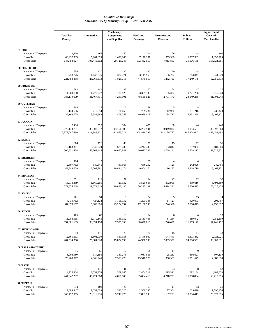|                                                                             | <b>Total for</b><br>County         | <b>Automotive</b>               | Machinery,<br>Equipment,<br>and Supplies | Food and<br><b>Beverage</b>     | <b>Furniture and</b><br><b>Fixtures</b> | <b>Public</b><br><b>Utilities</b> | <b>Apparel and</b><br>General<br>Merchandise |
|-----------------------------------------------------------------------------|------------------------------------|---------------------------------|------------------------------------------|---------------------------------|-----------------------------------------|-----------------------------------|----------------------------------------------|
|                                                                             |                                    |                                 |                                          |                                 |                                         |                                   |                                              |
| <b>57 PIKE</b><br>Number of Taxpayers<br>Gross Tax<br><b>Gross Sales</b>    | 1,200<br>40,932,333<br>644,498,927 | 165<br>5,961,655<br>105,445,562 | 60<br>1,490,863<br>29,128,246            | 294<br>7,170,251<br>102,432,059 | 26<br>553,966<br>7,913,800              | 14<br>1,787,382<br>31,676,188     | 109<br>11,098,285<br>158,524,581             |
| 58 PONTOTOC<br>Number of Taxpayers<br>Gross Tax                             | 656<br>13,758,775                  | 130<br>1,642,856                | 32<br>324,771                            | 120<br>3,119,969                | 20<br>86,292                            | 14<br>884,847                     | 33<br>3,644,729                              |
| <b>Gross Sales</b>                                                          | 221,788,838                        | 28,066,513                      | 7,825,713                                | 44,570,950                      | 1,232,750                               | 17,249,178                        | 52,050,613                                   |
| <b>59 PRENTISS</b><br>Number of Taxpayers<br>Gross Tax                      | 582<br>11,680,180                  | 149<br>1,770,777                | 23<br>138,829                            | 97<br>3,399,198                 | 24<br>195,382                           | 17<br>1,221,206                   | 37<br>2,219,278                              |
| Gross Sales                                                                 | 188,170,679                        | 31,467,431                      | 4,269,301                                | 48,559,926                      | 2,791,170                               | 24,649,230                        | 31,703,943                                   |
| <b>60 QUITMAN</b><br>Number of Taxpayers                                    | 204                                | 27                              | 7                                        | 78                              |                                         |                                   | -14                                          |
| <b>Gross Tax</b><br>Gross Sales                                             | 2,134,636<br>35,164,725            | 219,654<br>3,382,689            | 26,056<br>409,243                        | 769,231<br>10,989,013           | 12,930<br>184,717                       | 351,218<br>6,231,358              | 238,428<br>3,406,121                         |
| <b>61 RANKIN</b><br>Number of Taxpayers<br><b>Gross Tax</b>                 | 3,436<br>179,133,701               | 527<br>33,508,537               | 304<br>13,151,902                        | 435<br>26,237,901               | 100<br>9.949.094                        | 44<br>8,014,581                   | 249<br>30,997,363                            |
| <b>Gross Sales</b>                                                          | 2,877,067,619                      | 611,983,801                     | 211,965,024                              | 374,826,795                     | 142,129,777                             | 147,374,647                       | 442,452,993                                  |
| 62 SCOTT<br>Number of Taxpayers<br>Gross Tax                                | 604<br>17,163,361                  | 126<br>2,848,070                | 43<br>629,432                            | 130<br>4,247,449                | 15<br>193,840                           | 12<br>897,905                     | 51<br>3,481,504                              |
| Gross Sales                                                                 | 300,631,478                        | 52,267,445                      | 16,652,842                               | 60,677,782                      | 2,769,141                               | 17,778,217                        | 49,726,871                                   |
| <b>63 SHARKEY</b><br>Number of Taxpayers<br>Gross Tax<br><b>Gross Sales</b> | 124<br>2,507,712<br>43,343,029     | 12<br>189,545<br>2,707,791      | 8<br>489,565<br>10,824,174               | 37<br>686,292<br>9,804,174      | 1,129<br>16,132                         | 242,026<br>4,318,719              | 242,706<br>3,467,231                         |
| <b>64 SIMPSON</b>                                                           |                                    |                                 |                                          |                                 |                                         |                                   |                                              |
| Number of Taxpayers<br>Gross Tax<br><b>Gross Sales</b>                      | 591<br>16,973,859<br>271,656,068   | 111<br>1,660,265<br>29,371,613  | 37<br>421,932<br>10,068,436              | 114<br>3,520,663<br>50,295,139  | 22<br>392,996<br>5,614,231              | 12<br>899,616<br>16,630,525       | 37<br>5,493,389<br>78,426,425                |
| 65 SMITH                                                                    |                                    |                                 |                                          |                                 |                                         |                                   |                                              |
| Number of Taxpayers<br><b>Gross Tax</b><br><b>Gross Sales</b>               | 261<br>4,730,762<br>84,879,157     | 34<br>427,124<br>6,989,806      | 8<br>1,106,932<br>23,274,594             | 54<br>1,203,338<br>17,190,536   | 5<br>17,121<br>244,596                  | 15<br>429,003<br>7,800,875        | 14<br>293,407<br>4,190,697                   |
| <b>66 STONE</b>                                                             |                                    |                                 |                                          |                                 |                                         |                                   |                                              |
| Number of Taxpayers<br>Gross Tax<br><b>Gross Sales</b>                      | 405<br>11,984,965<br>194,001,185   | 60<br>1,979,143<br>33,994,158   | 19<br>365,352<br>7,975,156               | 74<br>2,133,463<br>30,478,015   | 87,254<br>1,246,496                     | 589,042<br>11,153,142             | 23<br>4,052,109<br>57,741,492                |
| <b>67 SUNFLOWER</b><br>Number of Taxpayers                                  | 618                                | 116                             | 25                                       | 170                             | 15                                      | 11                                | 43                                           |
| Gross Tax<br><b>Gross Sales</b>                                             | 12,661,513<br>204,514,350          | 1,601,000<br>25,884,828         | 859,938<br>19,822,639                    | 3,146,960<br>44,956,536         | 144,449<br>2,063,558                    | 1,373,482<br>24,716,551           | 2,723,921<br>38,909,691                      |
| <b>68 TALLAHATCHIE</b><br>Number of Taxpayers                               | 316                                | 56                              | 17                                       | 98                              | 11                                      |                                   | 18                                           |
| Gross Tax<br>Gross Sales                                                    | 3,906,980<br>73,260,877            | 314,180<br>4,866,246            | 389,275<br>7,599,276                     | 1,087,851<br>15,540,725         | 25,237<br>360,537                       | 356,627<br>6,761,679              | 307,139<br>4,387,698                         |
| 69 TATE<br>Number of Taxpayers                                              | 641                                | 118                             | 41                                       | 78                              | 23                                      |                                   | 52                                           |
| Gross Tax<br>Gross Sales                                                    | 14,736,964<br>241,642,282          | 2,552,378<br>45,724,368         | 309,645<br>4,866,009                     | 2,454,511<br>35,064,416         | 295,311<br>4,218,733                    | 882,134<br>16,310,894             | 4,187,823<br>59,715,395                      |
| <b>70 TIPPAH</b>                                                            |                                    |                                 |                                          |                                 |                                         |                                   |                                              |
| Number of Taxpayers<br>Gross Tax<br>Gross Sales                             | 534<br>9,088,347<br>145,452,965    | 101<br>1,352,609<br>23,516,276  | 26<br>330,320<br>5,740,775               | 93<br>2,300,335<br>32,861,900   | 14<br>77,504<br>1,107,201               | 13<br>629,690<br>13,354,413       | 21<br>1,790,476<br>25,570,995                |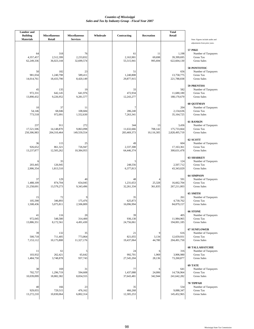| <b>Lumber</b> and                   | <b>Miscellaneous</b>             |                                         | Wholesale |                                  |                             | <b>Total</b>                          |                                                                                                           |
|-------------------------------------|----------------------------------|-----------------------------------------|-----------|----------------------------------|-----------------------------|---------------------------------------|-----------------------------------------------------------------------------------------------------------|
| <b>Building</b><br><b>Materials</b> | Retail                           | <b>Miscellaneous</b><br><b>Services</b> |           | Contracting                      | Recreation                  | Retail                                | Note: Figures include audits and                                                                          |
| 64<br>4,357,457<br>62,249,336       | 318<br>2,512,399<br>36,023,144   | 76<br>2,233,832<br>32,699,574           |           | 61<br>2,163,901<br>55,515,941    | 11<br>69,698<br>995,694     | 1,198<br>39,399,695<br>622,604,130    | adjustments from prior years.<br><b>57 PIKE</b><br>Number of Taxpayers<br>Gross Tax<br><b>Gross Sales</b> |
| 50<br>981,034<br>14,014,761         | 182<br>1,240,798<br>18,433,790   | 23<br>589.411<br>8,420,149              |           | 51<br>1,240,808<br>29,877,915    |                             | 656<br>13,758,775<br>221,788,838      | 58 PONTOTOC<br>Number of Taxpayers<br><b>Gross Tax</b><br><b>Gross Sales</b>                              |
| 45<br>972,331<br>13,890,432         | 135<br>642,145<br>9,226,952      | 19<br>641,976<br>9,281,577              |           | 33<br>472,934<br>12,243,277      |                             | 582<br>11,680,180<br>188,170,679      | <b>59 PRENTISS</b><br>Number of Taxpayers<br>Gross Tax<br><b>Gross Sales</b>                              |
| 10<br>54,146<br>773,518             | 37<br>68,046<br>972,091          | 11<br>108,684<br>1,552,630              |           | 7<br>286,240<br>7,263,341        |                             | 204<br>2,134,636<br>35,164,725        | <b>60 QUITMAN</b><br>Number of Taxpayers<br><b>Gross Tax</b><br><b>Gross Sales</b>                        |
| 237<br>17,521,506<br>250,306,983    | 911<br>14,148,870<br>204,310,464 | 272<br>9,863,098<br>149,559,554         |           | 344<br>11,632,666<br>283,469,373 | 13<br>708,142<br>10,116,305 | 3,436<br>175,733,664<br>2,828,495,719 | <b>61 RANKIN</b><br>Number of Taxpayers<br>Gross Tax<br><b>Gross Sales</b>                                |
| 36<br>926.652<br>13,237,877         | 115<br>861,321<br>12,505,262     | 25<br>726,947<br>10,384,955             |           | 49<br>2,337,308<br>64,446,374    |                             | 604<br>17,163,361<br>300,631,478      | 62 SCOTT<br>Number of Taxpayers<br>Gross Tax<br><b>Gross Sales</b>                                        |
| 6<br>203,445<br>2,906,354           | 35<br>126,945<br>1,813,510       |                                         |           | 5<br>248,556<br>6,377,813        |                             | 124<br>2,507,712<br>43,343,029        | <b>63 SHARKEY</b><br>Number of Taxpayers<br><b>Gross Tax</b><br><b>Gross Sales</b>                        |
| 37<br>1,488,109<br>21,258,691       | 129<br>874,704<br>13,579,273     | 40<br>654,045<br>9,343,496              |           | 48<br>1,231,653<br>32,261,334    | 25,328<br>361,835           | 591<br>16,662,704<br>267,211,003      | <b>64 SIMPSON</b><br>Number of Taxpayers<br>Gross Tax<br><b>Gross Sales</b>                               |
| 15<br>105,590<br>1,508,436          | 72<br>346,893<br>5,075,811       | S<br>175,476<br>2,506,809               |           | 35<br>625,873<br>16,096,994      |                             | 261<br>4,730,762<br>84,879,157        | <b>65 SMITH</b><br>Number of Taxpayers<br>Gross Tax<br><b>Gross Sales</b>                                 |
| 41<br>972,045<br>13,886,351         | 116<br>548,580<br>8,172,561      | 20<br>314,400<br>4,491,430              |           | 39<br>936,130<br>24,756,061      |                             | 405<br>11,984,965<br>194,001,185      | <b>66 STONE</b><br>Number of Taxpayers<br>Gross Tax<br><b>Gross Sales</b>                                 |
| 39<br>500,718<br>7,153,112          | 132<br>711,405<br>10,175,808     | 35<br>773,864<br>11,327,176             |           | 21<br>821,055<br>19,437,064      | 9<br>3,134<br>44,780        | 616<br>12,659,931<br>204,491,750      | <b>67 SUNFLOWER</b><br>Number of Taxpayers<br>Gross Tax<br><b>Gross Sales</b>                             |
| 11<br>103,932<br>1,484,750          | 61<br>262,421<br>3,748,878       | 5<br>65,642<br>937,743                  |           | 24<br>992,701<br>27,545,204      | 6<br>1,969<br>28,136        | 316<br>3,906,980<br>73,260,877        | <b>68 TALLAHATCHIE</b><br>Number of Taxpayers<br>Gross Tax<br><b>Gross Sales</b>                          |
| 38<br>702,737<br>10,039,099         | 169<br>1,296,719<br>18,882,382   | 31<br>594,608<br>8,834,555              |           | 77<br>1,437,088<br>37,643,481    | 6<br>24,006<br>342,944      | 641<br>14,736,964<br>241,642,282      | 69 TATE<br>Number of Taxpayers<br>Gross Tax<br><b>Gross Sales</b>                                         |
| 40<br>929,055<br>13,272,210         | 166<br>729,515<br>10,830,064     | 23<br>476,162<br>6,802,314              |           | 35<br>466,268<br>12,305,253      |                             | 534<br>9,088,347<br>145,452,965       | 70 TIPPAH<br>Number of Taxpayers<br>Gross Tax<br><b>Gross Sales</b>                                       |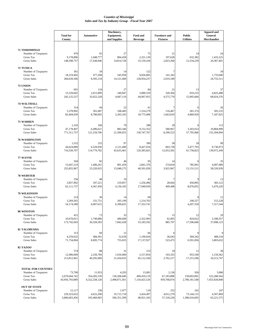|                                            | <b>Total for</b>             | <b>Automotive</b>        | Machinery,<br>Equipment,  | Food and                 | <b>Furniture and</b>    | <b>Public</b>               | <b>Apparel and</b><br>General |
|--------------------------------------------|------------------------------|--------------------------|---------------------------|--------------------------|-------------------------|-----------------------------|-------------------------------|
|                                            | County                       |                          | and Supplies              | <b>Beverage</b>          | <b>Fixtures</b>         | <b>Utilities</b>            | <b>Merchandise</b>            |
|                                            |                              |                          |                           |                          |                         |                             |                               |
| 71 TISHOMINGO<br>Number of Taxpayers       | 476                          | 92                       | 27                        | 75                       | 21                      | 14                          | 24                            |
| Gross Tax                                  | 9,178,896                    | 1,048,777                | 894.458                   | 2,321,139                | 197,628                 | 632,382                     | 1,433,225                     |
| <b>Gross Sales</b>                         | 148,598,757                  | 17,438,946               | 14,814,728                | 33,159,104               | 2,823,260               | 12,534,239                  | 20,387,401                    |
| <b>72 TUNICA</b>                           |                              |                          |                           |                          |                         |                             |                               |
| Number of Taxpayers                        | 361                          | 34                       | 14                        | 122                      | 7                       |                             | 34                            |
| Gross Tax<br><b>Gross Sales</b>            | 18.219.492<br>284,639,506    | 477,208<br>8,395,134     | 545,958<br>14,121,400     | 9.026.805<br>128,954,237 | 141,343<br>2,019,189    |                             | 1,733,040<br>24,755,511       |
|                                            |                              |                          |                           |                          |                         |                             |                               |
| 73 UNION                                   | 601                          | 124                      | 27                        | 84                       |                         | 13                          |                               |
| Number of Taxpayers<br>Gross Tax           | 15,529,602                   | 2,015,899                | 240,847                   | 3,080,559                | 21<br>320,304           | 810,233                     | 37<br>4,825,488               |
| <b>Gross Sales</b>                         | 242,125,527                  | 35,652,528               | 4,687,110                 | 44,007,955               | 4,575,770               | 15,095,660                  | 68,924,376                    |
| <b>74 WALTHALL</b>                         |                              |                          |                           |                          |                         |                             |                               |
| Number of Taxpayers                        | 314                          | 44                       | 22                        | 61                       |                         |                             | 26                            |
| Gross Tax<br><b>Gross Sales</b>            | 5,378,902                    | 501,687                  | 108,483                   | 1,314,279                | 116,467                 | 281.374                     | 503.155                       |
|                                            | 82,404,030                   | 8,780,992                | 2,205,183                 | 18,775,408               | 1,663,819               | 4,989,929                   | 7,187,925                     |
| <b>75 WARREN</b>                           |                              |                          |                           |                          |                         |                             |                               |
| Number of Taxpayers<br>Gross Tax           | 1,316<br>47,178,407          | 166<br>6,496,621         | 70<br>883,346             | 288<br>9,152,352         | 29<br>580,967           | 3,343,014                   | 112<br>10,884,999             |
| <b>Gross Sales</b>                         | 771,311,757                  | 121,259,706              | 21,500,055                | 130,747,767              | 8,299,523               | 57,795,966                  | 155,394,994                   |
| <b>76 WASHINGTON</b>                       |                              |                          |                           |                          |                         |                             |                               |
| Number of Taxpayers                        | 1,552                        | 252                      | 97                        | 390                      | 58                      | 18                          | 99                            |
| Gross Tax<br><b>Gross Sales</b>            | 44,624,889<br>716,550,707    | 6,529,930<br>114,779,782 | 2,121,490<br>45,635,461   | 8,427,016<br>120,385,825 | 843,738<br>12,053,392   | 3,477,793<br>61,758,823     | 9,736,973<br>139,072,349      |
|                                            |                              |                          |                           |                          |                         |                             |                               |
| 77 WAYNE<br>Number of Taxpayers            | 504                          | 82                       | 46                        | 95                       | 14                      |                             | 35                            |
| Gross Tax                                  | 15,647,214                   | 1,406,261                | 801,459                   | 2,841,376                | 274,818                 | 785,991                     | 4,097,989                     |
| <b>Gross Sales</b>                         | 255,855,967                  | 23,220,925               | 15,948,275                | 40,591,050               | 3,925,967               | 15,131,511                  | 58,520,939                    |
| <b>78 WEBSTER</b>                          |                              |                          |                           |                          |                         |                             |                               |
| Number of Taxpayers                        | 256                          | 48                       | 19                        | 43                       | 7                       |                             | 13                            |
| <b>Gross Tax</b><br><b>Gross Sales</b>     | 3,857,902<br>62,111,737      | 297,221<br>4,367,450     | 219,857<br>4,136,183      | 1,256,496<br>17,949,930  | 28,664<br>409,498       | 450,895<br>8,676,855        | 383,122<br>5,470,220          |
|                                            |                              |                          |                           |                          |                         |                             |                               |
| <b>79 WILKINSON</b><br>Number of Taxpayers | 214                          | 30                       | 14                        | 69                       |                         |                             | 12                            |
| Gross Tax                                  | 3,269,565                    | 331,751                  | 265.199                   | 1,214,763                |                         | 240,257                     | 512,228                       |
| <b>Gross Sales</b>                         | 54,174,580                   | 6,007,615                | 6,390,825                 | 17,353,741               |                         | 4,207,550                   | 7,317,544                     |
| 80 WINSTON                                 |                              |                          |                           |                          |                         |                             |                               |
| Number of Taxpayers                        | 421                          | 73                       | 33                        | 73                       | 15                      | 12                          | 29                            |
| <b>Gross Tax</b><br><b>Gross Sales</b>     | 10,670,811<br>173,742,043    | 1,749,886<br>30,328,303  | 400,600<br>7,842,428      | 2,322,993<br>33,185,592  | 62,005<br>885,797       | 824,022<br>17,596,606       | 2,598,357<br>37,098,123       |
|                                            |                              |                          |                           |                          |                         |                             |                               |
| <b>81 YALOBUSHA</b><br>Number of Taxpayers | 313                          | 60                       | 12                        |                          |                         |                             |                               |
| Gross Tax                                  | 4,259,032                    | 484,391                  | 52,639                    | 66<br>1,199,656          | 36,643                  | 369,342                     | 408,318                       |
| <b>Gross Sales</b>                         | 71,734,004                   | 8,695,774                | 755,655                   | 17,137,927               | 523,473                 | 6,591,856                   | 5,803,632                     |
| <b>82 YAZOO</b>                            |                              |                          |                           |                          |                         |                             |                               |
| Number of Taxpayers                        | 574                          | 88                       | 31                        | 153                      | 10                      | 11                          | 38                            |
| Gross Tax<br><b>Gross Sales</b>            | 12,906,009<br>213,812,961    | 2,256,784<br>40,295,000  | 1,016,960<br>21,434,933   | 3,157,854<br>45,112,160  | 193,355<br>2,762,217    | 955,540<br>17,215,596       | 1,159,362<br>16,513,747       |
|                                            |                              |                          |                           |                          |                         |                             |                               |
| <b>TOTAL FOR COUNTIES</b>                  |                              |                          |                           |                          |                         |                             |                               |
| Number of Taxpayers                        | 73,700                       | 11,053                   | 4,293                     | 15,081                   | 2,136                   | 926                         | 5,086                         |
| Gross Tax                                  | 2,670,044,742                | 354,282,539              | 130,268,440               | 499,410,119              | 67,183,888              | 150,693,891                 | 522,288,564                   |
| <b>Gross Sales</b>                         | 43,956,793,089               | 6,322,258,128            | 2,498,871,501             | 7,134,423,126            | 959,768,874             | 2,780,181,548               | 7,453,928,848                 |
| <b>OUT OF STATE</b>                        |                              |                          |                           |                          |                         |                             |                               |
| Number of Taxpayers                        | 12,117                       | 236                      | 1,977                     | 119                      | 252                     | 241                         | 247                           |
| Gross Tax<br><b>Gross Sales</b>            | 229,323,652<br>3,806,603,456 | 4,622,208<br>103,460,965 | 35,715,718<br>566,351,599 | 3,424,497<br>48,921,343  | 4,012,279<br>57,318,228 | 73,144,115<br>1,380,616,693 | 4,507,869<br>63,221,575       |
|                                            |                              |                          |                           |                          |                         |                             |                               |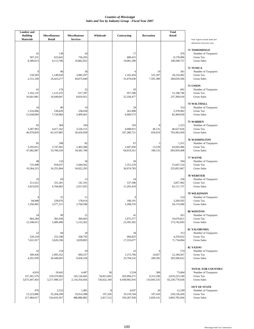| <b>Lumber</b> and<br><b>Building</b>  | <b>Miscellaneous</b>                   | <b>Miscellaneous</b>                  | Wholesale                       | Contracting                           | Recreation                      | <b>Total</b><br>Retail                    |                                                                                     |
|---------------------------------------|----------------------------------------|---------------------------------------|---------------------------------|---------------------------------------|---------------------------------|-------------------------------------------|-------------------------------------------------------------------------------------|
| <b>Materials</b>                      | Retail                                 | <b>Services</b>                       |                                 |                                       |                                 |                                           | Note: Figures include audits and<br>adjustments from prior years.                   |
| 41<br>587,231<br>8,389,013            | 138<br>623,642<br>9,113,706            | 24<br>756,205<br>10,802,922           |                                 | 17<br>680,415<br>19,081,290           |                                 | 476<br>9,178,896<br>148,598,757           | 71 TISHOMINGO<br>Number of Taxpayers<br>Gross Tax<br>Gross Sales                    |
| 9<br>150,593<br>2,151,330             | 86<br>1,149,630<br>16,423,277          | 36<br>3,085,297<br>44,075,640         |                                 | 6<br>1,162,454<br>31,679,630          | 10<br>531,397<br>7,591,389      | 361<br>18,219,492<br>284,639,506          | 72 TUNICA<br>Number of Taxpayers<br>Gross Tax<br><b>Gross Sales</b>                 |
| 41<br>1,162,132<br>16,601,881         | 176<br>1,123,255<br>16,049,847         | 32<br>617,397<br>8,819,951            |                                 | 43<br>957,306<br>22,336,477           |                                 | 601<br>15,198,746<br>237,399,018          | 73 UNION<br>Number of Taxpayers<br>Gross Tax<br><b>Gross Sales</b>                  |
| 24<br>1,516,066<br>21,658,064         | 80<br>536,629<br>7,720,866             | 14<br>238,658<br>3,409,401            |                                 | 29<br>261,898<br>6,009,573            |                                 | 314<br>5,378,902<br>82,404,030            | <b>74 WALTHALL</b><br>Number of Taxpayers<br>Gross Tax<br><b>Gross Sales</b>        |
| 65<br>3,287,963<br>46,970,859         | 364<br>4,417,162<br>63,107,885         | 104<br>3,526,151<br>50,420,958        |                                 | 103<br>4,008,915<br>107,286,721       | 8<br>46,131<br>659,019          | 1,315<br>46,627,626<br>763,443,459        | <b>75 WARREN</b><br>Number of Taxpayers<br>Gross Tax<br><b>Gross Sales</b>          |
| 85<br>3,295,812<br>47,082,987         | 398<br>3,747,465<br>53,700,530         | 82<br>2,402,586<br>34,381,768         |                                 | 67<br>2,447,450<br>64,919,351         | 5<br>13,239<br>189,135          | 1,551<br>43,043,496<br>693,959,408        | 76 WASHINGTON<br>Number of Taxpayers<br><b>Gross Tax</b><br><b>Gross Sales</b>      |
| 48<br>725,498<br>10,364,253           | 116<br>918,037<br>16,255,964           | 36<br>2,444,562<br>34,922,293         |                                 | 26<br>1,351,218<br>36,974,783         |                                 | 504<br>15,647,214<br>255,855,967          | 77 WAYNE<br>Number of Taxpayers<br><b>Gross Tax</b><br>Gross Sales                  |
| 10<br>211,612<br>3,023,035            | 69<br>331,281<br>4,766,802             | 13<br>141,191<br>2,017,025            |                                 | 24<br>537,396<br>11,292,418           |                                 | 256<br>3,857,902<br>62,111,737            | <b>78 WEBSTER</b><br>Number of Taxpayers<br>Gross Tax<br><b>Gross Sales</b>         |
| 94,948<br>1,356,405                   | 55<br>228,076<br>3,377,215             | 11<br>178,614<br>2,704,590            |                                 | 9<br>186,191<br>5,208,576             |                                 | 214<br>3.269.565<br>54,174,580            | 79 WILKINSON<br>Number of Taxpayers<br>Gross Tax<br><b>Gross Sales</b>              |
| 24<br>864,284<br>12,346,913           | 99<br>382,938<br>5,489,480             | 21<br>360,665<br>5,152,362            |                                 | 41<br>1,075,577<br>23,395,302         |                                 | 421<br>10,670,811<br>173,742,043          | 80 WINSTON<br>Number of Taxpayers<br>Gross Tax<br>Gross Sales                       |
| 22<br>520,234<br>7,431,917            | 84<br>252,188<br>3,620,196             | 10<br>268,792<br>3,839,893            |                                 | 34<br>666,825<br>17,333,677           |                                 | 313<br>4,259,032<br>71,734,004            | <b>81 YALOBUSHA</b><br>Number of Taxpayers<br>Gross Tax<br><b>Gross Sales</b>       |
| 32<br>300,436<br>4,291,939            | 154<br>1,095,352<br>20,440,603         | 29<br>660,557<br>9,436,528            |                                 | 22<br>1,373,706<br>25,794,532         | 14,657<br>209,392               | 574<br>12,184,567<br>203,506,652          | <b>82 YAZOO</b><br>Number of Taxpayers<br>Gross Tax<br><b>Gross Sales</b>           |
| 4,910<br>257,281,579<br>3,675,447,454 | 19,642<br>219,379,983<br>3,217,498,537 | 4,497<br>145,126,665<br>2,116,354,456 | 36<br>50,821,602<br>726,022,160 | 5,534<br>263,994,271<br>6,938,992,916 | 506<br>9,313,196<br>133,045,535 | 73,664<br>2,619,223,140<br>43,230,770,928 | <b>TOTAL FOR COUNTIES</b><br>Number of Taxpayers<br>Gross Tax<br><b>Gross Sales</b> |
| 976<br>15,223,896<br>217,484,017      | 2,523<br>35,204,298<br>524,416,567     | 1,481<br>33,914,388<br>488,886,882    | 8<br>197,226<br>2,817,512       | 4,037<br>19,159,744<br>350,287,930    | 20<br>197,410<br>2,820,141      | 12,109<br>229,126,426<br>3,803,785,944    | <b>OUT OF STATE</b><br>Number of Taxpayers<br>Gross Tax<br><b>Gross Sales</b>       |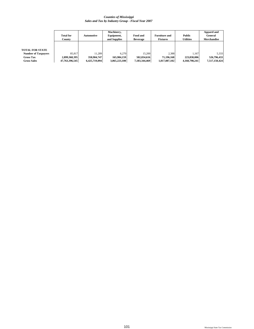|                            | <b>Total for</b><br>County | Automotive    | Machinery,<br>Equipment,<br>and Supplies | Food and<br><b>Beverage</b> | <b>Furniture and</b><br><b>Fixtures</b> | <b>Public</b><br>Utilities | Apparel and<br>General<br><b>Merchandise</b> |
|----------------------------|----------------------------|---------------|------------------------------------------|-----------------------------|-----------------------------------------|----------------------------|----------------------------------------------|
| TOTAL FOR STATE            |                            |               |                                          |                             |                                         |                            |                                              |
| <b>Number of Taxpayers</b> | 85.817                     | 11.289        | 6.270                                    | 15.200                      | 2.388                                   | 1.167                      | 5.333                                        |
| <b>Gross Tax</b>           | 2,899,368,395              | 358,904,747   | 165,984,159                              | 502,834,616                 | 71.196.168                              | 223,838,006                | 526,796,433                                  |
| <b>Gross Sales</b>         | 47,763,396,545             | 6,425,719,094 | 3,065,223,100                            | 7,183,344,469               | 1,017,087,102                           | 4,160,798,241              | 7,517,150,424                                |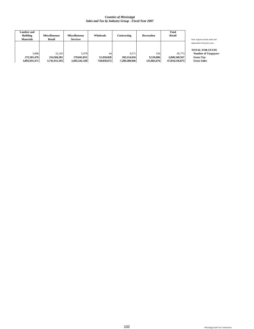| Lumber and<br><b>Building</b><br><b>Materials</b> | <b>Miscellaneous</b><br>Retail | Miscellaneous<br><b>Services</b> | Wholesale   | Contracting   | Recreation  | Total<br>Retail | Note: Figures include audits and |
|---------------------------------------------------|--------------------------------|----------------------------------|-------------|---------------|-------------|-----------------|----------------------------------|
|                                                   |                                |                                  |             |               |             |                 | adjustments from prior years.    |
|                                                   |                                |                                  |             |               |             |                 | <b>TOTAL FOR STATE</b>           |
| 5.886                                             | 22.165                         | 5.978                            | 44          | 9.571         | 526         | 85,773          | <b>Number of Taxpayers</b>       |
| 272,505,476                                       | 254,584,281                    | 179,041,053                      | 51.018.828  | 283.154.016   | 9.510.606   | 2,848,349,567   | <b>Gross Tax</b>                 |
| 3,892,931,471                                     | 3,741,915,105                  | 2,605,241,338                    | 728,839,672 | 7.289.280.846 | 135,865,676 | 47,034,556,873  | <b>Gross Sales</b>               |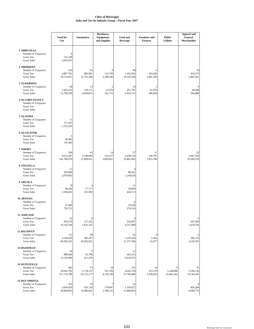|                                                                                          | <b>Total for</b><br>City         | <b>Automotive</b>             | Machinery,<br>Equipment,<br>and Supplies | Food and<br><b>Beverage</b>    | <b>Furniture and</b><br><b>Fixtures</b> | <b>Public</b><br><b>Utilities</b> | <b>Apparel and</b><br>General<br>Merchandise |
|------------------------------------------------------------------------------------------|----------------------------------|-------------------------------|------------------------------------------|--------------------------------|-----------------------------------------|-----------------------------------|----------------------------------------------|
| <b>1 ABBEVILLE</b><br>Number of Taxpayers<br><b>Gross Tax</b><br><b>Gross Sales</b>      | 8<br>132,168<br>2,043,941        |                               |                                          |                                |                                         |                                   |                                              |
| 2 ABERDEEN<br>Number of Taxpayers<br><b>Gross Tax</b><br><b>Gross Sales</b>              | 224<br>4,807,782<br>78,574,821   | 42<br>885,801<br>15,701,449   | 9<br>152,730<br>2,188,186                | 48<br>1,352,856<br>19,326,508  | 104,394<br>1,491,350                    |                                   | 18<br>410,372<br>5,862,461                   |
| 3 ACKERMAN<br>Number of Taxpayers<br><b>Gross Tax</b><br><b>Gross Sales</b>              | 68<br>1,432,533<br>21,789,709    | 13<br>278,171<br>4,458,813    | 5<br>23,976<br>342,752                   | 14<br>451,791<br>6,454,151     | 5<br>41,078<br>586,830                  |                                   | 40,948<br>584,980                            |
| <b>4 ALCORN STATE U</b><br>Number of Taxpayers<br><b>Gross Tax</b><br><b>Gross Sales</b> |                                  |                               |                                          |                                |                                         |                                   |                                              |
| 5 ALGOMA<br>Number of Taxpayers<br>Gross Tax<br><b>Gross Sales</b>                       | 11<br>117,287<br>1,765,591       |                               |                                          |                                |                                         |                                   |                                              |
| <b>6 ALLIGATOR</b><br>Number of Taxpayers<br><b>Gross Tax</b><br><b>Gross Sales</b>      | 5<br>49,456<br>747,405           |                               |                                          |                                |                                         |                                   |                                              |
| 7 AMORY<br>Number of Taxpayers<br><b>Gross Tax</b><br><b>Gross Sales</b>                 | 299<br>9,612,307<br>145,789,974  | 43<br>1,538,004<br>27,899,811 | 14<br>124,337<br>2,009,661               | 57<br>1,638,130<br>23,401,843  | 11<br>136,765<br>1,953,786              |                                   | 22<br>3,947,250<br>56,389,234                |
| 8 ANGUILLA<br>Number of Taxpayers<br><b>Gross Tax</b><br><b>Gross Sales</b>              | 13<br>202,680<br>3,079,683       |                               |                                          | 80,432<br>1,149,028            |                                         |                                   |                                              |
| 9 ARCOLA<br>Number of Taxpayers<br><b>Gross Tax</b><br><b>Gross Sales</b>                | 19<br>96,656<br>1,566,841        | 17,777<br>253,963             |                                          | 11<br>29,869<br>426,713        |                                         |                                   |                                              |
| <b>10 ARTESIA</b><br>Number of Taxpayers<br><b>Gross Tax</b><br><b>Gross Sales</b>       | 7<br>47,400<br>795,725           |                               |                                          | 6<br>19,356<br>276,516         |                                         |                                   |                                              |
| 11 ASHLAND<br>Number of Taxpayers<br><b>Gross Tax</b><br><b>Gross Sales</b>              | 42<br>693,278<br>10,216,549      | 127,335<br>1,822,325          |                                          | 318,997<br>4,557,099           |                                         |                                   | 103,499<br>1,478,559                         |
| <b>12 BALDWYN</b><br>Number of Taxpayers<br><b>Gross Tax</b><br><b>Gross Sales</b>       | 172<br>3,149,620<br>49,392,425   | 58<br>586,107<br>10,493,921   |                                          | 41<br>1,216,418<br>17,377,396  | 6<br>2,301<br>32,877                    |                                   | 296,715<br>4,238,782                         |
| <b>13 BASSFIELD</b><br>Number of Taxpayers<br><b>Gross Tax</b><br><b>Gross Sales</b>     | 36<br>888,468<br>13,136,689      | 5<br>42,796<br>611,370        |                                          | 12<br>463,335<br>6,619,075     |                                         |                                   |                                              |
| <b>14 BATESVILLE</b><br>Number of Taxpayers<br><b>Gross Tax</b><br><b>Gross Sales</b>    | 482<br>20,661,781<br>317,110,786 | 73<br>3,718,372<br>65,125,177 | 18<br>325,799<br>4,728,740               | 101<br>4,045,758<br>57,796,489 | 18<br>233,579<br>3,336,853              | 9<br>1,246,806<br>25,683,362      | 55<br>5,190,130<br>74,144,182                |
| <b>15 BAY SPRINGS</b><br>Number of Taxpayers<br>Gross Tax<br><b>Gross Sales</b>          | 103<br>3,636,818<br>58,844,003   | 19<br>626,710<br>10,480,641   | 178,897<br>5,780,131                     | 25<br>1,106,427<br>15,806,092  |                                         |                                   | 426,284<br>6,089,770                         |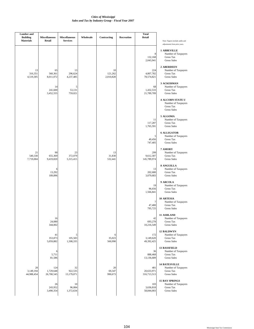| <b>Lumber</b> and<br><b>Building</b><br><b>Materials</b> | <b>Miscellaneous</b><br>Retail | <b>Miscellaneous</b><br><b>Services</b> | Wholesale | Contracting                | <b>Recreation</b> | <b>Total</b><br>Retail           | Note: Figures include audits and                                                                              |
|----------------------------------------------------------|--------------------------------|-----------------------------------------|-----------|----------------------------|-------------------|----------------------------------|---------------------------------------------------------------------------------------------------------------|
|                                                          |                                |                                         |           |                            |                   | 8<br>132,168<br>2,043,941        | adjustments from prior years.<br><b>1 ABBEVILLE</b><br>Number of Taxpayers<br>Gross Tax<br><b>Gross Sales</b> |
| 13<br>316,351<br>4,519,305                               | 65<br>560,361<br>8,011,072     | 13<br>296,624<br>4,237,485              |           | 10<br>121,262<br>2,010,828 |                   | 224<br>4,807,782<br>78,574,821   | 2 ABERDEEN<br>Number of Taxpayers<br>Gross Tax<br><b>Gross Sales</b>                                          |
|                                                          | 14<br>241,600<br>3,452,555     | 5<br>53,131<br>759,021                  |           |                            |                   | 68<br>1,432,533<br>21,789,709    | 3 ACKERMAN<br>Number of Taxpayers<br>Gross Tax<br><b>Gross Sales</b>                                          |
|                                                          |                                |                                         |           |                            |                   |                                  | <b>4 ALCORN STATE U</b><br>Number of Taxpayers<br>Gross Tax<br><b>Gross Sales</b>                             |
|                                                          |                                |                                         |           |                            |                   | 11<br>117,287<br>1,765,591       | 5 ALGOMA<br>Number of Taxpayers<br><b>Gross Tax</b><br><b>Gross Sales</b>                                     |
|                                                          |                                |                                         |           |                            |                   | 5<br>49,456<br>747,405           | <b>6 ALLIGATOR</b><br>Number of Taxpayers<br>Gross Tax<br><b>Gross Sales</b>                                  |
| 21<br>540,330<br>7,719,004                               | 90<br>655,369<br>9,419,820     | 23<br>372,079<br>5,315,415              |           | 13<br>31,830<br>532,441    |                   | 299<br>9,612,307<br>145,789,974  | 7 AMORY<br>Number of Taxpayers<br>Gross Tax<br><b>Gross Sales</b>                                             |
|                                                          | 6<br>13,292<br>189,896         |                                         |           |                            |                   | 13<br>202,680<br>3,079,683       | 8 ANGUILLA<br>Number of Taxpayers<br>Gross Tax<br><b>Gross Sales</b>                                          |
|                                                          |                                |                                         |           |                            |                   | 19<br>96,656<br>1,566,841        | 9 ARCOLA<br>Number of Taxpayers<br>Gross Tax<br><b>Gross Sales</b>                                            |
|                                                          |                                |                                         |           |                            |                   | 7<br>47,400<br>795,725           | <b>10 ARTESIA</b><br>Number of Taxpayers<br>Gross Tax<br><b>Gross Sales</b>                                   |
|                                                          | 10<br>24,080<br>344,002        |                                         |           |                            |                   | 42<br>693,278<br>10,216,549      | 11 ASHLAND<br>Number of Taxpayers<br><b>Gross Tax</b><br><b>Gross Sales</b>                                   |
|                                                          | 41<br>353,873<br>5,059,882     | 5<br>105,583<br>1,508,335               |           | 6<br>35,023<br>560,990     |                   | 172<br>3,149,620<br>49,392,425   | <b>12 BALDWYN</b><br>Number of Taxpayers<br>Gross Tax<br><b>Gross Sales</b>                                   |
|                                                          | 6<br>5,711<br>81,586           |                                         |           |                            |                   | 36<br>888,468<br>13,136,689      | <b>13 BASSFIELD</b><br>Number of Taxpayers<br>Gross Tax<br><b>Gross Sales</b>                                 |
| 28<br>3,149,194<br>44,988,454                            | 124<br>1,729,648<br>26,700,545 | 32<br>922,535<br>13,179,071             |           | 20<br>69,347<br>990,673    |                   | 481<br>20,633,971<br>316,713,513 | <b>14 BATESVILLE</b><br>Number of Taxpayers<br>Gross Tax<br><b>Gross Sales</b>                                |
|                                                          | 26<br>243,952<br>3,490,354     | 10<br>96,084<br>1,372,634               |           |                            |                   | 103<br>3,636,818<br>58,844,003   | <b>15 BAY SPRINGS</b><br>Number of Taxpayers<br>Gross Tax<br><b>Gross Sales</b>                               |
|                                                          |                                |                                         |           |                            |                   |                                  |                                                                                                               |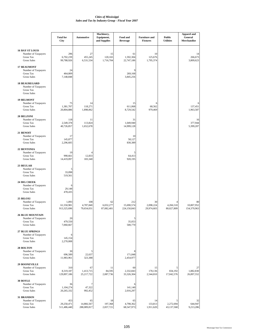|                                                                                          | <b>Total for</b><br>City           | <b>Automotive</b>               | Machinery,<br>Equipment,<br>and Supplies | Food and<br><b>Beverage</b>      | <b>Furniture and</b><br><b>Fixtures</b> | <b>Public</b><br><b>Utilities</b> | <b>Apparel and</b><br>General<br>Merchandise |
|------------------------------------------------------------------------------------------|------------------------------------|---------------------------------|------------------------------------------|----------------------------------|-----------------------------------------|-----------------------------------|----------------------------------------------|
| <b>16 BAY ST LOUIS</b><br>Number of Taxpayers<br><b>Gross Tax</b><br><b>Gross Sales</b>  | 296<br>6,702,239<br>99,788,926     | 27<br>455,245<br>6,531,534      | 15<br>120,165<br>1,716,704               | 61<br>1,592,304<br>22,747,186    | 10<br>125,676<br>1,795,374              |                                   | 14<br>266,673<br>3,809,623                   |
| <b>17 BEAUMONT</b><br>Number of Taxpayers<br>Gross Tax<br><b>Gross Sales</b>             | 24<br>464,809<br>7,148,848         |                                 |                                          | 9<br>269,168<br>3,845,256        |                                         |                                   |                                              |
| <b>18 BEAUREGARD</b><br>Number of Taxpayers<br><b>Gross Tax</b><br><b>Gross Sales</b>    |                                    |                                 |                                          |                                  |                                         |                                   |                                              |
| <b>19 BELMONT</b><br>Number of Taxpayers<br><b>Gross Tax</b><br><b>Gross Sales</b>       | 75<br>1,381,707<br>20,804,886      | 14<br>118,271<br>1,898,062      |                                          | 15<br>611,068<br>8,729,542       | 6<br>68,562<br>979,469                  |                                   | 137,451<br>1,963,587                         |
| 20 BELZONI<br>Number of Taxpayers<br><b>Gross Tax</b><br><b>Gross Sales</b>              | 118<br>2,549,378<br>40,726,857     | 11<br>113,824<br>1,652,678      |                                          | 31<br>1,049,940<br>14,999,128    |                                         |                                   | 16<br>377,944<br>5,399,207                   |
| 21 BENOIT<br>Number of Taxpayers<br><b>Gross Tax</b><br><b>Gross Sales</b>               | 17<br>145,877<br>2,296,605         |                                 |                                          | 10<br>58,127<br>830,389          |                                         |                                   |                                              |
| 22 BENTONIA<br>Number of Taxpayers<br><b>Gross Tax</b><br><b>Gross Sales</b>             | 19<br>990,661<br>14,419,097        | 12,833<br>183,340               |                                          | 5<br>64,413<br>920,195           |                                         |                                   |                                              |
| 23 BEULAH<br>Number of Taxpayers<br><b>Gross Tax</b><br><b>Gross Sales</b>               | 5<br>33,098<br>519,561             |                                 |                                          |                                  |                                         |                                   |                                              |
| 24 BIG CREEK<br>Number of Taxpayers<br><b>Gross Tax</b><br><b>Gross Sales</b>            | 6<br>29,148<br>478,435             |                                 |                                          |                                  |                                         |                                   |                                              |
| 25 BILOXI<br>Number of Taxpayers<br><b>Gross Tax</b><br><b>Gross Sales</b>               | 1,093<br>61,550,981<br>913,325,696 | 108<br>4,787,840<br>79,654,031  | 62<br>6,032,277<br>87,082,401            | 212<br>15,690,574<br>224,150,843 | 30<br>2,098,224<br>29,974,603           | 4,266,510<br>80,027,809           | 80<br>10,807,952<br>154,379,963              |
| <b>26 BLUE MOUNTAIN</b><br>Number of Taxpayers<br><b>Gross Tax</b><br><b>Gross Sales</b> | 20<br>479,550<br>7,060,667         |                                 |                                          | 35,053<br>500,770                |                                         |                                   |                                              |
| <b>27 BLUE SPRINGS</b><br>Number of Taxpayers<br>Gross Tax<br><b>Gross Sales</b>         | 6<br>145,154<br>2,270,008          |                                 |                                          |                                  |                                         |                                   |                                              |
| 28 BOLTON<br>Number of Taxpayers<br><b>Gross Tax</b><br><b>Gross Sales</b>               | 30<br>696,589<br>11,983,961        | 5<br>22,637<br>323,388          |                                          | 8<br>171,848<br>2,454,977        |                                         |                                   |                                              |
| <b>29 BOONEVILLE</b><br>Number of Taxpayers<br><b>Gross Tax</b><br><b>Gross Sales</b>    | 310<br>8,319,187<br>129,897,186    | 67<br>1,413,715<br>25,217,722   | 11<br>84,595<br>2,087,736                | 60<br>2,332,843<br>33,326,304    | 15<br>178,136<br>2,544,810              | 5<br>834,192<br>17,042,576        | 27<br>1,882,830<br>26,897,552                |
| 30 BOYLE<br>Number of Taxpayers<br><b>Gross Tax</b><br><b>Gross Sales</b>                | 36<br>1,104,274<br>20,265,332      | 7<br>47,322<br>992,452          |                                          | 6<br>141,140<br>2,016,297        |                                         |                                   |                                              |
| 31 BRANDON<br>Number of Taxpayers<br><b>Gross Tax</b><br><b>Gross Sales</b>              | 453<br>29,250,471<br>511,486,440   | 65<br>14,866,567<br>288,089,817 | 18<br>197,368<br>2,837,721               | 65<br>4,798,362<br>68,547,973    | 14<br>133,813<br>1,911,620              | 5<br>2,272,694<br>43,137,568      | 32<br>644,947<br>9,213,286                   |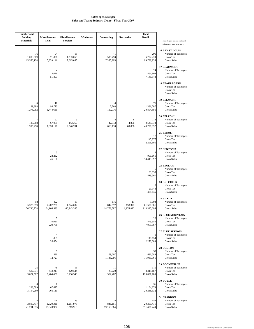| <b>Lumber</b> and<br><b>Building</b> | <b>Miscellaneous</b>            | <b>Miscellaneous</b>          | Wholesale | Contracting                  | Recreation                 | <b>Total</b><br>Retail             |                                                                                   |
|--------------------------------------|---------------------------------|-------------------------------|-----------|------------------------------|----------------------------|------------------------------------|-----------------------------------------------------------------------------------|
| <b>Materials</b>                     | Retail                          | <b>Services</b>               |           |                              |                            |                                    | Note: Figures include audits and<br>adjustments from prior years.                 |
| 16<br>1,088,509                      | 94<br>371,828                   | 15<br>1,233,055               |           | 41<br>505,753                |                            | 296<br>6,702,239                   | <b>16 BAY ST LOUIS</b><br>Number of Taxpayers<br>Gross Tax                        |
| 15,550,124                           | 5,339,111<br>4<br>3,626         | 17,615,055                    |           | 7,365,205                    |                            | 99,788,926<br>24<br>464,809        | <b>Gross Sales</b><br><b>17 BEAUMONT</b><br>Number of Taxpayers<br>Gross Tax      |
|                                      | 51,803                          |                               |           |                              |                            | 7,148,848                          | <b>Gross Sales</b>                                                                |
|                                      |                                 |                               |           |                              |                            |                                    | <b>18 BEAUREGARD</b><br>Number of Taxpayers<br>Gross Tax<br><b>Gross Sales</b>    |
| 6<br>89,388<br>1,276,982             | 18<br>98,773<br>1,444,611       |                               |           | 4<br>7,768<br>110,976        |                            | 75<br>1,381,707<br>20,804,886      | <b>19 BELMONT</b><br>Number of Taxpayers<br>Gross Tax<br><b>Gross Sales</b>       |
| 7<br>139,668<br>1,995,258            | 22<br>67,065<br>1,028,116       | 9<br>143,269<br>2,046,701     |           | 8<br>42,343<br>663,118       | 8<br>4,886<br>69,806       | 118<br>2,549,378<br>40,726,857     | 20 BELZONI<br>Number of Taxpayers<br>Gross Tax<br><b>Gross Sales</b>              |
|                                      |                                 |                               |           |                              |                            | 17<br>145,877<br>2,296,605         | 21 BENOIT<br>Number of Taxpayers<br><b>Gross Tax</b><br><b>Gross Sales</b>        |
|                                      | C<br>24,232<br>346,180          |                               |           |                              |                            | 19<br>990,661<br>14,419,097        | 22 BENTONIA<br>Number of Taxpayers<br><b>Gross Tax</b><br><b>Gross Sales</b>      |
|                                      |                                 |                               |           |                              |                            | 5<br>33,098<br>519,561             | 23 BEULAH<br>Number of Taxpayers<br>Gross Tax<br><b>Gross Sales</b>               |
|                                      |                                 |                               |           |                              |                            | 6<br>29,148<br>478,435             | 24 BIG CREEK<br>Number of Taxpayers<br>Gross Tax<br><b>Gross Sales</b>            |
| 58<br>5,375,359<br>76,790,778        | 322<br>7,287,258<br>104,166,593 | 90<br>4,224,032<br>60,343,265 |           | 116<br>842,572<br>14,778,587 | 11<br>138,377<br>1,976,820 | 1,093<br>61,550,981<br>913,325,696 | 25 BILOXI<br>Number of Taxpayers<br>Gross Tax<br><b>Gross Sales</b>               |
|                                      | 16,081<br>229,738               |                               |           |                              |                            | 20<br>479,550<br>7,060,667         | <b>26 BLUE MOUNTAIN</b><br>Number of Taxpayers<br>Gross Tax<br><b>Gross Sales</b> |
|                                      | 4<br>1,865<br>26,654            |                               |           |                              |                            | 6<br>145,154<br>2,270,008          | <b>27 BLUE SPRINGS</b><br>Number of Taxpayers<br>Gross Tax<br><b>Gross Sales</b>  |
|                                      | 5<br>890<br>12,727              |                               |           | 5<br>69,607<br>1,145,986     |                            | 30<br>696,589<br>11,983,961        | 28 BOLTON<br>Number of Taxpayers<br><b>Gross Tax</b><br><b>Gross Sales</b>        |
| 25<br>687,931<br>9,827,587           | 75<br>448,213<br>6,404,600      | 13<br>429,544<br>6,136,348    |           | 11<br>23,720<br>362,487      |                            | 310<br>8,319,187<br>129,897,186    | 29 BOONEVILLE<br>Number of Taxpayers<br>Gross Tax<br><b>Gross Sales</b>           |
| 223,599<br>3,194,280                 | 8<br>67,627<br>966,110          |                               |           |                              |                            | 36<br>1,104,274<br>20,265,332      | 30 BOYLE<br>Number of Taxpayers<br>Gross Tax<br><b>Gross Sales</b>                |
| 24<br>2,890,417<br>41,291,635        | 148<br>1,320,311<br>18,943,957  | 43<br>1,281,975<br>18,313,913 |           | 38<br>841,151<br>19,158,064  |                            | 453<br>29,250,471<br>511,486,440   | 31 BRANDON<br>Number of Taxpayers<br>Gross Tax<br><b>Gross Sales</b>              |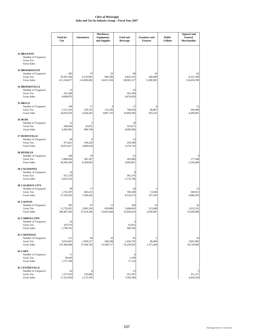|                                                                                         |                                  |                                | Machinery,                  |                                     |                                         |                                   | <b>Apparel and</b>             |
|-----------------------------------------------------------------------------------------|----------------------------------|--------------------------------|-----------------------------|-------------------------------------|-----------------------------------------|-----------------------------------|--------------------------------|
|                                                                                         | <b>Total for</b><br>City         | <b>Automotive</b>              | Equipment,<br>and Supplies  | Food and<br><b>Beverage</b>         | <b>Furniture and</b><br><b>Fixtures</b> | <b>Public</b><br><b>Utilities</b> | General<br>Merchandise         |
| <b>32 BRAXTON</b><br>Number of Taxpayers<br><b>Gross Tax</b><br><b>Gross Sales</b>      |                                  |                                |                             |                                     |                                         |                                   |                                |
| <b>33 BROOKHAVEN</b><br>Number of Taxpayers<br><b>Gross Tax</b><br><b>Gross Sales</b>   | 492<br>26,307,584<br>411,234,677 | 70<br>6,232,801<br>114,039,692 | 22<br>660,508<br>14,011,504 | 98<br>4,833,163<br>69,045,127       | 24<br>440,089<br>6,286,985              |                                   | 62<br>8,151,599<br>116,450,199 |
| <b>34 BROOKSVILLE</b><br>Number of Taxpayers<br><b>Gross Tax</b><br><b>Gross Sales</b>  | 25<br>542,368<br>8,096,879       |                                |                             | 10<br>341,184<br>4,874,059          |                                         |                                   |                                |
| 35 BRUCE<br>Number of Taxpayers<br><b>Gross Tax</b><br><b>Gross Sales</b>               | 106<br>2,151,019<br>34,076,556   | 17<br>259,355<br>4,204,263     | 123,236<br>3,807,733        | 17<br>748,620<br>10,694,569         | 8<br>66,887<br>955,532                  |                                   | 15<br>294,489<br>4,206,991     |
| <b>36 BUDE</b><br>Number of Taxpayers<br><b>Gross Tax</b><br><b>Gross Sales</b>         | 31<br>640,696<br>9,463,981       | 5<br>63,052<br>900,748         |                             | 10<br>322,671<br>4,609,586          |                                         |                                   |                                |
| 37 BURNSVILLE<br>Number of Taxpayers<br><b>Gross Tax</b><br><b>Gross Sales</b>          | 40<br>671,821<br>10,015,817      | 9<br>196,226<br>2,809,618      |                             | 10<br>250,580<br>3,579,716          |                                         |                                   |                                |
| <b>38 BYHALIA</b><br>Number of Taxpayers<br><b>Gross Tax</b><br><b>Gross Sales</b>      | 109<br>2,889,830<br>44,285,494   | 19<br>385,597<br>6,364,863     |                             | 23<br>283,980<br>4,056,867          |                                         |                                   | 177,596<br>2,536,486           |
| <b>39 CALEDONIA</b><br>Number of Taxpayers<br><b>Gross Tax</b><br><b>Gross Sales</b>    | 24<br>657,278<br>9,633,230       |                                |                             | 8<br>362,376<br>5,176,798           |                                         |                                   |                                |
| <b>40 CALHOUN CITY</b><br>Number of Taxpayers<br><b>Gross Tax</b><br><b>Gross Sales</b> | 99<br>1,742,307<br>27,250,933    | 17<br>405,412<br>7,360,426     |                             | 20<br>596,349<br>8,519,274          | 13,828<br>197,543                       |                                   | 15<br>349.051<br>4,986,393     |
| <b>41 CANTON</b><br>Number of Taxpayers<br><b>Gross Tax</b><br><b>Gross Sales</b>       | 395<br>12,725,822<br>200,487,492 | 47<br>2,003,330<br>37,019,394  | 15<br>639,980<br>13,663,944 | 104<br>3,698,693<br>52,838,424      | 14<br>212,688<br>3,038,405              |                                   | 32<br>1,015,532<br>14,506,488  |
| <b>42 CARROLLTON</b><br>Number of Taxpayers<br><b>Gross Tax</b><br><b>Gross Sales</b>   | 20<br>187,670<br>2,799,702       |                                |                             | $\overline{4}$<br>65,853<br>940,760 |                                         |                                   |                                |
| <b>43 CARTHAGE</b><br>Number of Taxpayers<br><b>Gross Tax</b><br><b>Gross Sales</b>     | 212<br>9,014,833<br>147,440,968  | 49<br>1,959,317<br>37,444,769  | 10<br>568,198<br>15,300,717 | 45<br>1,626,703<br>23,238,592       | 5<br>96,060<br>1,372,284                |                                   | 24<br>3,061,985<br>43,739,600  |
| 44 CARY<br>Number of Taxpayers<br>Gross Tax<br><b>Gross Sales</b>                       | 11<br>99,426<br>1,727,598        |                                |                             | 6<br>1,198<br>17,124                |                                         |                                   |                                |
| <b>45 CENTREVILLE</b><br>Number of Taxpayers<br><b>Gross Tax</b><br><b>Gross Sales</b>  | 42<br>1,157,619<br>17,252,656    | 8<br>126,866<br>2,172,185      |                             | 13<br>531,587<br>7,594,100          |                                         |                                   | 311,517<br>4,450,250           |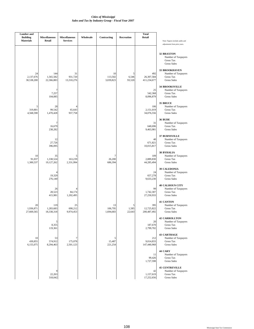| <b>Lumber</b> and<br><b>Building</b><br><b>Materials</b> | <b>Miscellaneous</b><br>Retail      | <b>Miscellaneous</b><br><b>Services</b> | Wholesale | Contracting                | Recreation           | <b>Total</b><br>Retail           | Note: Figures include audits and<br>adjustments from prior years.                       |
|----------------------------------------------------------|-------------------------------------|-----------------------------------------|-----------|----------------------------|----------------------|----------------------------------|-----------------------------------------------------------------------------------------|
|                                                          |                                     |                                         |           |                            |                      |                                  | <b>32 BRAXTON</b><br>Number of Taxpayers<br>Gross Tax<br><b>Gross Sales</b>             |
| 24<br>2,137,676<br>30,538,200                            | 144<br>1,565,582<br>22,366,883      | 31<br>931,720<br>13,310,276             |           | 10<br>113,502<br>3,039,823 | 5<br>6,546<br>93,520 | 492<br>26,307,584<br>411,234,677 | 33 BROOKHAVEN<br>Number of Taxpayers<br>Gross Tax<br><b>Gross Sales</b>                 |
|                                                          | 7<br>7,257<br>104,085               |                                         |           |                            |                      | 25<br>542,368<br>8,096,879       | <b>34 BROOKSVILLE</b><br>Number of Taxpayers<br>Gross Tax<br><b>Gross Sales</b>         |
| 5<br>319,801<br>4,568,590                                | 28<br>99,542<br>1,470,428           | 65,643<br>937,758                       |           |                            |                      | 106<br>2,151,019<br>34,076,556   | 35 BRUCE<br>Number of Taxpayers<br>Gross Tax<br><b>Gross Sales</b>                      |
|                                                          | 7<br>16,679<br>238,282              |                                         |           |                            |                      | 31<br>640,696<br>9,463,981       | 36 BUDE<br>Number of Taxpayers<br><b>Gross Tax</b><br><b>Gross Sales</b>                |
|                                                          | 12<br>27,726<br>396,095             |                                         |           |                            |                      | 40<br>671,821<br>10,015,817      | <b>37 BURNSVILLE</b><br>Number of Taxpayers<br><b>Gross Tax</b><br><b>Gross Sales</b>   |
| 10<br>91,037<br>1,300,537                                | 35<br>1,338,524<br>19,127,262       | 163,239<br>2,331,994                    |           | 7<br>26,200<br>686,394     |                      | 109<br>2,889,830<br>44,285,494   | 38 BYHALIA<br>Number of Taxpayers<br>Gross Tax<br><b>Gross Sales</b>                    |
|                                                          | $\overline{4}$<br>19,329<br>276,140 |                                         |           |                            |                      | 24<br>657,278<br>9,633,230       | <b>39 CALEDONIA</b><br>Number of Taxpayers<br><b>Gross Tax</b><br><b>Gross Sales</b>    |
|                                                          | 26<br>28,523<br>415,981             | 84,174<br>1,202,495                     |           |                            |                      | 99<br>1,742,307<br>27,250,933    | <b>40 CALHOUN CITY</b><br>Number of Taxpayers<br><b>Gross Tax</b><br><b>Gross Sales</b> |
| 20<br>1,936,871<br>27,669,565                            | 119<br>1,283,683<br>18,338,318      | 25<br>698,212<br>9,974,453              |           | 13<br>106,795<br>1,694,683 | 5<br>1,585<br>22,643 | 395<br>12,725,822<br>200,487,492 | <b>41 CANTON</b><br>Number of Taxpayers<br>Gross Tax<br><b>Gross Sales</b>              |
|                                                          | 5<br>8,355<br>119,361               |                                         |           |                            |                      | 20<br>187,670<br>2,799,702       | <b>42 CARROLLTON</b><br>Number of Taxpayers<br>Gross Tax<br><b>Gross Sales</b>          |
| 10<br>430,855<br>6,155,075                               | 53<br>574,912<br>8,294,463          | 7<br>175,078<br>2,501,123               |           | 5<br>15,487<br>221,254     |                      | 212<br>9,014,833<br>147,440,968  | <b>43 CARTHAGE</b><br>Number of Taxpayers<br>Gross Tax<br><b>Gross Sales</b>            |
|                                                          |                                     |                                         |           |                            |                      | 11<br>99,426<br>1,727,598        | 44 CARY<br>Number of Taxpayers<br>Gross Tax<br><b>Gross Sales</b>                       |
|                                                          | 9<br>22,263<br>318,042              |                                         |           |                            |                      | 42<br>1,157,619<br>17,252,656    | <b>45 CENTREVILLE</b><br>Number of Taxpayers<br>Gross Tax<br><b>Gross Sales</b>         |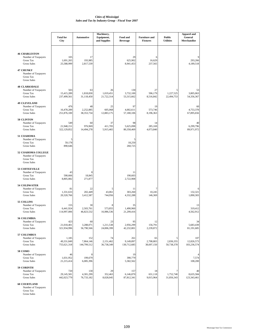|                                                                                       | <b>Total for</b><br>City           | <b>Automotive</b>               | Machinery,<br>Equipment,<br>and Supplies | Food and<br><b>Beverage</b>     | <b>Furniture and</b><br><b>Fixtures</b> | <b>Public</b><br><b>Utilities</b> | <b>Apparel and</b><br>General<br>Merchandise |
|---------------------------------------------------------------------------------------|------------------------------------|---------------------------------|------------------------------------------|---------------------------------|-----------------------------------------|-----------------------------------|----------------------------------------------|
| <b>46 CHARLESTON</b><br>Number of Taxpayers<br>Gross Tax<br><b>Gross Sales</b>        | 105<br>1,691,265<br>25,588,999     | 17<br>193,985<br>2,817,539      |                                          | 29<br>625,902<br>8,941,453      | 6<br>16,629<br>237,565                  |                                   | Q<br>293,266<br>4,189,518                    |
| <b>47 CHUNKY</b><br>Number of Taxpayers<br>Gross Tax<br><b>Gross Sales</b>            |                                    |                                 |                                          |                                 |                                         |                                   |                                              |
| <b>48 CLARKSDALE</b><br>Number of Taxpayers<br><b>Gross Tax</b><br><b>Gross Sales</b> | 503<br>15,415,289<br>237,499,561   | 63<br>1,818,830<br>31,118,450   | 26<br>1,019,451<br>21,722,314            | 130<br>3,732,100<br>53,315,662  | 27<br>596,179<br>8,516,842              | 1,227,525<br>22,494,753           | 53<br>3,805,063<br>54,356,367                |
| <b>49 CLEVELAND</b><br>Number of Taxpayers<br><b>Gross Tax</b><br><b>Gross Sales</b>  | 476<br>16,478,289<br>251,876,100   | 48<br>2,252,885<br>38, 353, 734 | 25<br>605,068<br>12,883,175              | 97<br>4,002,611<br>57,180,106   | 19<br>573,746<br>8,196,363              |                                   | 60<br>4,753,378<br>67,895,656                |
| 50 CLINTON<br>Number of Taxpayers<br><b>Gross Tax</b><br><b>Gross Sales</b>           | 549<br>21,948,151<br>322,129,852   | 60<br>976,969<br>14,494,278     | 37<br>411,705<br>5,915,465               | 98<br>5,625,098<br>80,358,469   | 14<br>285,169<br>4,073,840              |                                   | 40<br>6,299,796<br>89,971,972                |
| 51 COAHOMA<br>Number of Taxpayers<br><b>Gross Tax</b><br><b>Gross Sales</b>           | 5<br>59,178<br>890,646             |                                 |                                          | 5<br>18,250<br>260,725          |                                         |                                   |                                              |
| 52 COAHOMA COLLEGE<br>Number of Taxpayers<br>Gross Tax<br><b>Gross Sales</b>          |                                    |                                 |                                          |                                 |                                         |                                   |                                              |
| 53 COFFEEVILLE<br>Number of Taxpayers<br><b>Gross Tax</b><br><b>Gross Sales</b>       | 43<br>590,666<br>8,805,082         | 8<br>18,845<br>271,877          |                                          | 11<br>190,603<br>2,722,908      |                                         |                                   |                                              |
| <b>54 COLDWATER</b><br>Number of Taxpayers<br><b>Gross Tax</b><br><b>Gross Sales</b>  | 81<br>1,331,633<br>20,320,766      | 22<br>202,449<br>3,412,587      | 5<br>43,061<br>744,956                   | 11<br>303,260<br>4,332,288      | 7<br>10.245<br>146,369                  |                                   | 6<br>132,321<br>1,890,303                    |
| 55 COLLINS<br>Number of Taxpayers<br>Gross Tax<br><b>Gross Sales</b>                  | 155<br>6,441,924<br>114,997,006    | 30<br>2,503,761<br>46,823,532   | 8<br>573,855<br>16,986,536               | 35<br>1,490,960<br>21,299,416   |                                         |                                   | 13<br>319,412<br>4,562,912                   |
| <b>56 COLUMBIA</b><br>Number of Taxpayers<br>Gross Tax<br><b>Gross Sales</b>          | 423<br>21,018,401<br>321,934,996   | 60<br>3,288,071<br>56,790,566   | 23<br>1,211,538<br>24,006,399            | 95<br>2,956,299<br>42,232,801   | 12<br>156,791<br>2,239,872              |                                   | 34<br>5,683,439<br>81,191,685                |
| 57 COLUMBUS<br>Number of Taxpayers<br><b>Gross Tax</b><br><b>Gross Sales</b>          | 1,185<br>49,331,849<br>755,621,318 | 152<br>7,864,146<br>144,799,512 | 74<br>2,151,462<br>36,738,349            | 261<br>9,149,897<br>130,712,685 | 65<br>2,708,803<br>38,697,150           | 2,836,355<br>50,738,378           | 107<br>12,826,573<br>183,236,574             |
| <b>58 COMO</b><br>Number of Taxpayers<br><b>Gross Tax</b><br><b>Gross Sales</b>       | 46<br>1,031,952<br>21,215,414      | 8<br>199,679<br>6,085,396       |                                          | 19<br>390,779<br>5,582,562      |                                         |                                   | 7,574<br>108,200                             |
| 59 CORINTH<br>Number of Taxpayers<br>Gross Tax<br><b>Gross Sales</b>                  | 720<br>29,145,581<br>442,023,779   | 130<br>4,301,299<br>76,733,182  | 29<br>352,463<br>8,028,045               | 157<br>6,146,870<br>87,812,341  | 18<br>631,118<br>9,015,964              | 7<br>1,752,740<br>31,856,343      | 40<br>8,635,584<br>123,343,461               |
| <b>60 COURTLAND</b><br>Number of Taxpayers<br>Gross Tax<br><b>Gross Sales</b>         |                                    |                                 |                                          |                                 |                                         |                                   |                                              |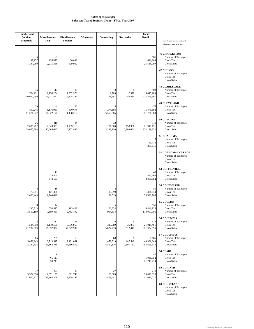| <b>Lumber</b> and<br><b>Building</b> | <b>Miscellaneous</b>           | <b>Miscellaneous</b>          | Wholesale | Contracting                | Recreation                | <b>Total</b><br>Retail             |                                                                                                                                                              |
|--------------------------------------|--------------------------------|-------------------------------|-----------|----------------------------|---------------------------|------------------------------------|--------------------------------------------------------------------------------------------------------------------------------------------------------------|
| <b>Materials</b>                     | Retail                         | <b>Services</b>               |           |                            |                           |                                    | Note: Figures include audits and<br>adjustments from prior years.                                                                                            |
| 6<br>97,157<br>1,387,959             | 23<br>155,072<br>2,215,316     | 5<br>30,093<br>429,902        |           |                            |                           | 105<br>1,691,265<br>25,588,999     | <b>46 CHARLESTON</b><br>Number of Taxpayers<br>Gross Tax<br><b>Gross Sales</b><br><b>47 CHUNKY</b><br>Number of Taxpayers<br>Gross Tax<br><b>Gross Sales</b> |
| 36<br>704,221<br>10,060,299          | 114<br>1,138,254<br>16,271,412 | 36<br>1,352,978<br>19,328,242 |           | 8<br>2,705<br>58,381       | 5<br>17,978<br>256,834    | 503<br>15,415,289<br>237,499,561   | <b>48 CLARKSDALE</b><br>Number of Taxpayers<br><b>Gross Tax</b><br>Gross Sales                                                                               |
| 39<br>810,246<br>11,574,942          | 144<br>1,176,919<br>16,822,194 | 26<br>800,676<br>11,438,217   |           | 14<br>274,193<br>5,565,265 |                           | 475<br>16,471,692<br>251,781,860   | <b>49 CLEVELAND</b><br>Number of Taxpayers<br>Gross Tax<br><b>Gross Sales</b>                                                                                |
| 26<br>2,035,272<br>29,075,288        | 210<br>2,843,353<br>40,665,617 | 24<br>1,139,110<br>16,272,995 |           | 33<br>171,369<br>3,348,150 | 4<br>153,906<br>2,198,661 | 549<br>21,948,151<br>322,129,852   | 50 CLINTON<br>Number of Taxpayers<br>Gross Tax<br><b>Gross Sales</b>                                                                                         |
|                                      |                                |                               |           |                            |                           | 5<br>59,178<br>890,646             | 51 COAHOMA<br>Number of Taxpayers<br>Gross Tax<br><b>Gross Sales</b>                                                                                         |
|                                      |                                |                               |           |                            |                           |                                    | 52 COAHOMA COLLEGE<br>Number of Taxpayers<br>Gross Tax<br><b>Gross Sales</b>                                                                                 |
|                                      | 11<br>38,400<br>548,583        |                               |           |                            |                           | 43<br>590,666<br>8,805,082         | 53 COFFEEVILLE<br>Number of Taxpayers<br><b>Gross Tax</b><br>Gross Sales                                                                                     |
| 4<br>172,651<br>2,466,443            | 16<br>121,828<br>1,740,411     |                               |           | 4<br>13,099<br>191,513     |                           | 81<br>1,331,633<br>20,320,766      | <b>54 COLDWATER</b><br>Number of Taxpayers<br><b>Gross Tax</b><br><b>Gross Sales</b>                                                                         |
| 8<br>245,713<br>3,510,189            | 44<br>550,827<br>7,889,459     | 8<br>193,423<br>2,763,192     |           | 5<br>66,824<br>954,634     |                           | 155<br>6,441,924<br>114,997,006    | 55 COLLINS<br>Number of Taxpayers<br>Gross Tax<br><b>Gross Sales</b>                                                                                         |
| 22<br>1,524,798<br>21,782,809        | 112<br>1,149,568<br>16,937,392 | 38<br>3,676,958<br>52,527,932 |           | 19<br>325,089<br>5,024,233 | 5<br>35,871<br>512,447    | 423<br>21,018,401<br>321,934,996   | 56 COLUMBIA<br>Number of Taxpayers<br>Gross Tax<br><b>Gross Sales</b>                                                                                        |
| 85<br>5,059,943<br>72,284,833        | 299<br>3,713,547<br>53,162,446 | 69<br>2,421,061<br>34,586,552 |           | 63<br>452,519<br>8,557,116 | 5<br>147,540<br>2,107,720 | 1,185<br>49,331,849<br>755,621,318 | 57 COLUMBUS<br>Number of Taxpayers<br>Gross Tax<br><b>Gross Sales</b>                                                                                        |
|                                      | 9<br>65,117<br>930,243         |                               |           |                            |                           | 46<br>1,031,952<br>21,215,414      | <b>58 COMO</b><br>Number of Taxpayers<br>Gross Tax<br><b>Gross Sales</b>                                                                                     |
| 47<br>3,574,958<br>51,070,777        | 223<br>2,371,178<br>33,963,309 | 38<br>961,748<br>13,739,249   |           | 27<br>166,903<br>2,879,441 |                           | 718<br>29,076,626<br>441,038,717   | 59 CORINTH<br>Number of Taxpayers<br>Gross Tax<br><b>Gross Sales</b>                                                                                         |
|                                      |                                |                               |           |                            |                           |                                    | <b>60 COURTLAND</b><br>Number of Taxpayers<br>Gross Tax<br><b>Gross Sales</b>                                                                                |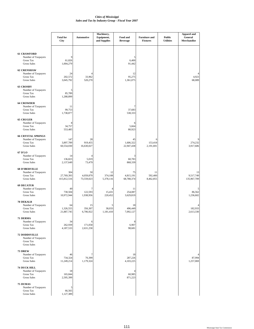|                                                                                            | <b>Total for</b><br>City         | Automotive                    | Machinery,<br>Equipment,<br>and Supplies | Food and<br><b>Beverage</b>   | <b>Furniture and</b><br><b>Fixtures</b> | <b>Public</b><br><b>Utilities</b> | <b>Apparel and</b><br>General<br>Merchandise |
|--------------------------------------------------------------------------------------------|----------------------------------|-------------------------------|------------------------------------------|-------------------------------|-----------------------------------------|-----------------------------------|----------------------------------------------|
| <b>61 CRAWFORD</b><br>Number of Taxpayers<br>Gross Tax<br><b>Gross Sales</b>               | 61,826<br>1,004,279              |                               |                                          | 5<br>6,400<br>91,442          |                                         |                                   |                                              |
| <b>62 CRENSHAW</b><br>Number of Taxpayers<br><b>Gross Tax</b><br><b>Gross Sales</b>        | 24<br>202,572<br>3,045,792       | 4<br>33,962<br>520,270        |                                          | 12<br>95,275<br>1,361,075     |                                         |                                   | 4,923<br>68,089                              |
| <b>63 CROSBY</b><br>Number of Taxpayers<br><b>Gross Tax</b><br><b>Gross Sales</b>          | 5<br>85,789<br>1,288,899         |                               |                                          |                               |                                         |                                   |                                              |
| <b>64 CROWDER</b><br>Number of Taxpayers<br><b>Gross Tax</b><br><b>Gross Sales</b>         | 11<br>99,753<br>1,738,877        |                               |                                          | 7<br>37,683<br>538,333        |                                         |                                   |                                              |
| <b>65 CRUGER</b><br>Number of Taxpayers<br><b>Gross Tax</b><br><b>Gross Sales</b>          | 8<br>34,757<br>553,485           |                               |                                          | 6<br>5,664<br>80,923          |                                         |                                   |                                              |
| <b>66 CRYSTAL SPRINGS</b><br>Number of Taxpayers<br><b>Gross Tax</b><br><b>Gross Sales</b> | 147<br>3,897,789<br>60,554,030   | 28<br>919,455<br>16,630,027   |                                          | 45<br>1,606,322<br>22,947,438 | 6<br>153,418<br>2,191,691               |                                   | 274,232<br>3,917,606                         |
| 67 D'LO<br>Number of Taxpayers<br><b>Gross Tax</b><br><b>Gross Sales</b>                   | 14<br>136,823<br>2,137,649       | 4<br>5,019<br>73,479          |                                          | 3<br>60,783<br>868,339        |                                         |                                   |                                              |
| <b>68 D'IBERVILLE</b><br>Number of Taxpayers<br><b>Gross Tax</b><br><b>Gross Sales</b>     | 304<br>27,769,393<br>415,812,516 | 50<br>4,059,879<br>73,559,023 | 12<br>374,108<br>5,378,116               | 75<br>4,815,191<br>68,788,374 | 11<br>592,400<br>8,462,855              |                                   | 13<br>9,517,749<br>135,967,709               |
| <b>69 DECATUR</b><br>Number of Taxpayers<br><b>Gross Tax</b><br><b>Gross Sales</b>         | 49<br>730,504<br>10,972,944      | 7<br>122,593<br>1,938,956     | 15,431<br>220,452                        | 11<br>254,087<br>3,629,819    |                                         |                                   | C<br>86,562<br>1,236,602                     |
| <b>70 DEKALB</b><br>Number of Taxpayers<br><b>Gross Tax</b><br><b>Gross Sales</b>          | 64<br>1,326,555<br>21,887,745    | 15<br>356,307<br>6,706,922    | 38,033<br>1,181,410                      | 18<br>496,449<br>7,092,127    |                                         |                                   | 182,933<br>2,613,330                         |
| 71 DERMA<br>Number of Taxpayers<br><b>Gross Tax</b><br><b>Gross Sales</b>                  | 34<br>262,939<br>4,187,533       | 6<br>171,058<br>2,631,258     |                                          | 8<br>6,907<br>98,681          |                                         |                                   |                                              |
| <b>72 DODDSVILLE</b><br>Number of Taxpayers<br>Gross Tax<br><b>Gross Sales</b>             |                                  |                               |                                          |                               |                                         |                                   |                                              |
| 73 DREW<br>Number of Taxpayers<br>Gross Tax<br><b>Gross Sales</b>                          | 46<br>734,324<br>11,249,214      | 70,399<br>1,179,324           |                                          | 18<br>287,226<br>4,103,225    |                                         |                                   | 87,994<br>1,257,069                          |
| <b>74 DUCK HILL</b><br>Number of Taxpayers<br><b>Gross Tax</b><br><b>Gross Sales</b>       | 18<br>165,844<br>2,595,399       |                               |                                          | 4<br>60,985<br>871,223        |                                         |                                   |                                              |
| <b>75 DUMAS</b><br>Number of Taxpayers<br>Gross Tax<br><b>Gross Sales</b>                  | 5<br>66,565<br>1,127,389         |                               |                                          |                               |                                         |                                   |                                              |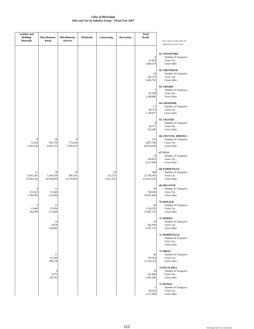| <b>Lumber</b> and<br><b>Building</b><br><b>Materials</b> | <b>Miscellaneous</b><br>Retail | <b>Miscellaneous</b><br><b>Services</b> | Wholesale | Contracting                | Recreation | <b>Total</b><br>Retail           | Note: Figures include audits and                                                                                                    |
|----------------------------------------------------------|--------------------------------|-----------------------------------------|-----------|----------------------------|------------|----------------------------------|-------------------------------------------------------------------------------------------------------------------------------------|
|                                                          |                                |                                         |           |                            |            | 9<br>61,826<br>1,004,279         | adjustments from prior years.<br><b>61 CRAWFORD</b><br>Number of Taxpayers<br>Gross Tax<br><b>Gross Sales</b><br><b>62 CRENSHAW</b> |
|                                                          |                                |                                         |           |                            |            | 24<br>202,572<br>3,045,792       | Number of Taxpayers<br><b>Gross Tax</b><br><b>Gross Sales</b>                                                                       |
|                                                          |                                |                                         |           |                            |            | 5<br>85,789<br>1,288,899         | <b>63 CROSBY</b><br>Number of Taxpayers<br>Gross Tax<br><b>Gross Sales</b>                                                          |
|                                                          |                                |                                         |           |                            |            | 11<br>99,753<br>1,738,877        | <b>64 CROWDER</b><br>Number of Taxpayers<br>Gross Tax<br><b>Gross Sales</b>                                                         |
|                                                          |                                |                                         |           |                            |            | 8<br>34,757<br>553,485           | <b>65 CRUGER</b><br>Number of Taxpayers<br>Gross Tax<br><b>Gross Sales</b>                                                          |
| 8<br>72,326<br>1,033,239                                 | 38<br>292,759<br>4,182,275     | 8<br>175,654<br>2,509,353               |           |                            |            | 147<br>3,897,789<br>60,554,030   | <b>66 CRYSTAL SPRINGS</b><br>Number of Taxpayers<br>Gross Tax<br><b>Gross Sales</b>                                                 |
|                                                          |                                |                                         |           |                            |            | 14<br>136,823<br>2,137,649       | 67 D'LO<br>Number of Taxpayers<br>Gross Tax<br><b>Gross Sales</b>                                                                   |
| 21<br>4,935,293<br>70,504,126                            | 78<br>1,418,359<br>20,269,859  | 18<br>849,182<br>12,134,682             |           | 24<br>122,215<br>2,611,413 |            | 304<br>27,769,393<br>415,812,516 | <b>68 D'IBERVILLE</b><br>Number of Taxpayers<br>Gross Tax<br><b>Gross Sales</b>                                                     |
| 4<br>123,813<br>1,768,769                                | 11<br>15,640<br>223,434        |                                         |           |                            |            | 49<br>730,504<br>10,972,944      | <b>69 DECATUR</b><br>Number of Taxpayers<br>Gross Tax<br><b>Gross Sales</b>                                                         |
| 5<br>13,440<br>192,009                                   | 11<br>35,036<br>511,669        |                                         |           |                            |            | 64<br>1,326,555<br>21,887,745    | <b>70 DEKALB</b><br>Number of Taxpayers<br>Gross Tax<br><b>Gross Sales</b>                                                          |
|                                                          | 14<br>9,678<br>139,062         |                                         |           |                            |            | 34<br>262,939<br>4,187,533       | 71 DERMA<br>Number of Taxpayers<br>Gross Tax<br><b>Gross Sales</b>                                                                  |
|                                                          |                                |                                         |           |                            |            |                                  | <b>72 DODDSVILLE</b><br>Number of Taxpayers<br>Gross Tax<br><b>Gross Sales</b>                                                      |
|                                                          | 11<br>41,340<br>590,578        |                                         |           |                            |            | 46<br>734,324<br>11,249,214      | 73 DREW<br>Number of Taxpayers<br>Gross Tax<br><b>Gross Sales</b>                                                                   |
|                                                          | 6<br>3,275<br>46,793           |                                         |           |                            |            | 18<br>165,844<br>2,595,399       | <b>74 DUCK HILL</b><br>Number of Taxpayers<br>Gross Tax<br><b>Gross Sales</b>                                                       |
|                                                          |                                |                                         |           |                            |            | 5<br>66,565<br>1,127,389         | <b>75 DUMAS</b><br>Number of Taxpayers<br>Gross Tax<br><b>Gross Sales</b>                                                           |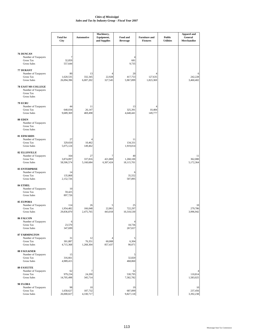|                                                                                     | <b>Total for</b><br>City       | <b>Automotive</b>          | Machinery,<br>Equipment,<br>and Supplies | Food and<br><b>Beverage</b>         | <b>Furniture and</b><br><b>Fixtures</b> | <b>Public</b><br><b>Utilities</b> | <b>Apparel and</b><br>General<br>Merchandise |
|-------------------------------------------------------------------------------------|--------------------------------|----------------------------|------------------------------------------|-------------------------------------|-----------------------------------------|-----------------------------------|----------------------------------------------|
| 76 DUNCAN<br>Number of Taxpayers<br>Gross Tax<br><b>Gross Sales</b>                 | 7<br>32,859<br>557,644         |                            |                                          | 4<br>681<br>9,735                   |                                         |                                   |                                              |
| 77 DURANT<br>Number of Taxpayers<br>Gross Tax<br><b>Gross Sales</b>                 | 80<br>1,620,535<br>26,094,396  | 13<br>332,345<br>6,007,202 | 22,928<br>327,545                        | 20<br>417,753<br>5,967,899          | 127,635<br>1,823,369                    |                                   | 6<br>242,228<br>3,460,402                    |
| <b>78 EAST MS COLLEGE</b><br>Number of Taxpayers<br>Gross Tax<br><b>Gross Sales</b> |                                |                            |                                          |                                     |                                         |                                   |                                              |
| <b>79 ECRU</b><br>Number of Taxpayers<br>Gross Tax<br><b>Gross Sales</b>            | 44<br>640,034<br>9,689,369     | 11<br>26,147<br>469,498    |                                          | 13<br>325,391<br>4,648,441          | 10,484<br>149,777                       |                                   |                                              |
| 80 EDEN<br>Number of Taxpayers<br>Gross Tax<br><b>Gross Sales</b>                   |                                |                            |                                          |                                     |                                         |                                   |                                              |
| <b>81 EDWARDS</b><br>Number of Taxpayers<br>Gross Tax<br><b>Gross Sales</b>         | 27<br>329,650<br>5,075,124     | 4<br>10,462<br>149,462     |                                          | 11<br>134,331<br>1,919,014          |                                         |                                   |                                              |
| <b>82 ELLISVILLE</b><br>Number of Taxpayers<br>Gross Tax<br><b>Gross Sales</b>      | 164<br>3,874,097<br>58,506,574 | 27<br>337,816<br>5,160,684 | 421,869<br>6,307,424                     | 40<br>1,268,100<br>18,115,701       |                                         |                                   | 11<br>362,080<br>5,172,364                   |
| <b>83 ENTERPRISE</b><br>Number of Taxpayers<br>Gross Tax<br><b>Gross Sales</b>      | 14<br>135,868<br>2,152,726     |                            |                                          | 6<br>35,552<br>507,895              |                                         |                                   |                                              |
| 84 ETHEL<br>Number of Taxpayers<br><b>Gross Tax</b><br><b>Gross Sales</b>           | 10<br>59,425<br>897,726        |                            |                                          |                                     |                                         |                                   |                                              |
| <b>85 EUPORA</b><br>Number of Taxpayers<br>Gross Tax<br><b>Gross Sales</b>          | 114<br>1,954,482<br>29,836,870 | 26<br>166,048<br>2,475,765 | 5<br>22,861<br>443,018                   | 25<br>722,297<br>10,318,530         |                                         |                                   | 10<br>279,786<br>3,996,942                   |
| 86 FALCON<br>Number of Taxpayers<br>Gross Tax<br><b>Gross Sales</b>                 | 6<br>23,570<br>347,699         |                            |                                          | $\overline{4}$<br>18,736<br>267,657 |                                         |                                   |                                              |
| <b>87 FARMINGTON</b><br>Number of Taxpayers<br>Gross Tax<br><b>Gross Sales</b>      | 31<br>301,887<br>4,715,368     | 12<br>76,351<br>1,268,304  | 60,008<br>857,437                        | 5<br>6,304<br>90,071                |                                         |                                   |                                              |
| <b>88 FAULKNER</b><br>Number of Taxpayers<br>Gross Tax<br><b>Gross Sales</b>        | 15<br>316,661<br>4,989,415     |                            |                                          | 32,820<br>468,860                   |                                         |                                   |                                              |
| <b>89 FAYETTE</b><br>Number of Taxpayers<br>Gross Tax<br><b>Gross Sales</b>         | 62<br>979,234<br>14,705,498    | 7<br>24,200<br>345,714     |                                          | 32<br>530,795<br>7,582,782          |                                         |                                   | 110,814<br>1,583,025                         |
| 90 FLORA<br>Number of Taxpayers<br>Gross Tax<br><b>Gross Sales</b>                  | 98<br>1,658,627<br>26,000,027  | 10<br>187,732<br>4,330,717 |                                          | 19<br>687,899<br>9,827,118          |                                         |                                   | 10<br>237,456<br>3,392,238                   |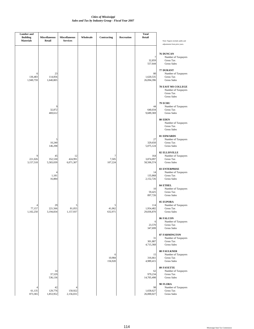| <b>Lumber</b> and<br><b>Building</b><br><b>Materials</b> | <b>Miscellaneous</b><br>Retail | <b>Miscellaneous</b><br><b>Services</b> | Wholesale | Contracting            | Recreation | <b>Total</b><br><b>Retail</b>                           | Note: Figures include audits and<br>adjustments from prior years.                                                                                                       |
|----------------------------------------------------------|--------------------------------|-----------------------------------------|-----------|------------------------|------------|---------------------------------------------------------|-------------------------------------------------------------------------------------------------------------------------------------------------------------------------|
| 6<br>136,483<br>1,949,759                                | 23<br>114,856<br>1,640,805     |                                         |           |                        |            | 7<br>32,859<br>557,644<br>80<br>1,620,535<br>26,094,396 | 76 DUNCAN<br>Number of Taxpayers<br>Gross Tax<br><b>Gross Sales</b><br>77 DURANT<br>Number of Taxpayers<br>Gross Tax<br><b>Gross Sales</b><br><b>78 EAST MS COLLEGE</b> |
|                                                          | 9<br>32,872<br>469,612         |                                         |           |                        |            | 44<br>640,034<br>9,689,369                              | Number of Taxpayers<br><b>Gross Tax</b><br><b>Gross Sales</b><br><b>79 ECRU</b><br>Number of Taxpayers<br>Gross Tax<br><b>Gross Sales</b>                               |
|                                                          |                                |                                         |           |                        |            |                                                         | <b>80 EDEN</b><br>Number of Taxpayers<br><b>Gross Tax</b><br><b>Gross Sales</b>                                                                                         |
|                                                          | 5<br>10,240<br>146,298         |                                         |           |                        |            | 27<br>329,650<br>5,075,124                              | <b>81 EDWARDS</b><br>Number of Taxpayers<br><b>Gross Tax</b><br><b>Gross Sales</b>                                                                                      |
| 9<br>221,026<br>3,157,518                                | 45<br>352,530<br>5,583,039     | 12<br>424,991<br>6,071,307              |           | 7<br>7,505<br>107,224  |            | 164<br>3,874,097<br>58,506,574                          | <b>82 ELLISVILLE</b><br>Number of Taxpayers<br>Gross Tax<br><b>Gross Sales</b>                                                                                          |
|                                                          | 4<br>1,181<br>16,884           |                                         |           |                        |            | 14<br>135,868<br>2,152,726                              | <b>83 ENTERPRISE</b><br>Number of Taxpayers<br><b>Gross Tax</b><br><b>Gross Sales</b>                                                                                   |
|                                                          |                                |                                         |           |                        |            | 10<br>59,425<br>897,726                                 | 84 ETHEL<br>Number of Taxpayers<br><b>Gross Tax</b><br><b>Gross Sales</b>                                                                                               |
| 4<br>77,157<br>1,102,250                                 | 29<br>221,566<br>3,194,834     | 5<br>81,055<br>1,157,937                |           | 41,062<br>632,971      |            | 114<br>1,954,482<br>29,836,870                          | <b>85 EUPORA</b><br>Number of Taxpayers<br>Gross Tax<br><b>Gross Sales</b>                                                                                              |
|                                                          |                                |                                         |           |                        |            | 6<br>23,570<br>347,699                                  | 86 FALCON<br>Number of Taxpayers<br><b>Gross Tax</b><br><b>Gross Sales</b>                                                                                              |
|                                                          |                                |                                         |           |                        |            | 31<br>301,887<br>4,715,368                              | <b>87 FARMINGTON</b><br>Number of Taxpayers<br>Gross Tax<br><b>Gross Sales</b>                                                                                          |
|                                                          |                                |                                         |           | 6<br>10,984<br>156,920 |            | 15<br>316,661<br>4,989,415                              | <b>88 FAULKNER</b><br>Number of Taxpayers<br>Gross Tax<br><b>Gross Sales</b>                                                                                            |
|                                                          | 14<br>37,529<br>536,136        |                                         |           |                        |            | 62<br>979,234<br>14,705,498                             | <b>89 FAYETTE</b><br>Number of Taxpayers<br><b>Gross Tax</b><br><b>Gross Sales</b>                                                                                      |
| $\overline{4}$<br>61,135<br>873,365                      | 42<br>129,776<br>1,853,952     | 4<br>150,922<br>2,156,031               |           |                        |            | 98<br>1,658,627<br>26,000,027                           | 90 FLORA<br>Number of Taxpayers<br>Gross Tax<br><b>Gross Sales</b>                                                                                                      |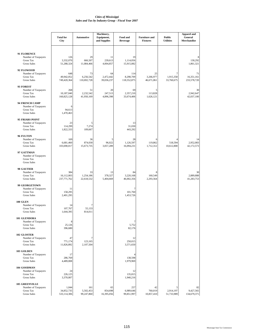|                                                                                  | <b>Total for</b><br>City           | <b>Automotive</b>              | Machinery,<br>Equipment,<br>and Supplies | Food and<br><b>Beverage</b>     | <b>Furniture and</b><br><b>Fixtures</b> | <b>Public</b><br><b>Utilities</b> | <b>Apparel and</b><br>General<br>Merchandise |
|----------------------------------------------------------------------------------|------------------------------------|--------------------------------|------------------------------------------|---------------------------------|-----------------------------------------|-----------------------------------|----------------------------------------------|
| 91 FLORENCE<br>Number of Taxpayers<br>Gross Tax<br><b>Gross Sales</b>            | 126<br>3,332,070<br>51,288,324     | 29<br>666.507<br>11,084,466    | 11<br>239,613<br>4,004,857               | 19<br>1,114,056<br>15,915,082   |                                         |                                   | 130,292<br>1,861,321                         |
| 92 FLOWOOD<br>Number of Taxpayers<br>Gross Tax<br><b>Gross Sales</b>             | 648<br>49,942,052<br>749,420,364   | 73<br>6,256,542<br>110,692,728 | 64<br>2,472,442<br>39,036,237            | 114<br>8,298,709<br>118,552,875 | 25<br>3,266,977<br>46,671,061           | 7<br>1,915,358<br>33,760,675      | 71<br>16,351,161<br>233,578,720              |
| 93 FOREST<br>Number of Taxpayers<br><b>Gross Tax</b><br><b>Gross Sales</b>       | 268<br>10,187,040<br>160,825,128   | 51<br>2,232,542<br>41,950,169  | 20<br>247,513<br>4,896,398               | 69<br>2,357,210<br>33,674,406   | 5<br>113,828<br>1,626,121               |                                   | 30<br>2,942,647<br>42,037,100                |
| 94 FRENCH CAMP<br>Number of Taxpayers<br>Gross Tax<br><b>Gross Sales</b>         | 6<br>94,613<br>1,470,463           |                                |                                          |                                 |                                         |                                   |                                              |
| <b>95 FRIARS POINT</b><br>Number of Taxpayers<br>Gross Tax<br><b>Gross Sales</b> | 23<br>114,299<br>1,822,333         | 5<br>7,274<br>109,667          |                                          | 13<br>31,030<br>443,292         |                                         |                                   |                                              |
| 96 FULTON<br>Number of Taxpayers<br><b>Gross Tax</b><br><b>Gross Sales</b>       | 169<br>6,681,460<br>103,690,017    | 36<br>874,030<br>15,673,735    | 5<br>96,022<br>3,057,289                 | 28<br>1,126,597<br>16,094,231   | 6<br>119,862<br>1,712,312               | 518,594<br>10,612,800             | 14<br>2,952,083<br>42,172,573                |
| 97 GATTMAN<br>Number of Taxpayers<br>Gross Tax<br><b>Gross Sales</b>             |                                    |                                |                                          |                                 |                                         |                                   |                                              |
| 98 GAUTIER<br>Number of Taxpayers<br><b>Gross Tax</b><br><b>Gross Sales</b>      | 384<br>16,112,003<br>237,771,762   | 33<br>1,254,186<br>22,618,532  | 13<br>378,327<br>5,404,669               | 84<br>3,220,168<br>46,002,356   | 8<br>160,549<br>2,293,564               |                                   | 30<br>2,889,888<br>41,283,753                |
| 99 GEORGETOWN<br>Number of Taxpayers<br><b>Gross Tax</b><br><b>Gross Sales</b>   | 11<br>158,295<br>2,401,295         |                                |                                          | 7<br>101,760<br>1,453,726       |                                         |                                   |                                              |
| 100 GLEN<br>Number of Taxpayers<br>Gross Tax<br><b>Gross Sales</b>               | 14<br>107,767<br>1,644,395         | 7<br>55,133<br>814,011         |                                          |                                 |                                         |                                   |                                              |
| <b>101 GLENDORA</b><br>Number of Taxpayers<br>Gross Tax<br><b>Gross Sales</b>    | 8<br>25,126<br>396,680             |                                |                                          | 7<br>5,752<br>82,176            |                                         |                                   |                                              |
| 102 GLOSTER<br>Number of Taxpayers<br>Gross Tax<br><b>Gross Sales</b>            | 47<br>771,174<br>11,826,892        | 7<br>123,165<br>2,107,504      |                                          | 12<br>250,015<br>3,571,650      |                                         |                                   |                                              |
| <b>103 GOLDEN</b><br>Number of Taxpayers<br>Gross Tax<br><b>Gross Sales</b>      | 17<br>286,769<br>4,489,008         |                                |                                          | 138,598<br>1,979,969            |                                         |                                   |                                              |
| 104 GOODMAN<br>Number of Taxpayers<br>Gross Tax<br><b>Gross Sales</b>            | 24<br>226,125<br>3,370,007         |                                |                                          | 12<br>135,815<br>1,940,216      |                                         |                                   |                                              |
| <b>105 GREENVILLE</b><br>Number of Taxpayers<br>Gross Tax<br><b>Gross Sales</b>  | 1,044<br>34,852,735<br>533,114,306 | 161<br>5,502,453<br>99,247,860 | 65<br>854,698<br>16,395,056              | 257<br>6,989,646<br>99,851,997  | 42<br>760,019<br>10,857,410             | 5<br>2,914,197<br>51,733,989      | 82<br>9,427,565<br>134,679,371               |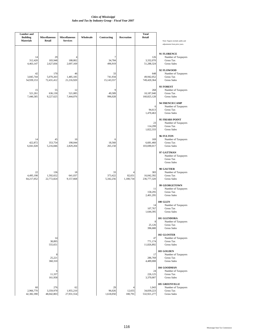| <b>Lumber</b> and<br><b>Building</b><br><b>Materials</b> | <b>Miscellaneous</b><br>Retail | <b>Miscellaneous</b><br><b>Services</b> | Wholesale | Contracting                 | <b>Recreation</b>   | <b>Total</b><br><b>Retail</b>      | Note: Figures include audits and<br>adjustments from prior years.                |
|----------------------------------------------------------|--------------------------------|-----------------------------------------|-----------|-----------------------------|---------------------|------------------------------------|----------------------------------------------------------------------------------|
| 14<br>312,420<br>4,463,147                               | 29<br>183,948<br>2,627,836     | 188,802<br>2,697,169                    |           | 7<br>34,784<br>496,919      |                     | 126<br>3,332,070<br>51,288,324     | 91 FLORENCE<br>Number of Taxpayers<br>Gross Tax<br><b>Gross Sales</b>            |
| 42<br>3,845,744<br>54,939,153                            | 170<br>5,070,203<br>72,431,412 | 46<br>1,485,185<br>21,216,920           |           | 33<br>741,934<br>15,143,557 |                     | 648<br>49,942,052<br>749,420,364   | 92 FLOWOOD<br>Number of Taxpayers<br><b>Gross Tax</b><br><b>Gross Sales</b>      |
| 15<br>521,261<br>7,446,585                               | 55<br>636,130<br>9,227,625     | 12<br>521,085<br>7,444,076              |           | 9<br>49,589<br>996,028      |                     | 268<br>10,187,040<br>160,825,128   | 93 FOREST<br>Number of Taxpayers<br>Gross Tax<br><b>Gross Sales</b>              |
|                                                          |                                |                                         |           |                             |                     | 6<br>94,613<br>1,470,463           | 94 FRENCH CAMP<br>Number of Taxpayers<br>Gross Tax<br><b>Gross Sales</b>         |
|                                                          |                                |                                         |           |                             |                     | 23<br>114,299<br>1,822,333         | 95 FRIARS POINT<br>Number of Taxpayers<br><b>Gross Tax</b><br><b>Gross Sales</b> |
| 14<br>422,872<br>6,041,028                               | 45<br>353,754<br>5,216,846     | 10<br>198,044<br>2,829,204              |           | 6<br>18,560<br>265,150      |                     | 169<br>6,681,460<br>103,690,017    | 96 FULTON<br>Number of Taxpayers<br>Gross Tax<br><b>Gross Sales</b>              |
|                                                          |                                |                                         |           |                             |                     |                                    | 97 GATTMAN<br>Number of Taxpayers<br>Gross Tax<br><b>Gross Sales</b>             |
| 22<br>4,495,198<br>64,217,052                            | 136<br>1,592,652<br>22,772,824 | 18<br>641,037<br>9,157,668              |           | 33<br>373,422<br>5,342,256  | 82,651<br>1,180,734 | 383<br>16,042,392<br>236,777,320   | 98 GAUTIER<br>Number of Taxpayers<br><b>Gross Tax</b><br><b>Gross Sales</b>      |
|                                                          |                                |                                         |           |                             |                     | 11<br>158,295<br>2,401,295         | 99 GEORGETOWN<br>Number of Taxpayers<br>Gross Tax<br><b>Gross Sales</b>          |
|                                                          |                                |                                         |           |                             |                     | 14<br>107,767<br>1,644,395         | <b>100 GLEN</b><br>Number of Taxpayers<br>Gross Tax<br><b>Gross Sales</b>        |
|                                                          |                                |                                         |           |                             |                     | 8<br>25,126<br>396,680             | 101 GLENDORA<br>Number of Taxpayers<br>Gross Tax<br><b>Gross Sales</b>           |
|                                                          | 14<br>38,895<br>555,651        |                                         |           |                             |                     | 47<br>771,174<br>11,826,892        | 102 GLOSTER<br>Number of Taxpayers<br>Gross Tax<br><b>Gross Sales</b>            |
|                                                          | 8<br>25,221<br>360,310         |                                         |           |                             |                     | 17<br>286,769<br>4,489,008         | 103 GOLDEN<br>Number of Taxpayers<br>Gross Tax<br><b>Gross Sales</b>             |
|                                                          | 6<br>11,337<br>161,958         |                                         |           |                             |                     | 24<br>226,125<br>3,370,007         | 104 GOODMAN<br>Number of Taxpayers<br>Gross Tax<br><b>Gross Sales</b>            |
| 60<br>2,966,770<br>42,382,390                            | 276<br>3,359,979<br>48,042,803 | 62<br>1,955,210<br>27,931,554           |           | 29<br>96,026<br>1,618,050   | 12,655<br>180,791   | 1,043<br>34,839,223<br>532,921,277 | <b>105 GREENVILLE</b><br>Number of Taxpayers<br>Gross Tax<br><b>Gross Sales</b>  |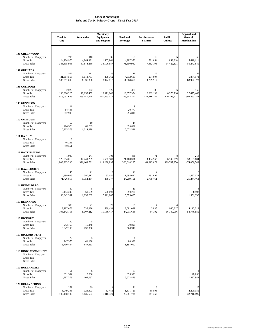|                                                                                         | <b>Total for</b>                      | Automotive                         | Machinery,<br>Equipment,         | Food and                         | <b>Furniture and</b>           | <b>Public</b>            | <b>Apparel and</b><br>General          |
|-----------------------------------------------------------------------------------------|---------------------------------------|------------------------------------|----------------------------------|----------------------------------|--------------------------------|--------------------------|----------------------------------------|
|                                                                                         | City                                  |                                    | and Supplies                     | <b>Beverage</b>                  | <b>Fixtures</b>                | <b>Utilities</b>         | Merchandise                            |
| <b>106 GREENWOOD</b><br>Number of Taxpayers<br><b>Gross Tax</b>                         | 705<br>24,224,970                     | 110<br>4,844,931                   | 36<br>1,505,961                  | 163<br>4,997,370                 | 19<br>521,654                  | 1,853,818                | 56<br>5,619,111                        |
| <b>Gross Sales</b>                                                                      | 386,815,935                           | 87,874,280                         | 33,196,887                       | 71,390,942                       | 7,452,193                      | 34,422,101               | 80,272,840                             |
| 107 GRENADA<br>Number of Taxpayers<br><b>Gross Tax</b><br><b>Gross Sales</b>            | 576<br>21,364,568<br>335,551,006      | 111<br>5,113,737<br>96,331,398     | 26<br>499,762<br>8,974,817       | 118<br>4,312,610<br>61,608,666   | 16<br>294,694<br>4,209,917     |                          | 49<br>5,874,573<br>83,922,378          |
| 108 GULFPORT                                                                            |                                       |                                    |                                  |                                  |                                |                          |                                        |
| Number of Taxpayers<br><b>Gross Tax</b><br><b>Gross Sales</b>                           | 2,029<br>136,996,225<br>2,076,061,645 | 302<br>19,655,452<br>355,480,928   | 125<br>10,371,046<br>151,393,119 | 375<br>19,357,974<br>276,542,214 | 88<br>8,639,139<br>123,416,149 | 6,376,716<br>120,196,472 | 165<br>27,475,466<br>392,493,282       |
| 109 GUNNISON<br>Number of Taxpayers<br>Gross Tax<br><b>Gross Sales</b>                  | 11<br>54,405<br>852,998               |                                    |                                  | q<br>20,777<br>296,816           |                                |                          |                                        |
| 110 GUNTOWN                                                                             |                                       |                                    |                                  |                                  |                                |                          |                                        |
| Number of Taxpayers<br><b>Gross Tax</b><br><b>Gross Sales</b>                           | 52<br>704,323<br>10,905,573           | 10<br>61,763<br>1,014,279          |                                  | 14<br>355,077<br>5,072,531       |                                |                          |                                        |
| <b>111 HATLEY</b><br>Number of Taxpayers<br><b>Gross Tax</b><br><b>Gross Sales</b>      | 8<br>46,296<br>740,561                |                                    |                                  |                                  |                                |                          |                                        |
| <b>112 HATTIESBURG</b><br>Number of Taxpayers<br><b>Gross Tax</b><br><b>Gross Sales</b> | 1,940<br>123,954,019<br>1,908,363,230 | 241<br>17,749,209<br>326, 163, 781 | 108<br>6,557,980<br>113,238,995  | 468<br>21,463,301<br>306,618,285 | 71<br>4,494,962<br>64,213,679  | 6,749,089<br>129,747,370 | 214<br>33,183,604<br>474,050,549       |
| <b>113 HAZLEHURST</b><br>Number of Taxpayers<br><b>Gross Tax</b><br><b>Gross Sales</b>  | 145<br>4,899,035<br>71,726,813        | 21<br>390,817<br>5,754,464         | 10<br>33,480<br>489,377          | 41<br>1,694,642<br>24,209,151    | 191,692<br>2,738,461           |                          | 10<br>1,487,122<br>21,244,463          |
| <b>114 HEIDELBERG</b><br>Number of Taxpayers<br><b>Gross Tax</b><br><b>Gross Sales</b>  | 39<br>2,154,242<br>33,842,567         | 5<br>61,689<br>1,033,262           | 526,093<br>7,521,267             | 10<br>390,280<br>5,575,425       |                                |                          | 6<br>108,593<br>1,551,332              |
| 115 HERNANDO<br>Number of Taxpayers<br><b>Gross Tax</b><br><b>Gross Sales</b>           | 383<br>13,287,678<br>198, 142, 155    | 41<br>538,220<br>8,007,212         | 25<br>589,434<br>11,186,417      | 65<br>3,081,099<br>44,015,665    | 4<br>3,835<br>54,792           | 940,817<br>16,740,056    | 16<br>4,112,312<br>58,746,880          |
| 116 НІСКОКҮ<br>Number of Taxpayers<br>Gross Tax<br><b>Gross Sales</b>                   | 20<br>242,768<br>3,647,103            | 5<br>16,448<br>238,308             |                                  | 39,825<br>568,940                |                                |                          |                                        |
| <b>117 HICKORY FLAT</b><br>Number of Taxpayers<br>Gross Tax<br><b>Gross Sales</b>       | 22<br>247,376<br>3,710,487            | 5<br>41,138<br>647,383             |                                  | 6<br>80,996<br>1,157,092         |                                |                          |                                        |
| <b>118 HINDS COMMUNITY</b><br>Number of Taxpayers<br>Gross Tax<br><b>Gross Sales</b>    |                                       |                                    |                                  |                                  |                                |                          |                                        |
| <b>119 HOLLANDALE</b><br>Number of Taxpayers<br>Gross Tax<br><b>Gross Sales</b>         | 51<br>991,302<br>14,887,373           | 6<br>7,566<br>108,087              |                                  | 23<br>393,573<br>5,622,478       |                                |                          | $\overline{4}$<br>128,656<br>1,837,942 |
| <b>120 HOLLY SPRINGS</b><br>Number of Taxpayers<br>Gross Tax<br><b>Gross Sales</b>      | 279<br>6,949,203<br>103,158,783       | 39<br>326,493<br>5,135,534         | 14<br>52,451<br>1,016,329        | 71<br>1,671,723<br>23,881,734    | 8<br>58,895<br>841,363         |                          | 25<br>2,290,185<br>32,716,896          |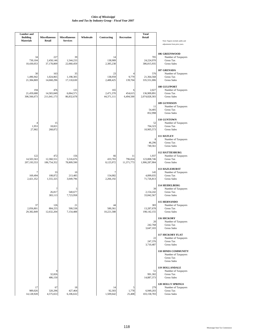| <b>Lumber</b> and<br><b>Building</b><br><b>Materials</b> | <b>Miscellaneous</b><br>Retail   | <b>Miscellaneous</b><br><b>Services</b> | Wholesale | Contracting                    | <b>Recreation</b>           | <b>Total</b><br>Retail                | Note: Figures include audits and<br>adjustments from prior years.                       |
|----------------------------------------------------------|----------------------------------|-----------------------------------------|-----------|--------------------------------|-----------------------------|---------------------------------------|-----------------------------------------------------------------------------------------|
| 34<br>730,104<br>10,430,053                              | 227<br>2,458,146<br>37,178,809   | 39<br>1,544,233<br>22,060,459           |           | 14<br>138,989<br>2,385,238     |                             | 705<br>24,224,970<br>386,815,935      | <b>106 GREENWOOD</b><br>Number of Taxpayers<br>Gross Tax<br><b>Gross Sales</b>          |
| 30<br>1,496,942<br>21,384,869                            | 163<br>1,024,865<br>14,668,296   | 35<br>1,198,305<br>17,118,630           |           | 23<br>138,959<br>2,488,425     | 9,779<br>139,704            | 576<br>21,364,568<br>335,551,006      | 107 GRENADA<br>Number of Taxpayers<br><b>Gross Tax</b><br><b>Gross Sales</b>            |
| 194<br>21,459,688<br>306,566,673                         | 476<br>14,583,849<br>211,041,173 | 125<br>6,064,571<br>86,832,678          |           | 165<br>2,471,370<br>44,371,111 | 6<br>454,615<br>6,494,500   | 2,027<br>136,909,891<br>2,074,828,303 | 108 GULFPORT<br>Number of Taxpayers<br>Gross Tax<br><b>Gross Sales</b>                  |
|                                                          |                                  |                                         |           |                                |                             | 11<br>54,405<br>852,998               | 109 GUNNISON<br>Number of Taxpayers<br>Gross Tax<br><b>Gross Sales</b>                  |
| $\overline{4}$<br>1,953<br>27,902                        | 15<br>18,821<br>268,872          |                                         |           |                                |                             | 52<br>704,323<br>10,905,573           | 110 GUNTOWN<br>Number of Taxpayers<br>Gross Tax<br><b>Gross Sales</b>                   |
|                                                          |                                  |                                         |           |                                |                             | 8<br>46,296<br>740,561                | 111 HATLEY<br>Number of Taxpayers<br>Gross Tax<br><b>Gross Sales</b>                    |
| 122<br>14,503,563<br>207,193,553                         | 472<br>12,360,551<br>186,754,352 | 156<br>5,516,676<br>78,809,590          |           | 66<br>433,783<br>8,125,972     | 11<br>796,024<br>11,371,773 | 1,937<br>123,808,746<br>1,906,287,904 | <b>112 HATTIESBURG</b><br>Number of Taxpayers<br><b>Gross Tax</b><br><b>Gross Sales</b> |
| 7<br>169,494<br>2,421,352                                | 33<br>108,872<br>1,555,325       | 10<br>213,485<br>3,049,796              |           | 7<br>154,082<br>2,266,192      |                             | 145<br>4,899,035<br>71,726,813        | <b>113 HAZLEHURST</b><br>Number of Taxpayers<br>Gross Tax<br><b>Gross Sales</b>         |
|                                                          | 7<br>26,817<br>383,113           | 5<br>540,677<br>7,723,958               |           |                                |                             | 39<br>2,154,242<br>33,842,567         | <b>114 HEIDELBERG</b><br>Number of Taxpayers<br><b>Gross Tax</b><br><b>Gross Sales</b>  |
| 37<br>2,056,801<br>29,382,849                            | 126<br>884,255<br>12,632,204     | 21<br>500,538<br>7,154,488              |           | 44<br>580,361<br>10,221,588    |                             | 383<br>13,287,678<br>198, 142, 155    | <b>115 HERNANDO</b><br>Number of Taxpayers<br>Gross Tax<br><b>Gross Sales</b>           |
|                                                          |                                  |                                         |           |                                |                             | 20<br>242,768<br>3,647,103            | 116 HICKORY<br>Number of Taxpayers<br>Gross Tax<br><b>Gross Sales</b>                   |
|                                                          |                                  |                                         |           |                                |                             | 22<br>247,376<br>3,710,487            | <b>117 HICKORY FLAT</b><br>Number of Taxpayers<br>Gross Tax<br><b>Gross Sales</b>       |
|                                                          |                                  |                                         |           |                                |                             |                                       | <b>118 HINDS COMMUNITY</b><br>Number of Taxpayers<br>Gross Tax<br><b>Gross Sales</b>    |
|                                                          | 9<br>32,826<br>486,150           |                                         |           |                                |                             | 51<br>991,302<br>14,887,373           | <b>119 HOLLANDALE</b><br>Number of Taxpayers<br>Gross Tax<br><b>Gross Sales</b>         |
| 17<br>989,026<br>14,128,928                              | 67<br>320,296<br>4,575,653       | 18<br>427,464<br>6,106,632              |           | 14<br>92,303<br>1,509,642      | 5<br>1,778<br>25,408        | 279<br>6,949,203<br>103,158,783       | <b>120 HOLLY SPRINGS</b><br>Number of Taxpayers<br>Gross Tax<br><b>Gross Sales</b>      |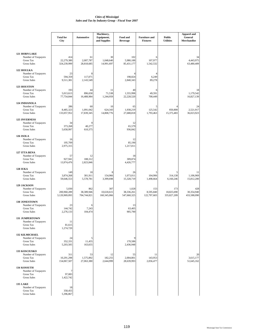|                                                                                        | <b>Total for</b><br>City              | <b>Automotive</b>                | Machinery,<br>Equipment,<br>and Supplies | Food and<br><b>Beverage</b>            | <b>Furniture and</b><br><b>Fixtures</b> | <b>Public</b><br><b>Utilities</b> | <b>Apparel and</b><br>General<br>Merchandise |
|----------------------------------------------------------------------------------------|---------------------------------------|----------------------------------|------------------------------------------|----------------------------------------|-----------------------------------------|-----------------------------------|----------------------------------------------|
| 121 HORN LAKE<br>Number of Taxpayers<br><b>Gross Tax</b><br><b>Gross Sales</b>         | 414<br>22,279,380<br>324,239,999      | 61<br>2,007,787<br>28,818,685    | 30<br>1,048,640<br>14,991,697            | 102<br>5,980,188<br>85,431,177         | 6<br>107,977<br>1,542,532               |                                   | 34<br>4,443,975<br>63,480,409                |
| 122 HOULKA<br>Number of Taxpayers<br><b>Gross Tax</b><br><b>Gross Sales</b>            | 23<br>594,359<br>9,511,381            | 8<br>117,071<br>2,143,549        |                                          | $\overline{4}$<br>198,824<br>2,840,343 | 6,249<br>89,278                         |                                   |                                              |
| 123 HOUSTON<br>Number of Taxpayers<br><b>Gross Tax</b><br><b>Gross Sales</b>           | 193<br>5,013,613<br>77,754,844        | 44<br>896,658<br>16,488,984      | 11<br>71,538<br>1,244,959                | 40<br>1,555,998<br>22,228,520          | 6<br>49,591<br>708,449                  |                                   | 18<br>1,179,542<br>16,827,139                |
| 124 INDIANOLA<br>Number of Taxpayers<br><b>Gross Tax</b><br><b>Gross Sales</b>         | 286<br>8,485,323<br>133,057,952       | 60<br>1,091,042<br>17,839,345    | 10<br>624,343<br>14,808,776              | 65<br>1,938,219<br>27,688,818          | 125,542<br>1,793,463                    | 850,808<br>15,375,483             | 24<br>2,521,917<br>36,023,923                |
| <b>125 INVERNESS</b><br>Number of Taxpayers<br><b>Gross Tax</b><br><b>Gross Sales</b>  | 34<br>373,268<br>5,658,997            | 9<br>40,277<br>610,375           |                                          | 12<br>65,579<br>936,842                |                                         |                                   |                                              |
| 126 ISOLA<br>Number of Taxpayers<br><b>Gross Tax</b><br><b>Gross Sales</b>             | 16<br>195,709<br>2,975,315            |                                  |                                          | 12<br>85,190<br>1,217,011              |                                         |                                   |                                              |
| 127 ITTA BENA<br>Number of Taxpayers<br><b>Gross Tax</b><br><b>Gross Sales</b>         | 57<br>927,941<br>13,974,476           | 12<br>188,312<br>2,823,846       |                                          | 18<br>309,874<br>4,426,777             |                                         |                                   |                                              |
| 128 IUKA<br>Number of Taxpayers<br><b>Gross Tax</b><br><b>Gross Sales</b>              | 149<br>3,874,268<br>59,646,553        | 18<br>301,911<br>5,578,781       | 8<br>154,966<br>3,399,698                | 26<br>1,073,011<br>15,328,719          | 5<br>104,906<br>1,498,664               | 314,138<br>6,160,246              | 11<br>1,106,969<br>15,812,200                |
| 129 JACKSON<br>Number of Taxpayers<br><b>Gross Tax</b><br><b>Gross Sales</b>           | 5,030<br>200,960,289<br>3,120,969,093 | 862<br>38,389,946<br>704,744,821 | 307<br>10,618,615<br>160,345,066         | 1,028<br>38,336,261<br>547,660,325     | 153<br>8,595,840<br>122,797,603         | 173<br>18,825,690<br>335,827,209  | 428<br>30,354,940<br>433,588,090             |
| <b>130 JONESTOWN</b><br>Number of Taxpayers<br><b>Gross Tax</b><br><b>Gross Sales</b>  | 23<br>144,742<br>2,276,133            | 6<br>7,243<br>104,474            |                                          | 13<br>63,405<br>905,790                |                                         |                                   |                                              |
| <b>131 JUMPERTOWN</b><br>Number of Taxpayers<br><b>Gross Tax</b><br><b>Gross Sales</b> | 11<br>81,615<br>1,274,720             |                                  |                                          |                                        |                                         |                                   |                                              |
| <b>132 KILMICHAEL</b><br>Number of Taxpayers<br>Gross Tax<br><b>Gross Sales</b>        | 24<br>352,331<br>5,203,505            | 5<br>11,455<br>163,655           |                                          | 9<br>170,586<br>2,436,948              |                                         |                                   |                                              |
| <b>133 KOSCIUSKO</b><br>Number of Taxpayers<br><b>Gross Tax</b><br><b>Gross Sales</b>  | 311<br>10,291,298<br>154,067,507      | 53<br>1,575,892<br>27,063,380    | 12<br>182,255<br>2,644,999               | 55<br>2,004,801<br>28,639,993          | 11<br>143,953<br>2,056,477              |                                   | 20<br>3,615,177<br>51,645,162                |
| <b>134 KOSSUTH</b><br>Number of Taxpayers<br>Gross Tax<br><b>Gross Sales</b>           | 7<br>97,083<br>1,422,742              |                                  |                                          |                                        |                                         |                                   |                                              |
| <b>135 LAKE</b><br>Number of Taxpayers<br><b>Gross Tax</b><br><b>Gross Sales</b>       | 18<br>358,455<br>5,396,867            |                                  |                                          |                                        |                                         |                                   |                                              |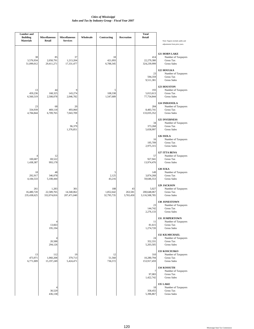| <b>Lumber</b> and<br><b>Building</b><br><b>Materials</b> | <b>Miscellaneous</b><br>Retail                | <b>Miscellaneous</b><br><b>Services</b> | Wholesale | Contracting                    | Recreation                 | <b>Total</b><br>Retail                | Note: Figures include audits and<br>adjustments from prior years.               |
|----------------------------------------------------------|-----------------------------------------------|-----------------------------------------|-----------|--------------------------------|----------------------------|---------------------------------------|---------------------------------------------------------------------------------|
| 3,576,934<br>51,099,012                                  | 38<br>85<br>2,058,791<br>29,411,271           | 37<br>1,213,204<br>17,331,477           |           | 18<br>421,093<br>6,788,345     |                            | 414<br>22,279,380<br>324,239,999      | <b>121 HORN LAKE</b><br>Number of Taxpayers<br>Gross Tax<br><b>Gross Sales</b>  |
|                                                          |                                               |                                         |           |                                |                            | 23<br>594,359<br>9,511,381            | 122 HOULKA<br>Number of Taxpayers<br><b>Gross Tax</b><br><b>Gross Sales</b>     |
| 459,236<br>6,560,519                                     | 13<br>44<br>168,325<br>2,508,078              | 9<br>143,274<br>2,046,782               |           | 5<br>108,338<br>1,547,689      |                            | 193<br>5,013,613<br>77,754,844        | 123 HOUSTON<br>Number of Taxpayers<br>Gross Tax<br><b>Gross Sales</b>           |
| 334,939<br>4,784,844                                     | 23<br>68<br>469,118<br>6,709,765              | 20<br>493,060<br>7,043,709              |           |                                |                            | 284<br>8,483,741<br>133,035,352       | 124 INDIANOLA<br>Number of Taxpayers<br>Gross Tax<br><b>Gross Sales</b>         |
|                                                          |                                               | 4<br>96,379<br>1,376,851                |           |                                |                            | 34<br>373,268<br>5,658,997            | <b>125 INVERNESS</b><br>Number of Taxpayers<br>Gross Tax<br><b>Gross Sales</b>  |
|                                                          |                                               |                                         |           |                                |                            | 16<br>195,709<br>2,975,315            | 126 ISOLA<br>Number of Taxpayers<br><b>Gross Tax</b><br><b>Gross Sales</b>      |
| 100,687<br>1,438,387                                     | 12<br>69,522<br>993,178                       |                                         |           |                                |                            | 57<br>927,941<br>13,974,476           | 127 ITTA BENA<br>Number of Taxpayers<br><b>Gross Tax</b><br><b>Gross Sales</b>  |
| 292,917<br>4,184,533                                     | 18<br>48<br>346,078<br>5,108,444              |                                         |           | 5<br>2,125<br>43,216           |                            | 149<br>3,874,268<br>59,646,553        | <b>128 IUKA</b><br>Number of Taxpayers<br>Gross Tax<br><b>Gross Sales</b>       |
| 261<br>16,480,720<br>235,438,625                         | 1,283<br>22,589,765<br>332,074,816            | 301<br>14,340,062<br>207,471,040        |           | 188<br>1,852,642<br>32,795,735 | 43<br>263,581<br>3,765,450 | 5,027<br>200,648,067<br>3,116,508,785 | 129 JACKSON<br>Number of Taxpayers<br><b>Gross Tax</b><br><b>Gross Sales</b>    |
|                                                          |                                               |                                         |           |                                |                            | 23<br>144,742<br>2,276,133            | <b>130 JONESTOWN</b><br>Number of Taxpayers<br>Gross Tax<br><b>Gross Sales</b>  |
|                                                          | $\overline{4}$<br>13,663<br>195,194           |                                         |           |                                |                            | 11<br>81,615<br>1,274,720             | <b>131 JUMPERTOWN</b><br>Number of Taxpayers<br>Gross Tax<br><b>Gross Sales</b> |
|                                                          | $\overline{4}$<br>20,588<br>294,126           |                                         |           |                                |                            | 24<br>352,331<br>5,203,505            | <b>132 KILMICHAEL</b><br>Number of Taxpayers<br>Gross Tax<br><b>Gross Sales</b> |
| 473,971<br>6,771,009                                     | 13<br>112<br>1,060,208<br>15,197,249          | 19<br>379,713<br>5,424,471              |           | 12<br>51,560<br>736,572        |                            | 310<br>10,280,794<br>153,917,459      | 133 KOSCIUSKO<br>Number of Taxpayers<br>Gross Tax<br><b>Gross Sales</b>         |
|                                                          |                                               |                                         |           |                                |                            | 7<br>97,083<br>1,422,742              | 134 KOSSUTH<br>Number of Taxpayers<br>Gross Tax<br><b>Gross Sales</b>           |
|                                                          | $\overline{\mathcal{A}}$<br>30,529<br>436,138 |                                         |           |                                |                            | 18<br>358,455<br>5,396,867            | <b>135 LAKE</b><br>Number of Taxpayers<br>Gross Tax<br><b>Gross Sales</b>       |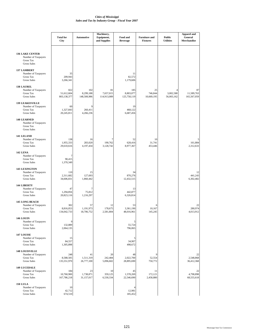|                                                                                         | <b>Total for</b><br>City         | <b>Automotive</b>               | Machinery,<br>Equipment,<br>and Supplies | Food and<br><b>Beverage</b>     | <b>Furniture</b> and<br><b>Fixtures</b> | <b>Public</b><br><b>Utilities</b> | <b>Apparel and</b><br>General<br>Merchandise |
|-----------------------------------------------------------------------------------------|----------------------------------|---------------------------------|------------------------------------------|---------------------------------|-----------------------------------------|-----------------------------------|----------------------------------------------|
| <b>136 LAKE CENTER</b><br>Number of Taxpayers<br>Gross Tax<br><b>Gross Sales</b>        |                                  |                                 |                                          |                                 |                                         |                                   |                                              |
| <b>137 LAMBERT</b><br>Number of Taxpayers<br><b>Gross Tax</b><br><b>Gross Sales</b>     | 35<br>209,943<br>3,266,341       |                                 |                                          | 11<br>82,572<br>1,179,606       |                                         |                                   |                                              |
| <b>138 LAUREL</b><br>Number of Taxpayers<br><b>Gross Tax</b><br><b>Gross Sales</b>      | 822<br>51,612,604<br>803,138,377 | 102<br>8,299,188<br>148,508,986 | 81<br>7,657,015<br>114,913,089           | 185<br>8,803,077<br>125,758,119 | 25<br>746,844<br>10,669,195             | 4<br>3,002,580<br>56,003,162      | 87<br>11,589,763<br>165,567,059              |
| <b>139 LEAKESVILLE</b><br>Number of Taxpayers<br><b>Gross Tax</b><br><b>Gross Sales</b> | 60<br>1,327,843<br>20,245,811    | 9<br>260,411<br>4,266,236       |                                          | 19<br>468,122<br>6,687,456      |                                         |                                   |                                              |
| <b>140 LEARNED</b><br>Number of Taxpayers<br><b>Gross Tax</b><br><b>Gross Sales</b>     |                                  |                                 |                                          |                                 |                                         |                                   |                                              |
| 141 LELAND<br>Number of Taxpayers<br><b>Gross Tax</b><br><b>Gross Sales</b>             | 138<br>1,955,333<br>29,610,616   | 16<br>283,020<br>4,197,434      | 7<br>190,762<br>3,128,742                | 52<br>628,416<br>8,977,367      | 10<br>31,741<br>453,446                 |                                   | 161,884<br>2,312,633                         |
| <b>142 LENA</b><br>Number of Taxpayers<br><b>Gross Tax</b><br><b>Gross Sales</b>        | 7<br>90,415<br>1,370,349         |                                 |                                          |                                 |                                         |                                   |                                              |
| <b>143 LEXINGTON</b><br>Number of Taxpayers<br><b>Gross Tax</b><br><b>Gross Sales</b>   | 110<br>2,311,682<br>34,606,831   | 15<br>127,693<br>1,860,442      |                                          | 34<br>870,276<br>12,432,515     |                                         |                                   | 12<br>441,243<br>6,302,482                   |
| <b>144 LIBERTY</b><br>Number of Taxpayers<br><b>Gross Tax</b><br><b>Gross Sales</b>     | 47<br>1,294,856<br>20,823,116    | 7<br>75,812<br>1,216,297        |                                          | 13<br>442,877<br>6,326,814      |                                         |                                   |                                              |
| <b>145 LONG BEACH</b><br>Number of Taxpayers<br>Gross Tax<br>Gross Sales                | 302<br>8,816,053<br>134,042,733  | 57<br>1,191,973<br>18,706,752   | 12<br>178,675<br>2,581,804               | 53<br>3,361,190<br>48,016,961   | 6<br>10,167<br>145,245                  |                                   | 22<br>280,974<br>4,013,912                   |
| <b>146 LOUIN</b><br>Number of Taxpayers<br>Gross Tax<br><b>Gross Sales</b>              | 9<br>132,889<br>2,064,135        |                                 |                                          | 5<br>55,724<br>796,065          |                                         |                                   |                                              |
| <b>147 LOUISE</b><br>Number of Taxpayers<br>Gross Tax<br>Gross Sales                    | 15<br>84,557<br>1,305,898        |                                 |                                          | 5<br>34,907<br>498,672          |                                         |                                   |                                              |
| <b>148 LOUISVILLE</b><br>Number of Taxpayers<br>Gross Tax<br>Gross Sales                | 248<br>8,588,505<br>135,551,970  | 41<br>1,511,319<br>26,777,100   | 20<br>242,484<br>5,096,602               | 48<br>2,022,700<br>28,895,690   | ς<br>52,554<br>750,772                  |                                   | 22<br>2,548,868<br>36,412,368                |
| <b>149 LUCEDALE</b><br>Number of Taxpayers<br><b>Gross Tax</b><br>Gross Sales           | 184<br>10,760,900<br>167,786,218 | 23<br>1,738,871<br>31,157,017   | 10<br>359,125<br>6,530,334               | 45<br>1,578,269<br>22,546,690   | 11<br>172,121<br>2,458,880              |                                   | 22<br>4,798,898<br>68,555,618                |
| <b>150 LULA</b><br>Number of Taxpayers<br>Gross Tax<br><b>Gross Sales</b>               | 10<br>42,712<br>674,510          |                                 |                                          | 4<br>12,981<br>185,452          |                                         |                                   |                                              |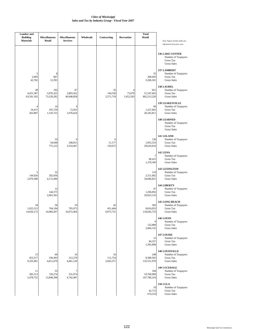| <b>Lumber</b> and<br><b>Building</b><br><b>Materials</b> |                               | <b>Miscellaneous</b><br>Retail | <b>Miscellaneous</b><br><b>Services</b> | Wholesale | Contracting                | Recreation               | <b>Total</b><br>Retail           | Note: Figures include audits and<br>adjustments from prior years.                   |
|----------------------------------------------------------|-------------------------------|--------------------------------|-----------------------------------------|-----------|----------------------------|--------------------------|----------------------------------|-------------------------------------------------------------------------------------|
|                                                          |                               |                                |                                         |           |                            |                          |                                  | <b>136 LAKE CENTER</b><br>Number of Taxpayers<br>Gross Tax<br><b>Gross Sales</b>    |
|                                                          | 5<br>2,993<br>42,762          | 8<br>867<br>12,391             |                                         |           |                            |                          | 35<br>209,943<br>3,266,341       | <b>137 LAMBERT</b><br>Number of Taxpayers<br>Gross Tax<br><b>Gross Sales</b>        |
|                                                          | 49<br>4,451,387<br>63,591,182 | 192<br>3,976,325<br>73,529,282 | 67<br>2,803,422<br>40,048,858           |           | 25<br>144,558<br>2,571,719 | 4<br>73,679<br>1,052,563 | 821<br>51,547,843<br>802,213,220 | <b>138 LAUREL</b><br>Number of Taxpayers<br>Gross Tax<br><b>Gross Sales</b>         |
|                                                          | 18,472<br>263,887             | 14<br>105,750<br>1,510,722     | 4<br>72,955<br>1,076,624                |           |                            |                          | 60<br>1,327,843<br>20,245,811    | <b>139 LEAKESVILLE</b><br>Number of Taxpayers<br>Gross Tax<br><b>Gross Sales</b>    |
|                                                          |                               |                                |                                         |           |                            |                          |                                  | <b>140 LEARNED</b><br>Number of Taxpayers<br>Gross Tax<br><b>Gross Sales</b>        |
|                                                          |                               | 33<br>54,048<br>772,122        | 6<br>248,813<br>3,554,467               |           | 6<br>11,177<br>159,672     |                          | 138<br>1,955,333<br>29,610,616   | 141 LELAND<br>Number of Taxpayers<br><b>Gross Tax</b><br><b>Gross Sales</b>         |
|                                                          |                               |                                |                                         |           |                            |                          | 7<br>90,415<br>1,370,349         | <b>142 LENA</b><br>Number of Taxpayers<br>Gross Tax<br><b>Gross Sales</b>           |
|                                                          | 5<br>144,926<br>2,070,380     | 32<br>292,036<br>4,172,496     |                                         |           |                            |                          | 110<br>2,311,682<br>34,606,831   | <b>143 LEXINGTON</b><br>Number of Taxpayers<br>Gross Tax<br><b>Gross Sales</b>      |
|                                                          |                               | 12<br>144,575<br>2,065,363     |                                         |           |                            |                          | 47<br>1,294,856<br>20,823,116    | <b>144 LIBERTY</b><br>Number of Taxpayers<br><b>Gross Tax</b><br><b>Gross Sales</b> |
|                                                          | 34<br>1,025,513<br>14,650,172 | 56<br>704,194<br>10,060,207    | 19<br>705,073<br>10,072,464             |           | 42<br>451,404<br>8,975,731 |                          | 302<br>8,816,053<br>134,042,733  | <b>145 LONG BEACH</b><br>Number of Taxpayers<br>Gross Tax<br><b>Gross Sales</b>     |
|                                                          |                               |                                |                                         |           |                            |                          | 9<br>132,889<br>2,064,135        | <b>146 LOUIN</b><br>Number of Taxpayers<br>Gross Tax<br><b>Gross Sales</b>          |
|                                                          |                               |                                |                                         |           |                            |                          | 15<br>84,557<br>1,305,898        | <b>147 LOUISE</b><br>Number of Taxpayers<br>Gross Tax<br><b>Gross Sales</b>         |
|                                                          | 13<br>653,517<br>9,335,961    | 60<br>336,493<br>4,811,670     | 16<br>312,278<br>4,461,120              |           | 16<br>111,754<br>2,043,371 |                          | 248<br>8,588,505<br>135,551,970  | <b>148 LOUISVILLE</b><br>Number of Taxpayers<br>Gross Tax<br><b>Gross Sales</b>     |
|                                                          | 11<br>383,513<br>5,478,752    | 53<br>720,274<br>13,848,398    | 7<br>331,974<br>4,742,487               |           |                            |                          | 184<br>10,760,900<br>167,786,218 | <b>149 LUCEDALE</b><br>Number of Taxpayers<br>Gross Tax<br><b>Gross Sales</b>       |
|                                                          |                               |                                |                                         |           |                            |                          | 10<br>42,712<br>674,510          | <b>150 LULA</b><br>Number of Taxpayers<br>Gross Tax<br><b>Gross Sales</b>           |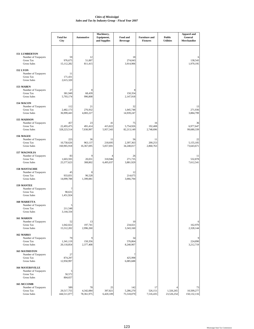|                                                                                       | <b>Total for</b><br>City         | <b>Automotive</b>             | Machinery,<br>Equipment,<br>and Supplies | Food and<br><b>Beverage</b>    | <b>Furniture and</b><br><b>Fixtures</b> | <b>Public</b><br><b>Utilities</b> | <b>Apparel and</b><br>General<br>Merchandise |
|---------------------------------------------------------------------------------------|----------------------------------|-------------------------------|------------------------------------------|--------------------------------|-----------------------------------------|-----------------------------------|----------------------------------------------|
| <b>151 LUMBERTON</b><br>Number of Taxpayers<br>Gross Tax<br><b>Gross Sales</b>        | 59<br>976,675<br>15,112,282      | 12<br>51,007<br>811,415       |                                          | 18<br>274,043<br>3,914,906     |                                         |                                   | 138,543<br>1,979,195                         |
| <b>152 LYON</b><br>Number of Taxpayers<br><b>Gross Tax</b><br><b>Gross Sales</b>      | 11<br>171,431<br>2,615,320       |                               |                                          |                                |                                         |                                   |                                              |
| 153 MABEN<br>Number of Taxpayers<br><b>Gross Tax</b><br><b>Gross Sales</b>            | 27<br>381,949<br>5,793,174       | 8<br>68,439<br>996,808        |                                          | 8<br>150,354<br>2,147,918      |                                         |                                   |                                              |
| 154 MACON<br>Number of Taxpayers<br><b>Gross Tax</b><br><b>Gross Sales</b>            | 112<br>2,482,173<br>36,999,443   | 21<br>276,932<br>4,083,227    |                                          | 32<br>1,045,748<br>14,939,247  |                                         |                                   | 13<br>271,936<br>3,884,799                   |
| 155 MADISON<br>Number of Taxpayers<br><b>Gross Tax</b><br><b>Gross Sales</b>          | 457<br>22,493,475<br>328,223,514 | 23<br>491,414<br>7,030,997    | 41<br>415,822<br>5,957,343               | 75<br>5,754,926<br>82,213,149  | 16<br>192,408<br>2,748,696              |                                   | 36<br>6,977,647<br>99,680,339                |
| 156 MAGEE<br>Number of Taxpayers<br><b>Gross Tax</b><br><b>Gross Sales</b>            | 223<br>10,758,626<br>160,965,918 | 36<br>963,137<br>16,367,695   | 11<br>218,695<br>5,057,691               | 56<br>2,397,363<br>34,248,017  | 11<br>200,253<br>2,860,763              |                                   | 22<br>5,155,105<br>73,643,671                |
| 157 MAGNOLIA<br>Number of Taxpayers<br>Gross Tax<br><b>Gross Sales</b>                | 83<br>1,603,593<br>25,577,623    | 9<br>20,031<br>308,802        | 4<br>318,946<br>6,495,037                | 26<br>271,735<br>3,881,929     |                                         |                                   | 11<br>532,878<br>7,612,541                   |
| <b>158 MANTACHIE</b><br>Number of Taxpayers<br><b>Gross Tax</b><br><b>Gross Sales</b> | 45<br>933,831<br>14,099,788      | 8<br>96,528<br>1,399,081      |                                          | 12<br>214,675<br>3,066,794     |                                         |                                   |                                              |
| <b>159 MANTEE</b><br>Number of Taxpayers<br><b>Gross Tax</b><br><b>Gross Sales</b>    | 7<br>90,631<br>1,451,924         |                               |                                          |                                |                                         |                                   |                                              |
| <b>160 MARIETTA</b><br>Number of Taxpayers<br>Gross Tax<br><b>Gross Sales</b>         | 5<br>211,548<br>3,144,334        |                               |                                          |                                |                                         |                                   |                                              |
| 161 MARION<br>Number of Taxpayers<br>Gross Tax<br><b>Gross Sales</b>                  | 52<br>1,042,022<br>15,512,202    | 13<br>197,741<br>2,996,260    |                                          | 10<br>234,021<br>3,343,160     |                                         |                                   | 6<br>162,970<br>2,328,144                    |
| 162 MARKS<br>Number of Taxpayers<br>Gross Tax<br><b>Gross Sales</b>                   | 79<br>1,341,119<br>20,118,854    | 9<br>150,356<br>2,377,408     |                                          | 34<br>576,864<br>8,240,907     |                                         |                                   | 9<br>224,890<br>3,212,719                    |
| <b>163 MATHISTON</b><br>Number of Taxpayers<br><b>Gross Tax</b><br><b>Gross Sales</b> | 27<br>874,297<br>12,950,997      |                               |                                          | 7<br>425,998<br>6,085,688      |                                         |                                   |                                              |
| <b>164 MAYERSVILLE</b><br>Number of Taxpayers<br><b>Gross Tax</b><br>Gross Sales      | 5<br>50,572<br>804,657           |                               |                                          |                                |                                         |                                   |                                              |
| 165 MCCOMB<br>Number of Taxpayers<br>Gross Tax<br><b>Gross Sales</b>                  | 589<br>29,517,755<br>444,511,077 | 78<br>4,342,084<br>78,361,975 | 25<br>397,821<br>6,420,109               | 142<br>5,286,270<br>75,518,079 | 17<br>526,151<br>7,516,435              | 1,326,265<br>23,526,254           | 73<br>10,509,277<br>150, 132, 116            |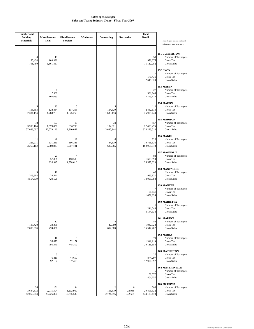| <b>Lumber</b> and<br><b>Building</b> | <b>Miscellaneous</b>           | <b>Miscellaneous</b>          | Wholesale | Contracting                | Recreation             | <b>Total</b><br>Retail           |                                                                                         |
|--------------------------------------|--------------------------------|-------------------------------|-----------|----------------------------|------------------------|----------------------------------|-----------------------------------------------------------------------------------------|
| <b>Materials</b>                     | Retail                         | <b>Services</b>               |           |                            |                        |                                  | Note: Figures include audits and<br>adjustments from prior years.                       |
| 55,424<br>791,780                    | 13<br>109,330<br>1,561,857     |                               |           |                            |                        | 59<br>976,675<br>15,112,282      | <b>151 LUMBERTON</b><br>Number of Taxpayers<br>Gross Tax<br><b>Gross Sales</b>          |
|                                      |                                |                               |           |                            |                        | 11<br>171,431<br>2,615,320       | <b>152 LYON</b><br>Number of Taxpayers<br>Gross Tax<br><b>Gross Sales</b>               |
|                                      | 5<br>7,369<br>105,683          |                               |           |                            |                        | 27<br>381,949<br>5,793,174       | 153 MABEN<br>Number of Taxpayers<br>Gross Tax<br><b>Gross Sales</b>                     |
| 5<br>166,893<br>2,384,194            | 23<br>124,834<br>1,783,763     | 5<br>117,268<br>1,675,260     |           | 5<br>114,320<br>1,633,153  |                        | 112<br>2,482,173<br>36,999,443   | 154 MACON<br>Number of Taxpayers<br><b>Gross Tax</b><br><b>Gross Sales</b>              |
| 18<br>3,996,164<br>57,088,007        | 193<br>1,579,030<br>22,579,116 | 19<br>896,703<br>12,810,042   |           | 34<br>194,921<br>3,635,944 |                        | 457<br>22,493,475<br>328,223,514 | <b>155 MADISON</b><br>Number of Taxpayers<br><b>Gross Tax</b><br><b>Gross Sales</b>     |
| 11<br>228,211<br>3,260,162           | 48<br>531,280<br>7,589,833     | 19<br>386,245<br>5,517,781    |           | 6<br>44,139<br>630,565     |                        | 223<br>10,758,626<br>160,965,918 | 156 MAGEE<br>Number of Taxpayers<br>Gross Tax<br><b>Gross Sales</b>                     |
|                                      | 23<br>57,881<br>826,947        | 4<br>110,503<br>1,578,616     |           |                            |                        | 83<br>1,603,593<br>25,577,623    | 157 MAGNOLIA<br>Number of Taxpayers<br>Gross Tax<br><b>Gross Sales</b>                  |
| 5<br>318,804<br>4,554,339            | 12<br>29,441<br>420,595        |                               |           |                            |                        | 45<br>933,831<br>14,099,788      | <b>158 MANTACHIE</b><br>Number of Taxpayers<br><b>Gross Tax</b><br><b>Gross Sales</b>   |
|                                      |                                |                               |           |                            |                        | 7<br>90,631<br>1,451,924         | <b>159 MANTEE</b><br>Number of Taxpayers<br><b>Gross Tax</b><br><b>Gross Sales</b>      |
|                                      |                                |                               |           |                            |                        | 5<br>211,548<br>3,144,334        | <b>160 MARIETTA</b><br>Number of Taxpayers<br>Gross Tax<br><b>Gross Sales</b>           |
| 5<br>196,420<br>2,806,010            | 12<br>33,236<br>474,808        |                               |           | 4<br>42,909<br>612,989     |                        | 52<br>1,042,022<br>15,512,202    | 161 MARION<br>Number of Taxpayers<br>Gross Tax<br><b>Gross Sales</b>                    |
|                                      | 16<br>55,673<br>795,340        | 5<br>52,171<br>745,312        |           |                            |                        | 79<br>1,341,119<br>20,118,854    | 162 MARKS<br>Number of Taxpayers<br>Gross Tax<br><b>Gross Sales</b>                     |
|                                      | 5<br>6,419<br>92,182           | 4<br>44,619<br>637,419        |           |                            |                        | 27<br>874,297<br>12,950,997      | 163 MATHISTON<br>Number of Taxpayers<br>Gross Tax<br><b>Gross Sales</b>                 |
|                                      |                                |                               |           |                            |                        | 5<br>50,572<br>804,657           | <b>164 MAYERSVILLE</b><br>Number of Taxpayers<br><b>Gross Tax</b><br><b>Gross Sales</b> |
| 36<br>3,644,872<br>52,069,553        | 151<br>2,075,304<br>29,726,360 | 44<br>1,202,969<br>17,795,530 |           | 12<br>156,319<br>2,724,395 | 6<br>23,986<br>342,659 | 588<br>29,491,322<br>444,133,470 | 165 MCCOMB<br>Number of Taxpayers<br>Gross Tax<br><b>Gross Sales</b>                    |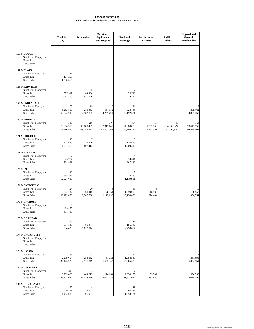|                                                                                        | <b>Total for</b><br>City             | <b>Automotive</b>                | Machinery,<br>Equipment,<br>and Supplies | Food and<br><b>Beverage</b>      | <b>Furniture and</b><br><b>Fixtures</b> | <b>Public</b><br><b>Utilities</b> | <b>Apparel and</b><br>General<br>Merchandise |
|----------------------------------------------------------------------------------------|--------------------------------------|----------------------------------|------------------------------------------|----------------------------------|-----------------------------------------|-----------------------------------|----------------------------------------------|
| 166 MCCOOL<br>Number of Taxpayers<br>Gross Tax<br><b>Gross Sales</b>                   |                                      |                                  |                                          |                                  |                                         |                                   |                                              |
| 167 MCLAIN<br>Number of Taxpayers<br><b>Gross Tax</b><br><b>Gross Sales</b>            | 11<br>104,205<br>1,598,665           |                                  |                                          |                                  |                                         |                                   |                                              |
| <b>168 MEADVILLE</b><br>Number of Taxpayers<br><b>Gross Tax</b><br><b>Gross Sales</b>  | 38<br>577,517<br>9,017,400           | 5<br>64,436<br>920,520           |                                          | 7<br>29,718<br>424,552           |                                         |                                   |                                              |
| <b>169 MENDENHALL</b><br>Number of Taxpayers<br><b>Gross Tax</b><br><b>Gross Sales</b> | 105<br>3,252,809<br>50,844,798       | 19<br>281,853<br>4,582,833       | 10<br>154,132<br>4,257,791               | 21<br>923,488<br>13,192,681      |                                         |                                   | 8<br>305,462<br>4,363,751                    |
| 170 MERIDIAN<br>Number of Taxpayers<br><b>Gross Tax</b><br><b>Gross Sales</b>          | 1,519<br>73,056,515<br>1,128,110,960 | 218<br>13,063,437<br>239,795,925 | 107<br>2,913,147<br>47,263,062           | 334<br>14,300,053<br>204,286,277 | 57<br>1,993,069<br>28,472,391           | 5<br>4,360,949<br>82,290,914      | 154<br>20,612,951<br>294,440,409             |
| 171 MERIGOLD<br>Number of Taxpayers<br><b>Gross Tax</b><br><b>Gross Sales</b>          | 19<br>321,630<br>4,931,219           | 7<br>42,629<br>802,413           |                                          | 6<br>119,659<br>1,709,412        |                                         |                                   |                                              |
| 172 METCALFE<br>Number of Taxpayers<br>Gross Tax<br><b>Gross Sales</b>                 | 6<br>46,777<br>764,891               |                                  |                                          | 4<br>14,511<br>207,310           |                                         |                                   |                                              |
| <b>173 MIZE</b><br>Number of Taxpayers<br><b>Gross Tax</b><br><b>Gross Sales</b>       | 18<br>888,342<br>12,921,089          |                                  |                                          | 7<br>78,395<br>1,119,931         |                                         |                                   |                                              |
| 174 MONTICELLO<br>Number of Taxpayers<br><b>Gross Tax</b><br><b>Gross Sales</b>        | 124<br>2,222,737<br>33,172,853       | 20<br>161,415<br>2,587,538       | 6<br>78,061<br>1,115,158                 | 31<br>1,059,008<br>15,128,678    | 6<br>18,933<br>270,484                  |                                   | 10<br>136,958<br>1,956,554                   |
| 175 MONTROSE<br>Number of Taxpayers<br>Gross Tax<br><b>Gross Sales</b>                 | 39,455<br>598,450                    |                                  |                                          |                                  |                                         |                                   |                                              |
| 176 MOORHEAD<br>Number of Taxpayers<br>Gross Tax<br><b>Gross Sales</b>                 | 40<br>397,548<br>6,304,423           | 7<br>88,477<br>1,612,944         |                                          | 16<br>195,346<br>2,790,654       |                                         |                                   |                                              |
| 177 MORGAN CITY<br>Number of Taxpayers<br>Gross Tax<br><b>Gross Sales</b>              |                                      |                                  |                                          |                                  |                                         |                                   |                                              |
| 178 MORTON<br>Number of Taxpayers<br><b>Gross Tax</b><br><b>Gross Sales</b>            | 98<br>2,299,607<br>35,146,229        | 25<br>253,552<br>4,111,849       | 6<br>61,721<br>1,553,343                 | 22<br>1,054,580<br>15,065,422    |                                         |                                   | 11<br>351,691<br>5,024,159                   |
| 179 MOSS POINT<br>Number of Taxpayers<br><b>Gross Tax</b><br><b>Gross Sales</b>        | 349<br>8,765,466<br>133, 177, 036    | 52<br>684,813<br>10,034,936      | 8<br>174,164<br>3,041,235                | 97<br>2,928,175<br>41,831,032    | 5<br>55,502<br>792,885                  |                                   | 12<br>356,798<br>5,074,191                   |
| 180 MOUND BAYOU<br>Number of Taxpayers<br>Gross Tax<br><b>Gross Sales</b>              | 37<br>279,826<br>4,433,686           | 8<br>6,591<br>100,957            |                                          | 19<br>90,561<br>1,293,734        |                                         |                                   |                                              |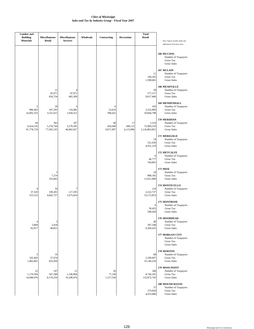| <b>Lumber</b> and<br><b>Building</b><br><b>Materials</b> | <b>Miscellaneous</b><br>Retail | <b>Miscellaneous</b><br><b>Services</b> | Wholesale | Contracting                | Recreation                 | <b>Total</b><br>Retail               | Note: Figures include audits and<br>adjustments from prior years.                |
|----------------------------------------------------------|--------------------------------|-----------------------------------------|-----------|----------------------------|----------------------------|--------------------------------------|----------------------------------------------------------------------------------|
|                                                          |                                |                                         |           |                            |                            |                                      | 166 MCCOOL<br>Number of Taxpayers<br>Gross Tax<br><b>Gross Sales</b>             |
|                                                          |                                |                                         |           |                            |                            | 11<br>104,205<br>1,598,665           | 167 MCLAIN<br>Number of Taxpayers<br><b>Gross Tax</b><br><b>Gross Sales</b>      |
|                                                          | 11<br>45,971<br>656,734        | 4<br>47,971<br>685,309                  |           |                            |                            | 38<br>577,517<br>9,017,400           | <b>168 MEADVILLE</b><br>Number of Taxpayers<br>Gross Tax<br><b>Gross Sales</b>   |
| 5<br>986,465<br>14,092,353                               | 28<br>187,295<br>3,531,615     | $\overline{4}$<br>116,082<br>1,658,312  |           | 6<br>22,010<br>398,425     |                            | 105<br>3,252,809<br>50,844,798       | <b>169 MENDENHALL</b><br>Number of Taxpayers<br>Gross Tax<br><b>Gross Sales</b>  |
| 94<br>6,424,516<br>91,778,718                            | 363<br>5,278,744<br>77,585,335 | 107<br>3,278,185<br>46,862,927          |           | 60<br>456,049<br>9,971,997 | 17<br>288,113<br>4,115,896 | 1,516<br>72,969,218<br>1,126,863,855 | 170 MERIDIAN<br>Number of Taxpayers<br>Gross Tax<br><b>Gross Sales</b>           |
|                                                          |                                |                                         |           |                            |                            | 19<br>321,630<br>4,931,219           | 171 MERIGOLD<br>Number of Taxpayers<br>Gross Tax<br><b>Gross Sales</b>           |
|                                                          |                                |                                         |           |                            |                            | 6<br>46,777<br>764,891               | <b>172 METCALFE</b><br>Number of Taxpayers<br>Gross Tax<br><b>Gross Sales</b>    |
|                                                          | 5<br>7,214<br>103,065          |                                         |           |                            |                            | 18<br>888,342<br>12,921,089          | <b>173 MIZE</b><br>Number of Taxpayers<br>Gross Tax<br><b>Gross Sales</b>        |
| 37,320<br>533,155                                        | 34<br>339,201<br>4,845,737     | 7<br>117,295<br>1,675,654               |           |                            |                            | 124<br>2,222,737<br>33,172,853       | 174 MONTICELLO<br>Number of Taxpayers<br>Gross Tax<br><b>Gross Sales</b>         |
|                                                          |                                |                                         |           |                            |                            | 6<br>39,455<br>598,450               | 175 MONTROSE<br>Number of Taxpayers<br>Gross Tax<br><b>Gross Sales</b>           |
| 4<br>5,804<br>82,917                                     | 5<br>3,418<br>48,831           |                                         |           |                            |                            | 40<br>397,548<br>6,304,423           | 176 MOORHEAD<br>Number of Taxpayers<br>Gross Tax<br><b>Gross Sales</b>           |
|                                                          |                                |                                         |           |                            |                            |                                      | <b>177 MORGAN CITY</b><br>Number of Taxpayers<br>Gross Tax<br><b>Gross Sales</b> |
| 5<br>102,402<br>1,462,891                                | 19<br>57,674<br>823,926        |                                         |           |                            |                            | 98<br>2,299,607<br>35,146,229        | 178 MORTON<br>Number of Taxpayers<br>Gross Tax<br><b>Gross Sales</b>             |
| 22<br>1,179,394<br>16,848,478                            | 107<br>567,288<br>8,170,250    | 21<br>1,140,894<br>16,298,476           |           | 20<br>77,140<br>1,317,550  |                            | 348<br>8,744,165<br>132,872,745      | 179 MOSS POINT<br>Number of Taxpayers<br>Gross Tax<br><b>Gross Sales</b>         |
|                                                          |                                |                                         |           |                            |                            | 37<br>279,826<br>4,433,686           | 180 MOUND BAYOU<br>Number of Taxpayers<br>Gross Tax<br><b>Gross Sales</b>        |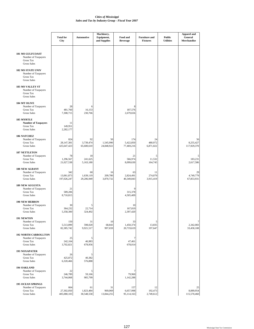|                                                                                              | <b>Total for</b><br>City         | <b>Automotive</b>             | Machinery,<br>Equipment,<br>and Supplies | Food and<br><b>Beverage</b>    | <b>Furniture and</b><br><b>Fixtures</b> | <b>Public</b><br><b>Utilities</b> | <b>Apparel and</b><br>General<br>Merchandise |
|----------------------------------------------------------------------------------------------|----------------------------------|-------------------------------|------------------------------------------|--------------------------------|-----------------------------------------|-----------------------------------|----------------------------------------------|
| <b>181 MS GULFCOAST</b><br>Number of Taxpayers<br>Gross Tax<br><b>Gross Sales</b>            |                                  |                               |                                          |                                |                                         |                                   |                                              |
| <b>182 MS STATE UNIV</b><br>Number of Taxpayers<br>Gross Tax<br><b>Gross Sales</b>           |                                  |                               |                                          |                                |                                         |                                   |                                              |
| <b>183 MS VALLEY ST</b><br>Number of Taxpayers<br><b>Gross Tax</b><br><b>Gross Sales</b>     |                                  |                               |                                          |                                |                                         |                                   |                                              |
| 184 MT OLIVE<br>Number of Taxpayers<br>Gross Tax<br><b>Gross Sales</b>                       | 28<br>481,760<br>7,308,715       | 6<br>16,153<br>230,766        |                                          | 8<br>187,576<br>2,679,656      |                                         |                                   |                                              |
| 185 MYRTLE<br><b>Number of Taxpayers</b><br><b>Gross Tax</b><br><b>Gross Sales</b>           | 11<br>149,951<br>2,282,177       |                               |                                          |                                |                                         |                                   |                                              |
| <b>186 NATCHEZ</b><br>Number of Taxpayers<br><b>Gross Tax</b><br><b>Gross Sales</b>          | 824<br>28,147,381<br>425,647,423 | 92<br>3,739,474<br>65,600,610 | 50<br>1,545,990<br>24,848,922            | 174<br>5,422,850<br>77,469,216 | 24<br>480,972<br>6,871,022              |                                   | 56<br>8,255,427<br>117,929,370               |
| <b>187 NETTLETON</b><br>Number of Taxpayers<br>Gross Tax<br><b>Gross Sales</b>               | 78<br>1,296,567<br>21,027,538    | 18<br>241,625<br>5,163,180    |                                          | 21<br>566,974<br>8,099,630     | 5<br>11,532<br>164,745                  |                                   | 5<br>183,231<br>2,617,586                    |
| <b>188 NEW ALBANY</b><br>Number of Taxpayers<br>Gross Tax<br><b>Gross Sales</b>              | 342<br>13,061,873<br>197,026,247 | 60<br>1,639,119<br>29,206,949 | 16<br>209,780<br>3,870,732               | 63<br>2,824,491<br>40,349,843  | 11<br>274,079<br>3,915,419              |                                   | 29<br>4,749,779<br>67,853,931                |
| <b>189 NEW AUGUSTA</b><br>Number of Taxpayers<br><b>Gross Tax</b><br>Gross Sales             | 21<br>589,206<br>8,710,815       |                               |                                          | 9<br>315,378<br>4,505,409      |                                         |                                   |                                              |
| <b>190 NEW HEBRON</b><br>Number of Taxpayers<br>Gross Tax<br>Gross Sales                     | 30<br>364,232<br>5,358,300       | 5<br>22,714<br>324,492        |                                          | 10<br>167,819<br>2,397,420     |                                         |                                   |                                              |
| 191 NEWTON<br>Number of Taxpayers<br><b>Gross Tax</b><br><b>Gross Sales</b>                  | 150<br>5,513,899<br>82,385,742   | 31<br>598,020<br>9,921,517    | 10<br>68,843<br>997,659                  | 33<br>1,450,374<br>20,719,619  | 5<br>13,835<br>197,647                  |                                   | $\overline{7}$<br>2,342,083<br>33,458,108    |
| <b>192 NORTH CARROLLTON</b><br>Number of Taxpayers<br><b>Gross Tax</b><br><b>Gross Sales</b> | 25<br>242,164<br>3,702,821       | 5<br>46,983<br>678,956        |                                          | 7<br>47,461<br>678,014         |                                         |                                   |                                              |
| <b>193 NOXAPATER</b><br>Number of Taxpayers<br><b>Gross Tax</b><br><b>Gross Sales</b>        | 26<br>425,872<br>6,320,466       | 5<br>40,382<br>576,888        |                                          |                                |                                         |                                   |                                              |
| 194 OAKLAND<br>Number of Taxpayers<br><b>Gross Tax</b><br>Gross Sales                        | 22<br>246,789<br>3,744,068       | 5<br>59,166<br>905,799        |                                          | 7<br>79,960<br>1,142,288       |                                         |                                   |                                              |
| <b>195 OCEAN SPRINGS</b><br>Number of Taxpayers<br>Gross Tax<br><b>Gross Sales</b>           | 664<br>27,302,050<br>405,080,103 | 61<br>1,823,484<br>30,548,558 | 31<br>969,069<br>13,844,255              | 157<br>6,657,998<br>95,114,163 | 12<br>192,473<br>2,749,612              |                                   | 25<br>8,089,954<br>115,570,460               |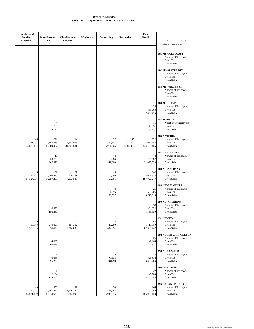| <b>Lumber</b> and<br><b>Building</b><br><b>Materials</b> | <b>Miscellaneous</b><br>Retail | <b>Miscellaneous</b><br><b>Services</b> | Wholesale | Contracting                | Recreation                 | <b>Total</b><br>Retail           | Note: Figures include audits and                                                                            |
|----------------------------------------------------------|--------------------------------|-----------------------------------------|-----------|----------------------------|----------------------------|----------------------------------|-------------------------------------------------------------------------------------------------------------|
|                                                          |                                |                                         |           |                            |                            |                                  | adjustments from prior years.<br><b>181 MS GULFCOAST</b><br>Number of Taxpayers<br>Gross Tax<br>Gross Sales |
|                                                          |                                |                                         |           |                            |                            |                                  | <b>182 MS STATE UNIV</b><br>Number of Taxpayers<br>Gross Tax<br><b>Gross Sales</b>                          |
|                                                          |                                |                                         |           |                            |                            |                                  | <b>183 MS VALLEY ST</b><br>Number of Taxpayers<br>Gross Tax<br><b>Gross Sales</b>                           |
|                                                          |                                |                                         |           |                            |                            | 28<br>481,760<br>7,308,715       | 184 MT OLIVE<br>Number of Taxpayers<br>Gross Tax<br><b>Gross Sales</b>                                      |
|                                                          | 4<br>1,763<br>25,194           |                                         |           |                            |                            | 11<br>149,951<br>2,282,177       | <b>185 MYRTLE</b><br><b>Number of Taxpayers</b><br><b>Gross Tax</b><br><b>Gross Sales</b>                   |
| 46<br>1,741,495<br>24,878,487                            | 221<br>2,503,883<br>35,800,457 | 114<br>2,201,568<br>31,701,681          |           | 27<br>207,145<br>5,011,365 | 17<br>131,697<br>1,881,389 | 822<br>28,082,494<br>424,720,465 | <b>186 NATCHEZ</b><br>Number of Taxpayers<br><b>Gross Tax</b><br>Gross Sales                                |
|                                                          | 18<br>60,758<br>867,976        |                                         |           | 4<br>13,386<br>349,609     |                            | 78<br>1,296,567<br>21,027,538    | <b>187 NETTLETON</b><br>Number of Taxpayers<br>Gross Tax<br><b>Gross Sales</b>                              |
| 15<br>792,707<br>11,324,385                              | 102<br>1,000,570<br>14,297,208 | 27<br>516,151<br>7,373,583              |           | 14<br>275,065<br>4,463,066 |                            | 342<br>13,061,873<br>197,026,247 | <b>188 NEW ALBANY</b><br>Number of Taxpayers<br>Gross Tax<br><b>Gross Sales</b>                             |
|                                                          |                                |                                         |           | 4<br>4,096<br>58,527       |                            | 21<br>589,206<br>8,710,815       | <b>189 NEW AUGUSTA</b><br>Number of Taxpayers<br>Gross Tax<br><b>Gross Sales</b>                            |
|                                                          | 8<br>10,856<br>156,260         |                                         |           |                            |                            | 30<br>364,232<br>5,358,300       | <b>190 NEW HEBRON</b><br>Number of Taxpayers<br>Gross Tax<br><b>Gross Sales</b>                             |
| 9<br>180,343<br>2,576,335                                | 42<br>270,897<br>3,876,626     | 4<br>154,282<br>2,204,036               |           | 6<br>28,209<br>402,991     |                            | 150<br>5,513,899<br>82,385,742   | 191 NEWTON<br>Number of Taxpayers<br>Gross Tax<br><b>Gross Sales</b>                                        |
|                                                          | 9<br>14,065<br>200,933         |                                         |           |                            |                            | 25<br>242,164<br>3,702,821       | <b>192 NORTH CARROLLTON</b><br>Number of Taxpayers<br>Gross Tax<br><b>Gross Sales</b>                       |
|                                                          | 8<br>6,665<br>95,220           |                                         |           | 61635<br>880499            |                            | 26<br>425,872<br>6,320,466       | <b>193 NOXAPATER</b><br>Number of Taxpayers<br>Gross Tax<br><b>Gross Sales</b>                              |
|                                                          | 4<br>12,194<br>174,206         |                                         |           |                            |                            | 22<br>246,789<br>3,744,068       | 194 OAKLAND<br>Number of Taxpayers<br>Gross Tax<br>Gross Sales                                              |
| 40<br>3,152,201<br>45,031,409                            | 252<br>2,791,214<br>39,874,626 | 31<br>1,139,782<br>16,282,590           |           | 53<br>274,065<br>5,933,396 |                            | 664<br>27,302,050<br>405,080,103 | <b>195 OCEAN SPRINGS</b><br>Number of Taxpayers<br>Gross Tax<br>Gross Sales                                 |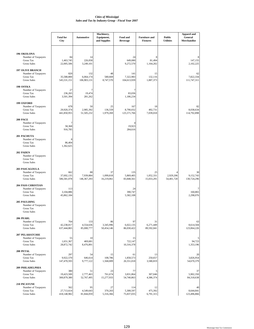|                                                                                            | <b>Total for</b><br>City         | <b>Automotive</b>                | Machinery,<br>Equipment,<br>and Supplies | Food and<br><b>Beverage</b>         | <b>Furniture and</b><br><b>Fixtures</b> | <b>Public</b><br><b>Utilities</b> | <b>Apparel and</b><br>General<br>Merchandise |
|--------------------------------------------------------------------------------------------|----------------------------------|----------------------------------|------------------------------------------|-------------------------------------|-----------------------------------------|-----------------------------------|----------------------------------------------|
| 196 OKOLONA<br>Number of Taxpayers<br>Gross Tax<br><b>Gross Sales</b>                      | 84<br>1,463,745<br>22,005,506    | 14<br>226,058<br>3,249,101       |                                          | 24<br>649,080<br>9,272,570          | 8<br>81,494<br>1,164,202                |                                   | 147,155<br>2,102,225                         |
| <b>197 OLIVE BRANCH</b><br>Number of Taxpayers<br><b>Gross Tax</b><br><b>Gross Sales</b>   | 820<br>35,588,800<br>545,531,151 | 132<br>6,064,174<br>106,903,131  | 48<br>580,669<br>8,747,570               | 141<br>7,322,983<br>104,613,939     | 15<br>132,116<br>1,887,373              |                                   | 62<br>7,822,334<br>111,747,311               |
| 198 OSYKA<br>Number of Taxpayers<br><b>Gross Tax</b><br><b>Gross Sales</b>                 | 27<br>236,265<br>3,501,394       | 7<br>19,474<br>281,262           |                                          | 7<br>83,036<br>1,186,234            |                                         |                                   |                                              |
| 199 OXFORD<br>Number of Taxpayers<br>Gross Tax<br><b>Gross Sales</b>                       | 678<br>29,920,374<br>441,850,955 | 50<br>2,985,392<br>51,505,232    | 25<br>136,559<br>1,979,269               | 167<br>8,790,032<br>125,571,766     | 18<br>492,731<br>7,039,018              |                                   | 82<br>8,038,634<br>114,792,898               |
| 200 PACE<br>Number of Taxpayers<br><b>Gross Tax</b><br><b>Gross Sales</b>                  | 7<br>58,368<br>916,785           |                                  |                                          | $\overline{4}$<br>19,923<br>284,616 |                                         |                                   |                                              |
| <b>201 PACHUTA</b><br>Number of Taxpayers<br><b>Gross Tax</b><br><b>Gross Sales</b>        | 8<br>86,404<br>1,362,625         |                                  |                                          |                                     |                                         |                                   |                                              |
| 202 PADEN<br>Number of Taxpayers<br><b>Gross Tax</b><br>Gross Sales                        |                                  |                                  |                                          |                                     |                                         |                                   |                                              |
| <b>203 PASCAGOULA</b><br>Number of Taxpayers<br><b>Gross Tax</b><br><b>Gross Sales</b>     | 662<br>37,692,135<br>586,581,078 | 88<br>7,939,884<br>146, 367, 293 | 37<br>1,099,818<br>16,219,061            | 135<br>5,869,405<br>83,848,561      | 25<br>1,052,331<br>15,033,291           | 2,929,206<br>54,401,720           | 30<br>9,152,743<br>130,724,296               |
| <b>204 PASS CHRISTIAN</b><br>Number of Taxpayers<br><b>Gross Tax</b><br><b>Gross Sales</b> | 113<br>3,104,886<br>45,862,184   |                                  |                                          | 24<br>390,747<br>5,582,108          |                                         |                                   | 7<br>160,865<br>2,298,076                    |
| 205 PAULDING<br>Number of Taxpayers<br><b>Gross Tax</b><br><b>Gross Sales</b>              |                                  |                                  |                                          |                                     |                                         |                                   |                                              |
| 206 PEARL<br>Number of Taxpayers<br>Gross Tax<br><b>Gross Sales</b>                        | 764<br>42,238,017<br>637,444,865 | 133<br>4,554,636<br>85,000,777   | 86<br>3,345,996<br>50,454,146            | 97<br>6,022,135<br>86,030,422       | 31<br>6,271,449<br>89,592,041           |                                   | 63<br>8,614,504<br>123,064,226               |
| <b>207 PELAHATCHIE</b><br>Number of Taxpayers<br>Gross Tax<br>Gross Sales                  | 55<br>1,651,367<br>28,872,742    | 10<br>469,681<br>8,476,891       |                                          | 15<br>722,147<br>10,316,378         |                                         |                                   | 5<br>94,723<br>1,353,196                     |
| 208 PETAL<br>Number of Taxpayers<br><b>Gross Tax</b><br><b>Gross Sales</b>                 | 297<br>9,922,570<br>147,470,593  | 54<br>646,614<br>9,777,122       | 15<br>108,786<br>1,568,009               | 61<br>1,858,573<br>26,551,018       | 13<br>250,657<br>3,580,819              |                                   | 20<br>3,826,954<br>54,670,379                |
| <b>209 PHILADELPHIA</b><br>Number of Taxpayers<br><b>Gross Tax</b><br><b>Gross Sales</b>   | 380<br>19,423,500<br>300,879,380 | 51<br>2,777,463<br>52,767,495    | 23<br>761,674<br>15,277,933              | 77<br>3,831,864<br>54,740,863       | 5<br>307,046<br>4,386,374               |                                   | 37<br>5,902,350<br>84,318,638                |
| 210 PICAYUNE<br>Number of Taxpayers<br>Gross Tax<br><b>Gross Sales</b>                     | 562<br>27,713,614<br>418,148,982 | 95<br>4,549,643<br>81,844,059    | 27<br>370,203<br>5,316,366               | 114<br>5,308,597<br>75,837,035      | 12<br>475,392<br>6,791,315              |                                   | 40<br>8,644,841<br>123,496,866               |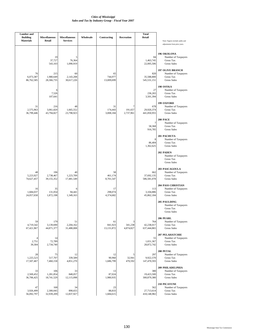| <b>Lumber</b> and<br><b>Building</b><br><b>Materials</b> | <b>Miscellaneous</b><br><b>Retail</b> | <b>Miscellaneous</b><br><b>Services</b> | Wholesale | Contracting                 | Recreation                | <b>Total</b><br>Retail           | Note: Figures include audits and<br>adjustments from prior years.                          |
|----------------------------------------------------------|---------------------------------------|-----------------------------------------|-----------|-----------------------------|---------------------------|----------------------------------|--------------------------------------------------------------------------------------------|
|                                                          | 19<br>37,727<br>543,103               | 5<br>76,364<br>1,090,919                |           |                             |                           | 84<br>1,463,745<br>22,005,506    | 196 OKOLONA<br>Number of Taxpayers<br>Gross Tax<br><b>Gross Sales</b>                      |
| 76<br>6,073,387<br>86,762,585                            | 215<br>1,980,649<br>28,366,735        | 60<br>2,143,208<br>30,617,226           |           | 65<br>744,977<br>13,009,699 |                           | 820<br>35,588,800<br>545,531,151 | <b>197 OLIVE BRANCH</b><br>Number of Taxpayers<br>Gross Tax<br><b>Gross Sales</b>          |
|                                                          | 6<br>7,526<br>107,641                 |                                         |           |                             |                           | 27<br>236,265<br>3,501,394       | 198 OSYKA<br>Number of Taxpayers<br><b>Gross Tax</b><br><b>Gross Sales</b>                 |
| 31<br>2,575,963<br>36,799,446                            | 216<br>3,061,820<br>43,794,827        | 48<br>1,665,552<br>23,798,923           |           | 31<br>174,443<br>3,008,184  | 7<br>191,657<br>2,737,961 | 678<br>29,920,374<br>441,850,955 | 199 OXFORD<br>Number of Taxpayers<br>Gross Tax<br><b>Gross Sales</b>                       |
|                                                          |                                       |                                         |           |                             |                           | 7<br>58,368<br>916,785           | 200 PACE<br>Number of Taxpayers<br><b>Gross Tax</b><br><b>Gross Sales</b>                  |
|                                                          |                                       |                                         |           |                             |                           | 8<br>86,404<br>1,362,625         | 201 PACHUTA<br>Number of Taxpayers<br>Gross Tax<br><b>Gross Sales</b>                      |
|                                                          |                                       |                                         |           |                             |                           |                                  | 202 PADEN<br>Number of Taxpayers<br>Gross Tax<br><b>Gross Sales</b>                        |
| 48<br>5,223,927<br>74,627,457                            | 196<br>2,738,467<br>39,155,352        | 40<br>1,223,709<br>17,481,549           |           | 58<br>461,174<br>8,701,547  |                           | 662<br>37,692,135<br>586,581,078 | <b>203 PASCAGOULA</b><br>Number of Taxpayers<br><b>Gross Tax</b><br><b>Gross Sales</b>     |
| 16<br>1,684,037<br>24,057,658                            | 35<br>131,054<br>1,872,198            | 6<br>94,441<br>1,349,163                |           | 17<br>298,074<br>4,374,682  |                           | 113<br>3,104,886<br>45,862,184   | <b>204 PASS CHRISTIAN</b><br>Number of Taxpayers<br><b>Gross Tax</b><br><b>Gross Sales</b> |
|                                                          |                                       |                                         |           |                             |                           |                                  | 205 PAULDING<br>Number of Taxpayers<br>Gross Tax<br><b>Gross Sales</b>                     |
| 59<br>4,719,542<br>67,421,967                            | 179<br>3,139,690<br>44,871,377        | 51<br>2,204,162<br>31,488,008           |           | 61<br>841,923<br>13,131,872 | 3<br>341,238<br>4,874,827 | 764<br>42,238,017<br>637,444,865 | 206 PEARL<br>Number of Taxpayers<br>Gross Tax<br><b>Gross Sales</b>                        |
| 4<br>2,751<br>39,304                                     | 14<br>72,789<br>2,734,740             |                                         |           |                             |                           | 55<br>1,651,367<br>28,872,742    | 207 PELAHATCHIE<br>Number of Taxpayers<br>Gross Tax<br><b>Gross Sales</b>                  |
| 28<br>1,225,523<br>17,507,467                            | 75<br>517,707<br>7,460,158            | 12<br>339,589<br>4,851,270              |           | 12<br>90,960<br>1,686,799   | 5<br>32,941<br>470,592    | 297<br>9,922,570<br>147,470,593  | 208 PETAL<br>Number of Taxpayers<br><b>Gross Tax</b><br><b>Gross Sales</b>                 |
| 33<br>2,569,452<br>36,706,425                            | 106<br>1,281,854<br>18,741,529        | 33<br>848,057<br>12,115,098             |           | 13<br>87,024<br>1,980,935   |                           | 380<br>19,423,500<br>300,879,380 | 209 PHILADELPHIA<br>Number of Taxpayers<br>Gross Tax<br><b>Gross Sales</b>                 |
| 47<br>3,926,499<br>56,092,797                            | 168<br>2,300,045<br>32,939,209        | 34<br>898,655<br>12,837,927             |           | 23<br>88,833<br>1,684,615   |                           | 562<br>27,713,614<br>418,148,982 | 210 PICAYUNE<br>Number of Taxpayers<br>Gross Tax<br><b>Gross Sales</b>                     |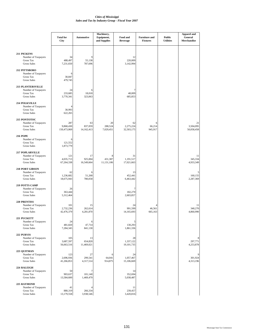|                                                                                           | <b>Total for</b><br>City        | Automotive                  | Machinery,<br>Equipment,<br>and Supplies | Food and<br><b>Beverage</b>   | <b>Furniture and</b><br><b>Fixtures</b> | <b>Public</b><br><b>Utilities</b> | Apparel and<br>General<br>Merchandise |
|-------------------------------------------------------------------------------------------|---------------------------------|-----------------------------|------------------------------------------|-------------------------------|-----------------------------------------|-----------------------------------|---------------------------------------|
| 211 PICKENS<br>Number of Taxpayers<br><b>Gross Tax</b><br><b>Gross Sales</b>              | 34<br>488,497<br>7,231,650      | 9<br>55,138<br>787,696      |                                          | 12<br>220,009<br>3,142,994    |                                         |                                   |                                       |
| 212 PITTSBORO<br>Number of Taxpayers<br>Gross Tax<br><b>Gross Sales</b>                   | 6<br>30,847<br>479,745          |                             |                                          |                               |                                         |                                   |                                       |
| <b>213 PLANTERSVILLE</b><br>Number of Taxpayers<br><b>Gross Tax</b><br><b>Gross Sales</b> | 24<br>233,685<br>3,770,341      | 6<br>18,018<br>323,063      |                                          | 7<br>48,009<br>685,853        |                                         |                                   |                                       |
| <b>214 POLKVILLE</b><br>Number of Taxpayers<br><b>Gross Tax</b><br><b>Gross Sales</b>     | 4<br>30,993<br>622,265          |                             |                                          |                               |                                         |                                   |                                       |
| 215 PONTOTOC<br>Number of Taxpayers<br>Gross Tax<br><b>Gross Sales</b>                    | 287<br>9,868,430<br>150,473,069 | 63<br>837,059<br>14,162,413 | 20<br>288,524<br>7,029,451               | 62<br>2,275,224<br>32,503,175 | 6<br>66,214<br>945,917                  |                                   | 21<br>3,504,095<br>50,058,458         |
| <b>216 POPE</b><br>Number of Taxpayers<br><b>Gross Tax</b><br><b>Gross Sales</b>          | 6<br>121,552<br>1,873,779       |                             |                                          |                               |                                         |                                   |                                       |
| <b>217 POPLARVILLE</b><br>Number of Taxpayers<br><b>Gross Tax</b><br><b>Gross Sales</b>   | 121<br>4,035,713<br>67,264,338  | 17<br>925,004<br>16,549,664 | 8<br>431,387<br>11,131,106               | 31<br>1,191,517<br>17,021,663 |                                         |                                   | 11<br>345,334<br>4,933,349            |
| <b>218 PORT GIBSON</b><br>Number of Taxpayers<br><b>Gross Tax</b><br><b>Gross Sales</b>   | 62<br>1,236,682<br>18,675,943   | 6<br>51,268<br>780,058      |                                          | 13<br>452,441<br>6,463,442    |                                         |                                   | 5<br>160,155<br>2,287,369             |
| 219 POTTS CAMP<br>Number of Taxpayers<br><b>Gross Tax</b><br><b>Gross Sales</b>           | 26<br>363,444<br>5,312,464      |                             |                                          | 7<br>182,270<br>2,603,857     |                                         |                                   |                                       |
| 220 PRENTISS<br>Number of Taxpayers<br><b>Gross Tax</b><br><b>Gross Sales</b>             | 101<br>2,732,236<br>42,476,379  | 15<br>262,614<br>4,281,870  |                                          | 24<br>991,599<br>14,165,693   | 4<br>46,561<br>665,163                  |                                   | 11<br>340,270<br>4,860,990            |
| 221 PUCKETT<br>Number of Taxpayers<br><b>Gross Tax</b><br><b>Gross Sales</b>              | 24<br>481,820<br>7,284,345      | 6<br>47,714<br>841,130      |                                          | 5<br>130,293<br>1,861,336     |                                         |                                   |                                       |
| <b>222 PURVIS</b><br>Number of Taxpayers<br><b>Gross Tax</b><br><b>Gross Sales</b>        | 105<br>3,687,597<br>56,663,516  | 13<br>654,820<br>11,469,021 |                                          | 28<br>1,337,122<br>19,101,735 |                                         |                                   | 8<br>297,771<br>4,253,878             |
| 223 QUITMAN<br>Number of Taxpayers<br>Gross Tax<br><b>Gross Sales</b>                     | 123<br>2,696,936<br>41,266,853  | 27<br>299,541<br>4,317,514  | 64,041<br>914,875                        | 24<br>1,057,467<br>15,106,669 |                                         |                                   | 301,924<br>4,313,196                  |
| 224 RALEIGH<br>Number of Taxpayers<br><b>Gross Tax</b><br>Gross Sales                     | 50<br>903,637<br>13,584,600     | 7<br>101,140<br>1,469,479   |                                          | 14<br>352,694<br>5,038,487    |                                         |                                   |                                       |
| 225 RAYMOND<br>Number of Taxpayers<br>Gross Tax<br><b>Gross Sales</b>                     | 41<br>880,319<br>13,179,558     | 266,334<br>3,938,546        |                                          | 11<br>239,457<br>3,420,816    |                                         |                                   |                                       |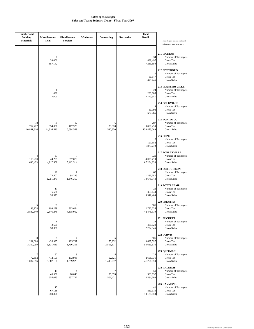| <b>Lumber</b> and<br><b>Building</b><br><b>Materials</b> | <b>Miscellaneous</b><br>Retail | <b>Miscellaneous</b><br><b>Services</b> | Wholesale | Contracting               | Recreation | <b>Total</b><br>Retail          | Note: Figures include audits and                                                          |
|----------------------------------------------------------|--------------------------------|-----------------------------------------|-----------|---------------------------|------------|---------------------------------|-------------------------------------------------------------------------------------------|
|                                                          |                                |                                         |           |                           |            |                                 | adjustments from prior years.                                                             |
|                                                          | 7<br>39,000<br>557,142         |                                         |           |                           |            | 34<br>488,497<br>7,231,650      | 211 PICKENS<br>Number of Taxpayers<br>Gross Tax<br><b>Gross Sales</b>                     |
|                                                          |                                |                                         |           |                           |            | 6<br>30.847<br>479,745          | 212 PITTSBORO<br>Number of Taxpayers<br><b>Gross Tax</b><br><b>Gross Sales</b>            |
|                                                          | 6<br>1,092<br>15,600           |                                         |           |                           |            | 24<br>233,685<br>3,770,341      | <b>213 PLANTERSVILLE</b><br>Number of Taxpayers<br><b>Gross Tax</b><br><b>Gross Sales</b> |
|                                                          |                                |                                         |           |                           |            | 4<br>30,993<br>622,265          | 214 POLKVILLE<br>Number of Taxpayers<br>Gross Tax<br><b>Gross Sales</b>                   |
| 18<br>762,427<br>10,891,816                              | 75<br>954,007<br>14,316,546    | 12<br>467,920<br>6,684,569              |           | 6<br>29,328<br>590,850    |            | 287<br>9,868,430<br>150,473,069 | 215 PONTOTOC<br>Number of Taxpayers<br>Gross Tax<br><b>Gross Sales</b>                    |
|                                                          |                                |                                         |           |                           |            | 6<br>121,552<br>1,873,779       | <b>216 POPE</b><br>Number of Taxpayers<br><b>Gross Tax</b><br><b>Gross Sales</b>          |
| 4<br>115,250<br>1,646,433                                | 37<br>344,225<br>4,917,509     | 357,876<br>5,112,514                    |           |                           |            | 121<br>4,035,713<br>67,264,338  | <b>217 POPLARVILLE</b><br>Number of Taxpayers<br>Gross Tax<br><b>Gross Sales</b>          |
|                                                          | 22<br>73,402<br>1,051,279      | 7<br>94,245<br>1,346,359                |           |                           |            | 62<br>1,236,682<br>18,675,943   | <b>218 PORT GIBSON</b><br>Number of Taxpayers<br><b>Gross Tax</b><br><b>Gross Sales</b>   |
|                                                          | 11<br>6,578<br>93,973          |                                         |           |                           |            | 26<br>363,444<br>5,312,464      | 219 POTTS CAMP<br>Number of Taxpayers<br>Gross Tax<br><b>Gross Sales</b>                  |
| 5<br>198,978<br>2,842,540                                | 31<br>199,239<br>2,846,275     | 303,664<br>4,338,062                    |           |                           |            | 101<br>2,732,236<br>42,476,379  | 220 PRENTISS<br>Number of Taxpayers<br>Gross Tax<br><b>Gross Sales</b>                    |
|                                                          | 6<br>2,681<br>38,301           |                                         |           |                           |            | 24<br>481,820<br>7,284,345      | 221 PUCKETT<br>Number of Taxpayers<br>Gross Tax<br><b>Gross Sales</b>                     |
| 8<br>231,004<br>3,300,059                                | 31<br>426,995<br>6,131,683     | 125,737<br>1,796,253                    |           | 5<br>175,932<br>2,513,317 |            | 105<br>3,687,597<br>56,663,516  | 222 PURVIS<br>Number of Taxpayers<br>Gross Tax<br><b>Gross Sales</b>                      |
| 7<br>72,652<br>1,037,896                                 | 32<br>412,101<br>5,887,160     | 132,995<br>1,899,929                    |           | 52,621<br>1,493,937       |            | 123<br>2,696,936<br>41,266,853  | 223 QUITMAN<br>Number of Taxpayers<br>Gross Tax<br><b>Gross Sales</b>                     |
|                                                          | 11<br>45,558<br>655,025        | 4<br>60,040<br>857,722                  |           | 7<br>35,099<br>501,421    |            | 50<br>903,637<br>13,584,600     | 224 RALEIGH<br>Number of Taxpayers<br><b>Gross Tax</b><br><b>Gross Sales</b>              |
|                                                          | 17<br>67,186<br>959,808        |                                         |           |                           |            | 41<br>880,319<br>13,179,558     | 225 RAYMOND<br>Number of Taxpayers<br>Gross Tax<br><b>Gross Sales</b>                     |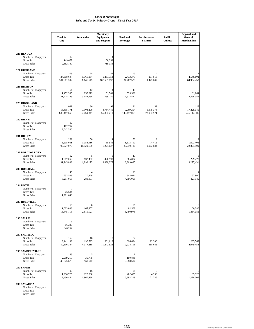|                                                                        | <b>Total for</b><br>City      | <b>Automotive</b>          | Machinery,<br>Equipment,<br>and Supplies | Food and<br><b>Beverage</b> | <b>Furniture and</b><br><b>Fixtures</b> | <b>Public</b><br><b>Utilities</b> | <b>Apparel and</b><br>General<br>Merchandise |
|------------------------------------------------------------------------|-------------------------------|----------------------------|------------------------------------------|-----------------------------|-----------------------------------------|-----------------------------------|----------------------------------------------|
|                                                                        |                               |                            |                                          |                             |                                         |                                   |                                              |
| 226 RENOVA<br>Number of Taxpayers                                      | 12                            |                            |                                          |                             |                                         |                                   |                                              |
| Gross Tax<br><b>Gross Sales</b>                                        | 149,677<br>2,352,740          |                            | 50,353<br>719,336                        |                             |                                         |                                   |                                              |
| 227 RICHLAND<br>Number of Taxpayers                                    | 309                           | 68                         | 43                                       | 43                          |                                         |                                   | 17                                           |
| <b>Gross Tax</b><br><b>Gross Sales</b>                                 | 24,808,607<br>384,661,332     | 5,361,064<br>86,641,645    | 6,461,754<br>107,591,897                 | 2,433,379<br>34,762,528     | 101,016<br>1,443,087                    |                                   | 4,546,802<br>64,954,258                      |
| 228 RICHTON                                                            |                               |                            |                                          |                             |                                         |                                   |                                              |
| Number of Taxpayers<br>Gross Tax<br><b>Gross Sales</b>                 | 64<br>1,452,385<br>21,924,798 | 12<br>255,079<br>3,643,988 | 4<br>51,781<br>739,740                   | 13<br>533,598<br>7,622,827  |                                         |                                   | 5<br>181,864<br>2,598,057                    |
| <b>229 RIDGELAND</b>                                                   |                               |                            |                                          |                             |                                         |                                   |                                              |
| Number of Taxpayers                                                    | 1,089                         | 86                         | 93                                       | 191                         | 39                                      |                                   | 123                                          |
| Gross Tax<br><b>Gross Sales</b>                                        | 58,615,771<br>880,417,660     | 7,308,290<br>127,459,841   | 3,764,440<br>55,837,710                  | 9,969,204<br>142,417,059    | 1,675,376<br>23,933,921                 |                                   | 17,228,040<br>246,114,306                    |
| 230 RIENZI                                                             |                               |                            |                                          |                             |                                         |                                   |                                              |
| Number of Taxpayers<br>Gross Tax<br><b>Gross Sales</b>                 | 12<br>182,764<br>3,042,586    |                            |                                          |                             |                                         |                                   |                                              |
| 231 RIPLEY                                                             |                               |                            |                                          |                             |                                         |                                   |                                              |
| Number of Taxpayers<br><b>Gross Tax</b>                                | 269<br>6,205,061              | 50<br>1,058,916            | 11<br>55,541                             | 53<br>1,673,710             | 9<br>74,415                             |                                   | 12<br>1,602,406                              |
| <b>Gross Sales</b>                                                     | 96,027,070                    | 18,520,139                 | 1,224,627                                | 23,910,130                  | 1,063,084                               |                                   | 22,891,500                                   |
| <b>232 ROLLING FORK</b>                                                |                               |                            |                                          |                             |                                         |                                   |                                              |
| Number of Taxpayers<br><b>Gross Tax</b><br><b>Gross Sales</b>          | 62<br>1,887,062<br>31,245,833 | 5<br>132,452<br>1,892,173  | 5<br>428,993<br>9,830,275                | 17<br>585,837<br>8,369,095  |                                         |                                   | 5<br>229,420<br>3,277,431                    |
| 233 ROSEDALE                                                           |                               |                            |                                          |                             |                                         |                                   |                                              |
| Number of Taxpayers<br>Gross Tax                                       | 45<br>552,529                 | 4<br>20,229                |                                          | 23<br>342,024               |                                         |                                   | 4<br>57,900                                  |
| <b>Gross Sales</b>                                                     | 8,291,053                     | 288,997                    |                                          | 4,886,058                   |                                         |                                   | 827,149                                      |
| 234 ROXIE<br>Number of Taxpayers                                       | 7                             |                            |                                          |                             |                                         |                                   |                                              |
| <b>Gross Tax</b><br><b>Gross Sales</b>                                 | 76,604<br>1,201,648           |                            |                                          |                             |                                         |                                   |                                              |
| 235 RULEVILLE                                                          |                               |                            |                                          |                             |                                         |                                   |                                              |
| Number of Taxpayers                                                    | 65                            | 8                          |                                          | 21                          |                                         |                                   | 8                                            |
| Gross Tax<br><b>Gross Sales</b>                                        | 1,003,008<br>15,445,118       | 167,357<br>2,519,127       |                                          | 402,568<br>5,750,976        |                                         |                                   | 100,386<br>1,434,086                         |
| 236 SALLIS                                                             |                               |                            |                                          |                             |                                         |                                   |                                              |
| Number of Taxpayers<br>Gross Tax                                       | 6<br>56,236                   |                            |                                          |                             |                                         |                                   |                                              |
| <b>Gross Sales</b>                                                     | 846,252                       |                            |                                          |                             |                                         |                                   |                                              |
| <b>237 SALTILLO</b><br>Number of Taxpayers                             | 152                           | 18                         | 13                                       | 24                          | 8                                       |                                   | 8                                            |
| <b>Gross Tax</b><br><b>Gross Sales</b>                                 | 3,141,183<br>50,816,347       | 190,595<br>4,377,218       | 601,613<br>11,242,828                    | 694,694<br>9,924,191        | 22,306<br>318,663                       |                                   | 285,562<br>4,079,458                         |
| <b>238 SANDERSVILLE</b>                                                |                               |                            |                                          |                             |                                         |                                   |                                              |
| Number of Taxpayers<br>Gross Tax                                       | 33<br>2,999,210               | 5<br>39,775                |                                          | 8<br>159,846                |                                         |                                   |                                              |
| <b>Gross Sales</b>                                                     | 43,845,678                    | 569,642                    |                                          | 2,283,514                   |                                         |                                   |                                              |
| 239 SARDIS                                                             |                               |                            |                                          |                             |                                         |                                   |                                              |
| Number of Taxpayers<br><b>Gross Tax</b>                                | 90<br>1,296,725               | 16<br>122,580              |                                          | 24<br>482,455               | 5<br>4,993                              |                                   | 8<br>89,320                                  |
| <b>Gross Sales</b>                                                     | 19,436,444                    | 1,960,488                  |                                          | 6,892,219                   | 71,335                                  |                                   | 1,276,006                                    |
| 240 SATARTIA<br>Number of Taxpayers<br>Gross Tax<br><b>Gross Sales</b> |                               |                            |                                          |                             |                                         |                                   |                                              |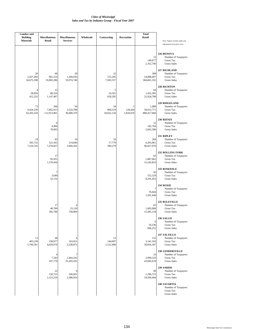| <b>Lumber</b> and<br><b>Building</b><br><b>Materials</b> | <b>Miscellaneous</b><br>Retail  | <b>Miscellaneous</b><br><b>Services</b> | Wholesale | Contracting                 | Recreation                | <b>Total</b><br>Retail             | Note: Figures include audits and                                                                      |
|----------------------------------------------------------|---------------------------------|-----------------------------------------|-----------|-----------------------------|---------------------------|------------------------------------|-------------------------------------------------------------------------------------------------------|
|                                                          |                                 |                                         |           |                             |                           | 12<br>149,677<br>2,352,740         | adjustments from prior years.<br>226 RENOVA<br>Number of Taxpayers<br>Gross Tax<br><b>Gross Sales</b> |
| 20<br>2,427,266<br>34,675,198                            | 60<br>681,214<br>10,082,286     | 29<br>1,304,636<br>19,974,740           |           | 22<br>515,295<br>7,503,557  |                           | 309<br>24,808,607<br>384,661,332   | 227 RICHLAND<br>Number of Taxpayers<br><b>Gross Tax</b><br><b>Gross Sales</b>                         |
| $\overline{4}$<br>28,856<br>412,235                      | 15<br>80,324<br>1,147,497       |                                         |           | 5<br>24,161<br>650,205      |                           | 64<br>1,452,385<br>21,924,798      | 228 RICHTON<br>Number of Taxpayers<br>Gross Tax<br><b>Gross Sales</b>                                 |
| 73<br>4,424,230<br>63,203,234                            | 366<br>7,662,913<br>112,913,861 | 56<br>2,524,788<br>36,068,370           |           | 54<br>960,519<br>18,022,134 | 5<br>128,444<br>1,834,919 | 1,089<br>58,615,771<br>880,417,660 | <b>229 RIDGELAND</b><br>Number of Taxpayers<br>Gross Tax<br><b>Gross Sales</b>                        |
|                                                          | 6<br>4,900<br>70,003            |                                         |           |                             |                           | 12<br>182,764<br>3,042,586         | 230 RIENZI<br>Number of Taxpayers<br>Gross Tax<br><b>Gross Sales</b>                                  |
| 19<br>505,732<br>7,224,743                               | 85<br>521,565<br>7,478,837      | 16<br>214,844<br>3,069,202              |           | 10<br>17,779<br>389,279     |                           | 269<br>6,205,061<br>96,027,070     | 231 RIPLEY<br>Number of Taxpayers<br>Gross Tax<br><b>Gross Sales</b>                                  |
|                                                          | 17<br>95,931<br>1,370,450       |                                         |           |                             |                           | 62<br>1,887,062<br>31,245,833      | <b>232 ROLLING FORK</b><br>Number of Taxpayers<br><b>Gross Tax</b><br><b>Gross Sales</b>              |
|                                                          | 7<br>3,649<br>52,132            |                                         |           |                             |                           | 45<br>552,529<br>8,291,053         | 233 ROSEDALE<br>Number of Taxpayers<br><b>Gross Tax</b><br><b>Gross Sales</b>                         |
|                                                          |                                 |                                         |           |                             |                           | 7<br>76,604<br>1,201,648           | 234 ROXIE<br>Number of Taxpayers<br><b>Gross Tax</b><br><b>Gross Sales</b>                            |
|                                                          | 17<br>40,789<br>582,706         | 4<br>53,120<br>758,869                  |           |                             |                           | 65<br>1,003,008<br>15,445,118      | 235 RULEVILLE<br>Number of Taxpayers<br>Gross Tax<br><b>Gross Sales</b>                               |
|                                                          |                                 |                                         |           |                             |                           | 6<br>56,236<br>846,252             | <b>236 SALLIS</b><br>Number of Taxpayers<br>Gross Tax<br><b>Gross Sales</b>                           |
| 12<br>403,239<br>5,760,561                               | 48<br>338,077<br>4,829,679      | 6<br>163,021<br>2,328,875               |           | 13<br>144,007<br>2,122,460  |                           | 152<br>3,141,183<br>50,816,347     | 237 SALTILLO<br>Number of Taxpayers<br><b>Gross Tax</b><br><b>Gross Sales</b>                         |
|                                                          | 4<br>7,543<br>107,770           | 7<br>2,464,242<br>35,203,435            |           |                             |                           | 33<br>2,999,210<br>43,845,678      | <b>238 SANDERSVILLE</b><br>Number of Taxpayers<br>Gross Tax<br><b>Gross Sales</b>                     |
|                                                          | 22<br>150,725<br>2,153,216      | 8<br>166,601<br>2,380,024               |           |                             |                           | 90<br>1,296,725<br>19,436,444      | 239 SARDIS<br>Number of Taxpayers<br>Gross Tax<br><b>Gross Sales</b>                                  |
|                                                          |                                 |                                         |           |                             |                           |                                    | 240 SATARTIA<br>Number of Taxpayers<br>Gross Tax<br><b>Gross Sales</b>                                |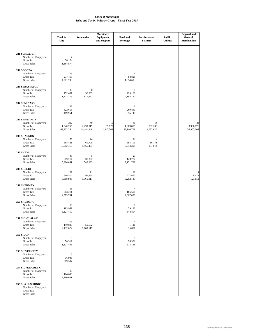|                                                                                         | <b>Total for</b><br>City         | Automotive                    | Machinery,<br>Equipment,<br>and Supplies | Food and<br><b>Beverage</b>            | <b>Furniture and</b><br><b>Fixtures</b> | <b>Public</b><br><b>Utilities</b> | <b>Apparel and</b><br>General<br>Merchandise |
|-----------------------------------------------------------------------------------------|----------------------------------|-------------------------------|------------------------------------------|----------------------------------------|-----------------------------------------|-----------------------------------|----------------------------------------------|
| 241 SCHLATER<br>Number of Taxpayers<br>Gross Tax<br><b>Gross Sales</b>                  | 7<br>76,174<br>1,164,577         |                               |                                          |                                        |                                         |                                   |                                              |
| 242 SCOOBA<br>Number of Taxpayers<br>Gross Tax<br><b>Gross Sales</b>                    | 18<br>277,413<br>4,201,790       |                               |                                          | 6<br>94,828<br>1,354,693               |                                         |                                   |                                              |
| 243 SEBASTAPOL<br>Number of Taxpayers<br><b>Gross Tax</b><br><b>Gross Sales</b>         | 30<br>752,467<br>11,173,776      | 8<br>56,363<br>819,291        |                                          | 5<br>293,169<br>4,188,127              |                                         |                                   |                                              |
| 244 SEMINARY<br>Number of Taxpayers<br>Gross Tax<br><b>Gross Sales</b>                  | 23<br>622,658<br>9,419,951       |                               |                                          | 6<br>269,860<br>3,855,140              |                                         |                                   |                                              |
| 245 SENATOBIA<br>Number of Taxpayers<br><b>Gross Tax</b><br><b>Gross Sales</b>          | 292<br>11,040,765<br>169,902,354 | 49<br>2,299,819<br>41,481,248 | 19<br>89,778<br>1,347,508                | 40<br>1,969,855<br>28,140,761          | 14<br>282,283<br>4,032,620              |                                   | 34<br>3,986,076<br>56,903,305                |
| 246 SHANNON<br>Number of Taxpayers<br><b>Gross Tax</b><br><b>Gross Sales</b>            | 73<br>858,421<br>13,582,419      | 14<br>69,705<br>1,466,467     |                                          | 21<br>395,101<br>5,644,308             | 16,171<br>231,014                       |                                   |                                              |
| <b>247 SHAW</b><br>Number of Taxpayers<br>Gross Tax<br><b>Gross Sales</b>               | 43<br>379,214<br>5,886,051       | 5<br>38,362<br>548,033        |                                          | 21<br>149,224<br>2,131,782             |                                         |                                   |                                              |
| 248 SHELBY<br>Number of Taxpayers<br><b>Gross Tax</b><br><b>Gross Sales</b>             | 57<br>566,514<br>8,568,933       | 11<br>95,464<br>1,365,917     |                                          | 26<br>227,650<br>3,252,143             |                                         |                                   | 8,473<br>121,053                             |
| 249 SHERMAN<br>Number of Taxpayers<br><b>Gross Tax</b><br><b>Gross Sales</b>            | 18<br>903,211<br>14,579,781      |                               |                                          | $\overline{4}$<br>186,694<br>2,667,056 |                                         |                                   |                                              |
| 250 SHUBUTA<br>Number of Taxpayers<br>Gross Tax<br><b>Gross Sales</b>                   | 15<br>193,959<br>3,127,459       |                               |                                          | 8<br>59,136<br>844,804                 |                                         |                                   |                                              |
| 251 SHUQUALAK<br>Number of Taxpayers<br><b>Gross Tax</b><br><b>Gross Sales</b>          | 19<br>140,889<br>2,432,672       | 7<br>59,652<br>1,069,619      |                                          | $\overline{4}$<br>1,111<br>15,871      |                                         |                                   |                                              |
| <b>252 SIDON</b><br>Number of Taxpayers<br>Gross Tax<br><b>Gross Sales</b>              | 5<br>70,312<br>1,127,406         |                               |                                          | 5<br>26,301<br>375,738                 |                                         |                                   |                                              |
| <b>253 SILVER CITY</b><br>Number of Taxpayers<br><b>Gross Tax</b><br><b>Gross Sales</b> | 5<br>36,936<br>589,587           |                               |                                          |                                        |                                         |                                   |                                              |
| <b>254 SILVER CREEK</b><br>Number of Taxpayers<br>Gross Tax<br><b>Gross Sales</b>       | $10$<br>184,600<br>2,780,031     |                               |                                          |                                        |                                         |                                   |                                              |
| <b>255 SLATE SPRINGS</b><br>Number of Taxpayers<br>Gross Tax<br><b>Gross Sales</b>      |                                  |                               |                                          |                                        |                                         |                                   |                                              |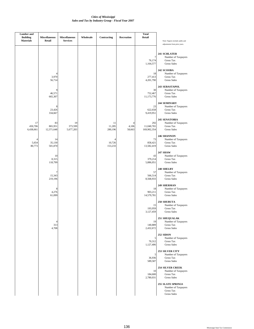| <b>Lumber</b> and<br><b>Building</b><br><b>Materials</b> | <b>Miscellaneous</b><br>Retail | <b>Miscellaneous</b><br><b>Services</b> | Wholesale | Contracting                                | Recreation           | <b>Total</b><br>Retail           | Note: Figures include audits and                                                   |
|----------------------------------------------------------|--------------------------------|-----------------------------------------|-----------|--------------------------------------------|----------------------|----------------------------------|------------------------------------------------------------------------------------|
|                                                          |                                |                                         |           |                                            |                      |                                  | adjustments from prior years.<br>241 SCHLATER                                      |
|                                                          |                                |                                         |           |                                            |                      | 7<br>76,174<br>1,164,577         | Number of Taxpayers<br>Gross Tax<br><b>Gross Sales</b>                             |
|                                                          | 4<br>3,970<br>56,714           |                                         |           |                                            |                      | 18<br>277,413<br>4,201,790       | 242 SCOOBA<br>Number of Taxpayers<br><b>Gross Tax</b><br><b>Gross Sales</b>        |
|                                                          | 9<br>46,571<br>665,307         |                                         |           |                                            |                      | 30<br>752,467<br>11,173,776      | 243 SEBASTAPOL<br>Number of Taxpayers<br>Gross Tax<br><b>Gross Sales</b>           |
|                                                          | 8<br>23,426<br>334,667         |                                         |           |                                            |                      | 23<br>622,658<br>9,419,951       | 244 SEMINARY<br>Number of Taxpayers<br>Gross Tax<br><b>Gross Sales</b>             |
| 17<br>450,706<br>6,438,661                               | 83<br>865,951<br>12,371,648    | 19<br>373,599<br>5,677,283              |           | 11<br>11,285<br>280,196                    | 4<br>4,106<br>58,663 | 292<br>11,040,765<br>169,902,354 | 245 SENATOBIA<br>Number of Taxpayers<br><b>Gross Tax</b><br><b>Gross Sales</b>     |
| 4<br>5,654<br>80,773                                     | 14<br>35,130<br>501,870        |                                         |           | $\boldsymbol{\Delta}$<br>10,726<br>153,233 |                      | 73<br>858,421<br>13,582,419      | 246 SHANNON<br>Number of Taxpayers<br><b>Gross Tax</b><br><b>Gross Sales</b>       |
|                                                          | 10<br>8,315<br>118,799         |                                         |           |                                            |                      | 43<br>379,214<br>5,886,051       | <b>247 SHAW</b><br>Number of Taxpayers<br>Gross Tax<br><b>Gross Sales</b>          |
|                                                          | 7<br>15,343<br>219,196         |                                         |           |                                            |                      | 57<br>566,514<br>8,568,933       | 248 SHELBY<br>Number of Taxpayers<br>Gross Tax<br><b>Gross Sales</b>               |
|                                                          | 8<br>4,276<br>61,099           |                                         |           |                                            |                      | 18<br>903,211<br>14,579,781      | 249 SHERMAN<br>Number of Taxpayers<br>Gross Tax<br><b>Gross Sales</b>              |
|                                                          |                                |                                         |           |                                            |                      | 15<br>193,959<br>3,127,459       | 250 SHUBUTA<br>Number of Taxpayers<br>Gross Tax<br><b>Gross Sales</b>              |
|                                                          | 4<br>313<br>4,708              |                                         |           |                                            |                      | 19<br>140,889<br>2,432,672       | 251 SHUQUALAK<br>Number of Taxpayers<br>Gross Tax<br><b>Gross Sales</b>            |
|                                                          |                                |                                         |           |                                            |                      | 5<br>70,312<br>1,127,406         | 252 SIDON<br>Number of Taxpayers<br>Gross Tax<br><b>Gross Sales</b>                |
|                                                          |                                |                                         |           |                                            |                      | 5<br>36,936<br>589,587           | <b>253 SILVER CITY</b><br>Number of Taxpayers<br>Gross Tax<br><b>Gross Sales</b>   |
|                                                          |                                |                                         |           |                                            |                      | 10<br>184,600<br>2,780,031       | <b>254 SILVER CREEK</b><br>Number of Taxpayers<br>Gross Tax<br><b>Gross Sales</b>  |
|                                                          |                                |                                         |           |                                            |                      |                                  | <b>255 SLATE SPRINGS</b><br>Number of Taxpayers<br>Gross Tax<br><b>Gross Sales</b> |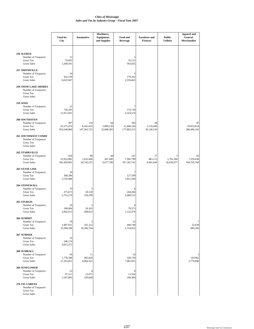|                                                                                              | <b>Total for</b><br>City         | <b>Automotive</b>               | Machinery,<br>Equipment,<br>and Supplies | Food and<br><b>Beverage</b>      | <b>Furniture and</b><br><b>Fixtures</b> | <b>Public</b><br><b>Utilities</b> | <b>Apparel and</b><br>General<br>Merchandise |
|----------------------------------------------------------------------------------------------|----------------------------------|---------------------------------|------------------------------------------|----------------------------------|-----------------------------------------|-----------------------------------|----------------------------------------------|
| 256 SLEDGE<br>Number of Taxpayers<br>Gross Tax<br><b>Gross Sales</b>                         | 12<br>79,692<br>1,209,591        |                                 |                                          | 5<br>35,212<br>503,035           |                                         |                                   |                                              |
| 257 SMITHVILLE<br>Number of Taxpayers<br><b>Gross Tax</b><br><b>Gross Sales</b>              | 34<br>432,536<br>6,622,947       |                                 |                                          | 5<br>179,162<br>2,559,463        |                                         |                                   |                                              |
| <b>258 SNOW LAKE SHORES</b><br>Number of Taxpayers<br><b>Gross Tax</b><br><b>Gross Sales</b> |                                  |                                 |                                          |                                  |                                         |                                   |                                              |
| 259 SOSO<br>Number of Taxpayers<br>Gross Tax<br><b>Gross Sales</b>                           | 21<br>720,185<br>11,911,825      |                                 |                                          | 7<br>176,720<br>2,524,574        |                                         |                                   |                                              |
| 260 SOUTHAVEN<br>Number of Taxpayers<br><b>Gross Tax</b><br><b>Gross Sales</b>               | 997<br>63,375,474<br>954,549,860 | 134<br>8,341,619<br>147,363,723 | 64<br>2,089,139<br>32,608,583            | 185<br>12,446,244<br>177,803,315 | 38<br>2,110,440<br>30,149,126           |                                   | 87<br>20,055,814<br>286,490,192              |
| 261 SOUTHWEST COMM<br>Number of Taxpayers<br><b>Gross Tax</b><br><b>Gross Sales</b>          |                                  |                                 |                                          |                                  |                                         |                                   |                                              |
| <b>262 STARKVILLE</b><br>Number of Taxpayers<br>Gross Tax<br><b>Gross Sales</b>              | 656<br>25,952,882<br>381,459,002 | 80<br>1,632,640<br>26,742,225   | 44<br>467,445<br>6,677,786               | 147<br>7,502,799<br>107,182,741  | 27<br>483,115<br>6,901,644              | 5<br>1,761,504<br>30,436,077      | 65<br>7,329,430<br>104,705,768               |
| <b>263 STATE LINE</b><br>Number of Taxpayers<br><b>Gross Tax</b><br><b>Gross Sales</b>       | 18<br>368,206<br>5,510,488       |                                 |                                          | 7<br>127,509<br>1,821,569        |                                         |                                   |                                              |
| <b>264 STONEWALL</b><br>Number of Taxpayers<br><b>Gross Tax</b><br><b>Gross Sales</b>        | 19<br>375,673<br>5,755,276       | 5<br>20,130<br>334,290          |                                          | 6<br>244,266<br>3,489,513        |                                         |                                   |                                              |
| 265 STURGIS<br>Number of Taxpayers<br>Gross Tax<br><b>Gross Sales</b>                        | 26<br>189,004<br>2,842,013       | 5<br>20,163<br>288,053          |                                          | 78,573<br>1,122,474              |                                         |                                   |                                              |
| 266 SUMMIT<br>Number of Taxpayers<br><b>Gross Tax</b><br><b>Gross Sales</b>                  | 78<br>1,897,631<br>32,584,398    | 5<br>555,215<br>10,186,744      |                                          | 22<br>400,740<br>5,724,852       |                                         |                                   | 7<br>32,638<br>466,266                       |
| 267 SUMNER<br>Number of Taxpayers<br><b>Gross Tax</b><br><b>Gross Sales</b>                  | 16<br>246,174<br>4,815,372       |                                 |                                          |                                  |                                         |                                   |                                              |
| <b>268 SUMRALL</b><br>Number of Taxpayers<br><b>Gross Tax</b><br><b>Gross Sales</b>          | 56<br>1,778,348<br>27,263,051    | 11<br>285,620<br>4,904,555      |                                          | 10<br>558,730<br>7,981,855       |                                         |                                   | 193,962<br>2,770,890                         |
| <b>269 SUNFLOWER</b><br>Number of Taxpayers<br><b>Gross Tax</b><br><b>Gross Sales</b>        | 22<br>97,311<br>1,567,883        | 4<br>23,075<br>329,648          |                                          | 6<br>13,326<br>190,384           |                                         |                                   |                                              |
| 270 SYLVARENA<br>Number of Taxpayers<br>Gross Tax<br><b>Gross Sales</b>                      |                                  |                                 |                                          |                                  |                                         |                                   |                                              |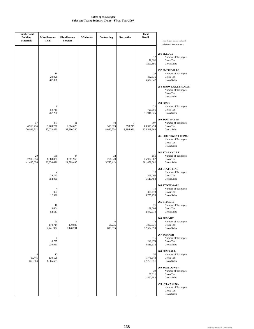| <b>Lumber</b> and<br><b>Building</b><br><b>Materials</b> | <b>Miscellaneous</b><br>Retail        | <b>Miscellaneous</b><br><b>Services</b> | Wholesale | Contracting                | Recreation                | <b>Total</b><br>Retail                                  | Note: Figures include audits and                                                                                                                                                                                 |
|----------------------------------------------------------|---------------------------------------|-----------------------------------------|-----------|----------------------------|---------------------------|---------------------------------------------------------|------------------------------------------------------------------------------------------------------------------------------------------------------------------------------------------------------------------|
|                                                          | 16<br>20,096<br>287,096               |                                         |           |                            |                           | 12<br>79,692<br>1,209,591<br>34<br>432,536<br>6,622,947 | adjustments from prior years.<br>256 SLEDGE<br>Number of Taxpayers<br>Gross Tax<br><b>Gross Sales</b><br>257 SMITHVILLE<br>Number of Taxpayers<br>Gross Tax<br><b>Gross Sales</b><br><b>258 SNOW LAKE SHORES</b> |
|                                                          | 6<br>53,710<br>767,296                |                                         |           |                            |                           | 21<br>720,185<br>11,911,825                             | Number of Taxpayers<br>Gross Tax<br><b>Gross Sales</b><br>259 SOSO<br>Number of Taxpayers<br>Gross Tax<br><b>Gross Sales</b>                                                                                     |
| 57<br>4,966,414<br>70,948,712                            | 271<br>5,763,221<br>85,033,886        | 81<br>2,514,628<br>37,880,380           |           | 70<br>515,823<br>8,086,558 | 7<br>699,715<br>9,995,921 | 997<br>63,375,474<br>954,549,860                        | 260 SOUTHAVEN<br>Number of Taxpayers<br><b>Gross Tax</b><br><b>Gross Sales</b>                                                                                                                                   |
|                                                          |                                       |                                         |           |                            |                           |                                                         | 261 SOUTHWEST COMM<br>Number of Taxpayers<br>Gross Tax<br><b>Gross Sales</b>                                                                                                                                     |
| 29<br>2,903,954<br>41,485,026                            | 180<br>1,880,080<br>26,858,621        | 44<br>1,511,966<br>21,599,495           |           | 32<br>261,949<br>5,755,413 |                           | 656<br>25,952,882<br>381,459,002                        | <b>262 STARKVILLE</b><br>Number of Taxpayers<br>Gross Tax<br><b>Gross Sales</b><br><b>263 STATE LINE</b>                                                                                                         |
|                                                          | 4<br>24,783<br>354,050                |                                         |           |                            |                           | 18<br>368,206<br>5,510,488                              | Number of Taxpayers<br>Gross Tax<br><b>Gross Sales</b><br><b>264 STONEWALL</b>                                                                                                                                   |
|                                                          | $\overline{4}$<br>904<br>12,926<br>10 |                                         |           |                            |                           | 19<br>375,673<br>5,755,276                              | Number of Taxpayers<br><b>Gross Tax</b><br><b>Gross Sales</b><br>265 STURGIS                                                                                                                                     |
|                                                          | 3,664<br>52,517<br>25                 | 5                                       |           | 6                          |                           | 26<br>189,004<br>2,842,013<br>78                        | Number of Taxpayers<br>Gross Tax<br><b>Gross Sales</b><br>266 SUMMIT<br>Number of Taxpayers                                                                                                                      |
|                                                          | 170,714<br>2,441,992<br>7<br>16,797   | 170,820<br>2,440,291                    |           | 61,235<br>899,815          |                           | 1,897,631<br>32,584,398<br>16<br>246,174                | Gross Tax<br><b>Gross Sales</b><br>267 SUMNER<br>Number of Taxpayers<br>Gross Tax                                                                                                                                |
| 60,445<br>863,504                                        | 239,961<br>17<br>130,596<br>1,865,659 |                                         |           |                            |                           | 4,815,372<br>56<br>1,778,348<br>27,263,051              | <b>Gross Sales</b><br>268 SUMRALL<br>Number of Taxpayers<br>Gross Tax<br><b>Gross Sales</b>                                                                                                                      |
|                                                          |                                       |                                         |           |                            |                           | 22<br>97,311<br>1,567,883                               | <b>269 SUNFLOWER</b><br>Number of Taxpayers<br>Gross Tax<br><b>Gross Sales</b>                                                                                                                                   |
|                                                          |                                       |                                         |           |                            |                           |                                                         | 270 SYLVARENA<br>Number of Taxpayers<br>Gross Tax<br><b>Gross Sales</b>                                                                                                                                          |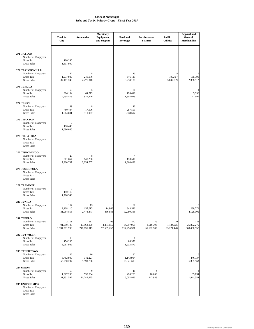|                                                                                | <b>Total for</b><br>City             | <b>Automotive</b>                | Machinery,<br>Equipment,<br>and Supplies | Food and<br><b>Beverage</b>      | <b>Furniture and</b><br><b>Fixtures</b> | <b>Public</b><br><b>Utilities</b> | <b>Apparel and</b><br>General<br>Merchandise |
|--------------------------------------------------------------------------------|--------------------------------------|----------------------------------|------------------------------------------|----------------------------------|-----------------------------------------|-----------------------------------|----------------------------------------------|
| 271 TAYLOR<br>Number of Taxpayers<br><b>Gross Tax</b><br><b>Gross Sales</b>    | 8<br>100,246<br>1,507,999            |                                  |                                          |                                  |                                         |                                   |                                              |
| 272 TAYLORSVILLE<br>Number of Taxpayers<br>Gross Tax<br><b>Gross Sales</b>     | 82<br>1,977,989<br>37,181,240        | 8<br>246,076<br>4,271,848        |                                          | 13<br>646,113<br>9,230,180       |                                         | 18<br>199,767<br>3,632,539        | 5<br>165,796<br>2,368,512                    |
| 273 TCHULA<br>Number of Taxpayers<br><b>Gross Tax</b><br><b>Gross Sales</b>    | 50<br>324,184<br>4,954,473           | 5<br>64,773<br>925,340           |                                          | 30<br>126,416<br>1,805,948       |                                         |                                   | 5,396<br>77,099                              |
| 274 TERRY<br>Number of Taxpayers<br><b>Gross Tax</b><br><b>Gross Sales</b>     | 39<br>760,434<br>11,664,891          | 8<br>17,106<br>311,967           |                                          | 10<br>257,509<br>3,678,697       |                                         |                                   |                                              |
| 275 THAXTON<br>Number of Taxpayers<br><b>Gross Tax</b><br><b>Gross Sales</b>   | 6<br>110,449<br>1,686,086            |                                  |                                          |                                  |                                         |                                   |                                              |
| 276 TILLATOBA<br>Number of Taxpayers<br><b>Gross Tax</b><br><b>Gross Sales</b> |                                      |                                  |                                          |                                  |                                         |                                   |                                              |
| 277 TISHOMINGO<br>Number of Taxpayers<br><b>Gross Tax</b><br>Gross Sales       | 27<br>501,854<br>7,900,737           | 8<br>140,286<br>2,054,707        |                                          | 4<br>130,510<br>1,864,438        |                                         |                                   |                                              |
| 278 TOCCOPOLA<br>Number of Taxpayers<br><b>Gross Tax</b><br><b>Gross Sales</b> |                                      |                                  |                                          |                                  |                                         |                                   |                                              |
| 279 TREMONT<br>Number of Taxpayers<br><b>Gross Tax</b><br><b>Gross Sales</b>   | 7<br>110,119<br>1,786,548            |                                  |                                          |                                  |                                         |                                   |                                              |
| 280 TUNICA<br>Number of Taxpayers<br><b>Gross Tax</b><br><b>Gross Sales</b>    | 117<br>2,108,110<br>31,964,855       | 13<br>157,015<br>2,478,471       | 6<br>14,960<br>436,883                   | 37<br>843,526<br>12,050,365      |                                         |                                   | 288,771<br>4,125,305                         |
| 281 TUPELO<br>Number of Taxpayers<br><b>Gross Tax</b><br><b>Gross Sales</b>    | 2,111<br>91,090,100<br>1,394,081,799 | 211<br>13,563,099<br>248,835,913 | 105<br>4,471,856<br>77,599,252           | 572<br>14,997,958<br>214,256,331 | 79<br>3,616,398<br>51,662,785           | 10<br>4,424,905<br>83,271,448     | 153<br>25,862,275<br>369,460,557             |
| 282 TUTWILER<br>Number of Taxpayers<br>Gross Tax<br><b>Gross Sales</b>         | 13<br>174,236<br>3,087,949           |                                  |                                          | 6<br>86,370<br>1,233,870         |                                         |                                   |                                              |
| 283 TYLERTOWN<br>Number of Taxpayers<br>Gross Tax<br><b>Gross Sales</b>        | 126<br>3,762,939<br>55,990,287       | 16<br>342,227<br>5,990,766       |                                          | 32<br>1,143,914<br>16,341,613    |                                         |                                   | 16<br>446,737<br>6,381,963                   |
| 284 UNION<br>Number of Taxpayers<br><b>Gross Tax</b><br><b>Gross Sales</b>     | 68<br>1,927,238<br>31,331,592        | 9<br>599,804<br>11,249,925       |                                          | 10<br>420,209<br>6,002,986       | 10,009<br>142,988                       |                                   | 135,894<br>1,941,354                         |
| 285 UNIV OF MISS<br>Number of Taxpayers<br>Gross Tax<br><b>Gross Sales</b>     |                                      |                                  |                                          |                                  |                                         |                                   |                                              |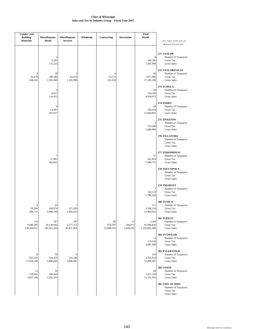| <b>Lumber</b> and<br><b>Building</b><br><b>Materials</b> | <b>Miscellaneous</b><br>Retail   | <b>Miscellaneous</b><br><b>Services</b> | Wholesale | Contracting                 | Recreation                 | <b>Total</b><br>Retail               | Note: Figures include audits and<br>adjustments from prior years.              |
|----------------------------------------------------------|----------------------------------|-----------------------------------------|-----------|-----------------------------|----------------------------|--------------------------------------|--------------------------------------------------------------------------------|
|                                                          | 5<br>9,185<br>131,223            |                                         |           |                             |                            | 8<br>100,246<br>1,507,999            | 271 TAYLOR<br>Number of Taxpayers<br>Gross Tax<br><b>Gross Sales</b>           |
| $\overline{4}$<br>30,678<br>438,261                      | 18<br>180,196<br>2,591,868       | 5<br>83,019<br>1,185,998                |           | 6<br>23,173<br>331,056      |                            | 82<br>1,977,989<br>37,181,240        | 272 TAYLORSVILLE<br>Number of Taxpayers<br>Gross Tax<br><b>Gross Sales</b>     |
|                                                          | 5<br>8,011<br>114,452            |                                         |           |                             |                            | 50<br>324,184<br>4,954,473           | 273 TCHULA<br>Number of Taxpayers<br>Gross Tax<br><b>Gross Sales</b>           |
|                                                          | 9<br>14,491<br>207,027           |                                         |           |                             |                            | 39<br>760,434<br>11,664,891          | 274 TERRY<br>Number of Taxpayers<br>Gross Tax<br><b>Gross Sales</b>            |
|                                                          |                                  |                                         |           |                             |                            | 6<br>110,449<br>1,686,086            | 275 THAXTON<br>Number of Taxpayers<br>Gross Tax<br><b>Gross Sales</b>          |
|                                                          |                                  |                                         |           |                             |                            |                                      | 276 TILLATOBA<br>Number of Taxpayers<br>Gross Tax<br><b>Gross Sales</b>        |
|                                                          | 7<br>27,482<br>392,602           |                                         |           |                             |                            | 27<br>501,854<br>7,900,737           | 277 TISHOMINGO<br>Number of Taxpayers<br>Gross Tax<br><b>Gross Sales</b>       |
|                                                          |                                  |                                         |           |                             |                            |                                      | 278 TOCCOPOLA<br>Number of Taxpayers<br>Gross Tax<br><b>Gross Sales</b>        |
|                                                          |                                  |                                         |           |                             |                            | 7<br>110,119<br>1,786,548            | 279 TREMONT<br>Number of Taxpayers<br><b>Gross Tax</b><br><b>Gross Sales</b>   |
| 4<br>20,209<br>288,712                                   | 41<br>349,076<br>4,986,798       | 7<br>127,430<br>1,820,432               |           |                             |                            | 117<br>2,108,110<br>31,964,855       | 280 TUNICA<br>Number of Taxpayers<br>Gross Tax<br><b>Gross Sales</b>           |
| 110<br>9,680,285<br>138,289,651                          | 567<br>10,139,844<br>145,561,164 | 207<br>3,177,373<br>45,427,054          |           | 80<br>678,767<br>12,898,555 | 15<br>394,072<br>5,629,595 | 2,109<br>91,006,836<br>1,392,892,308 | 281 TUPELO<br>Number of Taxpayers<br><b>Gross Tax</b><br><b>Gross Sales</b>    |
|                                                          |                                  |                                         |           |                             |                            | 13<br>174,236<br>3,087,949           | 282 TUTWILER<br>Number of Taxpayers<br>Gross Tax<br><b>Gross Sales</b>         |
| 8<br>835,191<br>11,931,290                               | 35<br>324,935<br>4,696,666       | 8<br>216,348<br>3,090,691               |           |                             |                            | 126<br>3,762,939<br>55,990,287       | <b>283 TYLERTOWN</b><br>Number of Taxpayers<br>Gross Tax<br><b>Gross Sales</b> |
| 13<br>270,002<br>3,857,168                               | 20<br>106,469<br>1,582,103       |                                         |           |                             |                            | 68<br>1,927,238<br>31,331,592        | 284 UNION<br>Number of Taxpayers<br><b>Gross Tax</b><br><b>Gross Sales</b>     |
|                                                          |                                  |                                         |           |                             |                            |                                      | 285 UNIV OF MISS<br>Number of Taxpayers<br>Gross Tax<br><b>Gross Sales</b>     |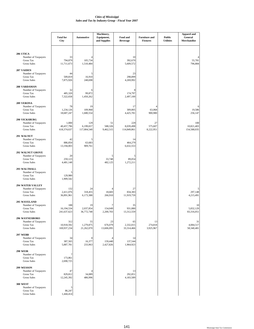|                                                                                          | <b>Total for</b><br>City           | <b>Automotive</b>               | Machinery,<br>Equipment,<br>and Supplies | Food and<br><b>Beverage</b>     | <b>Furniture and</b><br><b>Fixtures</b> | <b>Public</b><br><b>Utilities</b> | <b>Apparel and</b><br>General<br>Merchandise |
|------------------------------------------------------------------------------------------|------------------------------------|---------------------------------|------------------------------------------|---------------------------------|-----------------------------------------|-----------------------------------|----------------------------------------------|
| 286 UTICA                                                                                |                                    |                                 |                                          |                                 |                                         |                                   |                                              |
| Number of Taxpayers<br><b>Gross Tax</b><br><b>Gross Sales</b>                            | 33<br>794,879<br>11,711,673        | 105,734<br>1,510,484            |                                          | 10<br>392,670<br>5,609,572      |                                         |                                   | 55,781<br>796,884                            |
| 287 VAIDEN<br>Number of Taxpayers<br><b>Gross Tax</b>                                    | 44<br>509,819                      | 5<br>16,910                     |                                          | 23<br>298,899                   |                                         |                                   |                                              |
| <b>Gross Sales</b>                                                                       | 7,875,926                          | 248,698                         |                                          | 4,269,992                       |                                         |                                   |                                              |
| 288 VARDAMAN<br>Number of Taxpayers<br>Gross Tax<br><b>Gross Sales</b>                   | 32<br>485,320<br>7,322,658         | 6<br>99,872<br>1,450,262        |                                          | 8<br>174,797<br>2,497,100       |                                         |                                   |                                              |
| 289 VERONA<br>Number of Taxpayers<br><b>Gross Tax</b><br><b>Gross Sales</b>              | 78<br>1,234,126<br>18,687,247      | 19<br>109,968<br>1,680,554      |                                          | 17<br>309,805<br>4,425,781      | 63,068<br>900,980                       |                                   | 6<br>19,586<br>256,147                       |
| <b>290 VICKSBURG</b><br>Number of Taxpayers<br><b>Gross Tax</b><br><b>Gross Sales</b>    | 1,000<br>40,457,796<br>618,374,637 | 129<br>6,199,657<br>117,004,540 | 51<br>588,326<br>9,462,515               | 229<br>8,039,498<br>114,849,861 | 27<br>575,607<br>8,222,951              |                                   | 100<br>10,821,403<br>154,588,035             |
| 291 WALNUT<br>Number of Taxpayers<br><b>Gross Tax</b><br><b>Gross Sales</b>              | 42<br>886,850<br>13,194,003        | 5<br>63,683<br>909,761          |                                          | 14<br>464,279<br>6,632,553      |                                         |                                   |                                              |
| <b>292 WALNUT GROVE</b><br>Number of Taxpayers<br><b>Gross Tax</b><br><b>Gross Sales</b> | 20<br>259,123<br>4,481,148         |                                 | 5<br>33,748<br>482,125                   | 5<br>89,054<br>1,272,211        |                                         |                                   |                                              |
| <b>293 WALTHALL</b><br>Number of Taxpayers<br><b>Gross Tax</b><br><b>Gross Sales</b>     | 5<br>129,980<br>1,909,542          |                                 |                                          |                                 |                                         |                                   |                                              |
| <b>294 WATER VALLEY</b><br>Number of Taxpayers<br><b>Gross Tax</b><br><b>Gross Sales</b> | 132<br>2,411,076<br>36,891,961     | 24<br>318,455<br>6,173,388      | 18,683<br>266,910                        | 27<br>834,383<br>11,919,759     |                                         |                                   | 5<br>297.148<br>4,215,491                    |
| <b>295 WAVELAND</b><br>Number of Taxpayers<br>Gross Tax<br><b>Gross Sales</b>            | 188<br>16,194,534<br>241,637,623   | 19<br>2,037,854<br>36,772,748   | 7<br>154,049<br>2,200,703                | 35<br>931,880<br>13,312,559     |                                         |                                   | 10<br>5,832,129<br>83,316,051                |
| 296 WAYNESBORO<br>Number of Taxpayers<br>Gross Tax<br><b>Gross Sales</b>                 | 312<br>10,918,592<br>169,937,234   | 55<br>1,279,875<br>21,262,070   | 23<br>676,079<br>13,606,095              | 65<br>2,332,015<br>33,314,466   | 13<br>274,818<br>3,925,967              |                                   | 31<br>4,084,517<br>58,340,481                |
| <b>297 WEBB</b><br>Number of Taxpayers<br><b>Gross Tax</b><br>Gross Sales                | 34<br>387,565<br>5,887,781         | 8<br>16,377<br>233,963          | 159,440<br>2,427,826                     | 14<br>137,544<br>1,964,923      |                                         |                                   |                                              |
| <b>298 WEIR</b><br>Number of Taxpayers<br>Gross Tax<br><b>Gross Sales</b>                | 7<br>173,861<br>2,690,725          |                                 |                                          |                                 |                                         |                                   |                                              |
| 299 WESSON<br>Number of Taxpayers<br>Gross Tax<br>Gross Sales                            | 47<br>829,812<br>12,245,392        | 34,089<br>486,996               |                                          | 13<br>292,851<br>4,183,589      |                                         |                                   |                                              |
| 300 WEST<br>Number of Taxpayers<br>Gross Tax<br><b>Gross Sales</b>                       | 5<br>86,247<br>1,444,414           |                                 |                                          |                                 |                                         |                                   |                                              |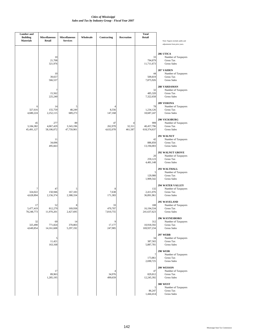| <b>Lumber</b> and<br><b>Building</b><br><b>Materials</b> | <b>Miscellaneous</b><br>Retail | <b>Miscellaneous</b><br><b>Services</b> | Wholesale | Contracting                | Recreation             | <b>Total</b><br>Retail           | Note: Figures include audits and                                                   |
|----------------------------------------------------------|--------------------------------|-----------------------------------------|-----------|----------------------------|------------------------|----------------------------------|------------------------------------------------------------------------------------|
|                                                          |                                |                                         |           |                            |                        |                                  | adjustments from prior years.                                                      |
|                                                          | 10<br>21,708<br>321,976        |                                         |           |                            |                        | 33<br>794,879<br>11,711,673      | 286 UTICA<br>Number of Taxpayers<br>Gross Tax<br><b>Gross Sales</b>                |
|                                                          | 10<br>39,657<br>566,537        |                                         |           |                            |                        | 44<br>509,819<br>7,875,926       | 287 VAIDEN<br>Number of Taxpayers<br>Gross Tax<br><b>Gross Sales</b>               |
|                                                          | 7<br>15,562<br>225,240         |                                         |           |                            |                        | 32<br>485,320<br>7,322,658       | 288 VARDAMAN<br>Number of Taxpayers<br>Gross Tax<br><b>Gross Sales</b>             |
| 6<br>327,616<br>4,680,224                                | 14<br>155,759<br>2,252,115     | 5<br>48,249<br>689,273                  |           | 8,556<br>147,168           |                        | 78<br>1,234,126<br>18,687,247    | <b>289 VERONA</b><br>Number of Taxpayers<br><b>Gross Tax</b><br><b>Gross Sales</b> |
| 45<br>3,184,382<br>45,491,127                            | 277<br>4,067,429<br>58,106,072 | 89<br>3,343,196<br>47,759,901           |           | 47<br>262,970<br>4,632,078 | 4<br>32,311<br>461,587 | 999<br>40,457,796<br>618,374,637 | 290 VICKSBURG<br>Number of Taxpayers<br>Gross Tax<br><b>Gross Sales</b>            |
|                                                          | 11<br>34,696<br>495,663        |                                         |           |                            |                        | 42<br>886,850<br>13,194,003      | 291 WALNUT<br>Number of Taxpayers<br><b>Gross Tax</b><br><b>Gross Sales</b>        |
|                                                          |                                |                                         |           |                            |                        | 20<br>259,123<br>4,481,148       | <b>292 WALNUT GROVE</b><br>Number of Taxpayers<br>Gross Tax<br><b>Gross Sales</b>  |
|                                                          |                                |                                         |           |                            |                        | 5<br>129,980<br>1,909,542        | 293 WALTHALL<br>Number of Taxpayers<br>Gross Tax<br><b>Gross Sales</b>             |
| 7<br>324,022<br>4,628,894                                | 47<br>150,946<br>2,156,374     | 5<br>167,183<br>2,388,334               |           | 8<br>7,638<br>171,383      |                        | 132<br>2,411,076<br>36,891,961   | <b>294 WATER VALLEY</b><br>Number of Taxpayers<br><b>Gross Tax</b><br>Gross Sales  |
| 17<br>5,477,419<br>78,248,773                            | 52<br>812,279<br>11,970,201    | 8<br>169,938<br>2,427,695               |           | 33<br>470,707<br>7,810,755 |                        | 188<br>16,194,534<br>241,637,623 | 295 WAVELAND<br>Number of Taxpayers<br>Gross Tax<br><b>Gross Sales</b>             |
| 32<br>325,490<br>4,649,854                               | 69<br>771,824<br>14,161,608    | 14<br>370,803<br>5,297,192              |           | 9<br>17,177<br>247,985     |                        | 312<br>10,918,592<br>169,937,234 | 296 WAYNESBORO<br>Number of Taxpayers<br>Gross Tax<br><b>Gross Sales</b>           |
|                                                          | 5<br>11,421<br>163,168         |                                         |           |                            |                        | 34<br>387,565<br>5,887,781       | <b>297 WEBB</b><br>Number of Taxpayers<br>Gross Tax<br><b>Gross Sales</b>          |
|                                                          |                                |                                         |           |                            |                        | 7<br>173,861<br>2,690,725        | <b>298 WEIR</b><br>Number of Taxpayers<br>Gross Tax<br><b>Gross Sales</b>          |
|                                                          | 17<br>89,963<br>1,285,195      |                                         |           | 34,976<br>499,659          |                        | 47<br>829,812<br>12,245,392      | 299 WESSON<br>Number of Taxpayers<br>Gross Tax<br><b>Gross Sales</b>               |
|                                                          |                                |                                         |           |                            |                        | 5<br>86,247<br>1,444,414         | <b>300 WEST</b><br>Number of Taxpayers<br>Gross Tax<br><b>Gross Sales</b>          |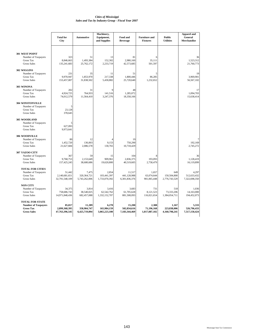|                                                | <b>Total for</b> | <b>Automotive</b> | Machinery,<br>Equipment, | Food and        | <b>Furniture and</b> | <b>Public</b>    | <b>Apparel and</b><br><b>General</b> |
|------------------------------------------------|------------------|-------------------|--------------------------|-----------------|----------------------|------------------|--------------------------------------|
|                                                | City             |                   | and Supplies             | <b>Beverage</b> | <b>Fixtures</b>      | <b>Utilities</b> | <b>Merchandise</b>                   |
| <b>301 WEST POINT</b>                          |                  |                   |                          |                 |                      |                  |                                      |
| Number of Taxpayers                            | 323              | 51                | 13                       | 81              |                      |                  | 36                                   |
| <b>Gross Tax</b>                               | 8,846,663        | 1,493,384         | 152,302                  | 2.980.160       | 35,111               |                  | 1,523,312                            |
| <b>Gross Sales</b>                             | 135,241,683      | 25,762,172        | 2,233,719                | 42,573,685      | 501,597              |                  | 21,760,773                           |
| 302 WIGGINS                                    |                  |                   |                          |                 |                      |                  |                                      |
| Number of Taxpayers                            | 231              | 35                | 11                       | 51              | 5                    |                  | 19                                   |
| <b>Gross Tax</b>                               | 9,970,947        | 1,853,970         | 217,338                  | 1,800,446       | 86,285               |                  | 3,969,901                            |
| <b>Gross Sales</b>                             | 153,457,007      | 31,838,502        | 5,430,882                | 25,720,640      | 1,232,652            |                  | 56,567,102                           |
| 303 WINONA                                     |                  |                   |                          |                 |                      |                  |                                      |
| Number of Taxpayers                            | 202              | 31                | 9                        | 48              |                      |                  | 17                                   |
| <b>Gross Tax</b>                               | 4,924,725        | 764,933           | 141,516                  | 1,285,072       |                      |                  | 1,094,703                            |
| <b>Gross Sales</b>                             | 74,012,579       | 11,564,410        | 3,247,376                | 18,358,166      |                      |                  | 15,638,414                           |
| 304 WINSTONVILLE                               |                  |                   |                          |                 |                      |                  |                                      |
| Number of Taxpayers                            | 5                |                   |                          |                 |                      |                  |                                      |
| <b>Gross Tax</b>                               | 23,128           |                   |                          |                 |                      |                  |                                      |
| <b>Gross Sales</b>                             | 378,645          |                   |                          |                 |                      |                  |                                      |
|                                                |                  |                   |                          |                 |                      |                  |                                      |
| 305 WOODLAND                                   |                  |                   |                          |                 |                      |                  |                                      |
| Number of Taxpayers<br><b>Gross Tax</b>        | 627.093          |                   |                          |                 |                      |                  |                                      |
| <b>Gross Sales</b>                             | 9,973,641        |                   |                          |                 |                      |                  |                                      |
| 306 WOODVILLE                                  |                  |                   |                          |                 |                      |                  |                                      |
| Number of Taxpayers                            | 80               | 12                |                          | 19              |                      |                  |                                      |
| <b>Gross Tax</b>                               | 1,452,720        | 136,003           | 9,153                    | 750,290         |                      |                  | 192,169                              |
| <b>Gross Sales</b>                             | 21,627,684       | 2,086,578         | 130,765                  | 10,718,429      |                      |                  | 2,745,272                            |
| 307 YAZOO CITY                                 |                  |                   |                          |                 |                      |                  |                                      |
| Number of Taxpayers                            | 367              | 59                | 15                       | 104             | 8                    |                  | 36                                   |
| <b>Gross Tax</b>                               | 9,768,753        | 2,153,649         | 909,961                  | 2,836,375       | 193,093              |                  | 1,128,419                            |
| <b>Gross Sales</b>                             | 157,425,245      | 38,680,686        | 19,620,800               | 40,519,605      | 2,758,479            |                  | 16,119,899                           |
|                                                |                  |                   |                          |                 |                      |                  |                                      |
| <b>TOTAL FOR CITIES</b><br>Number of Taxpayers | 51,442           | 7,475             | 2,854                    | 11,517          | 1,657                | 649              | 4,297                                |
| <b>Gross Tax</b>                               | 2,140,681,651    | 320, 364, 721     | 103,441,397              | 441,128,988     | 63,074,644           | 150,504,800      | 512,633,432                          |
| <b>Gross Sales</b>                             | 32,791,548,109   | 5,743,262,006     | 1,733,070,392            | 6,301,836,376   | 901,065,448          | 2,776,743,529    | 7,322,698,350                        |
| <b>NON CITY</b>                                |                  |                   |                          |                 |                      |                  |                                      |
| Number of Taxpayers                            | 34,375           | 3,814             | 3,416                    | 3,683           | 731                  | 518              | 1,036                                |
| <b>Gross Tax</b>                               | 758,686,743      | 38,540,025        | 62,542,762               | 61,705,628      | 8,121,523            | 73,333,206       | 14,163,000                           |
| <b>Gross Sales</b>                             | 14,971,848,436   | 682,457,088       | 1,332,152,707            | 881,508,093     | 116,021,654          | 1,384,054,711    | 194,452,073                          |
| <b>TOTAL FOR STATE</b>                         |                  |                   |                          |                 |                      |                  |                                      |
| <b>Number of Taxpayers</b>                     | 85,817           | 11,289            | 6,270                    | 15,200          | 2,388                | 1,167            | 5,333                                |
| <b>Gross Tax</b>                               | 2,899,368,395    | 358,904,747       | 165,984,159              | 502,834,616     | 71,196,168           | 223,838,006      | 526,796,433                          |
| <b>Gross Sales</b>                             | 47,763,396,545   | 6,425,719,094     | 3,065,223,100            | 7,183,344,469   | 1,017,087,102        | 4,160,798,241    | 7,517,150,424                        |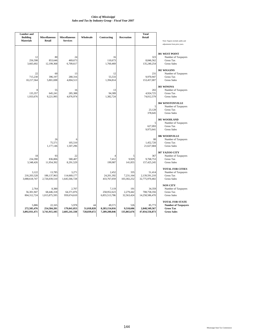| <b>Lumber</b> and<br><b>Building</b><br><b>Materials</b> | <b>Miscellaneous</b><br>Retail           | <b>Miscellaneous</b><br><b>Services</b> | Wholesale                       | Contracting                              | <b>Recreation</b>               | <b>Total</b><br>Retail                    | Note: Figures include audits and<br>adjustments from prior years.                              |
|----------------------------------------------------------|------------------------------------------|-----------------------------------------|---------------------------------|------------------------------------------|---------------------------------|-------------------------------------------|------------------------------------------------------------------------------------------------|
| 256,598<br>3,665,692                                     | 12<br>80<br>853,646<br>12,199,368        | 24<br>469,673<br>6,709,617              |                                 | 16<br>110,673<br>1,760,469               |                                 | 323<br>8,846,562<br>135,240,254           | 301 WEST POINT<br>Number of Taxpayers<br><b>Gross Tax</b><br><b>Gross Sales</b>                |
| 715,230<br>10,217,564                                    | 22<br>60<br>396,197<br>5,801,698         | 13<br>280,316<br>4,004,513              |                                 | 12<br>55,533<br>1,394,814                |                                 | 231<br>9,970,947<br>153,457,007           | 302 WIGGINS<br>Number of Taxpayers<br><b>Gross Tax</b><br><b>Gross Sales</b>                   |
| 135,357<br>1,933,676                                     | 8<br>55<br>645,241<br>9,221,995          | 16<br>285,388<br>4,076,974              |                                 | 13<br>94,389<br>1,382,724                |                                 | 202<br>4,924,725<br>74,012,579            | 303 WINONA<br>Number of Taxpayers<br><b>Gross Tax</b><br><b>Gross Sales</b>                    |
|                                                          |                                          |                                         |                                 |                                          |                                 | 5<br>23,128<br>378,645                    | <b>304 WINSTONVILLE</b><br>Number of Taxpayers<br><b>Gross Tax</b><br><b>Gross Sales</b>       |
|                                                          |                                          |                                         |                                 |                                          |                                 | 5<br>627,093<br>9,973,641                 | 305 WOODLAND<br>Number of Taxpayers<br><b>Gross Tax</b><br><b>Gross Sales</b>                  |
|                                                          | 26<br>75,571<br>1,177,146                | 6<br>105,510<br>1,507,296               |                                 |                                          |                                 | 80<br>1,452,720<br>21,627,684             | 306 WOODVILLE<br>Number of Taxpayers<br><b>Gross Tax</b><br><b>Gross Sales</b>                 |
| 234,390<br>3,348,426                                     | 93<br>18<br>836,806<br>11,954,392        | 22<br>580,407<br>8,291,529              |                                 | 7,412<br>199,987                         | 5<br>9,929<br>141,855           | 367<br>9,768,753<br>157,425,245           | 307 YAZOO CITY<br>Number of Taxpayers<br><b>Gross Tax</b><br><b>Gross Sales</b>                |
| 3,122<br>216,203,528<br>3,088,618,747                    | 13,785<br>186, 137, 963<br>2,726,039,510 | 3,271<br>114,669,177<br>1,645,566,728   |                                 | 2.452<br>24,201,392<br>433,767,059       | 335<br>7,231,164<br>103,302,252 | 51,414<br>2,139,591,210<br>32,775,970,402 | <b>TOTAL FOR CITIES</b><br>Number of Taxpayers<br><b>Gross Tax</b><br><b>Gross Sales</b>       |
| 2,764<br>56,301,947<br>804,312,724                       | 8,380<br>68,446,318<br>1,015,875,595     | 2,707<br>64,371,876<br>959,674,610      |                                 | 7,119<br>258,952,623<br>6,855,513,786    | 191<br>2,279,442<br>32,563,424  | 34,359<br>708,758,356<br>14,258,586,470   | <b>NON CITY</b><br>Number of Taxpayers<br><b>Gross Tax</b><br><b>Gross Sales</b>               |
| 5,886<br>272,505,476<br>3,892,931,471                    | 22,165<br>254,584,281<br>3,741,915,105   | 5,978<br>179,041,053<br>2,605,241,338   | 44<br>51,018,828<br>728,839,672 | 49,571<br>8,283,154,016<br>7,289,280,846 | 526<br>9,510,606<br>135,865,676 | 85,773<br>2,848,349,567<br>47,034,556,873 | <b>TOTAL FOR STATE</b><br><b>Number of Taxpayers</b><br><b>Gross Tax</b><br><b>Gross Sales</b> |